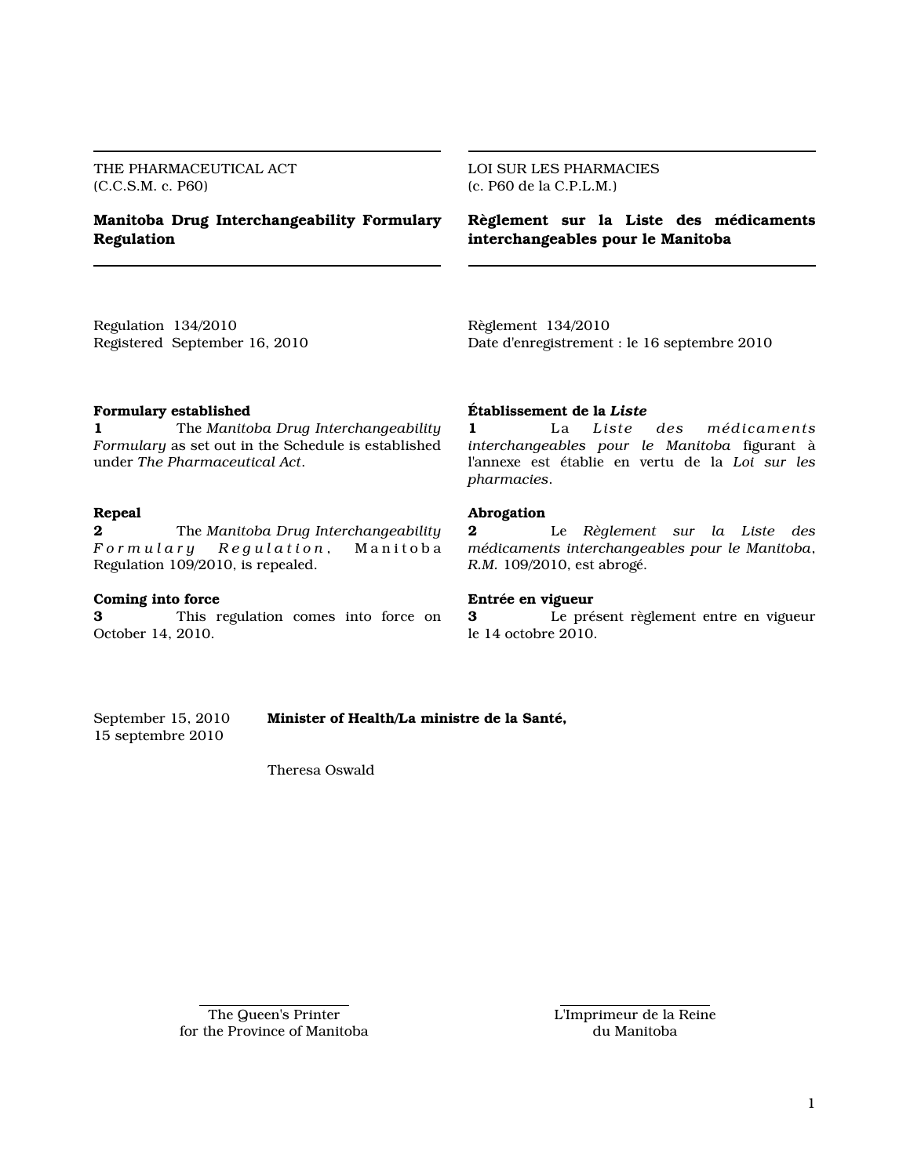THE PHARMACEUTICAL ACT (C.C.S.M. c. P60)

# Manitoba Drug Interchangeability Formulary Regulation

LOI SUR LES PHARMACIES (c. P60 de la C.P.L.M.)

Règlement sur la Liste des médicaments interchangeables pour le Manitoba

Regulation 134/2010 Registered September 16, 2010 Règlement 134/2010 Date d'enregistrement : le 16 septembre 2010

### Formulary established

1 The Manitoba Drug Interchangeability Formulary as set out in the Schedule is established under The Pharmaceutical Act.

## Repeal

2 The Manitoba Drug Interchangeability<br> $\sqrt{F}$  or mulary  $\sqrt{F}$  Regulation, Manitoba *Regulation*, Manitoba Regulation 109/2010, is repealed.

#### Coming into force

3 This regulation comes into force on October 14, 2010.

#### Établissement de la Liste

1 La Liste des médicaments interchangeables pour le Manitoba figurant à l'annexe est établie en vertu de la Loi sur les pharmacies.

#### Abrogation

2 Le Règlement sur la Liste des médicaments interchangeables pour le Manitoba, R.M. 109/2010, est abrogé.

#### Entrée en vigueur

3 Le présent règlement entre en vigueur le 14 octobre 2010.

15 septembre 2010

September 15, 2010 Minister of Health/La ministre de la Santé,

Theresa Oswald

The Queen's Printer for the Province of Manitoba L'Imprimeur de la Reine du Manitoba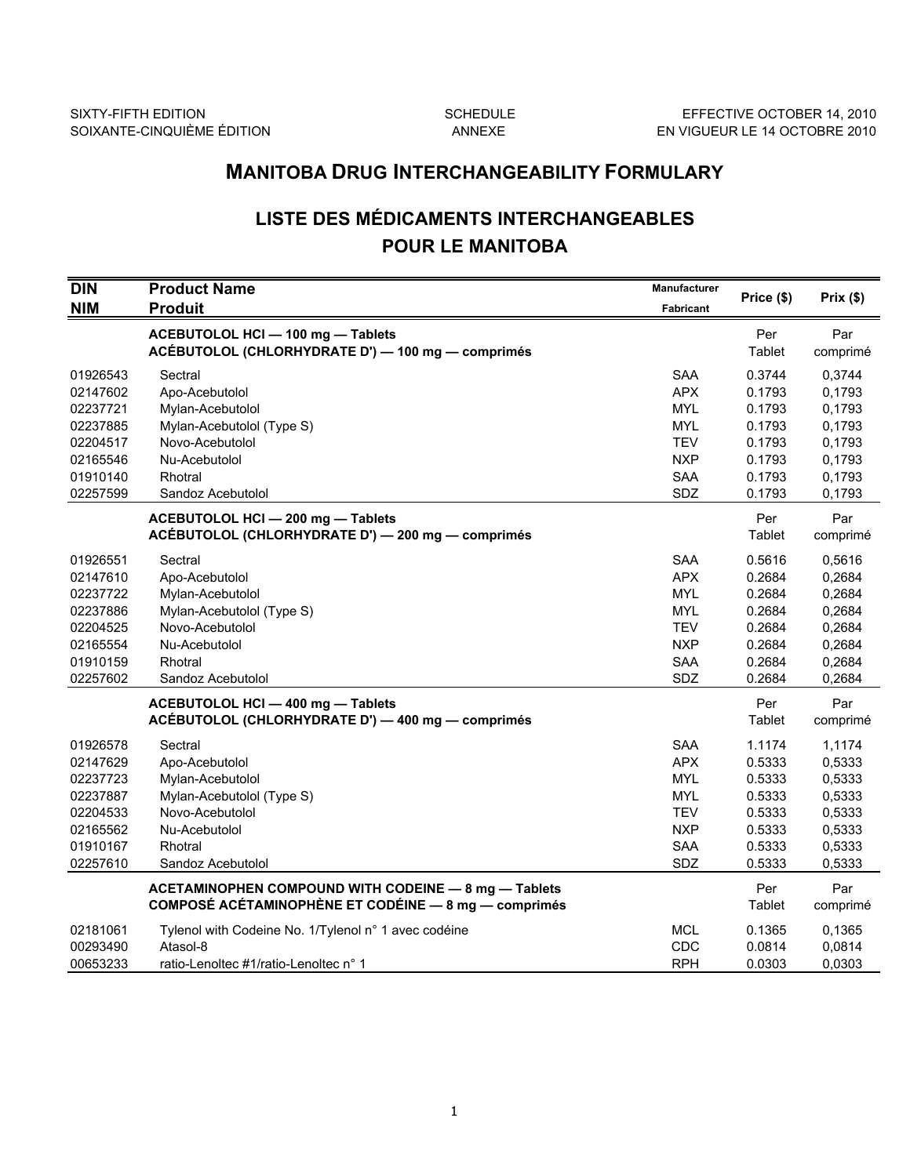# MANITOBA DRUG INTERCHANGEABILITY FORMULARY

# LISTE DES MÉDICAMENTS INTERCHANGEABLES POUR LE MANITOBA

| <b>DIN</b> | <b>Product Name</b>                                  | Manufacturer     |            |          |
|------------|------------------------------------------------------|------------------|------------|----------|
| <b>NIM</b> | <b>Produit</b>                                       | <b>Fabricant</b> | Price (\$) | Prix(\$) |
|            | ACEBUTOLOL HCI - 100 mg - Tablets                    |                  | Per        | Par      |
|            | ACÉBUTOLOL (CHLORHYDRATE D') - 100 mg - comprimés    |                  | Tablet     | comprimé |
| 01926543   | Sectral                                              | <b>SAA</b>       | 0.3744     | 0,3744   |
| 02147602   | Apo-Acebutolol                                       | <b>APX</b>       | 0.1793     | 0,1793   |
| 02237721   | Mylan-Acebutolol                                     | <b>MYL</b>       | 0.1793     | 0,1793   |
| 02237885   | Mylan-Acebutolol (Type S)                            | <b>MYL</b>       | 0.1793     | 0,1793   |
| 02204517   | Novo-Acebutolol                                      | <b>TEV</b>       | 0.1793     | 0,1793   |
| 02165546   | Nu-Acebutolol                                        | <b>NXP</b>       | 0.1793     | 0,1793   |
| 01910140   | Rhotral                                              | <b>SAA</b>       | 0.1793     | 0,1793   |
| 02257599   | Sandoz Acebutolol                                    | SDZ              | 0.1793     | 0,1793   |
|            | ACEBUTOLOL HCI - 200 mg - Tablets                    |                  | Per        | Par      |
|            | ACÉBUTOLOL (CHLORHYDRATE D') - 200 mg - comprimés    |                  | Tablet     | comprimé |
| 01926551   | Sectral                                              | <b>SAA</b>       | 0.5616     | 0,5616   |
| 02147610   | Apo-Acebutolol                                       | <b>APX</b>       | 0.2684     | 0,2684   |
| 02237722   | Mylan-Acebutolol                                     | <b>MYL</b>       | 0.2684     | 0,2684   |
| 02237886   | Mylan-Acebutolol (Type S)                            | <b>MYL</b>       | 0.2684     | 0,2684   |
| 02204525   | Novo-Acebutolol                                      | <b>TEV</b>       | 0.2684     | 0,2684   |
| 02165554   | Nu-Acebutolol                                        | <b>NXP</b>       | 0.2684     | 0,2684   |
| 01910159   | Rhotral                                              | <b>SAA</b>       | 0.2684     | 0,2684   |
| 02257602   | Sandoz Acebutolol                                    | SDZ              | 0.2684     | 0,2684   |
|            | ACEBUTOLOL HCI - 400 mg - Tablets                    |                  | Per        | Par      |
|            | ACÉBUTOLOL (CHLORHYDRATE D') - 400 mg - comprimés    |                  | Tablet     | comprimé |
| 01926578   | Sectral                                              | <b>SAA</b>       | 1.1174     | 1,1174   |
| 02147629   | Apo-Acebutolol                                       | <b>APX</b>       | 0.5333     | 0,5333   |
| 02237723   | Mylan-Acebutolol                                     | <b>MYL</b>       | 0.5333     | 0,5333   |
| 02237887   | Mylan-Acebutolol (Type S)                            | <b>MYL</b>       | 0.5333     | 0,5333   |
| 02204533   | Novo-Acebutolol                                      | <b>TEV</b>       | 0.5333     | 0,5333   |
| 02165562   | Nu-Acebutolol                                        | <b>NXP</b>       | 0.5333     | 0,5333   |
| 01910167   | Rhotral                                              | <b>SAA</b>       | 0.5333     | 0,5333   |
| 02257610   | Sandoz Acebutolol                                    | SDZ              | 0.5333     | 0.5333   |
|            | ACETAMINOPHEN COMPOUND WITH CODEINE - 8 mg - Tablets |                  | Per        | Par      |
|            | COMPOSÉ ACÉTAMINOPHÈNE ET CODÉINE - 8 mg - comprimés |                  | Tablet     | comprimé |
| 02181061   | Tylenol with Codeine No. 1/Tylenol n° 1 avec codéine | <b>MCL</b>       | 0.1365     | 0,1365   |
| 00293490   | Atasol-8                                             | CDC              | 0.0814     | 0,0814   |
| 00653233   | ratio-Lenoltec #1/ratio-Lenoltec n° 1                | <b>RPH</b>       | 0.0303     | 0,0303   |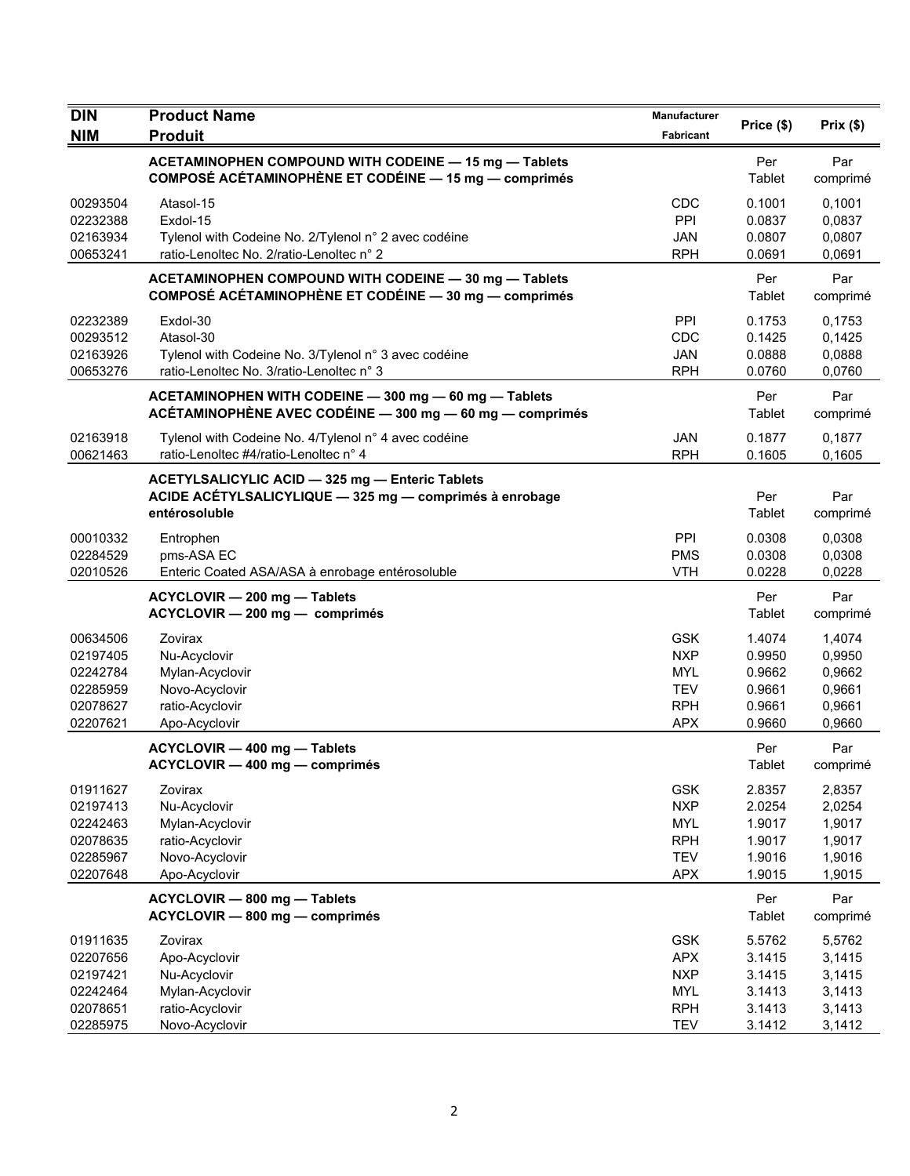| <b>DIN</b>                                                           | <b>Product Name</b>                                                                                                         | Manufacturer                                                                     |                                                          |                                                          |
|----------------------------------------------------------------------|-----------------------------------------------------------------------------------------------------------------------------|----------------------------------------------------------------------------------|----------------------------------------------------------|----------------------------------------------------------|
| <b>NIM</b>                                                           | <b>Produit</b>                                                                                                              | Fabricant                                                                        | Price (\$)                                               | Prix(\$)                                                 |
|                                                                      | ACETAMINOPHEN COMPOUND WITH CODEINE - 15 mg - Tablets<br>COMPOSÉ ACÉTAMINOPHÈNE ET CODÉINE - 15 mg - comprimés              |                                                                                  | Per<br>Tablet                                            | Par<br>comprimé                                          |
| 00293504<br>02232388<br>02163934<br>00653241                         | Atasol-15<br>Exdol-15<br>Tylenol with Codeine No. 2/Tylenol n° 2 avec codéine<br>ratio-Lenoltec No. 2/ratio-Lenoltec n° 2   | CDC<br>PPI<br><b>JAN</b><br><b>RPH</b>                                           | 0.1001<br>0.0837<br>0.0807<br>0.0691                     | 0,1001<br>0,0837<br>0,0807<br>0,0691                     |
|                                                                      | ACETAMINOPHEN COMPOUND WITH CODEINE - 30 mg - Tablets<br>COMPOSÉ ACÉTAMINOPHÈNE ET CODÉINE - 30 mg - comprimés              |                                                                                  | Per<br>Tablet                                            | Par<br>comprimé                                          |
| 02232389<br>00293512<br>02163926<br>00653276                         | Exdol-30<br>Atasol-30<br>Tylenol with Codeine No. 3/Tylenol n° 3 avec codéine<br>ratio-Lenoltec No. 3/ratio-Lenoltec n° 3   | PPI<br>CDC<br><b>JAN</b><br><b>RPH</b>                                           | 0.1753<br>0.1425<br>0.0888<br>0.0760                     | 0,1753<br>0,1425<br>0,0888<br>0,0760                     |
|                                                                      | ACETAMINOPHEN WITH CODEINE - 300 mg - 60 mg - Tablets<br>ACÉTAMINOPHÈNE AVEC CODÉINE - 300 mg - 60 mg - comprimés           |                                                                                  | Per<br>Tablet                                            | Par<br>comprimé                                          |
| 02163918<br>00621463                                                 | Tylenol with Codeine No. 4/Tylenol n° 4 avec codéine<br>ratio-Lenoltec #4/ratio-Lenoltec n° 4                               | <b>JAN</b><br><b>RPH</b>                                                         | 0.1877<br>0.1605                                         | 0,1877<br>0,1605                                         |
|                                                                      | ACETYLSALICYLIC ACID - 325 mg - Enteric Tablets<br>ACIDE ACÉTYLSALICYLIQUE - 325 mg - comprimés à enrobage<br>entérosoluble |                                                                                  | Per<br>Tablet                                            | Par<br>comprimé                                          |
| 00010332<br>02284529<br>02010526                                     | Entrophen<br>pms-ASA EC<br>Enteric Coated ASA/ASA à enrobage entérosoluble                                                  | PPI<br><b>PMS</b><br><b>VTH</b>                                                  | 0.0308<br>0.0308<br>0.0228                               | 0,0308<br>0,0308<br>0,0228                               |
|                                                                      | ACYCLOVIR - 200 mg - Tablets<br>ACYCLOVIR - 200 mg - comprimés                                                              |                                                                                  | Per<br>Tablet                                            | Par<br>comprimé                                          |
| 00634506<br>02197405<br>02242784<br>02285959<br>02078627<br>02207621 | Zovirax<br>Nu-Acyclovir<br>Mylan-Acyclovir<br>Novo-Acyclovir<br>ratio-Acyclovir<br>Apo-Acyclovir                            | <b>GSK</b><br><b>NXP</b><br><b>MYL</b><br><b>TEV</b><br><b>RPH</b><br><b>APX</b> | 1.4074<br>0.9950<br>0.9662<br>0.9661<br>0.9661<br>0.9660 | 1,4074<br>0,9950<br>0,9662<br>0,9661<br>0,9661<br>0,9660 |
|                                                                      | ACYCLOVIR - 400 mg - Tablets<br>ACYCLOVIR — 400 mg — comprimés                                                              |                                                                                  | Per<br>Tablet                                            | Par<br>comprimé                                          |
| 01911627<br>02197413<br>02242463<br>02078635<br>02285967<br>02207648 | Zovirax<br>Nu-Acyclovir<br>Mylan-Acyclovir<br>ratio-Acyclovir<br>Novo-Acyclovir<br>Apo-Acyclovir                            | <b>GSK</b><br><b>NXP</b><br><b>MYL</b><br><b>RPH</b><br><b>TEV</b><br><b>APX</b> | 2.8357<br>2.0254<br>1.9017<br>1.9017<br>1.9016<br>1.9015 | 2,8357<br>2,0254<br>1,9017<br>1,9017<br>1,9016<br>1,9015 |
|                                                                      | ACYCLOVIR - 800 mg - Tablets<br>ACYCLOVIR - 800 mg - comprimés                                                              |                                                                                  | Per<br>Tablet                                            | Par<br>comprimé                                          |
| 01911635<br>02207656<br>02197421<br>02242464<br>02078651<br>02285975 | Zovirax<br>Apo-Acyclovir<br>Nu-Acyclovir<br>Mylan-Acyclovir<br>ratio-Acyclovir<br>Novo-Acyclovir                            | <b>GSK</b><br><b>APX</b><br><b>NXP</b><br><b>MYL</b><br><b>RPH</b><br><b>TEV</b> | 5.5762<br>3.1415<br>3.1415<br>3.1413<br>3.1413<br>3.1412 | 5,5762<br>3,1415<br>3,1415<br>3,1413<br>3,1413<br>3,1412 |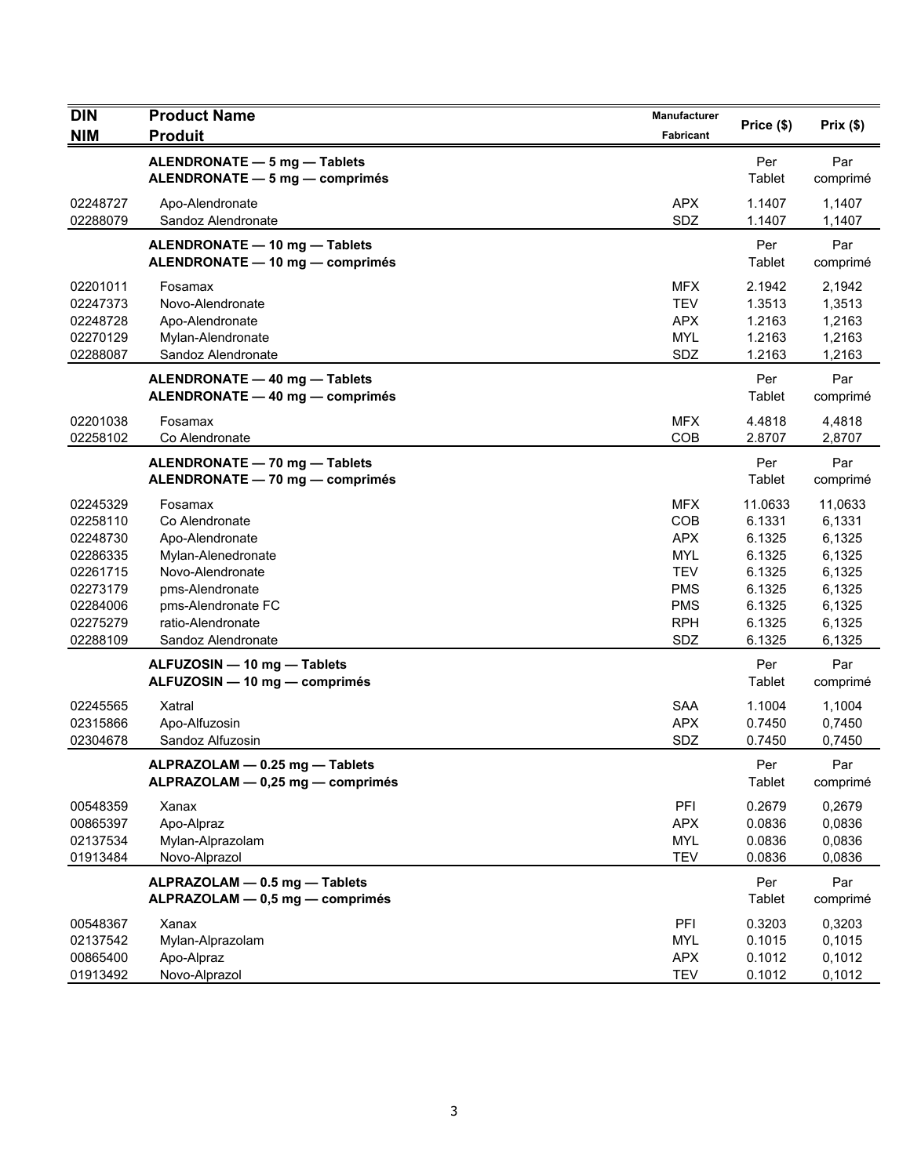| <b>DIN</b>                                                                                               | <b>Product Name</b>                                                                                                                                                        | Manufacturer                                                                                                 | Price (\$)                                                                              | Prix(\$)                                                                                |
|----------------------------------------------------------------------------------------------------------|----------------------------------------------------------------------------------------------------------------------------------------------------------------------------|--------------------------------------------------------------------------------------------------------------|-----------------------------------------------------------------------------------------|-----------------------------------------------------------------------------------------|
| <b>NIM</b>                                                                                               | <b>Produit</b>                                                                                                                                                             | <b>Fabricant</b>                                                                                             |                                                                                         |                                                                                         |
|                                                                                                          | ALENDRONATE - 5 mg - Tablets<br>ALENDRONATE - 5 mg - comprimés                                                                                                             |                                                                                                              | Per<br>Tablet                                                                           | Par<br>comprimé                                                                         |
| 02248727<br>02288079                                                                                     | Apo-Alendronate<br>Sandoz Alendronate                                                                                                                                      | <b>APX</b><br>SDZ                                                                                            | 1.1407<br>1.1407                                                                        | 1,1407<br>1,1407                                                                        |
|                                                                                                          | ALENDRONATE - 10 mg - Tablets<br>ALENDRONATE - 10 mg - comprimés                                                                                                           |                                                                                                              | Per<br>Tablet                                                                           | Par<br>comprimé                                                                         |
| 02201011<br>02247373<br>02248728<br>02270129<br>02288087                                                 | Fosamax<br>Novo-Alendronate<br>Apo-Alendronate<br>Mylan-Alendronate<br>Sandoz Alendronate                                                                                  | <b>MFX</b><br><b>TEV</b><br><b>APX</b><br><b>MYL</b><br>SDZ                                                  | 2.1942<br>1.3513<br>1.2163<br>1.2163<br>1.2163                                          | 2,1942<br>1,3513<br>1,2163<br>1,2163<br>1,2163                                          |
|                                                                                                          | ALENDRONATE - 40 mg - Tablets<br>ALENDRONATE - 40 mg - comprimés                                                                                                           |                                                                                                              | Per<br>Tablet                                                                           | Par<br>comprimé                                                                         |
| 02201038<br>02258102                                                                                     | Fosamax<br>Co Alendronate                                                                                                                                                  | <b>MFX</b><br>COB                                                                                            | 4.4818<br>2.8707                                                                        | 4,4818<br>2,8707                                                                        |
|                                                                                                          | ALENDRONATE - 70 mg - Tablets<br>ALENDRONATE - 70 mg - comprimés                                                                                                           |                                                                                                              | Per<br>Tablet                                                                           | Par<br>comprimé                                                                         |
| 02245329<br>02258110<br>02248730<br>02286335<br>02261715<br>02273179<br>02284006<br>02275279<br>02288109 | Fosamax<br>Co Alendronate<br>Apo-Alendronate<br>Mylan-Alenedronate<br>Novo-Alendronate<br>pms-Alendronate<br>pms-Alendronate FC<br>ratio-Alendronate<br>Sandoz Alendronate | <b>MFX</b><br>COB<br><b>APX</b><br><b>MYL</b><br><b>TEV</b><br><b>PMS</b><br><b>PMS</b><br><b>RPH</b><br>SDZ | 11.0633<br>6.1331<br>6.1325<br>6.1325<br>6.1325<br>6.1325<br>6.1325<br>6.1325<br>6.1325 | 11,0633<br>6,1331<br>6,1325<br>6,1325<br>6,1325<br>6,1325<br>6,1325<br>6,1325<br>6,1325 |
|                                                                                                          | ALFUZOSIN - 10 mg - Tablets<br>ALFUZOSIN - 10 mg - comprimés                                                                                                               |                                                                                                              | Per<br><b>Tablet</b>                                                                    | Par<br>comprimé                                                                         |
| 02245565<br>02315866<br>02304678                                                                         | Xatral<br>Apo-Alfuzosin<br>Sandoz Alfuzosin                                                                                                                                | <b>SAA</b><br><b>APX</b><br>SDZ                                                                              | 1.1004<br>0.7450<br>0.7450                                                              | 1,1004<br>0,7450<br>0,7450                                                              |
|                                                                                                          | ALPRAZOLAM - 0.25 mg - Tablets<br>ALPRAZOLAM - 0,25 mg - comprimés                                                                                                         |                                                                                                              | Per<br>Tablet                                                                           | Par<br>comprimé                                                                         |
| 00548359<br>00865397<br>02137534<br>01913484                                                             | Xanax<br>Apo-Alpraz<br>Mylan-Alprazolam<br>Novo-Alprazol                                                                                                                   | PFI<br><b>APX</b><br><b>MYL</b><br><b>TEV</b>                                                                | 0.2679<br>0.0836<br>0.0836<br>0.0836                                                    | 0,2679<br>0,0836<br>0,0836<br>0,0836                                                    |
|                                                                                                          | ALPRAZOLAM - 0.5 mg - Tablets<br>ALPRAZOLAM - 0,5 mg - comprimés                                                                                                           |                                                                                                              | Per<br>Tablet                                                                           | Par<br>comprimé                                                                         |
| 00548367<br>02137542<br>00865400<br>01913492                                                             | Xanax<br>Mylan-Alprazolam<br>Apo-Alpraz<br>Novo-Alprazol                                                                                                                   | PFI<br><b>MYL</b><br><b>APX</b><br><b>TEV</b>                                                                | 0.3203<br>0.1015<br>0.1012<br>0.1012                                                    | 0,3203<br>0,1015<br>0,1012<br>0,1012                                                    |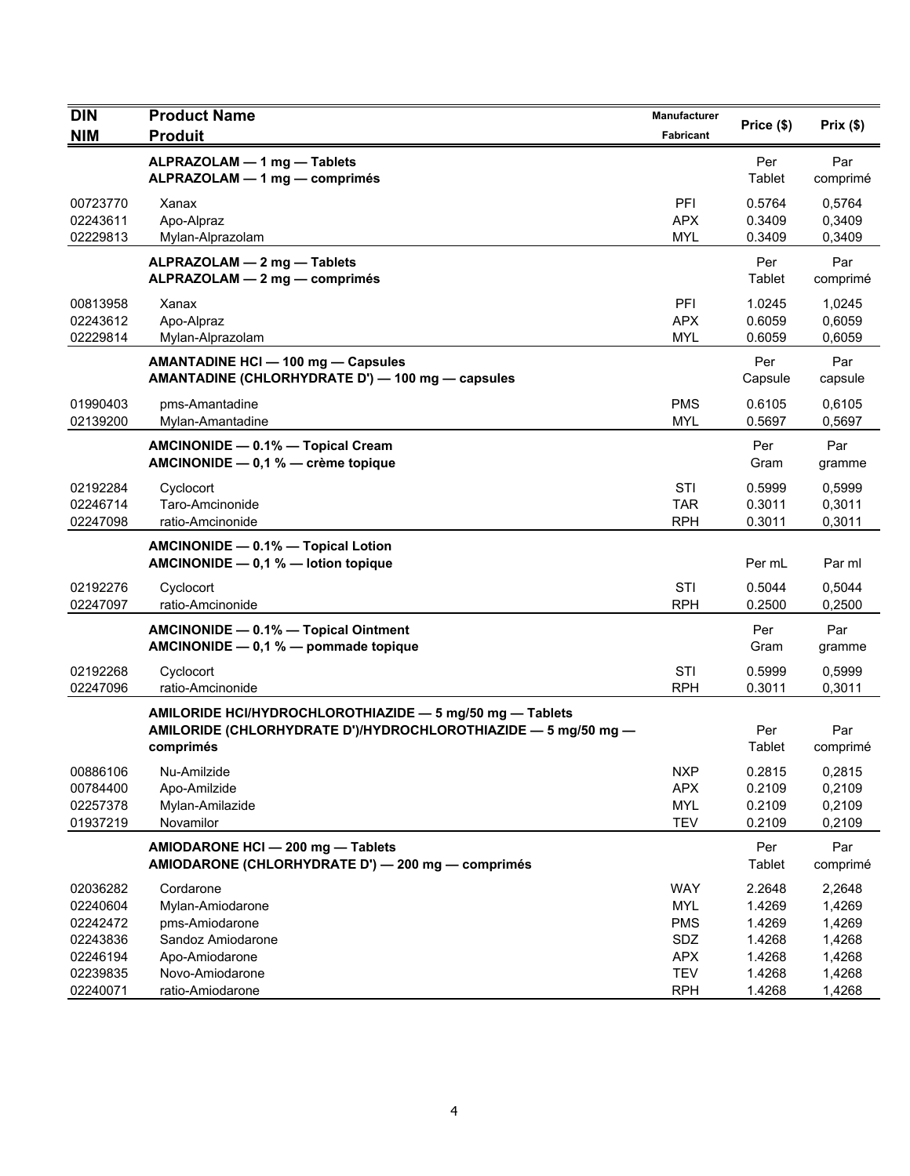| <b>DIN</b> | <b>Product Name</b>                                            | Manufacturer | Price (\$) | Prix(\$) |
|------------|----------------------------------------------------------------|--------------|------------|----------|
| <b>NIM</b> | <b>Produit</b>                                                 | Fabricant    |            |          |
|            | ALPRAZOLAM - 1 mg - Tablets                                    |              | Per        | Par      |
|            | ALPRAZOLAM - 1 mg - comprimés                                  |              | Tablet     | comprimé |
| 00723770   | Xanax                                                          | PFI          | 0.5764     | 0,5764   |
| 02243611   | Apo-Alpraz                                                     | <b>APX</b>   | 0.3409     | 0,3409   |
| 02229813   | Mylan-Alprazolam                                               | <b>MYL</b>   | 0.3409     | 0,3409   |
|            | ALPRAZOLAM - 2 mg - Tablets                                    |              | Per        | Par      |
|            | ALPRAZOLAM - 2 mg - comprimés                                  |              | Tablet     | comprimé |
| 00813958   | Xanax                                                          | PFI          | 1.0245     | 1,0245   |
| 02243612   | Apo-Alpraz                                                     | APX          | 0.6059     | 0,6059   |
| 02229814   | Mylan-Alprazolam                                               | <b>MYL</b>   | 0.6059     | 0,6059   |
|            | <b>AMANTADINE HCI - 100 mg - Capsules</b>                      |              | Per        | Par      |
|            | AMANTADINE (CHLORHYDRATE D') - 100 mg - capsules               |              | Capsule    | capsule  |
| 01990403   | pms-Amantadine                                                 | <b>PMS</b>   | 0.6105     | 0,6105   |
| 02139200   | Mylan-Amantadine                                               | <b>MYL</b>   | 0.5697     | 0,5697   |
|            | AMCINONIDE - 0.1% - Topical Cream                              |              | Per        | Par      |
|            | AMCINONIDE - 0,1 % - crème topique                             |              | Gram       | gramme   |
| 02192284   | Cyclocort                                                      | STI          | 0.5999     | 0,5999   |
| 02246714   | Taro-Amcinonide                                                | <b>TAR</b>   | 0.3011     | 0,3011   |
| 02247098   | ratio-Amcinonide                                               | <b>RPH</b>   | 0.3011     | 0,3011   |
|            | AMCINONIDE - 0.1% - Topical Lotion                             |              |            |          |
|            | AMCINONIDE $-$ 0,1 % $-$ lotion topique                        |              | Per mL     | Par ml   |
| 02192276   | Cyclocort                                                      | <b>STI</b>   | 0.5044     | 0,5044   |
| 02247097   | ratio-Amcinonide                                               | <b>RPH</b>   | 0.2500     | 0,2500   |
|            | AMCINONIDE - 0.1% - Topical Ointment                           |              | Per        | Par      |
|            | AMCINONIDE $-$ 0,1 % $-$ pommade topique                       |              | Gram       | gramme   |
| 02192268   | Cyclocort                                                      | STI          | 0.5999     | 0,5999   |
| 02247096   | ratio-Amcinonide                                               | <b>RPH</b>   | 0.3011     | 0,3011   |
|            | AMILORIDE HCI/HYDROCHLOROTHIAZIDE - 5 mg/50 mg - Tablets       |              |            |          |
|            | AMILORIDE (CHLORHYDRATE D')/HYDROCHLOROTHIAZIDE - 5 mg/50 mg - |              | Per        | Par      |
|            | comprimés                                                      |              | Tablet     | comprimé |
| 00886106   | Nu-Amilzide                                                    | <b>NXP</b>   | 0.2815     | 0,2815   |
| 00784400   | Apo-Amilzide                                                   | <b>APX</b>   | 0.2109     | 0,2109   |
| 02257378   | Mylan-Amilazide                                                | <b>MYL</b>   | 0.2109     | 0,2109   |
| 01937219   | Novamilor                                                      | <b>TEV</b>   | 0.2109     | 0,2109   |
|            | AMIODARONE HCI - 200 mg - Tablets                              |              | Per        | Par      |
|            | AMIODARONE (CHLORHYDRATE D') - 200 mg - comprimés              |              | Tablet     | comprimé |
| 02036282   | Cordarone                                                      | <b>WAY</b>   | 2.2648     | 2,2648   |
| 02240604   | Mylan-Amiodarone                                               | <b>MYL</b>   | 1.4269     | 1,4269   |
| 02242472   | pms-Amiodarone                                                 | <b>PMS</b>   | 1.4269     | 1,4269   |
| 02243836   | Sandoz Amiodarone                                              | SDZ          | 1.4268     | 1,4268   |
| 02246194   | Apo-Amiodarone                                                 | <b>APX</b>   | 1.4268     | 1,4268   |
| 02239835   | Novo-Amiodarone                                                | <b>TEV</b>   | 1.4268     | 1,4268   |
| 02240071   | ratio-Amiodarone                                               | <b>RPH</b>   | 1.4268     | 1,4268   |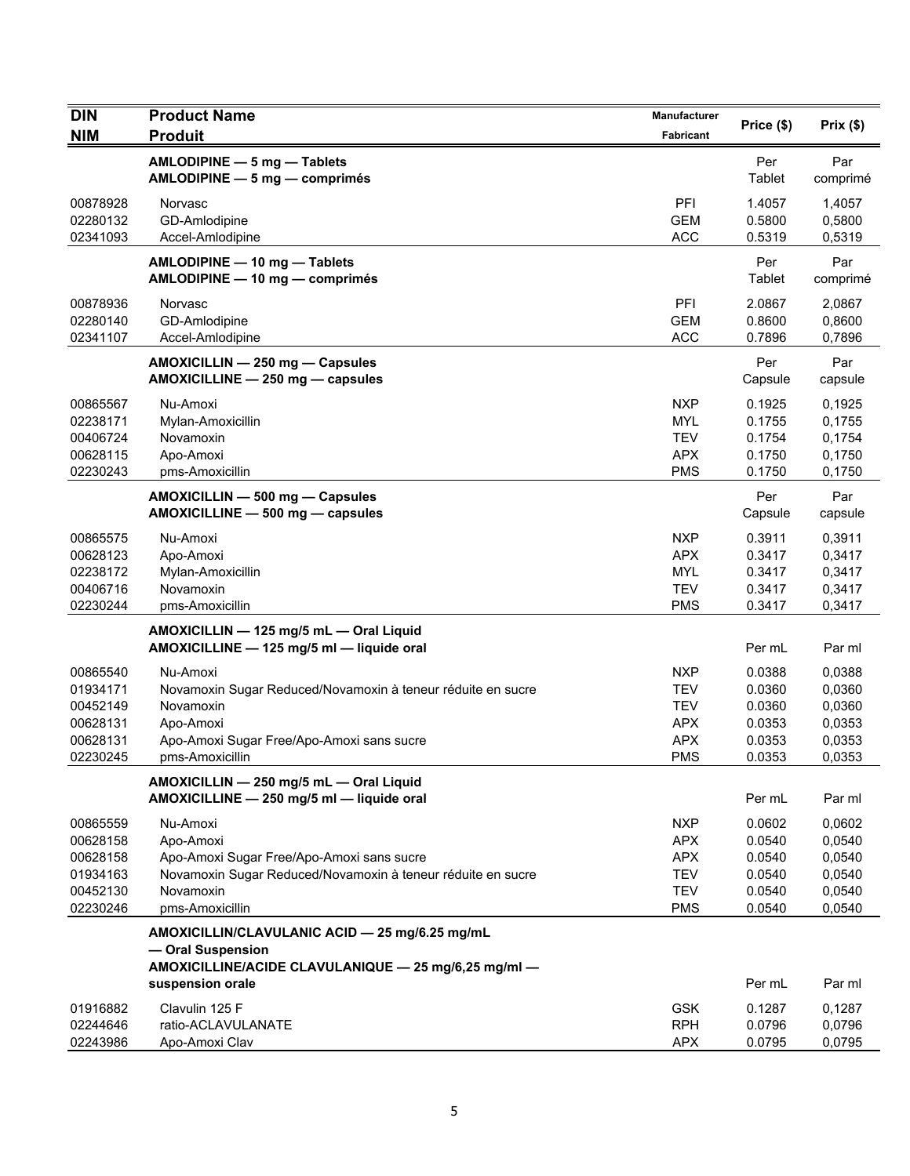| <b>DIN</b>                                                           | <b>Product Name</b>                                                                                                                                               | Manufacturer                                                                     | Price (\$)                                               | Prix(\$)                                                 |
|----------------------------------------------------------------------|-------------------------------------------------------------------------------------------------------------------------------------------------------------------|----------------------------------------------------------------------------------|----------------------------------------------------------|----------------------------------------------------------|
| <b>NIM</b>                                                           | <b>Produit</b>                                                                                                                                                    | <b>Fabricant</b>                                                                 |                                                          |                                                          |
|                                                                      | AMLODIPINE - 5 mg - Tablets<br>AMLODIPINE - 5 mg - comprimés                                                                                                      |                                                                                  | Per<br>Tablet                                            | Par<br>comprimé                                          |
| 00878928<br>02280132<br>02341093                                     | Norvasc<br>GD-Amlodipine<br>Accel-Amlodipine                                                                                                                      | PFI<br><b>GEM</b><br><b>ACC</b>                                                  | 1.4057<br>0.5800<br>0.5319                               | 1,4057<br>0,5800<br>0,5319                               |
|                                                                      | AMLODIPINE - 10 mg - Tablets<br>AMLODIPINE - 10 mg - comprimés                                                                                                    |                                                                                  | Per<br>Tablet                                            | Par<br>comprimé                                          |
| 00878936<br>02280140<br>02341107                                     | Norvasc<br>GD-Amlodipine<br>Accel-Amlodipine                                                                                                                      | PFI<br><b>GEM</b><br><b>ACC</b>                                                  | 2.0867<br>0.8600<br>0.7896                               | 2,0867<br>0,8600<br>0,7896                               |
|                                                                      | AMOXICILLIN - 250 mg - Capsules<br>AMOXICILLINE - 250 mg - capsules                                                                                               |                                                                                  | Per<br>Capsule                                           | Par<br>capsule                                           |
| 00865567<br>02238171<br>00406724<br>00628115<br>02230243             | Nu-Amoxi<br>Mylan-Amoxicillin<br>Novamoxin<br>Apo-Amoxi<br>pms-Amoxicillin                                                                                        | <b>NXP</b><br>MYL<br><b>TEV</b><br><b>APX</b><br><b>PMS</b>                      | 0.1925<br>0.1755<br>0.1754<br>0.1750<br>0.1750           | 0,1925<br>0,1755<br>0,1754<br>0,1750<br>0,1750           |
|                                                                      | AMOXICILLIN - 500 mg - Capsules<br>AMOXICILLINE - 500 mg - capsules                                                                                               |                                                                                  | Per<br>Capsule                                           | Par<br>capsule                                           |
| 00865575<br>00628123<br>02238172<br>00406716<br>02230244             | Nu-Amoxi<br>Apo-Amoxi<br>Mylan-Amoxicillin<br>Novamoxin<br>pms-Amoxicillin                                                                                        | <b>NXP</b><br><b>APX</b><br><b>MYL</b><br><b>TEV</b><br><b>PMS</b>               | 0.3911<br>0.3417<br>0.3417<br>0.3417<br>0.3417           | 0,3911<br>0,3417<br>0,3417<br>0,3417<br>0,3417           |
|                                                                      | AMOXICILLIN - 125 mg/5 mL - Oral Liquid<br>AMOXICILLINE - 125 mg/5 ml - liquide oral                                                                              |                                                                                  | Per mL                                                   | Par ml                                                   |
| 00865540<br>01934171<br>00452149<br>00628131<br>00628131<br>02230245 | Nu-Amoxi<br>Novamoxin Sugar Reduced/Novamoxin à teneur réduite en sucre<br>Novamoxin<br>Apo-Amoxi<br>Apo-Amoxi Sugar Free/Apo-Amoxi sans sucre<br>pms-Amoxicillin | <b>NXP</b><br><b>TEV</b><br><b>TEV</b><br><b>APX</b><br><b>APX</b><br><b>PMS</b> | 0.0388<br>0.0360<br>0.0360<br>0.0353<br>0.0353<br>0.0353 | 0,0388<br>0,0360<br>0,0360<br>0,0353<br>0,0353<br>0,0353 |
|                                                                      | AMOXICILLIN - 250 mg/5 mL - Oral Liquid<br>AMOXICILLINE - 250 mg/5 ml - liquide oral                                                                              |                                                                                  | Per mL                                                   | Par ml                                                   |
| 00865559<br>00628158<br>00628158<br>01934163<br>00452130<br>02230246 | Nu-Amoxi<br>Apo-Amoxi<br>Apo-Amoxi Sugar Free/Apo-Amoxi sans sucre<br>Novamoxin Sugar Reduced/Novamoxin à teneur réduite en sucre<br>Novamoxin<br>pms-Amoxicillin | <b>NXP</b><br><b>APX</b><br><b>APX</b><br><b>TEV</b><br><b>TEV</b><br><b>PMS</b> | 0.0602<br>0.0540<br>0.0540<br>0.0540<br>0.0540<br>0.0540 | 0,0602<br>0,0540<br>0,0540<br>0,0540<br>0,0540<br>0,0540 |
|                                                                      | AMOXICILLIN/CLAVULANIC ACID - 25 mg/6.25 mg/mL<br>- Oral Suspension<br>AMOXICILLINE/ACIDE CLAVULANIQUE - 25 mg/6,25 mg/ml -                                       |                                                                                  |                                                          |                                                          |
|                                                                      | suspension orale                                                                                                                                                  |                                                                                  | Per mL                                                   | Par ml                                                   |
| 01916882<br>02244646<br>02243986                                     | Clavulin 125 F<br>ratio-ACLAVULANATE<br>Apo-Amoxi Clav                                                                                                            | <b>GSK</b><br><b>RPH</b><br><b>APX</b>                                           | 0.1287<br>0.0796<br>0.0795                               | 0,1287<br>0,0796<br>0,0795                               |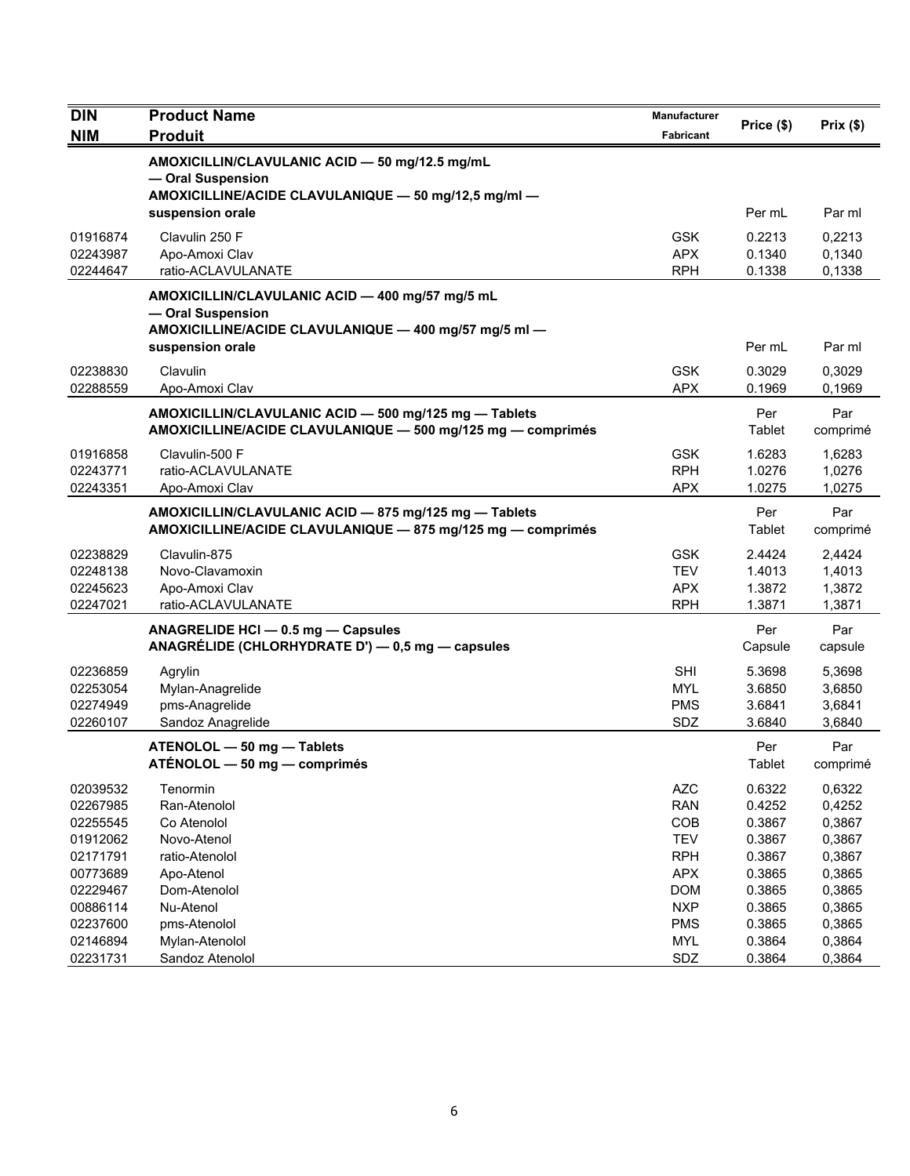| <b>DIN</b>           | <b>Product Name</b>                                                      | Manufacturer             | Price (\$)       | Prix(\$)         |
|----------------------|--------------------------------------------------------------------------|--------------------------|------------------|------------------|
| <b>NIM</b>           | <b>Produit</b>                                                           | <b>Fabricant</b>         |                  |                  |
|                      | AMOXICILLIN/CLAVULANIC ACID - 50 mg/12.5 mg/mL                           |                          |                  |                  |
|                      | - Oral Suspension                                                        |                          |                  |                  |
|                      | AMOXICILLINE/ACIDE CLAVULANIQUE - 50 mg/12,5 mg/ml -<br>suspension orale |                          | Per mL           | Par ml           |
|                      |                                                                          |                          |                  |                  |
| 01916874<br>02243987 | Clavulin 250 F<br>Apo-Amoxi Clav                                         | <b>GSK</b><br><b>APX</b> | 0.2213<br>0.1340 | 0,2213<br>0,1340 |
| 02244647             | ratio-ACLAVULANATE                                                       | <b>RPH</b>               | 0.1338           | 0,1338           |
|                      | AMOXICILLIN/CLAVULANIC ACID - 400 mg/57 mg/5 mL                          |                          |                  |                  |
|                      | - Oral Suspension                                                        |                          |                  |                  |
|                      | AMOXICILLINE/ACIDE CLAVULANIQUE - 400 mg/57 mg/5 ml -                    |                          |                  |                  |
|                      | suspension orale                                                         |                          | Per mL           | Par ml           |
| 02238830             | Clavulin                                                                 | <b>GSK</b>               | 0.3029           | 0,3029           |
| 02288559             | Apo-Amoxi Clav                                                           | <b>APX</b>               | 0.1969           | 0,1969           |
|                      | AMOXICILLIN/CLAVULANIC ACID - 500 mg/125 mg - Tablets                    |                          | Per              | Par              |
|                      | AMOXICILLINE/ACIDE CLAVULANIQUE - 500 mg/125 mg - comprimés              |                          | Tablet           | comprimé         |
| 01916858             | Clavulin-500 F                                                           | <b>GSK</b>               | 1.6283           | 1,6283           |
| 02243771             | ratio-ACLAVULANATE                                                       | <b>RPH</b>               | 1.0276           | 1,0276           |
| 02243351             | Apo-Amoxi Clav                                                           | <b>APX</b>               | 1.0275           | 1,0275           |
|                      | AMOXICILLIN/CLAVULANIC ACID - 875 mg/125 mg - Tablets                    |                          | Per              | Par              |
|                      | AMOXICILLINE/ACIDE CLAVULANIQUE - 875 mg/125 mg - comprimés              |                          | Tablet           | comprimé         |
| 02238829             | Clavulin-875                                                             | <b>GSK</b>               | 2.4424           | 2,4424           |
| 02248138             | Novo-Clavamoxin                                                          | <b>TEV</b>               | 1.4013           | 1,4013           |
| 02245623             | Apo-Amoxi Clav                                                           | <b>APX</b>               | 1.3872           | 1,3872           |
| 02247021             | ratio-ACLAVULANATE                                                       | <b>RPH</b>               | 1.3871           | 1,3871           |
|                      | ANAGRELIDE HCI - 0.5 mg - Capsules                                       |                          | Per              | Par              |
|                      | ANAGRÉLIDE (CHLORHYDRATE D') - 0,5 mg - capsules                         |                          | Capsule          | capsule          |
| 02236859             | Agrylin                                                                  | <b>SHI</b>               | 5.3698           | 5,3698           |
| 02253054             | Mylan-Anagrelide                                                         | <b>MYL</b>               | 3.6850           | 3,6850           |
| 02274949<br>02260107 | pms-Anagrelide<br>Sandoz Anagrelide                                      | <b>PMS</b><br>SDZ        | 3.6841<br>3.6840 | 3,6841<br>3,6840 |
|                      |                                                                          |                          |                  |                  |
|                      | ATENOLOL - 50 mg - Tablets<br>ATÉNOLOL - 50 mg - comprimés               |                          | Per<br>Tablet    | Par              |
|                      |                                                                          |                          |                  | comprimé         |
| 02039532             | Tenormin                                                                 | <b>AZC</b>               | 0.6322           | 0,6322           |
| 02267985<br>02255545 | Ran-Atenolol<br>Co Atenolol                                              | <b>RAN</b><br>COB        | 0.4252<br>0.3867 | 0,4252<br>0,3867 |
| 01912062             | Novo-Atenol                                                              | <b>TEV</b>               | 0.3867           | 0,3867           |
| 02171791             | ratio-Atenolol                                                           | <b>RPH</b>               | 0.3867           | 0,3867           |
| 00773689             | Apo-Atenol                                                               | <b>APX</b>               | 0.3865           | 0,3865           |
| 02229467             | Dom-Atenolol                                                             | <b>DOM</b>               | 0.3865           | 0,3865           |
| 00886114             | Nu-Atenol                                                                | <b>NXP</b>               | 0.3865           | 0,3865           |
| 02237600             | pms-Atenolol                                                             | <b>PMS</b>               | 0.3865           | 0,3865           |
| 02146894             | Mylan-Atenolol                                                           | <b>MYL</b>               | 0.3864           | 0,3864           |
| 02231731             | Sandoz Atenolol                                                          | SDZ                      | 0.3864           | 0,3864           |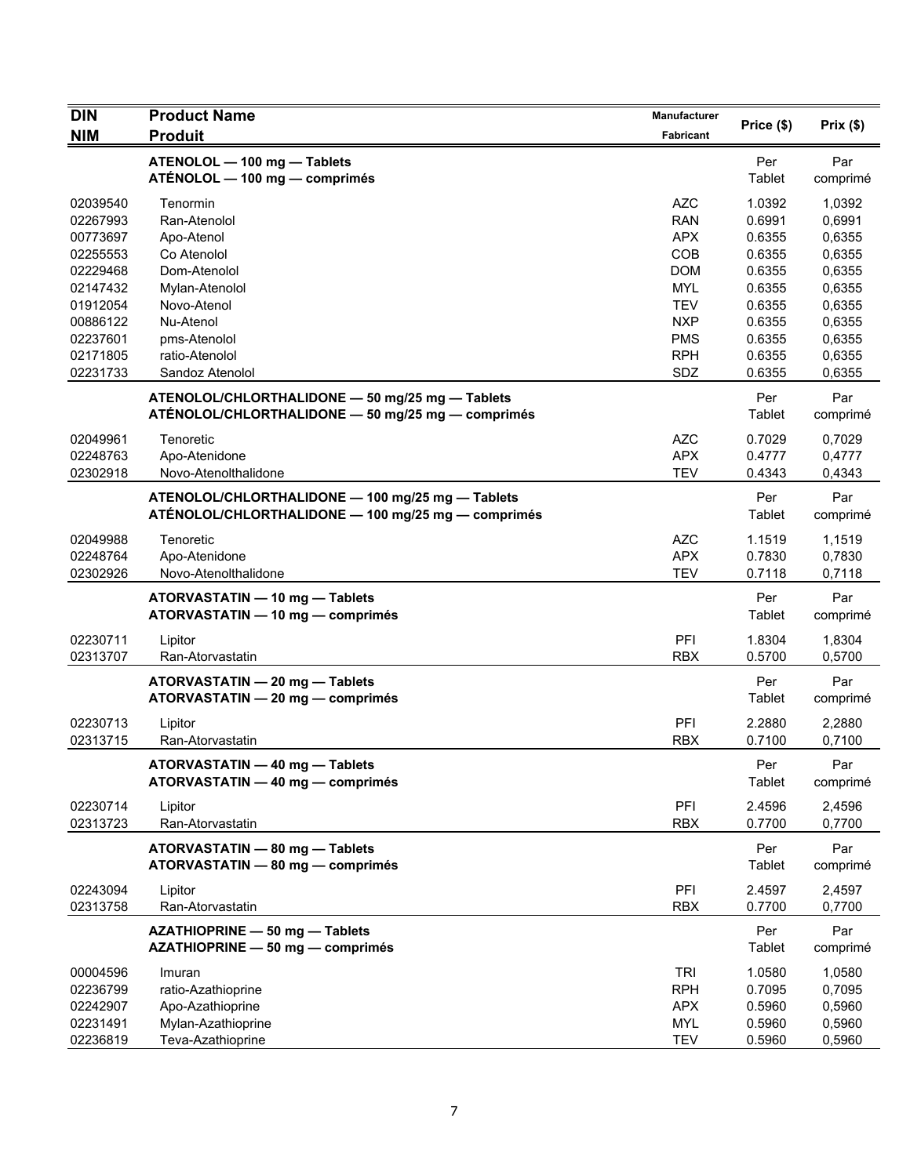| <b>DIN</b>           | <b>Product Name</b>                                                                                    | <b>Manufacturer</b>      |                      |                  |
|----------------------|--------------------------------------------------------------------------------------------------------|--------------------------|----------------------|------------------|
| <b>NIM</b>           | <b>Produit</b>                                                                                         | Fabricant                | Price (\$)           | Prix $($ \$)     |
|                      | ATENOLOL - 100 mg - Tablets<br>ATÉNOLOL - 100 mg - comprimés                                           |                          | Per<br>Tablet        | Par<br>comprimé  |
| 02039540<br>02267993 | Tenormin<br>Ran-Atenolol                                                                               | <b>AZC</b><br><b>RAN</b> | 1.0392<br>0.6991     | 1,0392<br>0,6991 |
| 00773697<br>02255553 | Apo-Atenol<br>Co Atenolol                                                                              | <b>APX</b><br>COB        | 0.6355<br>0.6355     | 0,6355<br>0,6355 |
| 02229468             | Dom-Atenolol                                                                                           | <b>DOM</b>               | 0.6355               | 0,6355           |
| 02147432             | Mylan-Atenolol                                                                                         | <b>MYL</b>               | 0.6355               | 0,6355           |
| 01912054             | Novo-Atenol                                                                                            | <b>TEV</b>               | 0.6355               | 0,6355           |
| 00886122             | Nu-Atenol                                                                                              | <b>NXP</b>               | 0.6355               | 0,6355           |
| 02237601             | pms-Atenolol                                                                                           | <b>PMS</b>               | 0.6355               | 0,6355           |
| 02171805             | ratio-Atenolol                                                                                         | <b>RPH</b>               | 0.6355               | 0,6355           |
| 02231733             | Sandoz Atenolol                                                                                        | SDZ                      | 0.6355               | 0,6355           |
|                      | ATENOLOL/CHLORTHALIDONE - 50 mg/25 mg - Tablets<br>ATÉNOLOL/CHLORTHALIDONE - 50 mg/25 mg - comprimés   |                          | Per<br>Tablet        | Par<br>comprimé  |
| 02049961             | Tenoretic                                                                                              | <b>AZC</b>               | 0.7029               | 0,7029           |
| 02248763             | Apo-Atenidone                                                                                          | <b>APX</b>               | 0.4777               | 0,4777           |
| 02302918             | Novo-Atenolthalidone                                                                                   | <b>TEV</b>               | 0.4343               | 0,4343           |
|                      | ATENOLOL/CHLORTHALIDONE - 100 mg/25 mg - Tablets<br>ATÉNOLOL/CHLORTHALIDONE - 100 mg/25 mg - comprimés |                          | Per<br><b>Tablet</b> | Par<br>comprimé  |
| 02049988             | Tenoretic                                                                                              | <b>AZC</b>               | 1.1519               | 1,1519           |
| 02248764             | Apo-Atenidone                                                                                          | <b>APX</b>               | 0.7830               | 0,7830           |
| 02302926             | Novo-Atenolthalidone                                                                                   | <b>TEV</b>               | 0.7118               | 0,7118           |
|                      | ATORVASTATIN - 10 mg - Tablets<br>ATORVASTATIN - 10 mg - comprimés                                     |                          | Per<br>Tablet        | Par<br>comprimé  |
| 02230711<br>02313707 | Lipitor<br>Ran-Atorvastatin                                                                            | PFI<br><b>RBX</b>        | 1.8304<br>0.5700     | 1,8304<br>0,5700 |
|                      | ATORVASTATIN - 20 mg - Tablets<br>ATORVASTATIN - 20 mg - comprimés                                     |                          | Per<br>Tablet        | Par<br>comprimé  |
| 02230713             | Lipitor                                                                                                | PFI                      | 2.2880               | 2,2880           |
| 02313715             | Ran-Atorvastatin                                                                                       | <b>RBX</b>               | 0.7100               | 0,7100           |
|                      | ATORVASTATIN - 40 mg - Tablets<br>ATORVASTATIN - 40 mg - comprimés                                     |                          | Per<br>Tablet        | Par<br>comprimé  |
| 02230714<br>02313723 | Lipitor<br>Ran-Atorvastatin                                                                            | PFI<br><b>RBX</b>        | 2.4596<br>0.7700     | 2,4596<br>0,7700 |
|                      | ATORVASTATIN - 80 mg - Tablets<br>ATORVASTATIN - 80 mg - comprimés                                     |                          | Per<br>Tablet        | Par<br>comprimé  |
| 02243094<br>02313758 | Lipitor<br>Ran-Atorvastatin                                                                            | PFI<br><b>RBX</b>        | 2.4597<br>0.7700     | 2,4597<br>0,7700 |
|                      | AZATHIOPRINE - 50 mg - Tablets<br>AZATHIOPRINE - 50 mg - comprimés                                     |                          | Per<br>Tablet        | Par<br>comprimé  |
| 00004596             | Imuran                                                                                                 | <b>TRI</b>               | 1.0580               | 1,0580           |
| 02236799             | ratio-Azathioprine                                                                                     | <b>RPH</b>               | 0.7095               | 0,7095           |
| 02242907             | Apo-Azathioprine                                                                                       | <b>APX</b>               | 0.5960               | 0,5960           |
| 02231491             | Mylan-Azathioprine                                                                                     | <b>MYL</b>               | 0.5960               | 0,5960           |
| 02236819             | Teva-Azathioprine                                                                                      | <b>TEV</b>               | 0.5960               | 0,5960           |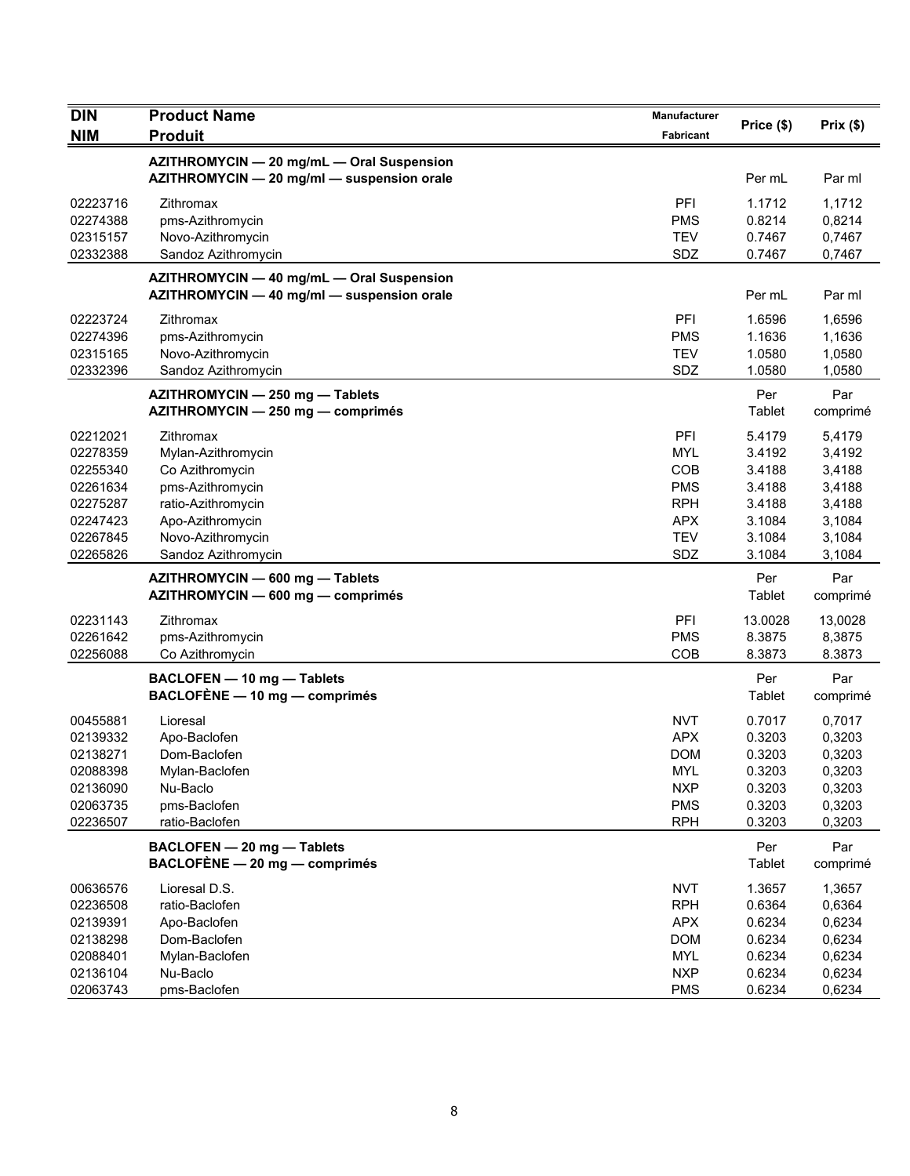| <b>DIN</b>                                   | <b>Product Name</b>                                                                     | Manufacturer                           | Price (\$)                           | Prix(\$)                             |
|----------------------------------------------|-----------------------------------------------------------------------------------------|----------------------------------------|--------------------------------------|--------------------------------------|
| <b>NIM</b>                                   | <b>Produit</b>                                                                          | Fabricant                              |                                      |                                      |
|                                              | AZITHROMYCIN - 20 mg/mL - Oral Suspension<br>AZITHROMYCIN - 20 mg/ml - suspension orale |                                        | Per mL                               | Par ml                               |
| 02223716<br>02274388<br>02315157<br>02332388 | Zithromax<br>pms-Azithromycin<br>Novo-Azithromycin<br>Sandoz Azithromycin               | PFI<br><b>PMS</b><br><b>TEV</b><br>SDZ | 1.1712<br>0.8214<br>0.7467<br>0.7467 | 1,1712<br>0,8214<br>0,7467<br>0,7467 |
|                                              |                                                                                         |                                        |                                      |                                      |
|                                              | AZITHROMYCIN - 40 mg/mL - Oral Suspension<br>AZITHROMYCIN - 40 mg/ml - suspension orale |                                        | Per mL                               | Par ml                               |
| 02223724                                     | Zithromax                                                                               | PFI                                    | 1.6596                               | 1,6596                               |
| 02274396                                     | pms-Azithromycin                                                                        | <b>PMS</b>                             | 1.1636                               | 1,1636                               |
| 02315165                                     | Novo-Azithromycin                                                                       | <b>TEV</b>                             | 1.0580                               | 1,0580                               |
| 02332396                                     | Sandoz Azithromycin                                                                     | SDZ                                    | 1.0580                               | 1,0580                               |
|                                              | AZITHROMYCIN - 250 mg - Tablets<br>AZITHROMYCIN - 250 mg - comprimés                    |                                        | Per<br>Tablet                        | Par<br>comprimé                      |
| 02212021                                     | Zithromax                                                                               | PFI                                    | 5.4179                               | 5,4179                               |
| 02278359                                     | Mylan-Azithromycin                                                                      | <b>MYL</b>                             | 3.4192                               | 3,4192                               |
| 02255340                                     | Co Azithromycin                                                                         | COB                                    | 3.4188                               | 3,4188                               |
| 02261634                                     | pms-Azithromycin                                                                        | <b>PMS</b>                             | 3.4188                               | 3,4188                               |
| 02275287                                     | ratio-Azithromycin                                                                      | <b>RPH</b>                             | 3.4188                               | 3,4188                               |
| 02247423                                     | Apo-Azithromycin                                                                        | <b>APX</b>                             | 3.1084                               | 3,1084                               |
| 02267845                                     | Novo-Azithromycin                                                                       | <b>TEV</b>                             | 3.1084                               | 3,1084                               |
| 02265826                                     | Sandoz Azithromycin                                                                     | SDZ                                    | 3.1084                               | 3,1084                               |
|                                              | AZITHROMYCIN - 600 mg - Tablets<br>AZITHROMYCIN - 600 mg - comprimés                    |                                        | Per<br>Tablet                        | Par<br>comprimé                      |
| 02231143                                     | Zithromax                                                                               | PFI                                    | 13.0028                              | 13,0028                              |
| 02261642                                     | pms-Azithromycin                                                                        | <b>PMS</b>                             | 8.3875                               | 8,3875                               |
| 02256088                                     | Co Azithromycin                                                                         | COB                                    | 8.3873                               | 8.3873                               |
|                                              | BACLOFEN - 10 mg - Tablets<br>BACLOFÈNE - 10 mg - comprimés                             |                                        | Per<br>Tablet                        | Par<br>comprimé                      |
| 00455881                                     | Lioresal                                                                                | <b>NVT</b>                             | 0.7017                               | 0,7017                               |
| 02139332                                     | Apo-Baclofen                                                                            | APX                                    | 0.3203                               | 0,3203                               |
| 02138271                                     | Dom-Baclofen                                                                            | <b>DOM</b>                             | 0.3203                               | 0,3203                               |
| 02088398                                     | Mylan-Baclofen                                                                          | <b>MYL</b>                             | 0.3203                               | 0,3203                               |
| 02136090                                     | Nu-Baclo                                                                                | <b>NXP</b>                             | 0.3203                               | 0,3203                               |
| 02063735                                     | pms-Baclofen                                                                            | <b>PMS</b>                             | 0.3203                               | 0,3203                               |
| 02236507                                     | ratio-Baclofen                                                                          | <b>RPH</b>                             | 0.3203                               | 0,3203                               |
|                                              | BACLOFEN - 20 mg - Tablets<br>$BACLOFÈNE - 20 mg - comprimés$                           |                                        | Per<br>Tablet                        | Par<br>comprimé                      |
| 00636576                                     | Lioresal D.S.                                                                           | <b>NVT</b>                             | 1.3657                               | 1,3657                               |
| 02236508                                     | ratio-Baclofen                                                                          | <b>RPH</b>                             | 0.6364                               | 0,6364                               |
| 02139391                                     | Apo-Baclofen                                                                            | <b>APX</b>                             | 0.6234                               | 0,6234                               |
| 02138298                                     | Dom-Baclofen                                                                            | <b>DOM</b>                             | 0.6234                               | 0,6234                               |
| 02088401                                     | Mylan-Baclofen                                                                          | <b>MYL</b>                             | 0.6234                               | 0,6234                               |
| 02136104                                     | Nu-Baclo                                                                                | <b>NXP</b>                             | 0.6234                               | 0,6234                               |
| 02063743                                     | pms-Baclofen                                                                            | <b>PMS</b>                             | 0.6234                               | 0,6234                               |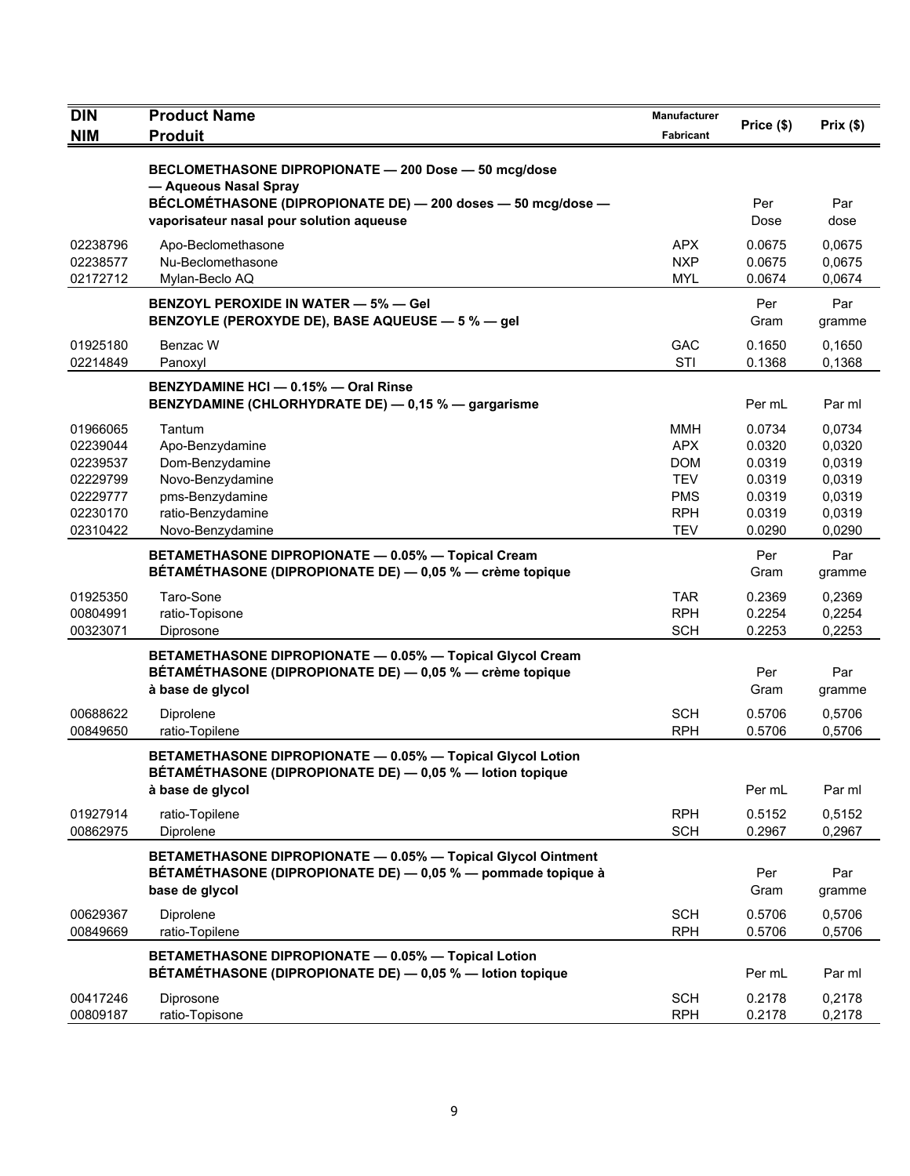| <b>DIN</b>           | <b>Product Name</b>                                                                                                                            | <b>Manufacturer</b>      | Price (\$)       |                  |
|----------------------|------------------------------------------------------------------------------------------------------------------------------------------------|--------------------------|------------------|------------------|
| <b>NIM</b>           | <b>Produit</b>                                                                                                                                 | <b>Fabricant</b>         |                  | Prix(\$)         |
|                      | BECLOMETHASONE DIPROPIONATE - 200 Dose - 50 mcg/dose<br>- Aqueous Nasal Spray                                                                  |                          |                  |                  |
|                      | BÉCLOMÉTHASONE (DIPROPIONATE DE) - 200 doses - 50 mcg/dose -<br>vaporisateur nasal pour solution aqueuse                                       |                          | Per<br>Dose      | Par<br>dose      |
| 02238796             | Apo-Beclomethasone                                                                                                                             | APX.                     | 0.0675           | 0,0675           |
| 02238577<br>02172712 | Nu-Beclomethasone<br>Mylan-Beclo AQ                                                                                                            | <b>NXP</b><br><b>MYL</b> | 0.0675<br>0.0674 | 0,0675<br>0,0674 |
|                      | <b>BENZOYL PEROXIDE IN WATER - 5% - Gel</b>                                                                                                    |                          |                  | Par              |
|                      | BENZOYLE (PEROXYDE DE), BASE AQUEUSE - 5 % - gel                                                                                               |                          | Per<br>Gram      | gramme           |
| 01925180             | Benzac W                                                                                                                                       | <b>GAC</b>               | 0.1650           | 0.1650           |
| 02214849             | Panoxyl                                                                                                                                        | STI                      | 0.1368           | 0,1368           |
|                      | BENZYDAMINE HCI - 0.15% - Oral Rinse<br>BENZYDAMINE (CHLORHYDRATE DE) - 0,15 % - gargarisme                                                    |                          | Per mL           | Par ml           |
| 01966065             | Tantum                                                                                                                                         | <b>MMH</b>               | 0.0734           | 0,0734           |
| 02239044             | Apo-Benzydamine                                                                                                                                | <b>APX</b>               | 0.0320           | 0,0320           |
| 02239537<br>02229799 | Dom-Benzydamine<br>Novo-Benzydamine                                                                                                            | <b>DOM</b><br><b>TEV</b> | 0.0319<br>0.0319 | 0,0319<br>0,0319 |
| 02229777             | pms-Benzydamine                                                                                                                                | <b>PMS</b>               | 0.0319           | 0,0319           |
| 02230170             | ratio-Benzydamine                                                                                                                              | <b>RPH</b>               | 0.0319           | 0,0319           |
| 02310422             | Novo-Benzydamine                                                                                                                               | <b>TEV</b>               | 0.0290           | 0,0290           |
|                      | BETAMETHASONE DIPROPIONATE - 0.05% - Topical Cream<br>BÉTAMÉTHASONE (DIPROPIONATE DE) — 0,05 % — crème topique                                 |                          | Per<br>Gram      | Par<br>gramme    |
| 01925350             | Taro-Sone                                                                                                                                      | TAR.                     | 0.2369           | 0,2369           |
| 00804991             | ratio-Topisone                                                                                                                                 | <b>RPH</b>               | 0.2254           | 0,2254           |
| 00323071             | Diprosone                                                                                                                                      | <b>SCH</b>               | 0.2253           | 0,2253           |
|                      | BETAMETHASONE DIPROPIONATE - 0.05% - Topical Glycol Cream<br>BÉTAMÉTHASONE (DIPROPIONATE DE) — 0,05 % — crème topique<br>à base de glycol      |                          | Per<br>Gram      | Par<br>gramme    |
| 00688622             | Diprolene                                                                                                                                      | <b>SCH</b>               | 0.5706           | 0,5706           |
| 00849650             | ratio-Topilene                                                                                                                                 | <b>RPH</b>               | 0.5706           | 0,5706           |
|                      | BETAMETHASONE DIPROPIONATE - 0.05% - Topical Glycol Lotion<br>BÉTAMÉTHASONE (DIPROPIONATE DE) - 0,05 % - lotion topique                        |                          |                  |                  |
|                      | à base de glycol                                                                                                                               |                          | Per mL           | Par ml           |
| 01927914             | ratio-Topilene                                                                                                                                 | <b>RPH</b>               | 0.5152           | 0,5152           |
| 00862975             | Diprolene                                                                                                                                      | <b>SCH</b>               | 0.2967           | 0,2967           |
|                      | BETAMETHASONE DIPROPIONATE - 0.05% - Topical Glycol Ointment<br>BÉTAMÉTHASONE (DIPROPIONATE DE) — 0,05 % — pommade topique à<br>base de glycol |                          | Per<br>Gram      | Par<br>gramme    |
| 00629367             | Diprolene                                                                                                                                      | <b>SCH</b>               | 0.5706           | 0,5706           |
| 00849669             | ratio-Topilene                                                                                                                                 | <b>RPH</b>               | 0.5706           | 0,5706           |
|                      | BETAMETHASONE DIPROPIONATE - 0.05% - Topical Lotion<br>BÉTAMÉTHASONE (DIPROPIONATE DE) - 0,05 % - lotion topique                               |                          | Per mL           | Par ml           |
| 00417246             | Diprosone                                                                                                                                      | <b>SCH</b>               | 0.2178           | 0,2178           |
| 00809187             | ratio-Topisone                                                                                                                                 | <b>RPH</b>               | 0.2178           | 0,2178           |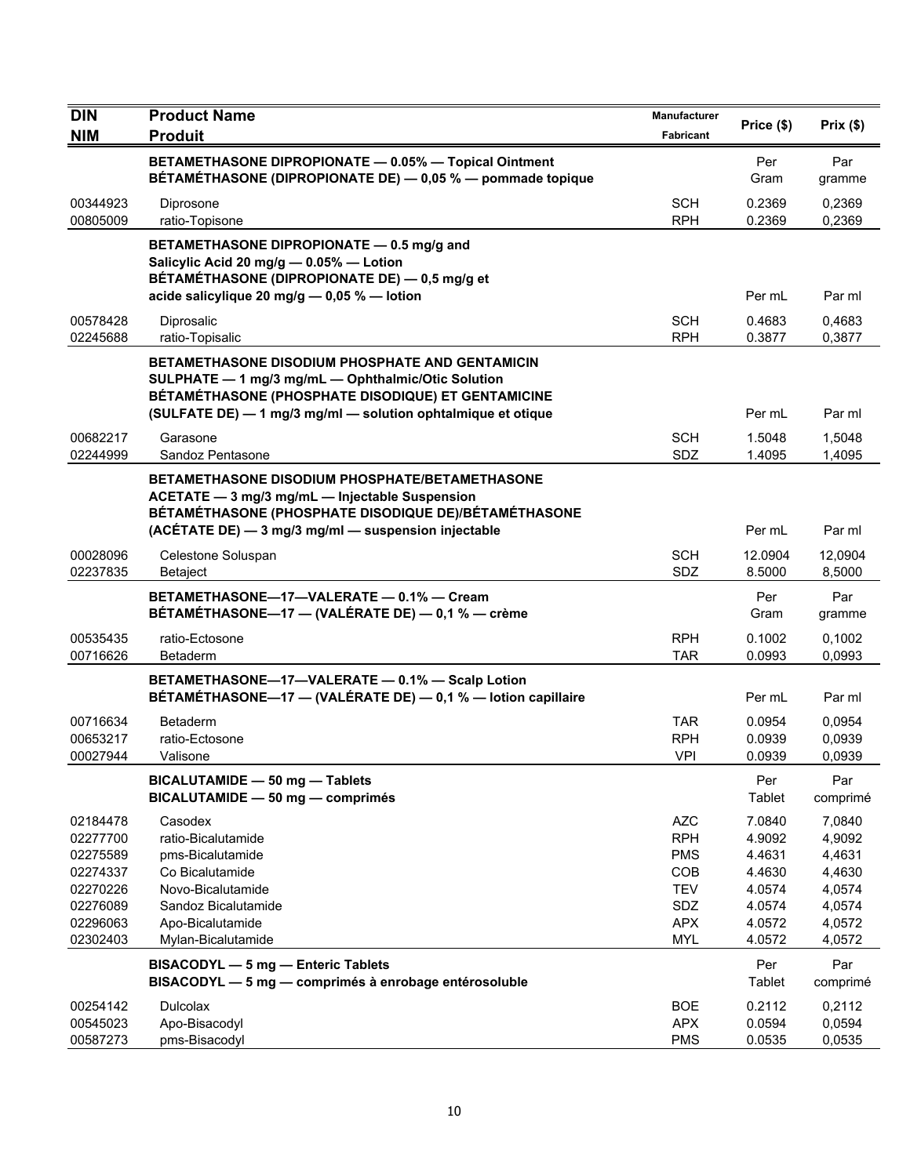| <b>DIN</b>                                                                                   | <b>Product Name</b>                                                                                                                                                                                                                | <b>Manufacturer</b>                                                                            |                                                                              | Prix(\$)                                                                     |
|----------------------------------------------------------------------------------------------|------------------------------------------------------------------------------------------------------------------------------------------------------------------------------------------------------------------------------------|------------------------------------------------------------------------------------------------|------------------------------------------------------------------------------|------------------------------------------------------------------------------|
| <b>NIM</b>                                                                                   | <b>Produit</b>                                                                                                                                                                                                                     | Fabricant                                                                                      | Price (\$)                                                                   |                                                                              |
|                                                                                              | BETAMETHASONE DIPROPIONATE - 0.05% - Topical Ointment<br>BÉTAMÉTHASONE (DIPROPIONATE DE) - 0,05 % - pommade topique                                                                                                                |                                                                                                | Per<br>Gram                                                                  | Par<br>gramme                                                                |
| 00344923<br>00805009                                                                         | Diprosone<br>ratio-Topisone                                                                                                                                                                                                        | SCH<br><b>RPH</b>                                                                              | 0.2369<br>0.2369                                                             | 0,2369<br>0,2369                                                             |
|                                                                                              | BETAMETHASONE DIPROPIONATE - 0.5 mg/g and<br>Salicylic Acid 20 mg/g - 0.05% - Lotion<br>BÉTAMÉTHASONE (DIPROPIONATE DE) - 0,5 mg/g et<br>acide salicylique 20 mg/g $-$ 0,05 % $-$ lotion                                           |                                                                                                | Per mL                                                                       | Par ml                                                                       |
| 00578428<br>02245688                                                                         | Diprosalic<br>ratio-Topisalic                                                                                                                                                                                                      | <b>SCH</b><br><b>RPH</b>                                                                       | 0.4683<br>0.3877                                                             | 0,4683<br>0,3877                                                             |
|                                                                                              | <b>BETAMETHASONE DISODIUM PHOSPHATE AND GENTAMICIN</b><br>SULPHATE - 1 mg/3 mg/mL - Ophthalmic/Otic Solution<br>BÉTAMÉTHASONE (PHOSPHATE DISODIQUE) ET GENTAMICINE<br>(SULFATE DE) - 1 mg/3 mg/ml - solution ophtalmique et otique |                                                                                                | Per mL                                                                       | Par ml                                                                       |
| 00682217<br>02244999                                                                         | Garasone<br>Sandoz Pentasone                                                                                                                                                                                                       | <b>SCH</b><br><b>SDZ</b>                                                                       | 1.5048<br>1.4095                                                             | 1,5048<br>1,4095                                                             |
|                                                                                              | <b>BETAMETHASONE DISODIUM PHOSPHATE/BETAMETHASONE</b><br>ACETATE - 3 mg/3 mg/mL - Injectable Suspension<br>BÉTAMÉTHASONE (PHOSPHATE DISODIQUE DE)/BÉTAMÉTHASONE<br>(ACÉTATE DE) - 3 mg/3 mg/ml - suspension injectable             |                                                                                                | Per mL                                                                       | Par ml                                                                       |
| 00028096<br>02237835                                                                         | Celestone Soluspan<br>Betaject                                                                                                                                                                                                     | <b>SCH</b><br>SDZ                                                                              | 12.0904<br>8.5000                                                            | 12,0904<br>8,5000                                                            |
|                                                                                              | BETAMETHASONE-17-VALERATE - 0.1% - Cream<br>BÉTAMÉTHASONE—17 — (VALÉRATE DE) — 0,1 % — crème                                                                                                                                       |                                                                                                | Per<br>Gram                                                                  | Par<br>gramme                                                                |
| 00535435<br>00716626                                                                         | ratio-Ectosone<br>Betaderm                                                                                                                                                                                                         | <b>RPH</b><br><b>TAR</b>                                                                       | 0.1002<br>0.0993                                                             | 0,1002<br>0,0993                                                             |
|                                                                                              | BETAMETHASONE-17-VALERATE - 0.1% - Scalp Lotion<br>BÉTAMÉTHASONE-17 - (VALÉRATE DE) - 0,1 % - lotion capillaire                                                                                                                    |                                                                                                | Per mL                                                                       | Par ml                                                                       |
| 00716634<br>00653217<br>00027944                                                             | <b>Betaderm</b><br>ratio-Ectosone<br>Valisone                                                                                                                                                                                      | <b>TAR</b><br><b>RPH</b><br><b>VPI</b>                                                         | 0.0954<br>0.0939<br>0.0939                                                   | 0,0954<br>0,0939<br>0,0939                                                   |
|                                                                                              | BICALUTAMIDE - 50 mg - Tablets<br>BICALUTAMIDE - 50 mg - comprimés                                                                                                                                                                 |                                                                                                | Per<br>Tablet                                                                | Par<br>comprimé                                                              |
| 02184478<br>02277700<br>02275589<br>02274337<br>02270226<br>02276089<br>02296063<br>02302403 | Casodex<br>ratio-Bicalutamide<br>pms-Bicalutamide<br>Co Bicalutamide<br>Novo-Bicalutamide<br>Sandoz Bicalutamide<br>Apo-Bicalutamide<br>Mylan-Bicalutamide                                                                         | <b>AZC</b><br><b>RPH</b><br><b>PMS</b><br>COB<br><b>TEV</b><br>SDZ<br><b>APX</b><br><b>MYL</b> | 7.0840<br>4.9092<br>4.4631<br>4.4630<br>4.0574<br>4.0574<br>4.0572<br>4.0572 | 7,0840<br>4,9092<br>4,4631<br>4,4630<br>4,0574<br>4,0574<br>4,0572<br>4,0572 |
|                                                                                              | <b>BISACODYL - 5 mg - Enteric Tablets</b><br>BISACODYL - 5 mg - comprimés à enrobage entérosoluble                                                                                                                                 |                                                                                                | Per<br>Tablet                                                                | Par<br>comprimé                                                              |
| 00254142<br>00545023<br>00587273                                                             | <b>Dulcolax</b><br>Apo-Bisacodyl<br>pms-Bisacodyl                                                                                                                                                                                  | <b>BOE</b><br><b>APX</b><br><b>PMS</b>                                                         | 0.2112<br>0.0594<br>0.0535                                                   | 0,2112<br>0,0594<br>0,0535                                                   |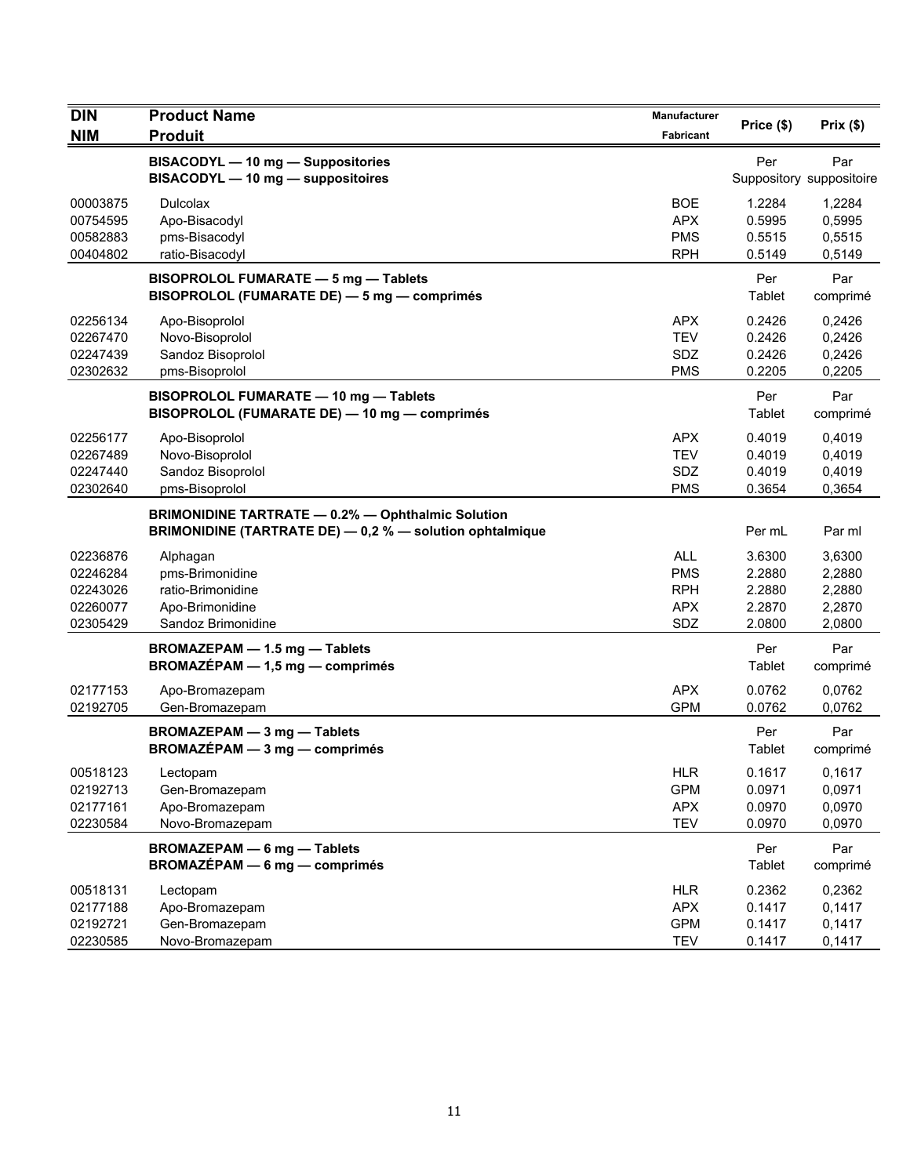| <b>DIN</b><br><b>NIM</b>                                 | <b>Product Name</b><br><b>Produit</b>                                                                                | Manufacturer<br>Fabricant                                   | Price (\$)                                     | Prix(\$)                                       |
|----------------------------------------------------------|----------------------------------------------------------------------------------------------------------------------|-------------------------------------------------------------|------------------------------------------------|------------------------------------------------|
|                                                          | BISACODYL - 10 mg - Suppositories<br>BISACODYL - 10 mg - suppositoires                                               |                                                             | Per                                            | Par<br>Suppository suppositoire                |
| 00003875<br>00754595<br>00582883<br>00404802             | <b>Dulcolax</b><br>Apo-Bisacodyl<br>pms-Bisacodyl<br>ratio-Bisacodyl                                                 | <b>BOE</b><br><b>APX</b><br><b>PMS</b><br><b>RPH</b>        | 1.2284<br>0.5995<br>0.5515<br>0.5149           | 1,2284<br>0,5995<br>0,5515<br>0,5149           |
|                                                          | BISOPROLOL FUMARATE - 5 mg - Tablets<br>BISOPROLOL (FUMARATE DE) - 5 mg - comprimés                                  |                                                             | Per<br>Tablet                                  | Par<br>comprimé                                |
| 02256134<br>02267470<br>02247439<br>02302632             | Apo-Bisoprolol<br>Novo-Bisoprolol<br>Sandoz Bisoprolol<br>pms-Bisoprolol                                             | <b>APX</b><br><b>TEV</b><br>SDZ<br><b>PMS</b>               | 0.2426<br>0.2426<br>0.2426<br>0.2205           | 0,2426<br>0,2426<br>0,2426<br>0,2205           |
|                                                          | BISOPROLOL FUMARATE - 10 mg - Tablets<br>BISOPROLOL (FUMARATE DE) - 10 mg - comprimés                                |                                                             | Per<br>Tablet                                  | Par<br>comprimé                                |
| 02256177<br>02267489<br>02247440<br>02302640             | Apo-Bisoprolol<br>Novo-Bisoprolol<br>Sandoz Bisoprolol<br>pms-Bisoprolol                                             | <b>APX</b><br><b>TEV</b><br><b>SDZ</b><br><b>PMS</b>        | 0.4019<br>0.4019<br>0.4019<br>0.3654           | 0.4019<br>0,4019<br>0,4019<br>0,3654           |
|                                                          | <b>BRIMONIDINE TARTRATE - 0.2% - Ophthalmic Solution</b><br>BRIMONIDINE (TARTRATE DE) - 0,2 % - solution ophtalmique |                                                             | Per mL                                         | Par ml                                         |
| 02236876<br>02246284<br>02243026<br>02260077<br>02305429 | Alphagan<br>pms-Brimonidine<br>ratio-Brimonidine<br>Apo-Brimonidine<br>Sandoz Brimonidine                            | <b>ALL</b><br><b>PMS</b><br><b>RPH</b><br><b>APX</b><br>SDZ | 3.6300<br>2.2880<br>2.2880<br>2.2870<br>2.0800 | 3,6300<br>2,2880<br>2,2880<br>2,2870<br>2,0800 |
|                                                          | BROMAZEPAM - 1.5 mg - Tablets<br>$BROMAZÉPAM - 1,5 mg - comprimés$                                                   |                                                             | Per<br>Tablet                                  | Par<br>comprimé                                |
| 02177153<br>02192705                                     | Apo-Bromazepam<br>Gen-Bromazepam                                                                                     | <b>APX</b><br><b>GPM</b>                                    | 0.0762<br>0.0762                               | 0,0762<br>0,0762                               |
|                                                          | <b>BROMAZEPAM - 3 mg - Tablets</b><br>BROMAZÉPAM - 3 mg - comprimés                                                  |                                                             | Per<br>Tablet                                  | Par<br>comprimé                                |
| 00518123<br>02192713<br>02177161<br>02230584             | Lectopam<br>Gen-Bromazepam<br>Apo-Bromazepam<br>Novo-Bromazepam                                                      | HLR<br><b>GPM</b><br><b>APX</b><br><b>TEV</b>               | 0.1617<br>0.0971<br>0.0970<br>0.0970           | 0,1617<br>0,0971<br>0,0970<br>0,0970           |
|                                                          | <b>BROMAZEPAM - 6 mg - Tablets</b><br><b>BROMAZÉPAM - 6 mg - comprimés</b>                                           |                                                             | Per<br>Tablet                                  | Par<br>comprimé                                |
| 00518131<br>02177188<br>02192721<br>02230585             | Lectopam<br>Apo-Bromazepam<br>Gen-Bromazepam<br>Novo-Bromazepam                                                      | <b>HLR</b><br><b>APX</b><br><b>GPM</b><br><b>TEV</b>        | 0.2362<br>0.1417<br>0.1417<br>0.1417           | 0,2362<br>0,1417<br>0,1417<br>0,1417           |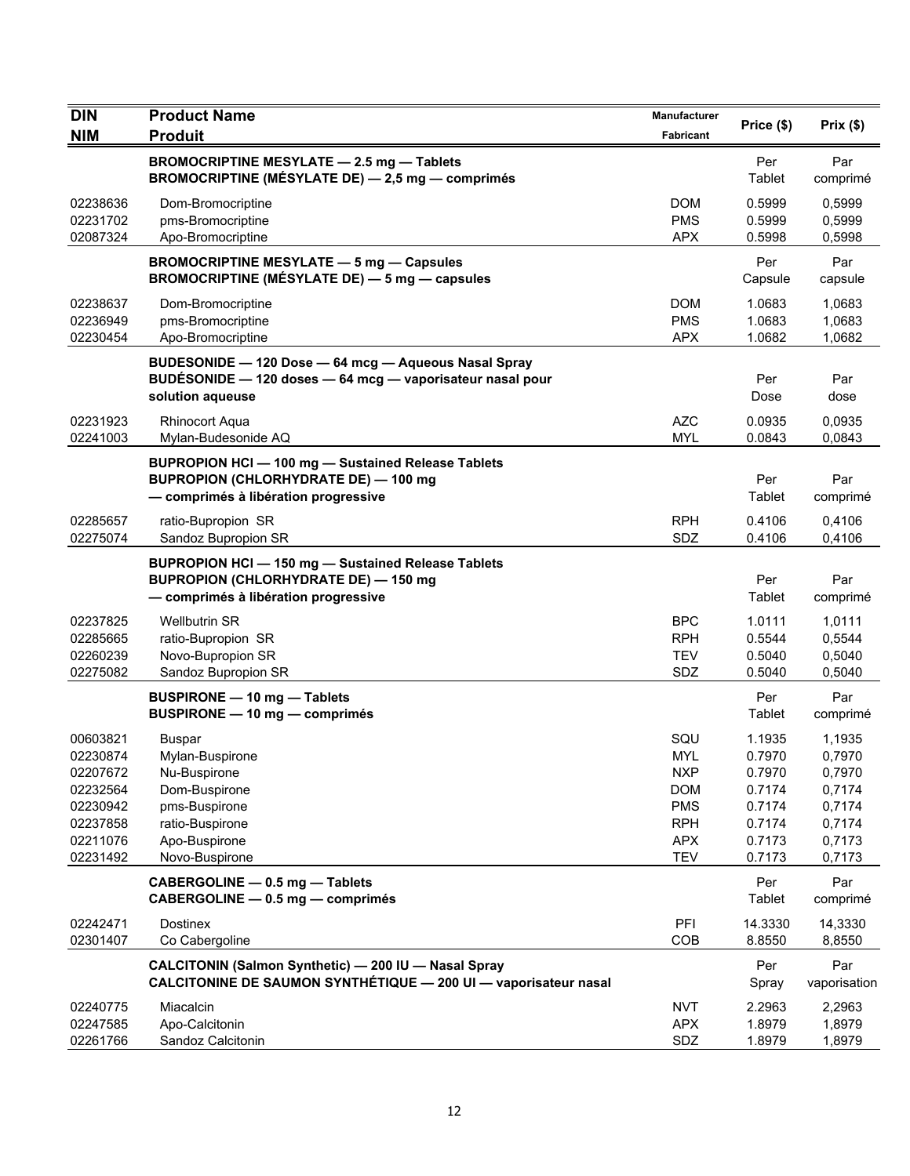| <b>DIN</b>                                   | <b>Product Name</b>                                                                                                                              | <b>Manufacturer</b>                    | Price (\$)                           | Prix(\$)                             |
|----------------------------------------------|--------------------------------------------------------------------------------------------------------------------------------------------------|----------------------------------------|--------------------------------------|--------------------------------------|
| <b>NIM</b>                                   | <b>Produit</b>                                                                                                                                   | Fabricant                              |                                      |                                      |
|                                              | <b>BROMOCRIPTINE MESYLATE - 2.5 mg - Tablets</b><br>BROMOCRIPTINE (MÉSYLATE DE) - 2,5 mg - comprimés                                             |                                        | Per<br>Tablet                        | Par<br>comprimé                      |
| 02238636<br>02231702                         | Dom-Bromocriptine<br>pms-Bromocriptine                                                                                                           | <b>DOM</b><br><b>PMS</b>               | 0.5999<br>0.5999                     | 0,5999<br>0,5999                     |
| 02087324                                     | Apo-Bromocriptine                                                                                                                                | <b>APX</b>                             | 0.5998                               | 0,5998                               |
|                                              | <b>BROMOCRIPTINE MESYLATE - 5 mg - Capsules</b><br><b>BROMOCRIPTINE (MÉSYLATE DE) — 5 mg — capsules</b>                                          |                                        | Per<br>Capsule                       | Par<br>capsule                       |
| 02238637<br>02236949<br>02230454             | Dom-Bromocriptine<br>pms-Bromocriptine<br>Apo-Bromocriptine                                                                                      | <b>DOM</b><br><b>PMS</b><br><b>APX</b> | 1.0683<br>1.0683<br>1.0682           | 1,0683<br>1,0683<br>1,0682           |
|                                              | BUDESONIDE - 120 Dose - 64 mcg - Aqueous Nasal Spray<br>BUDÉSONIDE - 120 doses - 64 mcg - vaporisateur nasal pour<br>solution aqueuse            |                                        | Per<br>Dose                          | Par<br>dose                          |
| 02231923<br>02241003                         | <b>Rhinocort Aqua</b><br>Mylan-Budesonide AQ                                                                                                     | <b>AZC</b><br><b>MYL</b>               | 0.0935<br>0.0843                     | 0,0935<br>0,0843                     |
|                                              | BUPROPION HCI - 100 mg - Sustained Release Tablets<br><b>BUPROPION (CHLORHYDRATE DE) - 100 mg</b><br>- comprimés à libération progressive        |                                        | Per<br>Tablet                        | Par<br>comprimé                      |
| 02285657<br>02275074                         | ratio-Bupropion SR<br>Sandoz Bupropion SR                                                                                                        | <b>RPH</b><br>SDZ                      | 0.4106<br>0.4106                     | 0,4106<br>0,4106                     |
|                                              | <b>BUPROPION HCI - 150 mg - Sustained Release Tablets</b><br><b>BUPROPION (CHLORHYDRATE DE) - 150 mg</b><br>- comprimés à libération progressive |                                        | Per<br>Tablet                        | Par<br>comprimé                      |
| 02237825<br>02285665<br>02260239<br>02275082 | <b>Wellbutrin SR</b><br>ratio-Bupropion SR<br>Novo-Bupropion SR<br>Sandoz Bupropion SR                                                           | BPC<br><b>RPH</b><br><b>TEV</b><br>SDZ | 1.0111<br>0.5544<br>0.5040<br>0.5040 | 1,0111<br>0,5544<br>0,5040<br>0,5040 |
|                                              | <b>BUSPIRONE - 10 mg - Tablets</b><br>BUSPIRONE - 10 mg - comprimés                                                                              |                                        | Per<br>Tablet                        | Par<br>comprimé                      |
| 00603821<br>02230874<br>02207672             | <b>Buspar</b><br>Mylan-Buspirone<br>Nu-Buspirone                                                                                                 | SQU<br><b>MYL</b><br><b>NXP</b>        | 1.1935<br>0.7970<br>0.7970           | 1,1935<br>0,7970<br>0,7970           |
| 02232564<br>02230942                         | Dom-Buspirone<br>pms-Buspirone                                                                                                                   | <b>DOM</b><br><b>PMS</b>               | 0.7174<br>0.7174                     | 0,7174<br>0,7174                     |
| 02237858<br>02211076<br>02231492             | ratio-Buspirone<br>Apo-Buspirone<br>Novo-Buspirone                                                                                               | <b>RPH</b><br><b>APX</b><br><b>TEV</b> | 0.7174<br>0.7173<br>0.7173           | 0,7174<br>0,7173<br>0,7173           |
|                                              | CABERGOLINE - 0.5 mg - Tablets<br>CABERGOLINE - 0.5 mg - comprimés                                                                               |                                        | Per<br>Tablet                        | Par<br>comprimé                      |
| 02242471<br>02301407                         | <b>Dostinex</b><br>Co Cabergoline                                                                                                                | PFI<br>COB                             | 14.3330<br>8.8550                    | 14,3330<br>8,8550                    |
|                                              | CALCITONIN (Salmon Synthetic) - 200 IU - Nasal Spray<br>CALCITONINE DE SAUMON SYNTHÉTIQUE - 200 UI - vaporisateur nasal                          |                                        | Per<br>Spray                         | Par<br>vaporisation                  |
| 02240775                                     | Miacalcin                                                                                                                                        | <b>NVT</b>                             | 2.2963                               | 2,2963                               |
| 02247585<br>02261766                         | Apo-Calcitonin<br>Sandoz Calcitonin                                                                                                              | <b>APX</b><br>SDZ                      | 1.8979<br>1.8979                     | 1,8979<br>1,8979                     |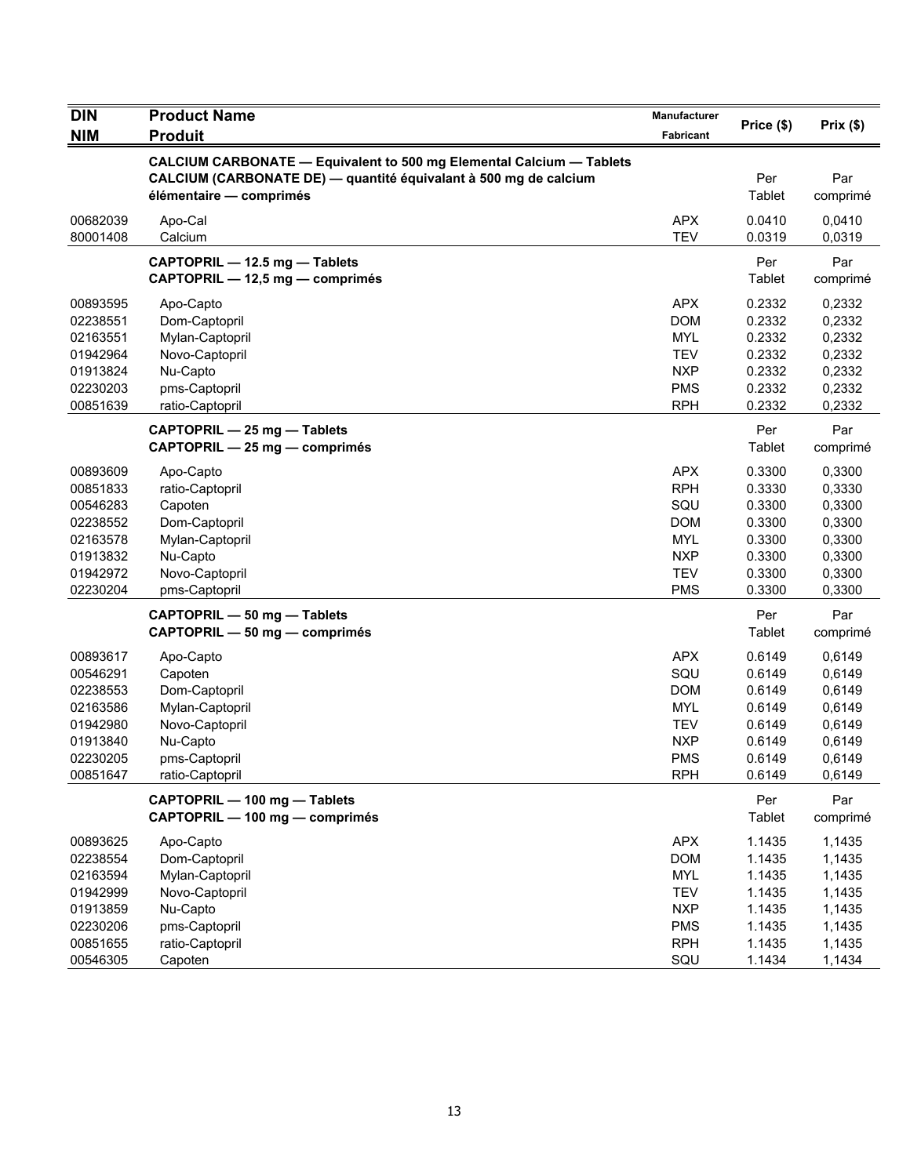| <b>DIN</b>                                                                                   | <b>Product Name</b>                                                                                                                                                 | Manufacturer                                                                                          | Price (\$)                                                                   | Prix(\$)                                                                     |
|----------------------------------------------------------------------------------------------|---------------------------------------------------------------------------------------------------------------------------------------------------------------------|-------------------------------------------------------------------------------------------------------|------------------------------------------------------------------------------|------------------------------------------------------------------------------|
| <b>NIM</b>                                                                                   | <b>Produit</b>                                                                                                                                                      | Fabricant                                                                                             |                                                                              |                                                                              |
|                                                                                              | CALCIUM CARBONATE - Equivalent to 500 mg Elemental Calcium - Tablets<br>CALCIUM (CARBONATE DE) — quantité équivalant à 500 mg de calcium<br>élémentaire - comprimés |                                                                                                       | Per<br>Tablet                                                                | Par<br>comprimé                                                              |
| 00682039<br>80001408                                                                         | Apo-Cal<br>Calcium                                                                                                                                                  | <b>APX</b><br><b>TEV</b>                                                                              | 0.0410<br>0.0319                                                             | 0,0410<br>0,0319                                                             |
|                                                                                              | CAPTOPRIL - 12.5 mg - Tablets<br>CAPTOPRIL - 12,5 mg - comprimés                                                                                                    |                                                                                                       | Per<br>Tablet                                                                | Par<br>comprimé                                                              |
| 00893595<br>02238551<br>02163551<br>01942964<br>01913824<br>02230203<br>00851639             | Apo-Capto<br>Dom-Captopril<br>Mylan-Captopril<br>Novo-Captopril<br>Nu-Capto<br>pms-Captopril<br>ratio-Captopril                                                     | <b>APX</b><br><b>DOM</b><br><b>MYL</b><br><b>TEV</b><br><b>NXP</b><br><b>PMS</b><br><b>RPH</b>        | 0.2332<br>0.2332<br>0.2332<br>0.2332<br>0.2332<br>0.2332<br>0.2332           | 0,2332<br>0,2332<br>0,2332<br>0,2332<br>0,2332<br>0,2332<br>0,2332           |
|                                                                                              | CAPTOPRIL - 25 mg - Tablets<br>CAPTOPRIL - 25 mg - comprimés                                                                                                        |                                                                                                       | Per<br>Tablet                                                                | Par<br>comprimé                                                              |
| 00893609<br>00851833<br>00546283<br>02238552<br>02163578<br>01913832<br>01942972<br>02230204 | Apo-Capto<br>ratio-Captopril<br>Capoten<br>Dom-Captopril<br>Mylan-Captopril<br>Nu-Capto<br>Novo-Captopril<br>pms-Captopril                                          | <b>APX</b><br><b>RPH</b><br>SQU<br><b>DOM</b><br><b>MYL</b><br><b>NXP</b><br><b>TEV</b><br><b>PMS</b> | 0.3300<br>0.3330<br>0.3300<br>0.3300<br>0.3300<br>0.3300<br>0.3300<br>0.3300 | 0,3300<br>0,3330<br>0,3300<br>0,3300<br>0,3300<br>0,3300<br>0,3300<br>0,3300 |
|                                                                                              | CAPTOPRIL - 50 mg - Tablets<br>CAPTOPRIL - 50 mg - comprimés                                                                                                        |                                                                                                       | Per<br>Tablet                                                                | Par<br>comprimé                                                              |
| 00893617<br>00546291<br>02238553<br>02163586<br>01942980<br>01913840<br>02230205<br>00851647 | Apo-Capto<br>Capoten<br>Dom-Captopril<br>Mylan-Captopril<br>Novo-Captopril<br>Nu-Capto<br>pms-Captopril<br>ratio-Captopril                                          | <b>APX</b><br>SQU<br><b>DOM</b><br><b>MYL</b><br><b>TEV</b><br><b>NXP</b><br><b>PMS</b><br><b>RPH</b> | 0.6149<br>0.6149<br>0.6149<br>0.6149<br>0.6149<br>0.6149<br>0.6149<br>0.6149 | 0,6149<br>0,6149<br>0,6149<br>0,6149<br>0,6149<br>0,6149<br>0,6149<br>0,6149 |
|                                                                                              | CAPTOPRIL - 100 mg - Tablets<br>CAPTOPRIL - 100 mg - comprimés                                                                                                      |                                                                                                       | Per<br>Tablet                                                                | Par<br>comprimé                                                              |
| 00893625<br>02238554<br>02163594<br>01942999<br>01913859<br>02230206                         | Apo-Capto<br>Dom-Captopril<br>Mylan-Captopril<br>Novo-Captopril<br>Nu-Capto<br>pms-Captopril                                                                        | <b>APX</b><br><b>DOM</b><br><b>MYL</b><br><b>TEV</b><br><b>NXP</b><br><b>PMS</b>                      | 1.1435<br>1.1435<br>1.1435<br>1.1435<br>1.1435<br>1.1435                     | 1,1435<br>1,1435<br>1,1435<br>1,1435<br>1,1435<br>1,1435                     |
| 00851655<br>00546305                                                                         | ratio-Captopril<br>Capoten                                                                                                                                          | <b>RPH</b><br>SQU                                                                                     | 1.1435<br>1.1434                                                             | 1,1435<br>1,1434                                                             |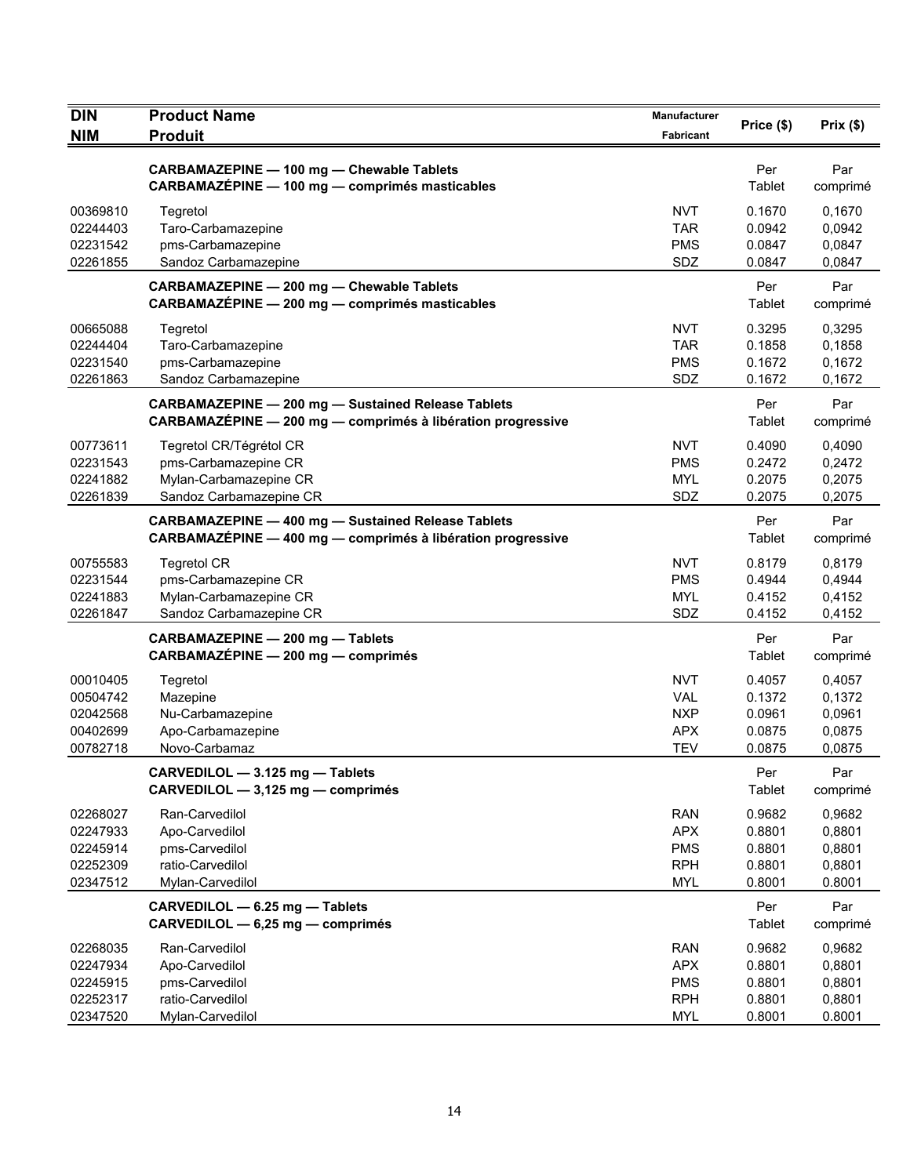| <b>DIN</b><br><b>NIM</b>                                 | <b>Product Name</b><br><b>Produit</b>                                                                                    | Manufacturer<br>Fabricant                                          | Price (\$)                                     | Prix(\$)                                       |
|----------------------------------------------------------|--------------------------------------------------------------------------------------------------------------------------|--------------------------------------------------------------------|------------------------------------------------|------------------------------------------------|
|                                                          | <b>CARBAMAZEPINE - 100 mg - Chewable Tablets</b><br>CARBAMAZÉPINE - 100 mg - comprimés masticables                       |                                                                    | Per<br>Tablet                                  | Par<br>comprimé                                |
| 00369810<br>02244403<br>02231542<br>02261855             | Tegretol<br>Taro-Carbamazepine<br>pms-Carbamazepine<br>Sandoz Carbamazepine                                              | <b>NVT</b><br><b>TAR</b><br><b>PMS</b><br>SDZ                      | 0.1670<br>0.0942<br>0.0847<br>0.0847           | 0,1670<br>0,0942<br>0,0847<br>0,0847           |
|                                                          | CARBAMAZEPINE - 200 mg - Chewable Tablets<br>CARBAMAZÉPINE - 200 mg - comprimés masticables                              |                                                                    | Per<br>Tablet                                  | Par<br>comprimé                                |
| 00665088<br>02244404<br>02231540<br>02261863             | Tegretol<br>Taro-Carbamazepine<br>pms-Carbamazepine<br>Sandoz Carbamazepine                                              | <b>NVT</b><br>TAR.<br><b>PMS</b><br>SDZ                            | 0.3295<br>0.1858<br>0.1672<br>0.1672           | 0,3295<br>0,1858<br>0,1672<br>0,1672           |
|                                                          | <b>CARBAMAZEPINE - 200 mg - Sustained Release Tablets</b><br>CARBAMAZÉPINE - 200 mg - comprimés à libération progressive |                                                                    | Per<br>Tablet                                  | Par<br>comprimé                                |
| 00773611<br>02231543<br>02241882<br>02261839             | Tegretol CR/Tégrétol CR<br>pms-Carbamazepine CR<br>Mylan-Carbamazepine CR<br>Sandoz Carbamazepine CR                     | <b>NVT</b><br><b>PMS</b><br><b>MYL</b><br><b>SDZ</b>               | 0.4090<br>0.2472<br>0.2075<br>0.2075           | 0,4090<br>0,2472<br>0,2075<br>0,2075           |
|                                                          | <b>CARBAMAZEPINE - 400 mg - Sustained Release Tablets</b><br>CARBAMAZÉPINE - 400 mg - comprimés à libération progressive |                                                                    | Per<br>Tablet                                  | Par<br>comprimé                                |
| 00755583<br>02231544<br>02241883<br>02261847             | <b>Tegretol CR</b><br>pms-Carbamazepine CR<br>Mylan-Carbamazepine CR<br>Sandoz Carbamazepine CR                          | <b>NVT</b><br><b>PMS</b><br><b>MYL</b><br><b>SDZ</b>               | 0.8179<br>0.4944<br>0.4152<br>0.4152           | 0,8179<br>0,4944<br>0,4152<br>0,4152           |
|                                                          | CARBAMAZEPINE - 200 mg - Tablets<br>CARBAMAZÉPINE - 200 mg - comprimés                                                   |                                                                    | Per<br>Tablet                                  | Par<br>comprimé                                |
| 00010405<br>00504742<br>02042568<br>00402699<br>00782718 | Tegretol<br>Mazepine<br>Nu-Carbamazepine<br>Apo-Carbamazepine<br>Novo-Carbamaz                                           | <b>NVT</b><br><b>VAL</b><br><b>NXP</b><br><b>APX</b><br><b>TEV</b> | 0.4057<br>0.1372<br>0.0961<br>0.0875<br>0.0875 | 0,4057<br>0,1372<br>0,0961<br>0,0875<br>0,0875 |
|                                                          | CARVEDILOL - 3.125 mg - Tablets<br>CARVEDILOL - 3,125 mg - comprimés                                                     |                                                                    | Per<br><b>Tablet</b>                           | Par<br>comprimé                                |
| 02268027<br>02247933<br>02245914<br>02252309<br>02347512 | Ran-Carvedilol<br>Apo-Carvedilol<br>pms-Carvedilol<br>ratio-Carvedilol<br>Mylan-Carvedilol                               | <b>RAN</b><br><b>APX</b><br><b>PMS</b><br><b>RPH</b><br><b>MYL</b> | 0.9682<br>0.8801<br>0.8801<br>0.8801<br>0.8001 | 0,9682<br>0,8801<br>0,8801<br>0,8801<br>0.8001 |
|                                                          | CARVEDILOL - 6.25 mg - Tablets<br>CARVEDILOL - 6,25 mg - comprimés                                                       |                                                                    | Per<br>Tablet                                  | Par<br>comprimé                                |
| 02268035<br>02247934<br>02245915<br>02252317<br>02347520 | Ran-Carvedilol<br>Apo-Carvedilol<br>pms-Carvedilol<br>ratio-Carvedilol<br>Mylan-Carvedilol                               | <b>RAN</b><br><b>APX</b><br><b>PMS</b><br><b>RPH</b><br>MYL        | 0.9682<br>0.8801<br>0.8801<br>0.8801<br>0.8001 | 0,9682<br>0,8801<br>0,8801<br>0,8801<br>0.8001 |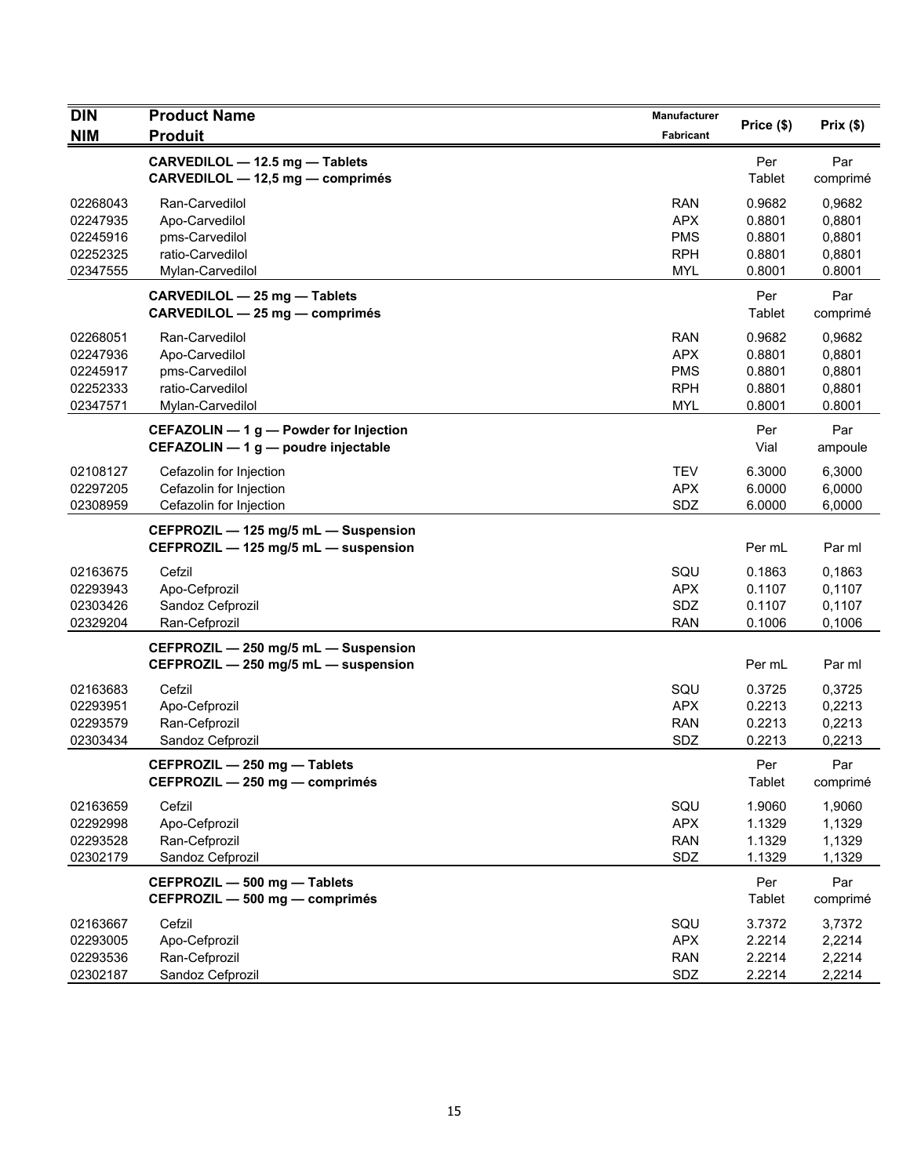| <b>DIN</b>           | <b>Product Name</b>                                                          | Manufacturer             | Price (\$)       | Prix(\$)         |
|----------------------|------------------------------------------------------------------------------|--------------------------|------------------|------------------|
| <b>NIM</b>           | <b>Produit</b>                                                               | Fabricant                |                  |                  |
|                      | CARVEDILOL - 12.5 mg - Tablets<br>CARVEDILOL - 12,5 mg - comprimés           |                          | Per<br>Tablet    | Par              |
|                      |                                                                              |                          |                  | comprimé         |
| 02268043             | Ran-Carvedilol                                                               | <b>RAN</b>               | 0.9682           | 0,9682           |
| 02247935             | Apo-Carvedilol                                                               | <b>APX</b>               | 0.8801           | 0,8801           |
| 02245916<br>02252325 | pms-Carvedilol<br>ratio-Carvedilol                                           | <b>PMS</b><br><b>RPH</b> | 0.8801<br>0.8801 | 0,8801<br>0,8801 |
| 02347555             | Mylan-Carvedilol                                                             | <b>MYL</b>               | 0.8001           | 0.8001           |
|                      | CARVEDILOL - 25 mg - Tablets<br>CARVEDILOL - 25 mg - comprimés               |                          | Per<br>Tablet    | Par<br>comprimé  |
| 02268051             | Ran-Carvedilol                                                               | <b>RAN</b>               | 0.9682           | 0,9682           |
| 02247936             | Apo-Carvedilol                                                               | <b>APX</b>               | 0.8801           | 0,8801           |
| 02245917             | pms-Carvedilol                                                               | <b>PMS</b>               | 0.8801           | 0,8801           |
| 02252333             | ratio-Carvedilol                                                             | <b>RPH</b>               | 0.8801           | 0,8801           |
| 02347571             | Mylan-Carvedilol                                                             | <b>MYL</b>               | 0.8001           | 0.8001           |
|                      | CEFAZOLIN - 1 g - Powder for Injection                                       |                          | Per              | Par              |
|                      | CEFAZOLIN - 1 g - poudre injectable                                          |                          | Vial             | ampoule          |
| 02108127             | Cefazolin for Injection                                                      | <b>TEV</b>               | 6.3000           | 6,3000           |
| 02297205             | Cefazolin for Injection                                                      | <b>APX</b>               | 6.0000           | 6,0000           |
| 02308959             | Cefazolin for Injection                                                      | SDZ                      | 6.0000           | 6,0000           |
|                      | CEFPROZIL - 125 mg/5 mL - Suspension<br>CEFPROZIL - 125 mg/5 mL - suspension |                          | Per mL           | Par ml           |
| 02163675             | Cefzil                                                                       | SQU                      | 0.1863           | 0,1863           |
| 02293943             | Apo-Cefprozil                                                                | <b>APX</b>               | 0.1107           | 0,1107           |
| 02303426             | Sandoz Cefprozil                                                             | SDZ                      | 0.1107           | 0,1107           |
| 02329204             | Ran-Cefprozil                                                                | <b>RAN</b>               | 0.1006           | 0,1006           |
|                      | CEFPROZIL - 250 mg/5 mL - Suspension<br>CEFPROZIL - 250 mg/5 mL - suspension |                          | Per mL           | Par ml           |
| 02163683             | Cefzil                                                                       | SQU                      | 0.3725           | 0,3725           |
| 02293951             | Apo-Cefprozil                                                                | <b>APX</b>               | 0.2213           | 0,2213           |
| 02293579             | Ran-Cefprozil                                                                | <b>RAN</b>               | 0.2213           | 0,2213           |
| 02303434             | Sandoz Cefprozil                                                             | SDZ                      | 0.2213           | 0,2213           |
|                      | CEFPROZIL - 250 mg - Tablets<br>CEFPROZIL - 250 mg - comprimés               |                          | Per<br>Tablet    | Par<br>comprimé  |
| 02163659             | Cefzil                                                                       | SQU                      | 1.9060           | 1,9060           |
| 02292998             | Apo-Cefprozil                                                                | <b>APX</b>               | 1.1329           | 1,1329           |
| 02293528             | Ran-Cefprozil                                                                | <b>RAN</b>               | 1.1329           | 1,1329           |
| 02302179             | Sandoz Cefprozil                                                             | SDZ                      | 1.1329           | 1,1329           |
|                      | CEFPROZIL - 500 mg - Tablets<br>CEFPROZIL - 500 mg - comprimés               |                          | Per<br>Tablet    | Par<br>comprimé  |
| 02163667             | Cefzil                                                                       | SQU                      | 3.7372           | 3,7372           |
| 02293005             | Apo-Cefprozil                                                                | <b>APX</b>               | 2.2214           | 2,2214           |
| 02293536             | Ran-Cefprozil                                                                | <b>RAN</b>               | 2.2214           | 2,2214           |
| 02302187             | Sandoz Cefprozil                                                             | SDZ                      | 2.2214           | 2,2214           |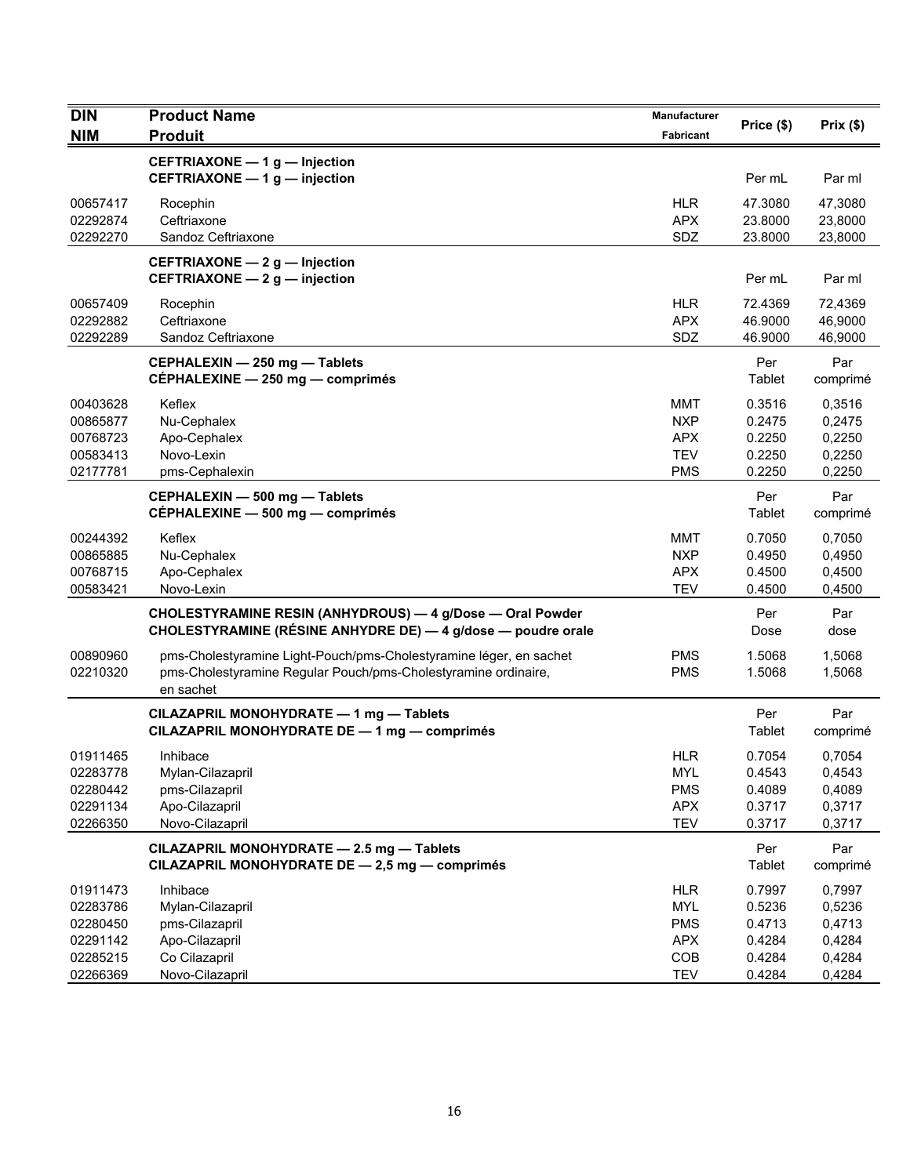| <b>DIN</b>                                               | <b>Product Name</b>                                                                                                                               | Manufacturer                                                       | Price (\$)                                     | Prix(\$)                                       |
|----------------------------------------------------------|---------------------------------------------------------------------------------------------------------------------------------------------------|--------------------------------------------------------------------|------------------------------------------------|------------------------------------------------|
| <b>NIM</b>                                               | <b>Produit</b>                                                                                                                                    | <b>Fabricant</b>                                                   |                                                |                                                |
|                                                          | CEFTRIAXONE - 1 g - Injection<br>CEFTRIAXONE - 1 g - injection                                                                                    |                                                                    | Per mL                                         | Par ml                                         |
| 00657417<br>02292874<br>02292270                         | Rocephin<br>Ceftriaxone<br>Sandoz Ceftriaxone                                                                                                     | <b>HLR</b><br><b>APX</b><br>SDZ                                    | 47.3080<br>23.8000<br>23.8000                  | 47,3080<br>23,8000<br>23,8000                  |
|                                                          | CEFTRIAXONE - 2 g - Injection<br>CEFTRIAXONE - 2 g - injection                                                                                    |                                                                    | Per mL                                         | Par ml                                         |
| 00657409<br>02292882<br>02292289                         | Rocephin<br>Ceftriaxone<br>Sandoz Ceftriaxone                                                                                                     | <b>HLR</b><br><b>APX</b><br>SDZ                                    | 72.4369<br>46.9000<br>46.9000                  | 72,4369<br>46,9000<br>46,9000                  |
|                                                          | CEPHALEXIN - 250 mg - Tablets<br>CEPHALEXINE - 250 mg - comprimés                                                                                 |                                                                    | Per<br>Tablet                                  | Par<br>comprimé                                |
| 00403628<br>00865877<br>00768723<br>00583413<br>02177781 | Keflex<br>Nu-Cephalex<br>Apo-Cephalex<br>Novo-Lexin<br>pms-Cephalexin                                                                             | MMT<br><b>NXP</b><br><b>APX</b><br><b>TEV</b><br><b>PMS</b>        | 0.3516<br>0.2475<br>0.2250<br>0.2250<br>0.2250 | 0,3516<br>0,2475<br>0,2250<br>0,2250<br>0,2250 |
|                                                          | CEPHALEXIN - 500 mg - Tablets<br>CÉPHALEXINE - 500 mg - comprimés                                                                                 |                                                                    | Per<br>Tablet                                  | Par<br>comprimé                                |
| 00244392<br>00865885<br>00768715<br>00583421             | Keflex<br>Nu-Cephalex<br>Apo-Cephalex<br>Novo-Lexin                                                                                               | <b>MMT</b><br><b>NXP</b><br><b>APX</b><br><b>TEV</b>               | 0.7050<br>0.4950<br>0.4500<br>0.4500           | 0,7050<br>0,4950<br>0,4500<br>0,4500           |
|                                                          | CHOLESTYRAMINE RESIN (ANHYDROUS) - 4 g/Dose - Oral Powder<br>CHOLESTYRAMINE (RÉSINE ANHYDRE DE) - 4 g/dose - poudre orale                         |                                                                    | Per<br>Dose                                    | Par<br>dose                                    |
| 00890960<br>02210320                                     | pms-Cholestyramine Light-Pouch/pms-Cholestyramine léger, en sachet<br>pms-Cholestyramine Regular Pouch/pms-Cholestyramine ordinaire,<br>en sachet | <b>PMS</b><br><b>PMS</b>                                           | 1.5068<br>1.5068                               | 1,5068<br>1,5068                               |
|                                                          | CILAZAPRIL MONOHYDRATE - 1 mg - Tablets<br>CILAZAPRIL MONOHYDRATE DE - 1 mg - comprimés                                                           |                                                                    | Per<br>Tablet                                  | Par<br>comprimé                                |
| 01911465<br>02283778<br>02280442<br>02291134<br>02266350 | Inhibace<br>Mylan-Cilazapril<br>pms-Cilazapril<br>Apo-Cilazapril<br>Novo-Cilazapril                                                               | <b>HLR</b><br><b>MYL</b><br><b>PMS</b><br><b>APX</b><br><b>TEV</b> | 0.7054<br>0.4543<br>0.4089<br>0.3717<br>0.3717 | 0,7054<br>0,4543<br>0,4089<br>0,3717<br>0,3717 |
|                                                          | CILAZAPRIL MONOHYDRATE - 2.5 mg - Tablets<br>CILAZAPRIL MONOHYDRATE DE - 2,5 mg - comprimés                                                       |                                                                    | Per<br>Tablet                                  | Par<br>comprimé                                |
| 01911473<br>02283786<br>02280450<br>02291142<br>02285215 | Inhibace<br>Mylan-Cilazapril<br>pms-Cilazapril<br>Apo-Cilazapril<br>Co Cilazapril                                                                 | <b>HLR</b><br><b>MYL</b><br><b>PMS</b><br><b>APX</b><br>COB        | 0.7997<br>0.5236<br>0.4713<br>0.4284<br>0.4284 | 0,7997<br>0,5236<br>0,4713<br>0,4284<br>0,4284 |
| 02266369                                                 | Novo-Cilazapril                                                                                                                                   | <b>TEV</b>                                                         | 0.4284                                         | 0,4284                                         |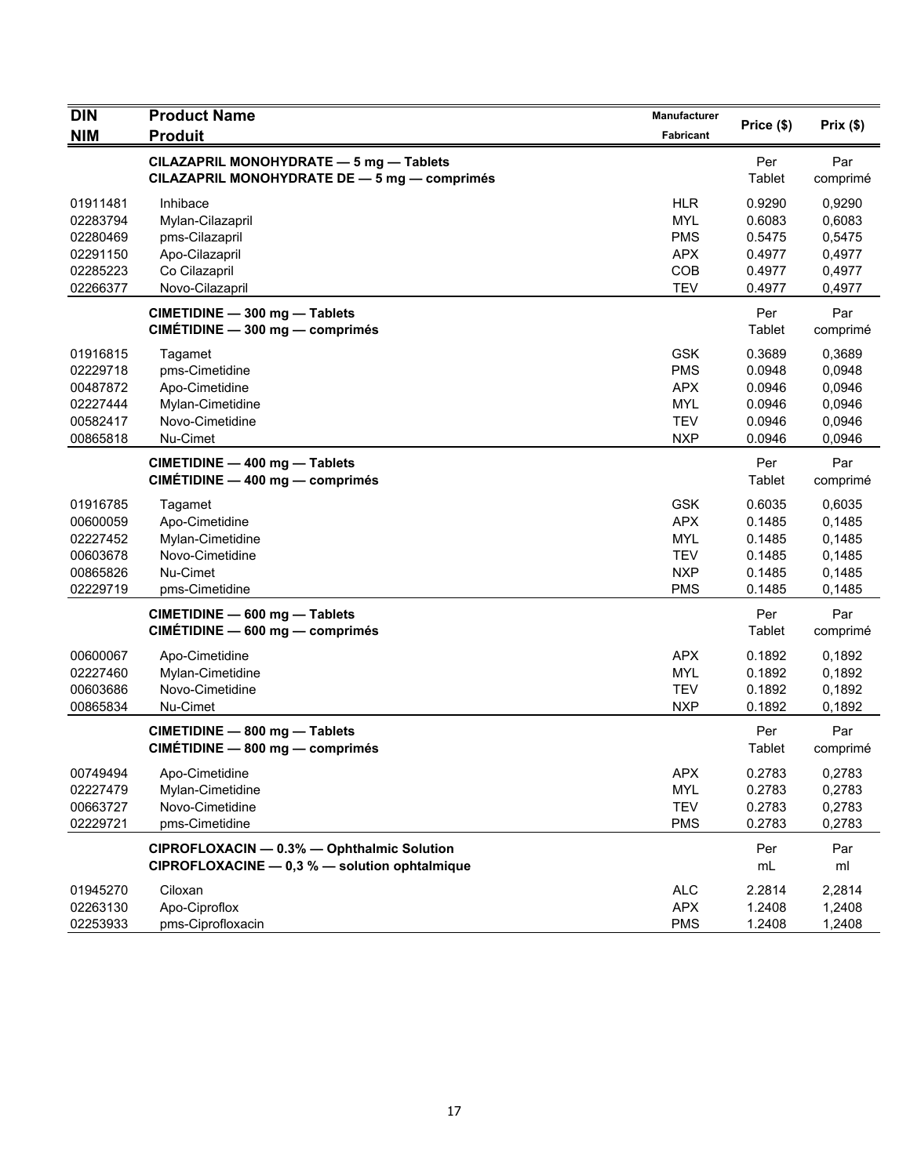| <b>DIN</b>                                                           | <b>Product Name</b>                                                                            | Manufacturer                                                                     | Price (\$)                                               | Prix(\$)                                                 |
|----------------------------------------------------------------------|------------------------------------------------------------------------------------------------|----------------------------------------------------------------------------------|----------------------------------------------------------|----------------------------------------------------------|
| <b>NIM</b>                                                           | <b>Produit</b>                                                                                 | Fabricant                                                                        |                                                          |                                                          |
|                                                                      | CILAZAPRIL MONOHYDRATE - 5 mg - Tablets<br>CILAZAPRIL MONOHYDRATE DE - 5 mg - comprimés        |                                                                                  | Per<br>Tablet                                            | Par<br>comprimé                                          |
| 01911481<br>02283794<br>02280469<br>02291150<br>02285223             | Inhibace<br>Mylan-Cilazapril<br>pms-Cilazapril<br>Apo-Cilazapril<br>Co Cilazapril              | <b>HLR</b><br><b>MYL</b><br><b>PMS</b><br><b>APX</b><br>COB                      | 0.9290<br>0.6083<br>0.5475<br>0.4977<br>0.4977           | 0,9290<br>0,6083<br>0,5475<br>0,4977<br>0,4977           |
| 02266377                                                             | Novo-Cilazapril                                                                                | <b>TEV</b>                                                                       | 0.4977                                                   | 0,4977                                                   |
|                                                                      | CIMETIDINE - 300 mg - Tablets<br>CIMÉTIDINE - 300 mg - comprimés                               |                                                                                  | Per<br>Tablet                                            | Par<br>comprimé                                          |
| 01916815<br>02229718<br>00487872<br>02227444<br>00582417<br>00865818 | Tagamet<br>pms-Cimetidine<br>Apo-Cimetidine<br>Mylan-Cimetidine<br>Novo-Cimetidine<br>Nu-Cimet | <b>GSK</b><br><b>PMS</b><br><b>APX</b><br><b>MYL</b><br><b>TEV</b><br><b>NXP</b> | 0.3689<br>0.0948<br>0.0946<br>0.0946<br>0.0946<br>0.0946 | 0,3689<br>0,0948<br>0,0946<br>0,0946<br>0,0946<br>0,0946 |
|                                                                      | CIMETIDINE - 400 mg - Tablets<br>CIMÉTIDINE - 400 mg - comprimés                               |                                                                                  | Per<br>Tablet                                            | Par<br>comprimé                                          |
| 01916785<br>00600059<br>02227452<br>00603678<br>00865826<br>02229719 | Tagamet<br>Apo-Cimetidine<br>Mylan-Cimetidine<br>Novo-Cimetidine<br>Nu-Cimet<br>pms-Cimetidine | <b>GSK</b><br><b>APX</b><br><b>MYL</b><br><b>TEV</b><br><b>NXP</b><br><b>PMS</b> | 0.6035<br>0.1485<br>0.1485<br>0.1485<br>0.1485<br>0.1485 | 0,6035<br>0,1485<br>0,1485<br>0,1485<br>0,1485<br>0,1485 |
|                                                                      | CIMETIDINE - 600 mg - Tablets<br>CIMÉTIDINE - 600 mg - comprimés                               |                                                                                  | Per<br>Tablet                                            | Par<br>comprimé                                          |
| 00600067<br>02227460<br>00603686<br>00865834                         | Apo-Cimetidine<br>Mylan-Cimetidine<br>Novo-Cimetidine<br>Nu-Cimet                              | <b>APX</b><br><b>MYL</b><br><b>TEV</b><br><b>NXP</b>                             | 0.1892<br>0.1892<br>0.1892<br>0.1892                     | 0,1892<br>0,1892<br>0,1892<br>0,1892                     |
|                                                                      | CIMETIDINE - 800 mg - Tablets<br>CIMÉTIDINE - 800 mg - comprimés                               |                                                                                  | Per<br>Tablet                                            | Par<br>comprimé                                          |
| 00749494<br>02227479<br>00663727<br>02229721                         | Apo-Cimetidine<br>Mylan-Cimetidine<br>Novo-Cimetidine<br>pms-Cimetidine                        | <b>APX</b><br><b>MYL</b><br><b>TEV</b><br><b>PMS</b>                             | 0.2783<br>0.2783<br>0.2783<br>0.2783                     | 0,2783<br>0,2783<br>0,2783<br>0,2783                     |
|                                                                      | CIPROFLOXACIN - 0.3% - Ophthalmic Solution<br>CIPROFLOXACINE - 0,3 % - solution ophtalmique    |                                                                                  | Per<br>mL                                                | Par<br>ml                                                |
| 01945270<br>02263130<br>02253933                                     | Ciloxan<br>Apo-Ciproflox<br>pms-Ciprofloxacin                                                  | <b>ALC</b><br><b>APX</b><br><b>PMS</b>                                           | 2.2814<br>1.2408<br>1.2408                               | 2,2814<br>1,2408<br>1,2408                               |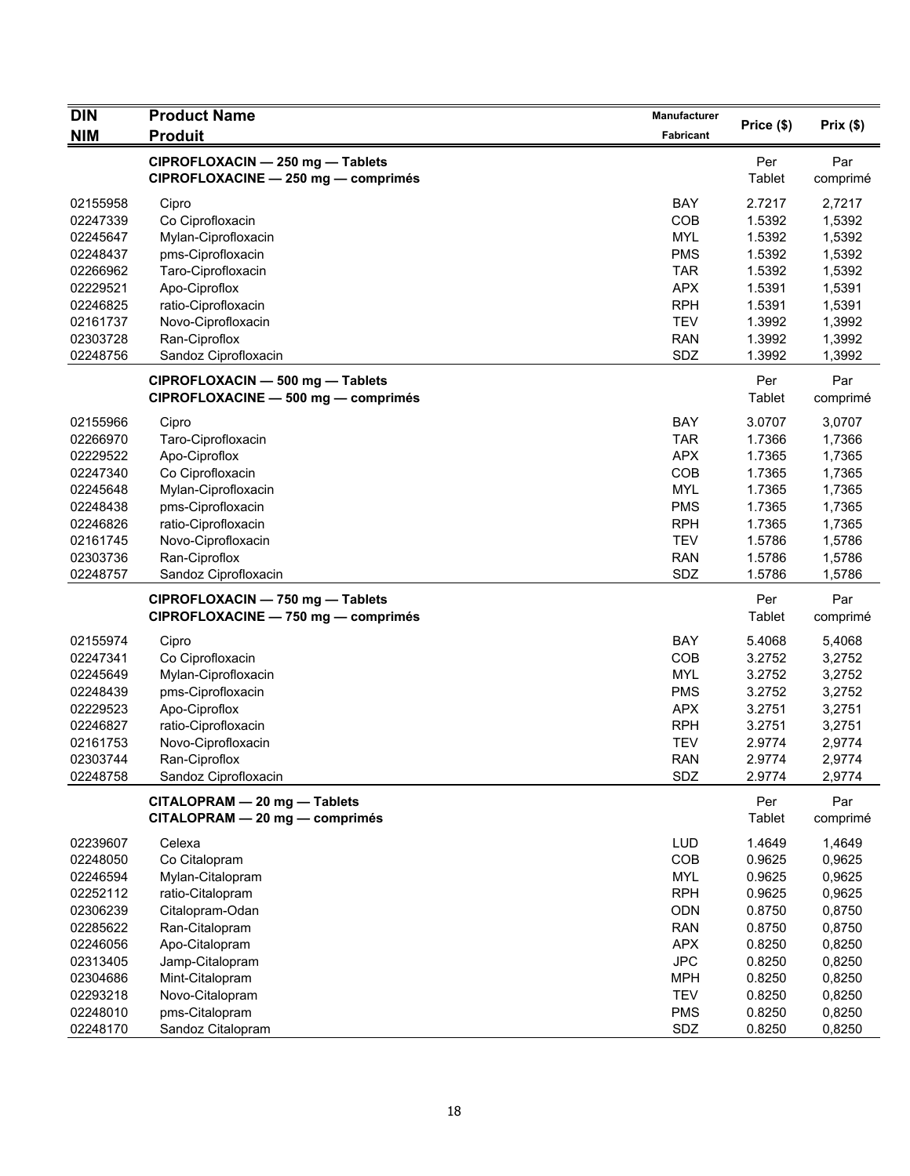| <b>DIN</b> | <b>Product Name</b>                                                     | <b>Manufacturer</b> |               | Prix(\$)        |
|------------|-------------------------------------------------------------------------|---------------------|---------------|-----------------|
| <b>NIM</b> | <b>Produit</b>                                                          | Fabricant           | Price (\$)    |                 |
|            | CIPROFLOXACIN - 250 mg - Tablets<br>CIPROFLOXACINE - 250 mg - comprimés |                     | Per<br>Tablet | Par<br>comprimé |
| 02155958   | Cipro                                                                   | <b>BAY</b>          | 2.7217        | 2,7217          |
| 02247339   | Co Ciprofloxacin                                                        | COB                 | 1.5392        | 1,5392          |
| 02245647   | Mylan-Ciprofloxacin                                                     | <b>MYL</b>          | 1.5392        | 1,5392          |
| 02248437   | pms-Ciprofloxacin                                                       | <b>PMS</b>          | 1.5392        | 1,5392          |
| 02266962   | Taro-Ciprofloxacin                                                      | <b>TAR</b>          | 1.5392        | 1,5392          |
| 02229521   | Apo-Ciproflox                                                           | <b>APX</b>          | 1.5391        | 1,5391          |
| 02246825   | ratio-Ciprofloxacin                                                     | <b>RPH</b>          | 1.5391        | 1,5391          |
| 02161737   | Novo-Ciprofloxacin                                                      | <b>TEV</b>          | 1.3992        | 1,3992          |
| 02303728   | Ran-Ciproflox                                                           | <b>RAN</b>          | 1.3992        | 1,3992          |
| 02248756   | Sandoz Ciprofloxacin                                                    | SDZ                 | 1.3992        | 1,3992          |
|            | CIPROFLOXACIN - 500 mg - Tablets<br>CIPROFLOXACINE - 500 mg - comprimés |                     | Per<br>Tablet | Par<br>comprimé |
| 02155966   | Cipro                                                                   | <b>BAY</b>          | 3.0707        | 3,0707          |
| 02266970   | Taro-Ciprofloxacin                                                      | <b>TAR</b>          | 1.7366        | 1,7366          |
| 02229522   | Apo-Ciproflox                                                           | <b>APX</b>          | 1.7365        | 1,7365          |
| 02247340   | Co Ciprofloxacin                                                        | COB                 | 1.7365        | 1,7365          |
| 02245648   | Mylan-Ciprofloxacin                                                     | <b>MYL</b>          | 1.7365        | 1,7365          |
| 02248438   | pms-Ciprofloxacin                                                       | <b>PMS</b>          | 1.7365        | 1,7365          |
| 02246826   | ratio-Ciprofloxacin                                                     | <b>RPH</b>          | 1.7365        | 1,7365          |
| 02161745   | Novo-Ciprofloxacin                                                      | <b>TEV</b>          | 1.5786        | 1,5786          |
| 02303736   | Ran-Ciproflox                                                           | <b>RAN</b>          | 1.5786        | 1,5786          |
| 02248757   | Sandoz Ciprofloxacin                                                    | SDZ                 | 1.5786        | 1,5786          |
|            |                                                                         |                     |               |                 |
|            | CIPROFLOXACIN - 750 mg - Tablets<br>CIPROFLOXACINE - 750 mg - comprimés |                     | Per<br>Tablet | Par<br>comprimé |
| 02155974   | Cipro                                                                   | BAY                 | 5.4068        | 5,4068          |
| 02247341   | Co Ciprofloxacin                                                        | COB                 | 3.2752        | 3,2752          |
| 02245649   | Mylan-Ciprofloxacin                                                     | <b>MYL</b>          | 3.2752        | 3,2752          |
| 02248439   | pms-Ciprofloxacin                                                       | <b>PMS</b>          | 3.2752        | 3,2752          |
| 02229523   | Apo-Ciproflox                                                           | <b>APX</b>          | 3.2751        | 3,2751          |
| 02246827   | ratio-Ciprofloxacin                                                     | <b>RPH</b>          | 3.2751        | 3,2751          |
| 02161753   | Novo-Ciprofloxacin                                                      | <b>TEV</b>          | 2.9774        | 2,9774          |
| 02303744   | Ran-Ciproflox                                                           | <b>RAN</b>          | 2.9774        | 2,9774          |
| 02248758   | Sandoz Ciprofloxacin                                                    | SDZ                 | 2.9774        | 2,9774          |
|            | CITALOPRAM - 20 mg - Tablets                                            |                     | Per           | Par             |
|            | CITALOPRAM - 20 mg - comprimés                                          |                     | Tablet        | comprimé        |
| 02239607   | Celexa                                                                  | <b>LUD</b>          | 1.4649        | 1,4649          |
| 02248050   | Co Citalopram                                                           | COB                 | 0.9625        | 0,9625          |
| 02246594   | Mylan-Citalopram                                                        | <b>MYL</b>          | 0.9625        | 0,9625          |
| 02252112   | ratio-Citalopram                                                        | <b>RPH</b>          | 0.9625        | 0,9625          |
| 02306239   | Citalopram-Odan                                                         | <b>ODN</b>          | 0.8750        | 0,8750          |
| 02285622   | Ran-Citalopram                                                          | <b>RAN</b>          | 0.8750        | 0,8750          |
| 02246056   | Apo-Citalopram                                                          | <b>APX</b>          | 0.8250        | 0,8250          |
| 02313405   | Jamp-Citalopram                                                         | <b>JPC</b>          | 0.8250        | 0,8250          |
| 02304686   | Mint-Citalopram                                                         | <b>MPH</b>          | 0.8250        | 0,8250          |
| 02293218   | Novo-Citalopram                                                         | <b>TEV</b>          | 0.8250        | 0,8250          |
| 02248010   | pms-Citalopram                                                          | <b>PMS</b>          | 0.8250        | 0,8250          |
| 02248170   | Sandoz Citalopram                                                       | SDZ                 | 0.8250        | 0,8250          |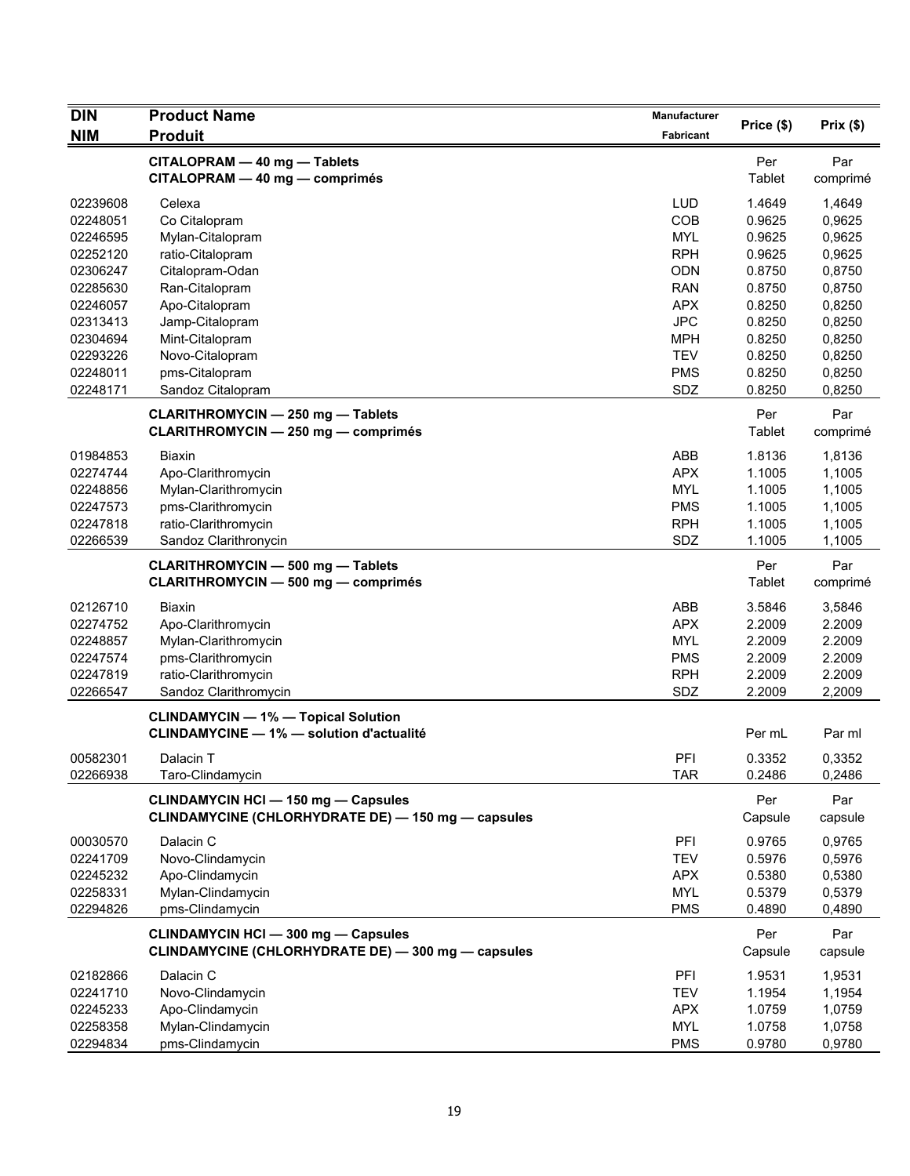| <b>DIN</b> | <b>Product Name</b>                                                                              | Manufacturer     |                |                 |
|------------|--------------------------------------------------------------------------------------------------|------------------|----------------|-----------------|
| <b>NIM</b> | <b>Produit</b>                                                                                   | <b>Fabricant</b> | Price (\$)     | Prix(\$)        |
|            | CITALOPRAM - 40 mg - Tablets<br>CITALOPRAM - 40 mg - comprimés                                   |                  | Per<br>Tablet  | Par<br>comprimé |
| 02239608   | Celexa                                                                                           | <b>LUD</b>       | 1.4649         | 1.4649          |
| 02248051   | Co Citalopram                                                                                    | COB              | 0.9625         | 0,9625          |
| 02246595   | Mylan-Citalopram                                                                                 | <b>MYL</b>       | 0.9625         | 0,9625          |
| 02252120   | ratio-Citalopram                                                                                 | <b>RPH</b>       | 0.9625         | 0,9625          |
| 02306247   | Citalopram-Odan                                                                                  | <b>ODN</b>       | 0.8750         | 0,8750          |
| 02285630   | Ran-Citalopram                                                                                   | <b>RAN</b>       | 0.8750         | 0,8750          |
| 02246057   | Apo-Citalopram                                                                                   | <b>APX</b>       | 0.8250         | 0,8250          |
| 02313413   | Jamp-Citalopram                                                                                  | <b>JPC</b>       | 0.8250         | 0,8250          |
| 02304694   | Mint-Citalopram                                                                                  | <b>MPH</b>       | 0.8250         | 0,8250          |
| 02293226   | Novo-Citalopram                                                                                  | <b>TEV</b>       | 0.8250         | 0,8250          |
| 02248011   | pms-Citalopram                                                                                   | <b>PMS</b>       | 0.8250         | 0,8250          |
| 02248171   | Sandoz Citalopram                                                                                | SDZ              | 0.8250         | 0,8250          |
|            | <b>CLARITHROMYCIN - 250 mg - Tablets</b><br><b>CLARITHROMYCIN - 250 mg - comprimés</b>           |                  | Per<br>Tablet  | Par<br>comprimé |
| 01984853   | <b>Biaxin</b>                                                                                    | ABB              | 1.8136         | 1,8136          |
| 02274744   | Apo-Clarithromycin                                                                               | <b>APX</b>       | 1.1005         | 1,1005          |
| 02248856   | Mylan-Clarithromycin                                                                             | <b>MYL</b>       | 1.1005         | 1,1005          |
| 02247573   | pms-Clarithromycin                                                                               | <b>PMS</b>       | 1.1005         | 1,1005          |
| 02247818   | ratio-Clarithromycin                                                                             | <b>RPH</b>       | 1.1005         | 1,1005          |
| 02266539   | Sandoz Clarithronycin                                                                            | SDZ              | 1.1005         | 1,1005          |
|            | <b>CLARITHROMYCIN - 500 mg - Tablets</b><br><b>CLARITHROMYCIN - 500 mg - comprimés</b>           |                  | Per<br>Tablet  | Par<br>comprimé |
| 02126710   | Biaxin                                                                                           | ABB              | 3.5846         | 3,5846          |
| 02274752   | Apo-Clarithromycin                                                                               | <b>APX</b>       | 2.2009         | 2.2009          |
| 02248857   | Mylan-Clarithromycin                                                                             | <b>MYL</b>       | 2.2009         | 2.2009          |
| 02247574   | pms-Clarithromycin                                                                               | <b>PMS</b>       | 2.2009         | 2.2009          |
| 02247819   | ratio-Clarithromycin                                                                             | <b>RPH</b>       | 2.2009         | 2.2009          |
| 02266547   | Sandoz Clarithromycin                                                                            | SDZ              | 2.2009         | 2,2009          |
|            | <b>CLINDAMYCIN - 1% - Topical Solution</b><br><b>CLINDAMYCINE - 1% - solution d'actualité</b>    |                  | Per mL         | Par ml          |
| 00582301   | Dalacin T                                                                                        | PFI              | 0.3352         | 0,3352          |
| 02266938   | Taro-Clindamycin                                                                                 | <b>TAR</b>       | 0.2486         | 0,2486          |
|            | <b>CLINDAMYCIN HCI - 150 mg - Capsules</b><br>CLINDAMYCINE (CHLORHYDRATE DE) - 150 mg - capsules |                  | Per<br>Capsule | Par<br>capsule  |
| 00030570   | Dalacin C                                                                                        | PFI              | 0.9765         | 0,9765          |
| 02241709   | Novo-Clindamycin                                                                                 | <b>TEV</b>       | 0.5976         | 0,5976          |
| 02245232   | Apo-Clindamycin                                                                                  | <b>APX</b>       | 0.5380         | 0,5380          |
| 02258331   | Mylan-Clindamycin                                                                                | <b>MYL</b>       | 0.5379         | 0,5379          |
| 02294826   | pms-Clindamycin                                                                                  | <b>PMS</b>       | 0.4890         | 0,4890          |
|            | <b>CLINDAMYCIN HCI - 300 mg - Capsules</b><br>CLINDAMYCINE (CHLORHYDRATE DE) - 300 mg - capsules |                  | Per<br>Capsule | Par<br>capsule  |
| 02182866   | Dalacin C                                                                                        | PFI              | 1.9531         | 1,9531          |
| 02241710   | Novo-Clindamycin                                                                                 | <b>TEV</b>       | 1.1954         | 1,1954          |
| 02245233   | Apo-Clindamycin                                                                                  | <b>APX</b>       | 1.0759         | 1,0759          |
| 02258358   | Mylan-Clindamycin                                                                                | <b>MYL</b>       | 1.0758         | 1,0758          |
| 02294834   | pms-Clindamycin                                                                                  | <b>PMS</b>       | 0.9780         | 0,9780          |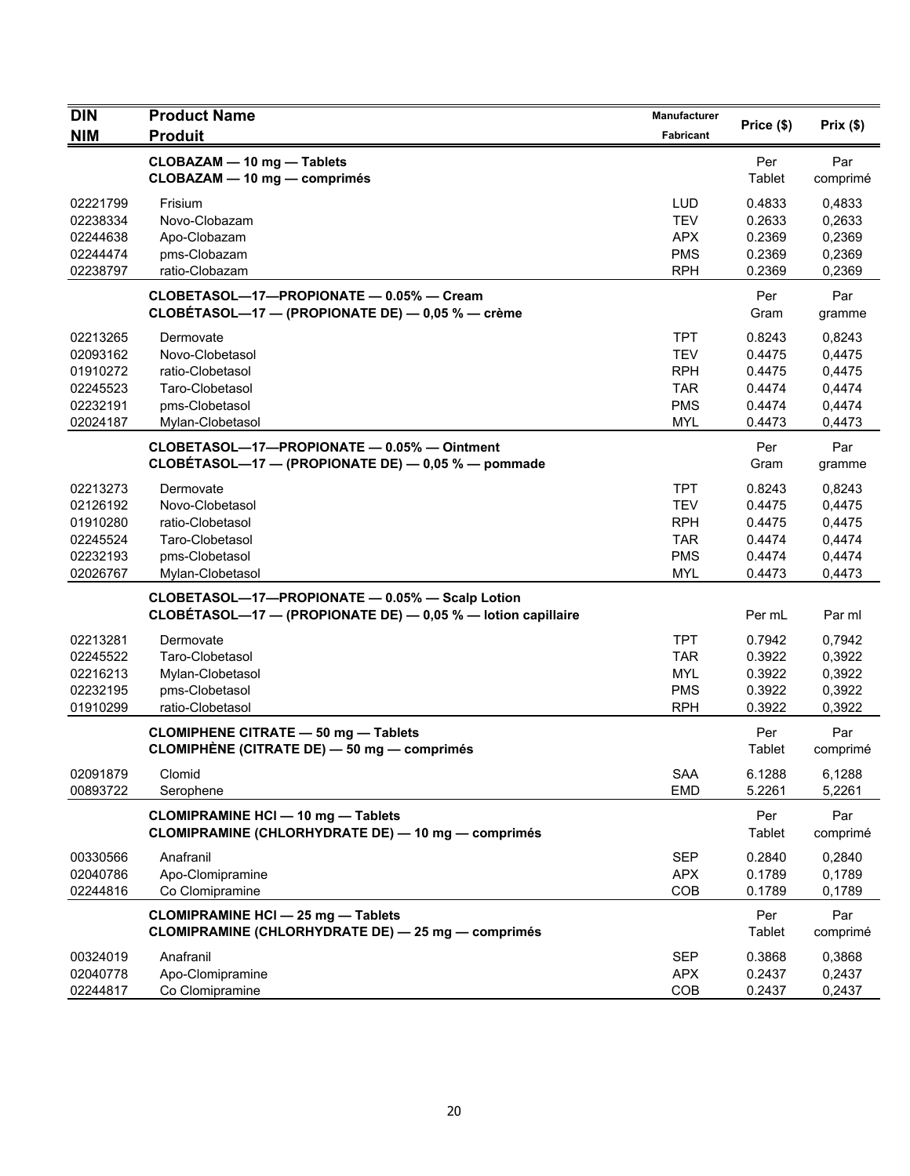| <b>DIN</b>                                                           | <b>Product Name</b>                                                                                             | Manufacturer                                                                     |                                                          |                                                          |
|----------------------------------------------------------------------|-----------------------------------------------------------------------------------------------------------------|----------------------------------------------------------------------------------|----------------------------------------------------------|----------------------------------------------------------|
| <b>NIM</b>                                                           | <b>Produit</b>                                                                                                  | <b>Fabricant</b>                                                                 | Price (\$)                                               | Prix(\$)                                                 |
|                                                                      | CLOBAZAM - 10 mg - Tablets<br>CLOBAZAM - 10 mg - comprimés                                                      |                                                                                  | Per<br>Tablet                                            | Par<br>comprimé                                          |
| 02221799<br>02238334<br>02244638<br>02244474<br>02238797             | Frisium<br>Novo-Clobazam<br>Apo-Clobazam<br>pms-Clobazam<br>ratio-Clobazam                                      | <b>LUD</b><br><b>TEV</b><br><b>APX</b><br><b>PMS</b><br><b>RPH</b>               | 0.4833<br>0.2633<br>0.2369<br>0.2369<br>0.2369           | 0,4833<br>0,2633<br>0,2369<br>0,2369<br>0,2369           |
|                                                                      | CLOBETASOL-17-PROPIONATE - 0.05% - Cream<br>CLOBÉTASOL-17 - (PROPIONATE DE) - 0,05 % - crème                    |                                                                                  | Per<br>Gram                                              | Par<br>gramme                                            |
| 02213265<br>02093162<br>01910272<br>02245523<br>02232191<br>02024187 | Dermovate<br>Novo-Clobetasol<br>ratio-Clobetasol<br>Taro-Clobetasol<br>pms-Clobetasol<br>Mylan-Clobetasol       | <b>TPT</b><br><b>TEV</b><br><b>RPH</b><br><b>TAR</b><br><b>PMS</b><br><b>MYL</b> | 0.8243<br>0.4475<br>0.4475<br>0.4474<br>0.4474<br>0.4473 | 0,8243<br>0,4475<br>0,4475<br>0,4474<br>0,4474<br>0,4473 |
|                                                                      | CLOBETASOL-17-PROPIONATE - 0.05% - Ointment<br>CLOBÉTASOL-17 - (PROPIONATE DE) - 0,05 % - pommade               |                                                                                  | Per<br>Gram                                              | Par<br>gramme                                            |
| 02213273<br>02126192<br>01910280<br>02245524<br>02232193<br>02026767 | Dermovate<br>Novo-Clobetasol<br>ratio-Clobetasol<br>Taro-Clobetasol<br>pms-Clobetasol<br>Mylan-Clobetasol       | <b>TPT</b><br><b>TEV</b><br><b>RPH</b><br><b>TAR</b><br><b>PMS</b><br><b>MYL</b> | 0.8243<br>0.4475<br>0.4475<br>0.4474<br>0.4474<br>0.4473 | 0,8243<br>0,4475<br>0,4475<br>0,4474<br>0,4474<br>0,4473 |
|                                                                      | CLOBETASOL-17-PROPIONATE - 0.05% - Scalp Lotion<br>CLOBÉTASOL-17 - (PROPIONATE DE) - 0,05 % - lotion capillaire |                                                                                  | Per mL                                                   | Par ml                                                   |
| 02213281<br>02245522<br>02216213<br>02232195<br>01910299             | Dermovate<br>Taro-Clobetasol<br>Mylan-Clobetasol<br>pms-Clobetasol<br>ratio-Clobetasol                          | <b>TPT</b><br><b>TAR</b><br><b>MYL</b><br><b>PMS</b><br><b>RPH</b>               | 0.7942<br>0.3922<br>0.3922<br>0.3922<br>0.3922           | 0,7942<br>0,3922<br>0,3922<br>0,3922<br>0,3922           |
|                                                                      | <b>CLOMIPHENE CITRATE - 50 mg - Tablets</b><br><b>CLOMIPHÈNE (CITRATE DE) — 50 mg — comprimés</b>               |                                                                                  | Per<br>Tablet                                            | Par<br>comprimé                                          |
| 02091879<br>00893722                                                 | Clomid<br>Serophene                                                                                             | SAA<br><b>EMD</b>                                                                | 6.1288<br>5.2261                                         | 6,1288<br>5,2261                                         |
|                                                                      | <b>CLOMIPRAMINE HCI - 10 mg - Tablets</b><br><b>CLOMIPRAMINE (CHLORHYDRATE DE) - 10 mg - comprimés</b>          |                                                                                  | Per<br><b>Tablet</b>                                     | Par<br>comprimé                                          |
| 00330566<br>02040786<br>02244816                                     | Anafranil<br>Apo-Clomipramine<br>Co Clomipramine                                                                | <b>SEP</b><br><b>APX</b><br>COB                                                  | 0.2840<br>0.1789<br>0.1789                               | 0,2840<br>0,1789<br>0,1789                               |
|                                                                      | <b>CLOMIPRAMINE HCI - 25 mg - Tablets</b><br><b>CLOMIPRAMINE (CHLORHYDRATE DE) - 25 mg - comprimés</b>          |                                                                                  | Per<br><b>Tablet</b>                                     | Par<br>comprimé                                          |
| 00324019<br>02040778<br>02244817                                     | Anafranil<br>Apo-Clomipramine<br>Co Clomipramine                                                                | SEP<br><b>APX</b><br>COB                                                         | 0.3868<br>0.2437<br>0.2437                               | 0,3868<br>0,2437<br>0,2437                               |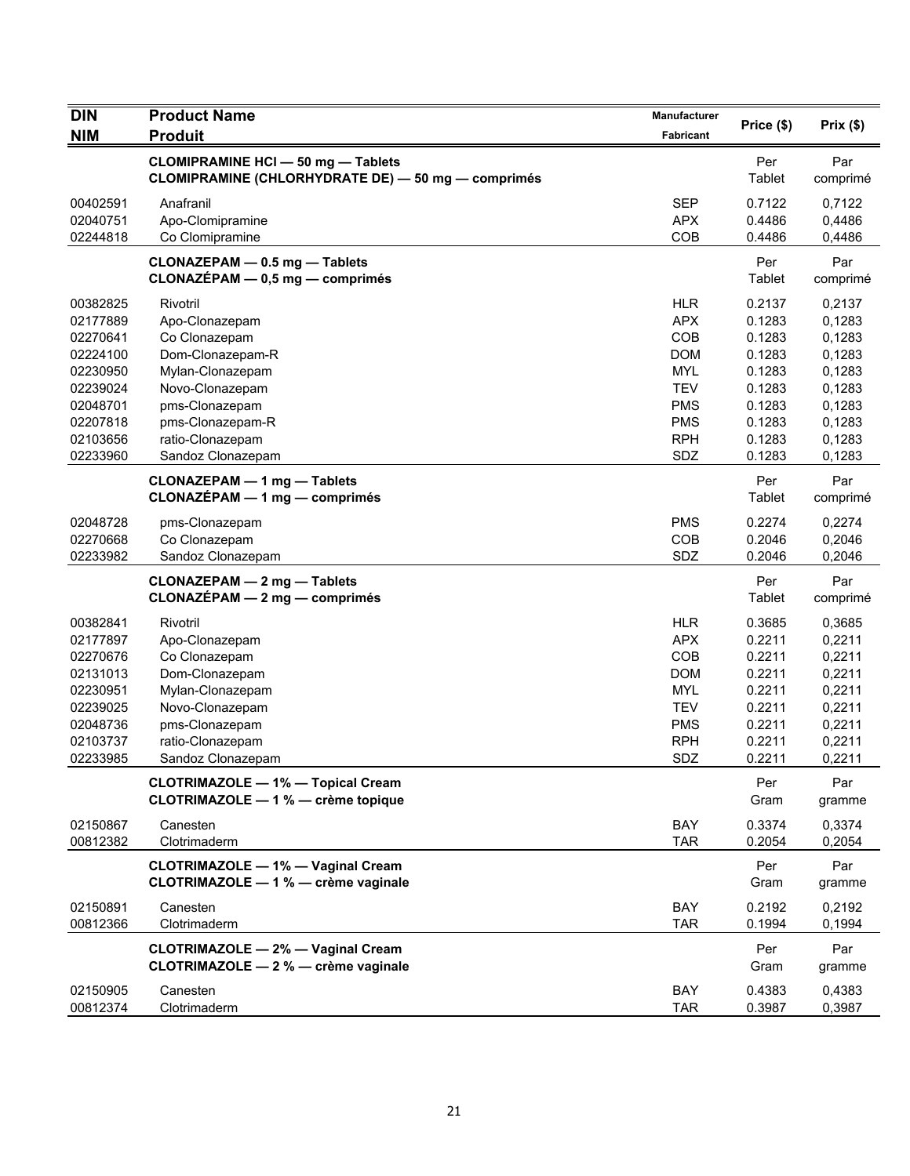| <b>DIN</b>           | <b>Product Name</b>                                                                             | Manufacturer      | Price (\$)       | Prix(\$)         |
|----------------------|-------------------------------------------------------------------------------------------------|-------------------|------------------|------------------|
| <b>NIM</b>           | <b>Produit</b>                                                                                  | Fabricant         |                  |                  |
|                      | <b>CLOMIPRAMINE HCI - 50 mg - Tablets</b><br>CLOMIPRAMINE (CHLORHYDRATE DE) - 50 mg - comprimés |                   | Per<br>Tablet    | Par<br>comprimé  |
| 00402591             | Anafranil                                                                                       | <b>SEP</b>        | 0.7122           | 0,7122           |
| 02040751             | Apo-Clomipramine                                                                                | <b>APX</b>        | 0.4486           | 0,4486           |
| 02244818             | Co Clomipramine                                                                                 | COB               | 0.4486           | 0,4486           |
|                      | CLONAZEPAM - 0.5 mg - Tablets<br>CLONAZÉPAM - 0,5 mg - comprimés                                |                   | Per<br>Tablet    | Par<br>comprimé  |
| 00382825             | Rivotril                                                                                        | <b>HLR</b>        | 0.2137           | 0,2137           |
| 02177889             | Apo-Clonazepam                                                                                  | <b>APX</b>        | 0.1283           | 0,1283           |
| 02270641             | Co Clonazepam                                                                                   | COB               | 0.1283           | 0,1283           |
| 02224100             | Dom-Clonazepam-R                                                                                | <b>DOM</b>        | 0.1283           | 0,1283           |
| 02230950             | Mylan-Clonazepam                                                                                | <b>MYL</b>        | 0.1283           | 0,1283           |
| 02239024             | Novo-Clonazepam                                                                                 | <b>TEV</b>        | 0.1283           | 0,1283           |
| 02048701             | pms-Clonazepam                                                                                  | <b>PMS</b>        | 0.1283           | 0,1283           |
| 02207818             | pms-Clonazepam-R                                                                                | <b>PMS</b>        | 0.1283           | 0,1283           |
| 02103656             | ratio-Clonazepam                                                                                | <b>RPH</b>        | 0.1283           | 0,1283           |
| 02233960             | Sandoz Clonazepam                                                                               | SDZ               | 0.1283           | 0,1283           |
|                      | <b>CLONAZEPAM - 1 mg - Tablets</b><br>CLONAZÉPAM - 1 mg - comprimés                             |                   | Per<br>Tablet    | Par<br>comprimé  |
| 02048728             | pms-Clonazepam                                                                                  | <b>PMS</b>        | 0.2274           | 0,2274           |
| 02270668             | Co Clonazepam                                                                                   | COB               | 0.2046           | 0,2046           |
| 02233982             | Sandoz Clonazepam                                                                               | SDZ               | 0.2046           | 0,2046           |
|                      | <b>CLONAZEPAM - 2 mg - Tablets</b><br>CLONAZÉPAM - 2 mg - comprimés                             |                   | Per<br>Tablet    | Par<br>comprimé  |
| 00382841             | Rivotril                                                                                        | <b>HLR</b>        | 0.3685           | 0,3685           |
| 02177897             | Apo-Clonazepam                                                                                  | <b>APX</b>        | 0.2211           | 0,2211           |
| 02270676             | Co Clonazepam                                                                                   | COB               | 0.2211           | 0,2211           |
| 02131013             | Dom-Clonazepam                                                                                  | <b>DOM</b>        | 0.2211           | 0,2211           |
| 02230951             | Mylan-Clonazepam                                                                                | <b>MYL</b>        | 0.2211           | 0,2211           |
| 02239025             | Novo-Clonazepam                                                                                 | <b>TEV</b>        | 0.2211           | 0,2211           |
| 02048736             | pms-Clonazepam                                                                                  | <b>PMS</b>        | 0.2211           | 0,2211           |
| 02103737             | ratio-Clonazepam                                                                                | <b>RPH</b>        | 0.2211           | 0,2211           |
| 02233985             | Sandoz Clonazepam                                                                               | SDZ               | 0.2211           | 0,2211           |
|                      | <b>CLOTRIMAZOLE - 1% - Topical Cream</b><br>CLOTRIMAZOLE - 1 % - crème topique                  |                   | Per<br>Gram      | Par<br>gramme    |
| 02150867             | Canesten                                                                                        | BAY               | 0.3374           | 0,3374           |
| 00812382             | Clotrimaderm                                                                                    | <b>TAR</b>        | 0.2054           | 0,2054           |
|                      | <b>CLOTRIMAZOLE - 1% - Vaginal Cream</b><br>CLOTRIMAZOLE - 1 % - crème vaginale                 |                   | Per<br>Gram      | Par<br>gramme    |
| 02150891             | Canesten                                                                                        | BAY               | 0.2192           | 0,2192           |
| 00812366             | Clotrimaderm                                                                                    | <b>TAR</b>        | 0.1994           | 0,1994           |
|                      | <b>CLOTRIMAZOLE - 2% - Vaginal Cream</b><br>CLOTRIMAZOLE - 2 % - crème vaginale                 |                   | Per<br>Gram      | Par<br>gramme    |
| 02150905<br>00812374 | Canesten<br>Clotrimaderm                                                                        | BAY<br><b>TAR</b> | 0.4383<br>0.3987 | 0,4383<br>0,3987 |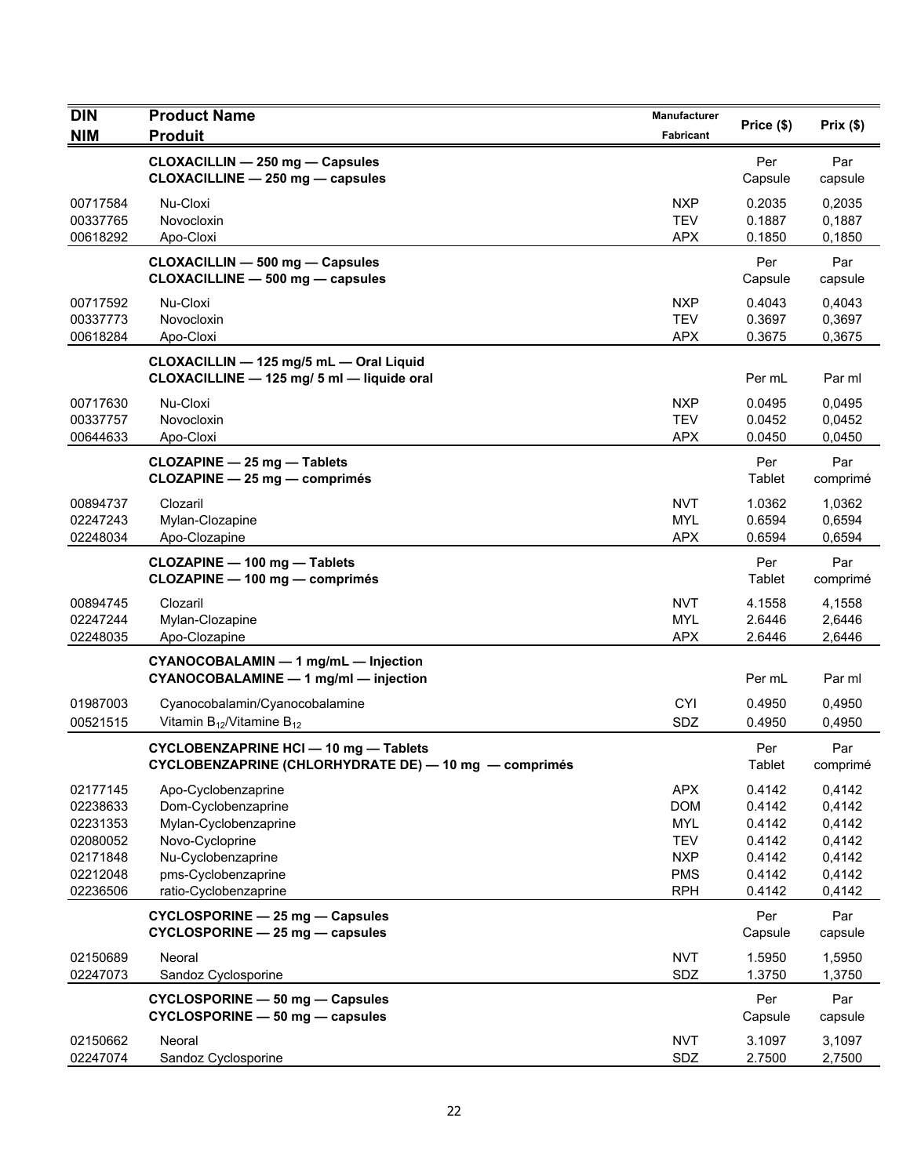| <b>DIN</b>                                                                       | <b>Product Name</b>                                                                                                                                          | <b>Manufacturer</b>                                                                            |                                                                    |                                                                    |
|----------------------------------------------------------------------------------|--------------------------------------------------------------------------------------------------------------------------------------------------------------|------------------------------------------------------------------------------------------------|--------------------------------------------------------------------|--------------------------------------------------------------------|
| <b>NIM</b>                                                                       | <b>Produit</b>                                                                                                                                               | <b>Fabricant</b>                                                                               | Price (\$)                                                         | Prix(\$)                                                           |
|                                                                                  | CLOXACILLIN - 250 mg - Capsules<br>CLOXACILLINE - 250 mg - capsules                                                                                          |                                                                                                | Per<br>Capsule                                                     | Par<br>capsule                                                     |
| 00717584<br>00337765<br>00618292                                                 | Nu-Cloxi<br>Novocloxin<br>Apo-Cloxi                                                                                                                          | <b>NXP</b><br><b>TEV</b><br><b>APX</b>                                                         | 0.2035<br>0.1887<br>0.1850                                         | 0,2035<br>0,1887<br>0,1850                                         |
|                                                                                  | CLOXACILLIN - 500 mg - Capsules<br>CLOXACILLINE - 500 mg - capsules                                                                                          |                                                                                                | Per<br>Capsule                                                     | Par<br>capsule                                                     |
| 00717592<br>00337773<br>00618284                                                 | Nu-Cloxi<br>Novocloxin<br>Apo-Cloxi                                                                                                                          | NXP<br><b>TEV</b><br><b>APX</b>                                                                | 0.4043<br>0.3697<br>0.3675                                         | 0,4043<br>0,3697<br>0,3675                                         |
|                                                                                  | CLOXACILLIN - 125 mg/5 mL - Oral Liquid<br>CLOXACILLINE - 125 mg/ 5 ml - liquide oral                                                                        |                                                                                                | Per mL                                                             | Par ml                                                             |
| 00717630<br>00337757<br>00644633                                                 | Nu-Cloxi<br>Novocloxin<br>Apo-Cloxi                                                                                                                          | <b>NXP</b><br><b>TEV</b><br><b>APX</b>                                                         | 0.0495<br>0.0452<br>0.0450                                         | 0.0495<br>0,0452<br>0,0450                                         |
|                                                                                  | CLOZAPINE - 25 mg - Tablets<br>CLOZAPINE - 25 mg - comprimés                                                                                                 |                                                                                                | Per<br>Tablet                                                      | Par<br>comprimé                                                    |
| 00894737<br>02247243<br>02248034                                                 | Clozaril<br>Mylan-Clozapine<br>Apo-Clozapine                                                                                                                 | <b>NVT</b><br><b>MYL</b><br><b>APX</b>                                                         | 1.0362<br>0.6594<br>0.6594                                         | 1,0362<br>0,6594<br>0,6594                                         |
|                                                                                  | CLOZAPINE - 100 mg - Tablets<br>CLOZAPINE - 100 mg - comprimés                                                                                               |                                                                                                | Per<br>Tablet                                                      | Par<br>comprimé                                                    |
| 00894745<br>02247244<br>02248035                                                 | Clozaril<br>Mylan-Clozapine<br>Apo-Clozapine                                                                                                                 | <b>NVT</b><br><b>MYL</b><br><b>APX</b>                                                         | 4.1558<br>2.6446<br>2.6446                                         | 4,1558<br>2,6446<br>2,6446                                         |
|                                                                                  | CYANOCOBALAMIN - 1 mg/mL - Injection<br>CYANOCOBALAMINE - 1 mg/ml - injection                                                                                |                                                                                                | Per mL                                                             | Par ml                                                             |
| 01987003<br>00521515                                                             | Cyanocobalamin/Cyanocobalamine<br>Vitamin $B_{12}$ /Vitamine $B_{12}$                                                                                        | <b>CYI</b><br>SDZ                                                                              | 0.4950<br>0.4950                                                   | 0,4950<br>0,4950                                                   |
|                                                                                  | CYCLOBENZAPRINE HCI - 10 mg - Tablets<br>CYCLOBENZAPRINE (CHLORHYDRATE DE) - 10 mg - comprimés                                                               |                                                                                                | Per<br><b>Tablet</b>                                               | Par<br>comprimé                                                    |
| 02177145<br>02238633<br>02231353<br>02080052<br>02171848<br>02212048<br>02236506 | Apo-Cyclobenzaprine<br>Dom-Cyclobenzaprine<br>Mylan-Cyclobenzaprine<br>Novo-Cycloprine<br>Nu-Cyclobenzaprine<br>pms-Cyclobenzaprine<br>ratio-Cyclobenzaprine | <b>APX</b><br><b>DOM</b><br><b>MYL</b><br><b>TEV</b><br><b>NXP</b><br><b>PMS</b><br><b>RPH</b> | 0.4142<br>0.4142<br>0.4142<br>0.4142<br>0.4142<br>0.4142<br>0.4142 | 0,4142<br>0,4142<br>0,4142<br>0,4142<br>0,4142<br>0,4142<br>0,4142 |
|                                                                                  | <b>CYCLOSPORINE - 25 mg - Capsules</b><br>CYCLOSPORINE - 25 mg - capsules                                                                                    |                                                                                                | Per<br>Capsule                                                     | Par<br>capsule                                                     |
| 02150689<br>02247073                                                             | Neoral<br>Sandoz Cyclosporine                                                                                                                                | <b>NVT</b><br>SDZ                                                                              | 1.5950<br>1.3750                                                   | 1,5950<br>1,3750                                                   |
|                                                                                  | CYCLOSPORINE - 50 mg - Capsules<br>CYCLOSPORINE - 50 mg - capsules                                                                                           |                                                                                                | Per<br>Capsule                                                     | Par<br>capsule                                                     |
| 02150662<br>02247074                                                             | Neoral<br>Sandoz Cyclosporine                                                                                                                                | <b>NVT</b><br>SDZ                                                                              | 3.1097<br>2.7500                                                   | 3,1097<br>2,7500                                                   |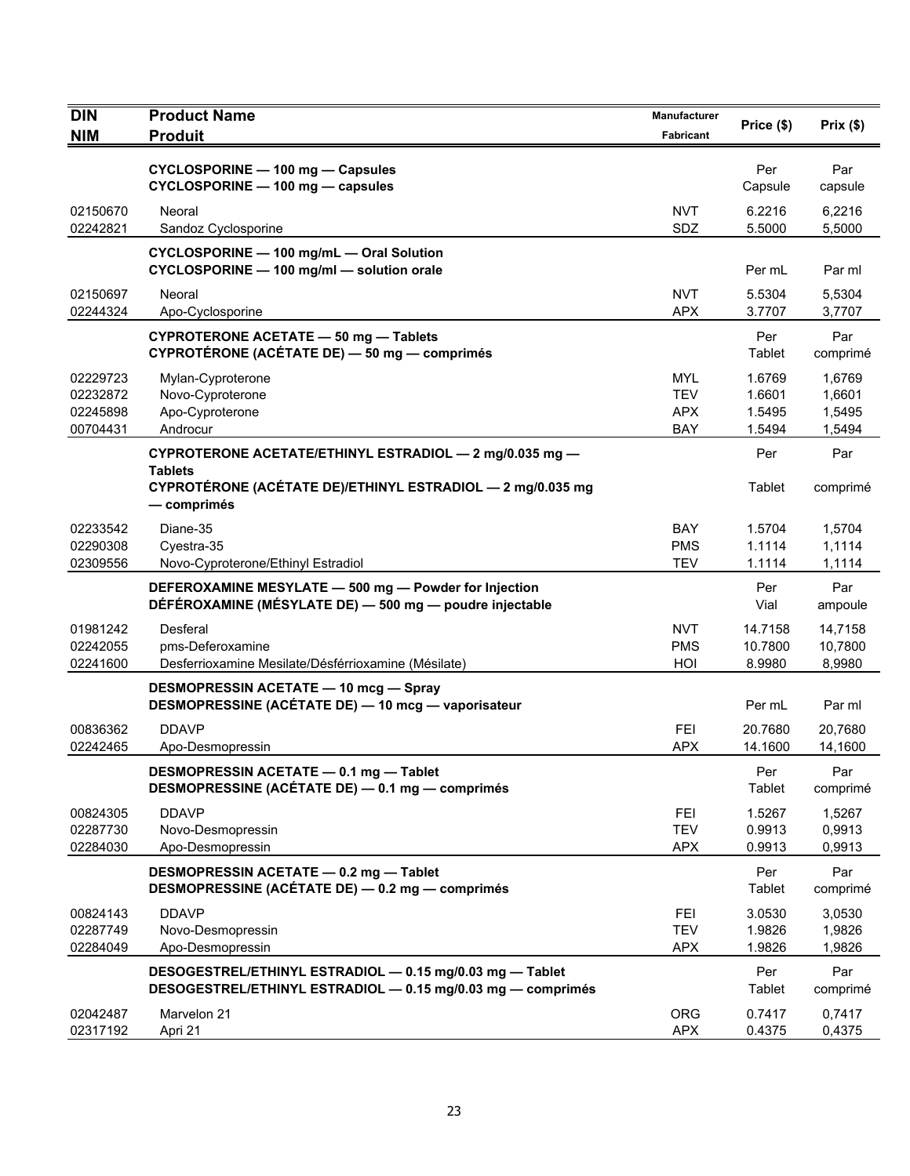| <b>DIN</b>                                   | <b>Product Name</b>                                                                                                     | Manufacturer                                  | Price (\$)                           | Prix(\$)                             |
|----------------------------------------------|-------------------------------------------------------------------------------------------------------------------------|-----------------------------------------------|--------------------------------------|--------------------------------------|
| <b>NIM</b>                                   | <b>Produit</b>                                                                                                          | <b>Fabricant</b>                              |                                      |                                      |
|                                              | <b>CYCLOSPORINE - 100 mg - Capsules</b><br>CYCLOSPORINE - 100 mg - capsules                                             |                                               | Per<br>Capsule                       | Par<br>capsule                       |
| 02150670<br>02242821                         | Neoral<br>Sandoz Cyclosporine                                                                                           | <b>NVT</b><br>SDZ                             | 6.2216<br>5.5000                     | 6,2216<br>5,5000                     |
|                                              | CYCLOSPORINE - 100 mg/mL - Oral Solution<br>CYCLOSPORINE - 100 mg/ml - solution orale                                   |                                               | Per mL                               | Par ml                               |
| 02150697<br>02244324                         | Neoral<br>Apo-Cyclosporine                                                                                              | <b>NVT</b><br><b>APX</b>                      | 5.5304<br>3.7707                     | 5,5304<br>3,7707                     |
|                                              | <b>CYPROTERONE ACETATE - 50 mg - Tablets</b><br>CYPROTÉRONE (ACÉTATE DE) - 50 mg - comprimés                            |                                               | Per<br>Tablet                        | Par<br>comprimé                      |
| 02229723<br>02232872<br>02245898<br>00704431 | Mylan-Cyproterone<br>Novo-Cyproterone<br>Apo-Cyproterone<br>Androcur                                                    | <b>MYL</b><br><b>TEV</b><br><b>APX</b><br>BAY | 1.6769<br>1.6601<br>1.5495<br>1.5494 | 1,6769<br>1,6601<br>1,5495<br>1,5494 |
|                                              | CYPROTERONE ACETATE/ETHINYL ESTRADIOL - 2 mg/0.035 mg -                                                                 |                                               | Per                                  | Par                                  |
|                                              | <b>Tablets</b><br>CYPROTÉRONE (ACÉTATE DE)/ETHINYL ESTRADIOL - 2 mg/0.035 mg<br>— comprimés                             |                                               | Tablet                               | comprimé                             |
| 02233542<br>02290308<br>02309556             | Diane-35<br>Cyestra-35<br>Novo-Cyproterone/Ethinyl Estradiol                                                            | BAY<br><b>PMS</b><br><b>TEV</b>               | 1.5704<br>1.1114<br>1.1114           | 1,5704<br>1,1114<br>1,1114           |
|                                              | DEFEROXAMINE MESYLATE - 500 mg - Powder for Injection<br>DÉFÉROXAMINE (MÉSYLATE DE) - 500 mg - poudre injectable        |                                               | Per<br>Vial                          | Par<br>ampoule                       |
| 01981242<br>02242055<br>02241600             | Desferal<br>pms-Deferoxamine<br>Desferrioxamine Mesilate/Désférrioxamine (Mésilate)                                     | NVT<br><b>PMS</b><br>HOI                      | 14.7158<br>10.7800<br>8.9980         | 14,7158<br>10,7800<br>8,9980         |
|                                              | <b>DESMOPRESSIN ACETATE - 10 mcg - Spray</b><br>DESMOPRESSINE (ACÉTATE DE) - 10 mcg - vaporisateur                      |                                               | Per mL                               | Par ml                               |
| 00836362<br>02242465                         | <b>DDAVP</b><br>Apo-Desmopressin                                                                                        | <b>FEI</b><br><b>APX</b>                      | 20.7680<br>14.1600                   | 20,7680<br>14,1600                   |
|                                              | DESMOPRESSIN ACETATE - 0.1 mg - Tablet<br>DESMOPRESSINE (ACÉTATE DE) - 0.1 mg - comprimés                               |                                               | Per<br>Tablet                        | Par<br>comprimé                      |
| 00824305<br>02287730<br>02284030             | <b>DDAVP</b><br>Novo-Desmopressin<br>Apo-Desmopressin                                                                   | FEI<br><b>TEV</b><br><b>APX</b>               | 1.5267<br>0.9913<br>0.9913           | 1,5267<br>0,9913<br>0,9913           |
|                                              | DESMOPRESSIN ACETATE - 0.2 mg - Tablet<br>DESMOPRESSINE (ACÉTATE DE) - 0.2 mg - comprimés                               |                                               | Per<br>Tablet                        | Par<br>comprimé                      |
| 00824143<br>02287749<br>02284049             | <b>DDAVP</b><br>Novo-Desmopressin<br>Apo-Desmopressin                                                                   | <b>FEI</b><br><b>TEV</b><br><b>APX</b>        | 3.0530<br>1.9826<br>1.9826           | 3,0530<br>1,9826<br>1,9826           |
|                                              | DESOGESTREL/ETHINYL ESTRADIOL - 0.15 mg/0.03 mg - Tablet<br>DESOGESTREL/ETHINYL ESTRADIOL - 0.15 mg/0.03 mg - comprimés |                                               | Per<br>Tablet                        | Par<br>comprimé                      |
| 02042487<br>02317192                         | Marvelon 21<br>Apri 21                                                                                                  | <b>ORG</b><br><b>APX</b>                      | 0.7417<br>0.4375                     | 0,7417<br>0,4375                     |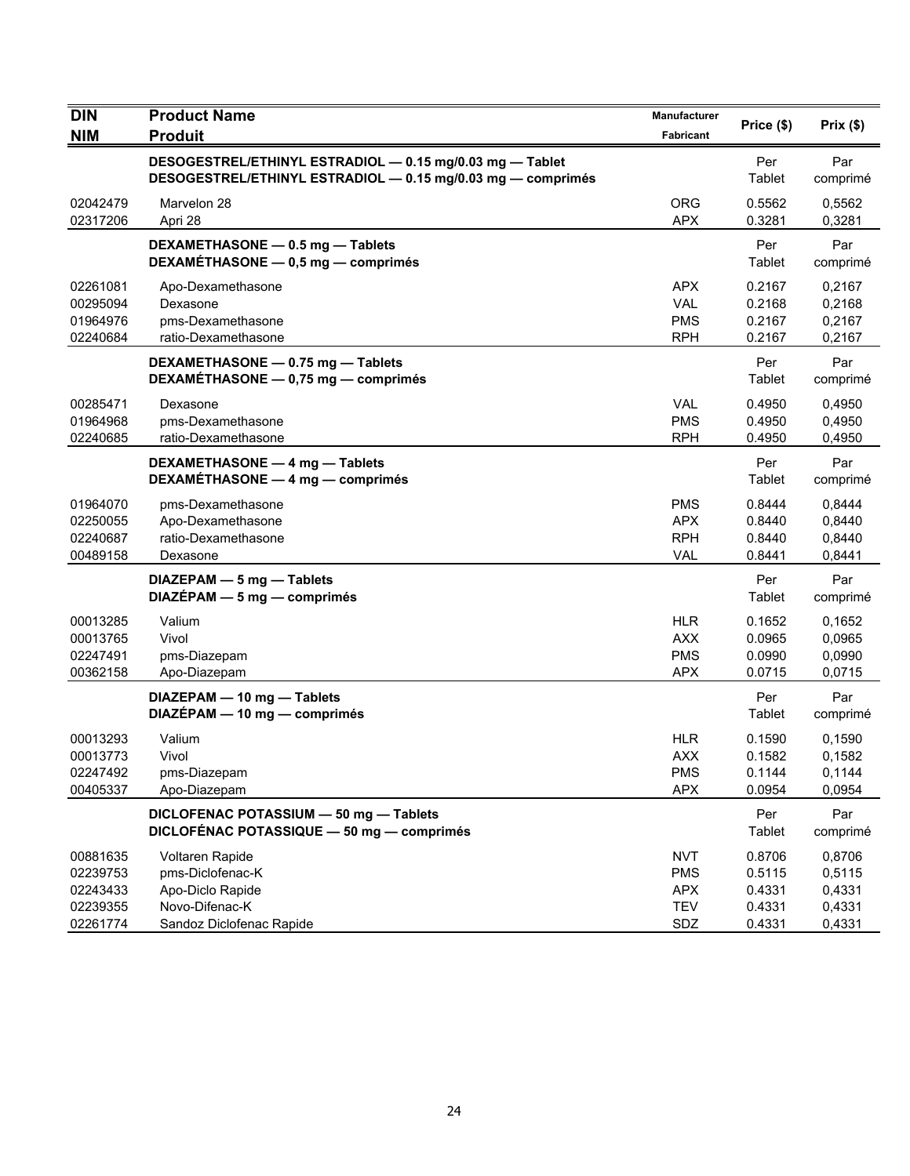| <b>DIN</b><br><b>NIM</b>                                 | <b>Product Name</b><br><b>Produit</b>                                                                                   | <b>Manufacturer</b><br>Fabricant                            | Price (\$)                                     | Prix(\$)                                       |
|----------------------------------------------------------|-------------------------------------------------------------------------------------------------------------------------|-------------------------------------------------------------|------------------------------------------------|------------------------------------------------|
|                                                          | DESOGESTREL/ETHINYL ESTRADIOL - 0.15 mg/0.03 mg - Tablet<br>DESOGESTREL/ETHINYL ESTRADIOL - 0.15 mg/0.03 mg - comprimés |                                                             | Per<br>Tablet                                  | Par<br>comprimé                                |
| 02042479<br>02317206                                     | Marvelon 28<br>Apri 28                                                                                                  | <b>ORG</b><br><b>APX</b>                                    | 0.5562<br>0.3281                               | 0,5562<br>0,3281                               |
|                                                          | DEXAMETHASONE - 0.5 mg - Tablets<br>DEXAMÉTHASONE - 0,5 mg - comprimés                                                  |                                                             | Per<br>Tablet                                  | Par<br>comprimé                                |
| 02261081<br>00295094<br>01964976<br>02240684             | Apo-Dexamethasone<br>Dexasone<br>pms-Dexamethasone<br>ratio-Dexamethasone                                               | <b>APX</b><br><b>VAL</b><br><b>PMS</b><br><b>RPH</b>        | 0.2167<br>0.2168<br>0.2167<br>0.2167           | 0,2167<br>0,2168<br>0,2167<br>0,2167           |
|                                                          | DEXAMETHASONE - 0.75 mg - Tablets<br>DEXAMETHASONE - 0,75 mg - comprimés                                                |                                                             | Per<br>Tablet                                  | Par<br>comprimé                                |
| 00285471<br>01964968<br>02240685                         | Dexasone<br>pms-Dexamethasone<br>ratio-Dexamethasone                                                                    | <b>VAL</b><br><b>PMS</b><br><b>RPH</b>                      | 0.4950<br>0.4950<br>0.4950                     | 0,4950<br>0,4950<br>0,4950                     |
|                                                          | DEXAMETHASONE - 4 mg - Tablets<br>DEXAMÉTHASONE - 4 mg - comprimés                                                      |                                                             | Per<br>Tablet                                  | Par<br>comprimé                                |
| 01964070<br>02250055<br>02240687<br>00489158             | pms-Dexamethasone<br>Apo-Dexamethasone<br>ratio-Dexamethasone<br>Dexasone                                               | <b>PMS</b><br><b>APX</b><br><b>RPH</b><br><b>VAL</b>        | 0.8444<br>0.8440<br>0.8440<br>0.8441           | 0,8444<br>0,8440<br>0,8440<br>0,8441           |
|                                                          | DIAZEPAM - 5 mg - Tablets<br>$DIAZÉPAM - 5 mg - comprimés$                                                              |                                                             | Per<br>Tablet                                  | Par<br>comprimé                                |
| 00013285<br>00013765<br>02247491<br>00362158             | Valium<br>Vivol<br>pms-Diazepam<br>Apo-Diazepam                                                                         | <b>HLR</b><br><b>AXX</b><br><b>PMS</b><br><b>APX</b>        | 0.1652<br>0.0965<br>0.0990<br>0.0715           | 0,1652<br>0,0965<br>0,0990<br>0,0715           |
|                                                          | DIAZEPAM - 10 mg - Tablets<br>DIAZÉPAM - 10 mg - comprimés                                                              |                                                             | Per<br>Tablet                                  | Par<br>comprimé                                |
| 00013293<br>00013773<br>02247492<br>00405337             | Valium<br>Vivol<br>pms-Diazepam<br>Apo-Diazepam                                                                         | <b>HLR</b><br><b>AXX</b><br><b>PMS</b><br><b>APX</b>        | 0.1590<br>0.1582<br>0.1144<br>0.0954           | 0,1590<br>0,1582<br>0.1144<br>0,0954           |
|                                                          | DICLOFENAC POTASSIUM - 50 mg - Tablets<br>DICLOFÉNAC POTASSIQUE - 50 mg - comprimés                                     |                                                             | Per<br>Tablet                                  | Par<br>comprimé                                |
| 00881635<br>02239753<br>02243433<br>02239355<br>02261774 | Voltaren Rapide<br>pms-Diclofenac-K<br>Apo-Diclo Rapide<br>Novo-Difenac-K<br>Sandoz Diclofenac Rapide                   | <b>NVT</b><br><b>PMS</b><br><b>APX</b><br><b>TEV</b><br>SDZ | 0.8706<br>0.5115<br>0.4331<br>0.4331<br>0.4331 | 0,8706<br>0,5115<br>0,4331<br>0,4331<br>0,4331 |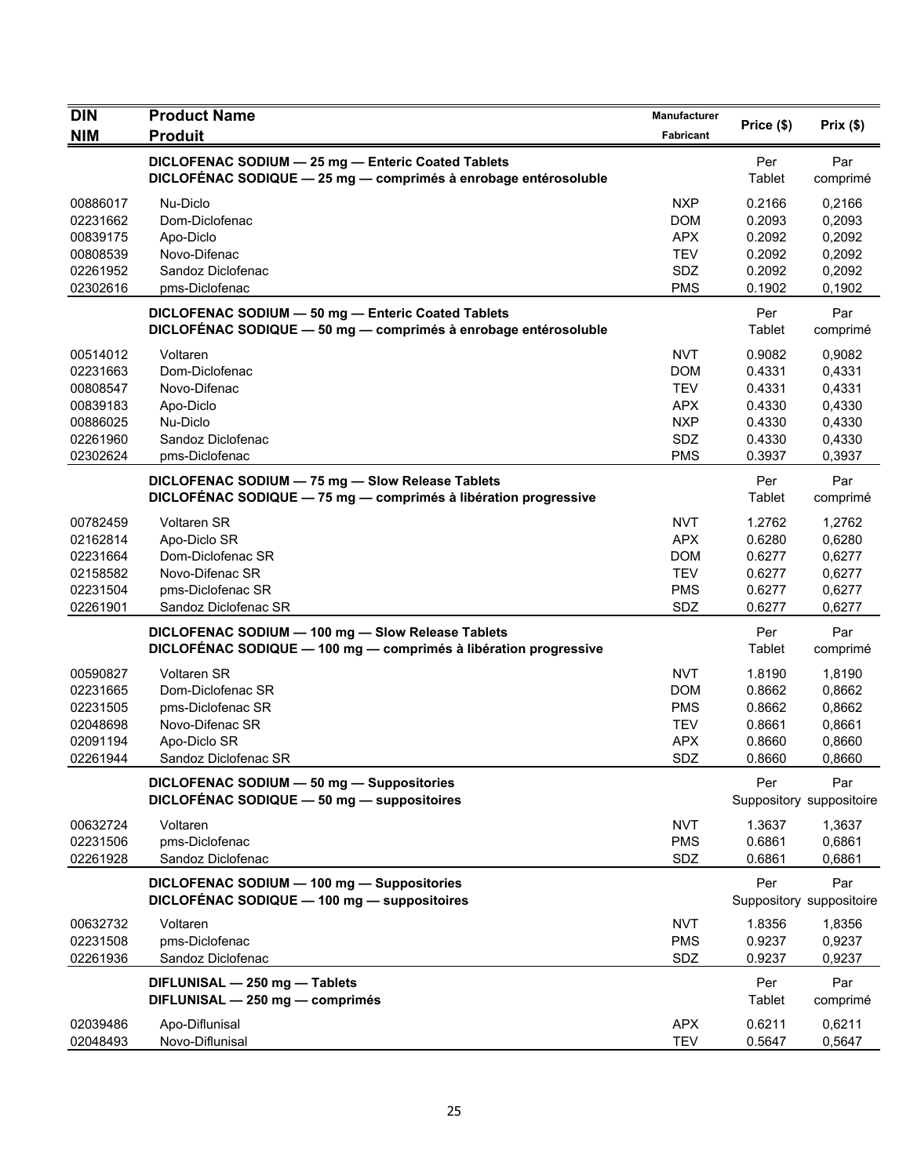| <b>DIN</b> | <b>Product Name</b>                                                                                                   | Manufacturer | Price (\$)    | Prix(\$)                        |
|------------|-----------------------------------------------------------------------------------------------------------------------|--------------|---------------|---------------------------------|
| <b>NIM</b> | <b>Produit</b>                                                                                                        | Fabricant    |               |                                 |
|            | DICLOFENAC SODIUM - 25 mg - Enteric Coated Tablets<br>DICLOFENAC SODIQUE - 25 mg - comprimés à enrobage entérosoluble |              | Per<br>Tablet | Par<br>comprimé                 |
| 00886017   | Nu-Diclo                                                                                                              | <b>NXP</b>   | 0.2166        | 0,2166                          |
| 02231662   | Dom-Diclofenac                                                                                                        | <b>DOM</b>   | 0.2093        | 0,2093                          |
| 00839175   | Apo-Diclo                                                                                                             | <b>APX</b>   | 0.2092        | 0,2092                          |
| 00808539   | Novo-Difenac                                                                                                          | <b>TEV</b>   | 0.2092        | 0,2092                          |
| 02261952   | Sandoz Diclofenac                                                                                                     | SDZ          | 0.2092        | 0,2092                          |
| 02302616   | pms-Diclofenac                                                                                                        | <b>PMS</b>   | 0.1902        | 0,1902                          |
|            | DICLOFENAC SODIUM - 50 mg - Enteric Coated Tablets<br>DICLOFÉNAC SODIQUE - 50 mg - comprimés à enrobage entérosoluble |              | Per<br>Tablet | Par<br>comprimé                 |
| 00514012   | Voltaren                                                                                                              | <b>NVT</b>   | 0.9082        | 0,9082                          |
| 02231663   | Dom-Diclofenac                                                                                                        | <b>DOM</b>   | 0.4331        | 0,4331                          |
| 00808547   | Novo-Difenac                                                                                                          | <b>TEV</b>   | 0.4331        | 0,4331                          |
| 00839183   | Apo-Diclo                                                                                                             | <b>APX</b>   | 0.4330        | 0,4330                          |
| 00886025   | Nu-Diclo                                                                                                              | <b>NXP</b>   | 0.4330        | 0,4330                          |
| 02261960   | Sandoz Diclofenac                                                                                                     | <b>SDZ</b>   | 0.4330        | 0,4330                          |
| 02302624   | pms-Diclofenac                                                                                                        | <b>PMS</b>   | 0.3937        | 0,3937                          |
|            | DICLOFENAC SODIUM - 75 mg - Slow Release Tablets                                                                      |              | Per           | Par                             |
|            | DICLOFÉNAC SODIQUE - 75 mg - comprimés à libération progressive                                                       |              | Tablet        | comprimé                        |
| 00782459   | <b>Voltaren SR</b>                                                                                                    | <b>NVT</b>   | 1.2762        | 1,2762                          |
| 02162814   | Apo-Diclo SR                                                                                                          | <b>APX</b>   | 0.6280        | 0,6280                          |
| 02231664   | Dom-Diclofenac SR                                                                                                     | <b>DOM</b>   | 0.6277        | 0,6277                          |
| 02158582   | Novo-Difenac SR                                                                                                       | <b>TEV</b>   | 0.6277        | 0,6277                          |
| 02231504   | pms-Diclofenac SR                                                                                                     | <b>PMS</b>   | 0.6277        | 0,6277                          |
| 02261901   | Sandoz Diclofenac SR                                                                                                  | SDZ          | 0.6277        | 0,6277                          |
|            | DICLOFENAC SODIUM - 100 mg - Slow Release Tablets<br>DICLOFÉNAC SODIQUE - 100 mg - comprimés à libération progressive |              | Per<br>Tablet | Par<br>comprimé                 |
| 00590827   | <b>Voltaren SR</b>                                                                                                    | <b>NVT</b>   | 1.8190        | 1,8190                          |
| 02231665   | Dom-Diclofenac SR                                                                                                     | <b>DOM</b>   | 0.8662        | 0.8662                          |
| 02231505   | pms-Diclofenac SR                                                                                                     | <b>PMS</b>   | 0.8662        | 0,8662                          |
| 02048698   | Novo-Difenac SR                                                                                                       | <b>TEV</b>   | 0.8661        | 0,8661                          |
| 02091194   | Apo-Diclo SR                                                                                                          | <b>APX</b>   | 0.8660        | 0,8660                          |
| 02261944   | Sandoz Diclofenac SR                                                                                                  | <b>SDZ</b>   | 0.8660        | 0,8660                          |
|            | DICLOFENAC SODIUM - 50 mg - Suppositories<br>DICLOFÉNAC SODIQUE - 50 mg - suppositoires                               |              | Per           | Par<br>Suppository suppositoire |
| 00632724   | Voltaren                                                                                                              | <b>NVT</b>   | 1.3637        | 1,3637                          |
| 02231506   | pms-Diclofenac                                                                                                        | <b>PMS</b>   | 0.6861        | 0,6861                          |
| 02261928   | Sandoz Diclofenac                                                                                                     | <b>SDZ</b>   | 0.6861        | 0,6861                          |
|            | DICLOFENAC SODIUM - 100 mg - Suppositories<br>DICLOFÉNAC SODIQUE - 100 mg - suppositoires                             |              | Per           | Par<br>Suppository suppositoire |
| 00632732   | Voltaren                                                                                                              | <b>NVT</b>   | 1.8356        | 1,8356                          |
| 02231508   | pms-Diclofenac                                                                                                        | <b>PMS</b>   | 0.9237        | 0,9237                          |
| 02261936   | Sandoz Diclofenac                                                                                                     | SDZ          | 0.9237        | 0,9237                          |
|            | DIFLUNISAL - 250 mg - Tablets<br>DIFLUNISAL - 250 mg - comprimés                                                      |              | Per<br>Tablet | Par<br>comprimé                 |
| 02039486   | Apo-Diflunisal                                                                                                        | <b>APX</b>   | 0.6211        | 0,6211                          |
| 02048493   | Novo-Diflunisal                                                                                                       | <b>TEV</b>   | 0.5647        | 0,5647                          |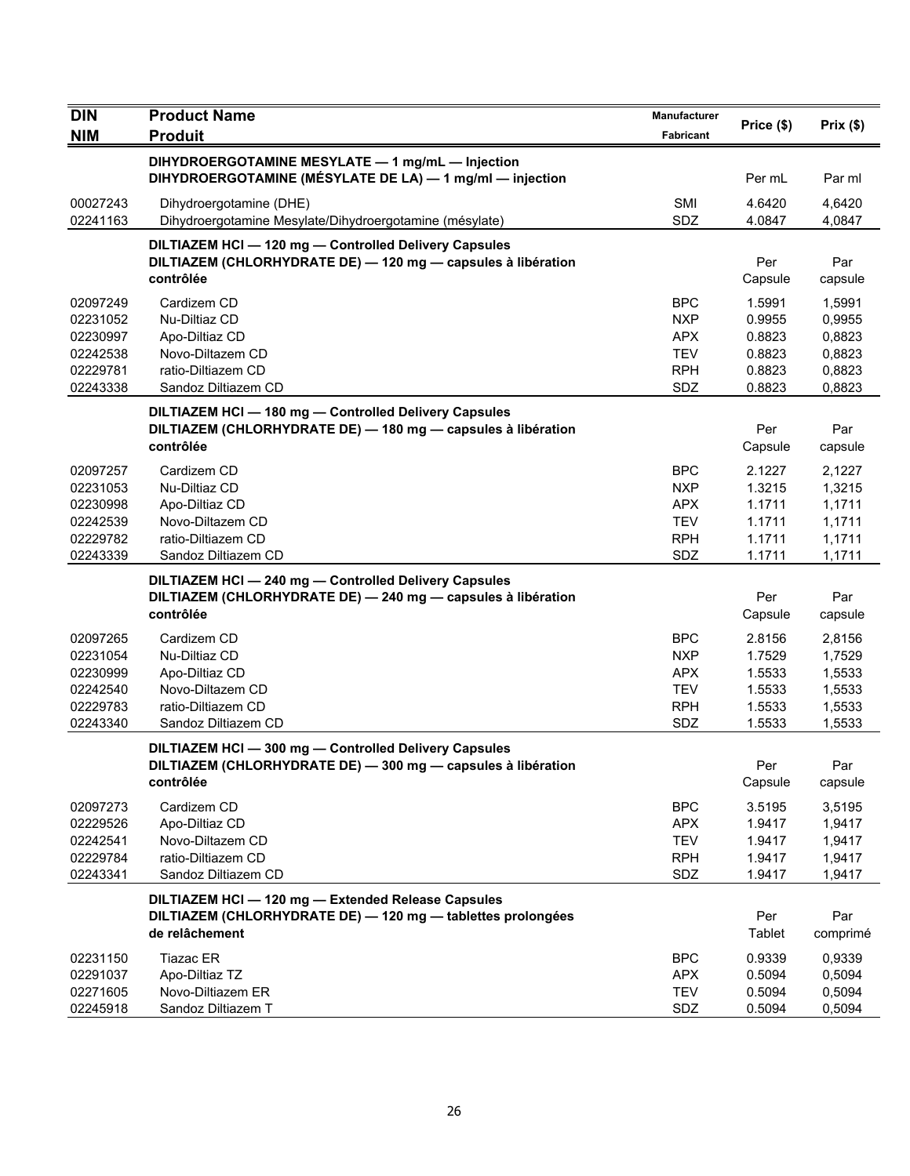| <b>DIN</b>                                                           | <b>Product Name</b>                                                                                                                 | Manufacturer                                                              | Price (\$)                                               |                                                          |
|----------------------------------------------------------------------|-------------------------------------------------------------------------------------------------------------------------------------|---------------------------------------------------------------------------|----------------------------------------------------------|----------------------------------------------------------|
| <b>NIM</b>                                                           | <b>Produit</b>                                                                                                                      | Fabricant                                                                 |                                                          | Prix(\$)                                                 |
|                                                                      | DIHYDROERGOTAMINE MESYLATE - 1 mg/mL - Injection<br>DIHYDROERGOTAMINE (MÉSYLATE DE LA) - 1 mg/ml - injection                        |                                                                           | Per mL                                                   | Par ml                                                   |
| 00027243<br>02241163                                                 | Dihydroergotamine (DHE)<br>Dihydroergotamine Mesylate/Dihydroergotamine (mésylate)                                                  | SMI<br>SDZ                                                                | 4.6420<br>4.0847                                         | 4,6420<br>4,0847                                         |
|                                                                      | DILTIAZEM HCI - 120 mg - Controlled Delivery Capsules<br>DILTIAZEM (CHLORHYDRATE DE) - 120 mg - capsules à libération<br>contrôlée  |                                                                           | Per<br>Capsule                                           | Par<br>capsule                                           |
| 02097249<br>02231052<br>02230997<br>02242538<br>02229781<br>02243338 | Cardizem CD<br>Nu-Diltiaz CD<br>Apo-Diltiaz CD<br>Novo-Diltazem CD<br>ratio-Diltiazem CD<br>Sandoz Diltiazem CD                     | <b>BPC</b><br><b>NXP</b><br>APX<br><b>TEV</b><br><b>RPH</b><br>SDZ        | 1.5991<br>0.9955<br>0.8823<br>0.8823<br>0.8823<br>0.8823 | 1,5991<br>0.9955<br>0,8823<br>0,8823<br>0,8823<br>0,8823 |
|                                                                      | DILTIAZEM HCI - 180 mg - Controlled Delivery Capsules<br>DILTIAZEM (CHLORHYDRATE DE) - 180 mg - capsules à libération<br>contrôlée  |                                                                           | Per<br>Capsule                                           | Par<br>capsule                                           |
| 02097257<br>02231053<br>02230998<br>02242539<br>02229782<br>02243339 | Cardizem CD<br>Nu-Diltiaz CD<br>Apo-Diltiaz CD<br>Novo-Diltazem CD<br>ratio-Diltiazem CD<br>Sandoz Diltiazem CD                     | <b>BPC</b><br><b>NXP</b><br><b>APX</b><br><b>TEV</b><br><b>RPH</b><br>SDZ | 2.1227<br>1.3215<br>1.1711<br>1.1711<br>1.1711<br>1.1711 | 2,1227<br>1,3215<br>1,1711<br>1,1711<br>1,1711<br>1,1711 |
|                                                                      | DILTIAZEM HCI-240 mg-Controlled Delivery Capsules<br>DILTIAZEM (CHLORHYDRATE DE) - 240 mg - capsules à libération<br>contrôlée      |                                                                           | Per<br>Capsule                                           | Par<br>capsule                                           |
| 02097265<br>02231054<br>02230999<br>02242540<br>02229783<br>02243340 | Cardizem CD<br>Nu-Diltiaz CD<br>Apo-Diltiaz CD<br>Novo-Diltazem CD<br>ratio-Diltiazem CD<br>Sandoz Diltiazem CD                     | BPC<br><b>NXP</b><br><b>APX</b><br><b>TEV</b><br><b>RPH</b><br>SDZ        | 2.8156<br>1.7529<br>1.5533<br>1.5533<br>1.5533<br>1.5533 | 2,8156<br>1,7529<br>1,5533<br>1,5533<br>1,5533<br>1,5533 |
|                                                                      | DILTIAZEM HCI-300 mg-Controlled Delivery Capsules<br>DILTIAZEM (CHLORHYDRATE DE) - 300 mg - capsules à libération<br>contrôlée      |                                                                           | Per<br>Capsule                                           | Par<br>capsule                                           |
| 02097273<br>02229526<br>02242541<br>02229784<br>02243341             | Cardizem CD<br>Apo-Diltiaz CD<br>Novo-Diltazem CD<br>ratio-Diltiazem CD<br>Sandoz Diltiazem CD                                      | <b>BPC</b><br><b>APX</b><br><b>TEV</b><br><b>RPH</b><br>SDZ               | 3.5195<br>1.9417<br>1.9417<br>1.9417<br>1.9417           | 3,5195<br>1,9417<br>1,9417<br>1,9417<br>1,9417           |
|                                                                      | DILTIAZEM HCI - 120 mg - Extended Release Capsules<br>DILTIAZEM (CHLORHYDRATE DE) - 120 mg - tablettes prolongées<br>de relâchement |                                                                           | Per<br>Tablet                                            | Par<br>comprimé                                          |
| 02231150<br>02291037<br>02271605<br>02245918                         | <b>Tiazac ER</b><br>Apo-Diltiaz TZ<br>Novo-Diltiazem ER<br>Sandoz Diltiazem T                                                       | <b>BPC</b><br><b>APX</b><br><b>TEV</b><br>SDZ                             | 0.9339<br>0.5094<br>0.5094<br>0.5094                     | 0.9339<br>0,5094<br>0,5094<br>0,5094                     |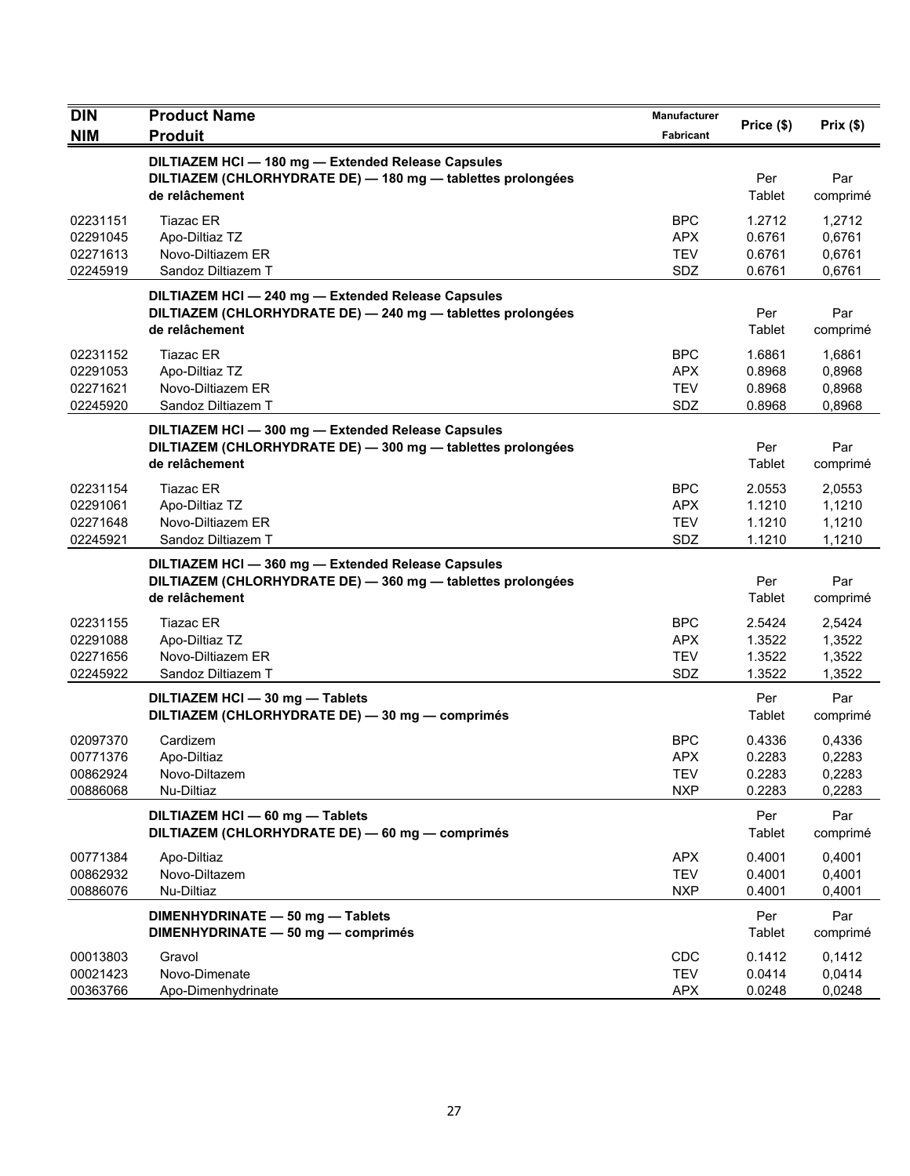| <b>DIN</b>                                   | <b>Product Name</b>                                                                                                                 | Manufacturer                                  |                                      |                                      |
|----------------------------------------------|-------------------------------------------------------------------------------------------------------------------------------------|-----------------------------------------------|--------------------------------------|--------------------------------------|
| <b>NIM</b>                                   | <b>Produit</b>                                                                                                                      | Fabricant                                     | Price (\$)                           | Prix(\$)                             |
|                                              | DILTIAZEM HCI - 180 mg - Extended Release Capsules<br>DILTIAZEM (CHLORHYDRATE DE) - 180 mg - tablettes prolongées<br>de relâchement |                                               | Per<br>Tablet                        | Par<br>comprimé                      |
| 02231151<br>02291045<br>02271613<br>02245919 | Tiazac ER<br>Apo-Diltiaz TZ<br>Novo-Diltiazem ER<br>Sandoz Diltiazem T                                                              | BPC<br><b>APX</b><br><b>TEV</b><br>SDZ        | 1.2712<br>0.6761<br>0.6761<br>0.6761 | 1,2712<br>0,6761<br>0,6761<br>0,6761 |
|                                              | DILTIAZEM HCI - 240 mg - Extended Release Capsules<br>DILTIAZEM (CHLORHYDRATE DE) - 240 mg - tablettes prolongées<br>de relâchement |                                               | Per<br>Tablet                        | Par<br>comprimé                      |
| 02231152<br>02291053<br>02271621<br>02245920 | <b>Tiazac ER</b><br>Apo-Diltiaz TZ<br>Novo-Diltiazem ER<br>Sandoz Diltiazem T                                                       | <b>BPC</b><br>APX.<br><b>TEV</b><br>SDZ       | 1.6861<br>0.8968<br>0.8968<br>0.8968 | 1,6861<br>0,8968<br>0,8968<br>0,8968 |
|                                              | DILTIAZEM HCI - 300 mg - Extended Release Capsules<br>DILTIAZEM (CHLORHYDRATE DE) - 300 mg - tablettes prolongées<br>de relâchement |                                               | Per<br>Tablet                        | Par<br>comprimé                      |
| 02231154<br>02291061<br>02271648<br>02245921 | Tiazac ER<br>Apo-Diltiaz TZ<br>Novo-Diltiazem ER<br>Sandoz Diltiazem T                                                              | <b>BPC</b><br><b>APX</b><br><b>TEV</b><br>SDZ | 2.0553<br>1.1210<br>1.1210<br>1.1210 | 2,0553<br>1,1210<br>1,1210<br>1,1210 |
|                                              | DILTIAZEM HCI-360 mg-Extended Release Capsules<br>DILTIAZEM (CHLORHYDRATE DE) - 360 mg - tablettes prolongées<br>de relâchement     |                                               | Per<br>Tablet                        | Par<br>comprimé                      |
| 02231155<br>02291088<br>02271656<br>02245922 | Tiazac ER<br>Apo-Diltiaz TZ<br>Novo-Diltiazem ER<br>Sandoz Diltiazem T                                                              | <b>BPC</b><br><b>APX</b><br>TEV<br><b>SDZ</b> | 2.5424<br>1.3522<br>1.3522<br>1.3522 | 2,5424<br>1,3522<br>1,3522<br>1,3522 |
|                                              | DILTIAZEM HCI - 30 mg - Tablets<br>DILTIAZEM (CHLORHYDRATE DE) - 30 mg - comprimés                                                  |                                               | Per<br>Tablet                        | Par<br>comprimé                      |
| 02097370<br>00771376<br>00862924<br>00886068 | Cardizem<br>Apo-Diltiaz<br>Novo-Diltazem<br>Nu-Diltiaz                                                                              | <b>BPC</b><br>APX<br><b>TEV</b><br><b>NXP</b> | 0.4336<br>0.2283<br>0.2283<br>0.2283 | 0,4336<br>0,2283<br>0,2283<br>0,2283 |
|                                              | DILTIAZEM HCI - 60 mg - Tablets<br>DILTIAZEM (CHLORHYDRATE DE) - 60 mg - comprimés                                                  |                                               | Per<br>Tablet                        | Par<br>comprimé                      |
| 00771384<br>00862932<br>00886076             | Apo-Diltiaz<br>Novo-Diltazem<br>Nu-Diltiaz                                                                                          | <b>APX</b><br><b>TEV</b><br><b>NXP</b>        | 0.4001<br>0.4001<br>0.4001           | 0,4001<br>0,4001<br>0,4001           |
|                                              | DIMENHYDRINATE - 50 mg - Tablets<br>DIMENHYDRINATE - 50 mg - comprimés                                                              |                                               | Per<br>Tablet                        | Par<br>comprimé                      |
| 00013803<br>00021423<br>00363766             | Gravol<br>Novo-Dimenate<br>Apo-Dimenhydrinate                                                                                       | <b>CDC</b><br><b>TEV</b><br><b>APX</b>        | 0.1412<br>0.0414<br>0.0248           | 0,1412<br>0,0414<br>0,0248           |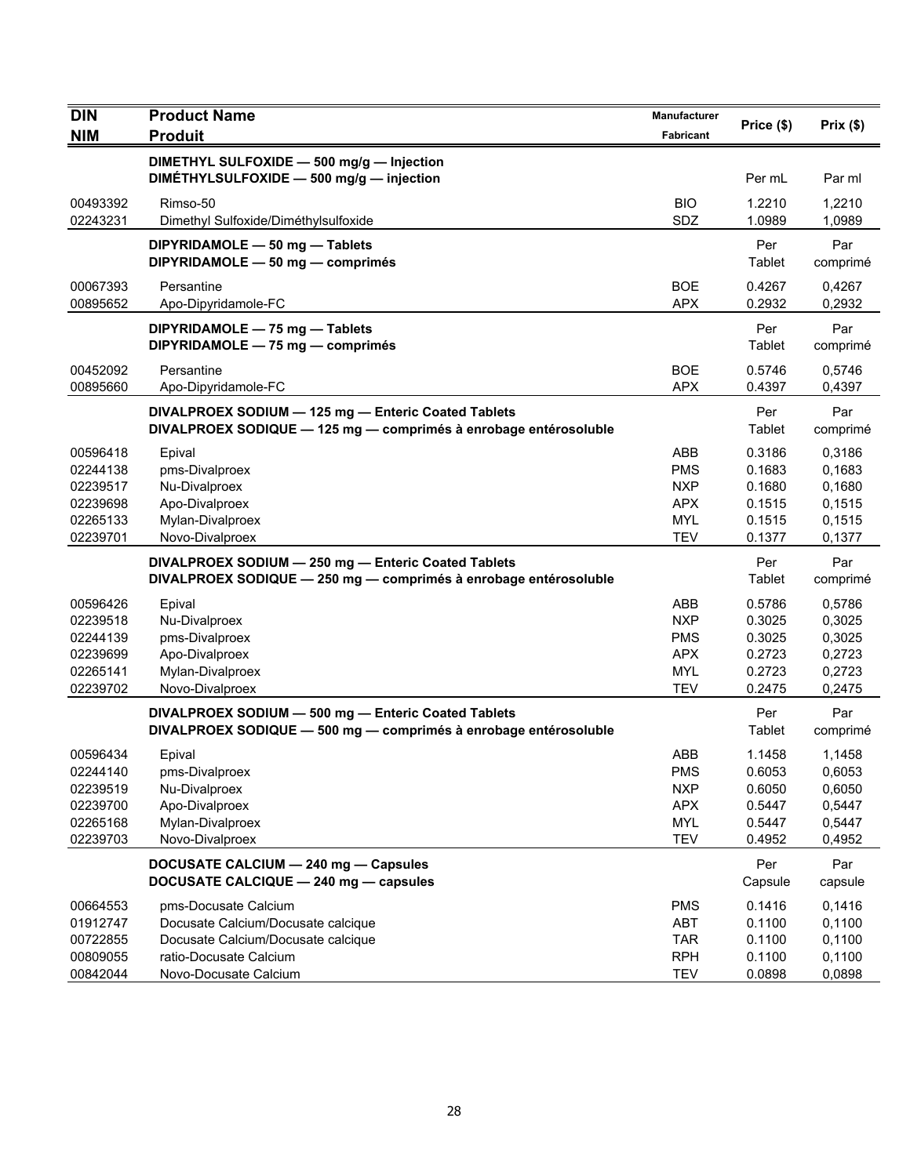| <b>DIN</b>                                                           | <b>Product Name</b>                                                                                                        | Manufacturer                                                                     |                                                          |                                                          |
|----------------------------------------------------------------------|----------------------------------------------------------------------------------------------------------------------------|----------------------------------------------------------------------------------|----------------------------------------------------------|----------------------------------------------------------|
| <b>NIM</b>                                                           | <b>Produit</b>                                                                                                             | Fabricant                                                                        | Price (\$)                                               | Prix(\$)                                                 |
|                                                                      | DIMETHYL SULFOXIDE - 500 mg/g - Injection                                                                                  |                                                                                  |                                                          |                                                          |
|                                                                      | DIMETHYLSULFOXIDE - 500 mg/g - injection                                                                                   |                                                                                  | Per mL                                                   | Par ml                                                   |
| 00493392                                                             | Rimso-50                                                                                                                   | <b>BIO</b>                                                                       | 1.2210                                                   | 1,2210                                                   |
| 02243231                                                             | Dimethyl Sulfoxide/Diméthylsulfoxide                                                                                       | SDZ                                                                              | 1.0989                                                   | 1,0989                                                   |
|                                                                      | DIPYRIDAMOLE - 50 mg - Tablets<br>DIPYRIDAMOLE - 50 mg - comprimés                                                         |                                                                                  | Per<br>Tablet                                            | Par<br>comprimé                                          |
| 00067393<br>00895652                                                 | Persantine<br>Apo-Dipyridamole-FC                                                                                          | <b>BOE</b><br><b>APX</b>                                                         | 0.4267<br>0.2932                                         | 0,4267<br>0,2932                                         |
|                                                                      | DIPYRIDAMOLE - 75 mg - Tablets<br>DIPYRIDAMOLE - 75 mg - comprimés                                                         |                                                                                  | Per<br>Tablet                                            | Par<br>comprimé                                          |
| 00452092<br>00895660                                                 | Persantine<br>Apo-Dipyridamole-FC                                                                                          | <b>BOE</b><br><b>APX</b>                                                         | 0.5746<br>0.4397                                         | 0,5746<br>0,4397                                         |
|                                                                      | DIVALPROEX SODIUM - 125 mg - Enteric Coated Tablets<br>DIVALPROEX SODIQUE - 125 mg - comprimés à enrobage entérosoluble    |                                                                                  | Per<br>Tablet                                            | Par<br>comprimé                                          |
| 00596418<br>02244138<br>02239517<br>02239698<br>02265133<br>02239701 | Epival<br>pms-Divalproex<br>Nu-Divalproex<br>Apo-Divalproex<br>Mylan-Divalproex<br>Novo-Divalproex                         | <b>ABB</b><br><b>PMS</b><br><b>NXP</b><br><b>APX</b><br><b>MYL</b><br><b>TEV</b> | 0.3186<br>0.1683<br>0.1680<br>0.1515<br>0.1515<br>0.1377 | 0,3186<br>0,1683<br>0,1680<br>0,1515<br>0,1515<br>0,1377 |
|                                                                      | DIVALPROEX SODIUM - 250 mg - Enteric Coated Tablets<br>DIVALPROEX SODIQUE - 250 mg - comprimés à enrobage entérosoluble    |                                                                                  | Per<br>Tablet                                            | Par<br>comprimé                                          |
| 00596426<br>02239518<br>02244139<br>02239699<br>02265141<br>02239702 | Epival<br>Nu-Divalproex<br>pms-Divalproex<br>Apo-Divalproex<br>Mylan-Divalproex<br>Novo-Divalproex                         | ABB<br><b>NXP</b><br><b>PMS</b><br><b>APX</b><br><b>MYL</b><br><b>TEV</b>        | 0.5786<br>0.3025<br>0.3025<br>0.2723<br>0.2723<br>0.2475 | 0,5786<br>0,3025<br>0,3025<br>0,2723<br>0,2723<br>0,2475 |
|                                                                      | DIVALPROEX SODIUM - 500 mg - Enteric Coated Tablets<br>DIVALPROEX SODIQUE - 500 mg - comprimés à enrobage entérosoluble    |                                                                                  | Per<br>Tablet                                            | Par<br>comprimé                                          |
| 00596434<br>02244140<br>02239519<br>02239700<br>02265168<br>02239703 | Epival<br>pms-Divalproex<br>Nu-Divalproex<br>Apo-Divalproex<br>Mylan-Divalproex<br>Novo-Divalproex                         | ABB<br>PMS<br><b>NXP</b><br><b>APX</b><br><b>MYL</b><br><b>TEV</b>               | 1.1458<br>0.6053<br>0.6050<br>0.5447<br>0.5447<br>0.4952 | 1,1458<br>0,6053<br>0,6050<br>0,5447<br>0,5447<br>0,4952 |
|                                                                      | DOCUSATE CALCIUM - 240 mg - Capsules<br>DOCUSATE CALCIQUE - 240 mg - capsules                                              |                                                                                  | Per<br>Capsule                                           | Par<br>capsule                                           |
| 00664553<br>01912747<br>00722855<br>00809055                         | pms-Docusate Calcium<br>Docusate Calcium/Docusate calcique<br>Docusate Calcium/Docusate calcique<br>ratio-Docusate Calcium | <b>PMS</b><br>ABT<br><b>TAR</b><br><b>RPH</b>                                    | 0.1416<br>0.1100<br>0.1100<br>0.1100                     | 0,1416<br>0,1100<br>0,1100<br>0,1100                     |
| 00842044                                                             | Novo-Docusate Calcium                                                                                                      | <b>TEV</b>                                                                       | 0.0898                                                   | 0,0898                                                   |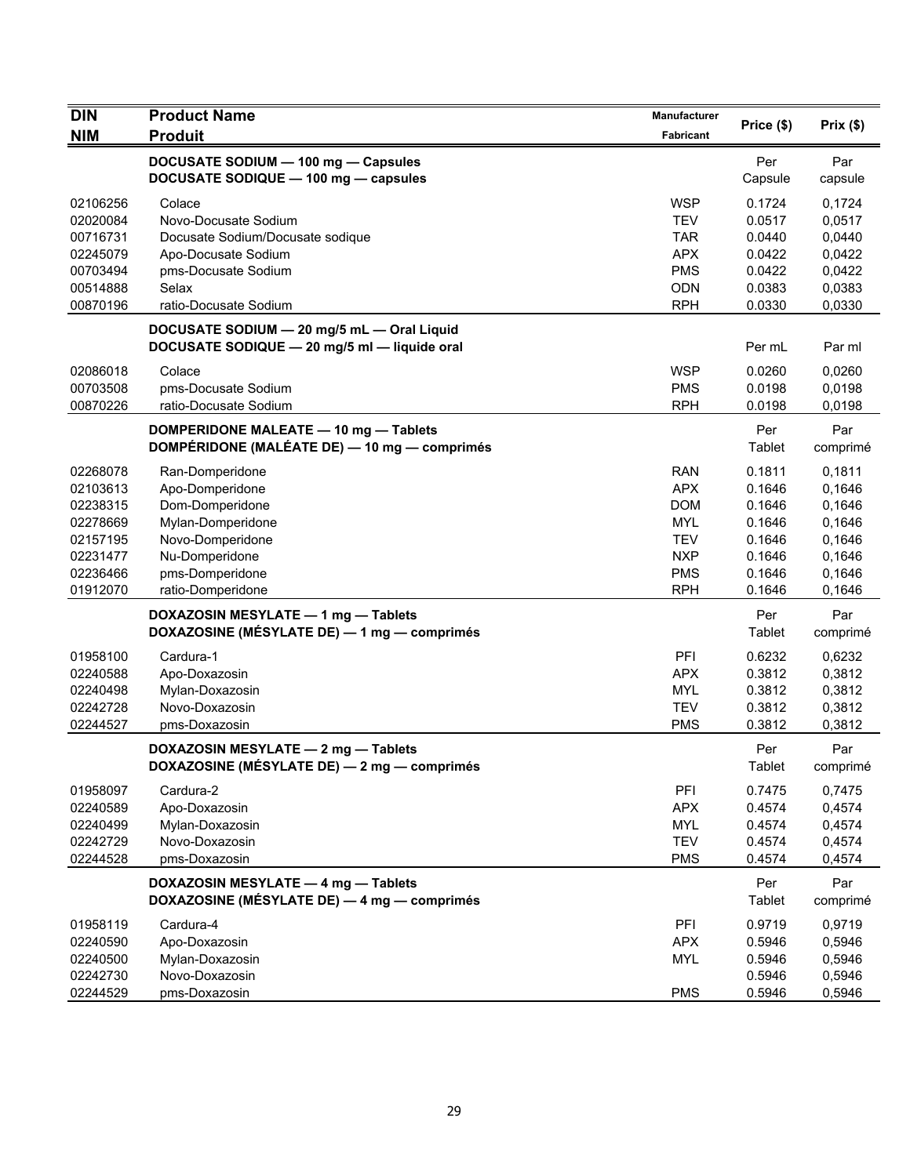| DOCUSATE SODIUM - 100 mg - Capsules<br>Per<br>Par<br>DOCUSATE SODIQUE - 100 mg - capsules<br>Capsule<br>capsule<br><b>WSP</b><br>02106256<br>Colace<br>0.1724<br>0,1724<br><b>TEV</b><br>0.0517<br>0,0517<br>02020084<br>Novo-Docusate Sodium<br><b>TAR</b><br>0.0440<br>0,0440<br>00716731<br>Docusate Sodium/Docusate sodique<br><b>APX</b><br>0.0422<br>0,0422<br>02245079<br>Apo-Docusate Sodium<br><b>PMS</b><br>0.0422<br>00703494<br>pms-Docusate Sodium<br>0,0422<br>Selax<br>0.0383<br>0,0383<br>00514888<br><b>ODN</b><br>00870196<br><b>RPH</b><br>0.0330<br>0,0330<br>ratio-Docusate Sodium<br>DOCUSATE SODIUM - 20 mg/5 mL - Oral Liquid<br>DOCUSATE SODIQUE - 20 mg/5 ml - liquide oral<br>Per mL<br>Par ml<br><b>WSP</b><br>02086018<br>Colace<br>0.0260<br>0,0260<br>00703508<br>pms-Docusate Sodium<br><b>PMS</b><br>0.0198<br>0,0198<br><b>RPH</b><br>00870226<br>ratio-Docusate Sodium<br>0.0198<br>0,0198<br>Per<br>Par<br>DOMPERIDONE MALEATE - 10 mg - Tablets<br>DOMPÉRIDONE (MALÉATE DE) - 10 mg - comprimés<br>Tablet<br>comprimé<br>0.1811<br>02268078<br><b>RAN</b><br>0,1811<br>Ran-Domperidone<br><b>APX</b><br>02103613<br>Apo-Domperidone<br>0.1646<br>0,1646<br>Dom-Domperidone<br><b>DOM</b><br>02238315<br>0.1646<br>0,1646<br>Mylan-Domperidone<br><b>MYL</b><br>02278669<br>0.1646<br>0,1646<br>02157195<br>Novo-Domperidone<br><b>TEV</b><br>0.1646<br>0,1646<br>02231477<br>Nu-Domperidone<br><b>NXP</b><br>0.1646<br>0,1646<br>pms-Domperidone<br>02236466<br><b>PMS</b><br>0.1646<br>0,1646<br>01912070<br><b>RPH</b><br>0.1646<br>ratio-Domperidone<br>0,1646<br>DOXAZOSIN MESYLATE - 1 mg - Tablets<br>Per<br>Par<br>DOXAZOSINE (MÉSYLATE DE) — 1 mg — comprimés<br>Tablet<br>comprimé<br>PFI<br>0.6232<br>01958100<br>Cardura-1<br>0,6232<br><b>APX</b><br>02240588<br>Apo-Doxazosin<br>0.3812<br>0,3812<br><b>MYL</b><br>0.3812<br>0,3812<br>02240498<br>Mylan-Doxazosin<br>Novo-Doxazosin<br>0.3812<br>02242728<br><b>TEV</b><br>0,3812<br>02244527<br>pms-Doxazosin<br><b>PMS</b><br>0.3812<br>0,3812<br>DOXAZOSIN MESYLATE - 2 mg - Tablets<br>Par<br>Per<br>DOXAZOSINE (MÉSYLATE DE) — 2 mg — comprimés<br>Tablet<br>comprimé<br>01958097<br>PFI<br>0.7475<br>0,7475<br>Cardura-2<br><b>APX</b><br>0.4574<br>0,4574<br>02240589<br>Apo-Doxazosin<br><b>MYL</b><br>0,4574<br>02240499<br>Mylan-Doxazosin<br>0.4574<br>02242729<br>Novo-Doxazosin<br><b>TEV</b><br>0.4574<br>0,4574<br>02244528<br>pms-Doxazosin<br><b>PMS</b><br>0.4574<br>0,4574<br>DOXAZOSIN MESYLATE - 4 mg - Tablets<br>Per<br>Par<br>DOXAZOSINE (MÉSYLATE DE) - 4 mg - comprimés<br>Tablet<br>comprimé<br>Cardura-4<br>PFI<br>0.9719<br>0,9719<br>01958119<br><b>APX</b><br>0.5946<br>0,5946<br>02240590<br>Apo-Doxazosin<br><b>MYL</b><br>0.5946<br>0,5946<br>02240500<br>Mylan-Doxazosin<br>02242730<br>Novo-Doxazosin<br>0.5946<br>0,5946<br>02244529<br><b>PMS</b><br>0,5946<br>pms-Doxazosin<br>0.5946 | <b>DIN</b><br><b>NIM</b> | <b>Product Name</b><br><b>Produit</b> | Manufacturer<br>Fabricant | Price (\$) | Prix(\$) |
|---------------------------------------------------------------------------------------------------------------------------------------------------------------------------------------------------------------------------------------------------------------------------------------------------------------------------------------------------------------------------------------------------------------------------------------------------------------------------------------------------------------------------------------------------------------------------------------------------------------------------------------------------------------------------------------------------------------------------------------------------------------------------------------------------------------------------------------------------------------------------------------------------------------------------------------------------------------------------------------------------------------------------------------------------------------------------------------------------------------------------------------------------------------------------------------------------------------------------------------------------------------------------------------------------------------------------------------------------------------------------------------------------------------------------------------------------------------------------------------------------------------------------------------------------------------------------------------------------------------------------------------------------------------------------------------------------------------------------------------------------------------------------------------------------------------------------------------------------------------------------------------------------------------------------------------------------------------------------------------------------------------------------------------------------------------------------------------------------------------------------------------------------------------------------------------------------------------------------------------------------------------------------------------------------------------------------------------------------------------------------------------------------------------------------------------------------------------------------------------------------------------------------------------------------------------------------------------------------------------------------------------------------------------------------------------------------------------------------------------------------------------------------------------------------------------------------------------------------------------------------------------------------------------------------------|--------------------------|---------------------------------------|---------------------------|------------|----------|
|                                                                                                                                                                                                                                                                                                                                                                                                                                                                                                                                                                                                                                                                                                                                                                                                                                                                                                                                                                                                                                                                                                                                                                                                                                                                                                                                                                                                                                                                                                                                                                                                                                                                                                                                                                                                                                                                                                                                                                                                                                                                                                                                                                                                                                                                                                                                                                                                                                                                                                                                                                                                                                                                                                                                                                                                                                                                                                                                 |                          |                                       |                           |            |          |
|                                                                                                                                                                                                                                                                                                                                                                                                                                                                                                                                                                                                                                                                                                                                                                                                                                                                                                                                                                                                                                                                                                                                                                                                                                                                                                                                                                                                                                                                                                                                                                                                                                                                                                                                                                                                                                                                                                                                                                                                                                                                                                                                                                                                                                                                                                                                                                                                                                                                                                                                                                                                                                                                                                                                                                                                                                                                                                                                 |                          |                                       |                           |            |          |
|                                                                                                                                                                                                                                                                                                                                                                                                                                                                                                                                                                                                                                                                                                                                                                                                                                                                                                                                                                                                                                                                                                                                                                                                                                                                                                                                                                                                                                                                                                                                                                                                                                                                                                                                                                                                                                                                                                                                                                                                                                                                                                                                                                                                                                                                                                                                                                                                                                                                                                                                                                                                                                                                                                                                                                                                                                                                                                                                 |                          |                                       |                           |            |          |
|                                                                                                                                                                                                                                                                                                                                                                                                                                                                                                                                                                                                                                                                                                                                                                                                                                                                                                                                                                                                                                                                                                                                                                                                                                                                                                                                                                                                                                                                                                                                                                                                                                                                                                                                                                                                                                                                                                                                                                                                                                                                                                                                                                                                                                                                                                                                                                                                                                                                                                                                                                                                                                                                                                                                                                                                                                                                                                                                 |                          |                                       |                           |            |          |
|                                                                                                                                                                                                                                                                                                                                                                                                                                                                                                                                                                                                                                                                                                                                                                                                                                                                                                                                                                                                                                                                                                                                                                                                                                                                                                                                                                                                                                                                                                                                                                                                                                                                                                                                                                                                                                                                                                                                                                                                                                                                                                                                                                                                                                                                                                                                                                                                                                                                                                                                                                                                                                                                                                                                                                                                                                                                                                                                 |                          |                                       |                           |            |          |
|                                                                                                                                                                                                                                                                                                                                                                                                                                                                                                                                                                                                                                                                                                                                                                                                                                                                                                                                                                                                                                                                                                                                                                                                                                                                                                                                                                                                                                                                                                                                                                                                                                                                                                                                                                                                                                                                                                                                                                                                                                                                                                                                                                                                                                                                                                                                                                                                                                                                                                                                                                                                                                                                                                                                                                                                                                                                                                                                 |                          |                                       |                           |            |          |
|                                                                                                                                                                                                                                                                                                                                                                                                                                                                                                                                                                                                                                                                                                                                                                                                                                                                                                                                                                                                                                                                                                                                                                                                                                                                                                                                                                                                                                                                                                                                                                                                                                                                                                                                                                                                                                                                                                                                                                                                                                                                                                                                                                                                                                                                                                                                                                                                                                                                                                                                                                                                                                                                                                                                                                                                                                                                                                                                 |                          |                                       |                           |            |          |
|                                                                                                                                                                                                                                                                                                                                                                                                                                                                                                                                                                                                                                                                                                                                                                                                                                                                                                                                                                                                                                                                                                                                                                                                                                                                                                                                                                                                                                                                                                                                                                                                                                                                                                                                                                                                                                                                                                                                                                                                                                                                                                                                                                                                                                                                                                                                                                                                                                                                                                                                                                                                                                                                                                                                                                                                                                                                                                                                 |                          |                                       |                           |            |          |
|                                                                                                                                                                                                                                                                                                                                                                                                                                                                                                                                                                                                                                                                                                                                                                                                                                                                                                                                                                                                                                                                                                                                                                                                                                                                                                                                                                                                                                                                                                                                                                                                                                                                                                                                                                                                                                                                                                                                                                                                                                                                                                                                                                                                                                                                                                                                                                                                                                                                                                                                                                                                                                                                                                                                                                                                                                                                                                                                 |                          |                                       |                           |            |          |
|                                                                                                                                                                                                                                                                                                                                                                                                                                                                                                                                                                                                                                                                                                                                                                                                                                                                                                                                                                                                                                                                                                                                                                                                                                                                                                                                                                                                                                                                                                                                                                                                                                                                                                                                                                                                                                                                                                                                                                                                                                                                                                                                                                                                                                                                                                                                                                                                                                                                                                                                                                                                                                                                                                                                                                                                                                                                                                                                 |                          |                                       |                           |            |          |
|                                                                                                                                                                                                                                                                                                                                                                                                                                                                                                                                                                                                                                                                                                                                                                                                                                                                                                                                                                                                                                                                                                                                                                                                                                                                                                                                                                                                                                                                                                                                                                                                                                                                                                                                                                                                                                                                                                                                                                                                                                                                                                                                                                                                                                                                                                                                                                                                                                                                                                                                                                                                                                                                                                                                                                                                                                                                                                                                 |                          |                                       |                           |            |          |
|                                                                                                                                                                                                                                                                                                                                                                                                                                                                                                                                                                                                                                                                                                                                                                                                                                                                                                                                                                                                                                                                                                                                                                                                                                                                                                                                                                                                                                                                                                                                                                                                                                                                                                                                                                                                                                                                                                                                                                                                                                                                                                                                                                                                                                                                                                                                                                                                                                                                                                                                                                                                                                                                                                                                                                                                                                                                                                                                 |                          |                                       |                           |            |          |
|                                                                                                                                                                                                                                                                                                                                                                                                                                                                                                                                                                                                                                                                                                                                                                                                                                                                                                                                                                                                                                                                                                                                                                                                                                                                                                                                                                                                                                                                                                                                                                                                                                                                                                                                                                                                                                                                                                                                                                                                                                                                                                                                                                                                                                                                                                                                                                                                                                                                                                                                                                                                                                                                                                                                                                                                                                                                                                                                 |                          |                                       |                           |            |          |
|                                                                                                                                                                                                                                                                                                                                                                                                                                                                                                                                                                                                                                                                                                                                                                                                                                                                                                                                                                                                                                                                                                                                                                                                                                                                                                                                                                                                                                                                                                                                                                                                                                                                                                                                                                                                                                                                                                                                                                                                                                                                                                                                                                                                                                                                                                                                                                                                                                                                                                                                                                                                                                                                                                                                                                                                                                                                                                                                 |                          |                                       |                           |            |          |
|                                                                                                                                                                                                                                                                                                                                                                                                                                                                                                                                                                                                                                                                                                                                                                                                                                                                                                                                                                                                                                                                                                                                                                                                                                                                                                                                                                                                                                                                                                                                                                                                                                                                                                                                                                                                                                                                                                                                                                                                                                                                                                                                                                                                                                                                                                                                                                                                                                                                                                                                                                                                                                                                                                                                                                                                                                                                                                                                 |                          |                                       |                           |            |          |
|                                                                                                                                                                                                                                                                                                                                                                                                                                                                                                                                                                                                                                                                                                                                                                                                                                                                                                                                                                                                                                                                                                                                                                                                                                                                                                                                                                                                                                                                                                                                                                                                                                                                                                                                                                                                                                                                                                                                                                                                                                                                                                                                                                                                                                                                                                                                                                                                                                                                                                                                                                                                                                                                                                                                                                                                                                                                                                                                 |                          |                                       |                           |            |          |
|                                                                                                                                                                                                                                                                                                                                                                                                                                                                                                                                                                                                                                                                                                                                                                                                                                                                                                                                                                                                                                                                                                                                                                                                                                                                                                                                                                                                                                                                                                                                                                                                                                                                                                                                                                                                                                                                                                                                                                                                                                                                                                                                                                                                                                                                                                                                                                                                                                                                                                                                                                                                                                                                                                                                                                                                                                                                                                                                 |                          |                                       |                           |            |          |
|                                                                                                                                                                                                                                                                                                                                                                                                                                                                                                                                                                                                                                                                                                                                                                                                                                                                                                                                                                                                                                                                                                                                                                                                                                                                                                                                                                                                                                                                                                                                                                                                                                                                                                                                                                                                                                                                                                                                                                                                                                                                                                                                                                                                                                                                                                                                                                                                                                                                                                                                                                                                                                                                                                                                                                                                                                                                                                                                 |                          |                                       |                           |            |          |
|                                                                                                                                                                                                                                                                                                                                                                                                                                                                                                                                                                                                                                                                                                                                                                                                                                                                                                                                                                                                                                                                                                                                                                                                                                                                                                                                                                                                                                                                                                                                                                                                                                                                                                                                                                                                                                                                                                                                                                                                                                                                                                                                                                                                                                                                                                                                                                                                                                                                                                                                                                                                                                                                                                                                                                                                                                                                                                                                 |                          |                                       |                           |            |          |
|                                                                                                                                                                                                                                                                                                                                                                                                                                                                                                                                                                                                                                                                                                                                                                                                                                                                                                                                                                                                                                                                                                                                                                                                                                                                                                                                                                                                                                                                                                                                                                                                                                                                                                                                                                                                                                                                                                                                                                                                                                                                                                                                                                                                                                                                                                                                                                                                                                                                                                                                                                                                                                                                                                                                                                                                                                                                                                                                 |                          |                                       |                           |            |          |
|                                                                                                                                                                                                                                                                                                                                                                                                                                                                                                                                                                                                                                                                                                                                                                                                                                                                                                                                                                                                                                                                                                                                                                                                                                                                                                                                                                                                                                                                                                                                                                                                                                                                                                                                                                                                                                                                                                                                                                                                                                                                                                                                                                                                                                                                                                                                                                                                                                                                                                                                                                                                                                                                                                                                                                                                                                                                                                                                 |                          |                                       |                           |            |          |
|                                                                                                                                                                                                                                                                                                                                                                                                                                                                                                                                                                                                                                                                                                                                                                                                                                                                                                                                                                                                                                                                                                                                                                                                                                                                                                                                                                                                                                                                                                                                                                                                                                                                                                                                                                                                                                                                                                                                                                                                                                                                                                                                                                                                                                                                                                                                                                                                                                                                                                                                                                                                                                                                                                                                                                                                                                                                                                                                 |                          |                                       |                           |            |          |
|                                                                                                                                                                                                                                                                                                                                                                                                                                                                                                                                                                                                                                                                                                                                                                                                                                                                                                                                                                                                                                                                                                                                                                                                                                                                                                                                                                                                                                                                                                                                                                                                                                                                                                                                                                                                                                                                                                                                                                                                                                                                                                                                                                                                                                                                                                                                                                                                                                                                                                                                                                                                                                                                                                                                                                                                                                                                                                                                 |                          |                                       |                           |            |          |
|                                                                                                                                                                                                                                                                                                                                                                                                                                                                                                                                                                                                                                                                                                                                                                                                                                                                                                                                                                                                                                                                                                                                                                                                                                                                                                                                                                                                                                                                                                                                                                                                                                                                                                                                                                                                                                                                                                                                                                                                                                                                                                                                                                                                                                                                                                                                                                                                                                                                                                                                                                                                                                                                                                                                                                                                                                                                                                                                 |                          |                                       |                           |            |          |
|                                                                                                                                                                                                                                                                                                                                                                                                                                                                                                                                                                                                                                                                                                                                                                                                                                                                                                                                                                                                                                                                                                                                                                                                                                                                                                                                                                                                                                                                                                                                                                                                                                                                                                                                                                                                                                                                                                                                                                                                                                                                                                                                                                                                                                                                                                                                                                                                                                                                                                                                                                                                                                                                                                                                                                                                                                                                                                                                 |                          |                                       |                           |            |          |
|                                                                                                                                                                                                                                                                                                                                                                                                                                                                                                                                                                                                                                                                                                                                                                                                                                                                                                                                                                                                                                                                                                                                                                                                                                                                                                                                                                                                                                                                                                                                                                                                                                                                                                                                                                                                                                                                                                                                                                                                                                                                                                                                                                                                                                                                                                                                                                                                                                                                                                                                                                                                                                                                                                                                                                                                                                                                                                                                 |                          |                                       |                           |            |          |
|                                                                                                                                                                                                                                                                                                                                                                                                                                                                                                                                                                                                                                                                                                                                                                                                                                                                                                                                                                                                                                                                                                                                                                                                                                                                                                                                                                                                                                                                                                                                                                                                                                                                                                                                                                                                                                                                                                                                                                                                                                                                                                                                                                                                                                                                                                                                                                                                                                                                                                                                                                                                                                                                                                                                                                                                                                                                                                                                 |                          |                                       |                           |            |          |
|                                                                                                                                                                                                                                                                                                                                                                                                                                                                                                                                                                                                                                                                                                                                                                                                                                                                                                                                                                                                                                                                                                                                                                                                                                                                                                                                                                                                                                                                                                                                                                                                                                                                                                                                                                                                                                                                                                                                                                                                                                                                                                                                                                                                                                                                                                                                                                                                                                                                                                                                                                                                                                                                                                                                                                                                                                                                                                                                 |                          |                                       |                           |            |          |
|                                                                                                                                                                                                                                                                                                                                                                                                                                                                                                                                                                                                                                                                                                                                                                                                                                                                                                                                                                                                                                                                                                                                                                                                                                                                                                                                                                                                                                                                                                                                                                                                                                                                                                                                                                                                                                                                                                                                                                                                                                                                                                                                                                                                                                                                                                                                                                                                                                                                                                                                                                                                                                                                                                                                                                                                                                                                                                                                 |                          |                                       |                           |            |          |
|                                                                                                                                                                                                                                                                                                                                                                                                                                                                                                                                                                                                                                                                                                                                                                                                                                                                                                                                                                                                                                                                                                                                                                                                                                                                                                                                                                                                                                                                                                                                                                                                                                                                                                                                                                                                                                                                                                                                                                                                                                                                                                                                                                                                                                                                                                                                                                                                                                                                                                                                                                                                                                                                                                                                                                                                                                                                                                                                 |                          |                                       |                           |            |          |
|                                                                                                                                                                                                                                                                                                                                                                                                                                                                                                                                                                                                                                                                                                                                                                                                                                                                                                                                                                                                                                                                                                                                                                                                                                                                                                                                                                                                                                                                                                                                                                                                                                                                                                                                                                                                                                                                                                                                                                                                                                                                                                                                                                                                                                                                                                                                                                                                                                                                                                                                                                                                                                                                                                                                                                                                                                                                                                                                 |                          |                                       |                           |            |          |
|                                                                                                                                                                                                                                                                                                                                                                                                                                                                                                                                                                                                                                                                                                                                                                                                                                                                                                                                                                                                                                                                                                                                                                                                                                                                                                                                                                                                                                                                                                                                                                                                                                                                                                                                                                                                                                                                                                                                                                                                                                                                                                                                                                                                                                                                                                                                                                                                                                                                                                                                                                                                                                                                                                                                                                                                                                                                                                                                 |                          |                                       |                           |            |          |
|                                                                                                                                                                                                                                                                                                                                                                                                                                                                                                                                                                                                                                                                                                                                                                                                                                                                                                                                                                                                                                                                                                                                                                                                                                                                                                                                                                                                                                                                                                                                                                                                                                                                                                                                                                                                                                                                                                                                                                                                                                                                                                                                                                                                                                                                                                                                                                                                                                                                                                                                                                                                                                                                                                                                                                                                                                                                                                                                 |                          |                                       |                           |            |          |
|                                                                                                                                                                                                                                                                                                                                                                                                                                                                                                                                                                                                                                                                                                                                                                                                                                                                                                                                                                                                                                                                                                                                                                                                                                                                                                                                                                                                                                                                                                                                                                                                                                                                                                                                                                                                                                                                                                                                                                                                                                                                                                                                                                                                                                                                                                                                                                                                                                                                                                                                                                                                                                                                                                                                                                                                                                                                                                                                 |                          |                                       |                           |            |          |
|                                                                                                                                                                                                                                                                                                                                                                                                                                                                                                                                                                                                                                                                                                                                                                                                                                                                                                                                                                                                                                                                                                                                                                                                                                                                                                                                                                                                                                                                                                                                                                                                                                                                                                                                                                                                                                                                                                                                                                                                                                                                                                                                                                                                                                                                                                                                                                                                                                                                                                                                                                                                                                                                                                                                                                                                                                                                                                                                 |                          |                                       |                           |            |          |
|                                                                                                                                                                                                                                                                                                                                                                                                                                                                                                                                                                                                                                                                                                                                                                                                                                                                                                                                                                                                                                                                                                                                                                                                                                                                                                                                                                                                                                                                                                                                                                                                                                                                                                                                                                                                                                                                                                                                                                                                                                                                                                                                                                                                                                                                                                                                                                                                                                                                                                                                                                                                                                                                                                                                                                                                                                                                                                                                 |                          |                                       |                           |            |          |
|                                                                                                                                                                                                                                                                                                                                                                                                                                                                                                                                                                                                                                                                                                                                                                                                                                                                                                                                                                                                                                                                                                                                                                                                                                                                                                                                                                                                                                                                                                                                                                                                                                                                                                                                                                                                                                                                                                                                                                                                                                                                                                                                                                                                                                                                                                                                                                                                                                                                                                                                                                                                                                                                                                                                                                                                                                                                                                                                 |                          |                                       |                           |            |          |
|                                                                                                                                                                                                                                                                                                                                                                                                                                                                                                                                                                                                                                                                                                                                                                                                                                                                                                                                                                                                                                                                                                                                                                                                                                                                                                                                                                                                                                                                                                                                                                                                                                                                                                                                                                                                                                                                                                                                                                                                                                                                                                                                                                                                                                                                                                                                                                                                                                                                                                                                                                                                                                                                                                                                                                                                                                                                                                                                 |                          |                                       |                           |            |          |
|                                                                                                                                                                                                                                                                                                                                                                                                                                                                                                                                                                                                                                                                                                                                                                                                                                                                                                                                                                                                                                                                                                                                                                                                                                                                                                                                                                                                                                                                                                                                                                                                                                                                                                                                                                                                                                                                                                                                                                                                                                                                                                                                                                                                                                                                                                                                                                                                                                                                                                                                                                                                                                                                                                                                                                                                                                                                                                                                 |                          |                                       |                           |            |          |
|                                                                                                                                                                                                                                                                                                                                                                                                                                                                                                                                                                                                                                                                                                                                                                                                                                                                                                                                                                                                                                                                                                                                                                                                                                                                                                                                                                                                                                                                                                                                                                                                                                                                                                                                                                                                                                                                                                                                                                                                                                                                                                                                                                                                                                                                                                                                                                                                                                                                                                                                                                                                                                                                                                                                                                                                                                                                                                                                 |                          |                                       |                           |            |          |
|                                                                                                                                                                                                                                                                                                                                                                                                                                                                                                                                                                                                                                                                                                                                                                                                                                                                                                                                                                                                                                                                                                                                                                                                                                                                                                                                                                                                                                                                                                                                                                                                                                                                                                                                                                                                                                                                                                                                                                                                                                                                                                                                                                                                                                                                                                                                                                                                                                                                                                                                                                                                                                                                                                                                                                                                                                                                                                                                 |                          |                                       |                           |            |          |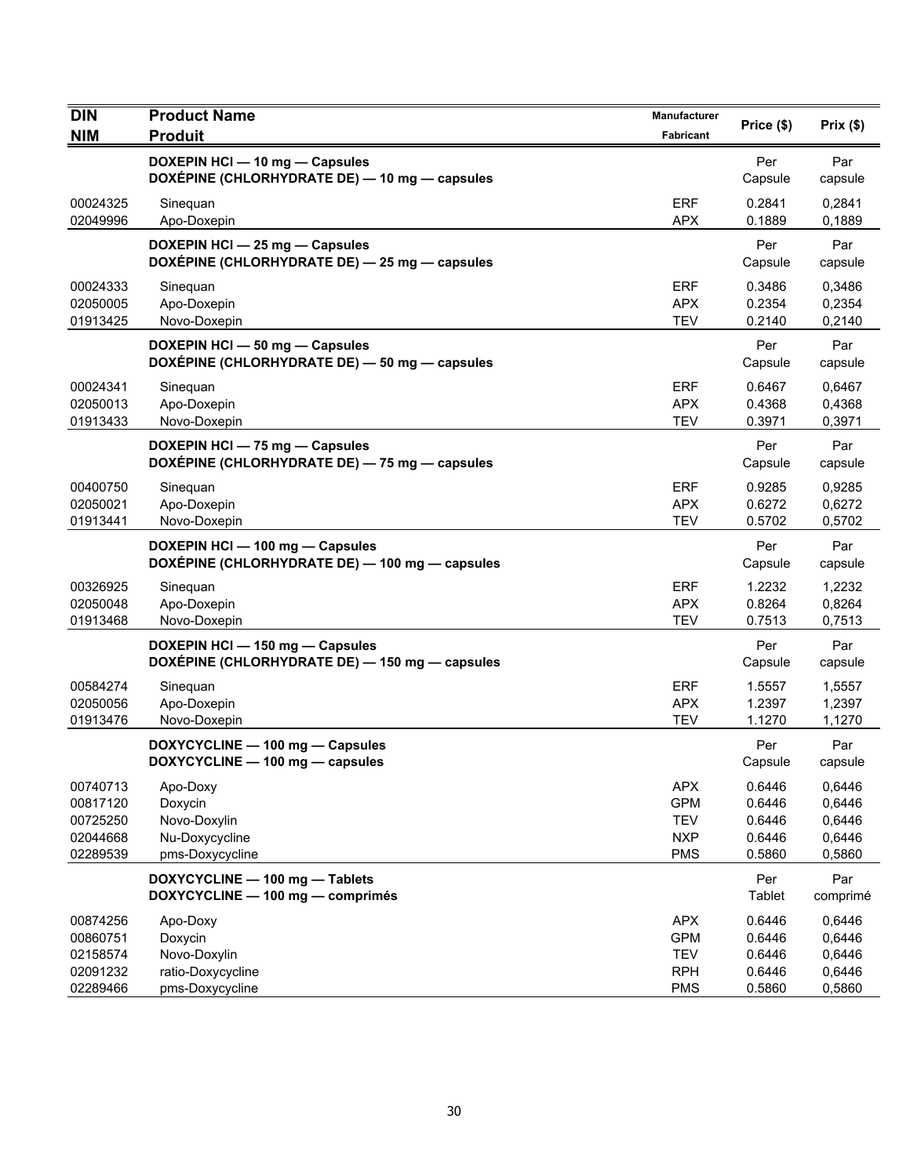| <b>DIN</b>                                               | <b>Product Name</b>                                                               | Manufacturer                                                       | Price (\$)                                     | Prix(\$)                                       |
|----------------------------------------------------------|-----------------------------------------------------------------------------------|--------------------------------------------------------------------|------------------------------------------------|------------------------------------------------|
| <b>NIM</b>                                               | <b>Produit</b>                                                                    | <b>Fabricant</b>                                                   |                                                |                                                |
|                                                          | DOXEPIN HCI - 10 mg - Capsules<br>DOXÉPINE (CHLORHYDRATE DE) - 10 mg - capsules   |                                                                    | Per<br>Capsule                                 | Par<br>capsule                                 |
| 00024325<br>02049996                                     | Sinequan<br>Apo-Doxepin                                                           | <b>ERF</b><br><b>APX</b>                                           | 0.2841<br>0.1889                               | 0,2841<br>0,1889                               |
|                                                          | DOXEPIN HCI - 25 mg - Capsules<br>DOXÉPINE (CHLORHYDRATE DE) - 25 mg - capsules   |                                                                    | Per<br>Capsule                                 | Par<br>capsule                                 |
| 00024333<br>02050005<br>01913425                         | Sinequan<br>Apo-Doxepin<br>Novo-Doxepin                                           | <b>ERF</b><br><b>APX</b><br><b>TEV</b>                             | 0.3486<br>0.2354<br>0.2140                     | 0,3486<br>0,2354<br>0,2140                     |
|                                                          | DOXEPIN HCI - 50 mg - Capsules<br>DOXÉPINE (CHLORHYDRATE DE) - 50 mg - capsules   |                                                                    | Per<br>Capsule                                 | Par<br>capsule                                 |
| 00024341<br>02050013<br>01913433                         | Sinequan<br>Apo-Doxepin<br>Novo-Doxepin                                           | <b>ERF</b><br><b>APX</b><br><b>TEV</b>                             | 0.6467<br>0.4368<br>0.3971                     | 0,6467<br>0,4368<br>0,3971                     |
|                                                          | DOXEPIN HCI - 75 mg - Capsules<br>DOXÉPINE (CHLORHYDRATE DE) - 75 mg - capsules   |                                                                    | Per<br>Capsule                                 | Par<br>capsule                                 |
| 00400750<br>02050021<br>01913441                         | Sinequan<br>Apo-Doxepin<br>Novo-Doxepin                                           | <b>ERF</b><br><b>APX</b><br><b>TEV</b>                             | 0.9285<br>0.6272<br>0.5702                     | 0,9285<br>0,6272<br>0,5702                     |
|                                                          | DOXEPIN HCI - 100 mg - Capsules<br>DOXÉPINE (CHLORHYDRATE DE) - 100 mg - capsules |                                                                    | Per<br>Capsule                                 | Par<br>capsule                                 |
| 00326925<br>02050048<br>01913468                         | Sinequan<br>Apo-Doxepin<br>Novo-Doxepin                                           | <b>ERF</b><br><b>APX</b><br><b>TEV</b>                             | 1.2232<br>0.8264<br>0.7513                     | 1,2232<br>0,8264<br>0,7513                     |
|                                                          | DOXEPIN HCI - 150 mg - Capsules<br>DOXÉPINE (CHLORHYDRATE DE) - 150 mg - capsules |                                                                    | Per<br>Capsule                                 | Par<br>capsule                                 |
| 00584274<br>02050056<br>01913476                         | Sineguan<br>Apo-Doxepin<br>Novo-Doxepin                                           | <b>ERF</b><br><b>APX</b><br><b>TEV</b>                             | 1.5557<br>1.2397<br>1.1270                     | 1,5557<br>1,2397<br>1,1270                     |
|                                                          | DOXYCYCLINE - 100 mg - Capsules<br>DOXYCYCLINE - 100 mg - capsules                |                                                                    | Per<br>Capsule                                 | Par<br>capsule                                 |
| 00740713<br>00817120<br>00725250<br>02044668<br>02289539 | Apo-Doxy<br>Doxycin<br>Novo-Doxylin<br>Nu-Doxycycline<br>pms-Doxycycline          | <b>APX</b><br><b>GPM</b><br><b>TEV</b><br><b>NXP</b><br><b>PMS</b> | 0.6446<br>0.6446<br>0.6446<br>0.6446<br>0.5860 | 0,6446<br>0,6446<br>0,6446<br>0,6446<br>0,5860 |
|                                                          | DOXYCYCLINE - 100 mg - Tablets<br>DOXYCYCLINE - 100 mg - comprimés                |                                                                    | Per<br>Tablet                                  | Par<br>comprimé                                |
| 00874256<br>00860751<br>02158574<br>02091232<br>02289466 | Apo-Doxy<br>Doxycin<br>Novo-Doxylin<br>ratio-Doxycycline<br>pms-Doxycycline       | <b>APX</b><br><b>GPM</b><br><b>TEV</b><br><b>RPH</b><br><b>PMS</b> | 0.6446<br>0.6446<br>0.6446<br>0.6446<br>0.5860 | 0,6446<br>0,6446<br>0,6446<br>0,6446<br>0,5860 |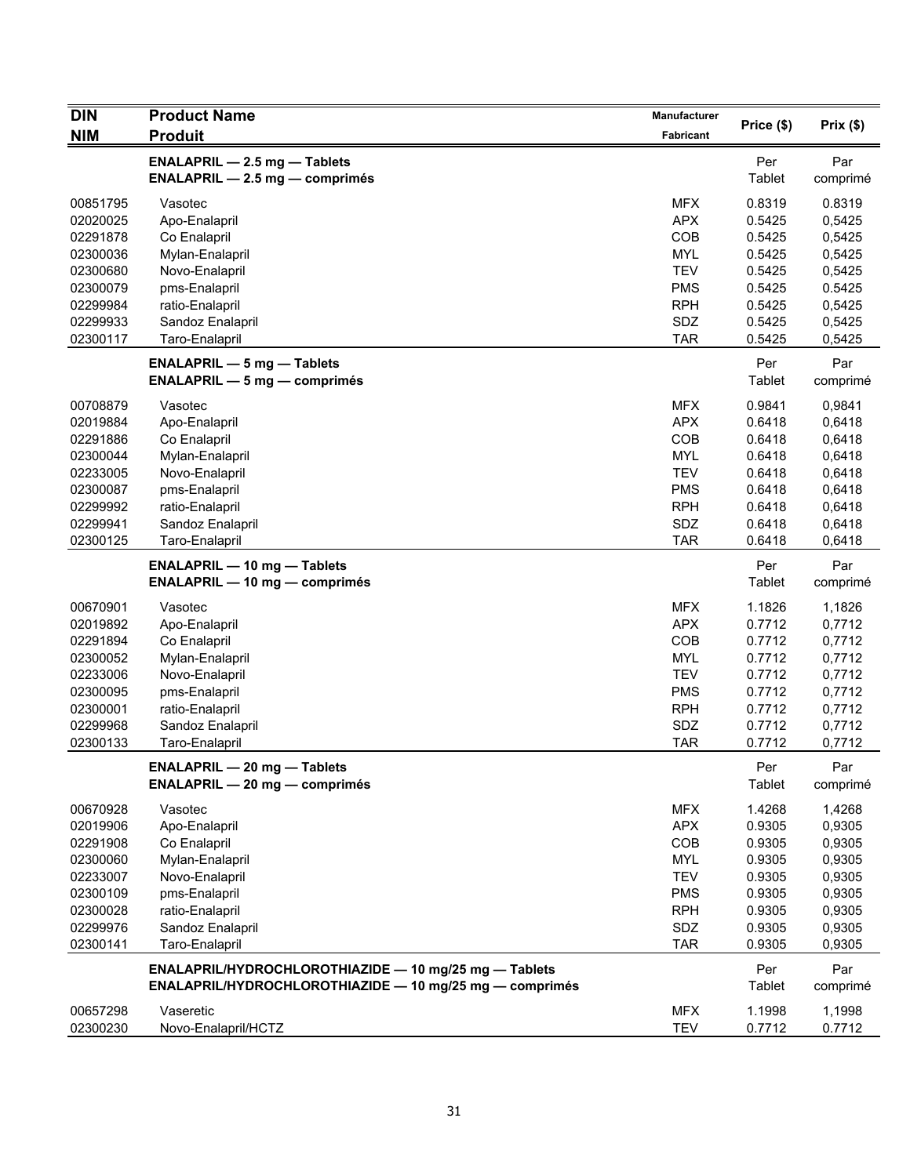| <b>DIN</b> | <b>Product Name</b>                                                          | Manufacturer |               | Prix(\$)        |
|------------|------------------------------------------------------------------------------|--------------|---------------|-----------------|
| <b>NIM</b> | <b>Produit</b>                                                               | Fabricant    | Price (\$)    |                 |
|            | <b>ENALAPRIL - 2.5 mg - Tablets</b><br><b>ENALAPRIL - 2.5 mg - comprimés</b> |              | Per<br>Tablet | Par<br>comprimé |
| 00851795   | Vasotec                                                                      | <b>MFX</b>   | 0.8319        | 0.8319          |
| 02020025   | Apo-Enalapril                                                                | <b>APX</b>   | 0.5425        | 0,5425          |
| 02291878   | Co Enalapril                                                                 | COB          | 0.5425        | 0,5425          |
| 02300036   | Mylan-Enalapril                                                              | <b>MYL</b>   | 0.5425        | 0,5425          |
| 02300680   | Novo-Enalapril                                                               | <b>TEV</b>   | 0.5425        | 0,5425          |
| 02300079   | pms-Enalapril                                                                | <b>PMS</b>   | 0.5425        | 0.5425          |
| 02299984   | ratio-Enalapril                                                              | <b>RPH</b>   | 0.5425        | 0,5425          |
| 02299933   | Sandoz Enalapril                                                             | SDZ          | 0.5425        | 0,5425          |
| 02300117   | Taro-Enalapril                                                               | <b>TAR</b>   | 0.5425        | 0,5425          |
|            | <b>ENALAPRIL - 5 mg - Tablets</b><br><b>ENALAPRIL - 5 mg - comprimés</b>     |              | Per<br>Tablet | Par<br>comprimé |
| 00708879   | Vasotec                                                                      | <b>MFX</b>   | 0.9841        | 0,9841          |
| 02019884   | Apo-Enalapril                                                                | <b>APX</b>   | 0.6418        | 0,6418          |
| 02291886   | Co Enalapril                                                                 | COB          | 0.6418        | 0,6418          |
| 02300044   | Mylan-Enalapril                                                              | MYL          | 0.6418        | 0,6418          |
| 02233005   | Novo-Enalapril                                                               | <b>TEV</b>   | 0.6418        | 0,6418          |
| 02300087   | pms-Enalapril                                                                | <b>PMS</b>   | 0.6418        | 0,6418          |
| 02299992   | ratio-Enalapril                                                              | <b>RPH</b>   | 0.6418        | 0,6418          |
| 02299941   | Sandoz Enalapril                                                             | SDZ          | 0.6418        | 0,6418          |
| 02300125   | Taro-Enalapril                                                               | <b>TAR</b>   | 0.6418        | 0,6418          |
|            | <b>ENALAPRIL - 10 mg - Tablets</b>                                           |              | Per           | Par             |
|            | <b>ENALAPRIL - 10 mg - comprimés</b>                                         |              | Tablet        | comprimé        |
| 00670901   | Vasotec                                                                      | <b>MFX</b>   | 1.1826        | 1,1826          |
| 02019892   | Apo-Enalapril                                                                | <b>APX</b>   | 0.7712        | 0,7712          |
| 02291894   | Co Enalapril                                                                 | COB          | 0.7712        | 0,7712          |
| 02300052   | Mylan-Enalapril                                                              | <b>MYL</b>   | 0.7712        | 0,7712          |
| 02233006   | Novo-Enalapril                                                               | <b>TEV</b>   | 0.7712        | 0,7712          |
| 02300095   | pms-Enalapril                                                                | <b>PMS</b>   | 0.7712        | 0,7712          |
| 02300001   | ratio-Enalapril                                                              | <b>RPH</b>   | 0.7712        | 0,7712          |
| 02299968   | Sandoz Enalapril                                                             | SDZ          | 0.7712        | 0,7712          |
| 02300133   | Taro-Enalapril                                                               | <b>TAR</b>   | 0.7712        | 0,7712          |
|            | ENALAPRIL - 20 mg - Tablets<br><b>ENALAPRIL - 20 mg - comprimés</b>          |              | Per<br>Tablet | Par<br>comprimé |
| 00670928   | Vasotec                                                                      | <b>MFX</b>   | 1.4268        | 1,4268          |
| 02019906   | Apo-Enalapril                                                                | <b>APX</b>   | 0.9305        | 0,9305          |
| 02291908   | Co Enalapril                                                                 | COB          | 0.9305        | 0,9305          |
| 02300060   | Mylan-Enalapril                                                              | <b>MYL</b>   | 0.9305        | 0,9305          |
| 02233007   | Novo-Enalapril                                                               | <b>TEV</b>   | 0.9305        | 0,9305          |
| 02300109   | pms-Enalapril                                                                | <b>PMS</b>   | 0.9305        | 0,9305          |
| 02300028   | ratio-Enalapril                                                              | <b>RPH</b>   | 0.9305        | 0,9305          |
| 02299976   | Sandoz Enalapril                                                             | <b>SDZ</b>   | 0.9305        | 0,9305          |
| 02300141   | Taro-Enalapril                                                               | <b>TAR</b>   | 0.9305        | 0,9305          |
|            | ENALAPRIL/HYDROCHLOROTHIAZIDE - 10 mg/25 mg - Tablets                        |              | Per           | Par             |
|            | ENALAPRIL/HYDROCHLOROTHIAZIDE - 10 mg/25 mg - comprimés                      |              | <b>Tablet</b> | comprimé        |
| 00657298   | Vaseretic                                                                    | <b>MFX</b>   | 1.1998        | 1,1998          |
| 02300230   | Novo-Enalapril/HCTZ                                                          | <b>TEV</b>   | 0.7712        | 0.7712          |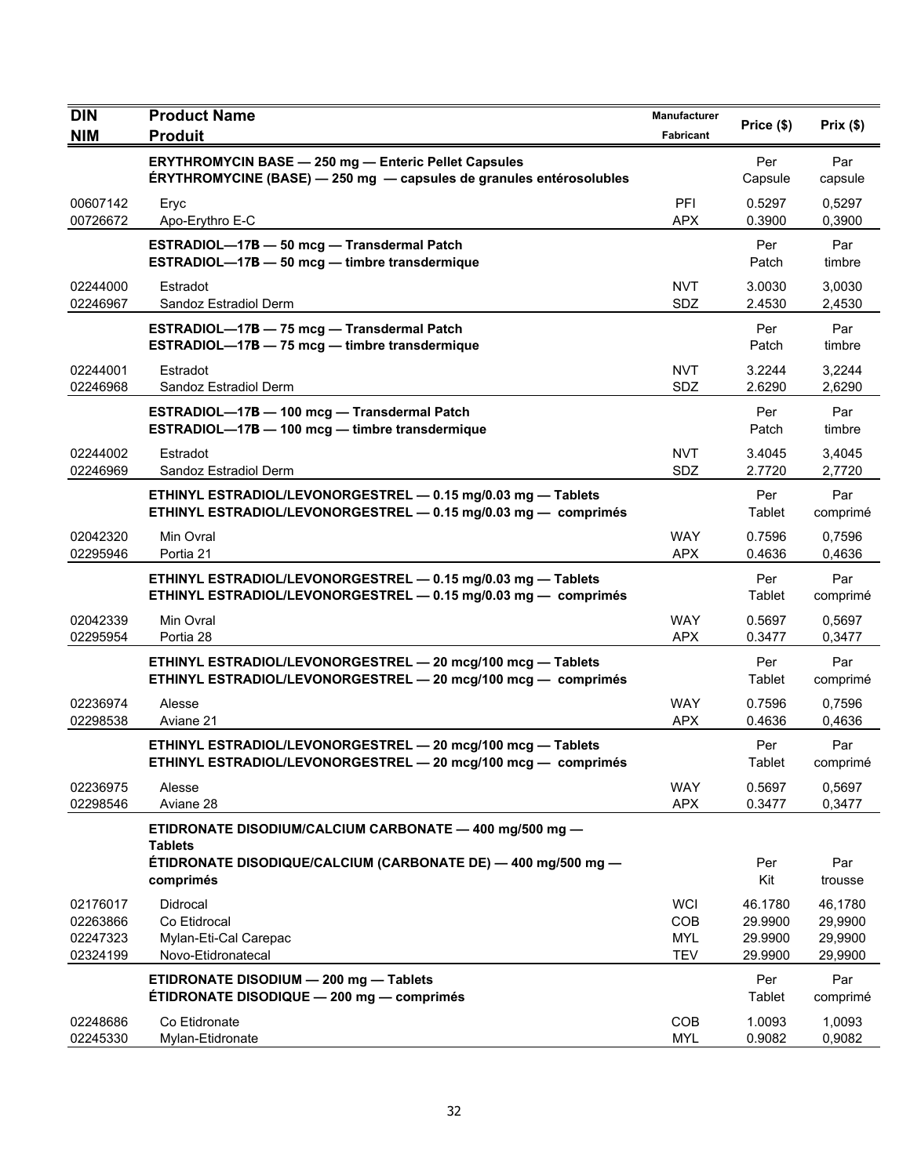| <b>DIN</b>                                   | <b>Product Name</b>                                                                                                                | Manufacturer                                  | Price (\$)                               | Prix(\$)                                 |
|----------------------------------------------|------------------------------------------------------------------------------------------------------------------------------------|-----------------------------------------------|------------------------------------------|------------------------------------------|
| <b>NIM</b>                                   | <b>Produit</b>                                                                                                                     | Fabricant                                     |                                          |                                          |
|                                              | <b>ERYTHROMYCIN BASE - 250 mg - Enteric Pellet Capsules</b><br>ÉRYTHROMYCINE (BASE) - 250 mg - capsules de granules entérosolubles |                                               | Per<br>Capsule                           | Par<br>capsule                           |
| 00607142<br>00726672                         | Eryc<br>Apo-Erythro E-C                                                                                                            | PFI<br><b>APX</b>                             | 0.5297<br>0.3900                         | 0,5297<br>0,3900                         |
|                                              | ESTRADIOL-17B - 50 mcg - Transdermal Patch<br>ESTRADIOL-17B - 50 mcg - timbre transdermique                                        |                                               | Per<br>Patch                             | Par<br>timbre                            |
| 02244000<br>02246967                         | Estradot<br>Sandoz Estradiol Derm                                                                                                  | <b>NVT</b><br>SDZ                             | 3.0030<br>2.4530                         | 3,0030<br>2,4530                         |
|                                              | ESTRADIOL-17B - 75 mcg - Transdermal Patch<br>ESTRADIOL-17B - 75 mcg - timbre transdermique                                        |                                               | Per<br>Patch                             | Par<br>timbre                            |
| 02244001<br>02246968                         | Estradot<br>Sandoz Estradiol Derm                                                                                                  | <b>NVT</b><br>SDZ                             | 3.2244<br>2.6290                         | 3,2244<br>2,6290                         |
|                                              | ESTRADIOL-17B - 100 mcg - Transdermal Patch<br>ESTRADIOL-17B - 100 mcg - timbre transdermique                                      |                                               | Per<br>Patch                             | Par<br>timbre                            |
| 02244002<br>02246969                         | Estradot<br>Sandoz Estradiol Derm                                                                                                  | <b>NVT</b><br>SDZ                             | 3.4045<br>2.7720                         | 3,4045<br>2,7720                         |
|                                              | ETHINYL ESTRADIOL/LEVONORGESTREL - 0.15 mg/0.03 mg - Tablets<br>ETHINYL ESTRADIOL/LEVONORGESTREL - 0.15 mg/0.03 mg - comprimés     |                                               | Per<br>Tablet                            | Par<br>comprimé                          |
| 02042320<br>02295946                         | Min Ovral<br>Portia 21                                                                                                             | <b>WAY</b><br><b>APX</b>                      | 0.7596<br>0.4636                         | 0,7596<br>0,4636                         |
|                                              | ETHINYL ESTRADIOL/LEVONORGESTREL - 0.15 mg/0.03 mg - Tablets<br>ETHINYL ESTRADIOL/LEVONORGESTREL - 0.15 mg/0.03 mg - comprimés     |                                               | Per<br>Tablet                            | Par<br>comprimé                          |
| 02042339<br>02295954                         | Min Ovral<br>Portia 28                                                                                                             | <b>WAY</b><br><b>APX</b>                      | 0.5697<br>0.3477                         | 0,5697<br>0,3477                         |
|                                              | ETHINYL ESTRADIOL/LEVONORGESTREL - 20 mcg/100 mcg - Tablets<br>ETHINYL ESTRADIOL/LEVONORGESTREL - 20 mcg/100 mcg - comprimés       |                                               | Per<br>Tablet                            | Par<br>comprimé                          |
| 02236974<br>02298538                         | Alesse<br>Aviane 21                                                                                                                | <b>WAY</b><br><b>APX</b>                      | 0.7596<br>0.4636                         | 0,7596<br>0,4636                         |
|                                              | ETHINYL ESTRADIOL/LEVONORGESTREL - 20 mcg/100 mcg - Tablets<br>ETHINYL ESTRADIOL/LEVONORGESTREL - 20 mcg/100 mcg - comprimés       |                                               | Per<br>Tablet                            | Par<br>comprimé                          |
| 02236975<br>02298546                         | Alesse<br>Aviane 28                                                                                                                | <b>WAY</b><br><b>APX</b>                      | 0.5697<br>0.3477                         | 0,5697<br>0,3477                         |
|                                              | ETIDRONATE DISODIUM/CALCIUM CARBONATE - 400 mg/500 mg -<br><b>Tablets</b>                                                          |                                               |                                          |                                          |
|                                              | ÉTIDRONATE DISODIQUE/CALCIUM (CARBONATE DE) — 400 mg/500 mg —<br>comprimés                                                         |                                               | Per<br>Kit                               | Par<br>trousse                           |
| 02176017<br>02263866<br>02247323<br>02324199 | Didrocal<br>Co Etidrocal<br>Mylan-Eti-Cal Carepac<br>Novo-Etidronatecal                                                            | <b>WCI</b><br>COB<br><b>MYL</b><br><b>TEV</b> | 46.1780<br>29.9900<br>29.9900<br>29.9900 | 46,1780<br>29,9900<br>29,9900<br>29,9900 |
|                                              | ETIDRONATE DISODIUM - 200 mg - Tablets<br>ÉTIDRONATE DISODIQUE - 200 mg - comprimés                                                |                                               | Per<br>Tablet                            | Par<br>comprimé                          |
| 02248686<br>02245330                         | Co Etidronate<br>Mylan-Etidronate                                                                                                  | COB<br><b>MYL</b>                             | 1.0093<br>0.9082                         | 1,0093<br>0,9082                         |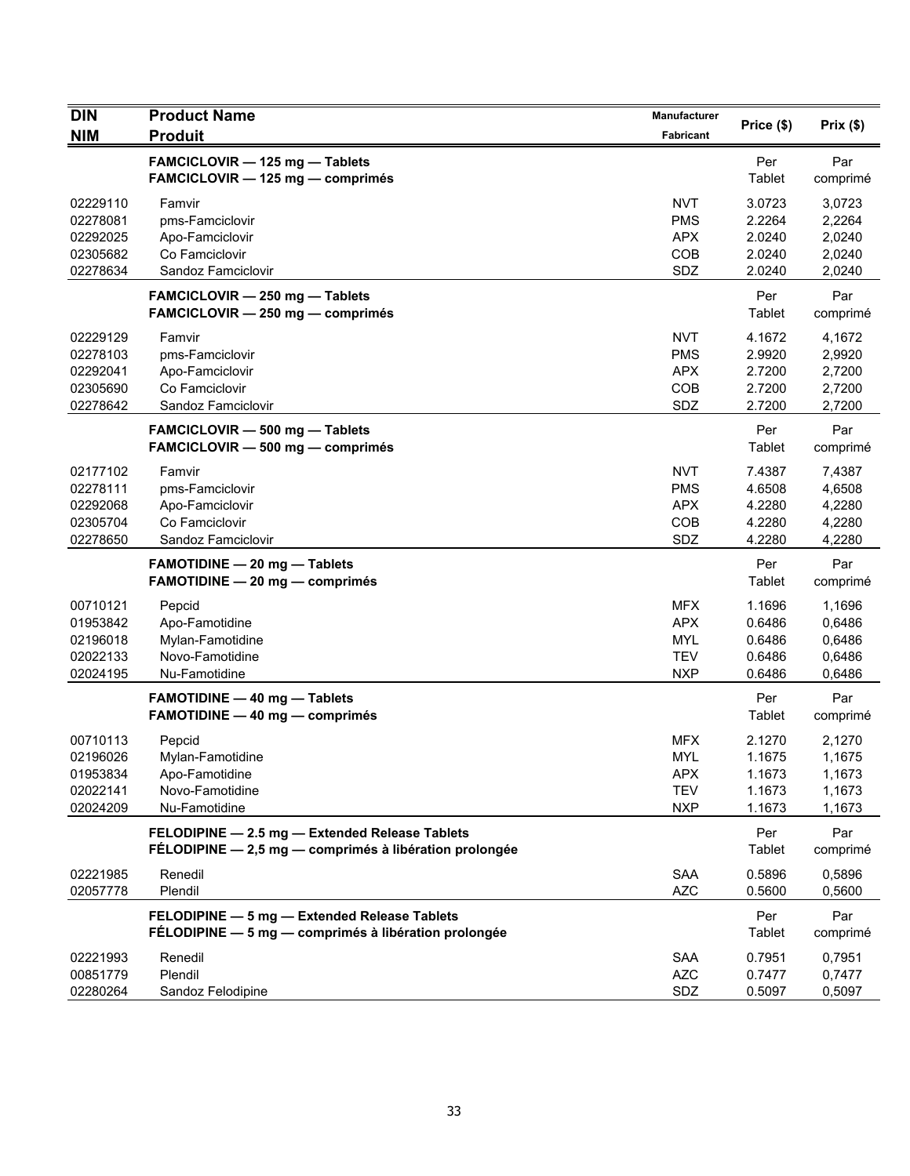| <b>DIN</b>                                               | <b>Product Name</b>                                                                                      | <b>Manufacturer</b>                                                | Price (\$)                                     | Prix(\$)                                       |
|----------------------------------------------------------|----------------------------------------------------------------------------------------------------------|--------------------------------------------------------------------|------------------------------------------------|------------------------------------------------|
| <b>NIM</b>                                               | <b>Produit</b>                                                                                           | Fabricant                                                          |                                                |                                                |
|                                                          | FAMCICLOVIR - 125 mg - Tablets<br>FAMCICLOVIR - 125 mg - comprimés                                       |                                                                    | Per<br>Tablet                                  | Par<br>comprimé                                |
| 02229110<br>02278081<br>02292025<br>02305682<br>02278634 | Famvir<br>pms-Famciclovir<br>Apo-Famciclovir<br>Co Famciclovir<br>Sandoz Famciclovir                     | <b>NVT</b><br><b>PMS</b><br><b>APX</b><br>COB<br>SDZ               | 3.0723<br>2.2264<br>2.0240<br>2.0240<br>2.0240 | 3,0723<br>2,2264<br>2,0240<br>2,0240<br>2,0240 |
|                                                          | FAMCICLOVIR - 250 mg - Tablets<br>$FAMCICLOVIR - 250 mg - comprimés$                                     |                                                                    | Per<br>Tablet                                  | Par<br>comprimé                                |
| 02229129<br>02278103<br>02292041<br>02305690<br>02278642 | Famvir<br>pms-Famciclovir<br>Apo-Famciclovir<br>Co Famciclovir<br>Sandoz Famciclovir                     | <b>NVT</b><br><b>PMS</b><br><b>APX</b><br>COB<br>SDZ               | 4.1672<br>2.9920<br>2.7200<br>2.7200<br>2.7200 | 4,1672<br>2,9920<br>2,7200<br>2,7200<br>2,7200 |
|                                                          | FAMCICLOVIR - 500 mg - Tablets<br>FAMCICLOVIR - 500 mg - comprimés                                       |                                                                    | Per<br>Tablet                                  | Par<br>comprimé                                |
| 02177102<br>02278111<br>02292068<br>02305704<br>02278650 | Famvir<br>pms-Famciclovir<br>Apo-Famciclovir<br>Co Famciclovir<br>Sandoz Famciclovir                     | <b>NVT</b><br><b>PMS</b><br><b>APX</b><br>COB<br>SDZ               | 7.4387<br>4.6508<br>4.2280<br>4.2280<br>4.2280 | 7,4387<br>4,6508<br>4,2280<br>4,2280<br>4,2280 |
|                                                          | <b>FAMOTIDINE - 20 mg - Tablets</b><br>FAMOTIDINE - 20 mg - comprimés                                    |                                                                    | Per<br>Tablet                                  | Par<br>comprimé                                |
| 00710121<br>01953842<br>02196018<br>02022133<br>02024195 | Pepcid<br>Apo-Famotidine<br>Mylan-Famotidine<br>Novo-Famotidine<br>Nu-Famotidine                         | <b>MFX</b><br><b>APX</b><br><b>MYL</b><br><b>TEV</b><br><b>NXP</b> | 1.1696<br>0.6486<br>0.6486<br>0.6486<br>0.6486 | 1,1696<br>0,6486<br>0,6486<br>0,6486<br>0,6486 |
|                                                          | <b>FAMOTIDINE - 40 mg - Tablets</b><br><b>FAMOTIDINE - 40 mg - comprimés</b>                             |                                                                    | Per<br>Tablet                                  | Par<br>comprimé                                |
| 00710113<br>02196026<br>01953834<br>02022141<br>02024209 | Pepcid<br>Mylan-Famotidine<br>Apo-Famotidine<br>Novo-Famotidine<br>Nu-Famotidine                         | <b>MFX</b><br><b>MYL</b><br><b>APX</b><br><b>TEV</b><br><b>NXP</b> | 2.1270<br>1.1675<br>1.1673<br>1.1673<br>1.1673 | 2,1270<br>1,1675<br>1,1673<br>1,1673<br>1,1673 |
|                                                          | FELODIPINE - 2.5 mg - Extended Release Tablets<br>FÉLODIPINE - 2,5 mg - comprimés à libération prolongée |                                                                    | Per<br>Tablet                                  | Par<br>comprimé                                |
| 02221985<br>02057778                                     | Renedil<br>Plendil                                                                                       | <b>SAA</b><br><b>AZC</b>                                           | 0.5896<br>0.5600                               | 0,5896<br>0,5600                               |
|                                                          | FELODIPINE - 5 mg - Extended Release Tablets<br>FÉLODIPINE - 5 mg - comprimés à libération prolongée     |                                                                    | Per<br>Tablet                                  | Par<br>comprimé                                |
| 02221993<br>00851779<br>02280264                         | Renedil<br>Plendil<br>Sandoz Felodipine                                                                  | <b>SAA</b><br><b>AZC</b><br>SDZ                                    | 0.7951<br>0.7477<br>0.5097                     | 0,7951<br>0,7477<br>0,5097                     |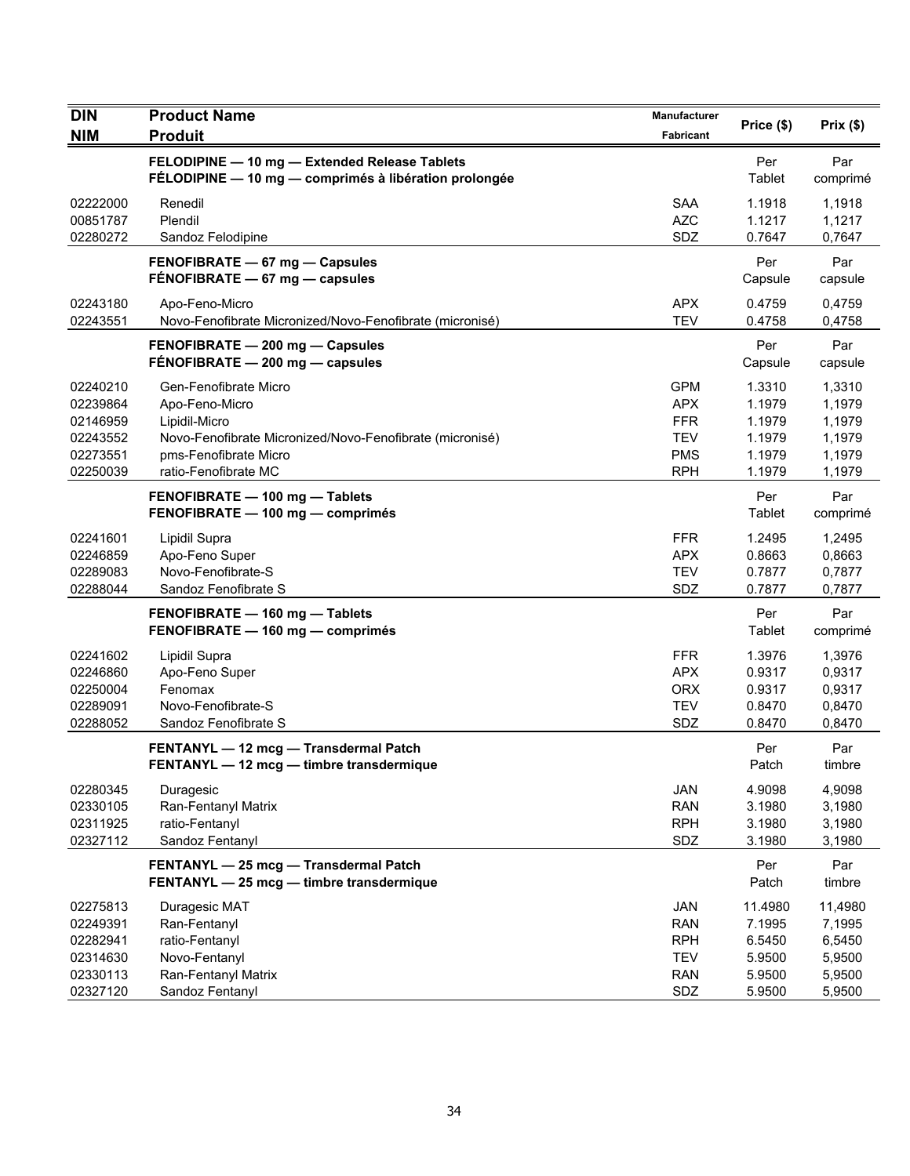| DIN<br><b>NIM</b>                                                    | <b>Product Name</b><br><b>Produit</b>                                                                                                                                 | <b>Manufacturer</b><br>Fabricant                                          | Price (\$)                                                | Prix(\$)                                                  |
|----------------------------------------------------------------------|-----------------------------------------------------------------------------------------------------------------------------------------------------------------------|---------------------------------------------------------------------------|-----------------------------------------------------------|-----------------------------------------------------------|
|                                                                      | FELODIPINE - 10 mg - Extended Release Tablets<br>FÉLODIPINE - 10 mg - comprimés à libération prolongée                                                                |                                                                           | Per<br>Tablet                                             | Par<br>comprimé                                           |
| 02222000<br>00851787<br>02280272                                     | Renedil<br>Plendil<br>Sandoz Felodipine                                                                                                                               | <b>SAA</b><br><b>AZC</b><br>SDZ                                           | 1.1918<br>1.1217<br>0.7647                                | 1,1918<br>1,1217<br>0,7647                                |
|                                                                      | FENOFIBRATE - 67 mg - Capsules<br>FENOFIBRATE - 67 mg - capsules                                                                                                      |                                                                           | Per<br>Capsule                                            | Par<br>capsule                                            |
| 02243180<br>02243551                                                 | Apo-Feno-Micro<br>Novo-Fenofibrate Micronized/Novo-Fenofibrate (micronisé)                                                                                            | <b>APX</b><br><b>TEV</b>                                                  | 0.4759<br>0.4758                                          | 0,4759<br>0,4758                                          |
|                                                                      | FENOFIBRATE - 200 mg - Capsules<br>$FÉNOFIBRATE - 200 mg - capsules$                                                                                                  |                                                                           | Per<br>Capsule                                            | Par<br>capsule                                            |
| 02240210<br>02239864<br>02146959<br>02243552<br>02273551<br>02250039 | Gen-Fenofibrate Micro<br>Apo-Feno-Micro<br>Lipidil-Micro<br>Novo-Fenofibrate Micronized/Novo-Fenofibrate (micronisé)<br>pms-Fenofibrate Micro<br>ratio-Fenofibrate MC | <b>GPM</b><br>APX<br><b>FFR</b><br><b>TEV</b><br><b>PMS</b><br><b>RPH</b> | 1.3310<br>1.1979<br>1.1979<br>1.1979<br>1.1979<br>1.1979  | 1,3310<br>1,1979<br>1,1979<br>1,1979<br>1,1979<br>1,1979  |
|                                                                      | FENOFIBRATE - 100 mg - Tablets<br>FENOFIBRATE - 100 mg - comprimés                                                                                                    |                                                                           | Per<br>Tablet                                             | Par<br>comprimé                                           |
| 02241601<br>02246859<br>02289083<br>02288044                         | Lipidil Supra<br>Apo-Feno Super<br>Novo-Fenofibrate-S<br>Sandoz Fenofibrate S                                                                                         | <b>FFR</b><br><b>APX</b><br><b>TEV</b><br>SDZ                             | 1.2495<br>0.8663<br>0.7877<br>0.7877                      | 1,2495<br>0,8663<br>0,7877<br>0,7877                      |
|                                                                      | FENOFIBRATE - 160 mg - Tablets<br>FENOFIBRATE - 160 mg - comprimés                                                                                                    |                                                                           | Per<br>Tablet                                             | Par<br>comprimé                                           |
| 02241602<br>02246860<br>02250004<br>02289091<br>02288052             | Lipidil Supra<br>Apo-Feno Super<br>Fenomax<br>Novo-Fenofibrate-S<br>Sandoz Fenofibrate S                                                                              | <b>FFR</b><br><b>APX</b><br><b>ORX</b><br><b>TEV</b><br>SDZ               | 1.3976<br>0.9317<br>0.9317<br>0.8470<br>0.8470            | 1,3976<br>0,9317<br>0,9317<br>0,8470<br>0,8470            |
|                                                                      | FENTANYL - 12 mcg - Transdermal Patch<br>FENTANYL - 12 mcg - timbre transdermique                                                                                     |                                                                           | Per<br>Patch                                              | Par<br>timbre                                             |
| 02280345<br>02330105<br>02311925<br>02327112                         | Duragesic<br>Ran-Fentanyl Matrix<br>ratio-Fentanyl<br>Sandoz Fentanyl                                                                                                 | JAN<br><b>RAN</b><br><b>RPH</b><br>SDZ                                    | 4.9098<br>3.1980<br>3.1980<br>3.1980                      | 4,9098<br>3,1980<br>3,1980<br>3,1980                      |
|                                                                      | FENTANYL - 25 mcg - Transdermal Patch<br>FENTANYL - 25 mcg - timbre transdermique                                                                                     |                                                                           | Per<br>Patch                                              | Par<br>timbre                                             |
| 02275813<br>02249391<br>02282941<br>02314630<br>02330113<br>02327120 | Duragesic MAT<br>Ran-Fentanyl<br>ratio-Fentanyl<br>Novo-Fentanyl<br>Ran-Fentanyl Matrix<br>Sandoz Fentanyl                                                            | <b>JAN</b><br><b>RAN</b><br><b>RPH</b><br><b>TEV</b><br><b>RAN</b><br>SDZ | 11.4980<br>7.1995<br>6.5450<br>5.9500<br>5.9500<br>5.9500 | 11,4980<br>7,1995<br>6,5450<br>5,9500<br>5,9500<br>5,9500 |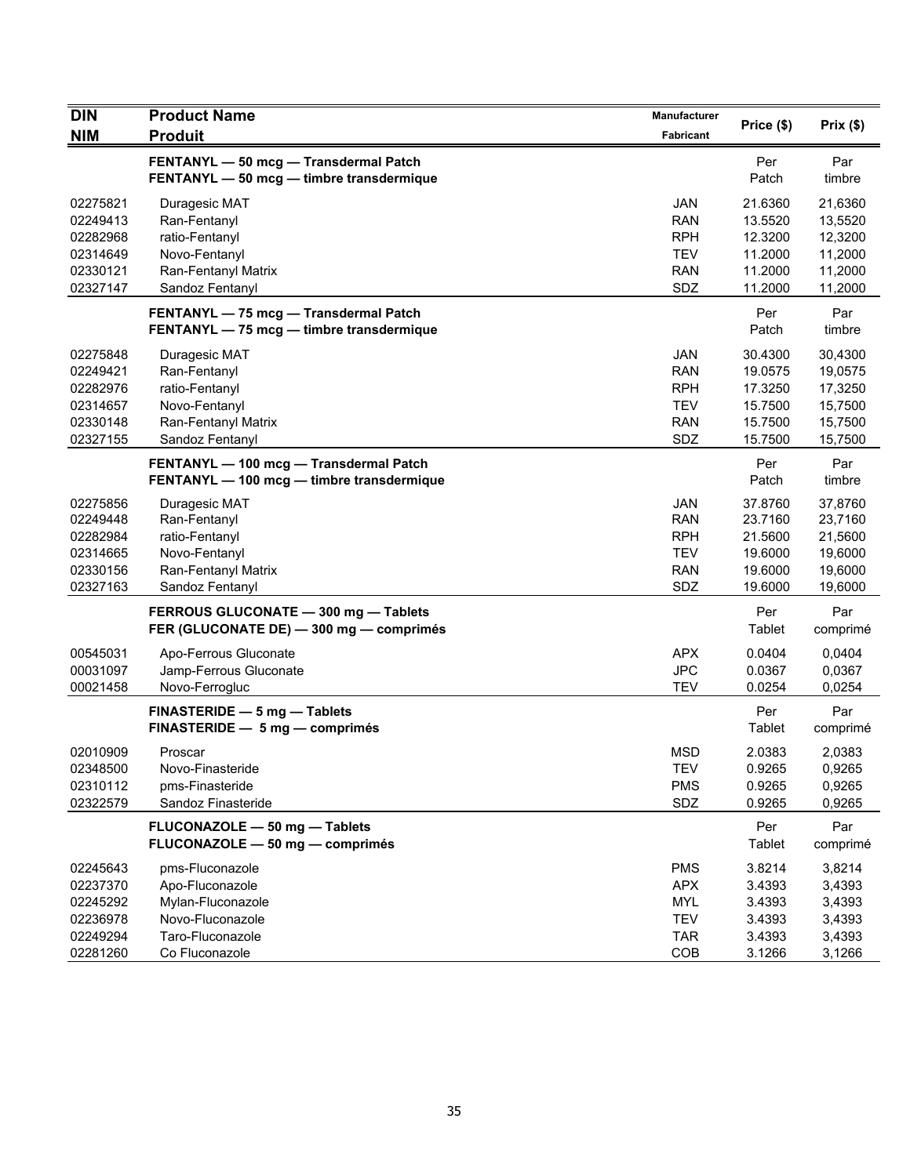| <b>DIN</b>                                                           | <b>Product Name</b>                                                                                        | Manufacturer                                                              | Price (\$)                                                     | Prix(\$)                                                       |
|----------------------------------------------------------------------|------------------------------------------------------------------------------------------------------------|---------------------------------------------------------------------------|----------------------------------------------------------------|----------------------------------------------------------------|
| <b>NIM</b>                                                           | <b>Produit</b>                                                                                             | Fabricant                                                                 |                                                                |                                                                |
|                                                                      | FENTANYL - 50 mcg - Transdermal Patch<br>FENTANYL - 50 mcg - timbre transdermique                          |                                                                           | Per<br>Patch                                                   | Par<br>timbre                                                  |
| 02275821<br>02249413<br>02282968<br>02314649<br>02330121<br>02327147 | Duragesic MAT<br>Ran-Fentanyl<br>ratio-Fentanyl<br>Novo-Fentanyl<br>Ran-Fentanyl Matrix<br>Sandoz Fentanyl | <b>JAN</b><br><b>RAN</b><br><b>RPH</b><br><b>TEV</b><br><b>RAN</b><br>SDZ | 21.6360<br>13.5520<br>12.3200<br>11.2000<br>11.2000<br>11.2000 | 21,6360<br>13,5520<br>12,3200<br>11,2000<br>11,2000<br>11,2000 |
|                                                                      | FENTANYL - 75 mcg - Transdermal Patch<br>FENTANYL - 75 mcg - timbre transdermique                          |                                                                           | Per<br>Patch                                                   | Par<br>timbre                                                  |
| 02275848<br>02249421<br>02282976<br>02314657<br>02330148<br>02327155 | Duragesic MAT<br>Ran-Fentanyl<br>ratio-Fentanyl<br>Novo-Fentanyl<br>Ran-Fentanyl Matrix<br>Sandoz Fentanyl | JAN<br><b>RAN</b><br><b>RPH</b><br><b>TEV</b><br><b>RAN</b><br>SDZ        | 30.4300<br>19.0575<br>17.3250<br>15.7500<br>15.7500<br>15.7500 | 30,4300<br>19,0575<br>17,3250<br>15,7500<br>15,7500<br>15,7500 |
|                                                                      | FENTANYL - 100 mcg - Transdermal Patch<br>FENTANYL - 100 mcg - timbre transdermique                        |                                                                           | Per<br>Patch                                                   | Par<br>timbre                                                  |
| 02275856<br>02249448<br>02282984<br>02314665<br>02330156<br>02327163 | Duragesic MAT<br>Ran-Fentanyl<br>ratio-Fentanyl<br>Novo-Fentanyl<br>Ran-Fentanyl Matrix<br>Sandoz Fentanyl | <b>JAN</b><br><b>RAN</b><br><b>RPH</b><br><b>TEV</b><br><b>RAN</b><br>SDZ | 37.8760<br>23.7160<br>21.5600<br>19.6000<br>19.6000<br>19.6000 | 37,8760<br>23,7160<br>21,5600<br>19,6000<br>19,6000<br>19,6000 |
|                                                                      | FERROUS GLUCONATE - 300 mg - Tablets<br>FER (GLUCONATE DE) - 300 mg - comprimés                            |                                                                           | Per<br>Tablet                                                  | Par<br>comprimé                                                |
| 00545031<br>00031097<br>00021458                                     | Apo-Ferrous Gluconate<br>Jamp-Ferrous Gluconate<br>Novo-Ferrogluc                                          | <b>APX</b><br><b>JPC</b><br><b>TEV</b>                                    | 0.0404<br>0.0367<br>0.0254                                     | 0,0404<br>0,0367<br>0,0254                                     |
|                                                                      | FINASTERIDE - 5 mg - Tablets<br>FINASTERIDE - 5 mg - comprimés                                             |                                                                           | Per<br>Tablet                                                  | Par<br>comprimé                                                |
| 02010909<br>02348500<br>02310112<br>02322579                         | Proscar<br>Novo-Finasteride<br>pms-Finasteride<br>Sandoz Finasteride                                       | <b>MSD</b><br><b>TEV</b><br><b>PMS</b><br>SDZ                             | 2.0383<br>0.9265<br>0.9265<br>0.9265                           | 2,0383<br>0,9265<br>0,9265<br>0,9265                           |
|                                                                      | FLUCONAZOLE - 50 mg - Tablets<br>FLUCONAZOLE - 50 mg - comprimés                                           |                                                                           | Per<br><b>Tablet</b>                                           | Par<br>comprimé                                                |
| 02245643<br>02237370<br>02245292<br>02236978<br>02249294             | pms-Fluconazole<br>Apo-Fluconazole<br>Mylan-Fluconazole<br>Novo-Fluconazole<br>Taro-Fluconazole            | <b>PMS</b><br><b>APX</b><br><b>MYL</b><br><b>TEV</b><br><b>TAR</b>        | 3.8214<br>3.4393<br>3.4393<br>3.4393<br>3.4393                 | 3,8214<br>3,4393<br>3,4393<br>3,4393<br>3,4393                 |
| 02281260                                                             | Co Fluconazole                                                                                             | COB                                                                       | 3.1266                                                         | 3,1266                                                         |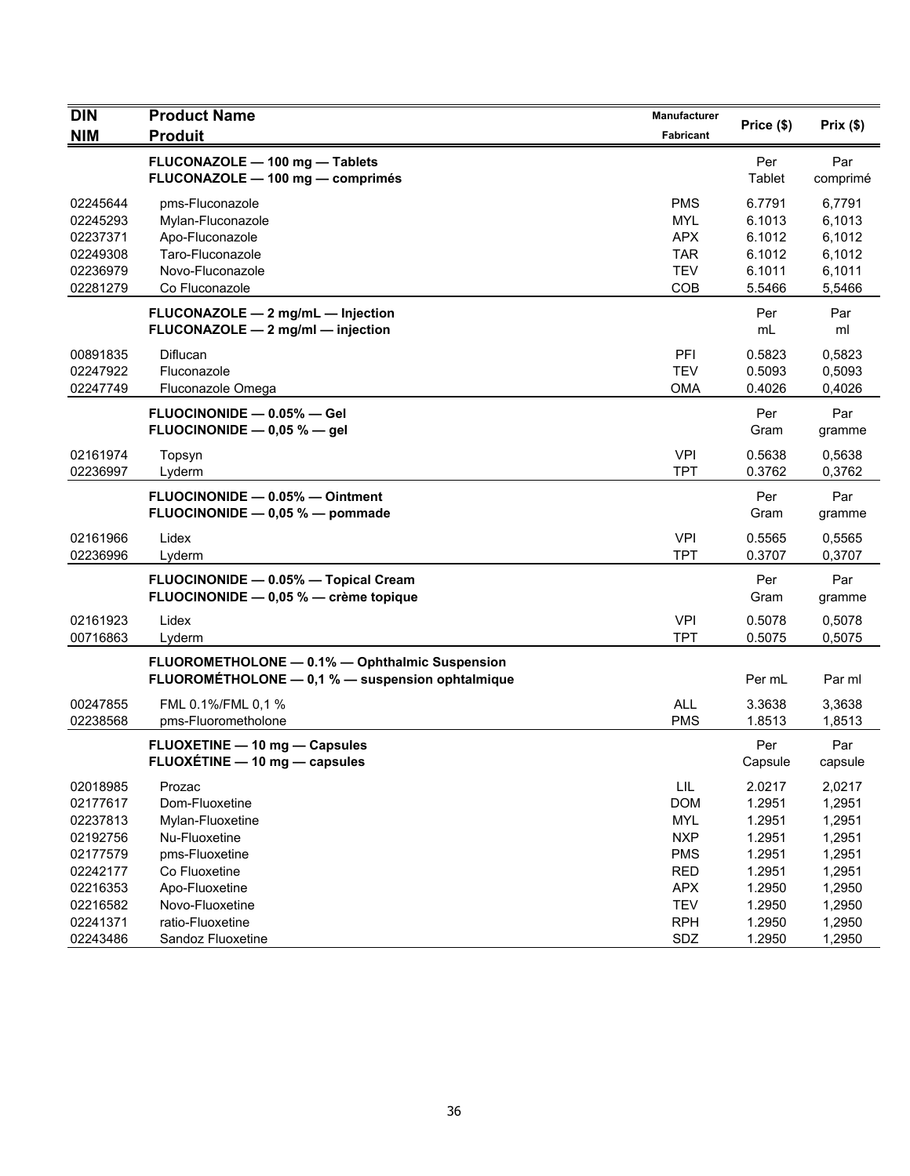| DIN<br><b>NIM</b>    | <b>Product Name</b><br><b>Produit</b>                              | <b>Manufacturer</b><br>Fabricant | Price (\$)       | Prix(\$)         |
|----------------------|--------------------------------------------------------------------|----------------------------------|------------------|------------------|
|                      |                                                                    |                                  |                  |                  |
|                      | FLUCONAZOLE - 100 mg - Tablets<br>FLUCONAZOLE - 100 mg - comprimés |                                  | Per<br>Tablet    | Par<br>comprimé  |
| 02245644             | pms-Fluconazole                                                    | <b>PMS</b>                       | 6.7791           | 6,7791           |
| 02245293             | Mylan-Fluconazole                                                  | <b>MYL</b>                       | 6.1013           | 6,1013           |
| 02237371             | Apo-Fluconazole                                                    | <b>APX</b>                       | 6.1012           | 6,1012           |
| 02249308<br>02236979 | Taro-Fluconazole<br>Novo-Fluconazole                               | <b>TAR</b><br><b>TEV</b>         | 6.1012<br>6.1011 | 6,1012<br>6,1011 |
| 02281279             | Co Fluconazole                                                     | <b>COB</b>                       | 5.5466           | 5,5466           |
|                      | FLUCONAZOLE - 2 mg/mL - Injection                                  |                                  | Per              | Par              |
|                      | FLUCONAZOLE - 2 mg/ml - injection                                  |                                  | mL               | ml               |
| 00891835             | Diflucan                                                           | PFI                              | 0.5823           | 0,5823           |
| 02247922             | Fluconazole                                                        | <b>TEV</b>                       | 0.5093           | 0,5093           |
| 02247749             | Fluconazole Omega                                                  | <b>OMA</b>                       | 0.4026           | 0,4026           |
|                      | FLUOCINONIDE - 0.05% - Gel                                         |                                  | Per              | Par              |
|                      | FLUOCINONIDE $-$ 0,05 % $-$ gel                                    |                                  | Gram             | gramme           |
| 02161974             | Topsyn                                                             | <b>VPI</b>                       | 0.5638           | 0,5638           |
| 02236997             | Lyderm                                                             | <b>TPT</b>                       | 0.3762           | 0,3762           |
|                      | FLUOCINONIDE - 0.05% - Ointment                                    |                                  | Per              | Par              |
|                      | FLUOCINONIDE - 0,05 % - pommade                                    |                                  | Gram             | gramme           |
| 02161966             | Lidex                                                              | <b>VPI</b>                       | 0.5565           | 0,5565           |
| 02236996             | Lyderm                                                             | <b>TPT</b>                       | 0.3707           | 0,3707           |
|                      | FLUOCINONIDE - 0.05% - Topical Cream                               |                                  | Per              | Par              |
|                      | FLUOCINONIDE - 0,05 % - crème topique                              |                                  | Gram             | gramme           |
| 02161923             | Lidex                                                              | <b>VPI</b>                       | 0.5078           | 0,5078           |
| 00716863             | Lyderm                                                             | <b>TPT</b>                       | 0.5075           | 0,5075           |
|                      | FLUOROMETHOLONE - 0.1% - Ophthalmic Suspension                     |                                  |                  |                  |
|                      | FLUOROMÉTHOLONE - 0,1 % - suspension ophtalmique                   |                                  | Per mL           | Par ml           |
| 00247855             | FML 0.1%/FML 0.1 %                                                 | <b>ALL</b>                       | 3.3638           | 3,3638           |
| 02238568             | pms-Fluorometholone                                                | <b>PMS</b>                       | 1.8513           | 1,8513           |
|                      | FLUOXETINE - 10 mg - Capsules                                      |                                  | Per              | Par              |
|                      | FLUOXÉTINE - 10 mg - capsules                                      |                                  | Capsule          | capsule          |
| 02018985             | Prozac                                                             | $\ensuremath{\mathsf{LIL}}$      | 2.0217           | 2,0217           |
| 02177617             | Dom-Fluoxetine                                                     | <b>DOM</b>                       | 1.2951           | 1,2951           |
| 02237813             | Mylan-Fluoxetine                                                   | <b>MYL</b>                       | 1.2951           | 1,2951           |
| 02192756             | Nu-Fluoxetine                                                      | <b>NXP</b>                       | 1.2951           | 1,2951           |
| 02177579             | pms-Fluoxetine                                                     | <b>PMS</b>                       | 1.2951           | 1,2951           |
| 02242177             | Co Fluoxetine                                                      | <b>RED</b>                       | 1.2951           | 1,2951           |
| 02216353             | Apo-Fluoxetine                                                     | <b>APX</b>                       | 1.2950           | 1,2950           |
| 02216582             | Novo-Fluoxetine                                                    | <b>TEV</b>                       | 1.2950           | 1,2950           |
| 02241371             | ratio-Fluoxetine                                                   | <b>RPH</b>                       | 1.2950           | 1,2950           |
| 02243486             | Sandoz Fluoxetine                                                  | SDZ                              | 1.2950           | 1,2950           |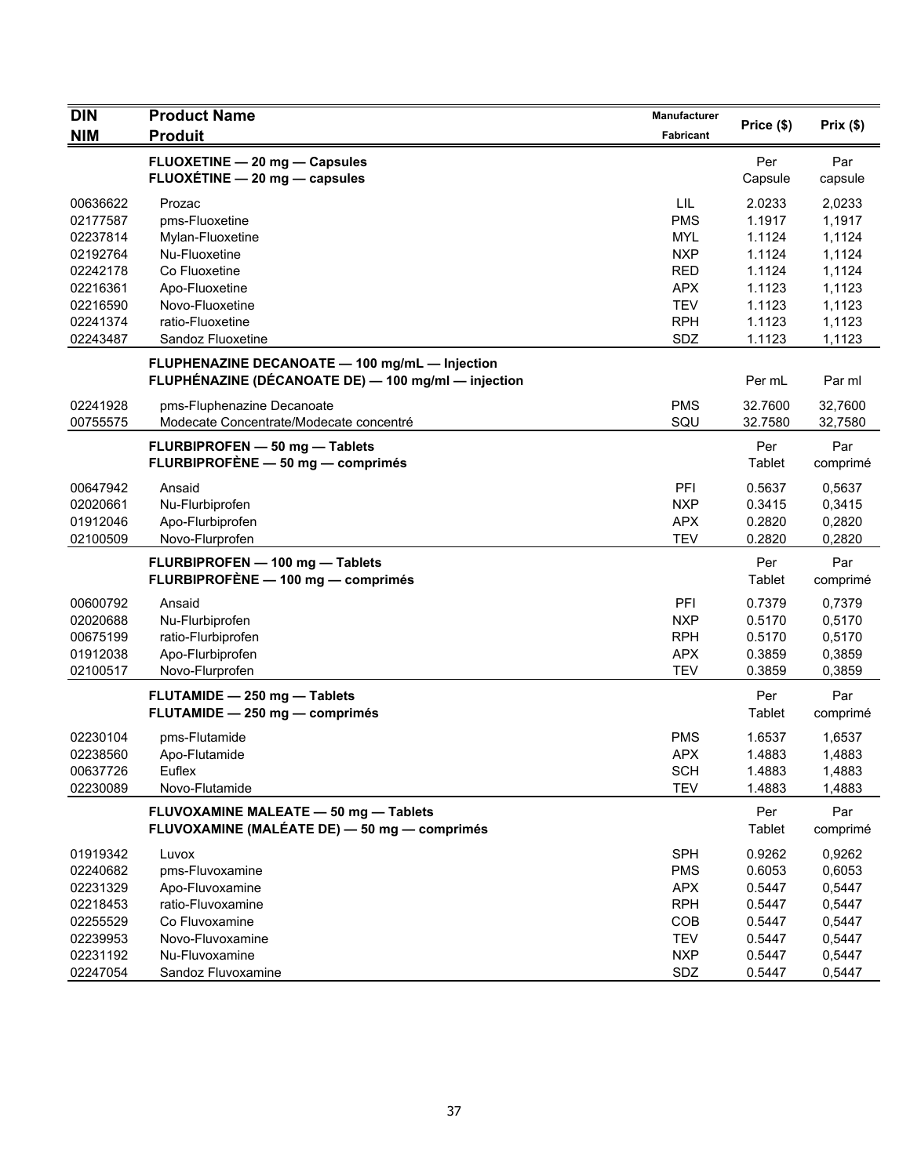| <b>DIN</b> | <b>Product Name</b>                                 | <b>Manufacturer</b> | Price (\$) | Prix(\$) |
|------------|-----------------------------------------------------|---------------------|------------|----------|
| <b>NIM</b> | <b>Produit</b>                                      | Fabricant           |            |          |
|            | FLUOXETINE - 20 mg - Capsules                       |                     | Per        | Par      |
|            | FLUOXÉTINE - 20 mg - capsules                       |                     | Capsule    | capsule  |
| 00636622   | Prozac                                              | LIL                 | 2.0233     | 2,0233   |
| 02177587   | pms-Fluoxetine                                      | <b>PMS</b>          | 1.1917     | 1,1917   |
| 02237814   | Mylan-Fluoxetine                                    | <b>MYL</b>          | 1.1124     | 1,1124   |
| 02192764   | Nu-Fluoxetine                                       | <b>NXP</b>          | 1.1124     | 1,1124   |
| 02242178   | Co Fluoxetine                                       | <b>RED</b>          | 1.1124     | 1,1124   |
| 02216361   | Apo-Fluoxetine                                      | <b>APX</b>          | 1.1123     | 1,1123   |
| 02216590   | Novo-Fluoxetine                                     | <b>TEV</b>          | 1.1123     | 1,1123   |
| 02241374   | ratio-Fluoxetine                                    | <b>RPH</b>          | 1.1123     | 1,1123   |
| 02243487   | Sandoz Fluoxetine                                   | SDZ                 | 1.1123     | 1,1123   |
|            | FLUPHENAZINE DECANOATE - 100 mg/mL - Injection      |                     |            |          |
|            | FLUPHÉNAZINE (DÉCANOATE DE) - 100 mg/ml - injection |                     | Per mL     | Par ml   |
| 02241928   | pms-Fluphenazine Decanoate                          | <b>PMS</b>          | 32.7600    | 32,7600  |
| 00755575   | Modecate Concentrate/Modecate concentré             | SQU                 | 32.7580    | 32,7580  |
|            | FLURBIPROFEN - 50 mg - Tablets                      |                     | Per        | Par      |
|            | FLURBIPROFÈNE - 50 mg - comprimés                   |                     | Tablet     | comprimé |
| 00647942   | Ansaid                                              | PFI                 | 0.5637     | 0,5637   |
| 02020661   | Nu-Flurbiprofen                                     | <b>NXP</b>          | 0.3415     | 0,3415   |
| 01912046   | Apo-Flurbiprofen                                    | <b>APX</b>          | 0.2820     | 0,2820   |
| 02100509   | Novo-Flurprofen                                     | <b>TEV</b>          | 0.2820     | 0,2820   |
|            | FLURBIPROFEN - 100 mg - Tablets                     |                     | Per        | Par      |
|            | FLURBIPROFÈNE - 100 mg - comprimés                  |                     | Tablet     | comprimé |
| 00600792   | Ansaid                                              | PFI                 | 0.7379     | 0,7379   |
| 02020688   | Nu-Flurbiprofen                                     | <b>NXP</b>          | 0.5170     | 0,5170   |
| 00675199   | ratio-Flurbiprofen                                  | <b>RPH</b>          | 0.5170     | 0,5170   |
| 01912038   | Apo-Flurbiprofen                                    | <b>APX</b>          | 0.3859     | 0,3859   |
| 02100517   | Novo-Flurprofen                                     | <b>TEV</b>          | 0.3859     | 0,3859   |
|            | FLUTAMIDE - 250 mg - Tablets                        |                     | Per        | Par      |
|            | FLUTAMIDE - 250 mg - comprimés                      |                     | Tablet     | comprimé |
| 02230104   | pms-Flutamide                                       | <b>PMS</b>          | 1.6537     | 1,6537   |
| 02238560   | Apo-Flutamide                                       | <b>APX</b>          | 1.4883     | 1,4883   |
| 00637726   | Euflex                                              | <b>SCH</b>          | 1.4883     | 1,4883   |
| 02230089   | Novo-Flutamide                                      | <b>TEV</b>          | 1.4883     | 1,4883   |
|            | FLUVOXAMINE MALEATE - 50 mg - Tablets               |                     | Per        | Par      |
|            | FLUVOXAMINE (MALÉATE DE) - 50 mg - comprimés        |                     | Tablet     | comprimé |
| 01919342   | Luvox                                               | <b>SPH</b>          | 0.9262     | 0,9262   |
| 02240682   | pms-Fluvoxamine                                     | <b>PMS</b>          | 0.6053     | 0,6053   |
| 02231329   | Apo-Fluvoxamine                                     | <b>APX</b>          | 0.5447     | 0,5447   |
| 02218453   | ratio-Fluvoxamine                                   | <b>RPH</b>          | 0.5447     | 0,5447   |
| 02255529   | Co Fluvoxamine                                      | COB                 | 0.5447     | 0,5447   |
| 02239953   | Novo-Fluvoxamine                                    | <b>TEV</b>          | 0.5447     | 0,5447   |
| 02231192   | Nu-Fluvoxamine                                      | <b>NXP</b>          | 0.5447     | 0,5447   |
| 02247054   | Sandoz Fluvoxamine                                  | SDZ                 | 0.5447     | 0,5447   |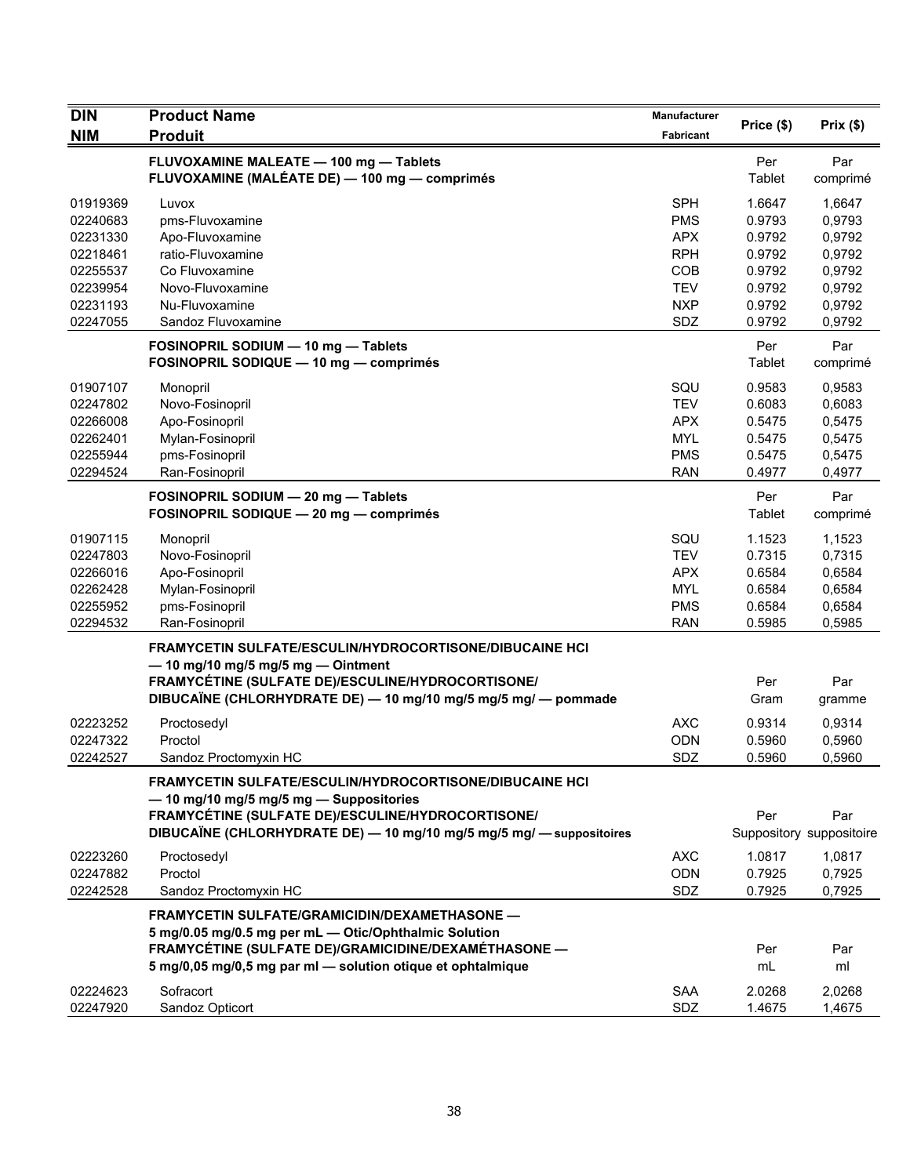| <b>DIN</b>                                                                       | <b>Product Name</b>                                                                                                                                                                                                                        | Manufacturer                                                                            |                                                                    |                                                                    |
|----------------------------------------------------------------------------------|--------------------------------------------------------------------------------------------------------------------------------------------------------------------------------------------------------------------------------------------|-----------------------------------------------------------------------------------------|--------------------------------------------------------------------|--------------------------------------------------------------------|
| <b>NIM</b>                                                                       | <b>Produit</b>                                                                                                                                                                                                                             | Fabricant                                                                               | Price (\$)                                                         | Prix(\$)                                                           |
|                                                                                  | FLUVOXAMINE MALEATE - 100 mg - Tablets<br>FLUVOXAMINE (MALÉATE DE) — 100 mg — comprimés                                                                                                                                                    |                                                                                         | Per<br>Tablet                                                      | Par<br>comprimé                                                    |
| 01919369<br>02240683<br>02231330<br>02218461<br>02255537<br>02239954<br>02231193 | Luvox<br>pms-Fluvoxamine<br>Apo-Fluvoxamine<br>ratio-Fluvoxamine<br>Co Fluvoxamine<br>Novo-Fluvoxamine<br>Nu-Fluvoxamine                                                                                                                   | <b>SPH</b><br><b>PMS</b><br><b>APX</b><br><b>RPH</b><br>COB<br><b>TEV</b><br><b>NXP</b> | 1.6647<br>0.9793<br>0.9792<br>0.9792<br>0.9792<br>0.9792<br>0.9792 | 1,6647<br>0,9793<br>0,9792<br>0,9792<br>0,9792<br>0,9792<br>0,9792 |
| 02247055                                                                         | Sandoz Fluvoxamine<br>FOSINOPRIL SODIUM - 10 mg - Tablets<br>FOSINOPRIL SODIQUE - 10 mg - comprimés                                                                                                                                        | SDZ                                                                                     | 0.9792<br>Per<br>Tablet                                            | 0,9792<br>Par<br>comprimé                                          |
| 01907107<br>02247802<br>02266008<br>02262401<br>02255944<br>02294524             | Monopril<br>Novo-Fosinopril<br>Apo-Fosinopril<br>Mylan-Fosinopril<br>pms-Fosinopril<br>Ran-Fosinopril                                                                                                                                      | SQU<br><b>TEV</b><br><b>APX</b><br><b>MYL</b><br><b>PMS</b><br><b>RAN</b>               | 0.9583<br>0.6083<br>0.5475<br>0.5475<br>0.5475<br>0.4977           | 0,9583<br>0,6083<br>0,5475<br>0,5475<br>0,5475<br>0,4977           |
|                                                                                  | FOSINOPRIL SODIUM - 20 mg - Tablets<br>FOSINOPRIL SODIQUE - 20 mg - comprimés                                                                                                                                                              |                                                                                         | Per<br>Tablet                                                      | Par<br>comprimé                                                    |
| 01907115<br>02247803<br>02266016<br>02262428<br>02255952<br>02294532             | Monopril<br>Novo-Fosinopril<br>Apo-Fosinopril<br>Mylan-Fosinopril<br>pms-Fosinopril<br>Ran-Fosinopril                                                                                                                                      | SQU<br><b>TEV</b><br><b>APX</b><br><b>MYL</b><br><b>PMS</b><br><b>RAN</b>               | 1.1523<br>0.7315<br>0.6584<br>0.6584<br>0.6584<br>0.5985           | 1,1523<br>0,7315<br>0,6584<br>0,6584<br>0,6584<br>0,5985           |
|                                                                                  | <b>FRAMYCETIN SULFATE/ESCULIN/HYDROCORTISONE/DIBUCAINE HCI</b><br>$-$ 10 mg/10 mg/5 mg/5 mg $-$ Ointment<br><b>FRAMYCÉTINE (SULFATE DE)/ESCULINE/HYDROCORTISONE/</b><br>DIBUCAÏNE (CHLORHYDRATE DE) - 10 mg/10 mg/5 mg/5 mg/ - pommade     |                                                                                         | Per<br>Gram                                                        | Par<br>gramme                                                      |
| 02223252<br>02247322<br>02242527                                                 | Proctosedyl<br>Proctol<br>Sandoz Proctomyxin HC                                                                                                                                                                                            | <b>AXC</b><br><b>ODN</b><br>SDZ                                                         | 0.9314<br>0.5960<br>0.5960                                         | 0,9314<br>0,5960<br>0,5960                                         |
|                                                                                  | <b>FRAMYCETIN SULFATE/ESCULIN/HYDROCORTISONE/DIBUCAINE HCI</b><br>$-$ 10 mg/10 mg/5 mg/5 mg $-$ Suppositories<br>FRAMYCÉTINE (SULFATE DE)/ESCULINE/HYDROCORTISONE/<br>DIBUCAÏNE (CHLORHYDRATE DE) - 10 mg/10 mg/5 mg/5 mg/ - suppositoires |                                                                                         | Per                                                                | Par<br>Suppository suppositoire                                    |
| 02223260<br>02247882<br>02242528                                                 | Proctosedyl<br>Proctol<br>Sandoz Proctomyxin HC                                                                                                                                                                                            | <b>AXC</b><br><b>ODN</b><br>SDZ                                                         | 1.0817<br>0.7925<br>0.7925                                         | 1,0817<br>0,7925<br>0,7925                                         |
|                                                                                  | FRAMYCETIN SULFATE/GRAMICIDIN/DEXAMETHASONE -<br>5 mg/0.05 mg/0.5 mg per mL - Otic/Ophthalmic Solution<br>FRAMYCÉTINE (SULFATE DE)/GRAMICIDINE/DEXAMÉTHASONE -<br>5 mg/0,05 mg/0,5 mg par ml - solution otique et ophtalmique              |                                                                                         | Per<br>mL                                                          | Par<br>ml                                                          |
| 02224623<br>02247920                                                             | Sofracort<br>Sandoz Opticort                                                                                                                                                                                                               | <b>SAA</b><br>SDZ                                                                       | 2.0268<br>1.4675                                                   | 2,0268<br>1,4675                                                   |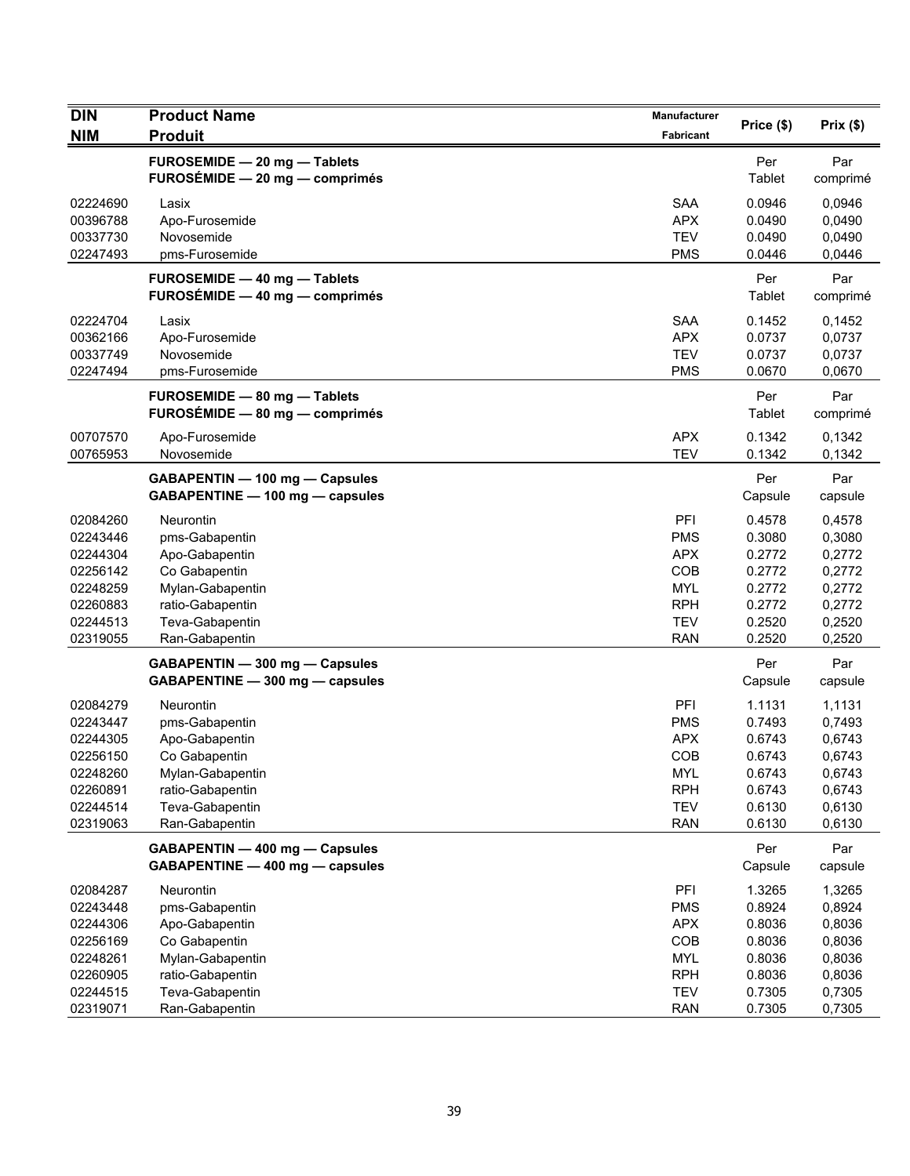| <b>DIN</b>                                                                                   | <b>Product Name</b>                                                                                                                                                            | Manufacturer                                                                                   |                                                                                         |                                                                                         |
|----------------------------------------------------------------------------------------------|--------------------------------------------------------------------------------------------------------------------------------------------------------------------------------|------------------------------------------------------------------------------------------------|-----------------------------------------------------------------------------------------|-----------------------------------------------------------------------------------------|
| <b>NIM</b>                                                                                   | <b>Produit</b>                                                                                                                                                                 | Fabricant                                                                                      | Price (\$)                                                                              | Prix(\$)                                                                                |
|                                                                                              | FUROSEMIDE - 20 mg - Tablets<br>FUROSÉMIDE - 20 mg - comprimés                                                                                                                 |                                                                                                | Per<br>Tablet                                                                           | Par<br>comprimé                                                                         |
| 02224690<br>00396788<br>00337730<br>02247493                                                 | Lasix<br>Apo-Furosemide<br>Novosemide<br>pms-Furosemide                                                                                                                        | <b>SAA</b><br><b>APX</b><br><b>TEV</b><br><b>PMS</b>                                           | 0.0946<br>0.0490<br>0.0490<br>0.0446                                                    | 0,0946<br>0,0490<br>0,0490<br>0,0446                                                    |
|                                                                                              | FUROSEMIDE - 40 mg - Tablets<br>FUROSÉMIDE - 40 mg - comprimés                                                                                                                 |                                                                                                | Per<br>Tablet                                                                           | Par<br>comprimé                                                                         |
| 02224704<br>00362166<br>00337749<br>02247494                                                 | Lasix<br>Apo-Furosemide<br>Novosemide<br>pms-Furosemide                                                                                                                        | <b>SAA</b><br><b>APX</b><br><b>TEV</b><br><b>PMS</b>                                           | 0.1452<br>0.0737<br>0.0737<br>0.0670                                                    | 0,1452<br>0,0737<br>0,0737<br>0,0670                                                    |
|                                                                                              | <b>FUROSEMIDE - 80 mg - Tablets</b><br>FUROSÉMIDE - 80 mg - comprimés                                                                                                          |                                                                                                | Per<br>Tablet                                                                           | Par<br>comprimé                                                                         |
| 00707570<br>00765953                                                                         | Apo-Furosemide<br>Novosemide                                                                                                                                                   | <b>APX</b><br><b>TEV</b>                                                                       | 0.1342<br>0.1342                                                                        | 0,1342<br>0,1342                                                                        |
|                                                                                              | GABAPENTIN - 100 mg - Capsules<br>GABAPENTINE - 100 mg - capsules                                                                                                              |                                                                                                | Per<br>Capsule                                                                          | Par<br>capsule                                                                          |
| 02084260<br>02243446<br>02244304<br>02256142<br>02248259<br>02260883<br>02244513<br>02319055 | Neurontin<br>pms-Gabapentin<br>Apo-Gabapentin<br>Co Gabapentin<br>Mylan-Gabapentin<br>ratio-Gabapentin<br>Teva-Gabapentin<br>Ran-Gabapentin<br>GABAPENTIN - 300 mg - Capsules  | PFI<br>PMS<br><b>APX</b><br>COB<br><b>MYL</b><br><b>RPH</b><br><b>TEV</b><br><b>RAN</b>        | 0.4578<br>0.3080<br>0.2772<br>0.2772<br>0.2772<br>0.2772<br>0.2520<br>0.2520<br>Per     | 0,4578<br>0,3080<br>0,2772<br>0,2772<br>0,2772<br>0,2772<br>0,2520<br>0,2520<br>Par     |
| 02084279<br>02243447<br>02244305<br>02256150<br>02248260<br>02260891<br>02244514<br>02319063 | GABAPENTINE - 300 mg - capsules<br>Neurontin<br>pms-Gabapentin<br>Apo-Gabapentin<br>Co Gabapentin<br>Mylan-Gabapentin<br>ratio-Gabapentin<br>Teva-Gabapentin<br>Ran-Gabapentin | PFI<br><b>PMS</b><br><b>APX</b><br><b>COB</b><br>MYL<br><b>RPH</b><br><b>TEV</b><br><b>RAN</b> | Capsule<br>1.1131<br>0.7493<br>0.6743<br>0.6743<br>0.6743<br>0.6743<br>0.6130<br>0.6130 | capsule<br>1,1131<br>0,7493<br>0,6743<br>0,6743<br>0,6743<br>0,6743<br>0,6130<br>0,6130 |
|                                                                                              | GABAPENTIN - 400 mg - Capsules<br>GABAPENTINE - 400 mg - capsules                                                                                                              |                                                                                                | Per<br>Capsule                                                                          | Par<br>capsule                                                                          |
| 02084287<br>02243448<br>02244306<br>02256169<br>02248261<br>02260905                         | Neurontin<br>pms-Gabapentin<br>Apo-Gabapentin<br>Co Gabapentin<br>Mylan-Gabapentin<br>ratio-Gabapentin                                                                         | PFI<br><b>PMS</b><br><b>APX</b><br>COB<br><b>MYL</b><br><b>RPH</b>                             | 1.3265<br>0.8924<br>0.8036<br>0.8036<br>0.8036<br>0.8036                                | 1,3265<br>0,8924<br>0,8036<br>0,8036<br>0,8036<br>0,8036                                |
| 02244515<br>02319071                                                                         | Teva-Gabapentin<br>Ran-Gabapentin                                                                                                                                              | <b>TEV</b><br><b>RAN</b>                                                                       | 0.7305<br>0.7305                                                                        | 0,7305<br>0,7305                                                                        |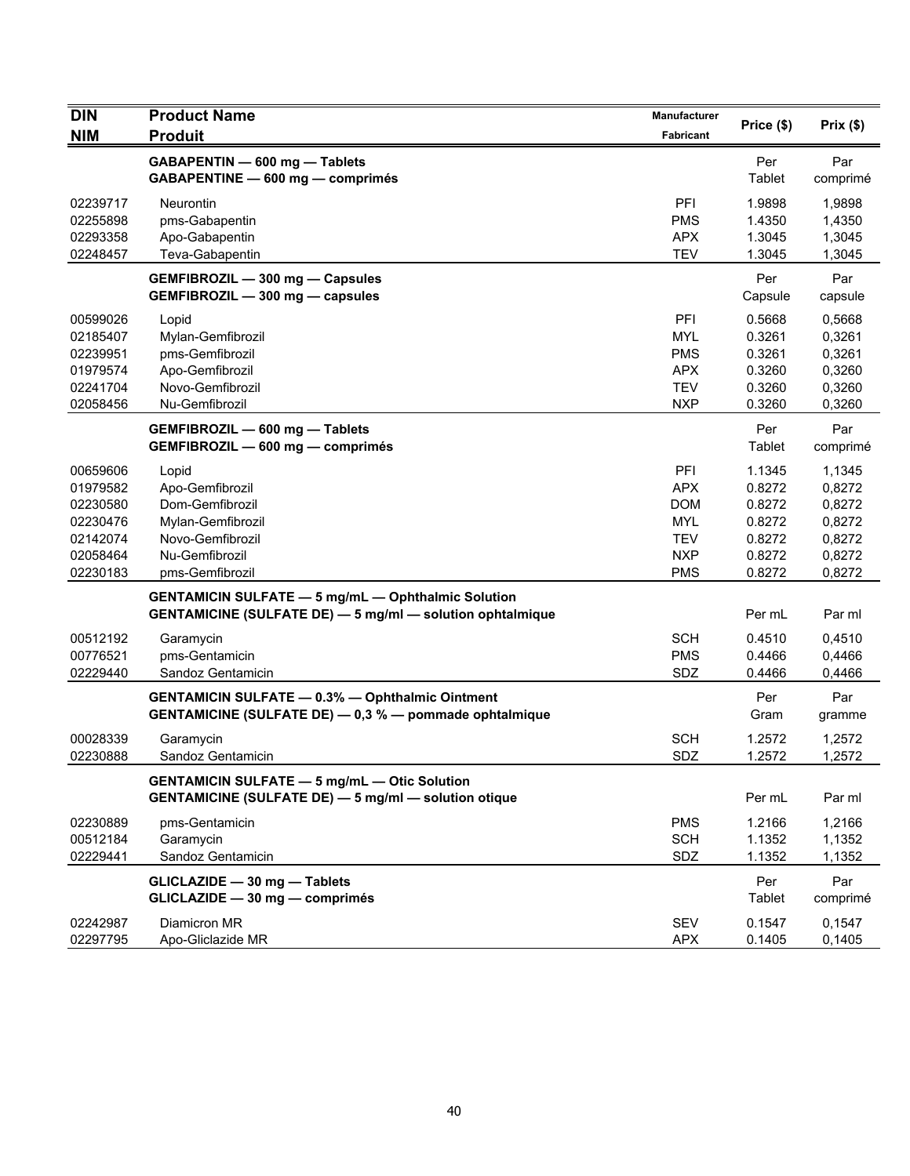| <b>DIN</b><br><b>NIM</b>                                                         | <b>Product Name</b><br><b>Produit</b>                                                                                         | <b>Manufacturer</b><br>Fabricant                                                        | Price (\$)                                                         | Prix(\$)                                                           |
|----------------------------------------------------------------------------------|-------------------------------------------------------------------------------------------------------------------------------|-----------------------------------------------------------------------------------------|--------------------------------------------------------------------|--------------------------------------------------------------------|
|                                                                                  | GABAPENTIN - 600 mg - Tablets<br>GABAPENTINE - 600 mg - comprimés                                                             |                                                                                         | Per<br>Tablet                                                      | Par<br>comprimé                                                    |
| 02239717<br>02255898<br>02293358<br>02248457                                     | <b>Neurontin</b><br>pms-Gabapentin<br>Apo-Gabapentin<br>Teva-Gabapentin                                                       | PFI<br><b>PMS</b><br><b>APX</b><br><b>TEV</b>                                           | 1.9898<br>1.4350<br>1.3045<br>1.3045                               | 1,9898<br>1,4350<br>1,3045<br>1,3045                               |
|                                                                                  | GEMFIBROZIL - 300 mg - Capsules<br>GEMFIBROZIL - 300 mg - capsules                                                            |                                                                                         | Per<br>Capsule                                                     | Par<br>capsule                                                     |
| 00599026<br>02185407<br>02239951<br>01979574<br>02241704<br>02058456             | Lopid<br>Mylan-Gemfibrozil<br>pms-Gemfibrozil<br>Apo-Gemfibrozil<br>Novo-Gemfibrozil<br>Nu-Gemfibrozil                        | PFI<br><b>MYL</b><br><b>PMS</b><br><b>APX</b><br><b>TEV</b><br><b>NXP</b>               | 0.5668<br>0.3261<br>0.3261<br>0.3260<br>0.3260<br>0.3260           | 0,5668<br>0,3261<br>0,3261<br>0,3260<br>0,3260<br>0,3260           |
|                                                                                  | GEMFIBROZIL - 600 mg - Tablets<br>GEMFIBROZIL - 600 mg - comprimés                                                            |                                                                                         | Per<br>Tablet                                                      | Par<br>comprimé                                                    |
| 00659606<br>01979582<br>02230580<br>02230476<br>02142074<br>02058464<br>02230183 | Lopid<br>Apo-Gemfibrozil<br>Dom-Gemfibrozil<br>Mylan-Gemfibrozil<br>Novo-Gemfibrozil<br>Nu-Gemfibrozil<br>pms-Gemfibrozil     | PFI<br><b>APX</b><br><b>DOM</b><br><b>MYL</b><br><b>TEV</b><br><b>NXP</b><br><b>PMS</b> | 1.1345<br>0.8272<br>0.8272<br>0.8272<br>0.8272<br>0.8272<br>0.8272 | 1,1345<br>0,8272<br>0,8272<br>0,8272<br>0,8272<br>0,8272<br>0,8272 |
|                                                                                  | <b>GENTAMICIN SULFATE - 5 mg/mL - Ophthalmic Solution</b><br><b>GENTAMICINE (SULFATE DE) - 5 mg/ml - solution ophtalmique</b> |                                                                                         | Per mL                                                             | Par ml                                                             |
| 00512192<br>00776521<br>02229440                                                 | Garamycin<br>pms-Gentamicin<br>Sandoz Gentamicin                                                                              | <b>SCH</b><br><b>PMS</b><br>SDZ                                                         | 0.4510<br>0.4466<br>0.4466                                         | 0,4510<br>0,4466<br>0,4466                                         |
|                                                                                  | <b>GENTAMICIN SULFATE - 0.3% - Ophthalmic Ointment</b><br>GENTAMICINE (SULFATE DE) - 0,3 % - pommade ophtalmique              |                                                                                         | Per<br>Gram                                                        | Par<br>gramme                                                      |
| 00028339<br>02230888                                                             | Garamycin<br>Sandoz Gentamicin                                                                                                | <b>SCH</b><br>SDZ                                                                       | 1.2572<br>1.2572                                                   | 1,2572<br>1,2572                                                   |
|                                                                                  | <b>GENTAMICIN SULFATE - 5 mg/mL - Otic Solution</b><br><b>GENTAMICINE (SULFATE DE) - 5 mg/ml - solution otique</b>            |                                                                                         | Per mL                                                             | Par ml                                                             |
| 02230889<br>00512184<br>02229441                                                 | pms-Gentamicin<br>Garamycin<br>Sandoz Gentamicin                                                                              | <b>PMS</b><br><b>SCH</b><br>SDZ                                                         | 1.2166<br>1.1352<br>1.1352                                         | 1,2166<br>1,1352<br>1,1352                                         |
|                                                                                  | GLICLAZIDE - 30 mg - Tablets<br>GLICLAZIDE - 30 mg - comprimés                                                                |                                                                                         | Per<br>Tablet                                                      | Par<br>comprimé                                                    |
| 02242987<br>02297795                                                             | Diamicron MR<br>Apo-Gliclazide MR                                                                                             | SEV<br><b>APX</b>                                                                       | 0.1547<br>0.1405                                                   | 0,1547<br>0,1405                                                   |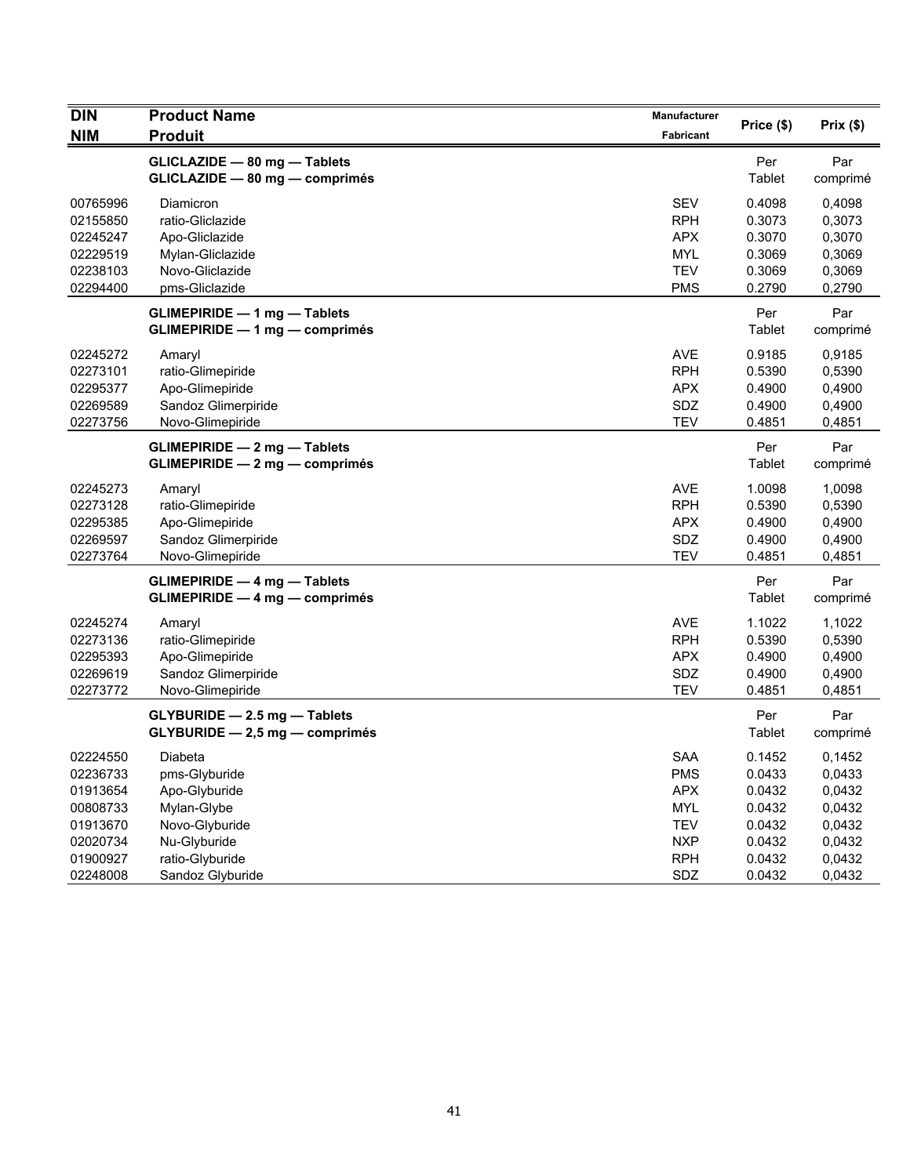| <b>DIN</b>           | <b>Product Name</b>                                                          | Manufacturer             | Price (\$)       | Prix(\$)         |
|----------------------|------------------------------------------------------------------------------|--------------------------|------------------|------------------|
| <b>NIM</b>           | <b>Produit</b>                                                               | <b>Fabricant</b>         |                  |                  |
|                      | GLICLAZIDE - 80 mg - Tablets<br>GLICLAZIDE - 80 mg - comprimés               |                          | Per<br>Tablet    | Par<br>comprimé  |
| 00765996<br>02155850 | Diamicron<br>ratio-Gliclazide                                                | <b>SEV</b><br><b>RPH</b> | 0.4098<br>0.3073 | 0,4098<br>0,3073 |
| 02245247             | Apo-Gliclazide                                                               | <b>APX</b>               | 0.3070           | 0,3070           |
| 02229519<br>02238103 | Mylan-Gliclazide<br>Novo-Gliclazide                                          | <b>MYL</b><br><b>TEV</b> | 0.3069<br>0.3069 | 0,3069<br>0,3069 |
| 02294400             | pms-Gliclazide                                                               | <b>PMS</b>               | 0.2790           | 0,2790           |
|                      | <b>GLIMEPIRIDE - 1 mg - Tablets</b><br><b>GLIMEPIRIDE - 1 mg - comprimés</b> |                          | Per<br>Tablet    | Par<br>comprimé  |
| 02245272             | Amaryl                                                                       | <b>AVE</b>               | 0.9185           | 0,9185           |
| 02273101             | ratio-Glimepiride                                                            | <b>RPH</b>               | 0.5390           | 0,5390           |
| 02295377             | Apo-Glimepiride                                                              | <b>APX</b>               | 0.4900           | 0,4900           |
| 02269589             | Sandoz Glimerpiride                                                          | SDZ                      | 0.4900           | 0,4900           |
| 02273756             | Novo-Glimepiride                                                             | <b>TEV</b>               | 0.4851           | 0,4851           |
|                      | <b>GLIMEPIRIDE - 2 mg - Tablets</b><br><b>GLIMEPIRIDE - 2 mg - comprimés</b> |                          | Per<br>Tablet    | Par<br>comprimé  |
| 02245273             | Amaryl                                                                       | <b>AVE</b>               | 1.0098           | 1,0098           |
| 02273128             | ratio-Glimepiride                                                            | <b>RPH</b>               | 0.5390           | 0,5390           |
| 02295385             | Apo-Glimepiride                                                              | <b>APX</b>               | 0.4900           | 0,4900           |
| 02269597             | Sandoz Glimerpiride                                                          | SDZ                      | 0.4900           | 0,4900           |
| 02273764             | Novo-Glimepiride                                                             | <b>TEV</b>               | 0.4851           | 0,4851           |
|                      | <b>GLIMEPIRIDE - 4 mg - Tablets</b><br><b>GLIMEPIRIDE - 4 mg - comprimés</b> |                          | Per<br>Tablet    | Par<br>comprimé  |
| 02245274             | Amaryl                                                                       | <b>AVE</b>               | 1.1022           | 1,1022           |
| 02273136             | ratio-Glimepiride                                                            | <b>RPH</b>               | 0.5390           | 0,5390           |
| 02295393             | Apo-Glimepiride                                                              | <b>APX</b>               | 0.4900           | 0,4900           |
| 02269619             | Sandoz Glimerpiride                                                          | SDZ                      | 0.4900           | 0,4900           |
| 02273772             | Novo-Glimepiride                                                             | <b>TEV</b>               | 0.4851           | 0,4851           |
|                      | GLYBURIDE - 2.5 mg - Tablets<br>GLYBURIDE - 2,5 mg - comprimés               |                          | Per<br>Tablet    | Par<br>comprimé  |
| 02224550             | Diabeta                                                                      | <b>SAA</b>               | 0.1452           | 0,1452           |
| 02236733             | pms-Glyburide                                                                | <b>PMS</b>               | 0.0433           | 0,0433           |
| 01913654             | Apo-Glyburide                                                                | <b>APX</b>               | 0.0432           | 0,0432           |
| 00808733             | Mylan-Glybe                                                                  | <b>MYL</b>               | 0.0432           | 0,0432           |
| 01913670             | Novo-Glyburide                                                               | <b>TEV</b>               | 0.0432           | 0,0432           |
| 02020734             | Nu-Glyburide                                                                 | <b>NXP</b>               | 0.0432           | 0,0432           |
| 01900927             | ratio-Glyburide                                                              | <b>RPH</b>               | 0.0432           | 0,0432           |
| 02248008             | Sandoz Glyburide                                                             | SDZ                      | 0.0432           | 0,0432           |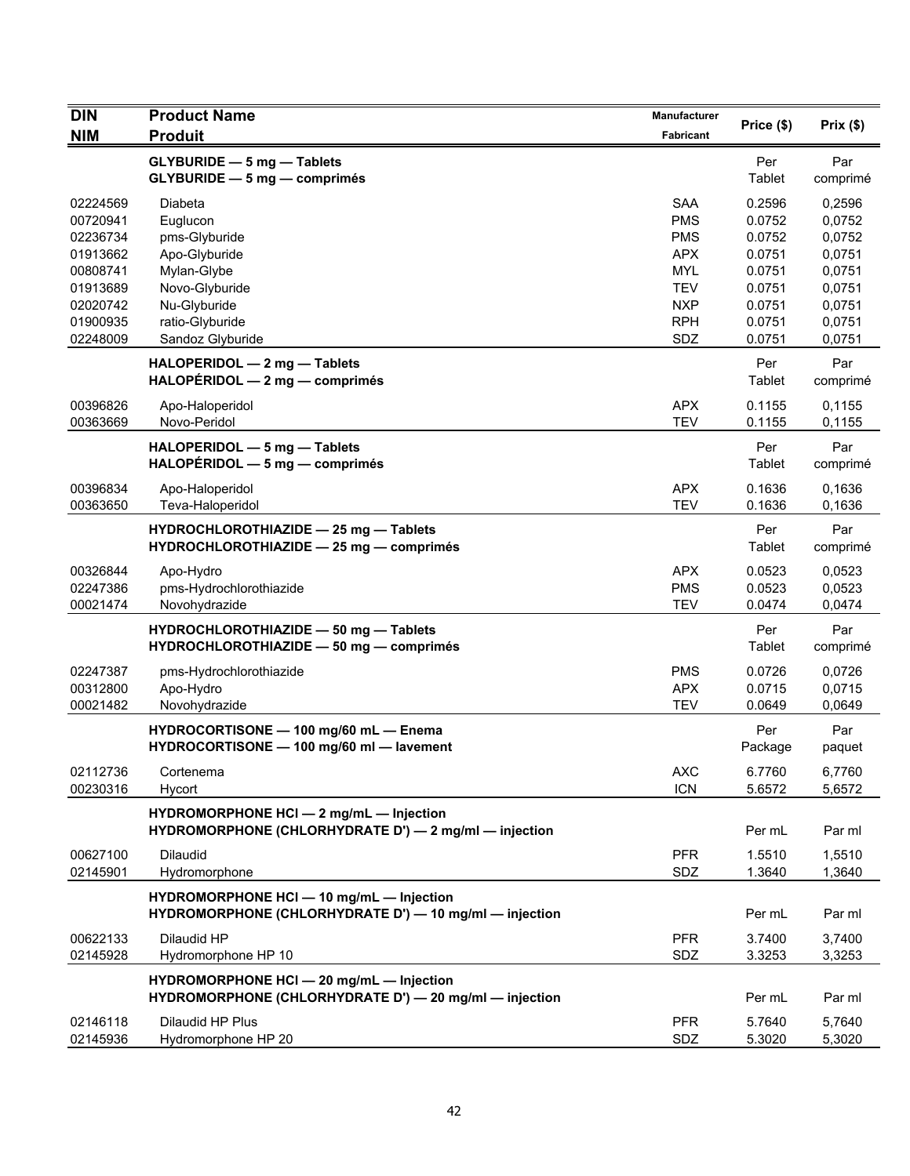| <b>DIN</b>                                                           | <b>Product Name</b>                                                                                   | Manufacturer                                                              | Price (\$)                                               | Prix(\$)                                                 |
|----------------------------------------------------------------------|-------------------------------------------------------------------------------------------------------|---------------------------------------------------------------------------|----------------------------------------------------------|----------------------------------------------------------|
| <b>NIM</b>                                                           | <b>Produit</b>                                                                                        | Fabricant                                                                 |                                                          |                                                          |
|                                                                      | <b>GLYBURIDE - 5 mg - Tablets</b><br>GLYBURIDE - 5 mg - comprimés                                     |                                                                           | Per<br>Tablet                                            | Par<br>comprimé                                          |
| 02224569<br>00720941<br>02236734                                     | Diabeta<br>Euglucon<br>pms-Glyburide                                                                  | <b>SAA</b><br><b>PMS</b><br><b>PMS</b>                                    | 0.2596<br>0.0752<br>0.0752                               | 0,2596<br>0,0752<br>0,0752                               |
| 01913662<br>00808741<br>01913689<br>02020742<br>01900935<br>02248009 | Apo-Glyburide<br>Mylan-Glybe<br>Novo-Glyburide<br>Nu-Glyburide<br>ratio-Glyburide<br>Sandoz Glyburide | <b>APX</b><br><b>MYL</b><br><b>TEV</b><br><b>NXP</b><br><b>RPH</b><br>SDZ | 0.0751<br>0.0751<br>0.0751<br>0.0751<br>0.0751<br>0.0751 | 0,0751<br>0,0751<br>0,0751<br>0,0751<br>0,0751<br>0,0751 |
|                                                                      | HALOPERIDOL - 2 mg - Tablets<br>$HALOPÉRIDOL - 2 mg - comprimés$                                      |                                                                           | Per<br>Tablet                                            | Par<br>comprimé                                          |
| 00396826<br>00363669                                                 | Apo-Haloperidol<br>Novo-Peridol                                                                       | <b>APX</b><br><b>TEV</b>                                                  | 0.1155<br>0.1155                                         | 0,1155<br>0,1155                                         |
|                                                                      | HALOPERIDOL - 5 mg - Tablets<br>HALOPERIDOL - 5 mg - comprimés                                        |                                                                           | Per<br>Tablet                                            | Par<br>comprimé                                          |
| 00396834<br>00363650                                                 | Apo-Haloperidol<br>Teva-Haloperidol                                                                   | <b>APX</b><br><b>TEV</b>                                                  | 0.1636<br>0.1636                                         | 0,1636<br>0,1636                                         |
|                                                                      | HYDROCHLOROTHIAZIDE - 25 mg - Tablets<br>HYDROCHLOROTHIAZIDE - 25 mg - comprimés                      |                                                                           | Per<br>Tablet                                            | Par<br>comprimé                                          |
| 00326844<br>02247386<br>00021474                                     | Apo-Hydro<br>pms-Hydrochlorothiazide<br>Novohydrazide                                                 | <b>APX</b><br><b>PMS</b><br><b>TEV</b>                                    | 0.0523<br>0.0523<br>0.0474                               | 0,0523<br>0,0523<br>0,0474                               |
|                                                                      | HYDROCHLOROTHIAZIDE - 50 mg - Tablets<br>HYDROCHLOROTHIAZIDE - 50 mg - comprimés                      |                                                                           | Per<br>Tablet                                            | Par<br>comprimé                                          |
| 02247387<br>00312800<br>00021482                                     | pms-Hydrochlorothiazide<br>Apo-Hydro<br>Novohydrazide                                                 | <b>PMS</b><br><b>APX</b><br><b>TEV</b>                                    | 0.0726<br>0.0715<br>0.0649                               | 0,0726<br>0,0715<br>0,0649                               |
|                                                                      | HYDROCORTISONE - 100 mg/60 mL - Enema<br>HYDROCORTISONE - 100 mg/60 ml - lavement                     |                                                                           | Per<br>Package                                           | Par<br>paquet                                            |
| 02112736<br>00230316                                                 | Cortenema<br>Hycort                                                                                   | <b>AXC</b><br><b>ICN</b>                                                  | 6.7760<br>5.6572                                         | 6,7760<br>5,6572                                         |
|                                                                      | HYDROMORPHONE HCI - 2 mg/mL - Injection<br>HYDROMORPHONE (CHLORHYDRATE D') - 2 mg/ml - injection      |                                                                           | Per mL                                                   | Par ml                                                   |
| 00627100<br>02145901                                                 | Dilaudid<br>Hydromorphone                                                                             | <b>PFR</b><br>SDZ                                                         | 1.5510<br>1.3640                                         | 1,5510<br>1,3640                                         |
|                                                                      | HYDROMORPHONE HCI - 10 mg/mL - Injection<br>HYDROMORPHONE (CHLORHYDRATE D') - 10 mg/ml - injection    |                                                                           | Per mL                                                   | Par ml                                                   |
| 00622133<br>02145928                                                 | Dilaudid HP<br>Hydromorphone HP 10                                                                    | <b>PFR</b><br>SDZ                                                         | 3.7400<br>3.3253                                         | 3,7400<br>3,3253                                         |
|                                                                      | HYDROMORPHONE HCI - 20 mg/mL - Injection<br>HYDROMORPHONE (CHLORHYDRATE D') - 20 mg/ml - injection    |                                                                           | Per mL                                                   | Par ml                                                   |
| 02146118<br>02145936                                                 | Dilaudid HP Plus<br>Hydromorphone HP 20                                                               | <b>PFR</b><br>SDZ                                                         | 5.7640<br>5.3020                                         | 5,7640<br>5,3020                                         |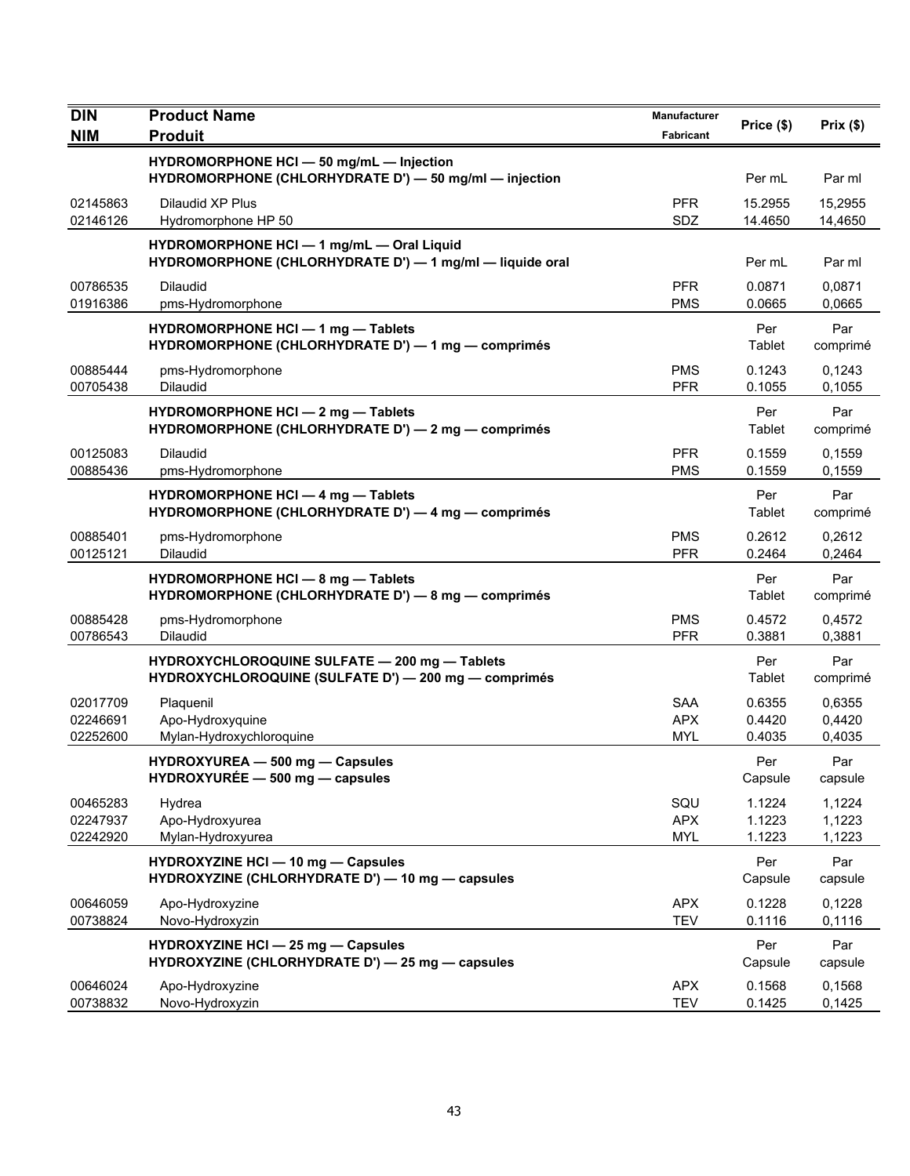| <b>DIN</b>                       | <b>Product Name</b>                                                                                   | <b>Manufacturer</b>                    |                            |                            |
|----------------------------------|-------------------------------------------------------------------------------------------------------|----------------------------------------|----------------------------|----------------------------|
| <b>NIM</b>                       | <b>Produit</b>                                                                                        | Fabricant                              | Price (\$)                 | Prix(\$)                   |
|                                  | HYDROMORPHONE HCI - 50 mg/mL - Injection<br>HYDROMORPHONE (CHLORHYDRATE D') - 50 mg/ml - injection    |                                        | Per mL                     | Par ml                     |
| 02145863<br>02146126             | Dilaudid XP Plus<br>Hydromorphone HP 50                                                               | <b>PFR</b><br>SDZ                      | 15.2955<br>14.4650         | 15.2955<br>14,4650         |
|                                  | HYDROMORPHONE HCI - 1 mg/mL - Oral Liquid<br>HYDROMORPHONE (CHLORHYDRATE D') - 1 mg/ml - liquide oral |                                        | Per mL                     | Par ml                     |
| 00786535<br>01916386             | <b>Dilaudid</b><br>pms-Hydromorphone                                                                  | <b>PFR</b><br><b>PMS</b>               | 0.0871<br>0.0665           | 0,0871<br>0,0665           |
|                                  | HYDROMORPHONE HCI - 1 mg - Tablets<br>HYDROMORPHONE (CHLORHYDRATE D') — 1 mg — comprimés              |                                        | Per<br>Tablet              | Par<br>comprimé            |
| 00885444<br>00705438             | pms-Hydromorphone<br><b>Dilaudid</b>                                                                  | <b>PMS</b><br><b>PFR</b>               | 0.1243<br>0.1055           | 0,1243<br>0,1055           |
|                                  | HYDROMORPHONE HCI - 2 mg - Tablets<br>HYDROMORPHONE (CHLORHYDRATE D') - 2 mg - comprimés              |                                        | Per<br>Tablet              | Par<br>comprimé            |
| 00125083<br>00885436             | <b>Dilaudid</b><br>pms-Hydromorphone                                                                  | <b>PFR</b><br><b>PMS</b>               | 0.1559<br>0.1559           | 0,1559<br>0,1559           |
|                                  | <b>HYDROMORPHONE HCI - 4 mg - Tablets</b><br>HYDROMORPHONE (CHLORHYDRATE D') - 4 mg - comprimés       |                                        | Per<br>Tablet              | Par<br>comprimé            |
| 00885401<br>00125121             | pms-Hydromorphone<br><b>Dilaudid</b>                                                                  | <b>PMS</b><br><b>PFR</b>               | 0.2612<br>0.2464           | 0,2612<br>0,2464           |
|                                  | HYDROMORPHONE HCI - 8 mg - Tablets<br>HYDROMORPHONE (CHLORHYDRATE D') - 8 mg - comprimés              |                                        | Per<br>Tablet              | Par<br>comprimé            |
| 00885428<br>00786543             | pms-Hydromorphone<br>Dilaudid                                                                         | <b>PMS</b><br><b>PFR</b>               | 0.4572<br>0.3881           | 0,4572<br>0,3881           |
|                                  | HYDROXYCHLOROQUINE SULFATE - 200 mg - Tablets<br>HYDROXYCHLOROQUINE (SULFATE D') - 200 mg - comprimés |                                        | Per<br>Tablet              | Par<br>comprimé            |
| 02017709<br>02246691<br>02252600 | Plaquenil<br>Apo-Hydroxyquine<br>Mylan-Hydroxychloroquine                                             | <b>SAA</b><br><b>APX</b><br><b>MYL</b> | 0.6355<br>0.4420<br>0.4035 | 0,6355<br>0,4420<br>0,4035 |
|                                  | HYDROXYUREA - 500 mg - Capsules<br>$HYDROXYUREE - 500 mg - capsules$                                  |                                        | Per<br>Capsule             | Par<br>capsule             |
| 00465283<br>02247937<br>02242920 | Hydrea<br>Apo-Hydroxyurea<br>Mylan-Hydroxyurea                                                        | SQU<br><b>APX</b><br><b>MYL</b>        | 1.1224<br>1.1223<br>1.1223 | 1,1224<br>1,1223<br>1,1223 |
|                                  | HYDROXYZINE HCI - 10 mg - Capsules<br>HYDROXYZINE (CHLORHYDRATE D') - 10 mg - capsules                |                                        | Per<br>Capsule             | Par<br>capsule             |
| 00646059<br>00738824             | Apo-Hydroxyzine<br>Novo-Hydroxyzin                                                                    | <b>APX</b><br><b>TEV</b>               | 0.1228<br>0.1116           | 0,1228<br>0,1116           |
|                                  | <b>HYDROXYZINE HCI - 25 mg - Capsules</b><br>HYDROXYZINE (CHLORHYDRATE D') - 25 mg - capsules         |                                        | Per<br>Capsule             | Par<br>capsule             |
| 00646024<br>00738832             | Apo-Hydroxyzine<br>Novo-Hydroxyzin                                                                    | <b>APX</b><br><b>TEV</b>               | 0.1568<br>0.1425           | 0,1568<br>0,1425           |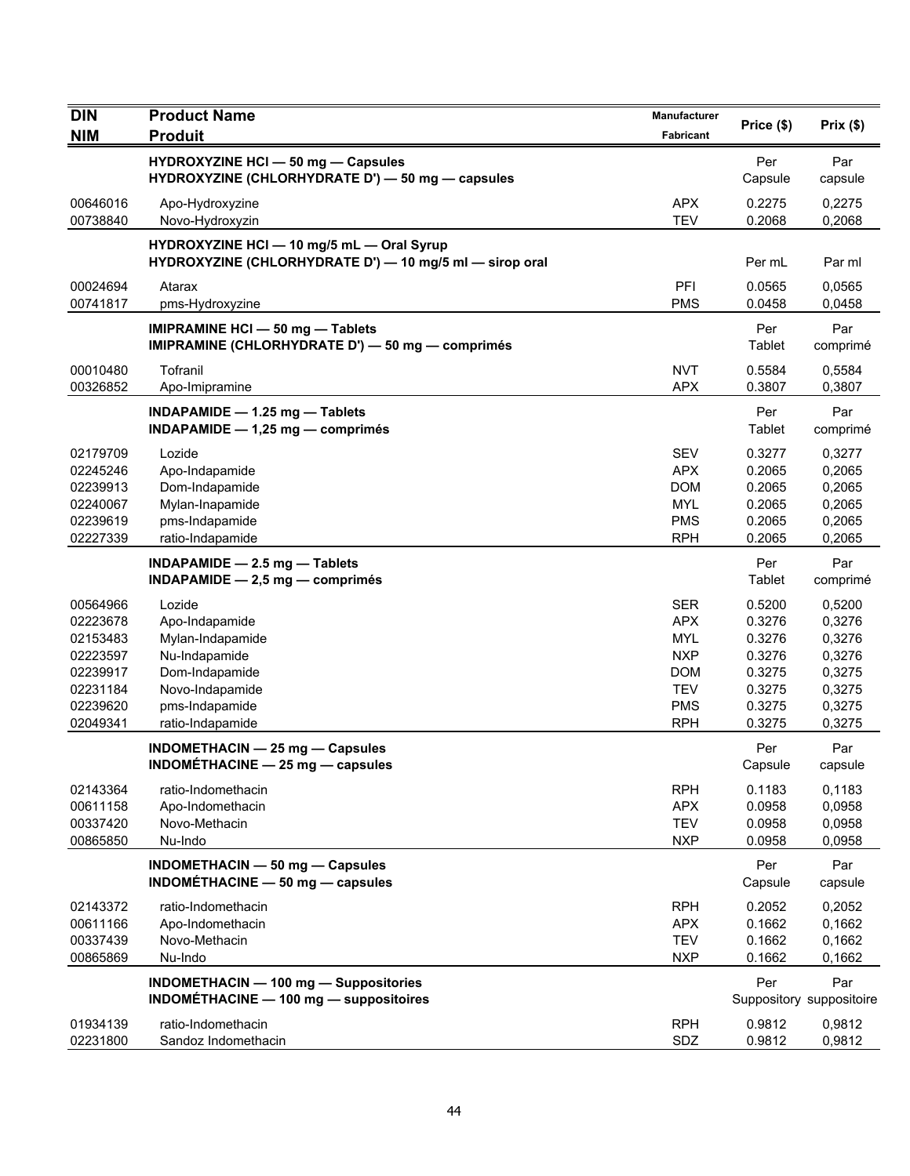| <b>DIN</b>                                                                                   | <b>Product Name</b>                                                                                                                      | Manufacturer                                                                                                 |                                                                              |                                                                              |
|----------------------------------------------------------------------------------------------|------------------------------------------------------------------------------------------------------------------------------------------|--------------------------------------------------------------------------------------------------------------|------------------------------------------------------------------------------|------------------------------------------------------------------------------|
| <b>NIM</b>                                                                                   | <b>Produit</b>                                                                                                                           | Fabricant                                                                                                    | Price (\$)                                                                   | Prix(\$)                                                                     |
|                                                                                              | HYDROXYZINE HCI - 50 mg - Capsules<br>HYDROXYZINE (CHLORHYDRATE D') - 50 mg - capsules                                                   |                                                                                                              | Per<br>Capsule                                                               | Par<br>capsule                                                               |
| 00646016<br>00738840                                                                         | Apo-Hydroxyzine<br>Novo-Hydroxyzin                                                                                                       | <b>APX</b><br><b>TEV</b>                                                                                     | 0.2275<br>0.2068                                                             | 0,2275<br>0,2068                                                             |
|                                                                                              | HYDROXYZINE HCI - 10 mg/5 mL - Oral Syrup<br>HYDROXYZINE (CHLORHYDRATE D') - 10 mg/5 ml - sirop oral                                     |                                                                                                              | Per mL                                                                       | Par ml                                                                       |
| 00024694<br>00741817                                                                         | Atarax<br>pms-Hydroxyzine                                                                                                                | PFI<br><b>PMS</b>                                                                                            | 0.0565<br>0.0458                                                             | 0,0565<br>0,0458                                                             |
|                                                                                              | <b>IMIPRAMINE HCI - 50 mg - Tablets</b><br>IMIPRAMINE (CHLORHYDRATE D') - 50 mg - comprimés                                              |                                                                                                              | Per<br>Tablet                                                                | Par<br>comprimé                                                              |
| 00010480<br>00326852                                                                         | Tofranil<br>Apo-Imipramine                                                                                                               | <b>NVT</b><br><b>APX</b>                                                                                     | 0.5584<br>0.3807                                                             | 0,5584<br>0,3807                                                             |
|                                                                                              | INDAPAMIDE - 1.25 mg - Tablets<br>INDAPAMIDE $- 1,25$ mg $-$ comprimés                                                                   |                                                                                                              | Per<br>Tablet                                                                | Par<br>comprimé                                                              |
| 02179709<br>02245246<br>02239913<br>02240067<br>02239619<br>02227339                         | Lozide<br>Apo-Indapamide<br>Dom-Indapamide<br>Mylan-Inapamide<br>pms-Indapamide<br>ratio-Indapamide                                      | <b>SEV</b><br><b>APX</b><br><b>DOM</b><br><b>MYL</b><br><b>PMS</b><br><b>RPH</b>                             | 0.3277<br>0.2065<br>0.2065<br>0.2065<br>0.2065<br>0.2065                     | 0,3277<br>0,2065<br>0,2065<br>0,2065<br>0,2065<br>0,2065                     |
|                                                                                              | INDAPAMIDE - 2.5 mg - Tablets<br>$INDAPAMIDE - 2,5 mg - comprimés$                                                                       |                                                                                                              | Per<br>Tablet                                                                | Par<br>comprimé                                                              |
| 00564966<br>02223678<br>02153483<br>02223597<br>02239917<br>02231184<br>02239620<br>02049341 | Lozide<br>Apo-Indapamide<br>Mylan-Indapamide<br>Nu-Indapamide<br>Dom-Indapamide<br>Novo-Indapamide<br>pms-Indapamide<br>ratio-Indapamide | <b>SER</b><br><b>APX</b><br><b>MYL</b><br><b>NXP</b><br><b>DOM</b><br><b>TEV</b><br><b>PMS</b><br><b>RPH</b> | 0.5200<br>0.3276<br>0.3276<br>0.3276<br>0.3275<br>0.3275<br>0.3275<br>0.3275 | 0,5200<br>0,3276<br>0,3276<br>0,3276<br>0,3275<br>0,3275<br>0,3275<br>0,3275 |
|                                                                                              | <b>INDOMETHACIN - 25 mg - Capsules</b><br>INDOMÉTHACINE - 25 mg - capsules                                                               |                                                                                                              | Per<br>Capsule                                                               | Par<br>capsule                                                               |
| 02143364<br>00611158<br>00337420<br>00865850                                                 | ratio-Indomethacin<br>Apo-Indomethacin<br>Novo-Methacin<br>Nu-Indo                                                                       | <b>RPH</b><br><b>APX</b><br><b>TEV</b><br><b>NXP</b>                                                         | 0.1183<br>0.0958<br>0.0958<br>0.0958                                         | 0,1183<br>0,0958<br>0,0958<br>0,0958                                         |
|                                                                                              | INDOMETHACIN - 50 mg - Capsules<br>INDOMÉTHACINE $-$ 50 mg $-$ capsules                                                                  |                                                                                                              | Per<br>Capsule                                                               | Par<br>capsule                                                               |
| 02143372<br>00611166<br>00337439<br>00865869                                                 | ratio-Indomethacin<br>Apo-Indomethacin<br>Novo-Methacin<br>Nu-Indo                                                                       | <b>RPH</b><br><b>APX</b><br><b>TEV</b><br><b>NXP</b>                                                         | 0.2052<br>0.1662<br>0.1662<br>0.1662                                         | 0,2052<br>0,1662<br>0,1662<br>0,1662                                         |
|                                                                                              | <b>INDOMETHACIN - 100 mg - Suppositories</b><br>INDOMÉTHACINE - 100 mg - suppositoires                                                   |                                                                                                              | Per                                                                          | Par<br>Suppository suppositoire                                              |
| 01934139<br>02231800                                                                         | ratio-Indomethacin<br>Sandoz Indomethacin                                                                                                | <b>RPH</b><br>SDZ                                                                                            | 0.9812<br>0.9812                                                             | 0,9812<br>0,9812                                                             |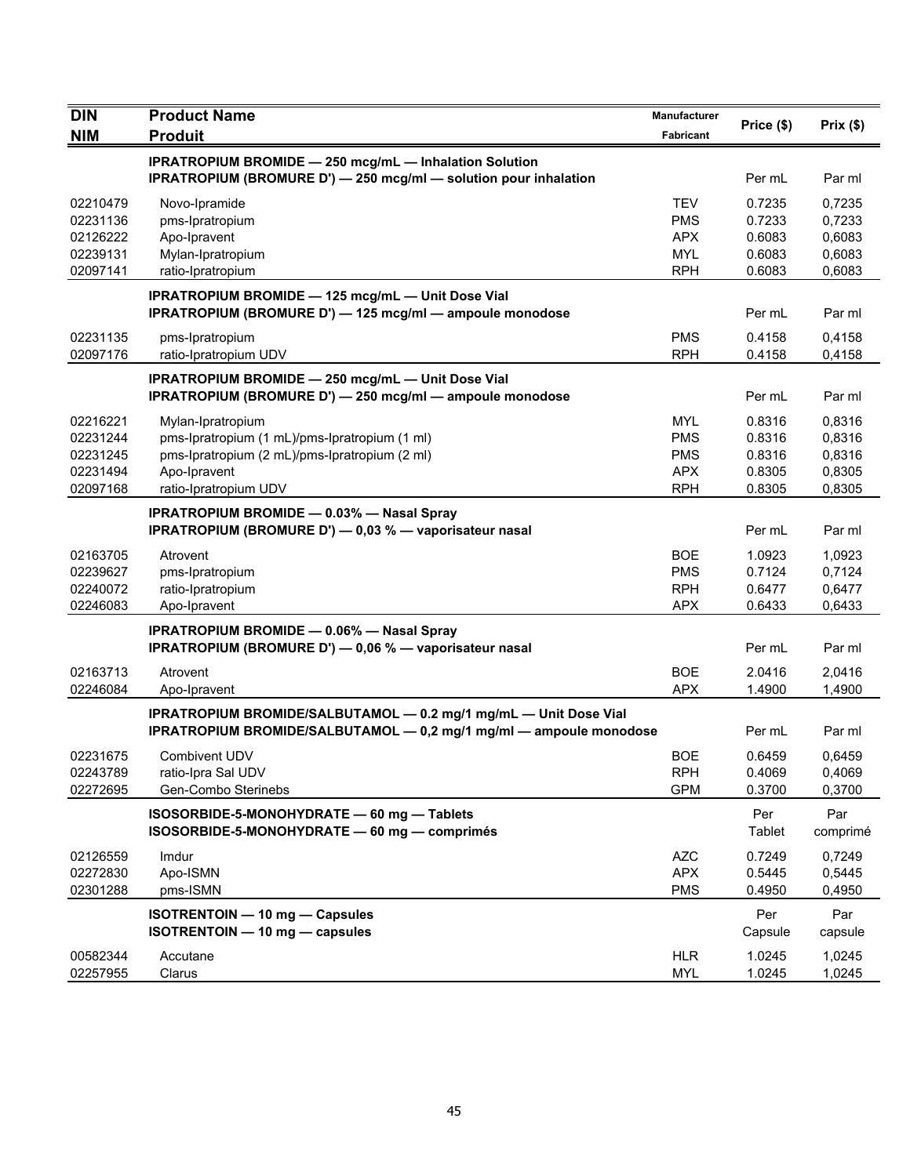| $\overline{D}$                               | <b>Product Name</b>                                                                                                                    | Manufacturer                                         | Price (\$)                           | Prix(\$)                             |
|----------------------------------------------|----------------------------------------------------------------------------------------------------------------------------------------|------------------------------------------------------|--------------------------------------|--------------------------------------|
| <b>NIM</b>                                   | <b>Produit</b>                                                                                                                         | Fabricant                                            |                                      |                                      |
|                                              | <b>IPRATROPIUM BROMIDE - 250 mcg/mL - Inhalation Solution</b><br>IPRATROPIUM (BROMURE D') - 250 mcg/ml - solution pour inhalation      |                                                      | Per mL                               | Par ml                               |
| 02210479<br>02231136<br>02126222<br>02239131 | Novo-Ipramide<br>pms-Ipratropium<br>Apo-Ipravent<br>Mylan-Ipratropium                                                                  | <b>TEV</b><br><b>PMS</b><br><b>APX</b><br><b>MYL</b> | 0.7235<br>0.7233<br>0.6083<br>0.6083 | 0,7235<br>0,7233<br>0,6083<br>0,6083 |
| 02097141                                     | ratio-Ipratropium                                                                                                                      | <b>RPH</b>                                           | 0.6083                               | 0,6083                               |
|                                              | IPRATROPIUM BROMIDE - 125 mcg/mL - Unit Dose Vial<br>IPRATROPIUM (BROMURE D') - 125 mcg/ml - ampoule monodose                          |                                                      | Per mL                               | Par ml                               |
| 02231135<br>02097176                         | pms-Ipratropium<br>ratio-Ipratropium UDV                                                                                               | <b>PMS</b><br><b>RPH</b>                             | 0.4158<br>0.4158                     | 0,4158<br>0,4158                     |
|                                              | <b>IPRATROPIUM BROMIDE - 250 mcg/mL - Unit Dose Vial</b><br>IPRATROPIUM (BROMURE D') - 250 mcg/ml - ampoule monodose                   |                                                      | Per mL                               | Par ml                               |
| 02216221<br>02231244                         | Mylan-Ipratropium<br>pms-Ipratropium (1 mL)/pms-Ipratropium (1 ml)                                                                     | <b>MYL</b><br><b>PMS</b>                             | 0.8316<br>0.8316                     | 0,8316<br>0,8316                     |
| 02231245                                     | pms-Ipratropium (2 mL)/pms-Ipratropium (2 ml)                                                                                          | <b>PMS</b>                                           | 0.8316                               | 0,8316                               |
| 02231494                                     | Apo-Ipravent                                                                                                                           | <b>APX</b>                                           | 0.8305                               | 0,8305                               |
| 02097168                                     | ratio-Ipratropium UDV                                                                                                                  | <b>RPH</b>                                           | 0.8305                               | 0,8305                               |
|                                              | <b>IPRATROPIUM BROMIDE - 0.03% - Nasal Spray</b><br>IPRATROPIUM (BROMURE D') - 0,03 % - vaporisateur nasal                             |                                                      | Per mL                               | Par ml                               |
| 02163705                                     | Atrovent                                                                                                                               | <b>BOE</b>                                           | 1.0923                               | 1,0923                               |
| 02239627                                     | pms-Ipratropium                                                                                                                        | <b>PMS</b>                                           | 0.7124                               | 0,7124                               |
| 02240072<br>02246083                         | ratio-Ipratropium<br>Apo-Ipravent                                                                                                      | <b>RPH</b><br><b>APX</b>                             | 0.6477<br>0.6433                     | 0,6477<br>0,6433                     |
|                                              |                                                                                                                                        |                                                      |                                      |                                      |
|                                              | <b>IPRATROPIUM BROMIDE - 0.06% - Nasal Spray</b><br>IPRATROPIUM (BROMURE D') - 0,06 % - vaporisateur nasal                             |                                                      | Per mL                               | Par ml                               |
| 02163713<br>02246084                         | Atrovent<br>Apo-Ipravent                                                                                                               | <b>BOE</b><br><b>APX</b>                             | 2.0416<br>1.4900                     | 2,0416<br>1,4900                     |
|                                              | IPRATROPIUM BROMIDE/SALBUTAMOL - 0.2 mg/1 mg/mL - Unit Dose Vial<br>IPRATROPIUM BROMIDE/SALBUTAMOL - 0,2 mg/1 mg/ml - ampoule monodose |                                                      | Per mL                               | Par ml                               |
| 02231675                                     | Combivent UDV                                                                                                                          | <b>BOE</b>                                           | 0.6459                               | 0,6459                               |
| 02243789                                     | ratio-Ipra Sal UDV                                                                                                                     | <b>RPH</b>                                           | 0.4069                               | 0,4069                               |
| 02272695                                     | Gen-Combo Sterinebs                                                                                                                    | <b>GPM</b>                                           | 0.3700                               | 0,3700                               |
|                                              | ISOSORBIDE-5-MONOHYDRATE - 60 mg - Tablets<br>ISOSORBIDE-5-MONOHYDRATE - 60 mg - comprimés                                             |                                                      | Per<br>Tablet                        | Par<br>comprimé                      |
| 02126559                                     | Imdur                                                                                                                                  | <b>AZC</b>                                           | 0.7249                               | 0,7249                               |
| 02272830                                     | Apo-ISMN                                                                                                                               | <b>APX</b>                                           | 0.5445                               | 0,5445                               |
| 02301288                                     | pms-ISMN                                                                                                                               | <b>PMS</b>                                           | 0.4950                               | 0,4950                               |
|                                              | <b>ISOTRENTOIN - 10 mg - Capsules</b><br>ISOTRENTOIN - 10 mg - capsules                                                                |                                                      | Per<br>Capsule                       | Par<br>capsule                       |
| 00582344<br>02257955                         | Accutane<br>Clarus                                                                                                                     | <b>HLR</b><br><b>MYL</b>                             | 1.0245<br>1.0245                     | 1,0245<br>1,0245                     |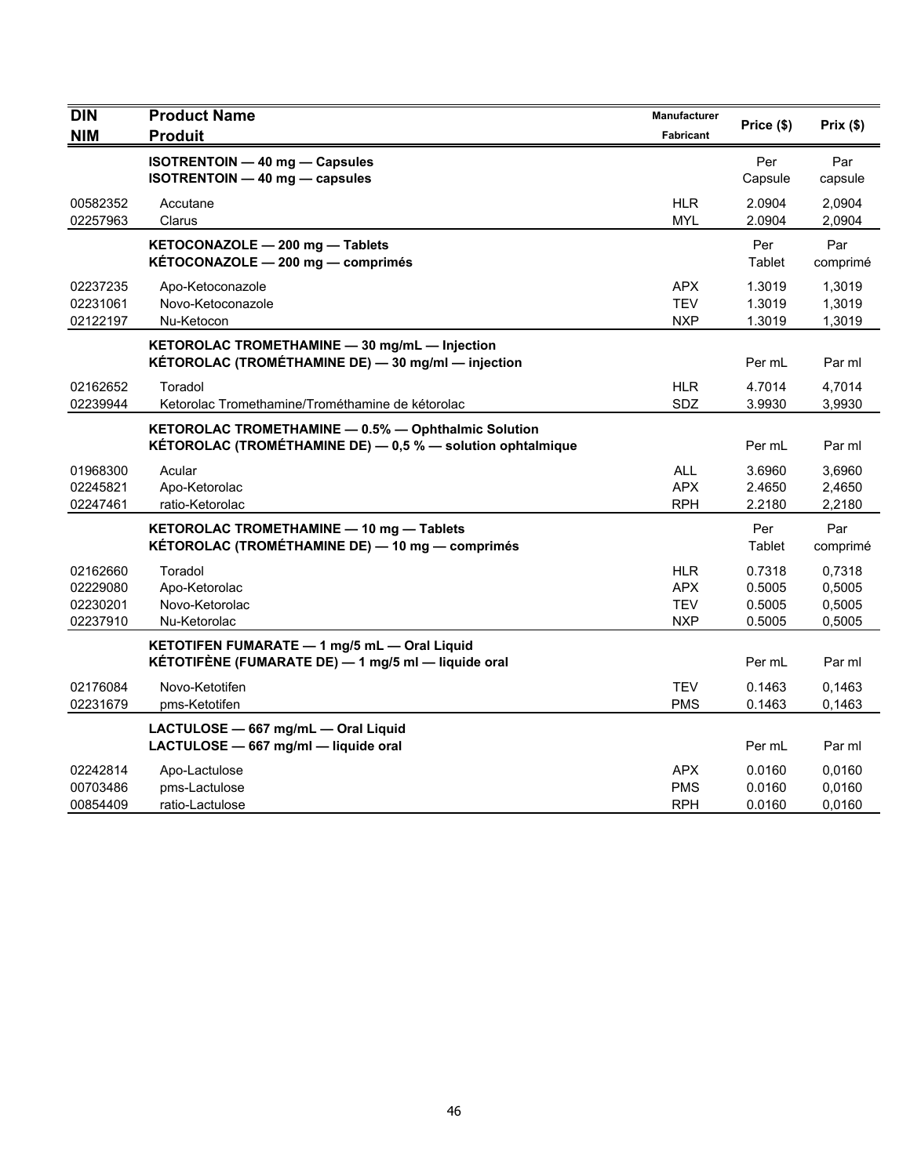| <b>DIN</b><br><b>NIM</b>                     | <b>Product Name</b><br><b>Produit</b>                                                                             | <b>Manufacturer</b><br>Fabricant              | Price (\$)                           | Prix(\$)                             |
|----------------------------------------------|-------------------------------------------------------------------------------------------------------------------|-----------------------------------------------|--------------------------------------|--------------------------------------|
|                                              | ISOTRENTOIN - 40 mg - Capsules<br>$ISOTRENTOIN - 40 mg - capsules$                                                |                                               | Per<br>Capsule                       | Par<br>capsule                       |
| 00582352<br>02257963                         | Accutane<br>Clarus                                                                                                | <b>HLR</b><br><b>MYL</b>                      | 2.0904<br>2.0904                     | 2,0904<br>2,0904                     |
|                                              | KETOCONAZOLE - 200 mg - Tablets<br>KÉTOCONAZOLE - 200 mg - comprimés                                              |                                               | Per<br>Tablet                        | Par<br>comprimé                      |
| 02237235<br>02231061<br>02122197             | Apo-Ketoconazole<br>Novo-Ketoconazole<br>Nu-Ketocon                                                               | <b>APX</b><br><b>TEV</b><br><b>NXP</b>        | 1.3019<br>1.3019<br>1.3019           | 1,3019<br>1,3019<br>1,3019           |
|                                              | KETOROLAC TROMETHAMINE - 30 mg/mL - Injection<br>KÉTOROLAC (TROMÉTHAMINE DE) - 30 mg/ml - injection               |                                               | Per mL                               | Par ml                               |
| 02162652<br>02239944                         | Toradol<br>Ketorolac Tromethamine/Trométhamine de kétorolac                                                       | <b>HLR</b><br>SDZ                             | 4.7014<br>3.9930                     | 4,7014<br>3,9930                     |
|                                              | KETOROLAC TROMETHAMINE - 0.5% - Ophthalmic Solution<br>KÉTOROLAC (TROMÉTHAMINE DE) - 0,5 % - solution ophtalmique |                                               | Per mL                               | Par ml                               |
| 01968300<br>02245821<br>02247461             | Acular<br>Apo-Ketorolac<br>ratio-Ketorolac                                                                        | <b>ALL</b><br><b>APX</b><br><b>RPH</b>        | 3.6960<br>2.4650<br>2.2180           | 3,6960<br>2,4650<br>2,2180           |
|                                              | KETOROLAC TROMETHAMINE - 10 mg - Tablets<br>KÉTOROLAC (TROMÉTHAMINE DE) — 10 mg — comprimés                       |                                               | Per<br>Tablet                        | Par<br>comprimé                      |
| 02162660<br>02229080<br>02230201<br>02237910 | Toradol<br>Apo-Ketorolac<br>Novo-Ketorolac<br>Nu-Ketorolac                                                        | HLR<br><b>APX</b><br><b>TEV</b><br><b>NXP</b> | 0.7318<br>0.5005<br>0.5005<br>0.5005 | 0,7318<br>0,5005<br>0,5005<br>0,5005 |
|                                              | KETOTIFEN FUMARATE - 1 mg/5 mL - Oral Liquid<br>KÉTOTIFÈNE (FUMARATE DE) - 1 mg/5 ml - liquide oral               |                                               | Per mL                               | Par ml                               |
| 02176084<br>02231679                         | Novo-Ketotifen<br>pms-Ketotifen                                                                                   | <b>TEV</b><br><b>PMS</b>                      | 0.1463<br>0.1463                     | 0.1463<br>0,1463                     |
|                                              | LACTULOSE - 667 mg/mL - Oral Liquid<br>LACTULOSE - 667 mg/ml - liquide oral                                       |                                               | Per mL                               | Par ml                               |
| 02242814<br>00703486<br>00854409             | Apo-Lactulose<br>pms-Lactulose<br>ratio-Lactulose                                                                 | <b>APX</b><br><b>PMS</b><br><b>RPH</b>        | 0.0160<br>0.0160<br>0.0160           | 0,0160<br>0,0160<br>0,0160           |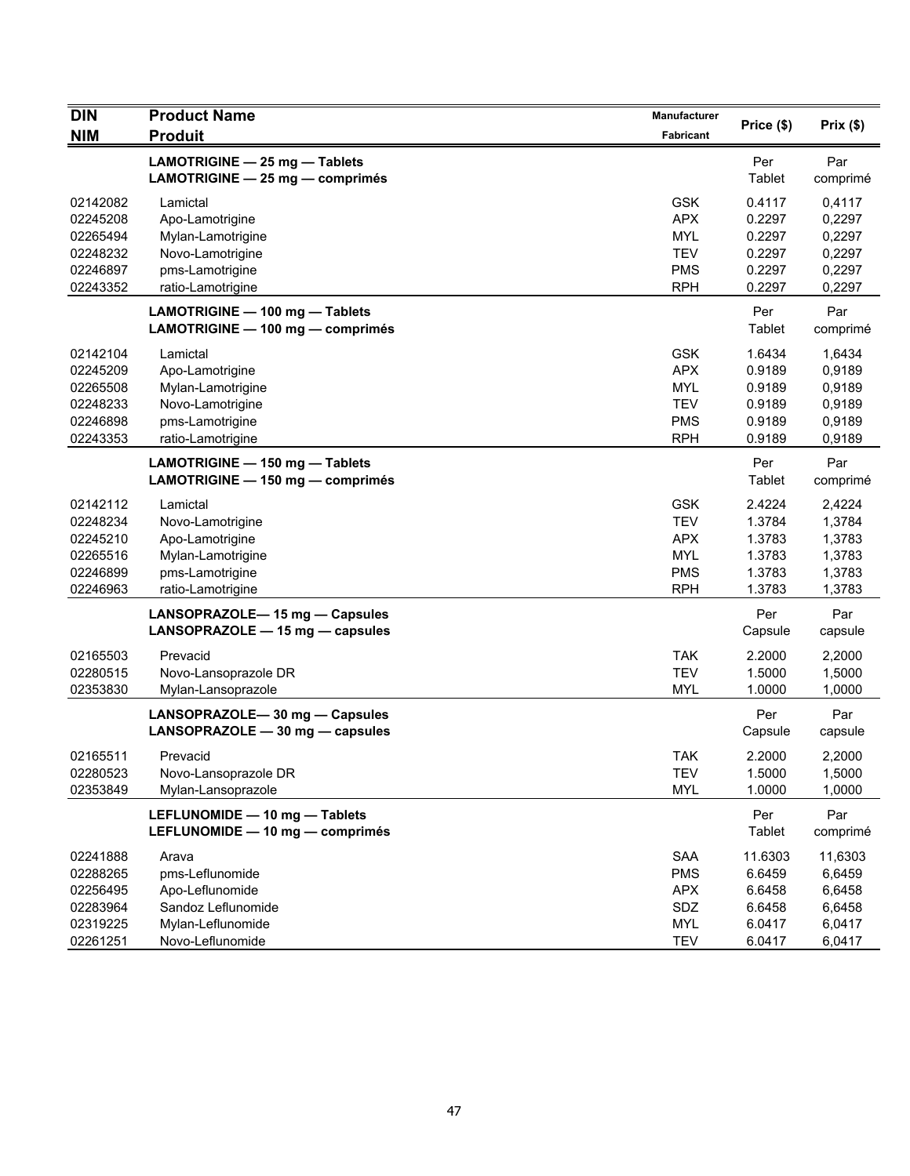| <b>DIN</b><br><b>NIM</b>                                             | <b>Product Name</b><br><b>Produit</b>                                                                        | <b>Manufacturer</b><br>Fabricant                                                 | Price (\$)                                                | Prix(\$)                                                  |
|----------------------------------------------------------------------|--------------------------------------------------------------------------------------------------------------|----------------------------------------------------------------------------------|-----------------------------------------------------------|-----------------------------------------------------------|
|                                                                      | LAMOTRIGINE - 25 mg - Tablets<br>LAMOTRIGINE - 25 mg - comprimés                                             |                                                                                  | Per<br>Tablet                                             | Par<br>comprimé                                           |
| 02142082<br>02245208<br>02265494<br>02248232<br>02246897<br>02243352 | Lamictal<br>Apo-Lamotrigine<br>Mylan-Lamotrigine<br>Novo-Lamotrigine<br>pms-Lamotrigine<br>ratio-Lamotrigine | <b>GSK</b><br><b>APX</b><br><b>MYL</b><br><b>TEV</b><br><b>PMS</b><br><b>RPH</b> | 0.4117<br>0.2297<br>0.2297<br>0.2297<br>0.2297<br>0.2297  | 0,4117<br>0,2297<br>0,2297<br>0,2297<br>0,2297<br>0,2297  |
|                                                                      | LAMOTRIGINE - 100 mg - Tablets<br>LAMOTRIGINE - 100 mg - comprimés                                           |                                                                                  | Per<br>Tablet                                             | Par<br>comprimé                                           |
| 02142104<br>02245209<br>02265508<br>02248233<br>02246898<br>02243353 | Lamictal<br>Apo-Lamotrigine<br>Mylan-Lamotrigine<br>Novo-Lamotrigine<br>pms-Lamotrigine<br>ratio-Lamotrigine | <b>GSK</b><br><b>APX</b><br><b>MYL</b><br><b>TEV</b><br><b>PMS</b><br><b>RPH</b> | 1.6434<br>0.9189<br>0.9189<br>0.9189<br>0.9189<br>0.9189  | 1,6434<br>0,9189<br>0,9189<br>0,9189<br>0,9189<br>0,9189  |
|                                                                      | LAMOTRIGINE - 150 mg - Tablets<br>LAMOTRIGINE - 150 mg - comprimés                                           |                                                                                  | Per<br>Tablet                                             | Par<br>comprimé                                           |
| 02142112<br>02248234<br>02245210<br>02265516<br>02246899<br>02246963 | Lamictal<br>Novo-Lamotrigine<br>Apo-Lamotrigine<br>Mylan-Lamotrigine<br>pms-Lamotrigine<br>ratio-Lamotrigine | <b>GSK</b><br><b>TEV</b><br><b>APX</b><br><b>MYL</b><br><b>PMS</b><br><b>RPH</b> | 2.4224<br>1.3784<br>1.3783<br>1.3783<br>1.3783<br>1.3783  | 2,4224<br>1,3784<br>1,3783<br>1,3783<br>1,3783<br>1,3783  |
|                                                                      | LANSOPRAZOLE-15 mg - Capsules<br>LANSOPRAZOLE - 15 mg - capsules                                             |                                                                                  | Per<br>Capsule                                            | Par<br>capsule                                            |
| 02165503<br>02280515<br>02353830                                     | Prevacid<br>Novo-Lansoprazole DR<br>Mylan-Lansoprazole                                                       | <b>TAK</b><br><b>TEV</b><br><b>MYL</b>                                           | 2.2000<br>1.5000<br>1.0000                                | 2,2000<br>1,5000<br>1,0000                                |
|                                                                      | LANSOPRAZOLE-30 mg - Capsules<br>LANSOPRAZOLE - 30 mg - capsules                                             |                                                                                  | Per<br>Capsule                                            | Par<br>capsule                                            |
| 02165511<br>02280523<br>02353849                                     | Prevacid<br>Novo-Lansoprazole DR<br>Mylan-Lansoprazole                                                       | <b>TAK</b><br>TEV<br><b>MYL</b>                                                  | 2.2000<br>1.5000<br>1.0000                                | 2,2000<br>1,5000<br>1,0000                                |
|                                                                      | LEFLUNOMIDE - 10 mg - Tablets<br>LEFLUNOMIDE - 10 mg - comprimés                                             |                                                                                  | Per<br>Tablet                                             | Par<br>comprimé                                           |
| 02241888<br>02288265<br>02256495<br>02283964<br>02319225<br>02261251 | Arava<br>pms-Leflunomide<br>Apo-Leflunomide<br>Sandoz Leflunomide<br>Mylan-Leflunomide<br>Novo-Leflunomide   | <b>SAA</b><br><b>PMS</b><br><b>APX</b><br>SDZ<br><b>MYL</b><br><b>TEV</b>        | 11.6303<br>6.6459<br>6.6458<br>6.6458<br>6.0417<br>6.0417 | 11,6303<br>6,6459<br>6,6458<br>6,6458<br>6,0417<br>6,0417 |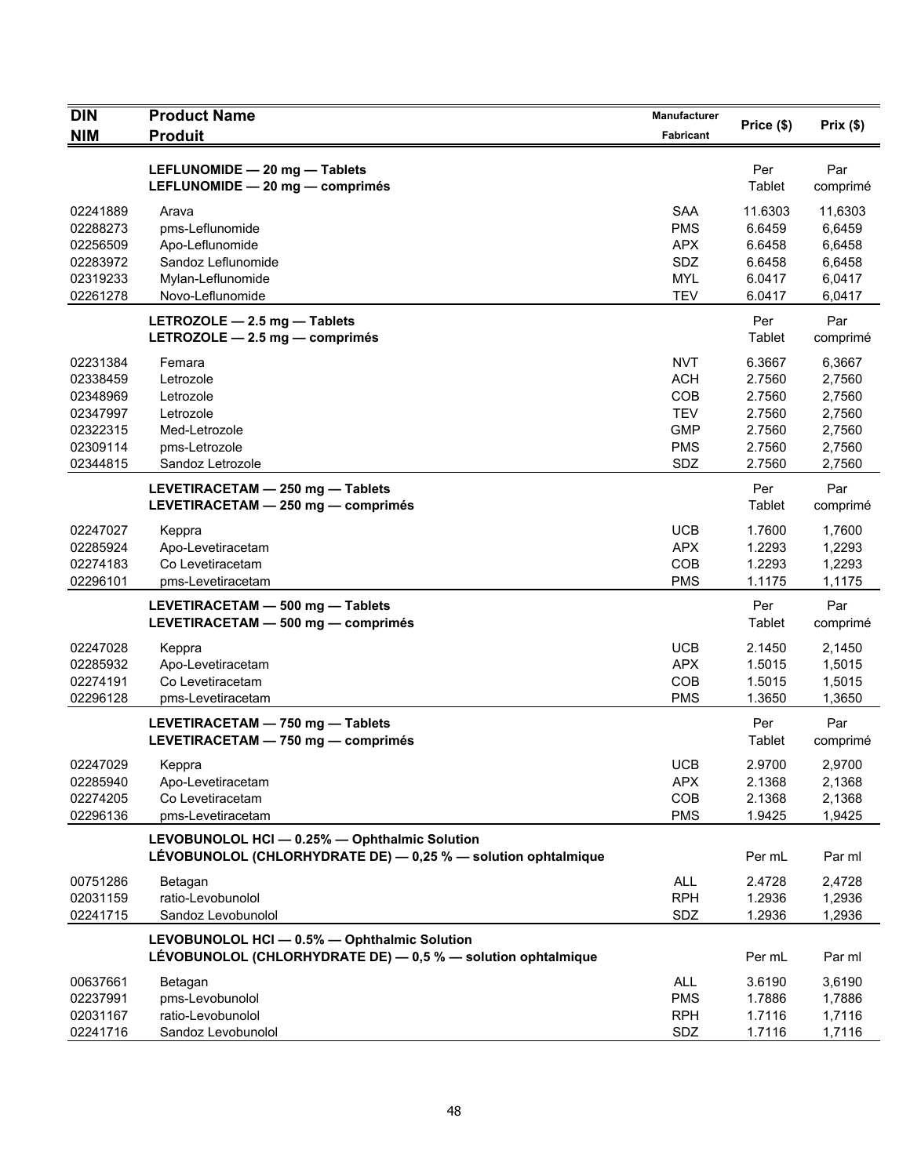| <b>DIN</b>                                                                       | <b>Product Name</b>                                                                                            | <b>Manufacturer</b>                                                              | Price (\$)                                                         | Prix (\$)                                                          |
|----------------------------------------------------------------------------------|----------------------------------------------------------------------------------------------------------------|----------------------------------------------------------------------------------|--------------------------------------------------------------------|--------------------------------------------------------------------|
| <b>NIM</b>                                                                       | <b>Produit</b>                                                                                                 | Fabricant                                                                        |                                                                    |                                                                    |
|                                                                                  | LEFLUNOMIDE - 20 mg - Tablets<br>LEFLUNOMIDE - 20 mg - comprimés                                               |                                                                                  | Per<br>Tablet                                                      | Par<br>comprimé                                                    |
| 02241889<br>02288273<br>02256509<br>02283972<br>02319233<br>02261278             | Arava<br>pms-Leflunomide<br>Apo-Leflunomide<br>Sandoz Leflunomide<br>Mylan-Leflunomide<br>Novo-Leflunomide     | <b>SAA</b><br><b>PMS</b><br><b>APX</b><br>SDZ<br><b>MYL</b><br><b>TEV</b>        | 11.6303<br>6.6459<br>6.6458<br>6.6458<br>6.0417<br>6.0417          | 11,6303<br>6,6459<br>6,6458<br>6,6458<br>6,0417<br>6,0417          |
|                                                                                  | LETROZOLE - 2.5 mg - Tablets<br>LETROZOLE $-2.5$ mg $-$ comprimés                                              |                                                                                  | Per<br>Tablet                                                      | Par<br>comprimé                                                    |
| 02231384<br>02338459<br>02348969<br>02347997<br>02322315<br>02309114<br>02344815 | Femara<br>Letrozole<br>Letrozole<br>Letrozole<br>Med-Letrozole<br>pms-Letrozole<br>Sandoz Letrozole            | <b>NVT</b><br><b>ACH</b><br>COB<br><b>TEV</b><br><b>GMP</b><br><b>PMS</b><br>SDZ | 6.3667<br>2.7560<br>2.7560<br>2.7560<br>2.7560<br>2.7560<br>2.7560 | 6,3667<br>2,7560<br>2,7560<br>2,7560<br>2,7560<br>2,7560<br>2,7560 |
|                                                                                  | LEVETIRACETAM - 250 mg - Tablets<br>LEVETIRACETAM - 250 mg - comprimés                                         |                                                                                  | Per<br>Tablet                                                      | Par<br>comprimé                                                    |
| 02247027<br>02285924<br>02274183<br>02296101                                     | Keppra<br>Apo-Levetiracetam<br>Co Levetiracetam<br>pms-Levetiracetam                                           | <b>UCB</b><br><b>APX</b><br>COB<br><b>PMS</b>                                    | 1.7600<br>1.2293<br>1.2293<br>1.1175                               | 1,7600<br>1,2293<br>1,2293<br>1,1175                               |
|                                                                                  | LEVETIRACETAM - 500 mg - Tablets<br>LEVETIRACETAM - 500 mg - comprimés                                         |                                                                                  | Per<br>Tablet                                                      | Par<br>comprimé                                                    |
| 02247028<br>02285932<br>02274191<br>02296128                                     | Keppra<br>Apo-Levetiracetam<br>Co Levetiracetam<br>pms-Levetiracetam                                           | <b>UCB</b><br><b>APX</b><br>COB<br><b>PMS</b>                                    | 2.1450<br>1.5015<br>1.5015<br>1.3650                               | 2,1450<br>1,5015<br>1,5015<br>1,3650                               |
|                                                                                  | LEVETIRACETAM - 750 mg - Tablets<br>LEVETIRACETAM - 750 mg - comprimés                                         |                                                                                  | Per<br>Tablet                                                      | Par<br>comprimé                                                    |
| 02247029<br>02285940<br>02274205<br>02296136                                     | Keppra<br>Apo-Levetiracetam<br>Co Levetiracetam<br>pms-Levetiracetam                                           | <b>UCB</b><br><b>APX</b><br>COB<br><b>PMS</b>                                    | 2.9700<br>2.1368<br>2.1368<br>1.9425                               | 2.9700<br>2,1368<br>2,1368<br>1,9425                               |
|                                                                                  | LEVOBUNOLOL HCI - 0.25% - Ophthalmic Solution<br>LÉVOBUNOLOL (CHLORHYDRATE DE) - 0,25 % - solution ophtalmique |                                                                                  | Per mL                                                             | Par ml                                                             |
| 00751286<br>02031159<br>02241715                                                 | Betagan<br>ratio-Levobunolol<br>Sandoz Levobunolol                                                             | <b>ALL</b><br><b>RPH</b><br>SDZ                                                  | 2.4728<br>1.2936<br>1.2936                                         | 2,4728<br>1,2936<br>1,2936                                         |
|                                                                                  | LEVOBUNOLOL HCI - 0.5% - Ophthalmic Solution<br>LÉVOBUNOLOL (CHLORHYDRATE DE) - 0,5 % - solution ophtalmique   |                                                                                  | Per mL                                                             | Par ml                                                             |
| 00637661<br>02237991<br>02031167<br>02241716                                     | Betagan<br>pms-Levobunolol<br>ratio-Levobunolol<br>Sandoz Levobunolol                                          | <b>ALL</b><br><b>PMS</b><br><b>RPH</b><br>SDZ                                    | 3.6190<br>1.7886<br>1.7116<br>1.7116                               | 3,6190<br>1,7886<br>1,7116<br>1,7116                               |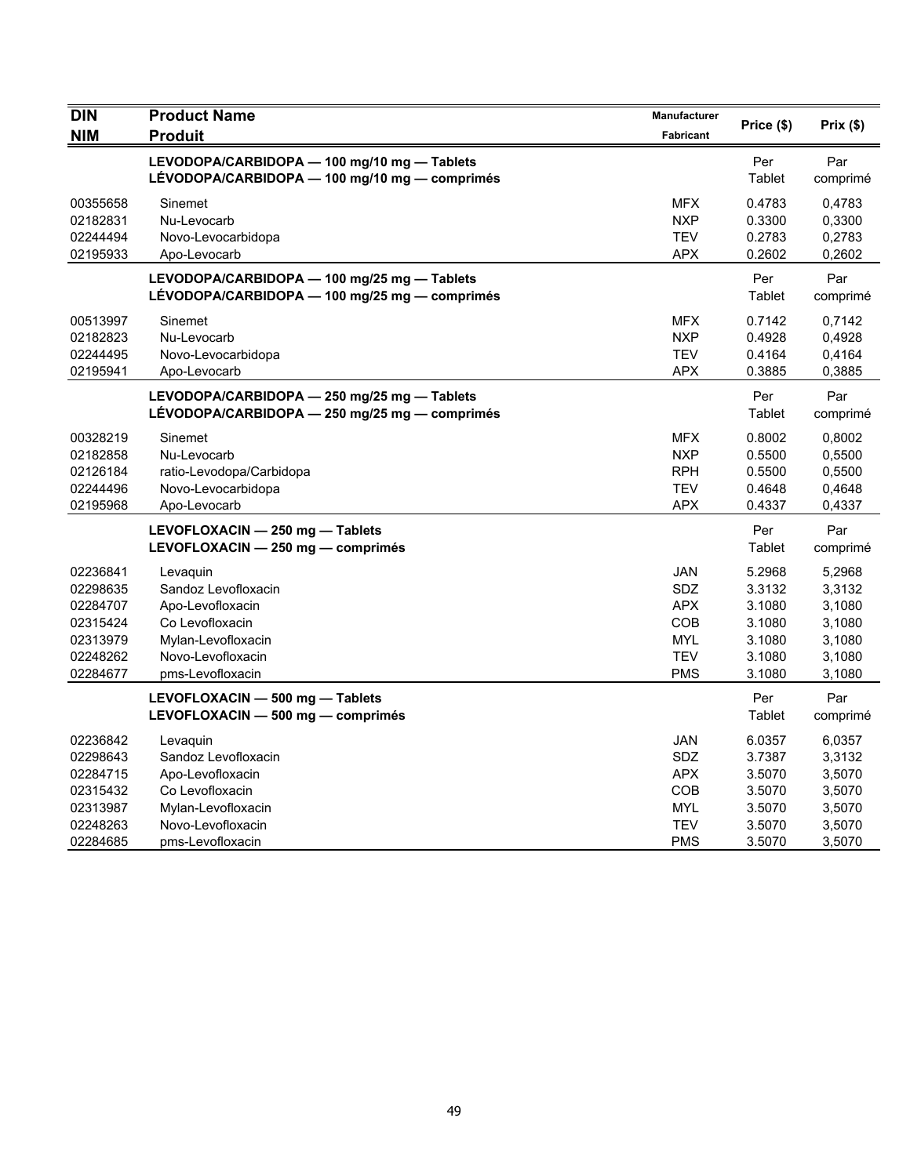| <b>DIN</b> | <b>Product Name</b>                           | Manufacturer     | Price (\$) | Prix(\$) |
|------------|-----------------------------------------------|------------------|------------|----------|
| <b>NIM</b> | <b>Produit</b>                                | <b>Fabricant</b> |            |          |
|            | LEVODOPA/CARBIDOPA - 100 mg/10 mg - Tablets   |                  | Per        | Par      |
|            | LÉVODOPA/CARBIDOPA - 100 mg/10 mg - comprimés |                  | Tablet     | comprimé |
| 00355658   | Sinemet                                       | <b>MFX</b>       | 0.4783     | 0,4783   |
| 02182831   | Nu-Levocarb                                   | <b>NXP</b>       | 0.3300     | 0,3300   |
| 02244494   | Novo-Levocarbidopa                            | <b>TEV</b>       | 0.2783     | 0,2783   |
| 02195933   | Apo-Levocarb                                  | <b>APX</b>       | 0.2602     | 0,2602   |
|            | LEVODOPA/CARBIDOPA - 100 mg/25 mg - Tablets   |                  | Per        | Par      |
|            | LÉVODOPA/CARBIDOPA - 100 mg/25 mg - comprimés |                  | Tablet     | comprimé |
| 00513997   | Sinemet                                       | <b>MFX</b>       | 0.7142     | 0,7142   |
| 02182823   | Nu-Levocarb                                   | <b>NXP</b>       | 0.4928     | 0,4928   |
| 02244495   | Novo-Levocarbidopa                            | TEV              | 0.4164     | 0,4164   |
| 02195941   | Apo-Levocarb                                  | <b>APX</b>       | 0.3885     | 0.3885   |
|            | LEVODOPA/CARBIDOPA - 250 mg/25 mg - Tablets   |                  | Per        | Par      |
|            | LÉVODOPA/CARBIDOPA - 250 mg/25 mg - comprimés |                  | Tablet     | comprimé |
| 00328219   | Sinemet                                       | <b>MFX</b>       | 0.8002     | 0,8002   |
| 02182858   | Nu-Levocarb                                   | <b>NXP</b>       | 0.5500     | 0,5500   |
| 02126184   | ratio-Levodopa/Carbidopa                      | <b>RPH</b>       | 0.5500     | 0,5500   |
| 02244496   | Novo-Levocarbidopa                            | <b>TEV</b>       | 0.4648     | 0,4648   |
| 02195968   | Apo-Levocarb                                  | <b>APX</b>       | 0.4337     | 0,4337   |
|            | LEVOFLOXACIN - 250 mg - Tablets               |                  | Per        | Par      |
|            | LEVOFLOXACIN - 250 mg - comprimés             |                  | Tablet     | comprimé |
| 02236841   | Levaguin                                      | <b>JAN</b>       | 5.2968     | 5,2968   |
| 02298635   | Sandoz Levofloxacin                           | SDZ              | 3.3132     | 3,3132   |
| 02284707   | Apo-Levofloxacin                              | <b>APX</b>       | 3.1080     | 3,1080   |
| 02315424   | Co Levofloxacin                               | COB              | 3.1080     | 3,1080   |
| 02313979   | Mylan-Levofloxacin                            | <b>MYL</b>       | 3.1080     | 3,1080   |
| 02248262   | Novo-Levofloxacin                             | <b>TEV</b>       | 3.1080     | 3,1080   |
| 02284677   | pms-Levofloxacin                              | <b>PMS</b>       | 3.1080     | 3,1080   |
|            | LEVOFLOXACIN - 500 mg - Tablets               |                  | Per        | Par      |
|            | LEVOFLOXACIN - 500 mg - comprimés             |                  | Tablet     | comprimé |
| 02236842   | Levaquin                                      | JAN              | 6.0357     | 6,0357   |
| 02298643   | Sandoz Levofloxacin                           | SDZ              | 3.7387     | 3,3132   |
| 02284715   | Apo-Levofloxacin                              | <b>APX</b>       | 3.5070     | 3,5070   |
| 02315432   | Co Levofloxacin                               | COB              | 3.5070     | 3,5070   |
| 02313987   | Mylan-Levofloxacin                            | MYL              | 3.5070     | 3,5070   |
| 02248263   | Novo-Levofloxacin                             | <b>TEV</b>       | 3.5070     | 3,5070   |
| 02284685   | pms-Levofloxacin                              | <b>PMS</b>       | 3.5070     | 3,5070   |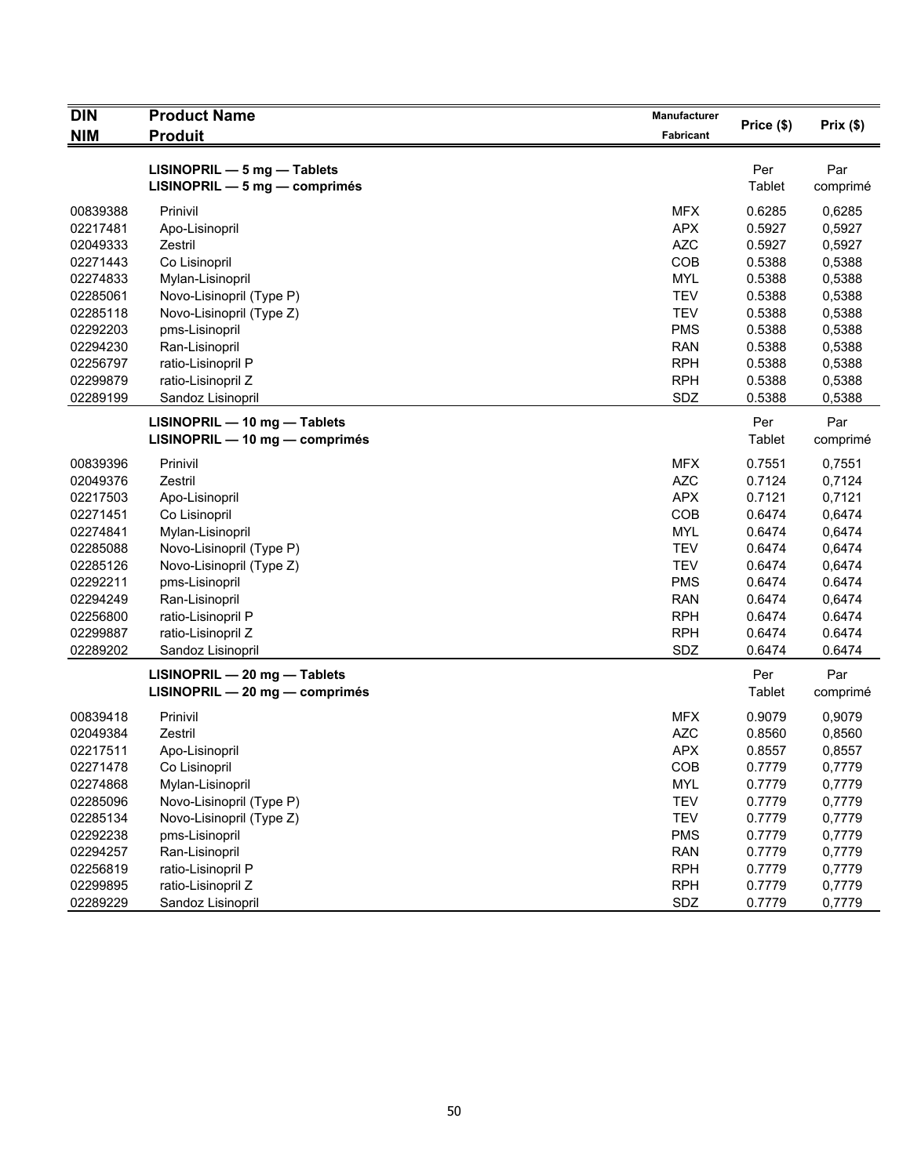| <b>DIN</b> | <b>Product Name</b>            | Manufacturer |            |          |
|------------|--------------------------------|--------------|------------|----------|
| <b>NIM</b> | <b>Produit</b>                 | Fabricant    | Price (\$) | Prix(\$) |
|            |                                |              |            |          |
|            | LISINOPRIL - 5 mg - Tablets    |              | Per        | Par      |
|            | LISINOPRIL - 5 mg - comprimés  |              | Tablet     | comprimé |
| 00839388   | Prinivil                       | <b>MFX</b>   | 0.6285     | 0,6285   |
| 02217481   | Apo-Lisinopril                 | <b>APX</b>   | 0.5927     | 0,5927   |
| 02049333   | Zestril                        | <b>AZC</b>   | 0.5927     | 0,5927   |
| 02271443   | Co Lisinopril                  | COB          | 0.5388     | 0,5388   |
| 02274833   | Mylan-Lisinopril               | <b>MYL</b>   | 0.5388     | 0,5388   |
| 02285061   | Novo-Lisinopril (Type P)       | <b>TEV</b>   | 0.5388     | 0,5388   |
| 02285118   | Novo-Lisinopril (Type Z)       | <b>TEV</b>   | 0.5388     | 0,5388   |
| 02292203   | pms-Lisinopril                 | <b>PMS</b>   | 0.5388     | 0,5388   |
| 02294230   | Ran-Lisinopril                 | <b>RAN</b>   | 0.5388     | 0,5388   |
| 02256797   | ratio-Lisinopril P             | <b>RPH</b>   | 0.5388     | 0,5388   |
| 02299879   | ratio-Lisinopril Z             | <b>RPH</b>   | 0.5388     | 0,5388   |
| 02289199   | Sandoz Lisinopril              | SDZ          | 0.5388     | 0,5388   |
|            | LISINOPRIL - 10 mg - Tablets   |              | Per        | Par      |
|            | LISINOPRIL - 10 mg - comprimés |              | Tablet     | comprimé |
| 00839396   | Prinivil                       | <b>MFX</b>   | 0.7551     | 0,7551   |
| 02049376   | Zestril                        | <b>AZC</b>   | 0.7124     | 0,7124   |
| 02217503   | Apo-Lisinopril                 | <b>APX</b>   | 0.7121     | 0,7121   |
| 02271451   | Co Lisinopril                  | COB          | 0.6474     | 0,6474   |
| 02274841   |                                | <b>MYL</b>   | 0.6474     |          |
|            | Mylan-Lisinopril               |              |            | 0,6474   |
| 02285088   | Novo-Lisinopril (Type P)       | <b>TEV</b>   | 0.6474     | 0,6474   |
| 02285126   | Novo-Lisinopril (Type Z)       | <b>TEV</b>   | 0.6474     | 0,6474   |
| 02292211   | pms-Lisinopril                 | <b>PMS</b>   | 0.6474     | 0.6474   |
| 02294249   | Ran-Lisinopril                 | <b>RAN</b>   | 0.6474     | 0,6474   |
| 02256800   | ratio-Lisinopril P             | <b>RPH</b>   | 0.6474     | 0.6474   |
| 02299887   | ratio-Lisinopril Z             | <b>RPH</b>   | 0.6474     | 0.6474   |
| 02289202   | Sandoz Lisinopril              | SDZ          | 0.6474     | 0.6474   |
|            | LISINOPRIL - 20 mg - Tablets   |              | Per        | Par      |
|            | LISINOPRIL - 20 mg - comprimés |              | Tablet     | comprimé |
| 00839418   | Prinivil                       | <b>MFX</b>   | 0.9079     | 0,9079   |
| 02049384   | Zestril                        | <b>AZC</b>   | 0.8560     | 0,8560   |
| 02217511   | Apo-Lisinopril                 | <b>APX</b>   | 0.8557     | 0,8557   |
| 02271478   | Co Lisinopril                  | COB          | 0.7779     | 0,7779   |
| 02274868   | Mylan-Lisinopril               | <b>MYL</b>   | 0.7779     | 0,7779   |
| 02285096   | Novo-Lisinopril (Type P)       | <b>TEV</b>   | 0.7779     | 0,7779   |
| 02285134   | Novo-Lisinopril (Type Z)       | <b>TEV</b>   | 0.7779     | 0,7779   |
| 02292238   | pms-Lisinopril                 | <b>PMS</b>   | 0.7779     | 0,7779   |
| 02294257   | Ran-Lisinopril                 | <b>RAN</b>   | 0.7779     | 0,7779   |
| 02256819   | ratio-Lisinopril P             | <b>RPH</b>   | 0.7779     | 0,7779   |
| 02299895   | ratio-Lisinopril Z             | <b>RPH</b>   | 0.7779     | 0,7779   |
| 02289229   | Sandoz Lisinopril              | SDZ          | 0.7779     | 0,7779   |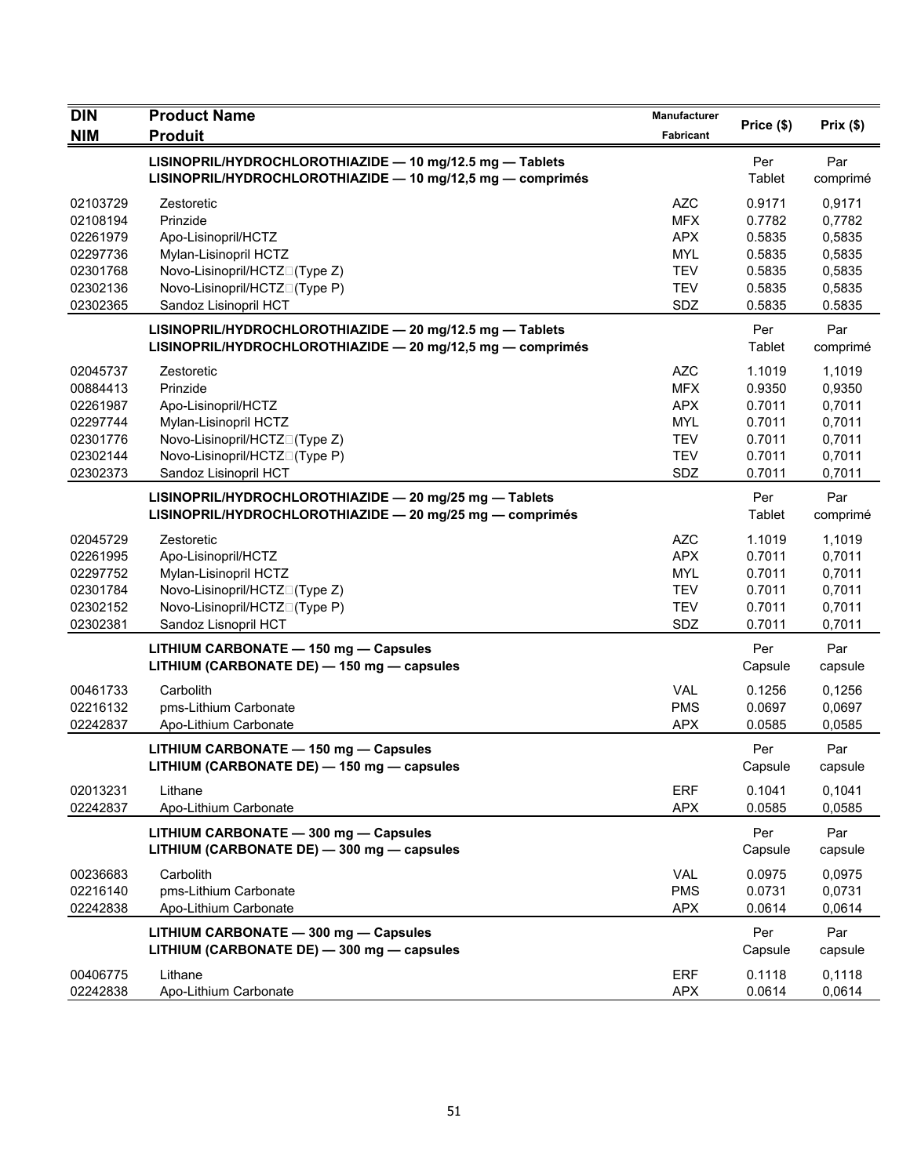| DIN                                                                              | <b>Product Name</b>                                                                                                                                               | Manufacturer                                                                            | Price (\$)                                                         | Prix(\$)                                                           |
|----------------------------------------------------------------------------------|-------------------------------------------------------------------------------------------------------------------------------------------------------------------|-----------------------------------------------------------------------------------------|--------------------------------------------------------------------|--------------------------------------------------------------------|
| <b>NIM</b>                                                                       | <b>Produit</b>                                                                                                                                                    | <b>Fabricant</b>                                                                        |                                                                    |                                                                    |
|                                                                                  | LISINOPRIL/HYDROCHLOROTHIAZIDE - 10 mg/12.5 mg - Tablets<br>LISINOPRIL/HYDROCHLOROTHIAZIDE - 10 mg/12,5 mg - comprimés                                            |                                                                                         | Per<br>Tablet                                                      | Par<br>comprimé                                                    |
| 02103729<br>02108194<br>02261979                                                 | Zestoretic<br>Prinzide<br>Apo-Lisinopril/HCTZ                                                                                                                     | <b>AZC</b><br><b>MFX</b><br><b>APX</b>                                                  | 0.9171<br>0.7782<br>0.5835<br>0.5835                               | 0,9171<br>0,7782<br>0,5835                                         |
| 02297736<br>02301768<br>02302136<br>02302365                                     | Mylan-Lisinopril HCTZ<br>Novo-Lisinopril/HCTZM(Type Z)<br>Novo-Lisinopril/HCTZM(Type P)<br>Sandoz Lisinopril HCT                                                  | <b>MYL</b><br><b>TEV</b><br><b>TEV</b><br>SDZ                                           | 0.5835<br>0.5835<br>0.5835                                         | 0,5835<br>0,5835<br>0,5835<br>0.5835                               |
|                                                                                  | LISINOPRIL/HYDROCHLOROTHIAZIDE - 20 mg/12.5 mg - Tablets<br>LISINOPRIL/HYDROCHLOROTHIAZIDE - 20 mg/12,5 mg - comprimés                                            |                                                                                         | Per<br>Tablet                                                      | Par<br>comprimé                                                    |
| 02045737<br>00884413<br>02261987<br>02297744<br>02301776<br>02302144<br>02302373 | Zestoretic<br>Prinzide<br>Apo-Lisinopril/HCTZ<br>Mylan-Lisinopril HCTZ<br>Novo-Lisinopril/HCTZM(Type Z)<br>Novo-Lisinopril/HCTZM(Type P)<br>Sandoz Lisinopril HCT | <b>AZC</b><br><b>MFX</b><br><b>APX</b><br><b>MYL</b><br><b>TEV</b><br><b>TEV</b><br>SDZ | 1.1019<br>0.9350<br>0.7011<br>0.7011<br>0.7011<br>0.7011<br>0.7011 | 1,1019<br>0,9350<br>0,7011<br>0,7011<br>0,7011<br>0,7011<br>0,7011 |
|                                                                                  | LISINOPRIL/HYDROCHLOROTHIAZIDE - 20 mg/25 mg - Tablets<br>LISINOPRIL/HYDROCHLOROTHIAZIDE - 20 mg/25 mg - comprimés                                                |                                                                                         | Per<br>Tablet                                                      | Par<br>comprimé                                                    |
| 02045729<br>02261995<br>02297752<br>02301784<br>02302152<br>02302381             | Zestoretic<br>Apo-Lisinopril/HCTZ<br>Mylan-Lisinopril HCTZ<br>Novo-Lisinopril/HCTZM(Type Z)<br>Novo-Lisinopril/HCTZM(Type P)<br>Sandoz Lisnopril HCT              | <b>AZC</b><br><b>APX</b><br><b>MYL</b><br><b>TEV</b><br><b>TEV</b><br>SDZ               | 1.1019<br>0.7011<br>0.7011<br>0.7011<br>0.7011<br>0.7011           | 1,1019<br>0,7011<br>0,7011<br>0,7011<br>0,7011<br>0,7011           |
|                                                                                  | LITHIUM CARBONATE - 150 mg - Capsules<br>LITHIUM (CARBONATE DE) - 150 mg - capsules                                                                               |                                                                                         | Per<br>Capsule                                                     | Par<br>capsule                                                     |
| 00461733<br>02216132<br>02242837                                                 | Carbolith<br>pms-Lithium Carbonate<br>Apo-Lithium Carbonate                                                                                                       | VAL<br><b>PMS</b><br><b>APX</b>                                                         | 0.1256<br>0.0697<br>0.0585                                         | 0,1256<br>0,0697<br>0,0585                                         |
|                                                                                  | LITHIUM CARBONATE - 150 mg - Capsules<br>LITHIUM (CARBONATE DE) — 150 mg — capsules                                                                               |                                                                                         | Per<br>Capsule                                                     | Par<br>capsule                                                     |
| 02013231<br>02242837                                                             | Lithane<br>Apo-Lithium Carbonate                                                                                                                                  | <b>ERF</b><br><b>APX</b>                                                                | 0.1041<br>0.0585                                                   | 0,1041<br>0,0585                                                   |
|                                                                                  | LITHIUM CARBONATE - 300 mg - Capsules<br>LITHIUM (CARBONATE DE) - 300 mg - capsules                                                                               |                                                                                         | Per<br>Capsule                                                     | Par<br>capsule                                                     |
| 00236683<br>02216140<br>02242838                                                 | Carbolith<br>pms-Lithium Carbonate<br>Apo-Lithium Carbonate                                                                                                       | VAL<br><b>PMS</b><br><b>APX</b>                                                         | 0.0975<br>0.0731<br>0.0614                                         | 0,0975<br>0,0731<br>0,0614                                         |
|                                                                                  | LITHIUM CARBONATE - 300 mg - Capsules<br>LITHIUM (CARBONATE DE) - 300 mg - capsules                                                                               |                                                                                         | Per<br>Capsule                                                     | Par<br>capsule                                                     |
| 00406775<br>02242838                                                             | Lithane<br>Apo-Lithium Carbonate                                                                                                                                  | <b>ERF</b><br>APX                                                                       | 0.1118<br>0.0614                                                   | 0,1118<br>0,0614                                                   |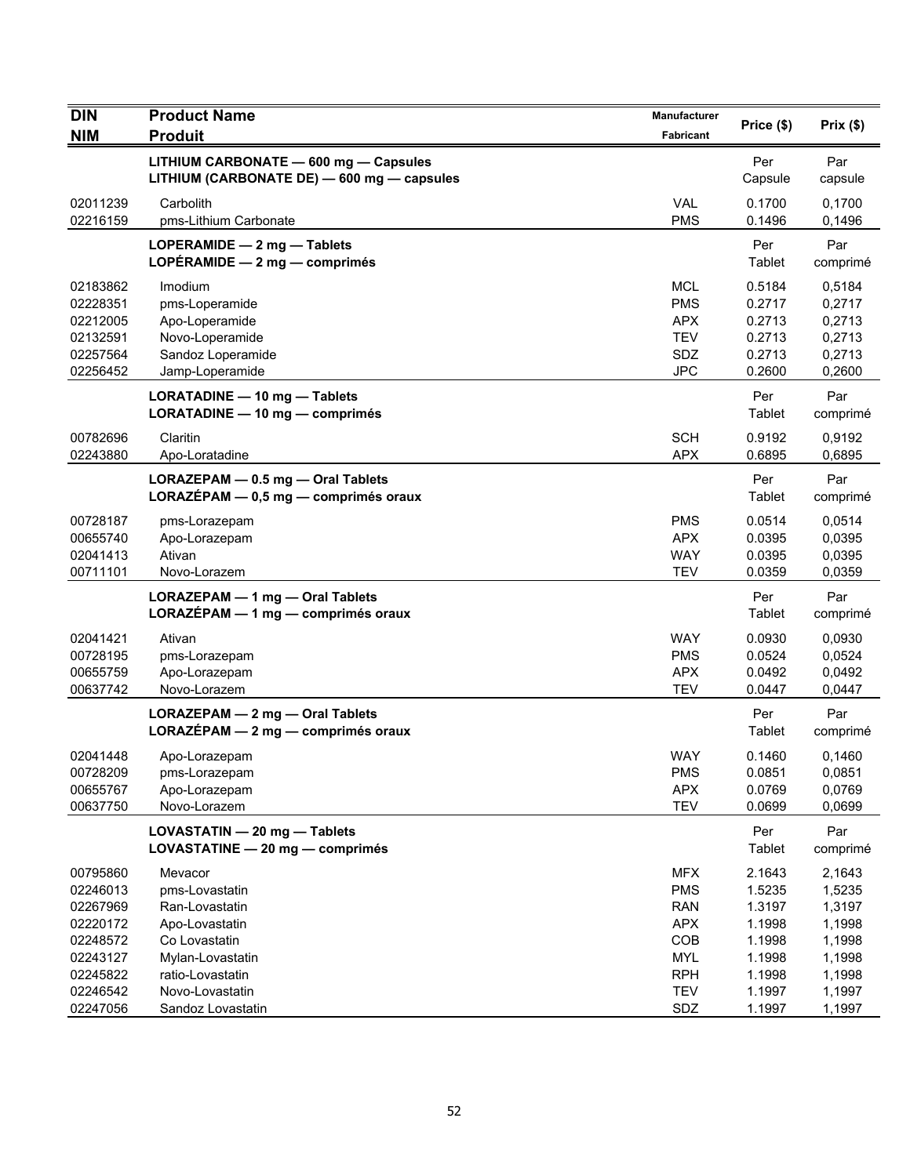| <b>DIN</b> | <b>Product Name</b>                                                                 | <b>Manufacturer</b> | Price (\$)     | Prix(\$)        |
|------------|-------------------------------------------------------------------------------------|---------------------|----------------|-----------------|
| <b>NIM</b> | <b>Produit</b>                                                                      | Fabricant           |                |                 |
|            | LITHIUM CARBONATE - 600 mg - Capsules<br>LITHIUM (CARBONATE DE) - 600 mg - capsules |                     | Per<br>Capsule | Par<br>capsule  |
| 02011239   | Carbolith                                                                           | <b>VAL</b>          | 0.1700         | 0,1700          |
| 02216159   | pms-Lithium Carbonate                                                               | <b>PMS</b>          | 0.1496         | 0,1496          |
|            | LOPERAMIDE - 2 mg - Tablets<br>LOPÉRAMIDE $-2$ mg $-$ comprimés                     |                     | Per<br>Tablet  | Par<br>comprimé |
| 02183862   | Imodium                                                                             | <b>MCL</b>          | 0.5184         | 0,5184          |
| 02228351   | pms-Loperamide                                                                      | <b>PMS</b>          | 0.2717         | 0,2717          |
| 02212005   | Apo-Loperamide                                                                      | <b>APX</b>          | 0.2713         | 0,2713          |
| 02132591   | Novo-Loperamide                                                                     | <b>TEV</b>          | 0.2713         | 0,2713          |
| 02257564   | Sandoz Loperamide                                                                   | <b>SDZ</b>          | 0.2713         | 0,2713          |
| 02256452   | Jamp-Loperamide                                                                     | <b>JPC</b>          | 0.2600         | 0,2600          |
|            | LORATADINE - 10 mg - Tablets<br>LORATADINE - 10 mg - comprimés                      |                     | Per<br>Tablet  | Par<br>comprimé |
| 00782696   | Claritin                                                                            | <b>SCH</b>          | 0.9192         | 0,9192          |
| 02243880   | Apo-Loratadine                                                                      | <b>APX</b>          | 0.6895         | 0,6895          |
|            | LORAZEPAM - 0.5 mg - Oral Tablets<br>LORAZÉPAM - 0,5 mg - comprimés oraux           |                     | Per<br>Tablet  | Par<br>comprimé |
| 00728187   | pms-Lorazepam                                                                       | <b>PMS</b>          | 0.0514         | 0,0514          |
| 00655740   | Apo-Lorazepam                                                                       | <b>APX</b>          | 0.0395         | 0,0395          |
| 02041413   | Ativan                                                                              | <b>WAY</b>          | 0.0395         | 0,0395          |
| 00711101   | Novo-Lorazem                                                                        | <b>TEV</b>          | 0.0359         | 0,0359          |
|            | LORAZEPAM - 1 mg - Oral Tablets<br>LORAZEPAM - 1 mg - comprimés oraux               |                     | Per<br>Tablet  | Par<br>comprimé |
| 02041421   | Ativan                                                                              | WAY                 | 0.0930         | 0,0930          |
| 00728195   | pms-Lorazepam                                                                       | <b>PMS</b>          | 0.0524         | 0,0524          |
| 00655759   | Apo-Lorazepam                                                                       | <b>APX</b>          | 0.0492         | 0,0492          |
| 00637742   | Novo-Lorazem                                                                        | <b>TEV</b>          | 0.0447         | 0,0447          |
|            | LORAZEPAM - 2 mg - Oral Tablets<br>$LORAZÉPAM - 2 mg - comprimés oraux$             |                     | Per<br>Tablet  | Par<br>comprimé |
| 02041448   | Apo-Lorazepam                                                                       | <b>WAY</b>          | 0.1460         | 0,1460          |
| 00728209   | pms-Lorazepam                                                                       | <b>PMS</b>          | 0.0851         | 0,0851          |
| 00655767   | Apo-Lorazepam                                                                       | <b>APX</b>          | 0.0769         | 0,0769          |
| 00637750   | Novo-Lorazem                                                                        | <b>TEV</b>          | 0.0699         | 0,0699          |
|            | LOVASTATIN - 20 mg - Tablets<br>LOVASTATINE - 20 mg - comprimés                     |                     | Per<br>Tablet  | Par<br>comprimé |
| 00795860   | Mevacor                                                                             | <b>MFX</b>          | 2.1643         | 2,1643          |
| 02246013   | pms-Lovastatin                                                                      | <b>PMS</b>          | 1.5235         | 1,5235          |
| 02267969   | Ran-Lovastatin                                                                      | <b>RAN</b>          | 1.3197         | 1,3197          |
| 02220172   | Apo-Lovastatin                                                                      | <b>APX</b>          | 1.1998         | 1,1998          |
| 02248572   | Co Lovastatin                                                                       | COB                 | 1.1998         | 1,1998          |
| 02243127   | Mylan-Lovastatin                                                                    | <b>MYL</b>          | 1.1998         | 1,1998          |
| 02245822   | ratio-Lovastatin                                                                    | <b>RPH</b>          | 1.1998         | 1,1998          |
| 02246542   | Novo-Lovastatin                                                                     | <b>TEV</b>          | 1.1997         | 1,1997          |
| 02247056   | Sandoz Lovastatin                                                                   | SDZ                 | 1.1997         | 1,1997          |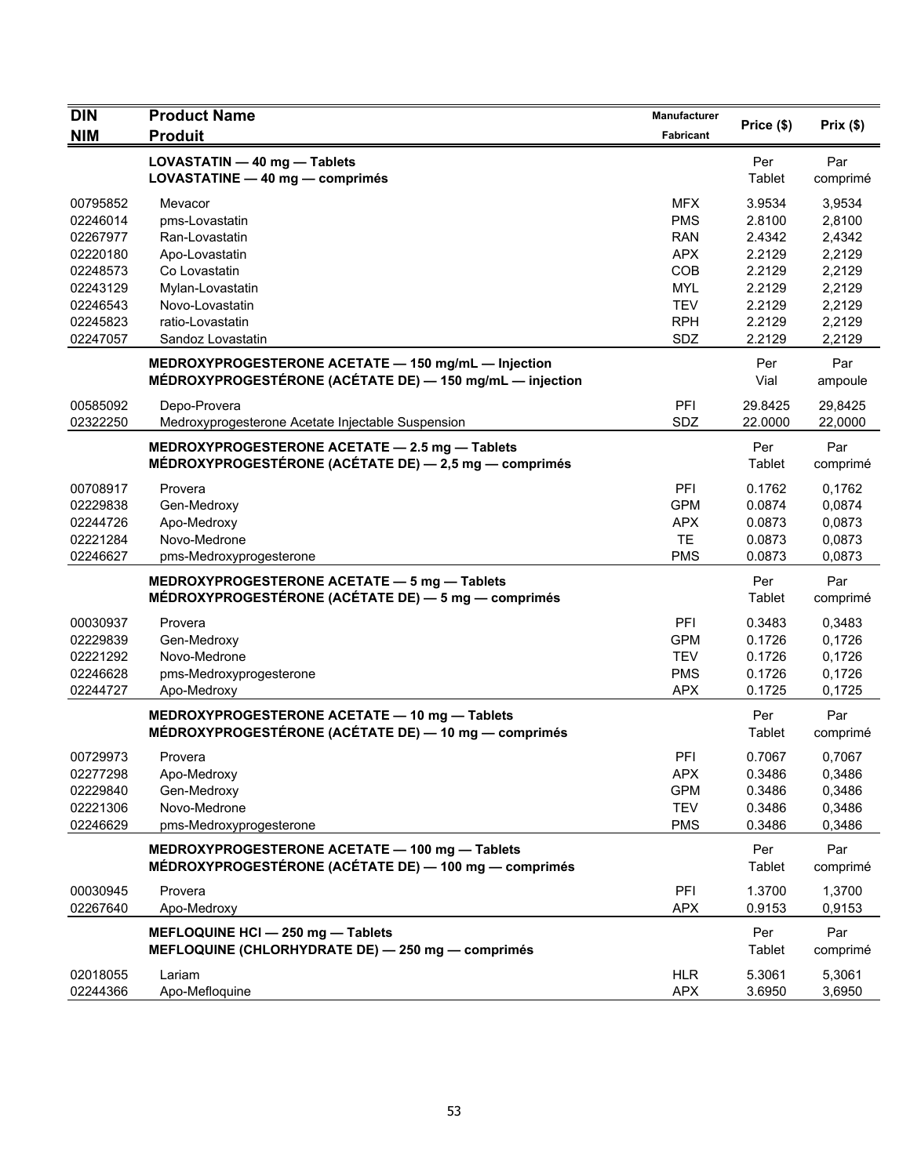| <b>DIN</b> | <b>Product Name</b>                                      | <b>Manufacturer</b> | Price (\$) | Prix(\$) |
|------------|----------------------------------------------------------|---------------------|------------|----------|
| <b>NIM</b> | <b>Produit</b>                                           | Fabricant           |            |          |
|            | LOVASTATIN - 40 mg - Tablets                             |                     | Per        | Par      |
|            | LOVASTATINE - 40 mg - comprimés                          |                     | Tablet     | comprimé |
| 00795852   | Mevacor                                                  | <b>MFX</b>          | 3.9534     | 3,9534   |
| 02246014   | pms-Lovastatin                                           | <b>PMS</b>          | 2.8100     | 2,8100   |
| 02267977   | Ran-Lovastatin                                           | <b>RAN</b>          | 2.4342     | 2,4342   |
| 02220180   | Apo-Lovastatin                                           | <b>APX</b>          | 2.2129     | 2,2129   |
| 02248573   | Co Lovastatin                                            | COB                 | 2.2129     | 2,2129   |
| 02243129   | Mylan-Lovastatin                                         | <b>MYL</b>          | 2.2129     | 2,2129   |
| 02246543   | Novo-Lovastatin                                          | <b>TEV</b>          | 2.2129     | 2,2129   |
| 02245823   | ratio-Lovastatin                                         | <b>RPH</b>          | 2.2129     | 2,2129   |
| 02247057   | Sandoz Lovastatin                                        | SDZ                 | 2.2129     | 2,2129   |
|            | MEDROXYPROGESTERONE ACETATE - 150 mg/mL - Injection      |                     | Per        | Par      |
|            | MÉDROXYPROGESTÉRONE (ACÉTATE DE) - 150 mg/mL - injection |                     | Vial       | ampoule  |
| 00585092   | Depo-Provera                                             | PFI                 | 29.8425    | 29,8425  |
| 02322250   | Medroxyprogesterone Acetate Injectable Suspension        | SDZ                 | 22.0000    | 22,0000  |
|            | MEDROXYPROGESTERONE ACETATE - 2.5 mg - Tablets           |                     | Per        | Par      |
|            | MÉDROXYPROGESTÉRONE (ACÉTATE DE) - 2,5 mg - comprimés    |                     | Tablet     | comprimé |
| 00708917   | Provera                                                  | PFI                 | 0.1762     | 0,1762   |
| 02229838   | Gen-Medroxy                                              | <b>GPM</b>          | 0.0874     | 0,0874   |
| 02244726   | Apo-Medroxy                                              | <b>APX</b>          | 0.0873     | 0,0873   |
| 02221284   | Novo-Medrone                                             | <b>TE</b>           | 0.0873     | 0,0873   |
| 02246627   | pms-Medroxyprogesterone                                  | <b>PMS</b>          | 0.0873     | 0,0873   |
|            | MEDROXYPROGESTERONE ACETATE - 5 mg - Tablets             |                     | Per        | Par      |
|            | MÉDROXYPROGESTÉRONE (ACÉTATE DE) - 5 mg - comprimés      |                     | Tablet     | comprimé |
| 00030937   | Provera                                                  | PFI                 | 0.3483     | 0,3483   |
| 02229839   | Gen-Medroxy                                              | <b>GPM</b>          | 0.1726     | 0,1726   |
| 02221292   | Novo-Medrone                                             | <b>TEV</b>          | 0.1726     | 0,1726   |
| 02246628   | pms-Medroxyprogesterone                                  | <b>PMS</b>          | 0.1726     | 0,1726   |
| 02244727   | Apo-Medroxy                                              | <b>APX</b>          | 0.1725     | 0,1725   |
|            | MEDROXYPROGESTERONE ACETATE - 10 mg - Tablets            |                     | Per        | Par      |
|            | MÉDROXYPROGESTÉRONE (ACÉTATE DE) - 10 mg - comprimés     |                     | Tablet     | comprimé |
| 00729973   | Provera                                                  | PFI                 | 0.7067     | 0,7067   |
| 02277298   | Apo-Medroxy                                              | <b>APX</b>          | 0.3486     | 0,3486   |
| 02229840   | Gen-Medroxy                                              | <b>GPM</b>          | 0.3486     | 0,3486   |
| 02221306   | Novo-Medrone                                             | <b>TEV</b>          | 0.3486     | 0,3486   |
| 02246629   | pms-Medroxyprogesterone                                  | <b>PMS</b>          | 0.3486     | 0,3486   |
|            | MEDROXYPROGESTERONE ACETATE - 100 mg - Tablets           |                     | Per        | Par      |
|            | MÉDROXYPROGESTÉRONE (ACÉTATE DE) - 100 mg - comprimés    |                     | Tablet     | comprimé |
| 00030945   | Provera                                                  | PFI                 | 1.3700     | 1,3700   |
| 02267640   | Apo-Medroxy                                              | <b>APX</b>          | 0.9153     | 0,9153   |
|            | MEFLOQUINE HCI - 250 mg - Tablets                        |                     | Per        | Par      |
|            | MEFLOQUINE (CHLORHYDRATE DE) - 250 mg - comprimés        |                     | Tablet     | comprimé |
|            |                                                          |                     |            |          |
| 02018055   | Lariam                                                   | <b>HLR</b>          | 5.3061     | 5,3061   |
| 02244366   | Apo-Mefloquine                                           | <b>APX</b>          | 3.6950     | 3,6950   |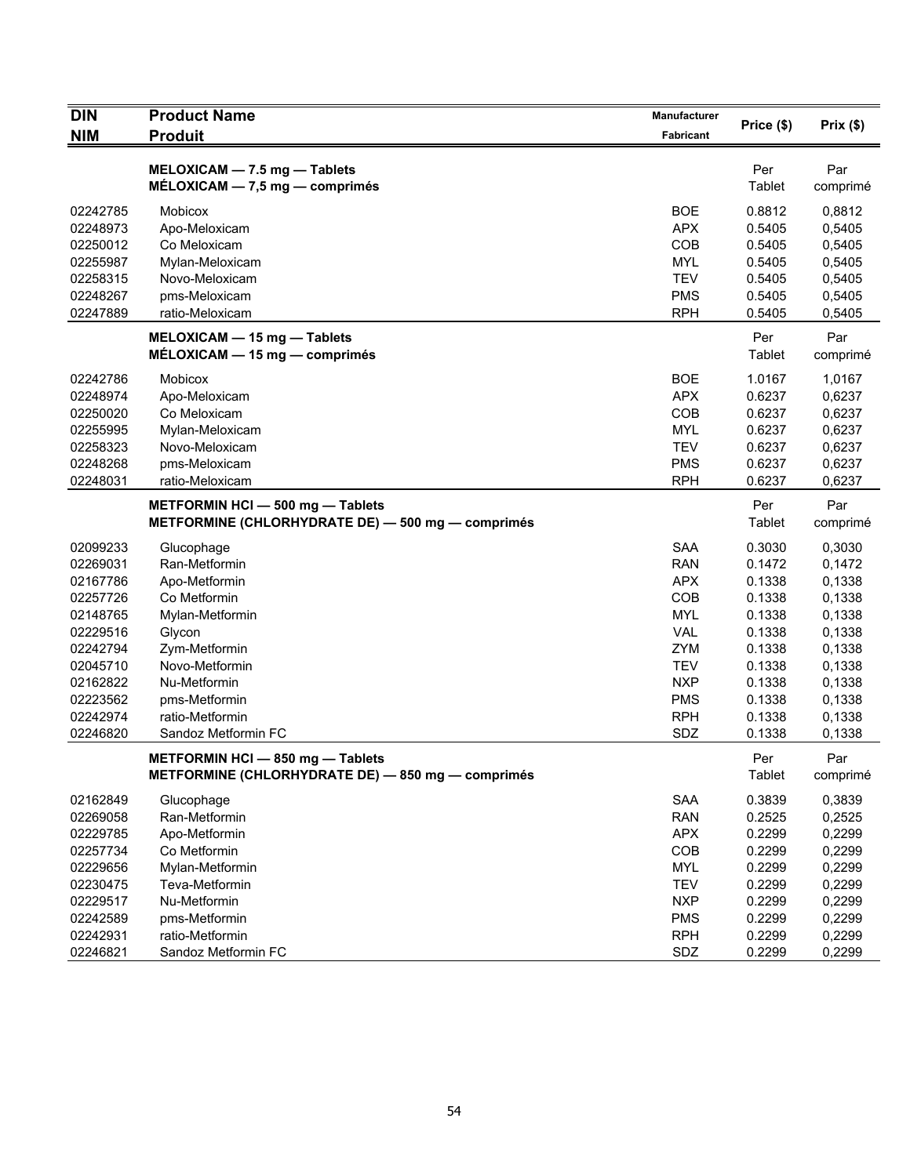| <b>DIN</b><br><b>NIM</b> | <b>Product Name</b><br><b>Produit</b>             | <b>Manufacturer</b><br>Fabricant | Price (\$) | Prix(\$) |
|--------------------------|---------------------------------------------------|----------------------------------|------------|----------|
|                          | MELOXICAM - 7.5 mg - Tablets                      |                                  | Per        | Par      |
|                          | $MÉLOXICAM - 7.5 mg - comprimés$                  |                                  | Tablet     | comprimé |
| 02242785                 | Mobicox                                           | <b>BOE</b>                       | 0.8812     | 0,8812   |
| 02248973                 | Apo-Meloxicam                                     | <b>APX</b>                       | 0.5405     | 0,5405   |
| 02250012                 | Co Meloxicam                                      | COB                              | 0.5405     | 0,5405   |
| 02255987                 | Mylan-Meloxicam                                   | <b>MYL</b>                       | 0.5405     | 0,5405   |
| 02258315                 | Novo-Meloxicam                                    | <b>TEV</b>                       | 0.5405     | 0,5405   |
| 02248267                 | pms-Meloxicam                                     | <b>PMS</b>                       | 0.5405     | 0,5405   |
| 02247889                 | ratio-Meloxicam                                   | <b>RPH</b>                       | 0.5405     | 0,5405   |
|                          | MELOXICAM - 15 mg - Tablets                       |                                  | Per        | Par      |
|                          | $MÉLOXICAM - 15 mg - comprimés$                   |                                  | Tablet     | comprimé |
| 02242786                 | Mobicox                                           | <b>BOE</b>                       | 1.0167     | 1,0167   |
| 02248974                 | Apo-Meloxicam                                     | <b>APX</b>                       | 0.6237     | 0,6237   |
| 02250020                 | Co Meloxicam                                      | COB                              | 0.6237     | 0,6237   |
| 02255995                 | Mylan-Meloxicam                                   | <b>MYL</b>                       | 0.6237     | 0,6237   |
| 02258323                 | Novo-Meloxicam                                    | <b>TEV</b>                       | 0.6237     | 0,6237   |
| 02248268<br>02248031     | pms-Meloxicam                                     | <b>PMS</b>                       | 0.6237     | 0,6237   |
|                          | ratio-Meloxicam                                   | <b>RPH</b>                       | 0.6237     | 0,6237   |
|                          | METFORMIN HCI-500 mg-Tablets                      |                                  | Per        | Par      |
|                          | METFORMINE (CHLORHYDRATE DE) - 500 mg - comprimés |                                  | Tablet     | comprimé |
| 02099233                 | Glucophage                                        | <b>SAA</b>                       | 0.3030     | 0,3030   |
| 02269031                 | Ran-Metformin                                     | <b>RAN</b>                       | 0.1472     | 0,1472   |
| 02167786                 | Apo-Metformin                                     | <b>APX</b>                       | 0.1338     | 0,1338   |
| 02257726                 | Co Metformin                                      | COB                              | 0.1338     | 0,1338   |
| 02148765                 | Mylan-Metformin                                   | <b>MYL</b>                       | 0.1338     | 0,1338   |
| 02229516                 | Glycon                                            | <b>VAL</b>                       | 0.1338     | 0,1338   |
| 02242794                 | Zym-Metformin                                     | <b>ZYM</b>                       | 0.1338     | 0,1338   |
| 02045710                 | Novo-Metformin                                    | <b>TEV</b>                       | 0.1338     | 0,1338   |
| 02162822                 | Nu-Metformin                                      | <b>NXP</b>                       | 0.1338     | 0,1338   |
| 02223562                 | pms-Metformin                                     | <b>PMS</b>                       | 0.1338     | 0,1338   |
| 02242974                 | ratio-Metformin                                   | <b>RPH</b>                       | 0.1338     | 0,1338   |
| 02246820                 | Sandoz Metformin FC                               | SDZ                              | 0.1338     | 0,1338   |
|                          | METFORMIN HCI - 850 mg - Tablets                  |                                  | Per        | Par      |
|                          | METFORMINE (CHLORHYDRATE DE) - 850 mg - comprimés |                                  | Tablet     | comprimé |
| 02162849                 | Glucophage                                        | SAA                              | 0.3839     | 0,3839   |
| 02269058                 | Ran-Metformin                                     | <b>RAN</b>                       | 0.2525     | 0,2525   |
| 02229785                 | Apo-Metformin                                     | <b>APX</b>                       | 0.2299     | 0,2299   |
| 02257734                 | Co Metformin                                      | COB                              | 0.2299     | 0,2299   |
| 02229656                 | Mylan-Metformin                                   | <b>MYL</b>                       | 0.2299     | 0,2299   |
| 02230475                 | Teva-Metformin                                    | <b>TEV</b>                       | 0.2299     | 0,2299   |
| 02229517                 | Nu-Metformin                                      | <b>NXP</b>                       | 0.2299     | 0,2299   |
| 02242589                 | pms-Metformin                                     | <b>PMS</b>                       | 0.2299     | 0,2299   |
| 02242931                 | ratio-Metformin                                   | <b>RPH</b>                       | 0.2299     | 0,2299   |
| 02246821                 | Sandoz Metformin FC                               | SDZ                              | 0.2299     | 0,2299   |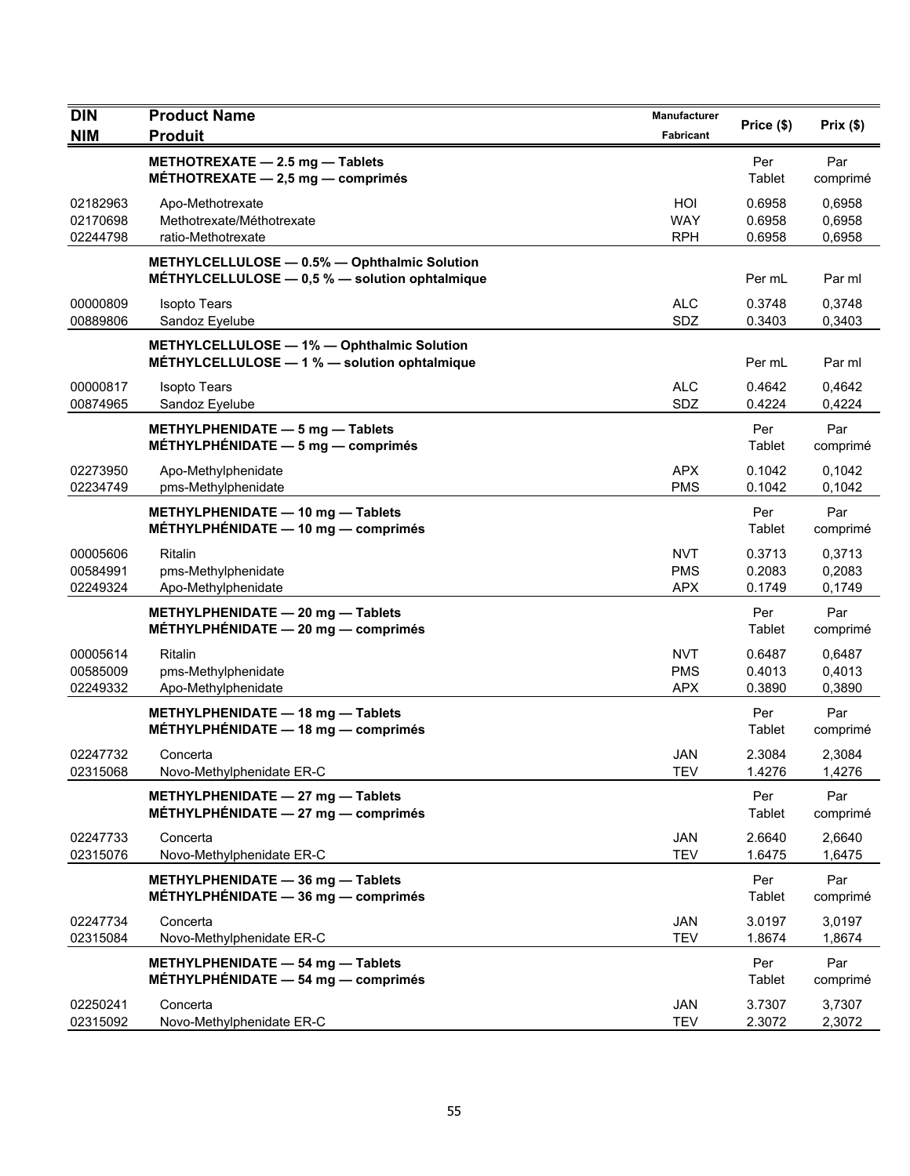| <b>DIN</b>                       | <b>Product Name</b>                                                                            | <b>Manufacturer</b>                    | Price (\$)                 | Prix(\$)                   |
|----------------------------------|------------------------------------------------------------------------------------------------|----------------------------------------|----------------------------|----------------------------|
| <b>NIM</b>                       | <b>Produit</b>                                                                                 | <b>Fabricant</b>                       |                            |                            |
|                                  | METHOTREXATE - 2.5 mg - Tablets<br>MÉTHOTREXATE $-2.5$ mg $-$ comprimés                        |                                        | Per<br>Tablet              | Par<br>comprimé            |
| 02182963<br>02170698<br>02244798 | Apo-Methotrexate<br>Methotrexate/Méthotrexate<br>ratio-Methotrexate                            | HOI<br><b>WAY</b><br><b>RPH</b>        | 0.6958<br>0.6958<br>0.6958 | 0,6958<br>0,6958<br>0,6958 |
|                                  | METHYLCELLULOSE - 0.5% - Ophthalmic Solution<br>MÉTHYLCELLULOSE - 0,5 % - solution ophtalmique |                                        | Per mL                     | Par ml                     |
| 00000809<br>00889806             | <b>Isopto Tears</b><br>Sandoz Eyelube                                                          | <b>ALC</b><br>SDZ                      | 0.3748<br>0.3403           | 0,3748<br>0,3403           |
|                                  | METHYLCELLULOSE - 1% - Ophthalmic Solution<br>MÉTHYLCELLULOSE - 1 % - solution ophtalmique     |                                        | Per mL                     | Par ml                     |
| 00000817<br>00874965             | <b>Isopto Tears</b><br>Sandoz Eyelube                                                          | <b>ALC</b><br>SDZ                      | 0.4642<br>0.4224           | 0,4642<br>0,4224           |
|                                  | METHYLPHENIDATE - 5 mg - Tablets<br>MÉTHYLPHÉNIDATE $-5$ mg $-$ comprimés                      |                                        | Per<br>Tablet              | Par<br>comprimé            |
| 02273950<br>02234749             | Apo-Methylphenidate<br>pms-Methylphenidate                                                     | <b>APX</b><br><b>PMS</b>               | 0.1042<br>0.1042           | 0.1042<br>0,1042           |
|                                  | METHYLPHENIDATE - 10 mg - Tablets<br>MÉTHYLPHÉNIDATE $-$ 10 mg $-$ comprimés                   |                                        | Per<br>Tablet              | Par<br>comprimé            |
| 00005606<br>00584991<br>02249324 | Ritalin<br>pms-Methylphenidate<br>Apo-Methylphenidate                                          | <b>NVT</b><br><b>PMS</b><br><b>APX</b> | 0.3713<br>0.2083<br>0.1749 | 0,3713<br>0,2083<br>0,1749 |
|                                  | METHYLPHENIDATE - 20 mg - Tablets<br>MÉTHYLPHÉNIDATE $-20$ mg $-$ comprimés                    |                                        | Per<br>Tablet              | Par<br>comprimé            |
| 00005614<br>00585009<br>02249332 | Ritalin<br>pms-Methylphenidate<br>Apo-Methylphenidate                                          | <b>NVT</b><br><b>PMS</b><br><b>APX</b> | 0.6487<br>0.4013<br>0.3890 | 0,6487<br>0,4013<br>0,3890 |
|                                  | METHYLPHENIDATE - 18 mg - Tablets<br>MÉTHYLPHÉNIDATE - 18 mg - comprimés                       |                                        | Per<br>Tablet              | Par<br>comprimé            |
| 02247732<br>02315068             | Concerta<br>Novo-Methylphenidate ER-C                                                          | JAN<br><b>TEV</b>                      | 2.3084<br>1.4276           | 2,3084<br>1,4276           |
|                                  | METHYLPHENIDATE - 27 mg - Tablets<br>MÉTHYLPHÉNIDATE $-27$ mg $-$ comprimés                    |                                        | Per<br>Tablet              | Par<br>comprimé            |
| 02247733<br>02315076             | Concerta<br>Novo-Methylphenidate ER-C                                                          | <b>JAN</b><br><b>TEV</b>               | 2.6640<br>1.6475           | 2,6640<br>1,6475           |
|                                  | METHYLPHENIDATE - 36 mg - Tablets<br>MÉTHYLPHÉNIDATE $-36$ mg $-$ comprimés                    |                                        | Per<br>Tablet              | Par<br>comprimé            |
| 02247734<br>02315084             | Concerta<br>Novo-Methylphenidate ER-C                                                          | JAN<br><b>TEV</b>                      | 3.0197<br>1.8674           | 3,0197<br>1,8674           |
|                                  | METHYLPHENIDATE - 54 mg - Tablets<br>MÉTHYLPHÉNIDATE $-$ 54 mg $-$ comprimés                   |                                        | Per<br>Tablet              | Par<br>comprimé            |
| 02250241<br>02315092             | Concerta<br>Novo-Methylphenidate ER-C                                                          | <b>JAN</b><br><b>TEV</b>               | 3.7307<br>2.3072           | 3,7307<br>2,3072           |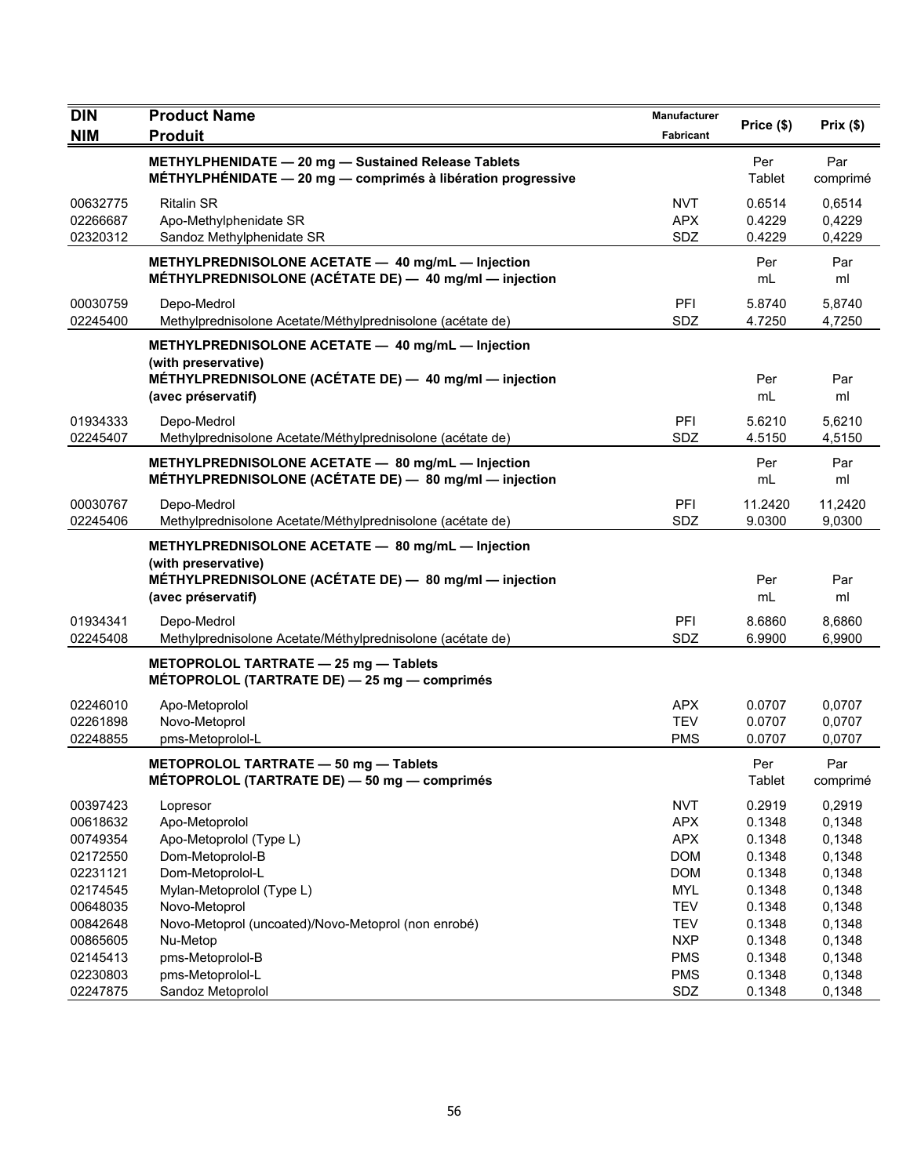| <b>DIN</b>                       | <b>Product Name</b>                                                                                                 | Manufacturer                    | Price (\$)                 | Prix(\$)                   |
|----------------------------------|---------------------------------------------------------------------------------------------------------------------|---------------------------------|----------------------------|----------------------------|
| <b>NIM</b>                       | <b>Produit</b>                                                                                                      | Fabricant                       |                            |                            |
|                                  | METHYLPHENIDATE - 20 mg - Sustained Release Tablets<br>MÉTHYLPHÉNIDATE - 20 mg - comprimés à libération progressive |                                 | Per<br>Tablet              | Par<br>comprimé            |
| 00632775<br>02266687<br>02320312 | <b>Ritalin SR</b><br>Apo-Methylphenidate SR<br>Sandoz Methylphenidate SR                                            | <b>NVT</b><br><b>APX</b><br>SDZ | 0.6514<br>0.4229<br>0.4229 | 0,6514<br>0,4229<br>0,4229 |
|                                  | METHYLPREDNISOLONE ACETATE - 40 mg/mL - Injection<br>MÉTHYLPREDNISOLONE (ACÉTATE DE) - 40 mg/ml - injection         |                                 | Per<br>mL                  | Par<br>ml                  |
| 00030759<br>02245400             | Depo-Medrol<br>Methylprednisolone Acetate/Méthylprednisolone (acétate de)                                           | PFI<br>SDZ                      | 5.8740<br>4.7250           | 5,8740<br>4,7250           |
|                                  | METHYLPREDNISOLONE ACETATE - 40 mg/mL - Injection<br>(with preservative)                                            |                                 |                            |                            |
|                                  | MÉTHYLPREDNISOLONE (ACÉTATE DE) - 40 mg/ml - injection<br>(avec préservatif)                                        |                                 | Per<br>mL                  | Par<br>ml                  |
| 01934333<br>02245407             | Depo-Medrol<br>Methylprednisolone Acetate/Méthylprednisolone (acétate de)                                           | PFI<br>SDZ                      | 5.6210<br>4.5150           | 5,6210<br>4,5150           |
|                                  | METHYLPREDNISOLONE ACETATE - 80 mg/mL - Injection<br>MÉTHYLPREDNISOLONE (ACÉTATE DE) - 80 mg/ml - injection         |                                 | Per<br>mL                  | Par<br>ml                  |
| 00030767<br>02245406             | Depo-Medrol<br>Methylprednisolone Acetate/Méthylprednisolone (acétate de)                                           | PFI<br>SDZ                      | 11.2420<br>9.0300          | 11,2420<br>9,0300          |
|                                  | METHYLPREDNISOLONE ACETATE - 80 mg/mL - Injection<br>(with preservative)                                            |                                 |                            |                            |
|                                  | MÉTHYLPREDNISOLONE (ACÉTATE DE) - 80 mg/ml - injection<br>(avec préservatif)                                        |                                 | Per<br>mL                  | Par<br>ml                  |
| 01934341<br>02245408             | Depo-Medrol<br>Methylprednisolone Acetate/Méthylprednisolone (acétate de)                                           | PFI<br>SDZ                      | 8.6860<br>6.9900           | 8,6860<br>6,9900           |
|                                  | METOPROLOL TARTRATE - 25 mg - Tablets<br>MÉTOPROLOL (TARTRATE DE) - 25 mg - comprimés                               |                                 |                            |                            |
| 02246010                         | Apo-Metoprolol                                                                                                      | <b>APX</b>                      | 0.0707                     | 0,0707                     |
| 02261898                         | Novo-Metoprol                                                                                                       | <b>TEV</b>                      | 0.0707                     | 0,0707                     |
| 02248855                         | pms-Metoprolol-L                                                                                                    | <b>PMS</b>                      | 0.0707                     | 0,0707                     |
|                                  | METOPROLOL TARTRATE - 50 mg - Tablets<br>MÉTOPROLOL (TARTRATE DE) - 50 mg - comprimés                               |                                 | Per<br>Tablet              | Par<br>comprimé            |
| 00397423                         | Lopresor                                                                                                            | <b>NVT</b>                      | 0.2919                     | 0,2919                     |
| 00618632                         | Apo-Metoprolol                                                                                                      | <b>APX</b>                      | 0.1348                     | 0,1348                     |
| 00749354                         | Apo-Metoprolol (Type L)                                                                                             | <b>APX</b>                      | 0.1348                     | 0,1348                     |
| 02172550                         | Dom-Metoprolol-B                                                                                                    | <b>DOM</b>                      | 0.1348                     | 0,1348                     |
| 02231121                         | Dom-Metoprolol-L                                                                                                    | <b>DOM</b>                      | 0.1348                     | 0,1348                     |
| 02174545                         | Mylan-Metoprolol (Type L)                                                                                           | <b>MYL</b>                      | 0.1348                     | 0,1348                     |
| 00648035                         | Novo-Metoprol                                                                                                       | TEV                             | 0.1348                     | 0,1348                     |
| 00842648<br>00865605             | Novo-Metoprol (uncoated)/Novo-Metoprol (non enrobé)<br>Nu-Metop                                                     | <b>TEV</b><br><b>NXP</b>        | 0.1348<br>0.1348           | 0,1348<br>0,1348           |
| 02145413                         | pms-Metoprolol-B                                                                                                    | <b>PMS</b>                      | 0.1348                     | 0,1348                     |
| 02230803                         | pms-Metoprolol-L                                                                                                    | <b>PMS</b>                      | 0.1348                     | 0,1348                     |
| 02247875                         | Sandoz Metoprolol                                                                                                   | SDZ                             | 0.1348                     | 0,1348                     |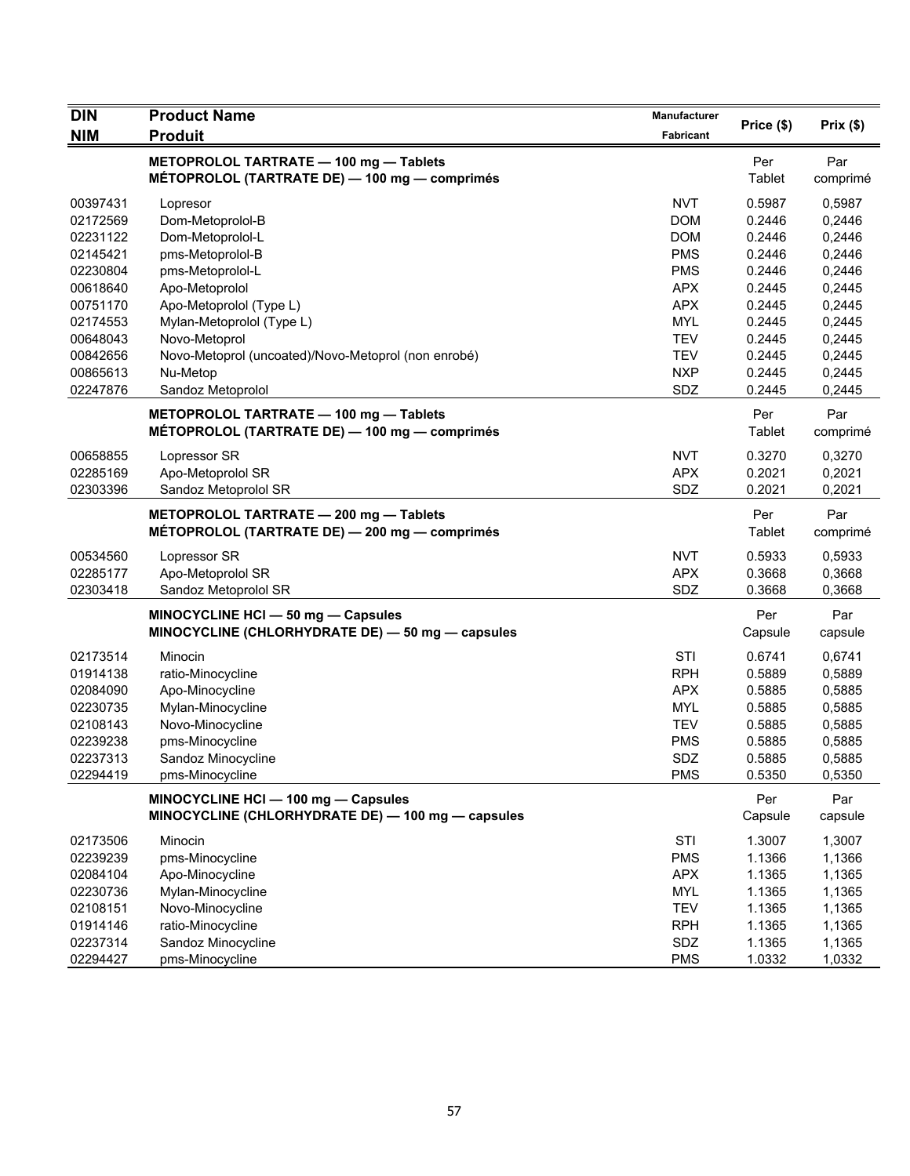| <b>DIN</b> | <b>Product Name</b>                                 | <b>Manufacturer</b> |            | Prix(\$) |
|------------|-----------------------------------------------------|---------------------|------------|----------|
| <b>NIM</b> | <b>Produit</b>                                      | Fabricant           | Price (\$) |          |
|            | METOPROLOL TARTRATE - 100 mg - Tablets              |                     | Per        | Par      |
|            | MÉTOPROLOL (TARTRATE DE) — 100 mg — comprimés       |                     | Tablet     | comprimé |
| 00397431   | Lopresor                                            | <b>NVT</b>          | 0.5987     | 0,5987   |
| 02172569   | Dom-Metoprolol-B                                    | <b>DOM</b>          | 0.2446     | 0,2446   |
| 02231122   | Dom-Metoprolol-L                                    | <b>DOM</b>          | 0.2446     | 0,2446   |
| 02145421   | pms-Metoprolol-B                                    | <b>PMS</b>          | 0.2446     | 0,2446   |
| 02230804   | pms-Metoprolol-L                                    | <b>PMS</b>          | 0.2446     | 0,2446   |
| 00618640   | Apo-Metoprolol                                      | <b>APX</b>          | 0.2445     | 0,2445   |
| 00751170   | Apo-Metoprolol (Type L)                             | <b>APX</b>          | 0.2445     | 0,2445   |
| 02174553   | Mylan-Metoprolol (Type L)                           | <b>MYL</b>          | 0.2445     | 0,2445   |
| 00648043   | Novo-Metoprol                                       | <b>TEV</b>          | 0.2445     | 0,2445   |
| 00842656   | Novo-Metoprol (uncoated)/Novo-Metoprol (non enrobé) | <b>TEV</b>          | 0.2445     | 0,2445   |
| 00865613   | Nu-Metop                                            | <b>NXP</b>          | 0.2445     | 0,2445   |
| 02247876   | Sandoz Metoprolol                                   | SDZ                 | 0.2445     | 0,2445   |
|            |                                                     |                     |            |          |
|            | METOPROLOL TARTRATE - 100 mg - Tablets              |                     | Per        | Par      |
|            | MÉTOPROLOL (TARTRATE DE) - 100 mg - comprimés       |                     | Tablet     | comprimé |
| 00658855   | Lopressor SR                                        | <b>NVT</b>          | 0.3270     | 0,3270   |
| 02285169   | Apo-Metoprolol SR                                   | <b>APX</b>          | 0.2021     | 0,2021   |
| 02303396   | Sandoz Metoprolol SR                                | SDZ                 | 0.2021     | 0,2021   |
|            | METOPROLOL TARTRATE - 200 mg - Tablets              |                     | Per        | Par      |
|            | MÉTOPROLOL (TARTRATE DE) — 200 mg — comprimés       |                     | Tablet     | comprimé |
| 00534560   | Lopressor SR                                        | <b>NVT</b>          | 0.5933     | 0,5933   |
| 02285177   | Apo-Metoprolol SR                                   | <b>APX</b>          | 0.3668     | 0,3668   |
| 02303418   | Sandoz Metoprolol SR                                | SDZ                 | 0.3668     | 0,3668   |
|            | MINOCYCLINE HCI - 50 mg - Capsules                  |                     | Per        | Par      |
|            | MINOCYCLINE (CHLORHYDRATE DE) - 50 mg - capsules    |                     | Capsule    | capsule  |
| 02173514   | Minocin                                             | <b>STI</b>          | 0.6741     | 0,6741   |
| 01914138   | ratio-Minocycline                                   | <b>RPH</b>          | 0.5889     | 0,5889   |
| 02084090   | Apo-Minocycline                                     | <b>APX</b>          | 0.5885     | 0,5885   |
| 02230735   | Mylan-Minocycline                                   | <b>MYL</b>          | 0.5885     | 0,5885   |
| 02108143   | Novo-Minocycline                                    | <b>TEV</b>          | 0.5885     | 0,5885   |
| 02239238   | pms-Minocycline                                     | <b>PMS</b>          | 0.5885     | 0,5885   |
| 02237313   | Sandoz Minocycline                                  | SDZ                 | 0.5885     | 0,5885   |
| 02294419   | pms-Minocycline                                     | <b>PMS</b>          | 0.5350     | 0,5350   |
|            | MINOCYCLINE HCI - 100 mg - Capsules                 |                     | Per        | Par      |
|            | MINOCYCLINE (CHLORHYDRATE DE) - 100 mg - capsules   |                     | Capsule    | capsule  |
| 02173506   | Minocin                                             | STI                 | 1.3007     | 1,3007   |
| 02239239   | pms-Minocycline                                     | <b>PMS</b>          | 1.1366     | 1,1366   |
| 02084104   | Apo-Minocycline                                     | <b>APX</b>          | 1.1365     | 1,1365   |
| 02230736   | Mylan-Minocycline                                   | <b>MYL</b>          | 1.1365     | 1,1365   |
| 02108151   | Novo-Minocycline                                    | <b>TEV</b>          | 1.1365     | 1,1365   |
| 01914146   | ratio-Minocycline                                   | <b>RPH</b>          | 1.1365     | 1,1365   |
| 02237314   | Sandoz Minocycline                                  | SDZ                 | 1.1365     | 1,1365   |
| 02294427   | pms-Minocycline                                     | <b>PMS</b>          | 1.0332     | 1,0332   |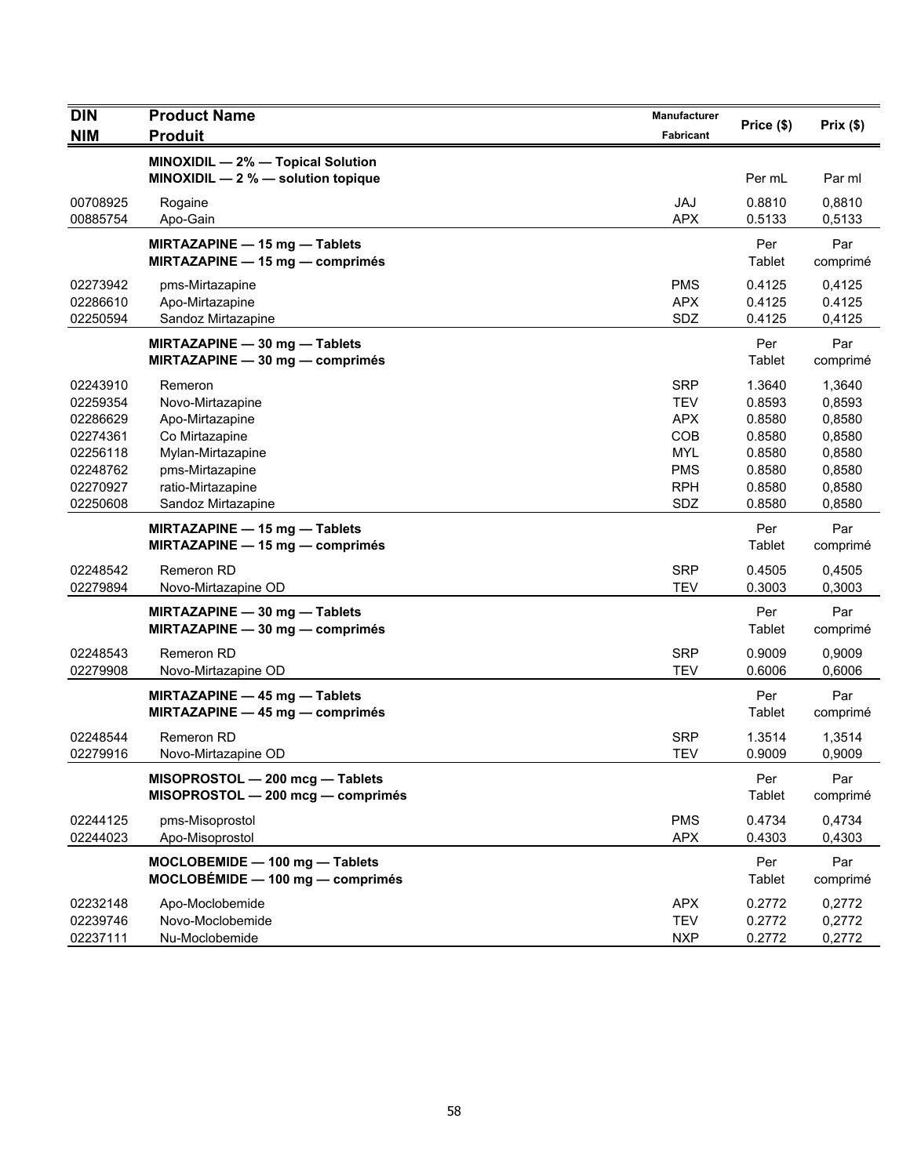| <b>DIN</b>                                   | <b>Product Name</b>                                                                               | Manufacturer                                         | Price (\$)                           | Prix(\$)                             |
|----------------------------------------------|---------------------------------------------------------------------------------------------------|------------------------------------------------------|--------------------------------------|--------------------------------------|
| <b>NIM</b>                                   | <b>Produit</b>                                                                                    | Fabricant                                            |                                      |                                      |
|                                              | MINOXIDIL - 2% - Topical Solution<br>MINOXIDIL $-2$ % $-$ solution topique                        |                                                      | Per mL                               | Par ml                               |
| 00708925<br>00885754                         | Rogaine<br>Apo-Gain                                                                               | <b>JAJ</b><br><b>APX</b>                             | 0.8810<br>0.5133                     | 0,8810<br>0,5133                     |
|                                              | MIRTAZAPINE - 15 mg - Tablets<br>MIRTAZAPINE - 15 mg - comprimés                                  |                                                      | Per<br>Tablet                        | Par<br>comprimé                      |
| 02273942<br>02286610<br>02250594             | pms-Mirtazapine<br>Apo-Mirtazapine<br>Sandoz Mirtazapine                                          | <b>PMS</b><br><b>APX</b><br>SDZ                      | 0.4125<br>0.4125<br>0.4125           | 0,4125<br>0.4125<br>0,4125           |
|                                              | MIRTAZAPINE - 30 mg - Tablets<br>MIRTAZAPINE - 30 mg - comprimés                                  |                                                      | Per<br>Tablet                        | Par<br>comprimé                      |
| 02243910<br>02259354<br>02286629             | Remeron<br>Novo-Mirtazapine<br>Apo-Mirtazapine                                                    | <b>SRP</b><br><b>TEV</b><br><b>APX</b>               | 1.3640<br>0.8593<br>0.8580           | 1,3640<br>0,8593<br>0,8580           |
| 02274361<br>02256118<br>02248762<br>02270927 | Co Mirtazapine<br>Mylan-Mirtazapine<br>pms-Mirtazapine<br>ratio-Mirtazapine                       | <b>COB</b><br><b>MYL</b><br><b>PMS</b><br><b>RPH</b> | 0.8580<br>0.8580<br>0.8580<br>0.8580 | 0,8580<br>0,8580<br>0,8580<br>0,8580 |
| 02250608                                     | Sandoz Mirtazapine                                                                                | SDZ                                                  | 0.8580                               | 0,8580                               |
|                                              | MIRTAZAPINE - 15 mg - Tablets<br>MIRTAZAPINE - 15 mg - comprimés                                  |                                                      | Per<br>Tablet                        | Par<br>comprimé                      |
| 02248542<br>02279894                         | <b>Remeron RD</b><br>Novo-Mirtazapine OD                                                          | <b>SRP</b><br><b>TEV</b>                             | 0.4505<br>0.3003                     | 0,4505<br>0,3003                     |
|                                              | MIRTAZAPINE - 30 mg - Tablets<br>MIRTAZAPINE - 30 mg - comprimés                                  |                                                      | Per<br>Tablet                        | Par<br>comprimé                      |
| 02248543<br>02279908                         | Remeron RD<br>Novo-Mirtazapine OD                                                                 | <b>SRP</b><br><b>TEV</b>                             | 0.9009<br>0.6006                     | 0,9009<br>0,6006                     |
|                                              | <b>MIRTAZAPINE <math>-</math> 45 mg <math>-</math> Tablets</b><br>MIRTAZAPINE - 45 mg - comprimés |                                                      | Per<br>Tablet                        | Par<br>comprimé                      |
| 02248544<br>02279916                         | <b>Remeron RD</b><br>Novo-Mirtazapine OD                                                          | <b>SRP</b><br><b>TEV</b>                             | 1.3514<br>0.9009                     | 1,3514<br>0,9009                     |
|                                              | MISOPROSTOL - 200 mcg - Tablets<br>MISOPROSTOL - 200 mcg - comprimés                              |                                                      | Per<br>Tablet                        | Par<br>comprimé                      |
| 02244125<br>02244023                         | pms-Misoprostol<br>Apo-Misoprostol                                                                | <b>PMS</b><br><b>APX</b>                             | 0.4734<br>0.4303                     | 0,4734<br>0,4303                     |
|                                              | MOCLOBEMIDE - 100 mg - Tablets<br>$MOCLOBÉMIDE - 100 mg - comprimés$                              |                                                      | Per<br>Tablet                        | Par<br>comprimé                      |
| 02232148<br>02239746<br>02237111             | Apo-Moclobemide<br>Novo-Moclobemide<br>Nu-Moclobemide                                             | <b>APX</b><br><b>TEV</b><br><b>NXP</b>               | 0.2772<br>0.2772<br>0.2772           | 0,2772<br>0,2772<br>0,2772           |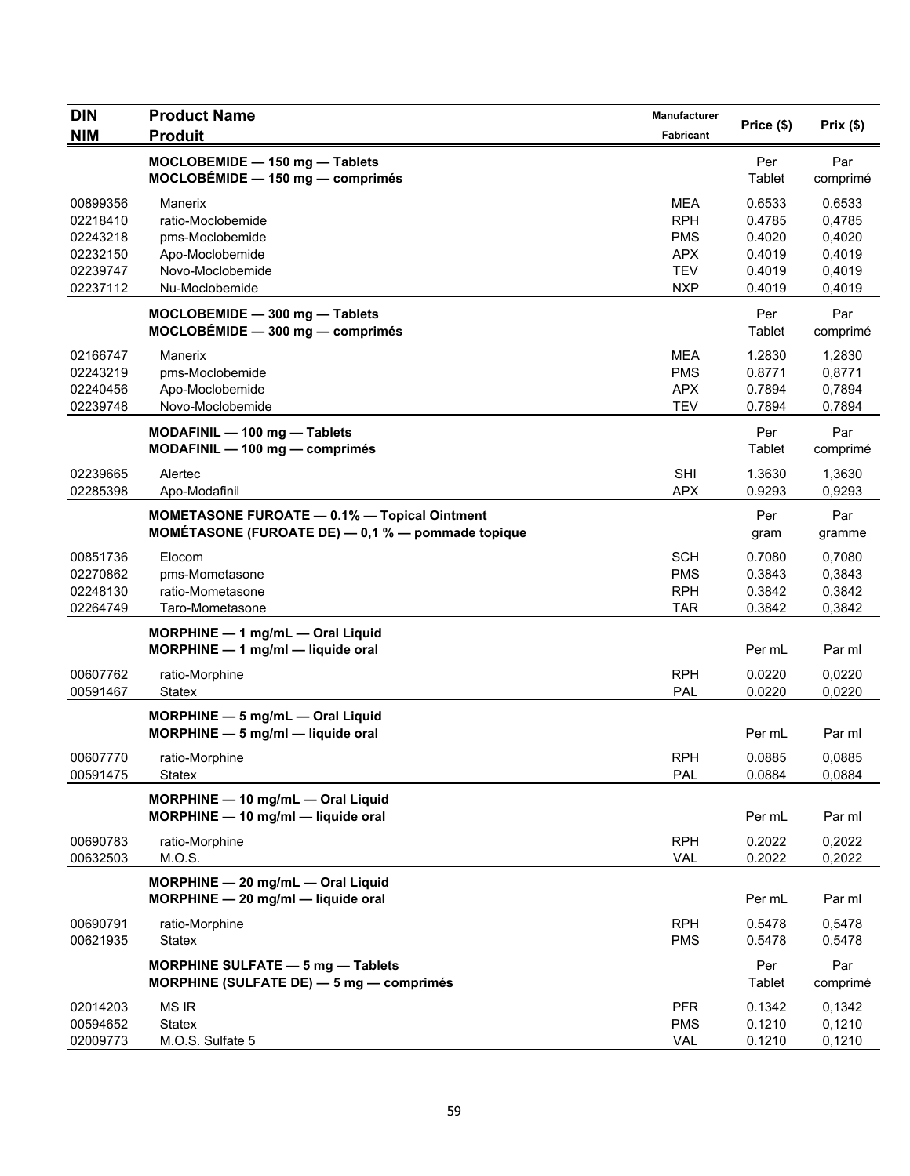| <b>DIN</b>                                                           | <b>Product Name</b>                                                                                      | Manufacturer                                                                     | Price (\$)                                               | Prix(\$)                                                 |
|----------------------------------------------------------------------|----------------------------------------------------------------------------------------------------------|----------------------------------------------------------------------------------|----------------------------------------------------------|----------------------------------------------------------|
| <b>NIM</b>                                                           | <b>Produit</b>                                                                                           | Fabricant                                                                        |                                                          |                                                          |
|                                                                      | MOCLOBEMIDE - 150 mg - Tablets<br>$MOCLOBÉMIDE - 150 mg - comprimés$                                     |                                                                                  | Per<br>Tablet                                            | Par<br>comprimé                                          |
| 00899356<br>02218410<br>02243218<br>02232150<br>02239747<br>02237112 | Manerix<br>ratio-Moclobemide<br>pms-Moclobemide<br>Apo-Moclobemide<br>Novo-Moclobemide<br>Nu-Moclobemide | <b>MEA</b><br><b>RPH</b><br><b>PMS</b><br><b>APX</b><br><b>TEV</b><br><b>NXP</b> | 0.6533<br>0.4785<br>0.4020<br>0.4019<br>0.4019<br>0.4019 | 0,6533<br>0,4785<br>0,4020<br>0,4019<br>0,4019<br>0,4019 |
|                                                                      | MOCLOBEMIDE - 300 mg - Tablets<br>$MOCLOBÉMIDE - 300 mg - comprimés$                                     |                                                                                  | Per<br>Tablet                                            | Par<br>comprimé                                          |
| 02166747<br>02243219<br>02240456<br>02239748                         | Manerix<br>pms-Moclobemide<br>Apo-Moclobemide<br>Novo-Moclobemide                                        | <b>MEA</b><br><b>PMS</b><br><b>APX</b><br><b>TEV</b>                             | 1.2830<br>0.8771<br>0.7894<br>0.7894                     | 1,2830<br>0,8771<br>0,7894<br>0,7894                     |
|                                                                      | MODAFINIL - 100 mg - Tablets<br>MODAFINIL - 100 mg - comprimés                                           |                                                                                  | Per<br>Tablet                                            | Par<br>comprimé                                          |
| 02239665<br>02285398                                                 | Alertec<br>Apo-Modafinil                                                                                 | <b>SHI</b><br><b>APX</b>                                                         | 1.3630<br>0.9293                                         | 1,3630<br>0,9293                                         |
|                                                                      | <b>MOMETASONE FUROATE - 0.1% - Topical Ointment</b><br>MOMÉTASONE (FUROATE DE) - 0,1 % - pommade topique |                                                                                  | Per<br>gram                                              | Par<br>gramme                                            |
| 00851736<br>02270862<br>02248130<br>02264749                         | Elocom<br>pms-Mometasone<br>ratio-Mometasone<br>Taro-Mometasone                                          | <b>SCH</b><br><b>PMS</b><br><b>RPH</b><br><b>TAR</b>                             | 0.7080<br>0.3843<br>0.3842<br>0.3842                     | 0,7080<br>0,3843<br>0,3842<br>0,3842                     |
|                                                                      | MORPHINE - 1 mg/mL - Oral Liquid<br>$MORPHINE - 1$ mg/ml - liquide oral                                  |                                                                                  | Per mL                                                   | Par ml                                                   |
| 00607762<br>00591467                                                 | ratio-Morphine<br><b>Statex</b>                                                                          | <b>RPH</b><br><b>PAL</b>                                                         | 0.0220<br>0.0220                                         | 0,0220<br>0,0220                                         |
|                                                                      | MORPHINE - 5 mg/mL - Oral Liquid<br>$MORPHINE - 5$ mg/ml $-$ liquide oral                                |                                                                                  | Per mL                                                   | Par ml                                                   |
| 00607770<br>00591475                                                 | ratio-Morphine<br><b>Statex</b>                                                                          | <b>RPH</b><br>PAL                                                                | 0.0885<br>0.0884                                         | 0,0885<br>0,0884                                         |
|                                                                      | MORPHINE - 10 mg/mL - Oral Liquid<br>MORPHINE - 10 mg/ml - liquide oral                                  |                                                                                  | Per mL                                                   | Par ml                                                   |
| 00690783<br>00632503                                                 | ratio-Morphine<br>M.O.S.                                                                                 | <b>RPH</b><br><b>VAL</b>                                                         | 0.2022<br>0.2022                                         | 0,2022<br>0,2022                                         |
|                                                                      | MORPHINE - 20 mg/mL - Oral Liquid<br>$MORPHINE - 20$ mg/ml - liquide oral                                |                                                                                  | Per mL                                                   | Par ml                                                   |
| 00690791<br>00621935                                                 | ratio-Morphine<br><b>Statex</b>                                                                          | <b>RPH</b><br><b>PMS</b>                                                         | 0.5478<br>0.5478                                         | 0,5478<br>0,5478                                         |
|                                                                      | <b>MORPHINE SULFATE - 5 mg - Tablets</b><br>MORPHINE (SULFATE DE) - 5 mg - comprimés                     |                                                                                  | Per<br>Tablet                                            | Par<br>comprimé                                          |
| 02014203<br>00594652<br>02009773                                     | <b>MS IR</b><br>Statex<br>M.O.S. Sulfate 5                                                               | <b>PFR</b><br><b>PMS</b><br>VAL                                                  | 0.1342<br>0.1210<br>0.1210                               | 0,1342<br>0,1210<br>0,1210                               |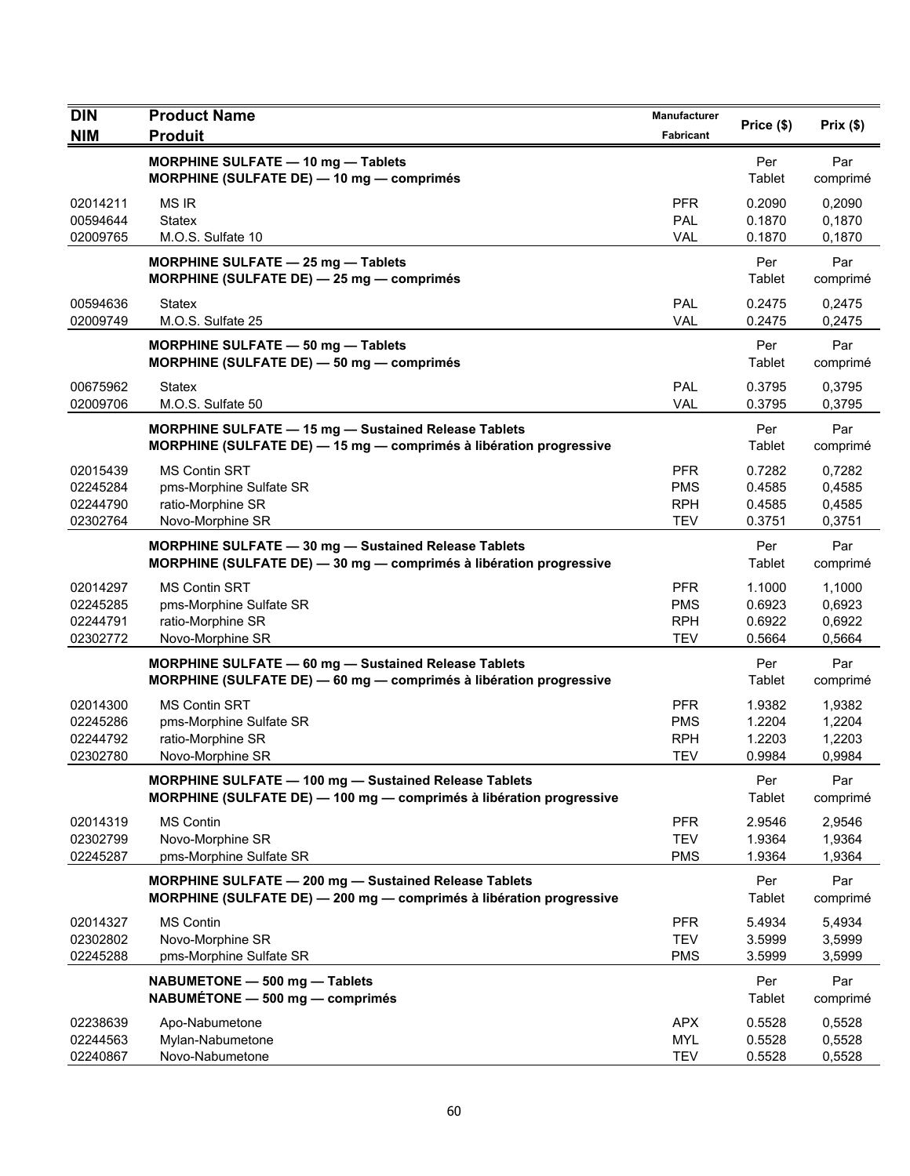| DIN                                          | <b>Product Name</b>                                                                                                               | Manufacturer                                         | Price (\$)                           | Prix $(\$)$                          |
|----------------------------------------------|-----------------------------------------------------------------------------------------------------------------------------------|------------------------------------------------------|--------------------------------------|--------------------------------------|
| <b>NIM</b>                                   | <b>Produit</b>                                                                                                                    | Fabricant                                            |                                      |                                      |
|                                              | MORPHINE SULFATE - 10 mg - Tablets<br>MORPHINE (SULFATE DE) - 10 mg - comprimés                                                   |                                                      | Per<br>Tablet                        | Par<br>comprimé                      |
| 02014211<br>00594644                         | <b>MS IR</b><br><b>Statex</b>                                                                                                     | <b>PFR</b><br>PAL                                    | 0.2090<br>0.1870                     | 0,2090<br>0,1870                     |
| 02009765                                     | M.O.S. Sulfate 10                                                                                                                 | <b>VAL</b>                                           | 0.1870                               | 0,1870                               |
|                                              | MORPHINE SULFATE - 25 mg - Tablets<br>MORPHINE (SULFATE DE) - 25 mg - comprimés                                                   |                                                      | Per<br>Tablet                        | Par<br>comprimé                      |
| 00594636<br>02009749                         | <b>Statex</b><br>M.O.S. Sulfate 25                                                                                                | PAL<br><b>VAL</b>                                    | 0.2475<br>0.2475                     | 0,2475<br>0,2475                     |
|                                              | MORPHINE SULFATE - 50 mg - Tablets<br>MORPHINE (SULFATE DE) - 50 mg - comprimés                                                   |                                                      | Per<br>Tablet                        | Par<br>comprimé                      |
| 00675962<br>02009706                         | Statex<br>M.O.S. Sulfate 50                                                                                                       | PAL<br><b>VAL</b>                                    | 0.3795<br>0.3795                     | 0,3795<br>0,3795                     |
|                                              | <b>MORPHINE SULFATE - 15 mg - Sustained Release Tablets</b><br>MORPHINE (SULFATE DE) - 15 mg - comprimés à libération progressive |                                                      | Per<br>Tablet                        | Par<br>comprimé                      |
| 02015439<br>02245284<br>02244790<br>02302764 | <b>MS Contin SRT</b><br>pms-Morphine Sulfate SR<br>ratio-Morphine SR<br>Novo-Morphine SR                                          | <b>PFR</b><br><b>PMS</b><br><b>RPH</b><br><b>TEV</b> | 0.7282<br>0.4585<br>0.4585<br>0.3751 | 0,7282<br>0,4585<br>0,4585<br>0,3751 |
|                                              | MORPHINE SULFATE - 30 mg - Sustained Release Tablets<br>MORPHINE (SULFATE DE) - 30 mg - comprimés à libération progressive        |                                                      | Per<br>Tablet                        | Par<br>comprimé                      |
| 02014297<br>02245285<br>02244791<br>02302772 | <b>MS Contin SRT</b><br>pms-Morphine Sulfate SR<br>ratio-Morphine SR<br>Novo-Morphine SR                                          | <b>PFR</b><br><b>PMS</b><br><b>RPH</b><br><b>TEV</b> | 1.1000<br>0.6923<br>0.6922<br>0.5664 | 1,1000<br>0,6923<br>0,6922<br>0,5664 |
|                                              | MORPHINE SULFATE - 60 mg - Sustained Release Tablets<br>MORPHINE (SULFATE DE) - 60 mg - comprimés à libération progressive        |                                                      | Per<br>Tablet                        | Par<br>comprimé                      |
| 02014300<br>02245286<br>02244792<br>02302780 | <b>MS Contin SRT</b><br>pms-Morphine Sulfate SR<br>ratio-Morphine SR<br>Novo-Morphine SR                                          | <b>PFR</b><br><b>PMS</b><br><b>RPH</b><br><b>TEV</b> | 1.9382<br>1.2204<br>1.2203<br>0.9984 | 1,9382<br>1,2204<br>1,2203<br>0,9984 |
|                                              | MORPHINE SULFATE - 100 mg - Sustained Release Tablets<br>MORPHINE (SULFATE DE) - 100 mg - comprimés à libération progressive      |                                                      | Per<br>Tablet                        | Par<br>comprimé                      |
| 02014319<br>02302799<br>02245287             | <b>MS Contin</b><br>Novo-Morphine SR<br>pms-Morphine Sulfate SR                                                                   | <b>PFR</b><br><b>TEV</b><br><b>PMS</b>               | 2.9546<br>1.9364<br>1.9364           | 2,9546<br>1,9364<br>1,9364           |
|                                              | MORPHINE SULFATE - 200 mg - Sustained Release Tablets<br>MORPHINE (SULFATE DE) - 200 mg - comprimés à libération progressive      |                                                      | Per<br>Tablet                        | Par<br>comprimé                      |
| 02014327                                     | <b>MS Contin</b>                                                                                                                  | <b>PFR</b>                                           | 5.4934                               | 5,4934                               |
| 02302802                                     | Novo-Morphine SR                                                                                                                  | <b>TEV</b>                                           | 3.5999                               | 3,5999                               |
| 02245288                                     | pms-Morphine Sulfate SR                                                                                                           | <b>PMS</b>                                           | 3.5999                               | 3,5999                               |
|                                              | NABUMETONE - 500 mg - Tablets<br>NABUMÉTONE - 500 mg - comprimés                                                                  |                                                      | Per<br>Tablet                        | Par<br>comprimé                      |
| 02238639                                     | Apo-Nabumetone                                                                                                                    | <b>APX</b>                                           | 0.5528                               | 0,5528                               |
| 02244563<br>02240867                         | Mylan-Nabumetone<br>Novo-Nabumetone                                                                                               | <b>MYL</b><br><b>TEV</b>                             | 0.5528<br>0.5528                     | 0,5528<br>0,5528                     |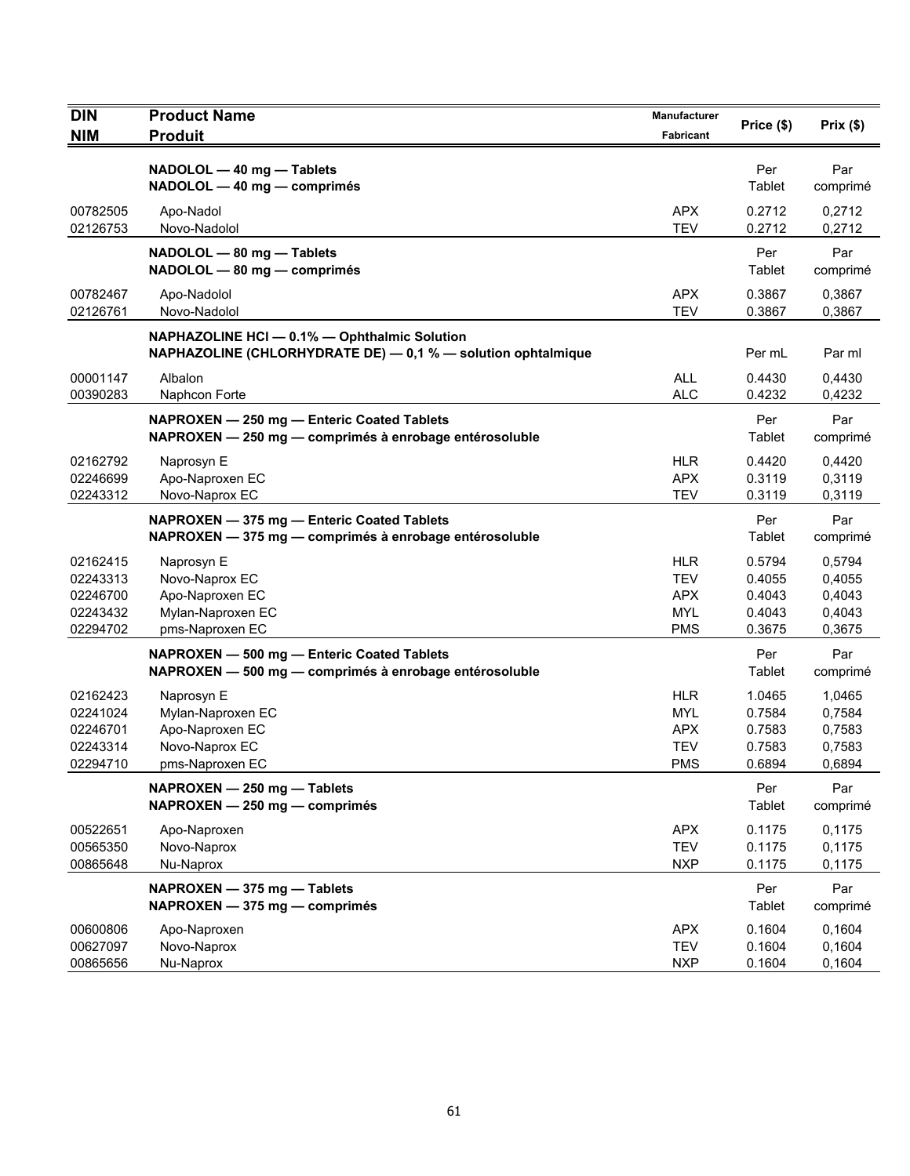| <b>DIN</b><br><b>NIM</b>                                 | <b>Product Name</b><br><b>Produit</b>                                                                            | <b>Manufacturer</b><br>Fabricant                            | Price (\$)                                     | Prix(\$)                                       |
|----------------------------------------------------------|------------------------------------------------------------------------------------------------------------------|-------------------------------------------------------------|------------------------------------------------|------------------------------------------------|
|                                                          | NADOLOL - 40 mg - Tablets<br>NADOLOL - 40 mg - comprimés                                                         |                                                             | Per<br>Tablet                                  | Par<br>comprimé                                |
| 00782505<br>02126753                                     | Apo-Nadol<br>Novo-Nadolol                                                                                        | APX<br><b>TEV</b>                                           | 0.2712<br>0.2712                               | 0,2712<br>0,2712                               |
|                                                          | NADOLOL - 80 mg - Tablets<br>NADOLOL - 80 mg - comprimés                                                         |                                                             | Per<br>Tablet                                  | Par<br>comprimé                                |
| 00782467<br>02126761                                     | Apo-Nadolol<br>Novo-Nadolol                                                                                      | <b>APX</b><br><b>TEV</b>                                    | 0.3867<br>0.3867                               | 0,3867<br>0,3867                               |
|                                                          | NAPHAZOLINE HCI - 0.1% - Ophthalmic Solution<br>NAPHAZOLINE (CHLORHYDRATE DE) $-$ 0,1 % $-$ solution ophtalmique |                                                             | Per mL                                         | Par ml                                         |
| 00001147<br>00390283                                     | Albalon<br>Naphcon Forte                                                                                         | <b>ALL</b><br><b>ALC</b>                                    | 0.4430<br>0.4232                               | 0,4430<br>0,4232                               |
|                                                          | NAPROXEN - 250 mg - Enteric Coated Tablets<br>NAPROXEN - 250 mg - comprimés à enrobage entérosoluble             |                                                             | Per<br>Tablet                                  | Par<br>comprimé                                |
| 02162792<br>02246699<br>02243312                         | Naprosyn E<br>Apo-Naproxen EC<br>Novo-Naprox EC                                                                  | <b>HLR</b><br><b>APX</b><br><b>TEV</b>                      | 0.4420<br>0.3119<br>0.3119                     | 0,4420<br>0,3119<br>0,3119                     |
|                                                          | NAPROXEN - 375 mg - Enteric Coated Tablets<br>NAPROXEN - 375 mg - comprimés à enrobage entérosoluble             |                                                             | Per<br>Tablet                                  | Par<br>comprimé                                |
| 02162415<br>02243313<br>02246700<br>02243432<br>02294702 | Naprosyn E<br>Novo-Naprox EC<br>Apo-Naproxen EC<br>Mylan-Naproxen EC<br>pms-Naproxen EC                          | HLR<br><b>TEV</b><br><b>APX</b><br><b>MYL</b><br><b>PMS</b> | 0.5794<br>0.4055<br>0.4043<br>0.4043<br>0.3675 | 0,5794<br>0,4055<br>0,4043<br>0,4043<br>0,3675 |
|                                                          | NAPROXEN - 500 mg - Enteric Coated Tablets<br>NAPROXEN - 500 mg - comprimés à enrobage entérosoluble             |                                                             | Per<br>Tablet                                  | Par<br>comprimé                                |
| 02162423<br>02241024<br>02246701<br>02243314<br>02294710 | Naprosyn E<br>Mylan-Naproxen EC<br>Apo-Naproxen EC<br>Novo-Naprox EC<br>pms-Naproxen EC                          | <b>HLR</b><br>MYL<br><b>APX</b><br><b>TEV</b><br><b>PMS</b> | 1.0465<br>0.7584<br>0.7583<br>0.7583<br>0.6894 | 1,0465<br>0,7584<br>0,7583<br>0,7583<br>0,6894 |
|                                                          | NAPROXEN - 250 mg - Tablets<br>NAPROXEN - 250 mg - comprimés                                                     |                                                             | Per<br>Tablet                                  | Par<br>comprimé                                |
| 00522651<br>00565350<br>00865648                         | Apo-Naproxen<br>Novo-Naprox<br>Nu-Naprox                                                                         | <b>APX</b><br><b>TEV</b><br><b>NXP</b>                      | 0.1175<br>0.1175<br>0.1175                     | 0,1175<br>0,1175<br>0,1175                     |
|                                                          | NAPROXEN - 375 mg - Tablets<br>NAPROXEN - 375 mg - comprimés                                                     |                                                             | Per<br>Tablet                                  | Par<br>comprimé                                |
| 00600806<br>00627097<br>00865656                         | Apo-Naproxen<br>Novo-Naprox<br>Nu-Naprox                                                                         | <b>APX</b><br><b>TEV</b><br><b>NXP</b>                      | 0.1604<br>0.1604<br>0.1604                     | 0,1604<br>0,1604<br>0,1604                     |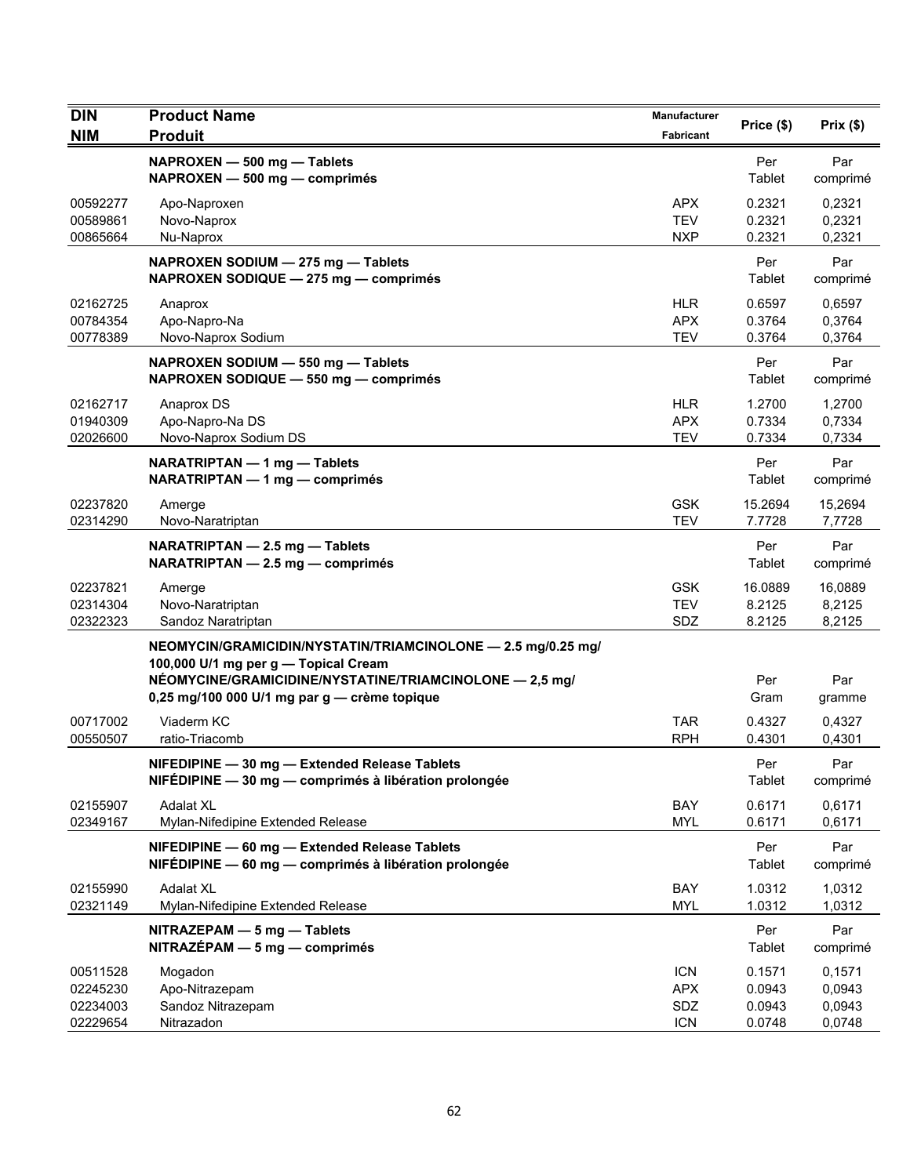| <b>DIN</b><br><b>NIM</b>                     | <b>Product Name</b><br><b>Produit</b>                                                                                                                                                                           | Manufacturer<br>Fabricant                     | Price (\$)                           | Prix $(\$)$                          |
|----------------------------------------------|-----------------------------------------------------------------------------------------------------------------------------------------------------------------------------------------------------------------|-----------------------------------------------|--------------------------------------|--------------------------------------|
|                                              | NAPROXEN - 500 mg - Tablets<br>NAPROXEN - 500 mg - comprimés                                                                                                                                                    |                                               | Per<br>Tablet                        | Par<br>comprimé                      |
| 00592277<br>00589861<br>00865664             | Apo-Naproxen<br>Novo-Naprox<br>Nu-Naprox                                                                                                                                                                        | <b>APX</b><br><b>TEV</b><br><b>NXP</b>        | 0.2321<br>0.2321<br>0.2321           | 0,2321<br>0,2321<br>0,2321           |
|                                              | NAPROXEN SODIUM - 275 mg - Tablets<br>NAPROXEN SODIQUE - 275 mg - comprimés                                                                                                                                     |                                               | Per<br>Tablet                        | Par<br>comprimé                      |
| 02162725<br>00784354<br>00778389             | Anaprox<br>Apo-Napro-Na<br>Novo-Naprox Sodium                                                                                                                                                                   | <b>HLR</b><br><b>APX</b><br><b>TEV</b>        | 0.6597<br>0.3764<br>0.3764           | 0,6597<br>0,3764<br>0,3764           |
|                                              | NAPROXEN SODIUM - 550 mg - Tablets<br>NAPROXEN SODIQUE - 550 mg - comprimés                                                                                                                                     |                                               | Per<br>Tablet                        | Par<br>comprimé                      |
| 02162717<br>01940309<br>02026600             | Anaprox DS<br>Apo-Napro-Na DS<br>Novo-Naprox Sodium DS                                                                                                                                                          | <b>HLR</b><br><b>APX</b><br><b>TEV</b>        | 1.2700<br>0.7334<br>0.7334           | 1,2700<br>0,7334<br>0,7334           |
|                                              | NARATRIPTAN - 1 mg - Tablets<br>NARATRIPTAN - 1 mg - comprimés                                                                                                                                                  |                                               | Per<br>Tablet                        | Par<br>comprimé                      |
| 02237820<br>02314290                         | Amerge<br>Novo-Naratriptan                                                                                                                                                                                      | <b>GSK</b><br><b>TEV</b>                      | 15.2694<br>7.7728                    | 15,2694<br>7,7728                    |
|                                              | NARATRIPTAN - 2.5 mg - Tablets<br>NARATRIPTAN - 2.5 mg - comprimés                                                                                                                                              |                                               | Per<br>Tablet                        | Par<br>comprimé                      |
| 02237821<br>02314304<br>02322323             | Amerge<br>Novo-Naratriptan<br>Sandoz Naratriptan                                                                                                                                                                | <b>GSK</b><br><b>TEV</b><br>SDZ               | 16.0889<br>8.2125<br>8.2125          | 16,0889<br>8,2125<br>8,2125          |
|                                              | NEOMYCIN/GRAMICIDIN/NYSTATIN/TRIAMCINOLONE - 2.5 mg/0.25 mg/<br>100,000 U/1 mg per g - Topical Cream<br>NÉOMYCINE/GRAMICIDINE/NYSTATINE/TRIAMCINOLONE - 2,5 mg/<br>0,25 mg/100 000 U/1 mg par g - crème topique |                                               | Per<br>Gram                          | Par<br>gramme                        |
| 00717002<br>00550507                         | Viaderm KC<br>ratio-Triacomb                                                                                                                                                                                    | <b>TAR</b><br><b>RPH</b>                      | 0.4327<br>0.4301                     | 0.4327<br>0,4301                     |
|                                              | NIFEDIPINE - 30 mg - Extended Release Tablets<br>NIFÉDIPINE — 30 mg — comprimés à libération prolongée                                                                                                          |                                               | Per<br>Tablet                        | Par<br>comprimé                      |
| 02155907<br>02349167                         | <b>Adalat XL</b><br>Mylan-Nifedipine Extended Release                                                                                                                                                           | BAY<br><b>MYL</b>                             | 0.6171<br>0.6171                     | 0,6171<br>0,6171                     |
|                                              | NIFEDIPINE - 60 mg - Extended Release Tablets<br>NIFÉDIPINE - 60 mg - comprimés à libération prolongée                                                                                                          |                                               | Per<br>Tablet                        | Par<br>comprimé                      |
| 02155990<br>02321149                         | <b>Adalat XL</b><br>Mylan-Nifedipine Extended Release                                                                                                                                                           | BAY<br><b>MYL</b>                             | 1.0312<br>1.0312                     | 1,0312<br>1,0312                     |
|                                              | NITRAZEPAM - 5 mg - Tablets<br>$NITRAZÉPAM - 5 mg - comprimés$                                                                                                                                                  |                                               | Per<br>Tablet                        | Par<br>comprimé                      |
| 00511528<br>02245230<br>02234003<br>02229654 | Mogadon<br>Apo-Nitrazepam<br>Sandoz Nitrazepam<br>Nitrazadon                                                                                                                                                    | <b>ICN</b><br><b>APX</b><br>SDZ<br><b>ICN</b> | 0.1571<br>0.0943<br>0.0943<br>0.0748 | 0,1571<br>0,0943<br>0,0943<br>0,0748 |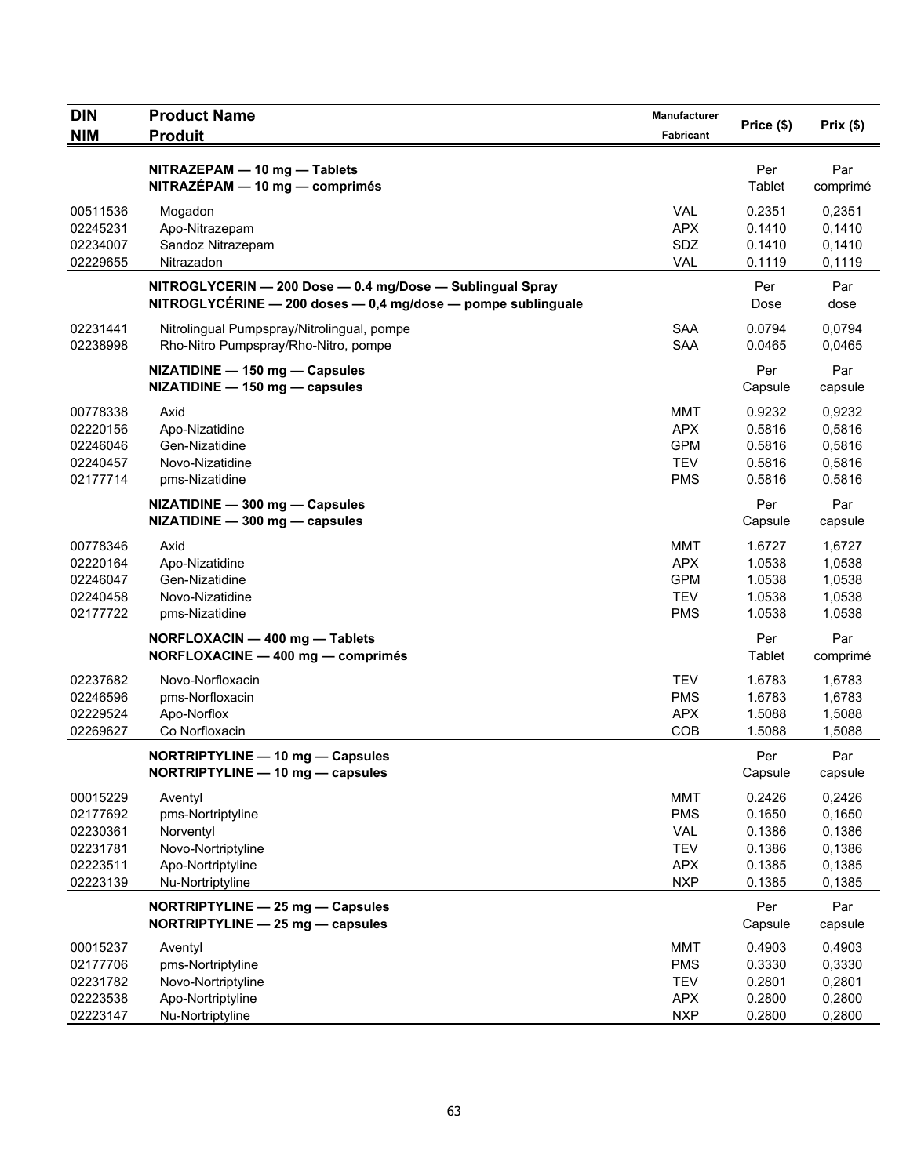| <b>DIN</b>                                                           | <b>Product Name</b>                                                                                                       | <b>Manufacturer</b>                                                       | Price (\$)                                               | Prix(\$)                                                 |
|----------------------------------------------------------------------|---------------------------------------------------------------------------------------------------------------------------|---------------------------------------------------------------------------|----------------------------------------------------------|----------------------------------------------------------|
| <b>NIM</b>                                                           | <b>Produit</b>                                                                                                            | Fabricant                                                                 |                                                          |                                                          |
|                                                                      | NITRAZEPAM - 10 mg - Tablets<br>NITRAZÉPAM - 10 mg - comprimés                                                            |                                                                           | Per<br>Tablet                                            | Par<br>comprimé                                          |
| 00511536<br>02245231<br>02234007<br>02229655                         | Mogadon<br>Apo-Nitrazepam<br>Sandoz Nitrazepam<br>Nitrazadon                                                              | <b>VAL</b><br><b>APX</b><br>SDZ<br><b>VAL</b>                             | 0.2351<br>0.1410<br>0.1410<br>0.1119                     | 0,2351<br>0,1410<br>0,1410<br>0,1119                     |
|                                                                      | NITROGLYCERIN - 200 Dose - 0.4 mg/Dose - Sublingual Spray<br>NITROGLYCÉRINE - 200 doses - 0,4 mg/dose - pompe sublinguale |                                                                           | Per<br>Dose                                              | Par<br>dose                                              |
| 02231441<br>02238998                                                 | Nitrolingual Pumpspray/Nitrolingual, pompe<br>Rho-Nitro Pumpspray/Rho-Nitro, pompe                                        | <b>SAA</b><br><b>SAA</b>                                                  | 0.0794<br>0.0465                                         | 0,0794<br>0,0465                                         |
|                                                                      | NIZATIDINE - 150 mg - Capsules<br>NIZATIDINE - 150 mg - capsules                                                          |                                                                           | Per<br>Capsule                                           | Par<br>capsule                                           |
| 00778338<br>02220156<br>02246046<br>02240457<br>02177714             | Axid<br>Apo-Nizatidine<br>Gen-Nizatidine<br>Novo-Nizatidine<br>pms-Nizatidine                                             | <b>MMT</b><br><b>APX</b><br><b>GPM</b><br><b>TEV</b><br><b>PMS</b>        | 0.9232<br>0.5816<br>0.5816<br>0.5816<br>0.5816           | 0,9232<br>0,5816<br>0,5816<br>0,5816<br>0,5816           |
|                                                                      | NIZATIDINE - 300 mg - Capsules<br>NIZATIDINE - 300 mg - capsules                                                          |                                                                           | Per<br>Capsule                                           | Par<br>capsule                                           |
| 00778346<br>02220164<br>02246047<br>02240458<br>02177722             | Axid<br>Apo-Nizatidine<br>Gen-Nizatidine<br>Novo-Nizatidine<br>pms-Nizatidine                                             | <b>MMT</b><br><b>APX</b><br><b>GPM</b><br>TEV<br><b>PMS</b>               | 1.6727<br>1.0538<br>1.0538<br>1.0538<br>1.0538           | 1,6727<br>1,0538<br>1,0538<br>1,0538<br>1,0538           |
|                                                                      | NORFLOXACIN - 400 mg - Tablets<br>NORFLOXACINE - 400 mg - comprimés                                                       |                                                                           | Per<br>Tablet                                            | Par<br>comprimé                                          |
| 02237682<br>02246596<br>02229524<br>02269627                         | Novo-Norfloxacin<br>pms-Norfloxacin<br>Apo-Norflox<br>Co Norfloxacin                                                      | <b>TEV</b><br><b>PMS</b><br><b>APX</b><br>COB                             | 1.6783<br>1.6783<br>1.5088<br>1.5088                     | 1,6783<br>1,6783<br>1,5088<br>1,5088                     |
|                                                                      | NORTRIPTYLINE - 10 mg - Capsules<br>NORTRIPTYLINE - 10 mg - capsules                                                      |                                                                           | Per<br>Capsule                                           | Par<br>capsule                                           |
| 00015229<br>02177692<br>02230361<br>02231781<br>02223511<br>02223139 | Aventyl<br>pms-Nortriptyline<br>Norventyl<br>Novo-Nortriptyline<br>Apo-Nortriptyline<br>Nu-Nortriptyline                  | <b>MMT</b><br><b>PMS</b><br>VAL<br><b>TEV</b><br><b>APX</b><br><b>NXP</b> | 0.2426<br>0.1650<br>0.1386<br>0.1386<br>0.1385<br>0.1385 | 0,2426<br>0,1650<br>0,1386<br>0,1386<br>0,1385<br>0,1385 |
|                                                                      | NORTRIPTYLINE - 25 mg - Capsules<br>NORTRIPTYLINE - 25 mg - capsules                                                      |                                                                           | Per<br>Capsule                                           | Par<br>capsule                                           |
| 00015237<br>02177706<br>02231782<br>02223538<br>02223147             | Aventyl<br>pms-Nortriptyline<br>Novo-Nortriptyline<br>Apo-Nortriptyline<br>Nu-Nortriptyline                               | <b>MMT</b><br><b>PMS</b><br><b>TEV</b><br><b>APX</b><br><b>NXP</b>        | 0.4903<br>0.3330<br>0.2801<br>0.2800<br>0.2800           | 0,4903<br>0,3330<br>0,2801<br>0,2800<br>0,2800           |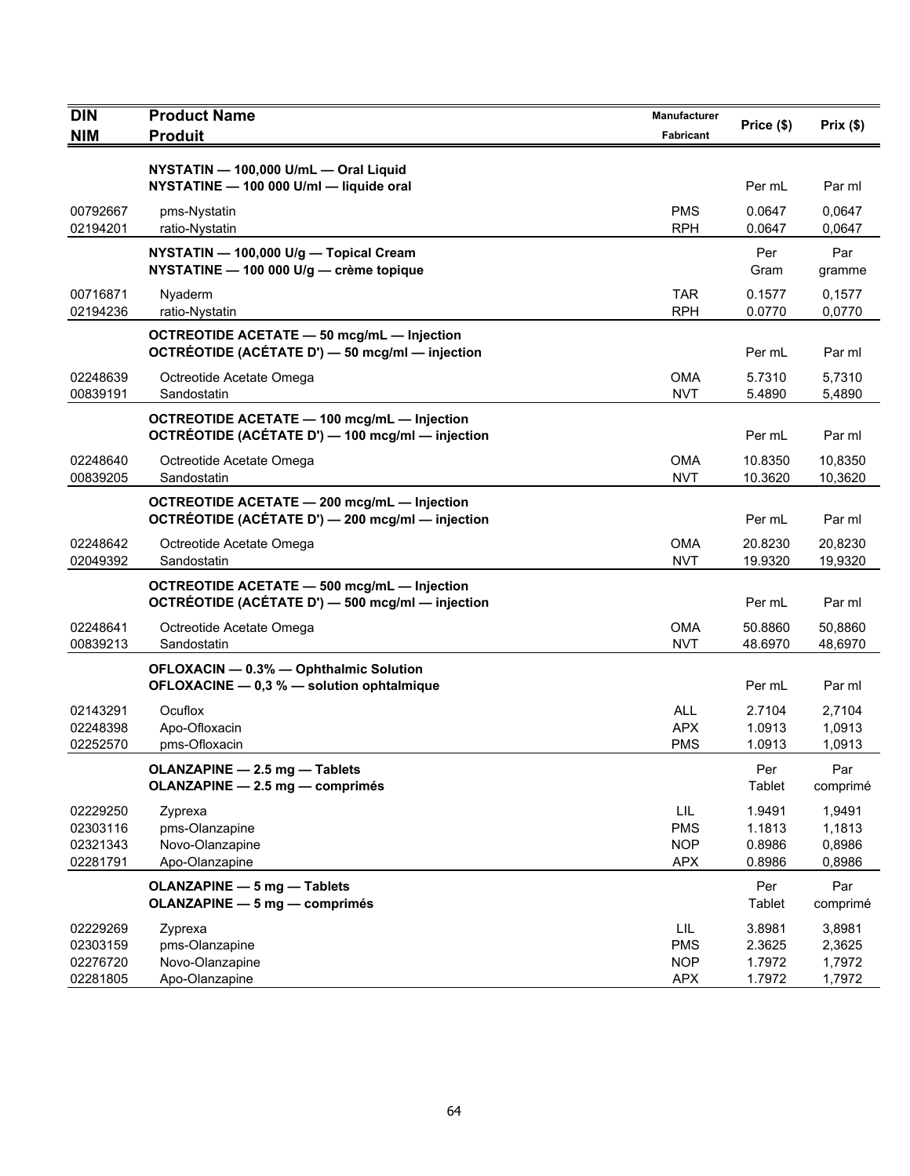| <b>DIN</b>                                   | <b>Product Name</b>                                                                                    | Manufacturer                                   | Price (\$)                           | Prix $(\$)$                          |
|----------------------------------------------|--------------------------------------------------------------------------------------------------------|------------------------------------------------|--------------------------------------|--------------------------------------|
| <b>NIM</b>                                   | <b>Produit</b>                                                                                         | Fabricant                                      |                                      |                                      |
|                                              | NYSTATIN - 100,000 U/mL - Oral Liquid<br>NYSTATINE - 100 000 U/ml - liquide oral                       |                                                | Per mL                               | Par ml                               |
| 00792667<br>02194201                         | pms-Nystatin<br>ratio-Nystatin                                                                         | <b>PMS</b><br><b>RPH</b>                       | 0.0647<br>0.0647                     | 0,0647<br>0,0647                     |
|                                              | NYSTATIN - 100,000 U/g - Topical Cream<br>NYSTATINE - 100 000 U/g - crème topique                      |                                                | Per<br>Gram                          | Par<br>gramme                        |
| 00716871<br>02194236                         | Nyaderm<br>ratio-Nystatin                                                                              | <b>TAR</b><br><b>RPH</b>                       | 0.1577<br>0.0770                     | 0,1577<br>0,0770                     |
|                                              | <b>OCTREOTIDE ACETATE - 50 mcg/mL - Injection</b><br>OCTRÉOTIDE (ACÉTATE D') - 50 mcg/ml - injection   |                                                | Per mL                               | Par ml                               |
| 02248639<br>00839191                         | Octreotide Acetate Omega<br>Sandostatin                                                                | <b>OMA</b><br><b>NVT</b>                       | 5.7310<br>5.4890                     | 5,7310<br>5,4890                     |
|                                              | <b>OCTREOTIDE ACETATE - 100 mcg/mL - Injection</b><br>OCTRÉOTIDE (ACÉTATE D') - 100 mcg/ml - injection |                                                | Per mL                               | Par ml                               |
| 02248640<br>00839205                         | Octreotide Acetate Omega<br>Sandostatin                                                                | <b>OMA</b><br><b>NVT</b>                       | 10.8350<br>10.3620                   | 10,8350<br>10,3620                   |
|                                              | <b>OCTREOTIDE ACETATE - 200 mcg/mL - Injection</b><br>OCTRÉOTIDE (ACÉTATE D') - 200 mcg/ml - injection |                                                | Per mL                               | Par ml                               |
| 02248642<br>02049392                         | Octreotide Acetate Omega<br>Sandostatin                                                                | <b>OMA</b><br><b>NVT</b>                       | 20.8230<br>19.9320                   | 20,8230<br>19,9320                   |
|                                              | <b>OCTREOTIDE ACETATE - 500 mcg/mL - Injection</b><br>OCTRÉOTIDE (ACÉTATE D') - 500 mcg/ml - injection |                                                | Per mL                               | Par ml                               |
| 02248641<br>00839213                         | Octreotide Acetate Omega<br>Sandostatin                                                                | <b>OMA</b><br><b>NVT</b>                       | 50.8860<br>48.6970                   | 50,8860<br>48,6970                   |
|                                              | OFLOXACIN - 0.3% - Ophthalmic Solution<br>OFLOXACINE - 0,3 % - solution ophtalmique                    |                                                | Per mL                               | Par ml                               |
| 02143291<br>02248398<br>02252570             | Ocuflox<br>Apo-Ofloxacin<br>pms-Ofloxacin                                                              | <b>ALL</b><br><b>APX</b><br><b>PMS</b>         | 2.7104<br>1.0913<br>1.0913           | 2,7104<br>1,0913<br>1,0913           |
|                                              | OLANZAPINE - 2.5 mg - Tablets<br>OLANZAPINE - 2.5 mg - comprimés                                       |                                                | Per<br>Tablet                        | Par<br>comprimé                      |
| 02229250<br>02303116<br>02321343<br>02281791 | Zyprexa<br>pms-Olanzapine<br>Novo-Olanzapine<br>Apo-Olanzapine                                         | LIL<br><b>PMS</b><br><b>NOP</b><br><b>APX</b>  | 1.9491<br>1.1813<br>0.8986<br>0.8986 | 1,9491<br>1,1813<br>0,8986<br>0,8986 |
|                                              | <b>OLANZAPINE - 5 mg - Tablets</b><br><b>OLANZAPINE - 5 mg - comprimés</b>                             |                                                | Per<br>Tablet                        | Par<br>comprimé                      |
| 02229269<br>02303159<br>02276720<br>02281805 | Zyprexa<br>pms-Olanzapine<br>Novo-Olanzapine<br>Apo-Olanzapine                                         | LIL.<br><b>PMS</b><br><b>NOP</b><br><b>APX</b> | 3.8981<br>2.3625<br>1.7972<br>1.7972 | 3,8981<br>2,3625<br>1,7972<br>1,7972 |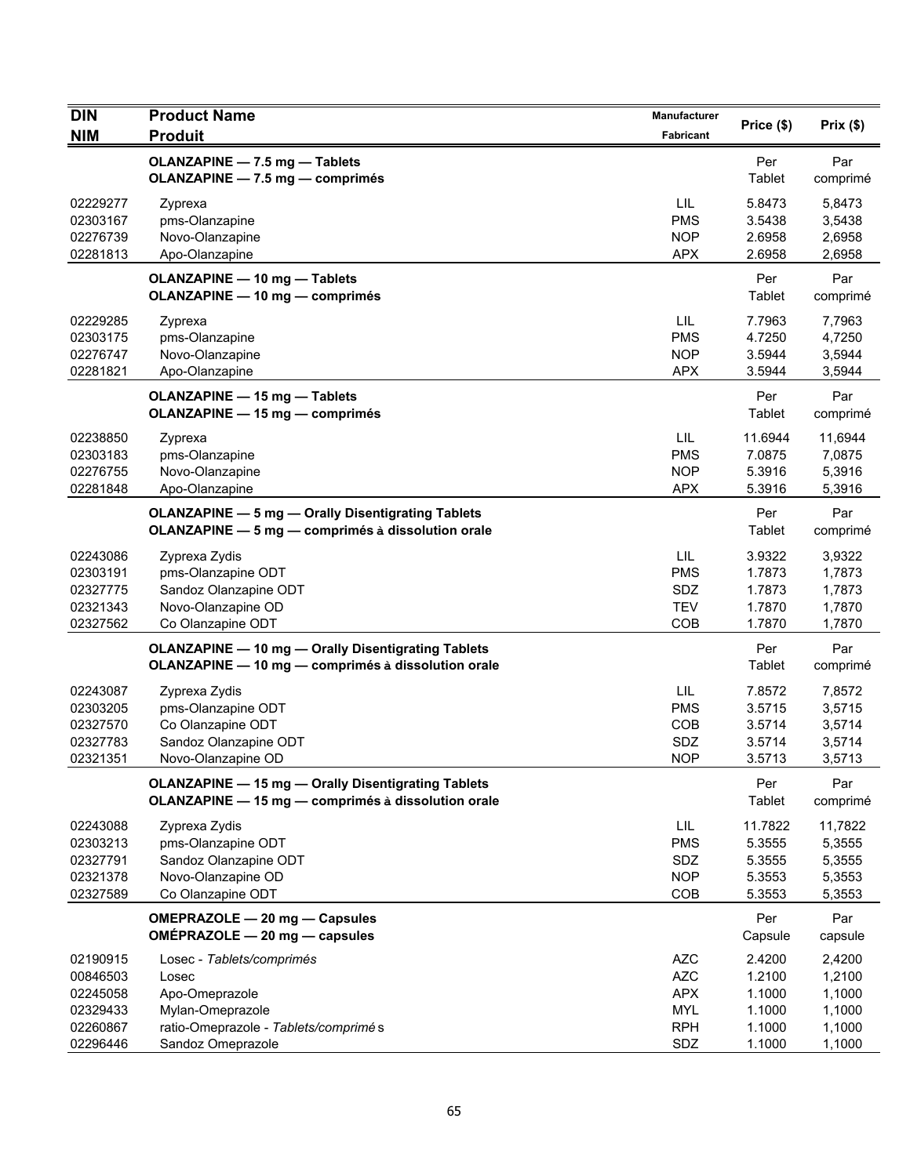| <b>DIN</b>                                               | <b>Product Name</b>                                                                                               | Manufacturer                                                       | Price (\$)                                      | Prix(\$)                                        |
|----------------------------------------------------------|-------------------------------------------------------------------------------------------------------------------|--------------------------------------------------------------------|-------------------------------------------------|-------------------------------------------------|
| <b>NIM</b>                                               | <b>Produit</b>                                                                                                    | Fabricant                                                          |                                                 |                                                 |
|                                                          | OLANZAPINE - 7.5 mg - Tablets<br>OLANZAPINE - 7.5 mg - comprimés                                                  |                                                                    | Per<br>Tablet                                   | Par<br>comprimé                                 |
| 02229277<br>02303167<br>02276739<br>02281813             | Zyprexa<br>pms-Olanzapine<br>Novo-Olanzapine<br>Apo-Olanzapine                                                    | LIL<br><b>PMS</b><br><b>NOP</b><br><b>APX</b>                      | 5.8473<br>3.5438<br>2.6958<br>2.6958            | 5,8473<br>3,5438<br>2,6958<br>2,6958            |
|                                                          | OLANZAPINE - 10 mg - Tablets<br>OLANZAPINE - 10 mg - comprimés                                                    |                                                                    | Per<br>Tablet                                   | Par<br>comprimé                                 |
| 02229285<br>02303175<br>02276747<br>02281821             | Zyprexa<br>pms-Olanzapine<br>Novo-Olanzapine<br>Apo-Olanzapine                                                    | LIL<br><b>PMS</b><br><b>NOP</b><br><b>APX</b>                      | 7.7963<br>4.7250<br>3.5944<br>3.5944            | 7,7963<br>4,7250<br>3,5944<br>3,5944            |
|                                                          | <b>OLANZAPINE - 15 mg - Tablets</b><br><b>OLANZAPINE - 15 mg - comprimés</b>                                      |                                                                    | Per<br>Tablet                                   | Par<br>comprimé                                 |
| 02238850<br>02303183<br>02276755<br>02281848             | Zyprexa<br>pms-Olanzapine<br>Novo-Olanzapine<br>Apo-Olanzapine                                                    | LIL<br><b>PMS</b><br><b>NOP</b><br><b>APX</b>                      | 11.6944<br>7.0875<br>5.3916<br>5.3916           | 11,6944<br>7,0875<br>5,3916<br>5,3916           |
|                                                          | <b>OLANZAPINE - 5 mg - Orally Disentigrating Tablets</b><br>OLANZAPINE - 5 mg - comprimés à dissolution orale     |                                                                    | Per<br>Tablet                                   | Par<br>comprimé                                 |
| 02243086<br>02303191<br>02327775<br>02321343<br>02327562 | Zyprexa Zydis<br>pms-Olanzapine ODT<br>Sandoz Olanzapine ODT<br>Novo-Olanzapine OD<br>Co Olanzapine ODT           | LIL<br><b>PMS</b><br>SDZ<br><b>TEV</b><br>COB                      | 3.9322<br>1.7873<br>1.7873<br>1.7870<br>1.7870  | 3,9322<br>1,7873<br>1,7873<br>1,7870<br>1,7870  |
|                                                          | <b>OLANZAPINE - 10 mg - Orally Disentigrating Tablets</b><br>OLANZAPINE - 10 mg - comprimés à dissolution orale   |                                                                    | Per<br>Tablet                                   | Par<br>comprimé                                 |
| 02243087<br>02303205<br>02327570<br>02327783<br>02321351 | Zyprexa Zydis<br>pms-Olanzapine ODT<br>Co Olanzapine ODT<br>Sandoz Olanzapine ODT<br>Novo-Olanzapine OD           | LIL<br><b>PMS</b><br>COB<br>SDZ<br><b>NOP</b>                      | 7.8572<br>3.5715<br>3.5714<br>3.5714<br>3.5713  | 7,8572<br>3,5715<br>3,5714<br>3,5714<br>3,5713  |
|                                                          | <b>OLANZAPINE - 15 mg - Orally Disentigrating Tablets</b><br>OLANZAPINE - 15 mg - comprimés à dissolution orale   |                                                                    | Per<br>Tablet                                   | Par<br>comprimé                                 |
| 02243088<br>02303213<br>02327791<br>02321378<br>02327589 | Zyprexa Zydis<br>pms-Olanzapine ODT<br>Sandoz Olanzapine ODT<br>Novo-Olanzapine OD<br>Co Olanzapine ODT           | LIL<br><b>PMS</b><br>SDZ<br><b>NOP</b><br>COB                      | 11.7822<br>5.3555<br>5.3555<br>5.3553<br>5.3553 | 11,7822<br>5,3555<br>5,3555<br>5,3553<br>5,3553 |
|                                                          | OMEPRAZOLE - 20 mg - Capsules<br>OMÉPRAZOLE - 20 mg - capsules                                                    |                                                                    | Per<br>Capsule                                  | Par<br>capsule                                  |
| 02190915<br>00846503<br>02245058<br>02329433<br>02260867 | Losec - Tablets/comprimés<br>Losec<br>Apo-Omeprazole<br>Mylan-Omeprazole<br>ratio-Omeprazole - Tablets/comprimé s | <b>AZC</b><br><b>AZC</b><br><b>APX</b><br><b>MYL</b><br><b>RPH</b> | 2.4200<br>1.2100<br>1.1000<br>1.1000<br>1.1000  | 2,4200<br>1,2100<br>1,1000<br>1,1000<br>1,1000  |
| 02296446                                                 | Sandoz Omeprazole                                                                                                 | SDZ                                                                | 1.1000                                          | 1,1000                                          |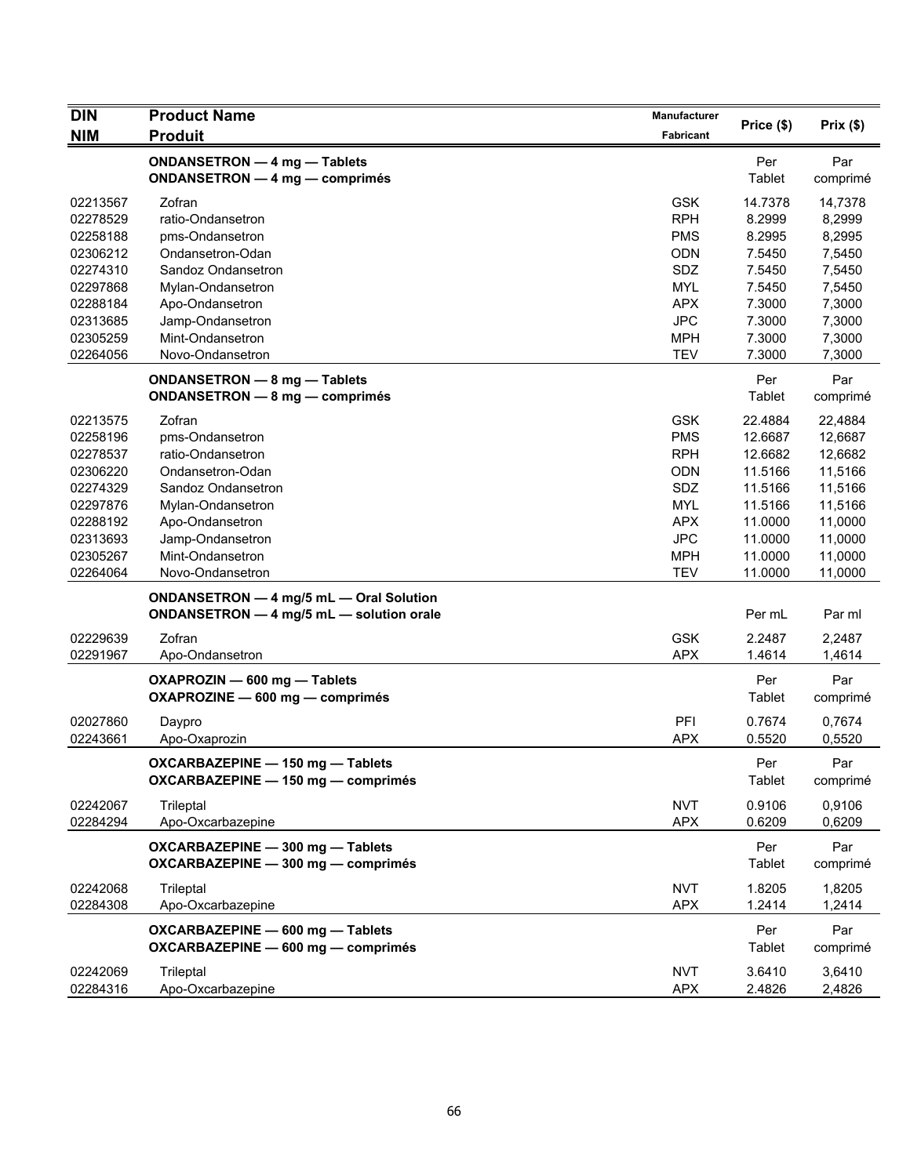| <b>DIN</b>           | <b>Product Name</b>                                                                 | Manufacturer             |                  | Prix(\$)         |
|----------------------|-------------------------------------------------------------------------------------|--------------------------|------------------|------------------|
| <b>NIM</b>           | <b>Produit</b>                                                                      | Fabricant                | Price (\$)       |                  |
|                      | ONDANSETRON - 4 mg - Tablets<br><b>ONDANSETRON - 4 mg - comprimés</b>               |                          | Per<br>Tablet    | Par<br>comprimé  |
| 02213567             | Zofran                                                                              | <b>GSK</b>               | 14.7378          | 14,7378          |
| 02278529             | ratio-Ondansetron                                                                   | <b>RPH</b>               | 8.2999           | 8,2999           |
| 02258188             | pms-Ondansetron                                                                     | <b>PMS</b>               | 8.2995           | 8,2995           |
| 02306212             | Ondansetron-Odan                                                                    | <b>ODN</b>               | 7.5450           | 7,5450           |
| 02274310             | Sandoz Ondansetron                                                                  | SDZ                      | 7.5450           | 7,5450           |
| 02297868             | Mylan-Ondansetron                                                                   | <b>MYL</b>               | 7.5450           | 7,5450           |
| 02288184             | Apo-Ondansetron                                                                     | <b>APX</b>               | 7.3000           | 7,3000           |
| 02313685             | Jamp-Ondansetron                                                                    | <b>JPC</b>               | 7.3000           | 7,3000           |
| 02305259             | Mint-Ondansetron                                                                    | <b>MPH</b>               | 7.3000           | 7,3000           |
| 02264056             | Novo-Ondansetron                                                                    | <b>TEV</b>               | 7.3000           | 7,3000           |
|                      | ONDANSETRON - 8 mg - Tablets<br>ONDANSETRON - 8 mg - comprimés                      |                          | Per<br>Tablet    | Par<br>comprimé  |
| 02213575             | Zofran                                                                              | <b>GSK</b>               | 22.4884          | 22,4884          |
| 02258196             | pms-Ondansetron                                                                     | <b>PMS</b>               | 12.6687          | 12,6687          |
| 02278537             | ratio-Ondansetron                                                                   | <b>RPH</b>               | 12.6682          | 12,6682          |
| 02306220             | Ondansetron-Odan                                                                    | <b>ODN</b>               | 11.5166          | 11,5166          |
| 02274329             | Sandoz Ondansetron                                                                  | SDZ                      | 11.5166          | 11,5166          |
| 02297876             | Mylan-Ondansetron                                                                   | <b>MYL</b>               | 11.5166          | 11,5166          |
| 02288192             | Apo-Ondansetron                                                                     | <b>APX</b>               | 11.0000          | 11,0000          |
| 02313693             | Jamp-Ondansetron                                                                    | <b>JPC</b>               | 11.0000          | 11,0000          |
| 02305267             | Mint-Ondansetron                                                                    | <b>MPH</b>               | 11.0000          | 11,0000          |
| 02264064             | Novo-Ondansetron                                                                    | <b>TEV</b>               | 11.0000          | 11,0000          |
|                      | ONDANSETRON - 4 mg/5 mL - Oral Solution<br>ONDANSETRON - 4 mg/5 mL - solution orale |                          | Per mL           | Par ml           |
| 02229639             | Zofran                                                                              | <b>GSK</b>               | 2.2487           | 2,2487           |
| 02291967             | Apo-Ondansetron                                                                     | <b>APX</b>               | 1.4614           | 1,4614           |
|                      | OXAPROZIN - 600 mg - Tablets<br>OXAPROZINE - 600 mg - comprimés                     |                          | Per<br>Tablet    | Par<br>comprimé  |
| 02027860             | Daypro                                                                              | PFI                      | 0.7674           | 0,7674           |
| 02243661             | Apo-Oxaprozin                                                                       | <b>APX</b>               | 0.5520           | 0,5520           |
|                      | OXCARBAZEPINE - 150 mg - Tablets<br>OXCARBAZEPINE - 150 mg - comprimés              |                          | Per<br>Tablet    | Par<br>comprimé  |
| 02242067             | Trileptal                                                                           | <b>NVT</b>               | 0.9106           | 0,9106           |
| 02284294             | Apo-Oxcarbazepine                                                                   | <b>APX</b>               | 0.6209           | 0,6209           |
|                      | OXCARBAZEPINE - 300 mg - Tablets<br>OXCARBAZEPINE - 300 mg - comprimés              |                          | Per<br>Tablet    | Par<br>comprimé  |
| 02242068             | Trileptal                                                                           | <b>NVT</b>               | 1.8205           | 1,8205           |
| 02284308             | Apo-Oxcarbazepine                                                                   | <b>APX</b>               | 1.2414           | 1,2414           |
|                      | OXCARBAZEPINE - 600 mg - Tablets<br>OXCARBAZEPINE - 600 mg - comprimés              |                          | Per<br>Tablet    | Par<br>comprimé  |
| 02242069<br>02284316 | Trileptal<br>Apo-Oxcarbazepine                                                      | <b>NVT</b><br><b>APX</b> | 3.6410<br>2.4826 | 3,6410<br>2,4826 |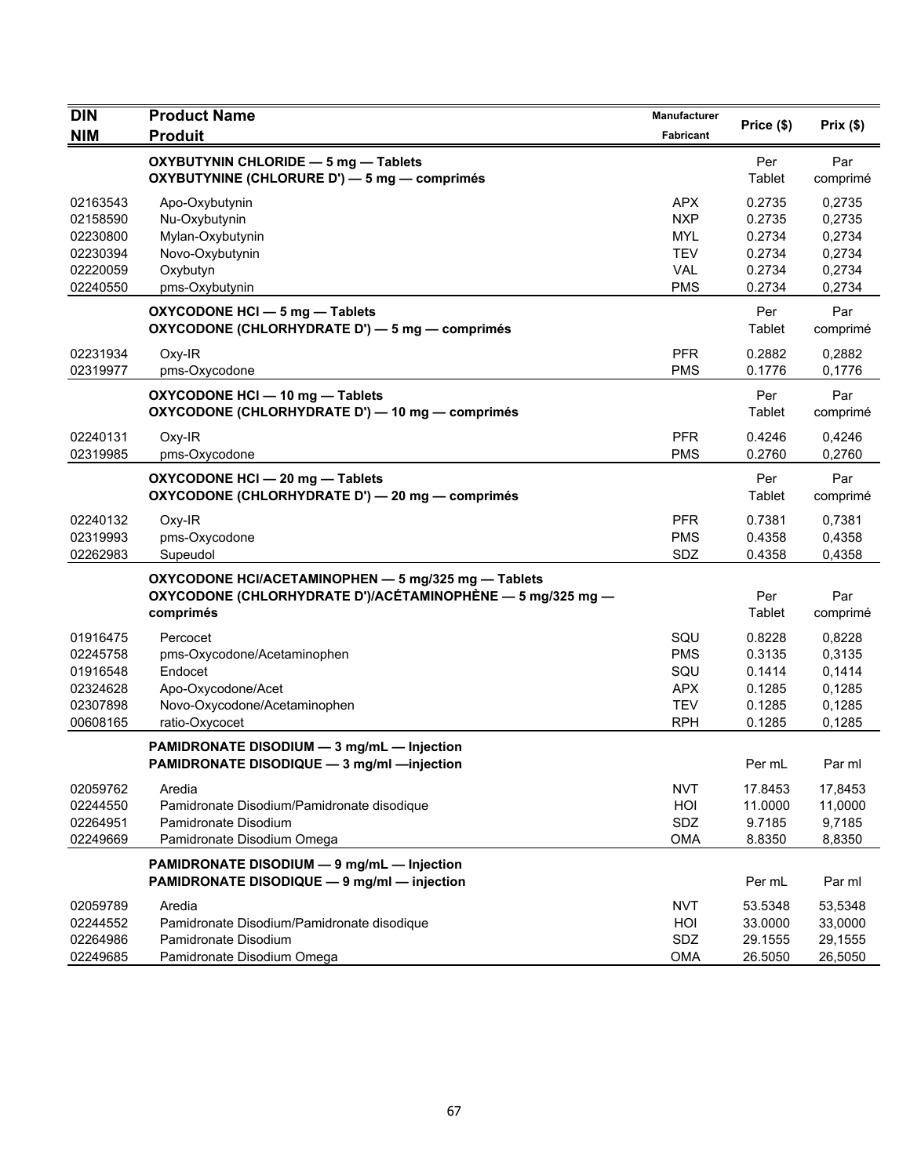| DIN                                                                  | <b>Product Name</b>                                                                                                            | Manufacturer                                                       | Price (\$)                                               | Prix(\$)                                                 |
|----------------------------------------------------------------------|--------------------------------------------------------------------------------------------------------------------------------|--------------------------------------------------------------------|----------------------------------------------------------|----------------------------------------------------------|
| <b>NIM</b>                                                           | <b>Produit</b>                                                                                                                 | Fabricant                                                          |                                                          |                                                          |
|                                                                      | OXYBUTYNIN CHLORIDE - 5 mg - Tablets<br>OXYBUTYNINE (CHLORURE D') - 5 mg - comprimés                                           |                                                                    | Per<br>Tablet                                            | Par<br>comprimé                                          |
| 02163543<br>02158590<br>02230800<br>02230394                         | Apo-Oxybutynin<br>Nu-Oxybutynin<br>Mylan-Oxybutynin<br>Novo-Oxybutynin                                                         | <b>APX</b><br><b>NXP</b><br><b>MYL</b><br><b>TEV</b>               | 0.2735<br>0.2735<br>0.2734<br>0.2734                     | 0,2735<br>0,2735<br>0,2734<br>0,2734                     |
| 02220059<br>02240550                                                 | Oxybutyn<br>pms-Oxybutynin                                                                                                     | <b>VAL</b><br><b>PMS</b>                                           | 0.2734<br>0.2734                                         | 0,2734<br>0,2734                                         |
|                                                                      | OXYCODONE HCI - 5 mg - Tablets<br>OXYCODONE (CHLORHYDRATE D') - 5 mg - comprimés                                               |                                                                    | Per<br>Tablet                                            | Par<br>comprimé                                          |
| 02231934<br>02319977                                                 | Oxy-IR<br>pms-Oxycodone                                                                                                        | <b>PFR</b><br><b>PMS</b>                                           | 0.2882<br>0.1776                                         | 0,2882<br>0,1776                                         |
|                                                                      | OXYCODONE HCI - 10 mg - Tablets<br>OXYCODONE (CHLORHYDRATE D') - 10 mg - comprimés                                             |                                                                    | Per<br>Tablet                                            | Par<br>comprimé                                          |
| 02240131<br>02319985                                                 | $Oxy-IR$<br>pms-Oxycodone                                                                                                      | <b>PFR</b><br><b>PMS</b>                                           | 0.4246<br>0.2760                                         | 0,4246<br>0,2760                                         |
|                                                                      | OXYCODONE HCI - 20 mg - Tablets<br>OXYCODONE (CHLORHYDRATE D') - 20 mg - comprimés                                             |                                                                    | Per<br>Tablet                                            | Par<br>comprimé                                          |
| 02240132<br>02319993<br>02262983                                     | Oxy-IR<br>pms-Oxycodone<br>Supeudol                                                                                            | <b>PFR</b><br><b>PMS</b><br>SDZ                                    | 0.7381<br>0.4358<br>0.4358                               | 0,7381<br>0,4358<br>0,4358                               |
|                                                                      | OXYCODONE HCI/ACETAMINOPHEN - 5 mg/325 mg - Tablets<br>OXYCODONE (CHLORHYDRATE D')/ACÉTAMINOPHÈNE — 5 mg/325 mg —<br>comprimés |                                                                    | Per<br>Tablet                                            | Par<br>comprimé                                          |
| 01916475<br>02245758<br>01916548<br>02324628<br>02307898<br>00608165 | Percocet<br>pms-Oxycodone/Acetaminophen<br>Endocet<br>Apo-Oxycodone/Acet<br>Novo-Oxycodone/Acetaminophen<br>ratio-Oxycocet     | SQU<br><b>PMS</b><br>SQU<br><b>APX</b><br><b>TEV</b><br><b>RPH</b> | 0.8228<br>0.3135<br>0.1414<br>0.1285<br>0.1285<br>0.1285 | 0,8228<br>0,3135<br>0,1414<br>0,1285<br>0,1285<br>0,1285 |
|                                                                      | PAMIDRONATE DISODIUM - 3 mg/mL - Injection<br>PAMIDRONATE DISODIQUE - 3 mg/ml - injection                                      |                                                                    | Per mL                                                   | Par ml                                                   |
| 02059762<br>02244550<br>02264951<br>02249669                         | Aredia<br>Pamidronate Disodium/Pamidronate disodique<br>Pamidronate Disodium<br>Pamidronate Disodium Omega                     | <b>NVT</b><br>HOI<br>SDZ<br><b>OMA</b>                             | 17.8453<br>11.0000<br>9.7185<br>8.8350                   | 17,8453<br>11,0000<br>9,7185<br>8,8350                   |
|                                                                      | PAMIDRONATE DISODIUM - 9 mg/mL - Injection<br>PAMIDRONATE DISODIQUE - 9 mg/ml - injection                                      |                                                                    | Per mL                                                   | Par ml                                                   |
| 02059789<br>02244552<br>02264986<br>02249685                         | Aredia<br>Pamidronate Disodium/Pamidronate disodique<br>Pamidronate Disodium<br>Pamidronate Disodium Omega                     | <b>NVT</b><br>HOI<br>SDZ<br><b>OMA</b>                             | 53.5348<br>33.0000<br>29.1555<br>26.5050                 | 53,5348<br>33,0000<br>29,1555<br>26,5050                 |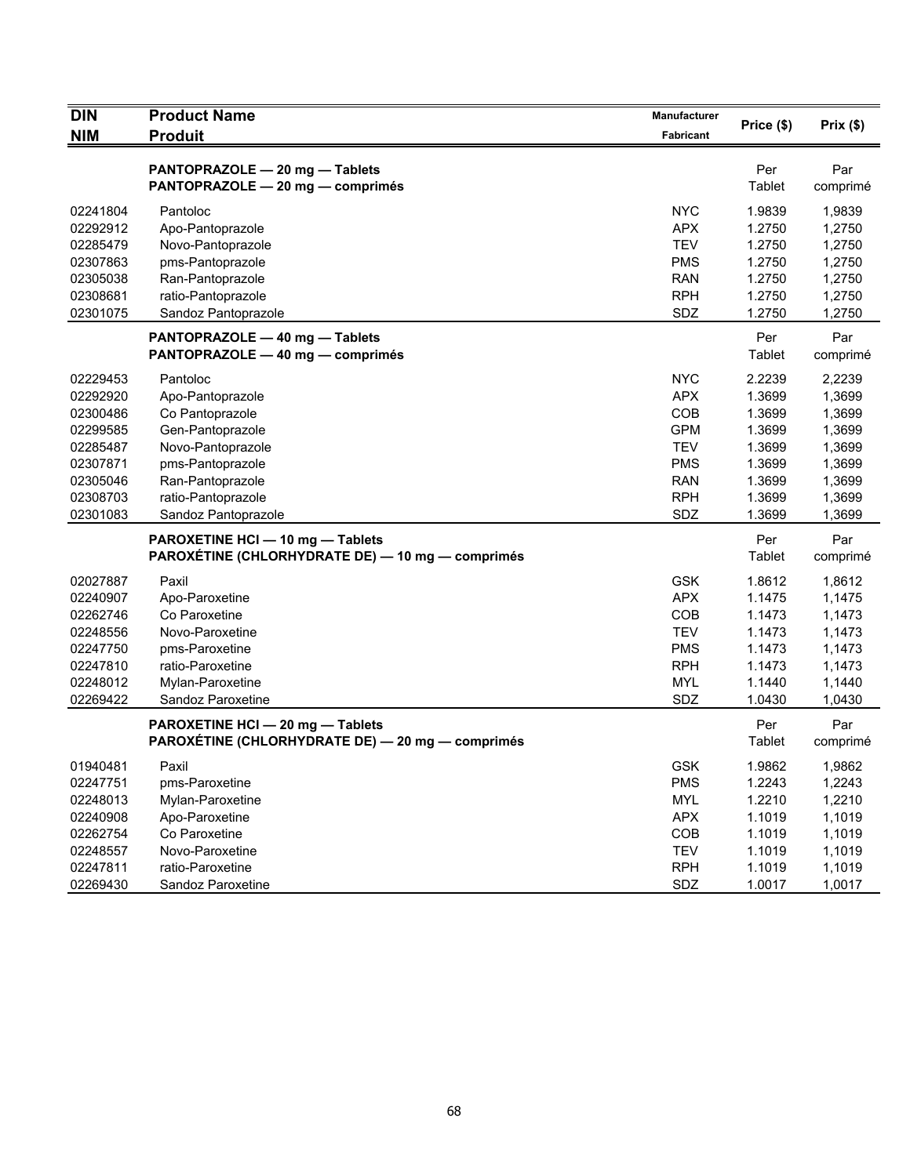| <b>DIN</b>           | <b>Product Name</b>                              | Manufacturer             | Price (\$)       | Prix(\$)         |
|----------------------|--------------------------------------------------|--------------------------|------------------|------------------|
| <b>NIM</b>           | <b>Produit</b>                                   | Fabricant                |                  |                  |
|                      | PANTOPRAZOLE - 20 mg - Tablets                   |                          | Per              | Par              |
|                      | PANTOPRAZOLE - 20 mg - comprimés                 |                          | Tablet           | comprimé         |
|                      |                                                  |                          |                  |                  |
| 02241804             | Pantoloc                                         | <b>NYC</b>               | 1.9839           | 1,9839           |
| 02292912             | Apo-Pantoprazole                                 | <b>APX</b>               | 1.2750           | 1,2750           |
| 02285479             | Novo-Pantoprazole                                | <b>TEV</b>               | 1.2750           | 1,2750           |
| 02307863             | pms-Pantoprazole                                 | <b>PMS</b>               | 1.2750           | 1,2750           |
| 02305038<br>02308681 | Ran-Pantoprazole<br>ratio-Pantoprazole           | <b>RAN</b><br><b>RPH</b> | 1.2750<br>1.2750 | 1,2750<br>1,2750 |
| 02301075             | Sandoz Pantoprazole                              | SDZ                      | 1.2750           | 1,2750           |
|                      |                                                  |                          |                  |                  |
|                      | PANTOPRAZOLE - 40 mg - Tablets                   |                          | Per              | Par              |
|                      | PANTOPRAZOLE - 40 mg - comprimés                 |                          | Tablet           | comprimé         |
| 02229453             | Pantoloc                                         | <b>NYC</b>               | 2.2239           | 2,2239           |
| 02292920             | Apo-Pantoprazole                                 | <b>APX</b>               | 1.3699           | 1,3699           |
| 02300486             | Co Pantoprazole                                  | COB                      | 1.3699           | 1,3699           |
| 02299585             | Gen-Pantoprazole                                 | <b>GPM</b>               | 1.3699           | 1,3699           |
| 02285487             | Novo-Pantoprazole                                | <b>TEV</b>               | 1.3699           | 1,3699           |
| 02307871             | pms-Pantoprazole                                 | <b>PMS</b>               | 1.3699           | 1,3699           |
| 02305046             | Ran-Pantoprazole                                 | <b>RAN</b>               | 1.3699           | 1,3699           |
| 02308703             | ratio-Pantoprazole                               | <b>RPH</b>               | 1.3699           | 1,3699           |
| 02301083             | Sandoz Pantoprazole                              | SDZ                      | 1.3699           | 1,3699           |
|                      | PAROXETINE HCI - 10 mg - Tablets                 |                          | Per              | Par              |
|                      | PAROXÉTINE (CHLORHYDRATE DE) — 10 mg — comprimés |                          | Tablet           | comprimé         |
| 02027887             | Paxil                                            | <b>GSK</b>               | 1.8612           | 1,8612           |
| 02240907             | Apo-Paroxetine                                   | <b>APX</b>               | 1.1475           | 1,1475           |
| 02262746             | Co Paroxetine                                    | COB                      | 1.1473           | 1,1473           |
| 02248556             | Novo-Paroxetine                                  | <b>TEV</b>               | 1.1473           | 1,1473           |
| 02247750             | pms-Paroxetine                                   | <b>PMS</b>               | 1.1473           | 1,1473           |
| 02247810             | ratio-Paroxetine                                 | <b>RPH</b>               | 1.1473           | 1,1473           |
| 02248012             | Mylan-Paroxetine                                 | <b>MYL</b>               | 1.1440           | 1,1440           |
| 02269422             | Sandoz Paroxetine                                | SDZ                      | 1.0430           | 1,0430           |
|                      | PAROXETINE HCI - 20 mg - Tablets                 |                          | Per              | Par              |
|                      | PAROXÉTINE (CHLORHYDRATE DE) — 20 mg — comprimés |                          | Tablet           | comprimé         |
| 01940481             | Paxil                                            | GSK                      | 1.9862           | 1,9862           |
| 02247751             | pms-Paroxetine                                   | <b>PMS</b>               | 1.2243           | 1,2243           |
| 02248013             | Mylan-Paroxetine                                 | <b>MYL</b>               | 1.2210           | 1,2210           |
| 02240908             | Apo-Paroxetine                                   | <b>APX</b>               | 1.1019           | 1,1019           |
| 02262754             | Co Paroxetine                                    | COB                      | 1.1019           | 1,1019           |
| 02248557             | Novo-Paroxetine                                  | <b>TEV</b>               | 1.1019           | 1,1019           |
| 02247811             | ratio-Paroxetine                                 | <b>RPH</b>               | 1.1019           | 1,1019           |
| 02269430             | Sandoz Paroxetine                                | SDZ                      | 1.0017           | 1,0017           |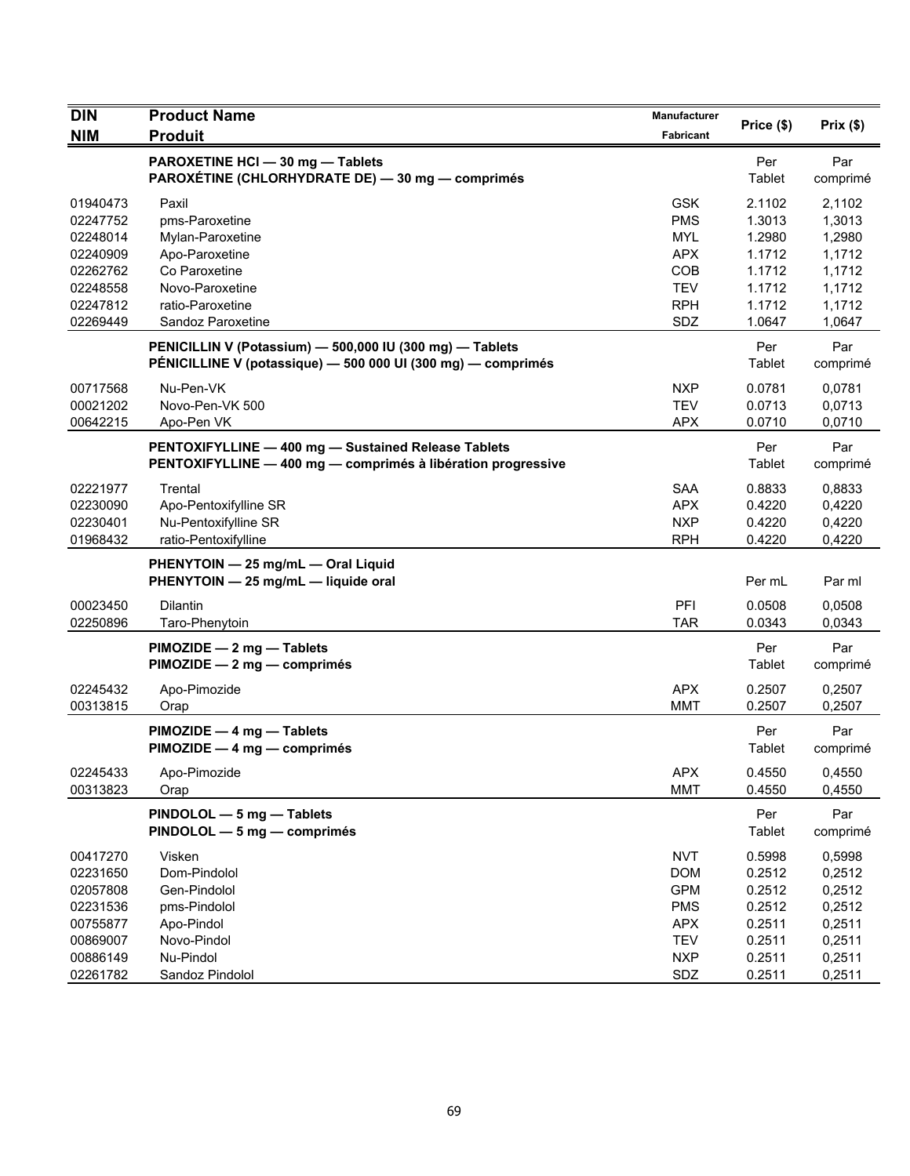| <b>DIN</b> | <b>Product Name</b>                                                                                                      | Manufacturer     | Price (\$)    | Prix(\$)        |
|------------|--------------------------------------------------------------------------------------------------------------------------|------------------|---------------|-----------------|
| <b>NIM</b> | <b>Produit</b>                                                                                                           | <b>Fabricant</b> |               |                 |
|            | PAROXETINE HCI - 30 mg - Tablets<br>PAROXÉTINE (CHLORHYDRATE DE) - 30 mg - comprimés                                     |                  | Per<br>Tablet | Par<br>comprimé |
| 01940473   | Paxil                                                                                                                    | <b>GSK</b>       | 2.1102        | 2,1102          |
| 02247752   | pms-Paroxetine                                                                                                           | <b>PMS</b>       | 1.3013        | 1,3013          |
| 02248014   | Mylan-Paroxetine                                                                                                         | <b>MYL</b>       | 1.2980        | 1,2980          |
| 02240909   | Apo-Paroxetine                                                                                                           | <b>APX</b>       | 1.1712        | 1,1712          |
| 02262762   | Co Paroxetine                                                                                                            | COB              | 1.1712        | 1,1712          |
| 02248558   | Novo-Paroxetine                                                                                                          | <b>TEV</b>       | 1.1712        | 1,1712          |
| 02247812   | ratio-Paroxetine                                                                                                         | <b>RPH</b>       | 1.1712        | 1,1712          |
| 02269449   | Sandoz Paroxetine                                                                                                        | SDZ              | 1.0647        | 1,0647          |
|            | PENICILLIN V (Potassium) - 500,000 IU (300 mg) - Tablets<br>PÉNICILLINE V (potassique) - 500 000 UI (300 mg) - comprimés |                  | Per<br>Tablet | Par<br>comprimé |
| 00717568   | Nu-Pen-VK                                                                                                                | <b>NXP</b>       | 0.0781        | 0,0781          |
| 00021202   | Novo-Pen-VK 500                                                                                                          | <b>TEV</b>       | 0.0713        | 0,0713          |
| 00642215   | Apo-Pen VK                                                                                                               | <b>APX</b>       | 0.0710        | 0,0710          |
|            | PENTOXIFYLLINE - 400 mg - Sustained Release Tablets<br>PENTOXIFYLLINE - 400 mg - comprimés à libération progressive      |                  | Per<br>Tablet | Par<br>comprimé |
| 02221977   | Trental                                                                                                                  | <b>SAA</b>       | 0.8833        | 0,8833          |
| 02230090   | Apo-Pentoxifylline SR                                                                                                    | <b>APX</b>       | 0.4220        | 0,4220          |
| 02230401   | Nu-Pentoxifylline SR                                                                                                     | <b>NXP</b>       | 0.4220        | 0,4220          |
| 01968432   | ratio-Pentoxifylline                                                                                                     | <b>RPH</b>       | 0.4220        | 0,4220          |
|            | PHENYTOIN - 25 mg/mL - Oral Liquid<br>PHENYTOIN - 25 mg/mL - liquide oral                                                |                  | Per mL        | Par ml          |
| 00023450   | <b>Dilantin</b>                                                                                                          | PFI              | 0.0508        | 0,0508          |
| 02250896   | Taro-Phenytoin                                                                                                           | <b>TAR</b>       | 0.0343        | 0.0343          |
|            | PIMOZIDE - 2 mg - Tablets<br>PIMOZIDE - 2 mg - comprimés                                                                 |                  | Per<br>Tablet | Par<br>comprimé |
| 02245432   | Apo-Pimozide                                                                                                             | <b>APX</b>       | 0.2507        | 0,2507          |
| 00313815   | Orap                                                                                                                     | <b>MMT</b>       | 0.2507        | 0,2507          |
|            | PIMOZIDE - 4 mg - Tablets<br>PIMOZIDE - 4 mg - comprimés                                                                 |                  | Per<br>Tablet | Par<br>comprimé |
| 02245433   | Apo-Pimozide                                                                                                             | APX              | 0.4550        | 0,4550          |
| 00313823   | Orap                                                                                                                     | <b>MMT</b>       | 0.4550        | 0,4550          |
|            | PINDOLOL - 5 mg - Tablets<br>PINDOLOL - 5 mg - comprimés                                                                 |                  | Per<br>Tablet | Par<br>comprimé |
| 00417270   | Visken                                                                                                                   | <b>NVT</b>       | 0.5998        | 0,5998          |
| 02231650   | Dom-Pindolol                                                                                                             | <b>DOM</b>       | 0.2512        | 0,2512          |
| 02057808   | Gen-Pindolol                                                                                                             | <b>GPM</b>       | 0.2512        | 0,2512          |
| 02231536   | pms-Pindolol                                                                                                             | <b>PMS</b>       | 0.2512        | 0,2512          |
| 00755877   | Apo-Pindol                                                                                                               | <b>APX</b>       | 0.2511        | 0,2511          |
| 00869007   | Novo-Pindol                                                                                                              | <b>TEV</b>       | 0.2511        | 0,2511          |
| 00886149   | Nu-Pindol                                                                                                                | <b>NXP</b>       | 0.2511        | 0,2511          |
| 02261782   | Sandoz Pindolol                                                                                                          | SDZ              | 0.2511        | 0,2511          |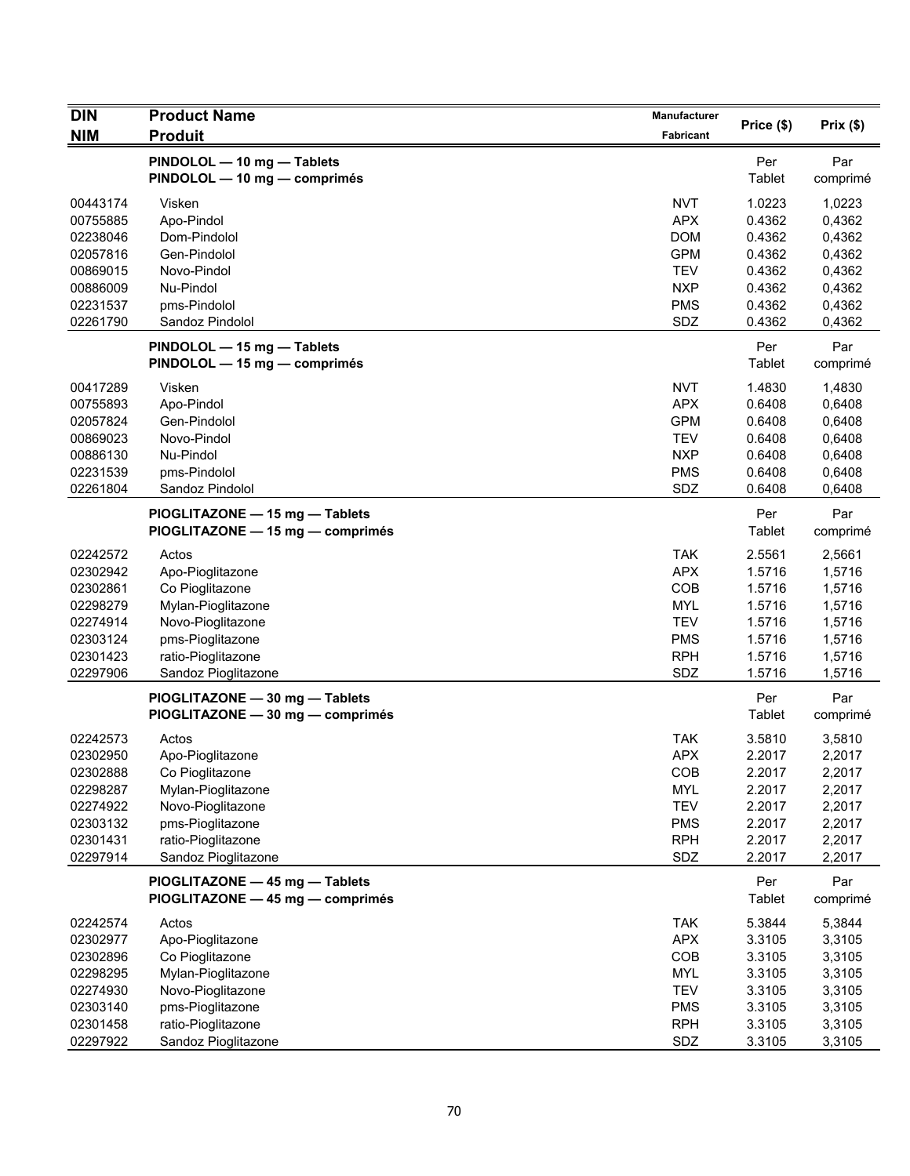| <b>DIN</b>                       | <b>Product Name</b>                                                | Manufacturer                           | Price (\$)                 |                            |
|----------------------------------|--------------------------------------------------------------------|----------------------------------------|----------------------------|----------------------------|
| <b>NIM</b>                       | <b>Produit</b>                                                     | Fabricant                              |                            | Prix(\$)                   |
|                                  | PINDOLOL - 10 mg - Tablets<br>PINDOLOL - 10 mg - comprimés         |                                        | Per<br>Tablet              | Par<br>comprimé            |
| 00443174<br>00755885<br>02238046 | Visken<br>Apo-Pindol<br>Dom-Pindolol                               | <b>NVT</b><br><b>APX</b><br><b>DOM</b> | 1.0223<br>0.4362<br>0.4362 | 1,0223<br>0,4362<br>0,4362 |
| 02057816                         | Gen-Pindolol                                                       | <b>GPM</b>                             | 0.4362                     | 0,4362                     |
| 00869015                         | Novo-Pindol                                                        | <b>TEV</b>                             | 0.4362                     | 0,4362                     |
| 00886009                         | Nu-Pindol                                                          | <b>NXP</b>                             | 0.4362                     | 0,4362                     |
| 02231537                         | pms-Pindolol                                                       | <b>PMS</b>                             | 0.4362                     | 0,4362                     |
| 02261790                         | Sandoz Pindolol                                                    | SDZ                                    | 0.4362                     | 0,4362                     |
|                                  | PINDOLOL - 15 mg - Tablets<br>PINDOLOL - 15 mg - comprimés         |                                        | Per<br>Tablet              | Par<br>comprimé            |
| 00417289                         | Visken                                                             | <b>NVT</b>                             | 1.4830                     | 1,4830                     |
| 00755893                         | Apo-Pindol                                                         | <b>APX</b>                             | 0.6408                     | 0,6408                     |
| 02057824                         | Gen-Pindolol                                                       | <b>GPM</b>                             | 0.6408                     | 0,6408                     |
| 00869023<br>00886130             | Novo-Pindol<br>Nu-Pindol                                           | <b>TEV</b><br><b>NXP</b>               | 0.6408<br>0.6408           | 0,6408<br>0,6408           |
| 02231539                         | pms-Pindolol                                                       | <b>PMS</b>                             | 0.6408                     | 0,6408                     |
| 02261804                         | Sandoz Pindolol                                                    | SDZ                                    | 0.6408                     | 0,6408                     |
|                                  | PIOGLITAZONE - 15 mg - Tablets<br>PIOGLITAZONE - 15 mg - comprimés |                                        | Per<br>Tablet              | Par<br>comprimé            |
| 02242572                         | Actos                                                              | <b>TAK</b>                             | 2.5561                     | 2,5661                     |
| 02302942                         | Apo-Pioglitazone                                                   | <b>APX</b>                             | 1.5716                     | 1,5716                     |
| 02302861                         | Co Pioglitazone                                                    | COB                                    | 1.5716                     | 1,5716                     |
| 02298279                         | Mylan-Pioglitazone                                                 | <b>MYL</b>                             | 1.5716                     | 1,5716                     |
| 02274914                         | Novo-Pioglitazone                                                  | <b>TEV</b>                             | 1.5716                     | 1,5716                     |
| 02303124                         | pms-Pioglitazone                                                   | <b>PMS</b>                             | 1.5716                     | 1,5716                     |
| 02301423<br>02297906             | ratio-Pioglitazone<br>Sandoz Pioglitazone                          | <b>RPH</b><br>SDZ                      | 1.5716<br>1.5716           | 1,5716<br>1,5716           |
|                                  | PIOGLITAZONE - 30 mg - Tablets<br>PIOGLITAZONE - 30 mg - comprimés |                                        | Per<br>Tablet              | Par<br>comprimé            |
| 02242573                         |                                                                    | <b>TAK</b>                             |                            | 3,5810                     |
| 02302950                         | Actos<br>Apo-Pioglitazone                                          | <b>APX</b>                             | 3.5810<br>2.2017           | 2,2017                     |
| 02302888                         | Co Pioglitazone                                                    | <b>COR</b>                             | 2.2017                     | 2,2017                     |
| 02298287                         | Mylan-Pioglitazone                                                 | <b>MYL</b>                             | 2.2017                     | 2,2017                     |
| 02274922                         | Novo-Pioglitazone                                                  | <b>TEV</b>                             | 2.2017                     | 2,2017                     |
| 02303132                         | pms-Pioglitazone                                                   | <b>PMS</b>                             | 2.2017                     | 2,2017                     |
| 02301431                         | ratio-Pioglitazone                                                 | <b>RPH</b>                             | 2.2017                     | 2,2017                     |
| 02297914                         | Sandoz Pioglitazone                                                | SDZ                                    | 2.2017                     | 2,2017                     |
|                                  | PIOGLITAZONE - 45 mg - Tablets<br>PIOGLITAZONE - 45 mg - comprimés |                                        | Per<br>Tablet              | Par<br>comprimé            |
| 02242574                         | Actos                                                              | <b>TAK</b>                             | 5.3844                     | 5,3844                     |
| 02302977                         | Apo-Pioglitazone                                                   | <b>APX</b>                             | 3.3105                     | 3,3105                     |
| 02302896                         | Co Pioglitazone                                                    | COB                                    | 3.3105                     | 3,3105                     |
| 02298295                         | Mylan-Pioglitazone                                                 | <b>MYL</b>                             | 3.3105                     | 3,3105                     |
| 02274930                         | Novo-Pioglitazone                                                  | <b>TEV</b>                             | 3.3105                     | 3,3105                     |
| 02303140<br>02301458             | pms-Pioglitazone<br>ratio-Pioglitazone                             | <b>PMS</b><br><b>RPH</b>               | 3.3105<br>3.3105           | 3,3105<br>3,3105           |
| 02297922                         | Sandoz Pioglitazone                                                | SDZ                                    | 3.3105                     | 3,3105                     |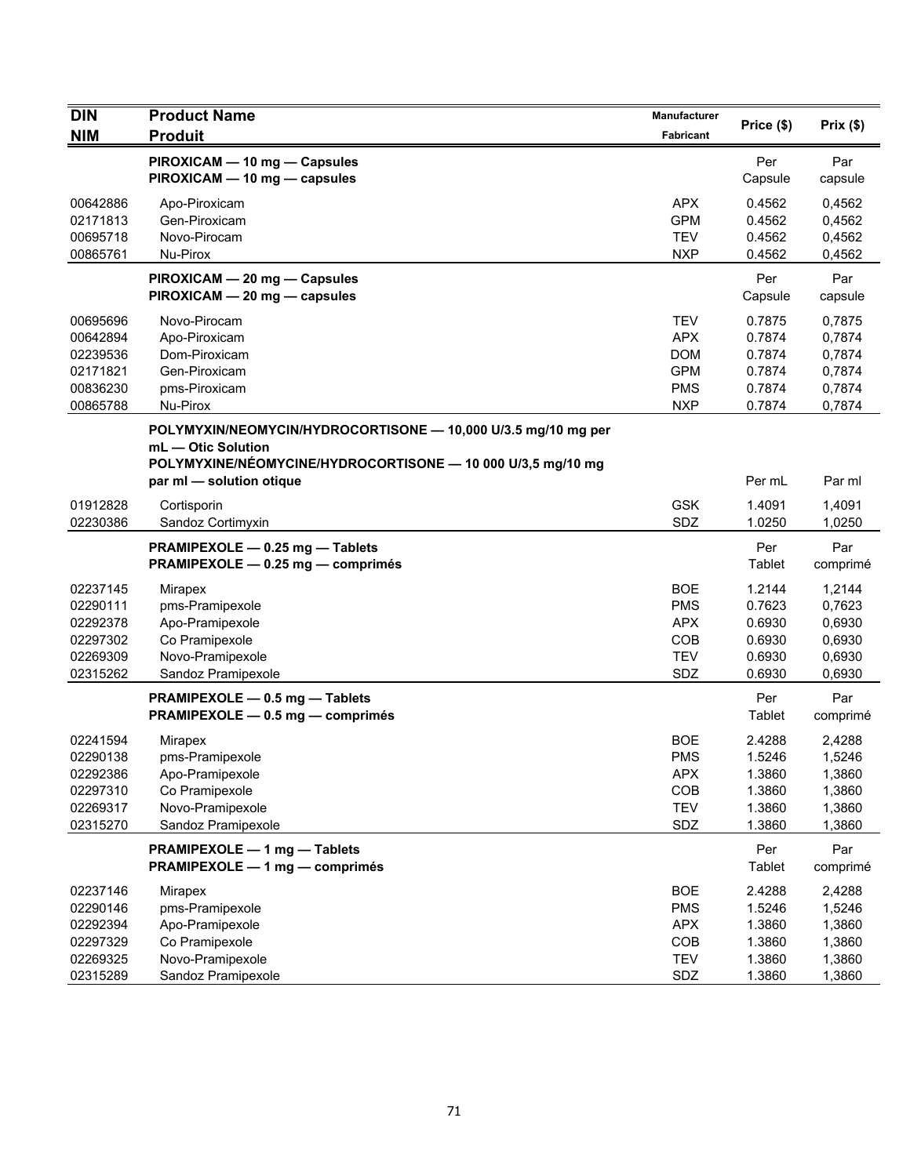| <b>DIN</b> | <b>Product Name</b>                                                                                                                                | Manufacturer | Price (\$)     | Prix(\$)        |
|------------|----------------------------------------------------------------------------------------------------------------------------------------------------|--------------|----------------|-----------------|
| <b>NIM</b> | <b>Produit</b>                                                                                                                                     | Fabricant    |                |                 |
|            | PIROXICAM - 10 mg - Capsules<br>PIROXICAM - 10 mg - capsules                                                                                       |              | Per<br>Capsule | Par<br>capsule  |
| 00642886   | Apo-Piroxicam                                                                                                                                      | <b>APX</b>   | 0.4562         | 0,4562          |
| 02171813   | Gen-Piroxicam                                                                                                                                      | <b>GPM</b>   | 0.4562         | 0,4562          |
| 00695718   | Novo-Pirocam                                                                                                                                       | <b>TEV</b>   | 0.4562         | 0,4562          |
| 00865761   | Nu-Pirox                                                                                                                                           | <b>NXP</b>   | 0.4562         | 0,4562          |
|            | PIROXICAM - 20 mg - Capsules<br>PIROXICAM - 20 mg - capsules                                                                                       |              | Per<br>Capsule | Par<br>capsule  |
| 00695696   | Novo-Pirocam                                                                                                                                       | <b>TEV</b>   | 0.7875         | 0,7875          |
| 00642894   | Apo-Piroxicam                                                                                                                                      | <b>APX</b>   | 0.7874         | 0,7874          |
| 02239536   | Dom-Piroxicam                                                                                                                                      | <b>DOM</b>   | 0.7874         | 0,7874          |
| 02171821   | Gen-Piroxicam                                                                                                                                      | <b>GPM</b>   | 0.7874         | 0,7874          |
| 00836230   | pms-Piroxicam                                                                                                                                      | <b>PMS</b>   | 0.7874         | 0,7874          |
| 00865788   | Nu-Pirox                                                                                                                                           | <b>NXP</b>   | 0.7874         | 0,7874          |
|            | POLYMYXIN/NEOMYCIN/HYDROCORTISONE - 10,000 U/3.5 mg/10 mg per<br>mL - Otic Solution<br>POLYMYXINE/NÉOMYCINE/HYDROCORTISONE - 10 000 U/3,5 mg/10 mg |              |                |                 |
|            | par ml - solution otique                                                                                                                           |              | Per mL         | Par ml          |
| 01912828   | Cortisporin                                                                                                                                        | <b>GSK</b>   | 1.4091         | 1,4091          |
| 02230386   | Sandoz Cortimyxin                                                                                                                                  | SDZ          | 1.0250         | 1,0250          |
|            | PRAMIPEXOLE - 0.25 mg - Tablets                                                                                                                    |              | Per            | Par             |
|            | PRAMIPEXOLE - 0.25 mg - comprimés                                                                                                                  |              | Tablet         | comprimé        |
| 02237145   | Mirapex                                                                                                                                            | <b>BOE</b>   | 1.2144         | 1,2144          |
| 02290111   | pms-Pramipexole                                                                                                                                    | <b>PMS</b>   | 0.7623         | 0,7623          |
| 02292378   | Apo-Pramipexole                                                                                                                                    | <b>APX</b>   | 0.6930         | 0,6930          |
| 02297302   | Co Pramipexole                                                                                                                                     | COB          | 0.6930         | 0,6930          |
| 02269309   | Novo-Pramipexole                                                                                                                                   | <b>TEV</b>   | 0.6930         | 0,6930          |
| 02315262   | Sandoz Pramipexole                                                                                                                                 | SDZ          | 0.6930         | 0,6930          |
|            | PRAMIPEXOLE - 0.5 mg - Tablets<br>PRAMIPEXOLE - 0.5 mg - comprimés                                                                                 |              | Per<br>Tablet  | Par<br>comprimé |
| 02241594   | Mirapex                                                                                                                                            | <b>BOE</b>   | 2.4288         | 2.4288          |
| 02290138   | pms-Pramipexole                                                                                                                                    | <b>PMS</b>   | 1.5246         | 1,5246          |
| 02292386   | Apo-Pramipexole                                                                                                                                    | <b>APX</b>   | 1.3860         | 1,3860          |
| 02297310   | Co Pramipexole                                                                                                                                     | COB          | 1.3860         | 1,3860          |
| 02269317   | Novo-Pramipexole                                                                                                                                   | <b>TEV</b>   | 1.3860         | 1,3860          |
| 02315270   | Sandoz Pramipexole                                                                                                                                 | SDZ          | 1.3860         | 1,3860          |
|            | PRAMIPEXOLE - 1 mg - Tablets                                                                                                                       |              | Per            | Par             |
|            | PRAMIPEXOLE - 1 mg - comprimés                                                                                                                     |              | Tablet         | comprimé        |
| 02237146   | Mirapex                                                                                                                                            | <b>BOE</b>   | 2.4288         | 2,4288          |
| 02290146   | pms-Pramipexole                                                                                                                                    | <b>PMS</b>   | 1.5246         | 1,5246          |
| 02292394   | Apo-Pramipexole                                                                                                                                    | <b>APX</b>   | 1.3860         | 1,3860          |
| 02297329   | Co Pramipexole                                                                                                                                     | COB          | 1.3860         | 1,3860          |
| 02269325   | Novo-Pramipexole                                                                                                                                   | <b>TEV</b>   | 1.3860         | 1,3860          |
| 02315289   | Sandoz Pramipexole                                                                                                                                 | SDZ          | 1.3860         | 1,3860          |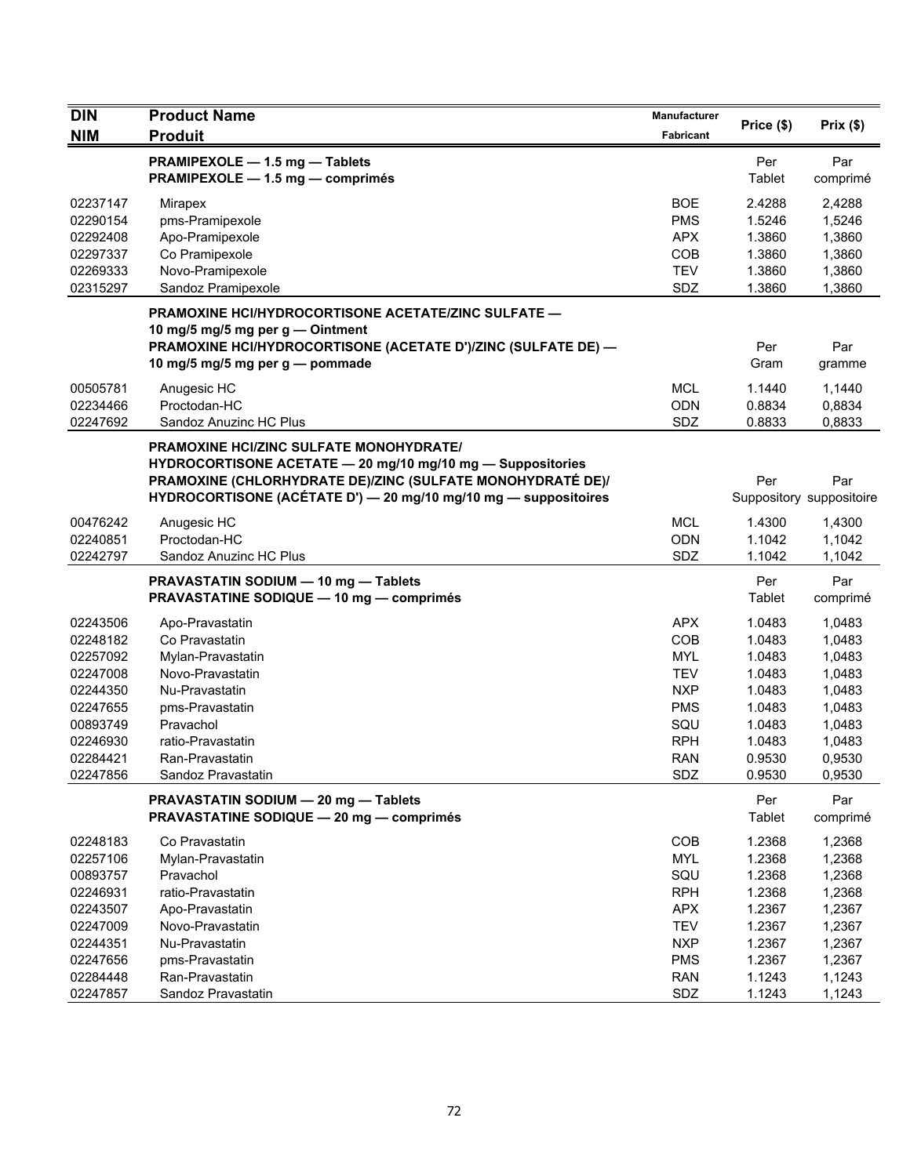| <b>DIN</b>                                                                                                           | <b>Product Name</b>                                                                                                                                                                                                                           | <b>Manufacturer</b>                                                                                                 |                                                                                                  | Prix(\$)                                                                                         |
|----------------------------------------------------------------------------------------------------------------------|-----------------------------------------------------------------------------------------------------------------------------------------------------------------------------------------------------------------------------------------------|---------------------------------------------------------------------------------------------------------------------|--------------------------------------------------------------------------------------------------|--------------------------------------------------------------------------------------------------|
| <b>NIM</b>                                                                                                           | <b>Produit</b>                                                                                                                                                                                                                                | Fabricant                                                                                                           | Price (\$)                                                                                       |                                                                                                  |
|                                                                                                                      | PRAMIPEXOLE - 1.5 mg - Tablets<br>PRAMIPEXOLE - 1.5 mg - comprimés                                                                                                                                                                            |                                                                                                                     | Per<br>Tablet                                                                                    | Par<br>comprimé                                                                                  |
| 02237147<br>02290154<br>02292408<br>02297337<br>02269333<br>02315297                                                 | Mirapex<br>pms-Pramipexole<br>Apo-Pramipexole<br>Co Pramipexole<br>Novo-Pramipexole<br>Sandoz Pramipexole                                                                                                                                     | <b>BOE</b><br><b>PMS</b><br><b>APX</b><br>COB<br><b>TEV</b><br>SDZ                                                  | 2.4288<br>1.5246<br>1.3860<br>1.3860<br>1.3860<br>1.3860                                         | 2,4288<br>1,5246<br>1,3860<br>1,3860<br>1,3860<br>1,3860                                         |
|                                                                                                                      | PRAMOXINE HCI/HYDROCORTISONE ACETATE/ZINC SULFATE -<br>10 mg/5 mg/5 mg per g - Ointment<br>PRAMOXINE HCI/HYDROCORTISONE (ACETATE D')/ZINC (SULFATE DE) —<br>10 mg/5 mg/5 mg per g - pommade                                                   |                                                                                                                     | Per<br>Gram                                                                                      | Par<br>gramme                                                                                    |
| 00505781<br>02234466<br>02247692                                                                                     | Anugesic HC<br>Proctodan-HC<br>Sandoz Anuzinc HC Plus                                                                                                                                                                                         | <b>MCL</b><br><b>ODN</b><br>SDZ                                                                                     | 1.1440<br>0.8834<br>0.8833                                                                       | 1,1440<br>0,8834<br>0,8833                                                                       |
|                                                                                                                      | <b>PRAMOXINE HCI/ZINC SULFATE MONOHYDRATE/</b><br>HYDROCORTISONE ACETATE - 20 mg/10 mg/10 mg - Suppositories<br>PRAMOXINE (CHLORHYDRATE DE)/ZINC (SULFATE MONOHYDRATÉ DE)/<br>HYDROCORTISONE (ACÉTATE D') - 20 mg/10 mg/10 mg - suppositoires |                                                                                                                     | Per                                                                                              | Par<br>Suppository suppositoire                                                                  |
| 00476242<br>02240851<br>02242797                                                                                     | Anugesic HC<br>Proctodan-HC<br>Sandoz Anuzinc HC Plus                                                                                                                                                                                         | <b>MCL</b><br><b>ODN</b><br>SDZ                                                                                     | 1.4300<br>1.1042<br>1.1042                                                                       | 1,4300<br>1,1042<br>1,1042                                                                       |
|                                                                                                                      | PRAVASTATIN SODIUM - 10 mg - Tablets<br><b>PRAVASTATINE SODIQUE - 10 mg - comprimés</b>                                                                                                                                                       |                                                                                                                     | Per<br>Tablet                                                                                    | Par<br>comprimé                                                                                  |
| 02243506<br>02248182<br>02257092<br>02247008<br>02244350<br>02247655<br>00893749<br>02246930<br>02284421<br>02247856 | Apo-Pravastatin<br>Co Pravastatin<br>Mylan-Pravastatin<br>Novo-Pravastatin<br>Nu-Pravastatin<br>pms-Pravastatin<br>Pravachol<br>ratio-Pravastatin<br>Ran-Pravastatin<br>Sandoz Pravastatin                                                    | <b>APX</b><br>COB<br><b>MYL</b><br><b>TEV</b><br><b>NXP</b><br><b>PMS</b><br>SQU<br><b>RPH</b><br><b>RAN</b><br>SDZ | 1.0483<br>1.0483<br>1.0483<br>1.0483<br>1.0483<br>1.0483<br>1.0483<br>1.0483<br>0.9530<br>0.9530 | 1,0483<br>1,0483<br>1,0483<br>1,0483<br>1,0483<br>1,0483<br>1,0483<br>1,0483<br>0,9530<br>0,9530 |
|                                                                                                                      | PRAVASTATIN SODIUM - 20 mg - Tablets<br><b>PRAVASTATINE SODIQUE - 20 mg - comprimés</b>                                                                                                                                                       |                                                                                                                     | Per<br>Tablet                                                                                    | Par<br>comprimé                                                                                  |
| 02248183<br>02257106<br>00893757<br>02246931<br>02243507<br>02247009<br>02244351                                     | Co Pravastatin<br>Mylan-Pravastatin<br>Pravachol<br>ratio-Pravastatin<br>Apo-Pravastatin<br>Novo-Pravastatin<br>Nu-Pravastatin                                                                                                                | COB<br><b>MYL</b><br>SQU<br><b>RPH</b><br><b>APX</b><br><b>TEV</b><br><b>NXP</b>                                    | 1.2368<br>1.2368<br>1.2368<br>1.2368<br>1.2367<br>1.2367<br>1.2367                               | 1,2368<br>1,2368<br>1,2368<br>1,2368<br>1,2367<br>1,2367<br>1,2367                               |
| 02247656<br>02284448<br>02247857                                                                                     | pms-Pravastatin<br>Ran-Pravastatin<br>Sandoz Pravastatin                                                                                                                                                                                      | <b>PMS</b><br><b>RAN</b><br>SDZ                                                                                     | 1.2367<br>1.1243<br>1.1243                                                                       | 1,2367<br>1,1243<br>1,1243                                                                       |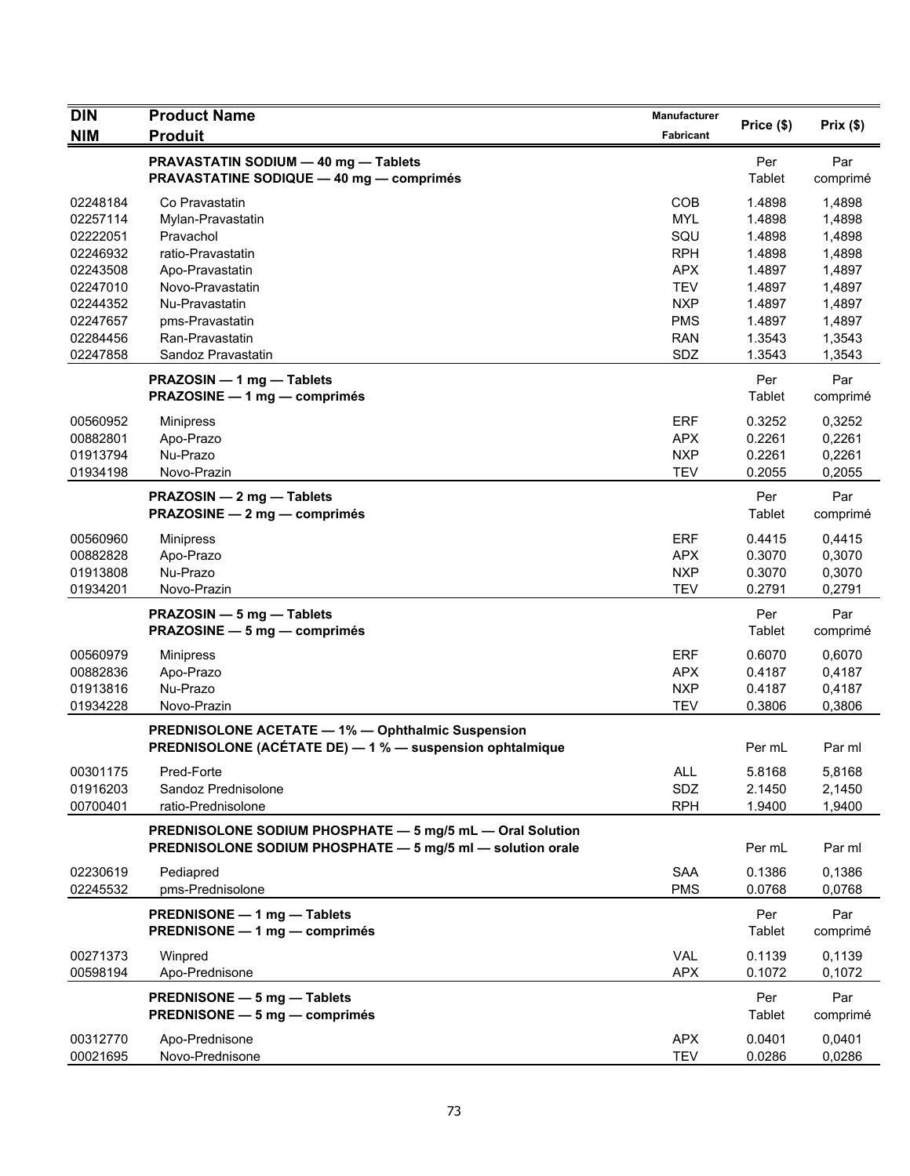| <b>DIN</b>           | <b>Product Name</b>                                                                                                     | Manufacturer      |                  | Prix $($ \$)     |
|----------------------|-------------------------------------------------------------------------------------------------------------------------|-------------------|------------------|------------------|
| <b>NIM</b>           | <b>Produit</b>                                                                                                          | Fabricant         | Price (\$)       |                  |
|                      | PRAVASTATIN SODIUM - 40 mg - Tablets<br><b>PRAVASTATINE SODIQUE - 40 mg - comprimés</b>                                 |                   | Per<br>Tablet    | Par<br>comprimé  |
| 02248184             | Co Pravastatin                                                                                                          | <b>COB</b>        | 1.4898           | 1,4898           |
| 02257114             | Mylan-Pravastatin                                                                                                       | <b>MYL</b>        | 1.4898           | 1,4898           |
| 02222051             | Pravachol                                                                                                               | SQU               | 1.4898           | 1,4898           |
| 02246932             | ratio-Pravastatin                                                                                                       | <b>RPH</b>        | 1.4898           | 1,4898           |
| 02243508             | Apo-Pravastatin                                                                                                         | <b>APX</b>        | 1.4897           | 1,4897           |
| 02247010             | Novo-Pravastatin                                                                                                        | <b>TEV</b>        | 1.4897           | 1,4897           |
| 02244352             | Nu-Pravastatin                                                                                                          | <b>NXP</b>        | 1.4897           | 1,4897           |
| 02247657             | pms-Pravastatin                                                                                                         | <b>PMS</b>        | 1.4897           | 1,4897           |
| 02284456<br>02247858 | Ran-Pravastatin<br>Sandoz Pravastatin                                                                                   | <b>RAN</b><br>SDZ | 1.3543<br>1.3543 | 1,3543<br>1,3543 |
|                      | PRAZOSIN - 1 mg - Tablets                                                                                               |                   | Per              | Par              |
|                      | PRAZOSINE - 1 mg - comprimés                                                                                            |                   | <b>Tablet</b>    | comprimé         |
| 00560952             | <b>Minipress</b>                                                                                                        | <b>ERF</b>        | 0.3252           | 0,3252           |
| 00882801             | Apo-Prazo                                                                                                               | <b>APX</b>        | 0.2261           | 0,2261           |
| 01913794             | Nu-Prazo                                                                                                                | <b>NXP</b>        | 0.2261           | 0,2261           |
| 01934198             | Novo-Prazin                                                                                                             | <b>TEV</b>        | 0.2055           | 0,2055           |
|                      | PRAZOSIN - 2 mg - Tablets<br>PRAZOSINE - 2 mg - comprimés                                                               |                   | Per<br>Tablet    | Par<br>comprimé  |
| 00560960             | <b>Minipress</b>                                                                                                        | <b>ERF</b>        | 0.4415           | 0,4415           |
| 00882828             | Apo-Prazo                                                                                                               | <b>APX</b>        | 0.3070           | 0,3070           |
| 01913808             | Nu-Prazo                                                                                                                | <b>NXP</b>        | 0.3070           | 0,3070           |
| 01934201             | Novo-Prazin                                                                                                             | <b>TEV</b>        | 0.2791           | 0,2791           |
|                      | PRAZOSIN - 5 mg - Tablets                                                                                               |                   | Per              | Par              |
|                      | PRAZOSINE - 5 mg - comprimés                                                                                            |                   | Tablet           | comprimé         |
| 00560979             | <b>Minipress</b>                                                                                                        | <b>ERF</b>        | 0.6070           | 0,6070           |
| 00882836             | Apo-Prazo                                                                                                               | <b>APX</b>        | 0.4187           | 0,4187           |
| 01913816             | Nu-Prazo                                                                                                                | <b>NXP</b>        | 0.4187           | 0,4187           |
| 01934228             | Novo-Prazin                                                                                                             | <b>TEV</b>        | 0.3806           | 0,3806           |
|                      | <b>PREDNISOLONE ACETATE - 1% - Ophthalmic Suspension</b>                                                                |                   |                  |                  |
|                      | PREDNISOLONE (ACÉTATE DE) - 1 % - suspension ophtalmique                                                                |                   | Per mL           | Par ml           |
| 00301175             | Pred-Forte                                                                                                              | ALL               | 5.8168           | 5,8168           |
| 01916203             | Sandoz Prednisolone                                                                                                     | SDZ               | 2.1450           | 2,1450           |
| 00700401             | ratio-Prednisolone                                                                                                      | <b>RPH</b>        | 1.9400           | 1,9400           |
|                      | PREDNISOLONE SODIUM PHOSPHATE - 5 mg/5 mL - Oral Solution<br>PREDNISOLONE SODIUM PHOSPHATE - 5 mg/5 ml - solution orale |                   | Per mL           | Par ml           |
| 02230619             | Pediapred                                                                                                               | <b>SAA</b>        | 0.1386           | 0,1386           |
| 02245532             | pms-Prednisolone                                                                                                        | <b>PMS</b>        | 0.0768           | 0,0768           |
|                      | PREDNISONE - 1 mg - Tablets<br>PREDNISONE - 1 mg - comprimés                                                            |                   | Per              | Par              |
|                      |                                                                                                                         |                   | Tablet           | comprimé         |
| 00271373             | Winpred                                                                                                                 | <b>VAL</b>        | 0.1139           | 0,1139           |
| 00598194             | Apo-Prednisone                                                                                                          | <b>APX</b>        | 0.1072           | 0,1072           |
|                      | PREDNISONE - 5 mg - Tablets                                                                                             |                   | Per              | Par              |
|                      | PREDNISONE - 5 mg - comprimés                                                                                           |                   | Tablet           | comprimé         |
| 00312770             | Apo-Prednisone                                                                                                          | <b>APX</b>        | 0.0401           | 0,0401           |
| 00021695             | Novo-Prednisone                                                                                                         | TEV               | 0.0286           | 0,0286           |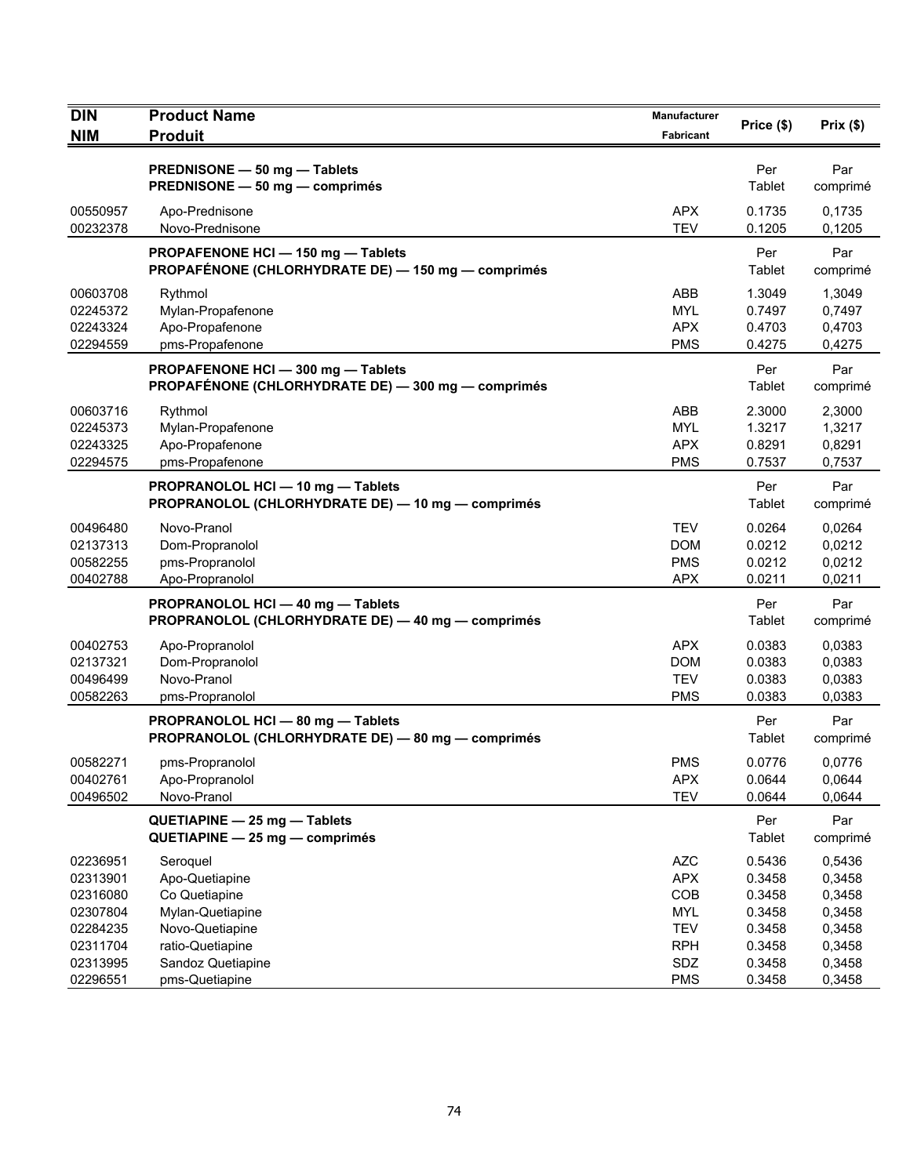| <b>DIN</b>                                                           | <b>Product Name</b>                                                                                    | Manufacturer                                                              | Price (\$)                                               | Prix(\$)                                                 |
|----------------------------------------------------------------------|--------------------------------------------------------------------------------------------------------|---------------------------------------------------------------------------|----------------------------------------------------------|----------------------------------------------------------|
| <b>NIM</b>                                                           | <b>Produit</b>                                                                                         | <b>Fabricant</b>                                                          |                                                          |                                                          |
|                                                                      | PREDNISONE - 50 mg - Tablets<br>PREDNISONE - 50 mg - comprimés                                         |                                                                           | Per<br>Tablet                                            | Par<br>comprimé                                          |
| 00550957<br>00232378                                                 | Apo-Prednisone<br>Novo-Prednisone                                                                      | <b>APX</b><br><b>TEV</b>                                                  | 0.1735<br>0.1205                                         | 0,1735<br>0,1205                                         |
|                                                                      | PROPAFENONE HCI-150 mg-Tablets<br>PROPAFÉNONE (CHLORHYDRATE DE) - 150 mg - comprimés                   |                                                                           | Per<br>Tablet                                            | Par<br>comprimé                                          |
| 00603708<br>02245372<br>02243324<br>02294559                         | Rythmol<br>Mylan-Propafenone<br>Apo-Propafenone<br>pms-Propafenone                                     | ABB<br><b>MYL</b><br><b>APX</b><br><b>PMS</b>                             | 1.3049<br>0.7497<br>0.4703<br>0.4275                     | 1,3049<br>0,7497<br>0,4703<br>0,4275                     |
|                                                                      | PROPAFENONE HCI-300 mg-Tablets<br>PROPAFÉNONE (CHLORHYDRATE DE) - 300 mg - comprimés                   |                                                                           | Per<br>Tablet                                            | Par<br>comprimé                                          |
| 00603716<br>02245373<br>02243325<br>02294575                         | Rythmol<br>Mylan-Propafenone<br>Apo-Propafenone<br>pms-Propafenone                                     | ABB<br><b>MYL</b><br><b>APX</b><br><b>PMS</b>                             | 2.3000<br>1.3217<br>0.8291<br>0.7537                     | 2,3000<br>1,3217<br>0,8291<br>0,7537                     |
|                                                                      | PROPRANOLOL HCI - 10 mg - Tablets<br>PROPRANOLOL (CHLORHYDRATE DE) - 10 mg - comprimés                 |                                                                           | Per<br>Tablet                                            | Par<br>comprimé                                          |
| 00496480<br>02137313<br>00582255<br>00402788                         | Novo-Pranol<br>Dom-Propranolol<br>pms-Propranolol<br>Apo-Propranolol                                   | <b>TEV</b><br><b>DOM</b><br><b>PMS</b><br><b>APX</b>                      | 0.0264<br>0.0212<br>0.0212<br>0.0211                     | 0,0264<br>0,0212<br>0,0212<br>0,0211                     |
|                                                                      | PROPRANOLOL HCI - 40 mg - Tablets<br>PROPRANOLOL (CHLORHYDRATE DE) - 40 mg - comprimés                 |                                                                           | Per<br>Tablet                                            | Par<br>comprimé                                          |
| 00402753<br>02137321<br>00496499<br>00582263                         | Apo-Propranolol<br>Dom-Propranolol<br>Novo-Pranol<br>pms-Propranolol                                   | <b>APX</b><br><b>DOM</b><br><b>TEV</b><br><b>PMS</b>                      | 0.0383<br>0.0383<br>0.0383<br>0.0383                     | 0.0383<br>0,0383<br>0,0383<br>0.0383                     |
|                                                                      | PROPRANOLOL HCI - 80 mg - Tablets<br>PROPRANOLOL (CHLORHYDRATE DE) - 80 mg - comprimés                 |                                                                           | Per<br>Tablet                                            | Par<br>comprimé                                          |
| 00582271<br>00402761<br>00496502                                     | pms-Propranolol<br>Apo-Propranolol<br>Novo-Pranol                                                      | <b>PMS</b><br><b>APX</b><br><b>TEV</b>                                    | 0.0776<br>0.0644<br>0.0644                               | 0.0776<br>0,0644<br>0,0644                               |
|                                                                      | QUETIAPINE - 25 mg - Tablets<br>QUETIAPINE - 25 mg - comprimés                                         |                                                                           | Per<br>Tablet                                            | Par<br>comprimé                                          |
| 02236951<br>02313901<br>02316080<br>02307804<br>02284235<br>02311704 | Seroquel<br>Apo-Quetiapine<br>Co Quetiapine<br>Mylan-Quetiapine<br>Novo-Quetiapine<br>ratio-Quetiapine | <b>AZC</b><br><b>APX</b><br>COB<br><b>MYL</b><br><b>TEV</b><br><b>RPH</b> | 0.5436<br>0.3458<br>0.3458<br>0.3458<br>0.3458<br>0.3458 | 0,5436<br>0,3458<br>0,3458<br>0,3458<br>0,3458<br>0,3458 |
| 02313995<br>02296551                                                 | Sandoz Quetiapine<br>pms-Quetiapine                                                                    | SDZ<br><b>PMS</b>                                                         | 0.3458<br>0.3458                                         | 0,3458<br>0,3458                                         |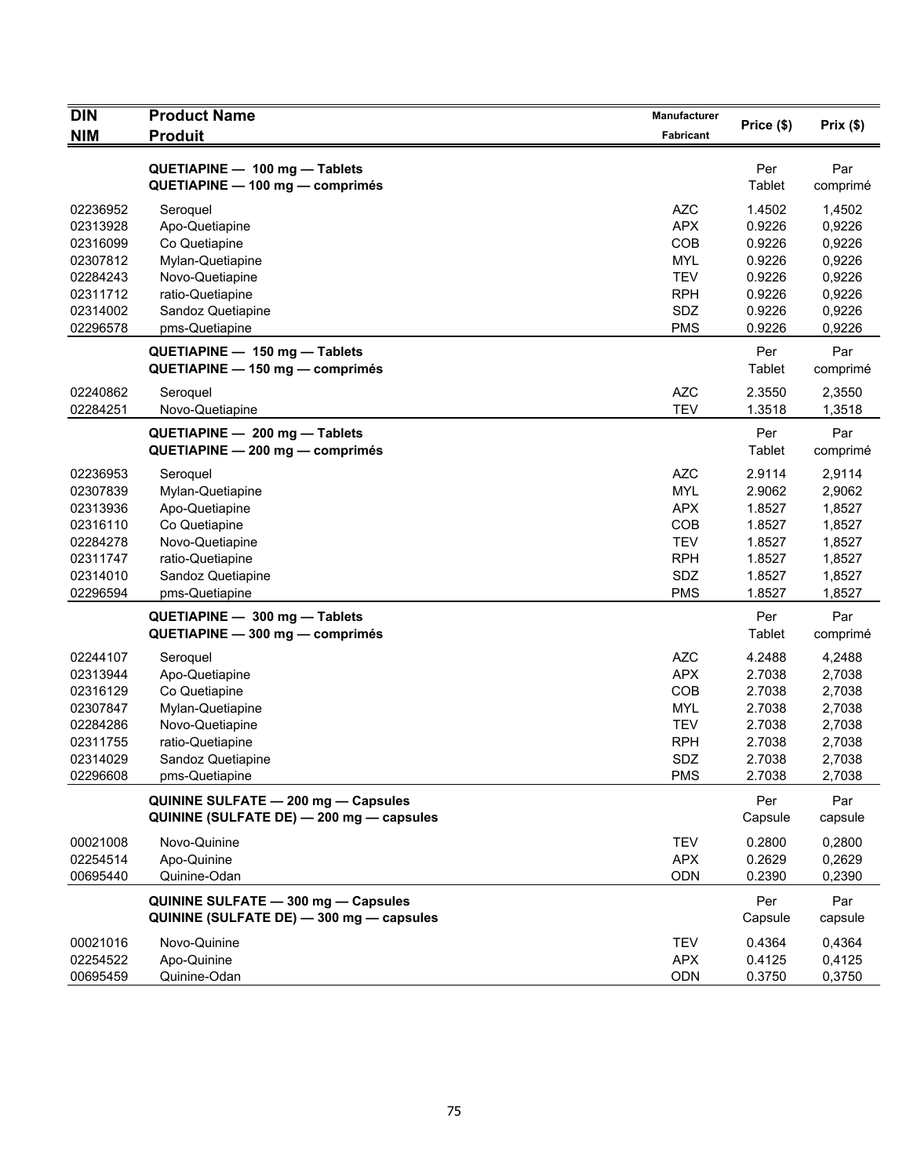| <b>DIN</b>                                                                                   | <b>Product Name</b>                                                                                                                           | Manufacturer                                                                                          | Price (\$)                                                                   | Prix(\$)                                                                     |
|----------------------------------------------------------------------------------------------|-----------------------------------------------------------------------------------------------------------------------------------------------|-------------------------------------------------------------------------------------------------------|------------------------------------------------------------------------------|------------------------------------------------------------------------------|
| <b>NIM</b>                                                                                   | <b>Produit</b>                                                                                                                                | <b>Fabricant</b>                                                                                      |                                                                              |                                                                              |
|                                                                                              | QUETIAPINE - 100 mg - Tablets<br>QUETIAPINE - 100 mg - comprimés                                                                              |                                                                                                       | Per<br>Tablet                                                                | Par<br>comprimé                                                              |
| 02236952<br>02313928<br>02316099<br>02307812                                                 | Seroquel<br>Apo-Quetiapine<br>Co Quetiapine<br>Mylan-Quetiapine                                                                               | <b>AZC</b><br><b>APX</b><br>COB<br><b>MYL</b>                                                         | 1.4502<br>0.9226<br>0.9226<br>0.9226                                         | 1,4502<br>0,9226<br>0,9226<br>0,9226                                         |
| 02284243<br>02311712<br>02314002<br>02296578                                                 | Novo-Quetiapine<br>ratio-Quetiapine<br>Sandoz Quetiapine<br>pms-Quetiapine                                                                    | <b>TEV</b><br><b>RPH</b><br>SDZ<br><b>PMS</b>                                                         | 0.9226<br>0.9226<br>0.9226<br>0.9226                                         | 0,9226<br>0,9226<br>0,9226<br>0,9226                                         |
|                                                                                              | QUETIAPINE - 150 mg - Tablets<br>QUETIAPINE - 150 mg - comprimés                                                                              |                                                                                                       | Per<br>Tablet                                                                | Par<br>comprimé                                                              |
| 02240862<br>02284251                                                                         | Seroquel<br>Novo-Quetiapine                                                                                                                   | <b>AZC</b><br><b>TEV</b>                                                                              | 2.3550<br>1.3518                                                             | 2,3550<br>1,3518                                                             |
|                                                                                              | QUETIAPINE - 200 mg - Tablets<br>QUETIAPINE - 200 mg - comprimés                                                                              |                                                                                                       | Per<br>Tablet                                                                | Par<br>comprimé                                                              |
| 02236953<br>02307839<br>02313936<br>02316110<br>02284278<br>02311747<br>02314010<br>02296594 | Seroquel<br>Mylan-Quetiapine<br>Apo-Quetiapine<br>Co Quetiapine<br>Novo-Quetiapine<br>ratio-Quetiapine<br>Sandoz Quetiapine<br>pms-Quetiapine | <b>AZC</b><br><b>MYL</b><br><b>APX</b><br><b>COB</b><br><b>TEV</b><br><b>RPH</b><br>SDZ<br><b>PMS</b> | 2.9114<br>2.9062<br>1.8527<br>1.8527<br>1.8527<br>1.8527<br>1.8527<br>1.8527 | 2,9114<br>2,9062<br>1,8527<br>1,8527<br>1,8527<br>1,8527<br>1,8527<br>1,8527 |
|                                                                                              | QUETIAPINE - 300 mg - Tablets<br>QUETIAPINE - 300 mg - comprimés                                                                              |                                                                                                       | Per<br>Tablet                                                                | Par<br>comprimé                                                              |
| 02244107<br>02313944<br>02316129<br>02307847<br>02284286<br>02311755<br>02314029<br>02296608 | Seroquel<br>Apo-Quetiapine<br>Co Quetiapine<br>Mylan-Quetiapine<br>Novo-Quetiapine<br>ratio-Quetiapine<br>Sandoz Quetiapine<br>pms-Quetiapine | <b>AZC</b><br><b>APX</b><br>COB<br><b>MYL</b><br><b>TEV</b><br><b>RPH</b><br>SDZ<br><b>PMS</b>        | 4.2488<br>2.7038<br>2.7038<br>2.7038<br>2.7038<br>2.7038<br>2.7038<br>2.7038 | 4,2488<br>2,7038<br>2,7038<br>2,7038<br>2,7038<br>2,7038<br>2,7038<br>2,7038 |
|                                                                                              | QUININE SULFATE - 200 mg - Capsules<br>QUININE (SULFATE DE) - 200 mg - capsules                                                               |                                                                                                       | Per<br>Capsule                                                               | Par<br>capsule                                                               |
| 00021008<br>02254514<br>00695440                                                             | Novo-Quinine<br>Apo-Quinine<br>Quinine-Odan                                                                                                   | <b>TEV</b><br><b>APX</b><br><b>ODN</b>                                                                | 0.2800<br>0.2629<br>0.2390                                                   | 0,2800<br>0,2629<br>0,2390                                                   |
|                                                                                              | QUININE SULFATE - 300 mg - Capsules<br>QUININE (SULFATE DE) - 300 mg - capsules                                                               |                                                                                                       | Per<br>Capsule                                                               | Par<br>capsule                                                               |
| 00021016<br>02254522<br>00695459                                                             | Novo-Quinine<br>Apo-Quinine<br>Quinine-Odan                                                                                                   | <b>TEV</b><br><b>APX</b><br>ODN                                                                       | 0.4364<br>0.4125<br>0.3750                                                   | 0.4364<br>0,4125<br>0,3750                                                   |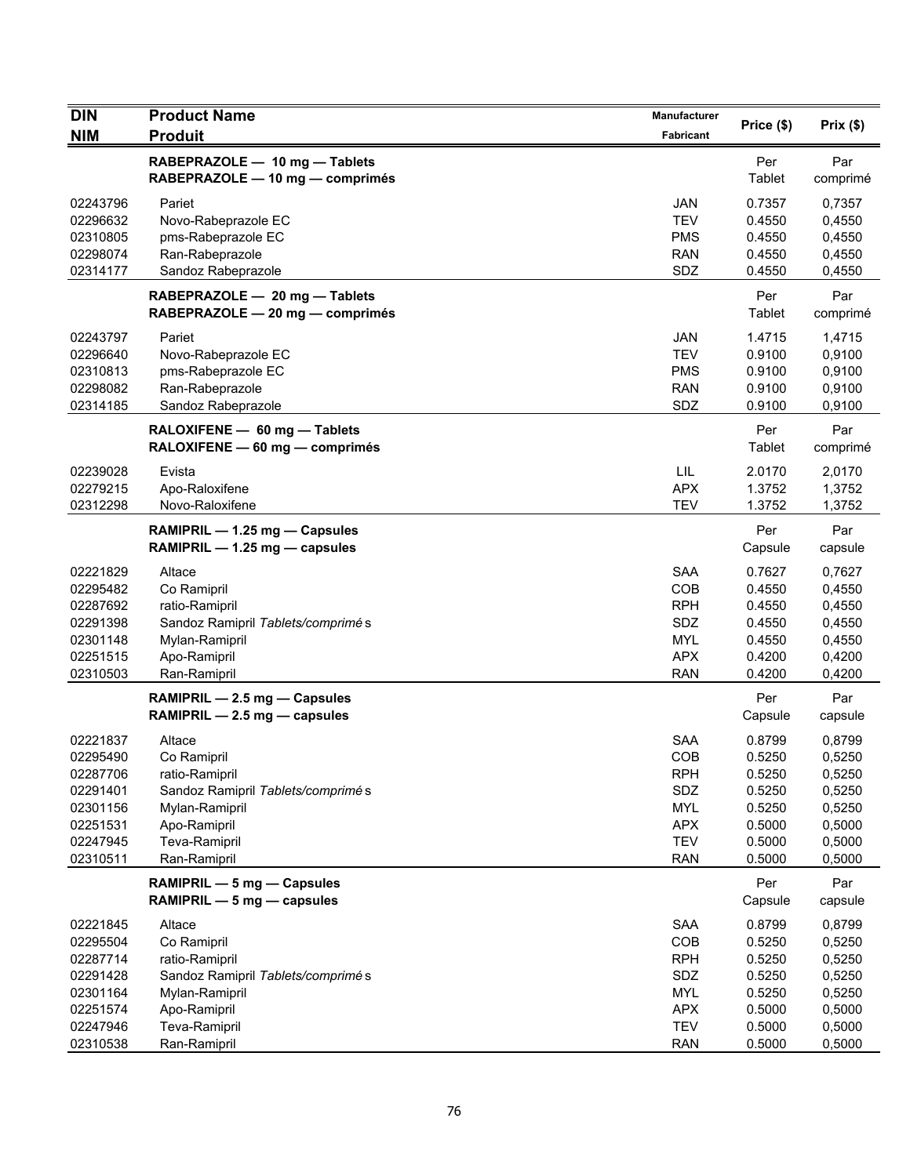| <b>DIN</b>                                                                                   | <b>Product Name</b>                                                                                                                              | Manufacturer                                                                                   |                                                                              |                                                                              |
|----------------------------------------------------------------------------------------------|--------------------------------------------------------------------------------------------------------------------------------------------------|------------------------------------------------------------------------------------------------|------------------------------------------------------------------------------|------------------------------------------------------------------------------|
| <b>NIM</b>                                                                                   | <b>Produit</b>                                                                                                                                   | Fabricant                                                                                      | Price (\$)                                                                   | Prix(\$)                                                                     |
|                                                                                              | RABEPRAZOLE - 10 mg - Tablets<br>RABEPRAZOLE - 10 mg - comprimés                                                                                 |                                                                                                | Per<br>Tablet                                                                | Par<br>comprimé                                                              |
| 02243796<br>02296632<br>02310805<br>02298074                                                 | Pariet<br>Novo-Rabeprazole EC<br>pms-Rabeprazole EC<br>Ran-Rabeprazole                                                                           | <b>JAN</b><br><b>TEV</b><br><b>PMS</b><br><b>RAN</b><br>SDZ                                    | 0.7357<br>0.4550<br>0.4550<br>0.4550                                         | 0,7357<br>0,4550<br>0,4550<br>0,4550                                         |
| 02314177                                                                                     | Sandoz Rabeprazole<br>RABEPRAZOLE - 20 mg - Tablets<br>RABEPRAZOLE - 20 mg - comprimés                                                           |                                                                                                | 0.4550<br>Per<br>Tablet                                                      | 0,4550<br>Par<br>comprimé                                                    |
| 02243797<br>02296640<br>02310813<br>02298082<br>02314185                                     | Pariet<br>Novo-Rabeprazole EC<br>pms-Rabeprazole EC<br>Ran-Rabeprazole<br>Sandoz Rabeprazole                                                     | <b>JAN</b><br><b>TEV</b><br><b>PMS</b><br><b>RAN</b><br>SDZ                                    | 1.4715<br>0.9100<br>0.9100<br>0.9100<br>0.9100                               | 1,4715<br>0,9100<br>0,9100<br>0,9100<br>0,9100                               |
|                                                                                              | RALOXIFENE - 60 mg - Tablets<br>RALOXIFENE - 60 mg - comprimés                                                                                   |                                                                                                | Per<br>Tablet                                                                | Par<br>comprimé                                                              |
| 02239028<br>02279215<br>02312298                                                             | Evista<br>Apo-Raloxifene<br>Novo-Raloxifene                                                                                                      | LIL<br><b>APX</b><br><b>TEV</b>                                                                | 2.0170<br>1.3752<br>1.3752                                                   | 2,0170<br>1,3752<br>1,3752                                                   |
|                                                                                              | RAMIPRIL - 1.25 mg - Capsules<br>RAMIPRIL $-$ 1.25 mg $-$ capsules                                                                               |                                                                                                | Per<br>Capsule                                                               | Par<br>capsule                                                               |
| 02221829<br>02295482<br>02287692<br>02291398<br>02301148<br>02251515<br>02310503             | Altace<br>Co Ramipril<br>ratio-Ramipril<br>Sandoz Ramipril Tablets/comprimé s<br>Mylan-Ramipril<br>Apo-Ramipril<br>Ran-Ramipril                  | <b>SAA</b><br>COB<br><b>RPH</b><br>SDZ<br><b>MYL</b><br><b>APX</b><br><b>RAN</b>               | 0.7627<br>0.4550<br>0.4550<br>0.4550<br>0.4550<br>0.4200<br>0.4200           | 0,7627<br>0,4550<br>0,4550<br>0,4550<br>0,4550<br>0,4200<br>0,4200           |
|                                                                                              | RAMIPRIL - 2.5 mg - Capsules<br>RAMIPRIL - 2.5 mg - capsules                                                                                     |                                                                                                | Per<br>Capsule                                                               | Par<br>capsule                                                               |
| 02221837<br>02295490<br>02287706<br>02291401<br>02301156<br>02251531<br>02247945<br>02310511 | Altace<br>Co Ramipril<br>ratio-Ramipril<br>Sandoz Ramipril Tablets/comprimé s<br>Mylan-Ramipril<br>Apo-Ramipril<br>Teva-Ramipril<br>Ran-Ramipril | <b>SAA</b><br>COB<br><b>RPH</b><br>SDZ<br><b>MYL</b><br><b>APX</b><br><b>TEV</b><br><b>RAN</b> | 0.8799<br>0.5250<br>0.5250<br>0.5250<br>0.5250<br>0.5000<br>0.5000<br>0.5000 | 0,8799<br>0,5250<br>0,5250<br>0,5250<br>0,5250<br>0,5000<br>0,5000<br>0,5000 |
|                                                                                              | RAMIPRIL - 5 mg - Capsules<br>RAMIPRIL - 5 mg - capsules                                                                                         |                                                                                                | Per<br>Capsule                                                               | Par<br>capsule                                                               |
| 02221845<br>02295504<br>02287714<br>02291428<br>02301164<br>02251574                         | Altace<br>Co Ramipril<br>ratio-Ramipril<br>Sandoz Ramipril Tablets/comprimé s<br>Mylan-Ramipril<br>Apo-Ramipril                                  | SAA<br>COB<br><b>RPH</b><br>SDZ<br><b>MYL</b><br><b>APX</b>                                    | 0.8799<br>0.5250<br>0.5250<br>0.5250<br>0.5250<br>0.5000                     | 0,8799<br>0,5250<br>0,5250<br>0,5250<br>0,5250<br>0,5000                     |
| 02247946<br>02310538                                                                         | Teva-Ramipril<br>Ran-Ramipril                                                                                                                    | <b>TEV</b><br><b>RAN</b>                                                                       | 0.5000<br>0.5000                                                             | 0,5000<br>0,5000                                                             |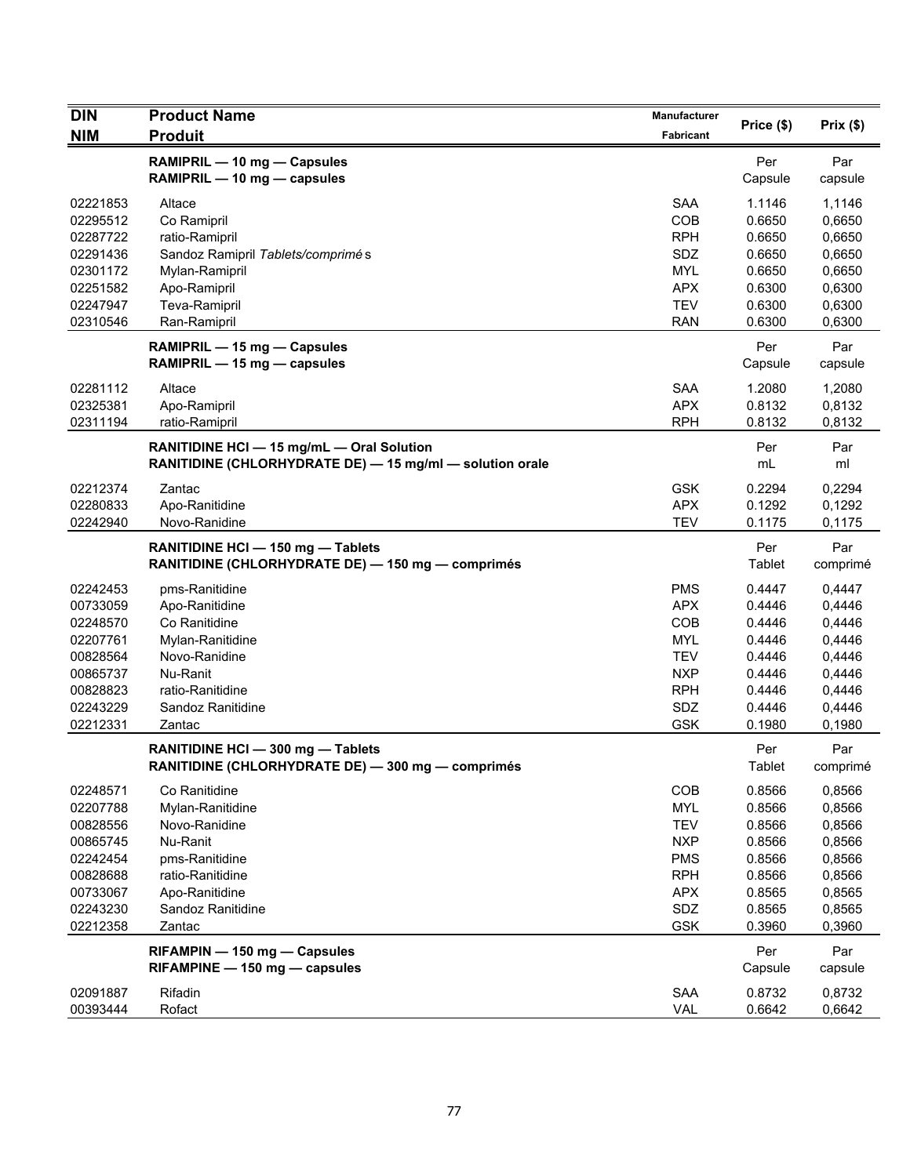| <b>DIN</b>                                                                                               | <b>Product Name</b>                                                                                                                                   | Manufacturer                                                                                                        | Price (\$)                                                                             | Prix(\$)                                                                               |
|----------------------------------------------------------------------------------------------------------|-------------------------------------------------------------------------------------------------------------------------------------------------------|---------------------------------------------------------------------------------------------------------------------|----------------------------------------------------------------------------------------|----------------------------------------------------------------------------------------|
| <b>NIM</b>                                                                                               | <b>Produit</b>                                                                                                                                        | Fabricant                                                                                                           |                                                                                        |                                                                                        |
|                                                                                                          | RAMIPRIL - 10 mg - Capsules<br>RAMIPRIL - 10 mg - capsules                                                                                            |                                                                                                                     | Per<br>Capsule                                                                         | Par<br>capsule                                                                         |
| 02221853<br>02295512<br>02287722<br>02291436<br>02301172<br>02251582                                     | Altace<br>Co Ramipril<br>ratio-Ramipril<br>Sandoz Ramipril Tablets/comprimés<br>Mylan-Ramipril<br>Apo-Ramipril                                        | <b>SAA</b><br>COB<br><b>RPH</b><br>SDZ<br><b>MYL</b><br><b>APX</b>                                                  | 1.1146<br>0.6650<br>0.6650<br>0.6650<br>0.6650<br>0.6300                               | 1,1146<br>0,6650<br>0,6650<br>0,6650<br>0,6650<br>0,6300                               |
| 02247947<br>02310546                                                                                     | Teva-Ramipril<br>Ran-Ramipril                                                                                                                         | <b>TEV</b><br><b>RAN</b>                                                                                            | 0.6300<br>0.6300                                                                       | 0,6300<br>0,6300                                                                       |
|                                                                                                          | RAMIPRIL - 15 mg - Capsules<br>RAMIPRIL - 15 mg - capsules                                                                                            |                                                                                                                     | Per<br>Capsule                                                                         | Par<br>capsule                                                                         |
| 02281112<br>02325381<br>02311194                                                                         | Altace<br>Apo-Ramipril<br>ratio-Ramipril                                                                                                              | <b>SAA</b><br><b>APX</b><br><b>RPH</b>                                                                              | 1.2080<br>0.8132<br>0.8132                                                             | 1,2080<br>0,8132<br>0,8132                                                             |
|                                                                                                          | RANITIDINE HCI - 15 mg/mL - Oral Solution<br>RANITIDINE (CHLORHYDRATE DE) - 15 mg/ml - solution orale                                                 |                                                                                                                     | Per<br>mL                                                                              | Par<br>ml                                                                              |
| 02212374<br>02280833<br>02242940                                                                         | Zantac<br>Apo-Ranitidine<br>Novo-Ranidine                                                                                                             | <b>GSK</b><br><b>APX</b><br><b>TEV</b>                                                                              | 0.2294<br>0.1292<br>0.1175                                                             | 0,2294<br>0,1292<br>0,1175                                                             |
|                                                                                                          | RANITIDINE HCI - 150 mg - Tablets<br>RANITIDINE (CHLORHYDRATE DE) - 150 mg - comprimés                                                                |                                                                                                                     | Per<br>Tablet                                                                          | Par<br>comprimé                                                                        |
| 02242453<br>00733059<br>02248570<br>02207761<br>00828564<br>00865737<br>00828823<br>02243229<br>02212331 | pms-Ranitidine<br>Apo-Ranitidine<br>Co Ranitidine<br>Mylan-Ranitidine<br>Novo-Ranidine<br>Nu-Ranit<br>ratio-Ranitidine<br>Sandoz Ranitidine<br>Zantac | <b>PMS</b><br><b>APX</b><br><b>COB</b><br><b>MYL</b><br><b>TEV</b><br><b>NXP</b><br><b>RPH</b><br>SDZ<br><b>GSK</b> | 0.4447<br>0.4446<br>0.4446<br>0.4446<br>0.4446<br>0.4446<br>0.4446<br>0.4446<br>0.1980 | 0,4447<br>0,4446<br>0,4446<br>0,4446<br>0,4446<br>0,4446<br>0,4446<br>0,4446<br>0,1980 |
|                                                                                                          | RANITIDINE HCI - 300 mg - Tablets<br>RANITIDINE (CHLORHYDRATE DE) — 300 mg — comprimés                                                                |                                                                                                                     | Per<br>Tablet                                                                          | Par<br>comprimé                                                                        |
| 02248571<br>02207788<br>00828556<br>00865745<br>02242454<br>00828688<br>00733067<br>02243230             | Co Ranitidine<br>Mylan-Ranitidine<br>Novo-Ranidine<br>Nu-Ranit<br>pms-Ranitidine<br>ratio-Ranitidine<br>Apo-Ranitidine<br>Sandoz Ranitidine           | <b>COB</b><br><b>MYL</b><br><b>TEV</b><br><b>NXP</b><br><b>PMS</b><br><b>RPH</b><br><b>APX</b><br>SDZ               | 0.8566<br>0.8566<br>0.8566<br>0.8566<br>0.8566<br>0.8566<br>0.8565<br>0.8565           | 0,8566<br>0,8566<br>0,8566<br>0,8566<br>0,8566<br>0,8566<br>0,8565<br>0,8565           |
| 02212358                                                                                                 | Zantac<br>RIFAMPIN - 150 mg - Capsules                                                                                                                | <b>GSK</b>                                                                                                          | 0.3960<br>Per                                                                          | 0,3960<br>Par                                                                          |
| 02091887<br>00393444                                                                                     | RIFAMPINE - 150 mg - capsules<br>Rifadin<br>Rofact                                                                                                    | SAA<br><b>VAL</b>                                                                                                   | Capsule<br>0.8732<br>0.6642                                                            | capsule<br>0,8732<br>0,6642                                                            |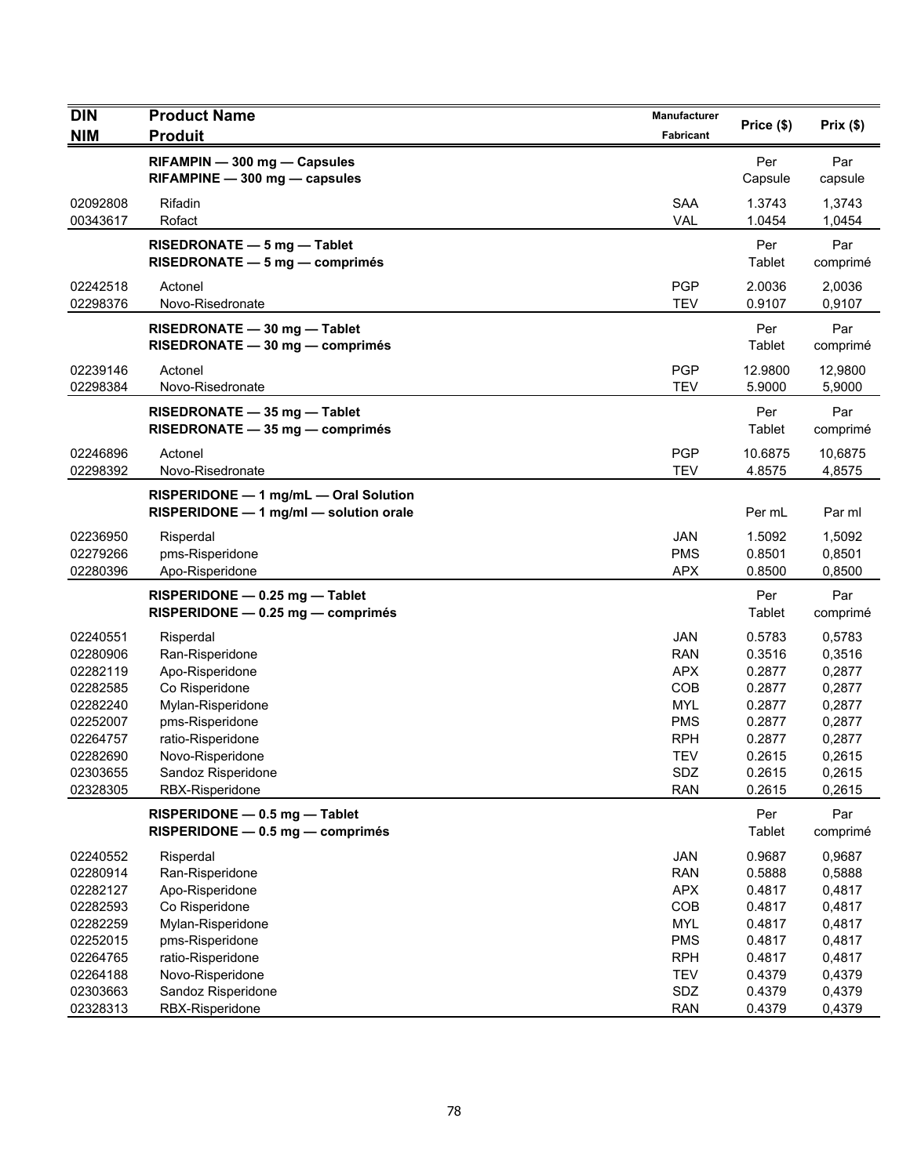| <b>DIN</b>                       | <b>Product Name</b>                                                             | <b>Manufacturer</b>                    | Price (\$)                 | Prix(\$)                   |
|----------------------------------|---------------------------------------------------------------------------------|----------------------------------------|----------------------------|----------------------------|
| <b>NIM</b>                       | <b>Produit</b>                                                                  | Fabricant                              |                            |                            |
|                                  | RIFAMPIN - 300 mg - Capsules<br>RIFAMPINE - 300 mg - capsules                   |                                        | Per<br>Capsule             | Par<br>capsule             |
| 02092808<br>00343617             | Rifadin<br>Rofact                                                               | <b>SAA</b><br><b>VAL</b>               | 1.3743<br>1.0454           | 1,3743<br>1,0454           |
|                                  | RISEDRONATE $-5$ mg $-$ Tablet<br>RISEDRONATE - 5 mg - comprimés                |                                        | Per<br><b>Tablet</b>       | Par<br>comprimé            |
| 02242518<br>02298376             | Actonel<br>Novo-Risedronate                                                     | <b>PGP</b><br><b>TEV</b>               | 2.0036<br>0.9107           | 2,0036<br>0,9107           |
|                                  | RISEDRONATE - 30 mg - Tablet<br>$RISEDRONATE - 30 mg - comprimés$               |                                        | Per<br>Tablet              | Par<br>comprimé            |
| 02239146<br>02298384             | Actonel<br>Novo-Risedronate                                                     | <b>PGP</b><br><b>TEV</b>               | 12.9800<br>5.9000          | 12,9800<br>5,9000          |
|                                  | RISEDRONATE - 35 mg - Tablet<br>RISEDRONATE - 35 mg - comprimés                 |                                        | Per<br>Tablet              | Par<br>comprimé            |
| 02246896<br>02298392             | Actonel<br>Novo-Risedronate                                                     | <b>PGP</b><br><b>TEV</b>               | 10.6875<br>4.8575          | 10,6875<br>4,8575          |
|                                  | RISPERIDONE - 1 mg/mL - Oral Solution<br>RISPERIDONE - 1 mg/ml - solution orale |                                        | Per mL                     | Par ml                     |
| 02236950<br>02279266<br>02280396 | Risperdal<br>pms-Risperidone<br>Apo-Risperidone                                 | <b>JAN</b><br><b>PMS</b><br><b>APX</b> | 1.5092<br>0.8501<br>0.8500 | 1,5092<br>0,8501<br>0,8500 |
|                                  | RISPERIDONE - 0.25 mg - Tablet<br>RISPERIDONE - 0.25 mg - comprimés             |                                        | Per<br>Tablet              | Par<br>comprimé            |
| 02240551                         | Risperdal                                                                       | <b>JAN</b>                             | 0.5783                     | 0,5783                     |
| 02280906                         | Ran-Risperidone                                                                 | <b>RAN</b>                             | 0.3516                     | 0,3516                     |
| 02282119                         | Apo-Risperidone                                                                 | <b>APX</b>                             | 0.2877                     | 0,2877                     |
| 02282585                         | Co Risperidone                                                                  | COB                                    | 0.2877                     | 0,2877                     |
| 02282240                         | Mylan-Risperidone                                                               | <b>MYL</b>                             | 0.2877                     | 0,2877                     |
| 02252007<br>02264757             | pms-Risperidone<br>ratio-Risperidone                                            | <b>PMS</b><br><b>RPH</b>               | 0.2877<br>0.2877           | 0,2877<br>0,2877           |
| 02282690                         | Novo-Risperidone                                                                | <b>TEV</b>                             | 0.2615                     | 0,2615                     |
| 02303655                         | Sandoz Risperidone                                                              | <b>SDZ</b>                             | 0.2615                     | 0,2615                     |
| 02328305                         | RBX-Risperidone                                                                 | <b>RAN</b>                             | 0.2615                     | 0,2615                     |
|                                  | RISPERIDONE - 0.5 mg - Tablet<br>RISPERIDONE - 0.5 mg - comprimés               |                                        | Per<br>Tablet              | Par<br>comprimé            |
| 02240552                         | Risperdal                                                                       | <b>JAN</b>                             | 0.9687                     | 0,9687                     |
| 02280914                         | Ran-Risperidone                                                                 | <b>RAN</b>                             | 0.5888                     | 0,5888                     |
| 02282127                         | Apo-Risperidone                                                                 | <b>APX</b>                             | 0.4817                     | 0,4817                     |
| 02282593                         | Co Risperidone                                                                  | COB                                    | 0.4817                     | 0,4817                     |
| 02282259                         | Mylan-Risperidone                                                               | <b>MYL</b>                             | 0.4817                     | 0,4817                     |
| 02252015                         | pms-Risperidone                                                                 | <b>PMS</b>                             | 0.4817                     | 0,4817                     |
| 02264765                         | ratio-Risperidone                                                               | <b>RPH</b>                             | 0.4817                     | 0,4817                     |
| 02264188                         | Novo-Risperidone                                                                | <b>TEV</b>                             | 0.4379                     | 0,4379                     |
| 02303663<br>02328313             | Sandoz Risperidone<br>RBX-Risperidone                                           | SDZ<br><b>RAN</b>                      | 0.4379<br>0.4379           | 0,4379<br>0,4379           |
|                                  |                                                                                 |                                        |                            |                            |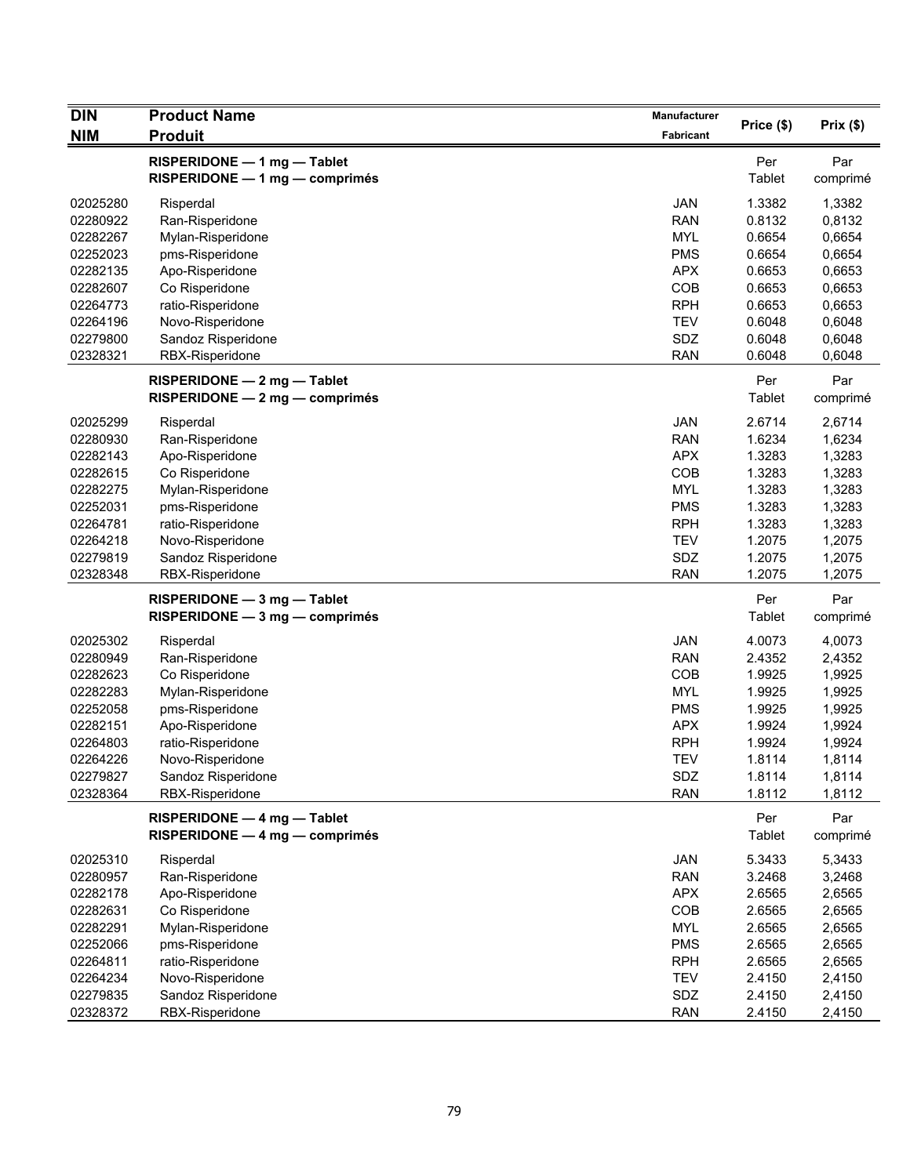| <b>DIN</b> | <b>Product Name</b>                                             | Manufacturer | Price (\$)           | Prix(\$)        |
|------------|-----------------------------------------------------------------|--------------|----------------------|-----------------|
| <b>NIM</b> | <b>Produit</b>                                                  | Fabricant    |                      |                 |
|            | RISPERIDONE - 1 mg - Tablet<br>RISPERIDONE - 1 mg - comprimés   |              | Per<br>Tablet        | Par<br>comprimé |
| 02025280   | Risperdal                                                       | <b>JAN</b>   | 1.3382               | 1,3382          |
| 02280922   | Ran-Risperidone                                                 | <b>RAN</b>   | 0.8132               | 0,8132          |
| 02282267   | Mylan-Risperidone                                               | <b>MYL</b>   | 0.6654               | 0,6654          |
| 02252023   | pms-Risperidone                                                 | <b>PMS</b>   | 0.6654               | 0,6654          |
| 02282135   | Apo-Risperidone                                                 | <b>APX</b>   | 0.6653               | 0,6653          |
| 02282607   | Co Risperidone                                                  | COB          | 0.6653               | 0,6653          |
| 02264773   | ratio-Risperidone                                               | <b>RPH</b>   | 0.6653               | 0,6653          |
| 02264196   | Novo-Risperidone                                                | <b>TEV</b>   | 0.6048               | 0,6048          |
| 02279800   | Sandoz Risperidone                                              | SDZ          | 0.6048               | 0,6048          |
| 02328321   | RBX-Risperidone                                                 | <b>RAN</b>   | 0.6048               | 0,6048          |
|            | RISPERIDONE - 2 mg - Tablet<br>RISPERIDONE - 2 mg - comprimés   |              | Per<br><b>Tablet</b> | Par<br>comprimé |
| 02025299   | Risperdal                                                       | <b>JAN</b>   | 2.6714               | 2,6714          |
| 02280930   | Ran-Risperidone                                                 | <b>RAN</b>   | 1.6234               | 1,6234          |
| 02282143   | Apo-Risperidone                                                 | <b>APX</b>   | 1.3283               | 1,3283          |
| 02282615   | Co Risperidone                                                  | COB          | 1.3283               | 1,3283          |
| 02282275   | Mylan-Risperidone                                               | <b>MYL</b>   | 1.3283               | 1,3283          |
| 02252031   | pms-Risperidone                                                 | <b>PMS</b>   | 1.3283               | 1,3283          |
| 02264781   | ratio-Risperidone                                               | <b>RPH</b>   | 1.3283               | 1,3283          |
| 02264218   | Novo-Risperidone                                                | <b>TEV</b>   | 1.2075               | 1,2075          |
| 02279819   | Sandoz Risperidone                                              | SDZ          | 1.2075               | 1,2075          |
| 02328348   | RBX-Risperidone                                                 | <b>RAN</b>   | 1.2075               | 1,2075          |
|            | RISPERIDONE - 3 mg - Tablet<br>$RISPERIDONE - 3 mg - comprimés$ |              | Per<br>Tablet        | Par<br>comprimé |
| 02025302   | Risperdal                                                       | <b>JAN</b>   | 4.0073               | 4,0073          |
| 02280949   | Ran-Risperidone                                                 | <b>RAN</b>   | 2.4352               | 2,4352          |
| 02282623   | Co Risperidone                                                  | COB          | 1.9925               | 1,9925          |
| 02282283   | Mylan-Risperidone                                               | <b>MYL</b>   | 1.9925               | 1,9925          |
| 02252058   | pms-Risperidone                                                 | <b>PMS</b>   | 1.9925               | 1,9925          |
| 02282151   | Apo-Risperidone                                                 | <b>APX</b>   | 1.9924               | 1,9924          |
| 02264803   | ratio-Risperidone                                               | <b>RPH</b>   | 1.9924               | 1,9924          |
| 02264226   | Novo-Risperidone                                                | <b>TEV</b>   | 1.8114               | 1,8114          |
| 02279827   | Sandoz Risperidone                                              | SDZ          | 1.8114               | 1,8114          |
| 02328364   | RBX-Risperidone                                                 | <b>RAN</b>   | 1.8112               | 1,8112          |
|            | RISPERIDONE - 4 mg - Tablet<br>RISPERIDONE - 4 mg - comprimés   |              | Per<br>Tablet        | Par<br>comprimé |
| 02025310   | Risperdal                                                       | JAN          | 5.3433               | 5,3433          |
| 02280957   | Ran-Risperidone                                                 | <b>RAN</b>   | 3.2468               | 3,2468          |
| 02282178   | Apo-Risperidone                                                 | <b>APX</b>   | 2.6565               | 2,6565          |
| 02282631   | Co Risperidone                                                  | COB          | 2.6565               | 2,6565          |
| 02282291   | Mylan-Risperidone                                               | <b>MYL</b>   | 2.6565               | 2,6565          |
| 02252066   | pms-Risperidone                                                 | <b>PMS</b>   | 2.6565               | 2,6565          |
| 02264811   | ratio-Risperidone                                               | <b>RPH</b>   | 2.6565               | 2,6565          |
| 02264234   | Novo-Risperidone                                                | <b>TEV</b>   | 2.4150               | 2,4150          |
| 02279835   | Sandoz Risperidone                                              | SDZ          | 2.4150               | 2,4150          |
| 02328372   | RBX-Risperidone                                                 | RAN          | 2.4150               | 2,4150          |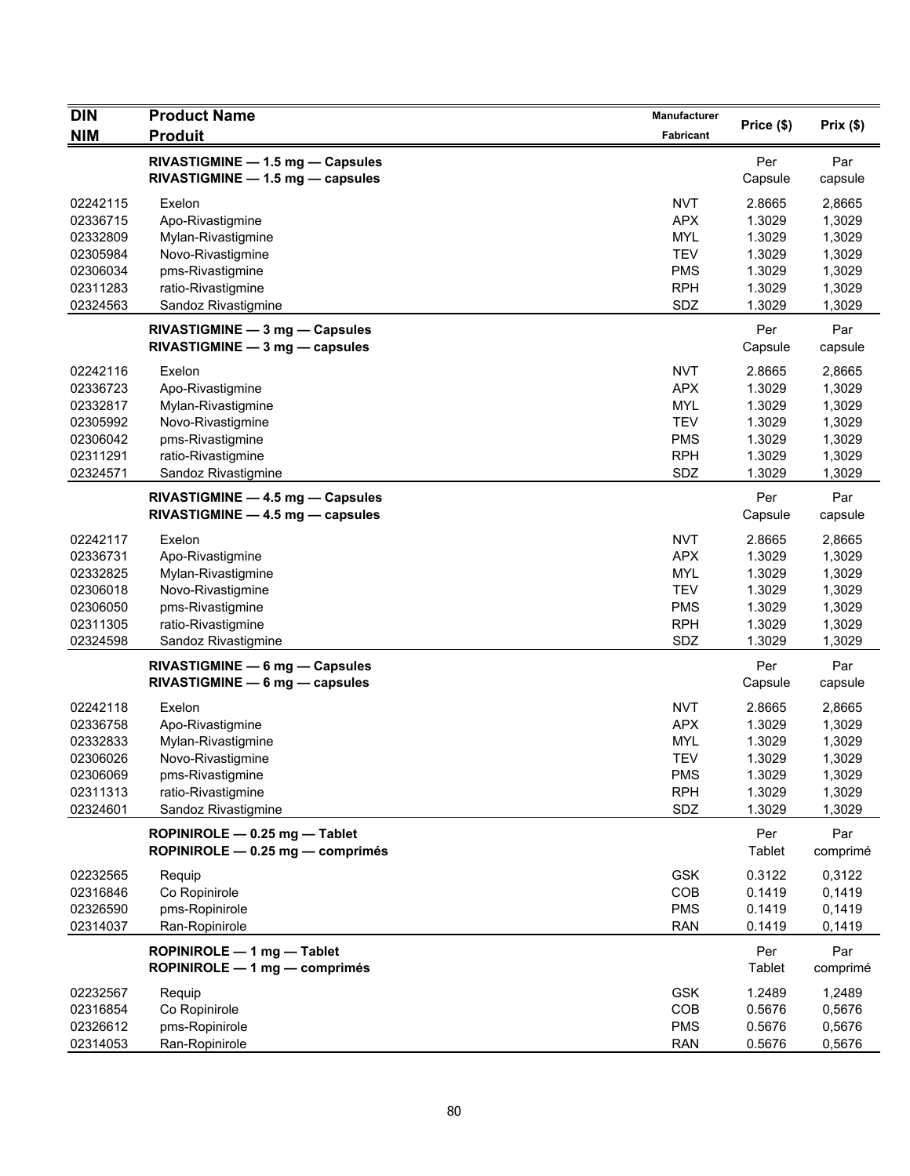| DIN                                                                              | <b>Product Name</b>                                                                                                                    | Manufacturer                                                                            |                                                                    |                                                                    |
|----------------------------------------------------------------------------------|----------------------------------------------------------------------------------------------------------------------------------------|-----------------------------------------------------------------------------------------|--------------------------------------------------------------------|--------------------------------------------------------------------|
| <b>NIM</b>                                                                       | <b>Produit</b>                                                                                                                         | <b>Fabricant</b>                                                                        | Price (\$)                                                         | Prix(\$)                                                           |
|                                                                                  | RIVASTIGMINE - 1.5 mg - Capsules<br>RIVASTIGMINE - 1.5 mg - capsules                                                                   |                                                                                         | Per<br>Capsule                                                     | Par<br>capsule                                                     |
| 02242115<br>02336715<br>02332809<br>02305984<br>02306034<br>02311283<br>02324563 | Exelon<br>Apo-Rivastigmine<br>Mylan-Rivastigmine<br>Novo-Rivastigmine<br>pms-Rivastigmine<br>ratio-Rivastigmine<br>Sandoz Rivastigmine | <b>NVT</b><br><b>APX</b><br><b>MYL</b><br><b>TEV</b><br><b>PMS</b><br><b>RPH</b><br>SDZ | 2.8665<br>1.3029<br>1.3029<br>1.3029<br>1.3029<br>1.3029<br>1.3029 | 2,8665<br>1,3029<br>1,3029<br>1,3029<br>1,3029<br>1,3029<br>1,3029 |
|                                                                                  | RIVASTIGMINE - 3 mg - Capsules<br>RIVASTIGMINE - 3 mg - capsules                                                                       |                                                                                         | Per<br>Capsule                                                     | Par<br>capsule                                                     |
| 02242116<br>02336723<br>02332817<br>02305992<br>02306042<br>02311291<br>02324571 | Exelon<br>Apo-Rivastigmine<br>Mylan-Rivastigmine<br>Novo-Rivastigmine<br>pms-Rivastigmine<br>ratio-Rivastigmine<br>Sandoz Rivastigmine | <b>NVT</b><br><b>APX</b><br><b>MYL</b><br><b>TEV</b><br><b>PMS</b><br><b>RPH</b><br>SDZ | 2.8665<br>1.3029<br>1.3029<br>1.3029<br>1.3029<br>1.3029<br>1.3029 | 2,8665<br>1,3029<br>1,3029<br>1,3029<br>1,3029<br>1,3029<br>1,3029 |
|                                                                                  | $RIVASTIGMINE - 4.5 mg - Capsules$<br>RIVASTIGMINE - 4.5 mg - capsules                                                                 |                                                                                         | Per<br>Capsule                                                     | Par<br>capsule                                                     |
| 02242117<br>02336731<br>02332825<br>02306018<br>02306050<br>02311305<br>02324598 | Exelon<br>Apo-Rivastigmine<br>Mylan-Rivastigmine<br>Novo-Rivastigmine<br>pms-Rivastigmine<br>ratio-Rivastigmine<br>Sandoz Rivastigmine | <b>NVT</b><br><b>APX</b><br><b>MYL</b><br><b>TEV</b><br><b>PMS</b><br><b>RPH</b><br>SDZ | 2.8665<br>1.3029<br>1.3029<br>1.3029<br>1.3029<br>1.3029<br>1.3029 | 2,8665<br>1,3029<br>1,3029<br>1,3029<br>1,3029<br>1,3029<br>1,3029 |
|                                                                                  | RIVASTIGMINE - 6 mg - Capsules<br>RIVASTIGMINE - 6 mg - capsules                                                                       |                                                                                         | Per<br>Capsule                                                     | Par<br>capsule                                                     |
| 02242118<br>02336758<br>02332833<br>02306026<br>02306069<br>02311313<br>02324601 | Exelon<br>Apo-Rivastigmine<br>Mylan-Rivastigmine<br>Novo-Rivastigmine<br>pms-Rivastigmine<br>ratio-Rivastigmine<br>Sandoz Rivastigmine | <b>NVT</b><br><b>APX</b><br><b>MYL</b><br><b>TEV</b><br><b>PMS</b><br><b>RPH</b><br>SDZ | 2.8665<br>1.3029<br>1.3029<br>1.3029<br>1.3029<br>1.3029<br>1.3029 | 2,8665<br>1,3029<br>1,3029<br>1,3029<br>1,3029<br>1,3029<br>1,3029 |
|                                                                                  | ROPINIROLE - 0.25 mg - Tablet<br>ROPINIROLE - 0.25 mg - comprimés                                                                      |                                                                                         | Per<br>Tablet                                                      | Par<br>comprimé                                                    |
| 02232565<br>02316846<br>02326590<br>02314037                                     | Requip<br>Co Ropinirole<br>pms-Ropinirole<br>Ran-Ropinirole                                                                            | <b>GSK</b><br>COB<br><b>PMS</b><br><b>RAN</b>                                           | 0.3122<br>0.1419<br>0.1419<br>0.1419                               | 0,3122<br>0,1419<br>0,1419<br>0,1419                               |
|                                                                                  | ROPINIROLE - 1 mg - Tablet<br>ROPINIROLE - 1 mg - comprimés                                                                            |                                                                                         | Per<br><b>Tablet</b>                                               | Par<br>comprimé                                                    |
| 02232567<br>02316854<br>02326612<br>02314053                                     | Requip<br>Co Ropinirole<br>pms-Ropinirole<br>Ran-Ropinirole                                                                            | <b>GSK</b><br>COB<br><b>PMS</b><br><b>RAN</b>                                           | 1.2489<br>0.5676<br>0.5676<br>0.5676                               | 1,2489<br>0,5676<br>0,5676<br>0,5676                               |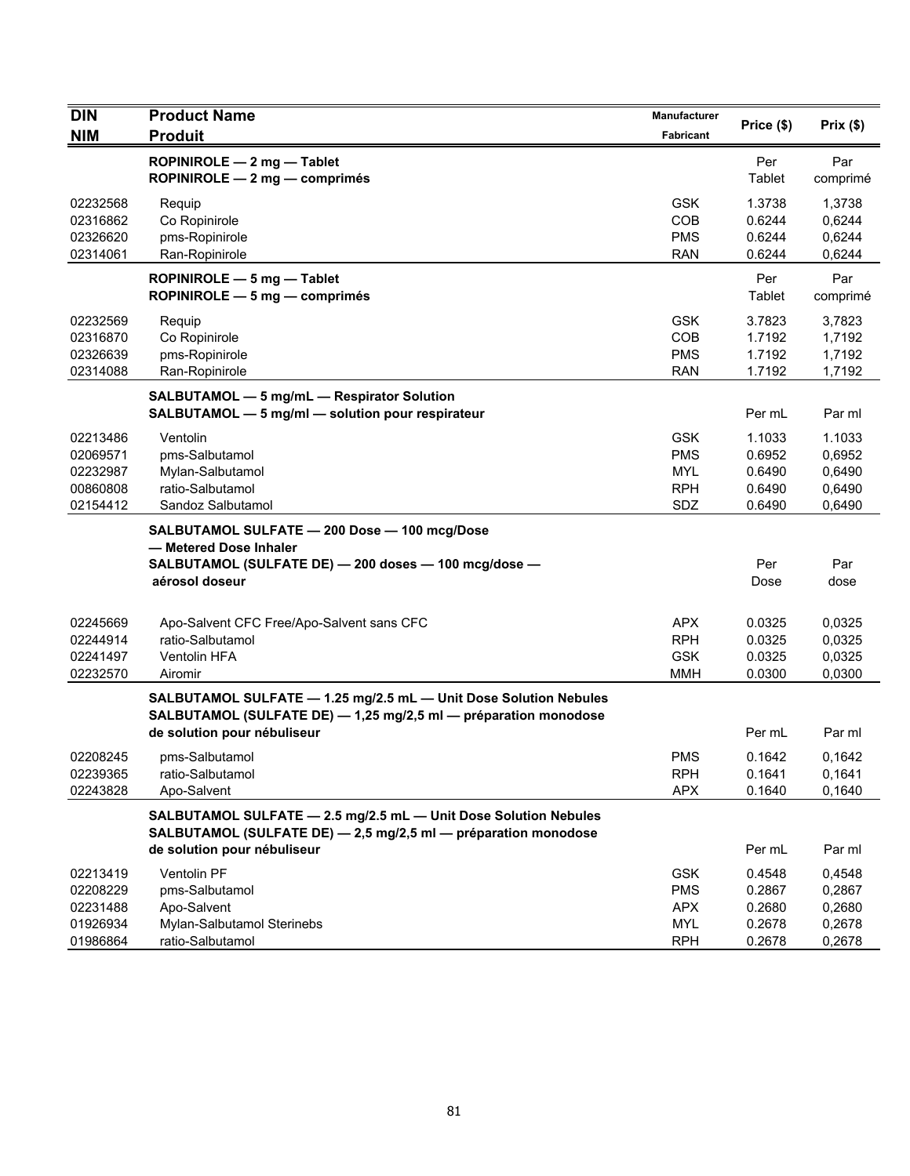| <b>DIN</b><br><b>NIM</b>                                 | <b>Product Name</b><br><b>Produit</b>                                                                                                                              | Manufacturer<br>Fabricant                                          | Price (\$)                                     | Prix(\$)                                       |
|----------------------------------------------------------|--------------------------------------------------------------------------------------------------------------------------------------------------------------------|--------------------------------------------------------------------|------------------------------------------------|------------------------------------------------|
|                                                          | ROPINIROLE - 2 mg - Tablet<br>ROPINIROLE - 2 mg - comprimés                                                                                                        |                                                                    | Per<br>Tablet                                  | Par<br>comprimé                                |
| 02232568<br>02316862<br>02326620<br>02314061             | Requip<br>Co Ropinirole<br>pms-Ropinirole<br>Ran-Ropinirole                                                                                                        | <b>GSK</b><br>COB<br><b>PMS</b><br><b>RAN</b>                      | 1.3738<br>0.6244<br>0.6244<br>0.6244           | 1,3738<br>0,6244<br>0,6244<br>0,6244           |
|                                                          | ROPINIROLE - 5 mg - Tablet<br>ROPINIROLE - 5 mg - comprimés                                                                                                        |                                                                    | Per<br>Tablet                                  | Par<br>comprimé                                |
| 02232569<br>02316870<br>02326639<br>02314088             | Requip<br>Co Ropinirole<br>pms-Ropinirole<br>Ran-Ropinirole                                                                                                        | <b>GSK</b><br><b>COB</b><br><b>PMS</b><br><b>RAN</b>               | 3.7823<br>1.7192<br>1.7192<br>1.7192           | 3,7823<br>1,7192<br>1,7192<br>1,7192           |
|                                                          | SALBUTAMOL - 5 mg/mL - Respirator Solution<br>SALBUTAMOL - 5 mg/ml - solution pour respirateur                                                                     |                                                                    | Per mL                                         | Par ml                                         |
| 02213486<br>02069571<br>02232987<br>00860808<br>02154412 | Ventolin<br>pms-Salbutamol<br>Mylan-Salbutamol<br>ratio-Salbutamol<br>Sandoz Salbutamol                                                                            | <b>GSK</b><br><b>PMS</b><br><b>MYL</b><br><b>RPH</b><br>SDZ        | 1.1033<br>0.6952<br>0.6490<br>0.6490<br>0.6490 | 1.1033<br>0,6952<br>0,6490<br>0,6490<br>0,6490 |
|                                                          | SALBUTAMOL SULFATE - 200 Dose - 100 mcg/Dose<br>- Metered Dose Inhaler                                                                                             |                                                                    |                                                |                                                |
|                                                          | SALBUTAMOL (SULFATE DE) - 200 doses - 100 mcg/dose -<br>aérosol doseur                                                                                             |                                                                    | Per<br>Dose                                    | Par<br>dose                                    |
| 02245669<br>02244914<br>02241497<br>02232570             | Apo-Salvent CFC Free/Apo-Salvent sans CFC<br>ratio-Salbutamol<br>Ventolin HFA<br>Airomir                                                                           | <b>APX</b><br><b>RPH</b><br><b>GSK</b><br><b>MMH</b>               | 0.0325<br>0.0325<br>0.0325<br>0.0300           | 0,0325<br>0,0325<br>0,0325<br>0,0300           |
|                                                          | SALBUTAMOL SULFATE - 1.25 mg/2.5 mL - Unit Dose Solution Nebules<br>SALBUTAMOL (SULFATE DE) - 1,25 mg/2,5 ml - préparation monodose<br>de solution pour nébuliseur |                                                                    | Per mL                                         | Par ml                                         |
| 02208245<br>02239365<br>02243828                         | pms-Salbutamol<br>ratio-Salbutamol<br>Apo-Salvent                                                                                                                  | <b>PMS</b><br><b>RPH</b><br><b>APX</b>                             | 0.1642<br>0.1641<br>0.1640                     | 0,1642<br>0,1641<br>0,1640                     |
|                                                          | SALBUTAMOL SULFATE - 2.5 mg/2.5 mL - Unit Dose Solution Nebules<br>SALBUTAMOL (SULFATE DE) - 2,5 mg/2,5 ml - préparation monodose<br>de solution pour nébuliseur   |                                                                    | Per mL                                         | Par ml                                         |
| 02213419<br>02208229<br>02231488<br>01926934<br>01986864 | Ventolin PF<br>pms-Salbutamol<br>Apo-Salvent<br>Mylan-Salbutamol Sterinebs<br>ratio-Salbutamol                                                                     | <b>GSK</b><br><b>PMS</b><br><b>APX</b><br><b>MYL</b><br><b>RPH</b> | 0.4548<br>0.2867<br>0.2680<br>0.2678<br>0.2678 | 0,4548<br>0,2867<br>0,2680<br>0,2678<br>0,2678 |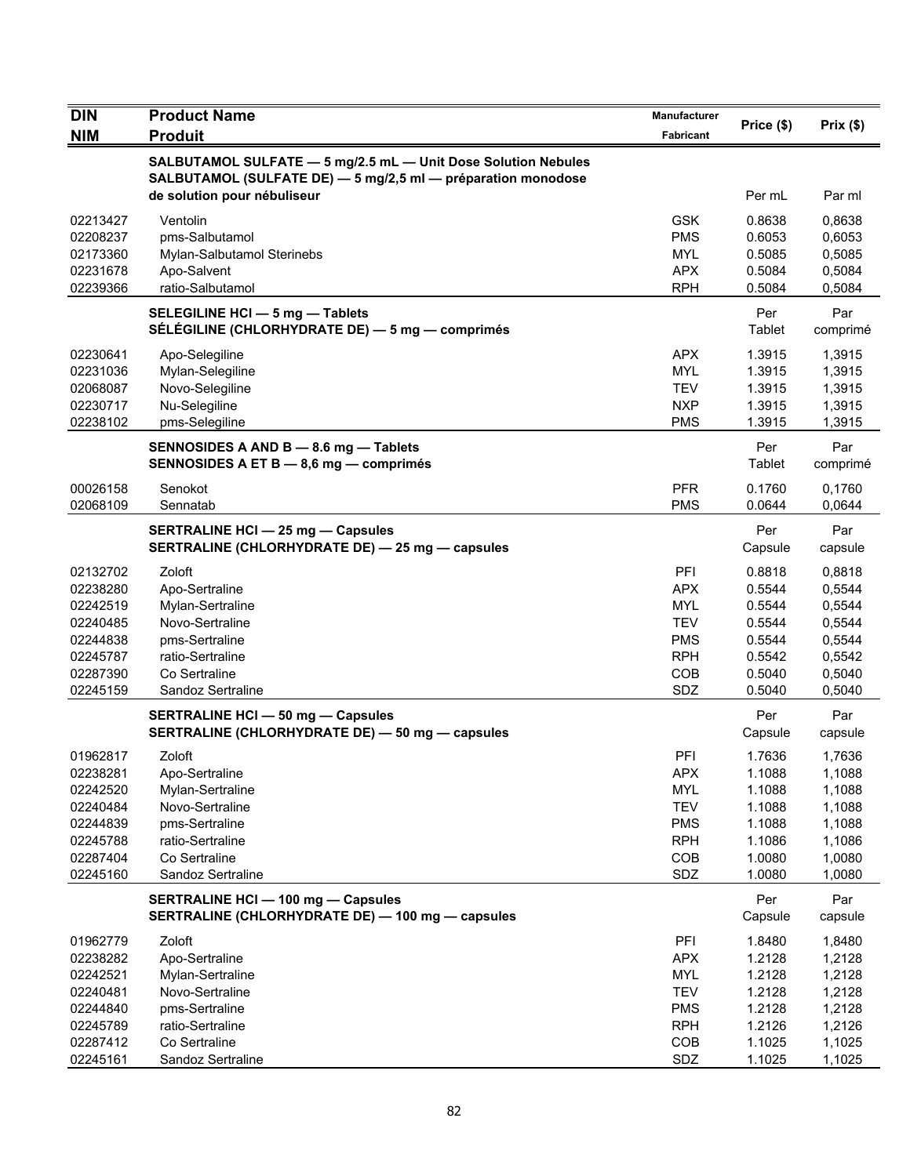| <b>DIN</b> | <b>Product Name</b>                                                                                                           | Manufacturer | Price (\$)     | Prix(\$)        |
|------------|-------------------------------------------------------------------------------------------------------------------------------|--------------|----------------|-----------------|
| <b>NIM</b> | <b>Produit</b>                                                                                                                | Fabricant    |                |                 |
|            | SALBUTAMOL SULFATE - 5 mg/2.5 mL - Unit Dose Solution Nebules<br>SALBUTAMOL (SULFATE DE) - 5 mg/2,5 ml - préparation monodose |              |                |                 |
|            | de solution pour nébuliseur                                                                                                   |              | Per mL         | Par ml          |
| 02213427   | Ventolin                                                                                                                      | <b>GSK</b>   | 0.8638         | 0,8638          |
| 02208237   | pms-Salbutamol                                                                                                                | <b>PMS</b>   | 0.6053         | 0,6053          |
| 02173360   | Mylan-Salbutamol Sterinebs                                                                                                    | <b>MYL</b>   | 0.5085         | 0,5085          |
| 02231678   | Apo-Salvent                                                                                                                   | <b>APX</b>   | 0.5084         | 0,5084          |
| 02239366   | ratio-Salbutamol                                                                                                              | <b>RPH</b>   | 0.5084         | 0,5084          |
|            | SELEGILINE HCI - 5 mg - Tablets<br>SÉLÉGILINE (CHLORHYDRATE DE) - 5 mg - comprimés                                            |              | Per<br>Tablet  | Par<br>comprimé |
| 02230641   | Apo-Selegiline                                                                                                                | <b>APX</b>   | 1.3915         | 1,3915          |
| 02231036   | Mylan-Selegiline                                                                                                              | <b>MYL</b>   | 1.3915         | 1,3915          |
| 02068087   | Novo-Selegiline                                                                                                               | <b>TEV</b>   | 1.3915         | 1,3915          |
| 02230717   | Nu-Selegiline                                                                                                                 | <b>NXP</b>   | 1.3915         | 1,3915          |
| 02238102   | pms-Selegiline                                                                                                                | <b>PMS</b>   | 1.3915         | 1,3915          |
|            | SENNOSIDES A AND B - 8.6 mg - Tablets<br>SENNOSIDES A ET B - 8,6 mg - comprimés                                               |              | Per<br>Tablet  | Par<br>comprimé |
| 00026158   | Senokot                                                                                                                       | <b>PFR</b>   | 0.1760         | 0,1760          |
| 02068109   | Sennatab                                                                                                                      | <b>PMS</b>   | 0.0644         | 0,0644          |
|            | <b>SERTRALINE HCI - 25 mg - Capsules</b><br>SERTRALINE (CHLORHYDRATE DE) - 25 mg - capsules                                   |              | Per<br>Capsule | Par<br>capsule  |
| 02132702   | Zoloft                                                                                                                        | PFI          | 0.8818         | 0,8818          |
| 02238280   | Apo-Sertraline                                                                                                                | <b>APX</b>   | 0.5544         | 0,5544          |
| 02242519   | Mylan-Sertraline                                                                                                              | <b>MYL</b>   | 0.5544         | 0,5544          |
| 02240485   | Novo-Sertraline                                                                                                               | TEV          | 0.5544         | 0,5544          |
| 02244838   | pms-Sertraline                                                                                                                | <b>PMS</b>   | 0.5544         | 0,5544          |
| 02245787   | ratio-Sertraline                                                                                                              | <b>RPH</b>   | 0.5542         | 0,5542          |
| 02287390   | Co Sertraline                                                                                                                 | COB          | 0.5040         | 0,5040          |
| 02245159   | Sandoz Sertraline                                                                                                             | SDZ          | 0.5040         | 0,5040          |
|            | <b>SERTRALINE HCI - 50 mg - Capsules</b><br>SERTRALINE (CHLORHYDRATE DE) - 50 mg - capsules                                   |              | Per<br>Capsule | Par<br>capsule  |
| 01962817   | Zoloft                                                                                                                        | PFI          | 1.7636         | 1,7636          |
| 02238281   | Apo-Sertraline                                                                                                                | APX          | 1.1088         | 1,1088          |
| 02242520   | Mylan-Sertraline                                                                                                              | <b>MYL</b>   | 1.1088         | 1,1088          |
| 02240484   | Novo-Sertraline                                                                                                               | <b>TEV</b>   | 1.1088         | 1,1088          |
| 02244839   | pms-Sertraline                                                                                                                | <b>PMS</b>   | 1.1088         | 1,1088          |
| 02245788   | ratio-Sertraline                                                                                                              | <b>RPH</b>   | 1.1086         | 1,1086          |
| 02287404   | Co Sertraline                                                                                                                 | COB          | 1.0080         | 1,0080          |
| 02245160   | Sandoz Sertraline                                                                                                             | SDZ          | 1.0080         | 1,0080          |
|            | <b>SERTRALINE HCI - 100 mg - Capsules</b><br>SERTRALINE (CHLORHYDRATE DE) - 100 mg - capsules                                 |              | Per<br>Capsule | Par<br>capsule  |
| 01962779   | Zoloft                                                                                                                        | <b>PFI</b>   | 1.8480         | 1,8480          |
| 02238282   | Apo-Sertraline                                                                                                                | <b>APX</b>   | 1.2128         | 1,2128          |
| 02242521   | Mylan-Sertraline                                                                                                              | <b>MYL</b>   | 1.2128         | 1,2128          |
| 02240481   | Novo-Sertraline                                                                                                               | <b>TEV</b>   | 1.2128         | 1,2128          |
| 02244840   | pms-Sertraline                                                                                                                | <b>PMS</b>   | 1.2128         | 1,2128          |
| 02245789   | ratio-Sertraline                                                                                                              | <b>RPH</b>   | 1.2126         | 1,2126          |
| 02287412   | Co Sertraline                                                                                                                 | COB          | 1.1025         | 1,1025          |
| 02245161   | Sandoz Sertraline                                                                                                             | SDZ          | 1.1025         | 1,1025          |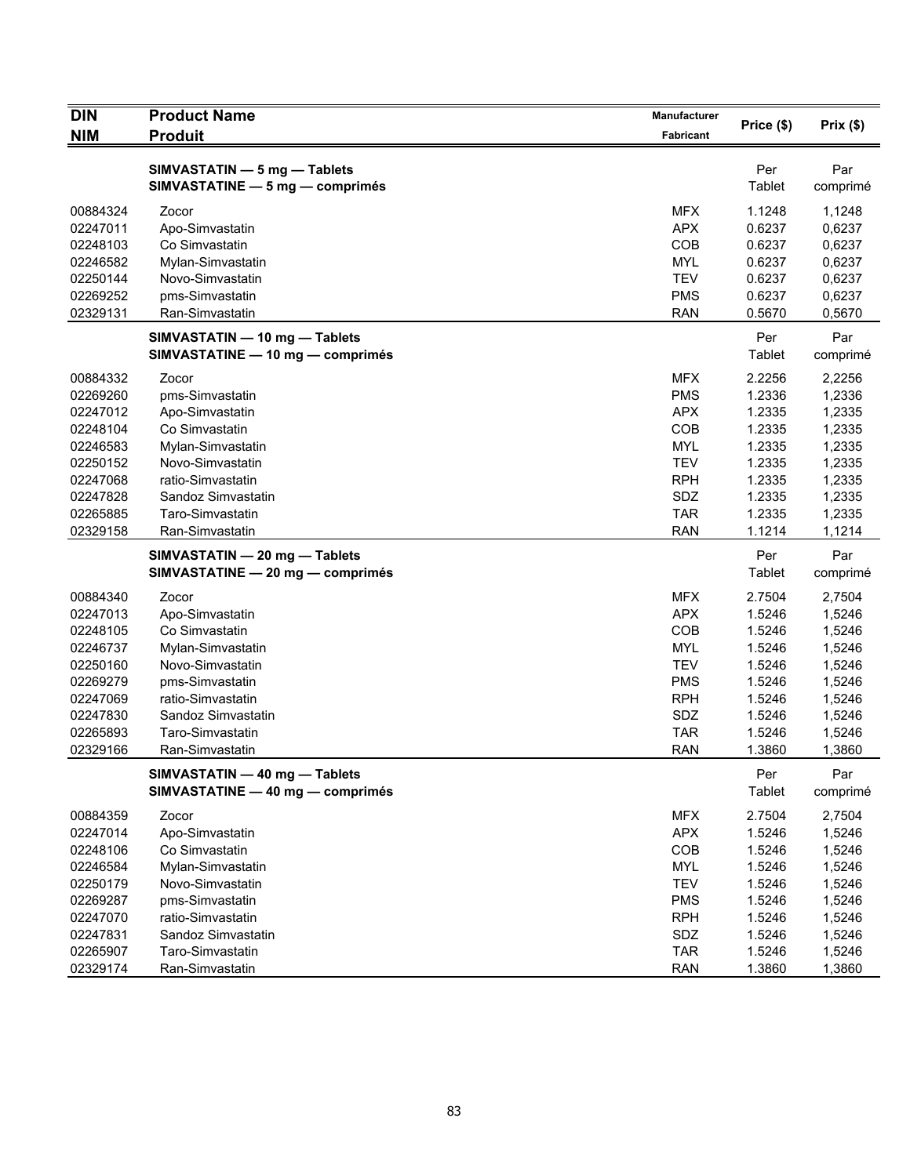| <b>DIN</b><br><b>NIM</b>                                                                                             | <b>Product Name</b><br><b>Produit</b>                                                                                                                                                    | Manufacturer<br>Fabricant                                                                                                  | Price (\$)                                                                                       | Prix(\$)                                                                                         |
|----------------------------------------------------------------------------------------------------------------------|------------------------------------------------------------------------------------------------------------------------------------------------------------------------------------------|----------------------------------------------------------------------------------------------------------------------------|--------------------------------------------------------------------------------------------------|--------------------------------------------------------------------------------------------------|
|                                                                                                                      | SIMVASTATIN - 5 mg - Tablets<br>SIMVASTATINE - 5 mg - comprimés                                                                                                                          |                                                                                                                            | Per<br>Tablet                                                                                    | Par<br>comprimé                                                                                  |
| 00884324<br>02247011<br>02248103<br>02246582<br>02250144<br>02269252<br>02329131                                     | Zocor<br>Apo-Simvastatin<br>Co Simvastatin<br>Mylan-Simvastatin<br>Novo-Simvastatin<br>pms-Simvastatin<br>Ran-Simvastatin                                                                | <b>MFX</b><br><b>APX</b><br>COB<br><b>MYL</b><br><b>TEV</b><br><b>PMS</b><br><b>RAN</b>                                    | 1.1248<br>0.6237<br>0.6237<br>0.6237<br>0.6237<br>0.6237<br>0.5670                               | 1,1248<br>0,6237<br>0,6237<br>0,6237<br>0,6237<br>0,6237<br>0,5670                               |
|                                                                                                                      | SIMVASTATIN - 10 mg - Tablets<br>SIMVASTATINE - 10 mg - comprimés                                                                                                                        |                                                                                                                            | Per<br>Tablet                                                                                    | Par<br>comprimé                                                                                  |
| 00884332<br>02269260<br>02247012<br>02248104<br>02246583<br>02250152<br>02247068<br>02247828<br>02265885<br>02329158 | Zocor<br>pms-Simvastatin<br>Apo-Simvastatin<br>Co Simvastatin<br>Mylan-Simvastatin<br>Novo-Simvastatin<br>ratio-Simvastatin<br>Sandoz Simvastatin<br>Taro-Simvastatin<br>Ran-Simvastatin | <b>MFX</b><br><b>PMS</b><br><b>APX</b><br>COB<br><b>MYL</b><br><b>TEV</b><br><b>RPH</b><br>SDZ<br><b>TAR</b><br><b>RAN</b> | 2.2256<br>1.2336<br>1.2335<br>1.2335<br>1.2335<br>1.2335<br>1.2335<br>1.2335<br>1.2335<br>1.1214 | 2,2256<br>1,2336<br>1,2335<br>1,2335<br>1,2335<br>1,2335<br>1,2335<br>1,2335<br>1,2335<br>1,1214 |
|                                                                                                                      | SIMVASTATIN - 20 mg - Tablets<br>SIMVASTATINE - 20 mg - comprimés                                                                                                                        |                                                                                                                            | Per<br>Tablet                                                                                    | Par<br>comprimé                                                                                  |
| 00884340<br>02247013<br>02248105<br>02246737<br>02250160<br>02269279<br>02247069<br>02247830<br>02265893<br>02329166 | Zocor<br>Apo-Simvastatin<br>Co Simvastatin<br>Mylan-Simvastatin<br>Novo-Simvastatin<br>pms-Simvastatin<br>ratio-Simvastatin<br>Sandoz Simvastatin<br>Taro-Simvastatin<br>Ran-Simvastatin | <b>MFX</b><br><b>APX</b><br>COB<br><b>MYL</b><br><b>TEV</b><br><b>PMS</b><br><b>RPH</b><br>SDZ<br><b>TAR</b><br><b>RAN</b> | 2.7504<br>1.5246<br>1.5246<br>1.5246<br>1.5246<br>1.5246<br>1.5246<br>1.5246<br>1.5246<br>1.3860 | 2,7504<br>1,5246<br>1,5246<br>1,5246<br>1,5246<br>1,5246<br>1,5246<br>1,5246<br>1,5246<br>1,3860 |
|                                                                                                                      | SIMVASTATIN - 40 mg - Tablets<br>SIMVASTATINE - 40 mg - comprimés                                                                                                                        |                                                                                                                            | Per<br>Tablet                                                                                    | Par<br>comprimé                                                                                  |
| 00884359<br>02247014<br>02248106<br>02246584<br>02250179<br>02269287<br>02247070<br>02247831<br>02265907             | Zocor<br>Apo-Simvastatin<br>Co Simvastatin<br>Mylan-Simvastatin<br>Novo-Simvastatin<br>pms-Simvastatin<br>ratio-Simvastatin<br>Sandoz Simvastatin<br>Taro-Simvastatin                    | <b>MFX</b><br><b>APX</b><br>COB<br><b>MYL</b><br><b>TEV</b><br><b>PMS</b><br><b>RPH</b><br>SDZ<br><b>TAR</b>               | 2.7504<br>1.5246<br>1.5246<br>1.5246<br>1.5246<br>1.5246<br>1.5246<br>1.5246<br>1.5246           | 2,7504<br>1,5246<br>1,5246<br>1,5246<br>1,5246<br>1,5246<br>1,5246<br>1,5246<br>1,5246           |
| 02329174                                                                                                             | Ran-Simvastatin                                                                                                                                                                          | <b>RAN</b>                                                                                                                 | 1.3860                                                                                           | 1,3860                                                                                           |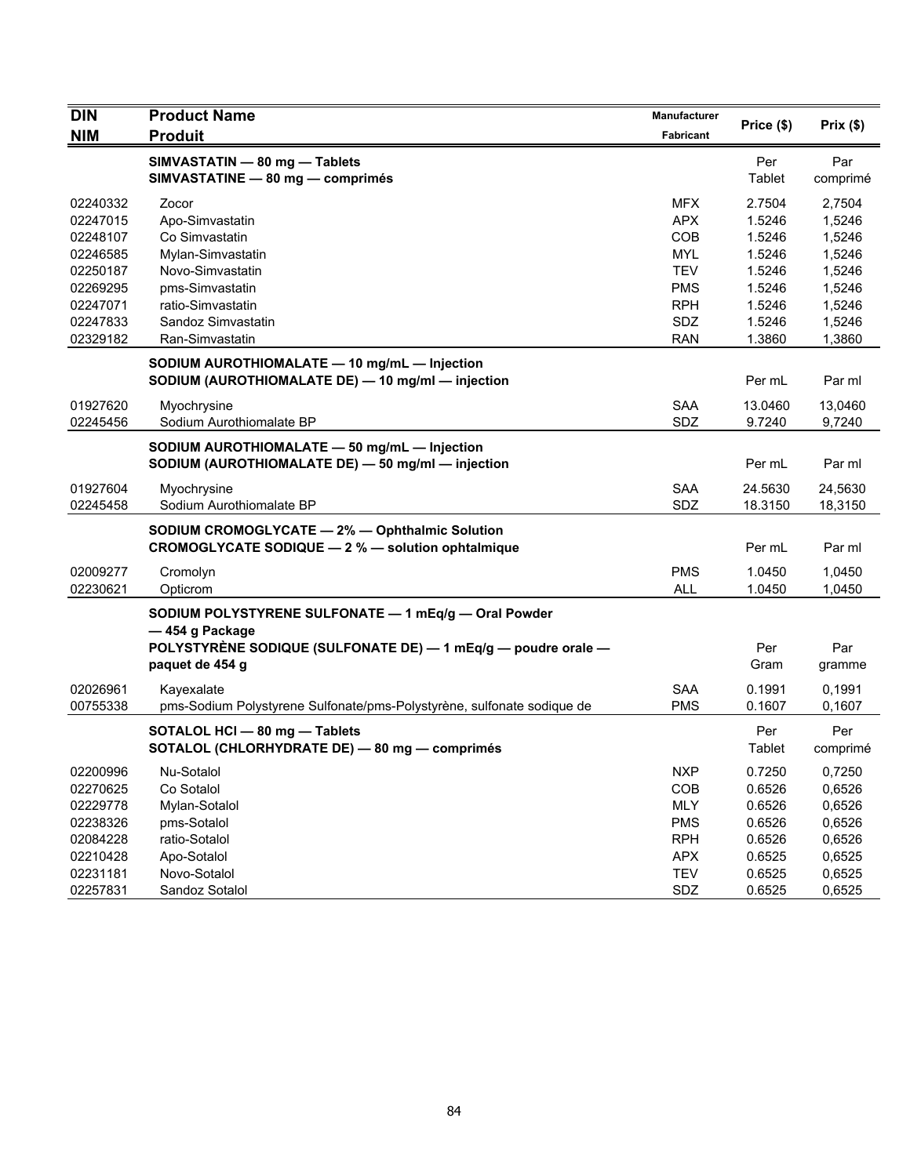| <b>DIN</b> | <b>Product Name</b>                                                    | Manufacturer |            | Prix(\$) |
|------------|------------------------------------------------------------------------|--------------|------------|----------|
| <b>NIM</b> | <b>Produit</b>                                                         | Fabricant    | Price (\$) |          |
|            | SIMVASTATIN - 80 mg - Tablets                                          |              | Per        | Par      |
|            | SIMVASTATINE - 80 mg - comprimés                                       |              | Tablet     | comprimé |
| 02240332   | Zocor                                                                  | <b>MFX</b>   | 2.7504     | 2,7504   |
| 02247015   | Apo-Simvastatin                                                        | <b>APX</b>   | 1.5246     | 1,5246   |
| 02248107   | Co Simvastatin                                                         | COB          | 1.5246     | 1,5246   |
| 02246585   | Mylan-Simvastatin                                                      | <b>MYL</b>   | 1.5246     | 1,5246   |
| 02250187   | Novo-Simvastatin                                                       | <b>TEV</b>   | 1.5246     | 1,5246   |
| 02269295   | pms-Simvastatin                                                        | <b>PMS</b>   | 1.5246     | 1,5246   |
| 02247071   | ratio-Simvastatin                                                      | <b>RPH</b>   | 1.5246     | 1,5246   |
| 02247833   | Sandoz Simvastatin                                                     | SDZ          | 1.5246     | 1,5246   |
| 02329182   | Ran-Simvastatin                                                        | <b>RAN</b>   | 1.3860     | 1,3860   |
|            | SODIUM AUROTHIOMALATE - 10 mg/mL - Injection                           |              |            |          |
|            | SODIUM (AUROTHIOMALATE DE) - 10 mg/ml - injection                      |              | Per mL     | Par ml   |
| 01927620   | Myochrysine                                                            | <b>SAA</b>   | 13.0460    | 13,0460  |
| 02245456   | Sodium Aurothiomalate BP                                               | SDZ          | 9.7240     | 9,7240   |
|            | SODIUM AUROTHIOMALATE - 50 mg/mL - Injection                           |              |            |          |
|            | SODIUM (AUROTHIOMALATE DE) - 50 mg/ml - injection                      |              | Per mL     | Par ml   |
| 01927604   | Myochrysine                                                            | SAA          | 24.5630    | 24,5630  |
| 02245458   | Sodium Aurothiomalate BP                                               | SDZ          | 18.3150    | 18,3150  |
|            | SODIUM CROMOGLYCATE - 2% - Ophthalmic Solution                         |              |            |          |
|            | CROMOGLYCATE SODIQUE - 2 % - solution ophtalmique                      |              | Per mL     | Par ml   |
| 02009277   | Cromolyn                                                               | <b>PMS</b>   | 1.0450     | 1,0450   |
| 02230621   | Opticrom                                                               | <b>ALL</b>   | 1.0450     | 1,0450   |
|            | SODIUM POLYSTYRENE SULFONATE - 1 mEq/g - Oral Powder                   |              |            |          |
|            | -454 g Package                                                         |              |            |          |
|            | POLYSTYRÈNE SODIQUE (SULFONATE DE) - 1 mEq/g - poudre orale -          |              | Per        | Par      |
|            | paquet de 454 g                                                        |              | Gram       | gramme   |
| 02026961   | Kayexalate                                                             | <b>SAA</b>   | 0.1991     | 0,1991   |
| 00755338   | pms-Sodium Polystyrene Sulfonate/pms-Polystyrène, sulfonate sodique de | <b>PMS</b>   | 0.1607     | 0,1607   |
|            | SOTALOL HCI - 80 mg - Tablets                                          |              | Per        | Per      |
|            | SOTALOL (CHLORHYDRATE DE) - 80 mg - comprimés                          |              | Tablet     | comprimé |
| 02200996   | Nu-Sotalol                                                             | <b>NXP</b>   | 0.7250     | 0,7250   |
| 02270625   | Co Sotalol                                                             | <b>COB</b>   | 0.6526     | 0,6526   |
| 02229778   | Mylan-Sotalol                                                          | MLY          | 0.6526     | 0,6526   |
| 02238326   | pms-Sotalol                                                            | <b>PMS</b>   | 0.6526     | 0,6526   |
| 02084228   | ratio-Sotalol                                                          | <b>RPH</b>   | 0.6526     | 0,6526   |
| 02210428   | Apo-Sotalol                                                            | <b>APX</b>   | 0.6525     | 0,6525   |
| 02231181   | Novo-Sotalol                                                           | <b>TEV</b>   | 0.6525     | 0,6525   |
| 02257831   | Sandoz Sotalol                                                         | SDZ          | 0.6525     | 0,6525   |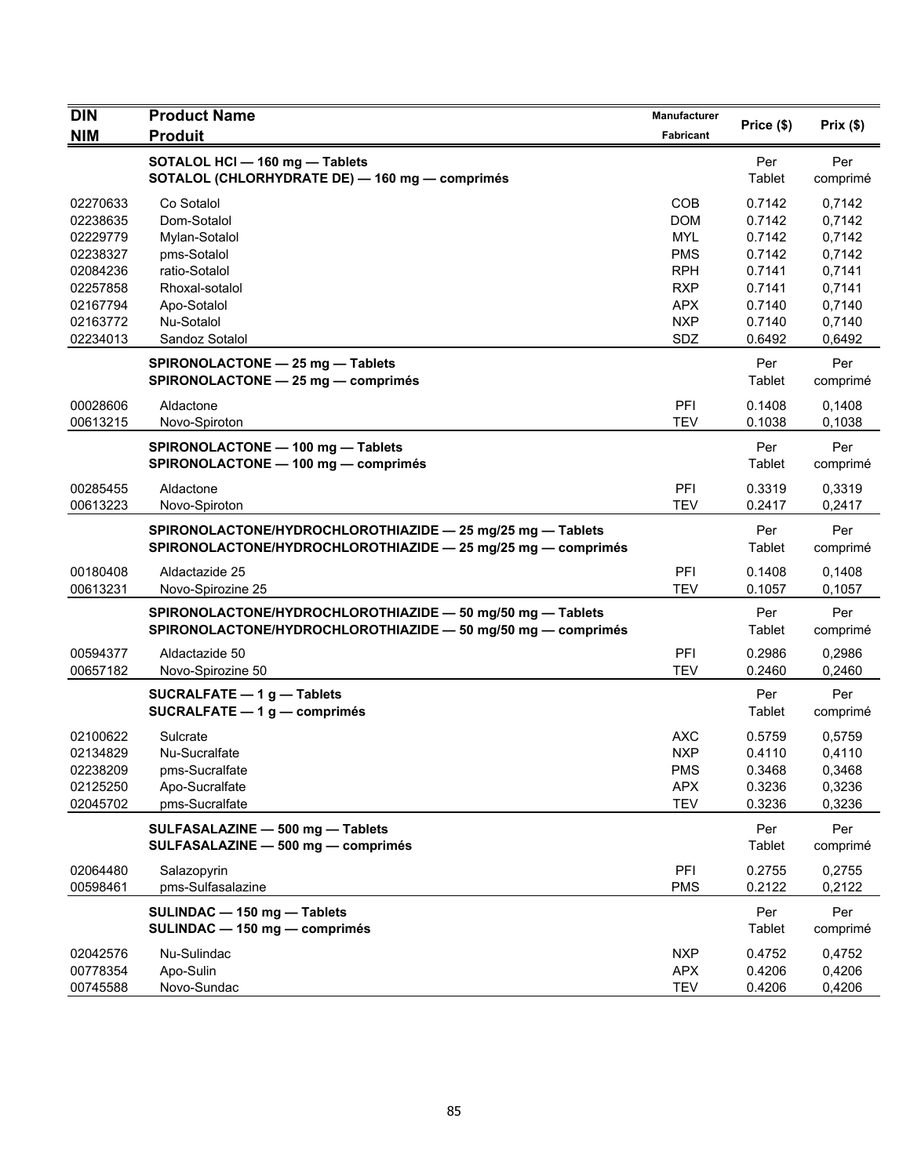| <b>DIN</b>           | <b>Product Name</b>                                                                                                        | Manufacturer      | Price (\$)       | Prix $(\$)$      |
|----------------------|----------------------------------------------------------------------------------------------------------------------------|-------------------|------------------|------------------|
| <b>NIM</b>           | <b>Produit</b>                                                                                                             | <b>Fabricant</b>  |                  |                  |
|                      | SOTALOL HCI - 160 mg - Tablets<br>SOTALOL (CHLORHYDRATE DE) - 160 mg - comprimés                                           |                   | Per<br>Tablet    | Per<br>comprimé  |
| 02270633             | Co Sotalol                                                                                                                 | COB               | 0.7142           | 0.7142           |
| 02238635             | Dom-Sotalol                                                                                                                | <b>DOM</b>        | 0.7142           | 0,7142           |
| 02229779             | Mylan-Sotalol                                                                                                              | <b>MYL</b>        | 0.7142           | 0,7142           |
| 02238327             | pms-Sotalol                                                                                                                | <b>PMS</b>        | 0.7142           | 0,7142           |
| 02084236             | ratio-Sotalol                                                                                                              | <b>RPH</b>        | 0.7141           | 0,7141           |
| 02257858             | Rhoxal-sotalol                                                                                                             | <b>RXP</b>        | 0.7141           | 0,7141           |
| 02167794             | Apo-Sotalol                                                                                                                | <b>APX</b>        | 0.7140           | 0,7140           |
| 02163772<br>02234013 | Nu-Sotalol<br>Sandoz Sotalol                                                                                               | <b>NXP</b><br>SDZ | 0.7140<br>0.6492 | 0,7140<br>0,6492 |
|                      | SPIRONOLACTONE - 25 mg - Tablets                                                                                           |                   | Per              | Per              |
|                      | SPIRONOLACTONE - 25 mg - comprimés                                                                                         |                   | Tablet           | comprimé         |
| 00028606             | Aldactone                                                                                                                  | PFI               | 0.1408           | 0,1408           |
| 00613215             | Novo-Spiroton                                                                                                              | <b>TEV</b>        | 0.1038           | 0,1038           |
|                      | SPIRONOLACTONE - 100 mg - Tablets<br>SPIRONOLACTONE - 100 mg - comprimés                                                   |                   | Per<br>Tablet    | Per<br>comprimé  |
| 00285455             | Aldactone                                                                                                                  | PFI               | 0.3319           | 0,3319           |
| 00613223             | Novo-Spiroton                                                                                                              | <b>TEV</b>        | 0.2417           | 0,2417           |
|                      | SPIRONOLACTONE/HYDROCHLOROTHIAZIDE - 25 mg/25 mg - Tablets<br>SPIRONOLACTONE/HYDROCHLOROTHIAZIDE - 25 mg/25 mg - comprimés |                   | Per<br>Tablet    | Per<br>comprimé  |
| 00180408<br>00613231 | Aldactazide 25<br>Novo-Spirozine 25                                                                                        | PFI<br><b>TEV</b> | 0.1408<br>0.1057 | 0,1408<br>0.1057 |
|                      | SPIRONOLACTONE/HYDROCHLOROTHIAZIDE - 50 mg/50 mg - Tablets                                                                 |                   | Per              | Per              |
|                      | SPIRONOLACTONE/HYDROCHLOROTHIAZIDE - 50 mg/50 mg - comprimés                                                               |                   | Tablet           | comprimé         |
| 00594377             | Aldactazide 50                                                                                                             | PFI               | 0.2986           | 0,2986           |
| 00657182             | Novo-Spirozine 50                                                                                                          | <b>TEV</b>        | 0.2460           | 0,2460           |
|                      | SUCRALFATE $-1$ q $-$ Tablets<br>SUCRALFATE - 1 g - comprimés                                                              |                   | Per<br>Tablet    | Per<br>comprimé  |
| 02100622             | Sulcrate                                                                                                                   | <b>AXC</b>        | 0.5759           | 0,5759           |
| 02134829             | Nu-Sucralfate                                                                                                              | <b>NXP</b>        | 0.4110           | 0,4110           |
| 02238209             | pms-Sucralfate                                                                                                             | <b>PMS</b>        | 0.3468           | 0,3468           |
| 02125250             | Apo-Sucralfate                                                                                                             | <b>APX</b>        | 0.3236           | 0,3236           |
| 02045702             | pms-Sucralfate                                                                                                             | <b>TEV</b>        | 0.3236           | 0,3236           |
|                      | SULFASALAZINE - 500 mg - Tablets<br>SULFASALAZINE - 500 mg - comprimés                                                     |                   | Per<br>Tablet    | Per<br>comprimé  |
| 02064480             | Salazopyrin                                                                                                                | PFI               | 0.2755           | 0,2755           |
| 00598461             | pms-Sulfasalazine                                                                                                          | <b>PMS</b>        | 0.2122           | 0,2122           |
|                      | SULINDAC - 150 mg - Tablets<br>SULINDAC - 150 mg - comprimés                                                               |                   | Per<br>Tablet    | Per<br>comprimé  |
| 02042576             | Nu-Sulindac                                                                                                                | <b>NXP</b>        | 0.4752           | 0,4752           |
| 00778354             | Apo-Sulin                                                                                                                  | <b>APX</b>        | 0.4206           | 0,4206           |
| 00745588             | Novo-Sundac                                                                                                                | TEV               | 0.4206           | 0,4206           |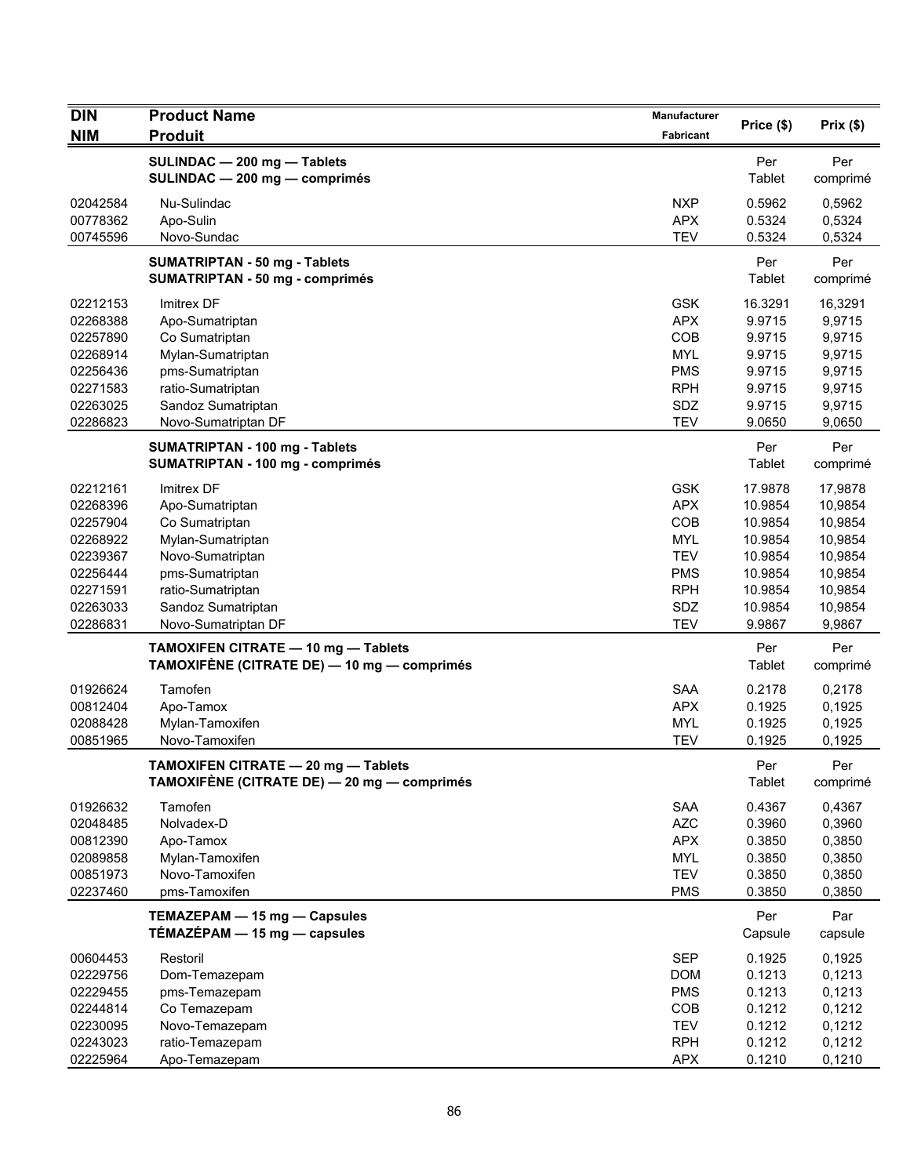| <b>DIN</b>                                                                                               | <b>Product Name</b>                                                                                                                                                                  | Manufacturer                                                                                                 |                                                                                                |                                                                                                |
|----------------------------------------------------------------------------------------------------------|--------------------------------------------------------------------------------------------------------------------------------------------------------------------------------------|--------------------------------------------------------------------------------------------------------------|------------------------------------------------------------------------------------------------|------------------------------------------------------------------------------------------------|
| <b>NIM</b>                                                                                               | <b>Produit</b>                                                                                                                                                                       | Fabricant                                                                                                    | Price (\$)                                                                                     | Prix(\$)                                                                                       |
|                                                                                                          | SULINDAC - 200 mg - Tablets<br>SULINDAC - 200 mg - comprimés                                                                                                                         |                                                                                                              | Per<br>Tablet                                                                                  | Per<br>comprimé                                                                                |
| 02042584<br>00778362<br>00745596                                                                         | Nu-Sulindac<br>Apo-Sulin<br>Novo-Sundac                                                                                                                                              | <b>NXP</b><br><b>APX</b><br><b>TEV</b>                                                                       | 0.5962<br>0.5324<br>0.5324                                                                     | 0,5962<br>0,5324<br>0,5324                                                                     |
|                                                                                                          | <b>SUMATRIPTAN - 50 mg - Tablets</b><br><b>SUMATRIPTAN - 50 mg - comprimés</b>                                                                                                       |                                                                                                              | Per<br>Tablet                                                                                  | Per<br>comprimé                                                                                |
| 02212153<br>02268388<br>02257890<br>02268914<br>02256436<br>02271583<br>02263025                         | Imitrex DF<br>Apo-Sumatriptan<br>Co Sumatriptan<br>Mylan-Sumatriptan<br>pms-Sumatriptan<br>ratio-Sumatriptan<br>Sandoz Sumatriptan                                                   | <b>GSK</b><br><b>APX</b><br>COB<br><b>MYL</b><br><b>PMS</b><br><b>RPH</b><br>SDZ                             | 16.3291<br>9.9715<br>9.9715<br>9.9715<br>9.9715<br>9.9715<br>9.9715                            | 16,3291<br>9,9715<br>9,9715<br>9,9715<br>9,9715<br>9,9715<br>9,9715                            |
| 02286823                                                                                                 | Novo-Sumatriptan DF<br>SUMATRIPTAN - 100 mg - Tablets<br>SUMATRIPTAN - 100 mg - comprimés                                                                                            | <b>TEV</b>                                                                                                   | 9.0650<br>Per<br>Tablet                                                                        | 9,0650<br>Per<br>comprimé                                                                      |
| 02212161<br>02268396<br>02257904<br>02268922<br>02239367<br>02256444<br>02271591<br>02263033<br>02286831 | <b>Imitrex DF</b><br>Apo-Sumatriptan<br>Co Sumatriptan<br>Mylan-Sumatriptan<br>Novo-Sumatriptan<br>pms-Sumatriptan<br>ratio-Sumatriptan<br>Sandoz Sumatriptan<br>Novo-Sumatriptan DF | <b>GSK</b><br><b>APX</b><br>COB<br><b>MYL</b><br><b>TEV</b><br><b>PMS</b><br><b>RPH</b><br>SDZ<br><b>TEV</b> | 17.9878<br>10.9854<br>10.9854<br>10.9854<br>10.9854<br>10.9854<br>10.9854<br>10.9854<br>9.9867 | 17,9878<br>10,9854<br>10,9854<br>10,9854<br>10,9854<br>10,9854<br>10,9854<br>10,9854<br>9,9867 |
|                                                                                                          | TAMOXIFEN CITRATE - 10 mg - Tablets<br>TAMOXIFÈNE (CITRATE DE) — 10 mg — comprimés                                                                                                   |                                                                                                              | Per<br>Tablet                                                                                  | Per<br>comprimé                                                                                |
| 01926624<br>00812404<br>02088428<br>00851965                                                             | Tamofen<br>Apo-Tamox<br>Mylan-Tamoxifen<br>Novo-Tamoxifen                                                                                                                            | <b>SAA</b><br><b>APX</b><br><b>MYL</b><br><b>TEV</b>                                                         | 0.2178<br>0.1925<br>0.1925<br>0.1925                                                           | 0,2178<br>0,1925<br>0,1925<br>0,1925                                                           |
|                                                                                                          | TAMOXIFEN CITRATE - 20 mg - Tablets<br>TAMOXIFÈNE (CITRATE DE) - 20 mg - comprimés                                                                                                   |                                                                                                              | Per<br>Tablet                                                                                  | Per<br>comprimé                                                                                |
| 01926632<br>02048485<br>00812390<br>02089858<br>00851973<br>02237460                                     | Tamofen<br>Nolvadex-D<br>Apo-Tamox<br>Mylan-Tamoxifen<br>Novo-Tamoxifen<br>pms-Tamoxifen                                                                                             | <b>SAA</b><br><b>AZC</b><br><b>APX</b><br>MYL<br><b>TEV</b><br><b>PMS</b>                                    | 0.4367<br>0.3960<br>0.3850<br>0.3850<br>0.3850<br>0.3850                                       | 0,4367<br>0,3960<br>0,3850<br>0,3850<br>0,3850<br>0,3850                                       |
|                                                                                                          | TEMAZEPAM - 15 mg - Capsules<br>$TÉMAZÉPAM - 15 mg - capsules$                                                                                                                       |                                                                                                              | Per<br>Capsule                                                                                 | Par<br>capsule                                                                                 |
| 00604453<br>02229756<br>02229455<br>02244814<br>02230095<br>02243023                                     | Restoril<br>Dom-Temazepam<br>pms-Temazepam<br>Co Temazepam<br>Novo-Temazepam<br>ratio-Temazepam                                                                                      | <b>SEP</b><br><b>DOM</b><br><b>PMS</b><br>COB<br><b>TEV</b><br><b>RPH</b>                                    | 0.1925<br>0.1213<br>0.1213<br>0.1212<br>0.1212<br>0.1212                                       | 0,1925<br>0,1213<br>0,1213<br>0,1212<br>0,1212<br>0,1212                                       |
| 02225964                                                                                                 | Apo-Temazepam                                                                                                                                                                        | <b>APX</b>                                                                                                   | 0.1210                                                                                         | 0,1210                                                                                         |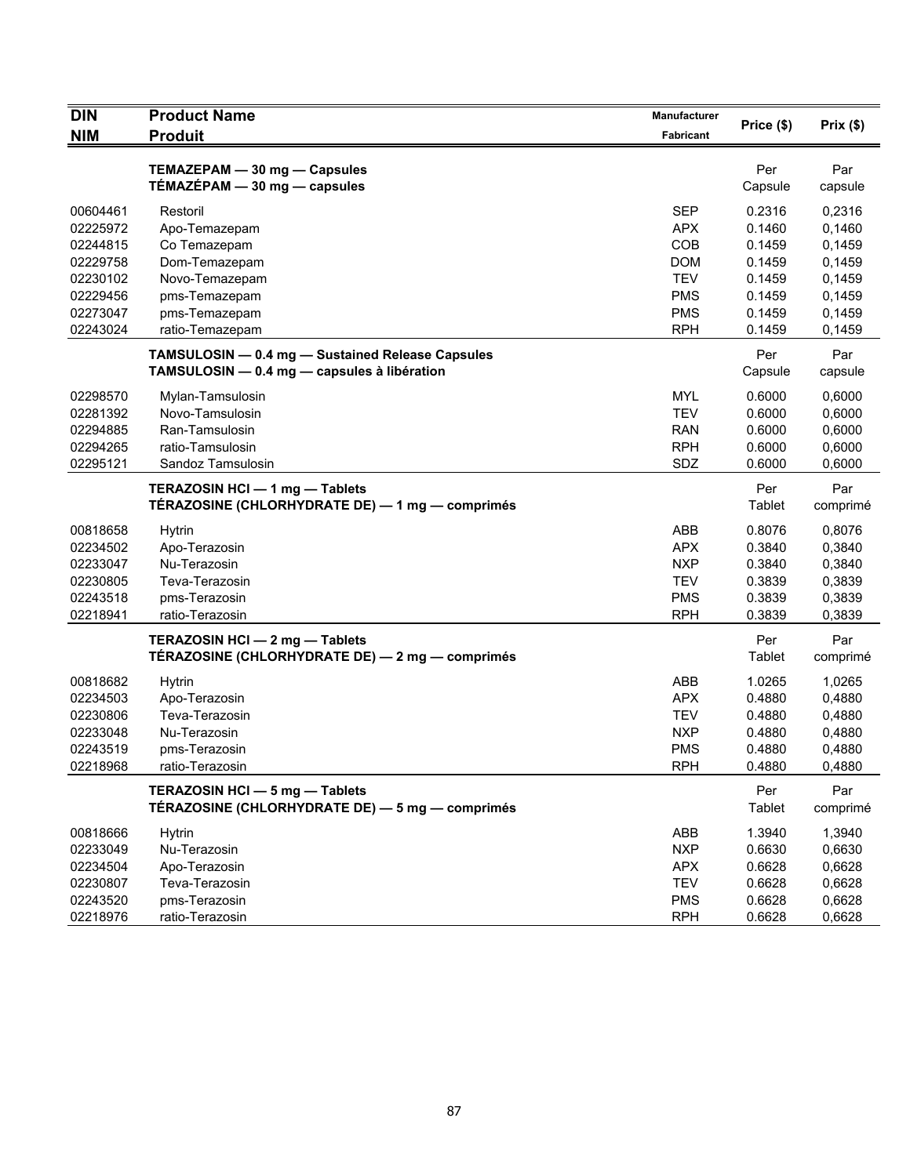| <b>DIN</b>           | <b>Product Name</b>                              | Manufacturer             | Price (\$)       | Prix(\$)         |
|----------------------|--------------------------------------------------|--------------------------|------------------|------------------|
| <b>NIM</b>           | <b>Produit</b>                                   | Fabricant                |                  |                  |
|                      | TEMAZEPAM - 30 mg - Capsules                     |                          | Per              | Par              |
|                      | $TÉMAZÉPAM - 30 mg - capsules$                   |                          | Capsule          | capsule          |
|                      |                                                  |                          |                  |                  |
| 00604461             | Restoril                                         | <b>SEP</b>               | 0.2316           | 0,2316           |
| 02225972             | Apo-Temazepam                                    | <b>APX</b>               | 0.1460           | 0,1460           |
| 02244815             | Co Temazepam                                     | COB                      | 0.1459           | 0,1459           |
| 02229758             | Dom-Temazepam                                    | <b>DOM</b>               | 0.1459           | 0,1459           |
| 02230102             | Novo-Temazepam                                   | <b>TEV</b>               | 0.1459           | 0,1459           |
| 02229456<br>02273047 | pms-Temazepam<br>pms-Temazepam                   | <b>PMS</b><br><b>PMS</b> | 0.1459<br>0.1459 | 0,1459           |
| 02243024             | ratio-Temazepam                                  | <b>RPH</b>               | 0.1459           | 0,1459<br>0,1459 |
|                      |                                                  |                          |                  |                  |
|                      | TAMSULOSIN - 0.4 mg - Sustained Release Capsules |                          | Per              | Par              |
|                      | TAMSULOSIN - 0.4 mg - capsules à libération      |                          | Capsule          | capsule          |
| 02298570             | Mylan-Tamsulosin                                 | <b>MYL</b>               | 0.6000           | 0,6000           |
| 02281392             | Novo-Tamsulosin                                  | <b>TEV</b>               | 0.6000           | 0,6000           |
| 02294885             | Ran-Tamsulosin                                   | <b>RAN</b>               | 0.6000           | 0,6000           |
| 02294265             | ratio-Tamsulosin                                 | <b>RPH</b>               | 0.6000           | 0,6000           |
| 02295121             | Sandoz Tamsulosin                                | SDZ                      | 0.6000           | 0,6000           |
|                      | TERAZOSIN HCI - 1 mg - Tablets                   |                          | Per              | Par              |
|                      | TÉRAZOSINE (CHLORHYDRATE DE) - 1 mg - comprimés  |                          | Tablet           | comprimé         |
| 00818658             | Hytrin                                           | ABB                      | 0.8076           | 0,8076           |
| 02234502             | Apo-Terazosin                                    | <b>APX</b>               | 0.3840           | 0,3840           |
| 02233047             | Nu-Terazosin                                     | <b>NXP</b>               | 0.3840           | 0,3840           |
| 02230805             | Teva-Terazosin                                   | <b>TEV</b>               | 0.3839           | 0,3839           |
| 02243518             | pms-Terazosin                                    | <b>PMS</b>               | 0.3839           | 0,3839           |
| 02218941             | ratio-Terazosin                                  | <b>RPH</b>               | 0.3839           | 0,3839           |
|                      | TERAZOSIN HCI - 2 mg - Tablets                   |                          | Per              | Par              |
|                      | TÉRAZOSINE (CHLORHYDRATE DE) - 2 mg - comprimés  |                          | Tablet           | comprimé         |
| 00818682             | <b>Hytrin</b>                                    | ABB                      | 1.0265           | 1,0265           |
| 02234503             | Apo-Terazosin                                    | <b>APX</b>               | 0.4880           | 0,4880           |
| 02230806             | Teva-Terazosin                                   | <b>TEV</b>               | 0.4880           | 0,4880           |
| 02233048             | Nu-Terazosin                                     | <b>NXP</b>               | 0.4880           | 0,4880           |
| 02243519             | pms-Terazosin                                    | <b>PMS</b>               | 0.4880           | 0,4880           |
| 02218968             | ratio-Terazosin                                  | RPH                      | 0.4880           | 0.4880           |
|                      | TERAZOSIN HCI - 5 mg - Tablets                   |                          | Per              | Par              |
|                      | TÉRAZOSINE (CHLORHYDRATE DE) — 5 mg — comprimés  |                          | Tablet           | comprimé         |
|                      |                                                  |                          |                  |                  |
| 00818666             | <b>Hytrin</b>                                    | ABB                      | 1.3940           | 1,3940           |
| 02233049<br>02234504 | Nu-Terazosin                                     | <b>NXP</b>               | 0.6630           | 0,6630           |
| 02230807             | Apo-Terazosin<br>Teva-Terazosin                  | <b>APX</b><br><b>TEV</b> | 0.6628<br>0.6628 | 0,6628<br>0,6628 |
| 02243520             | pms-Terazosin                                    | <b>PMS</b>               | 0.6628           | 0,6628           |
| 02218976             | ratio-Terazosin                                  | <b>RPH</b>               | 0.6628           | 0,6628           |
|                      |                                                  |                          |                  |                  |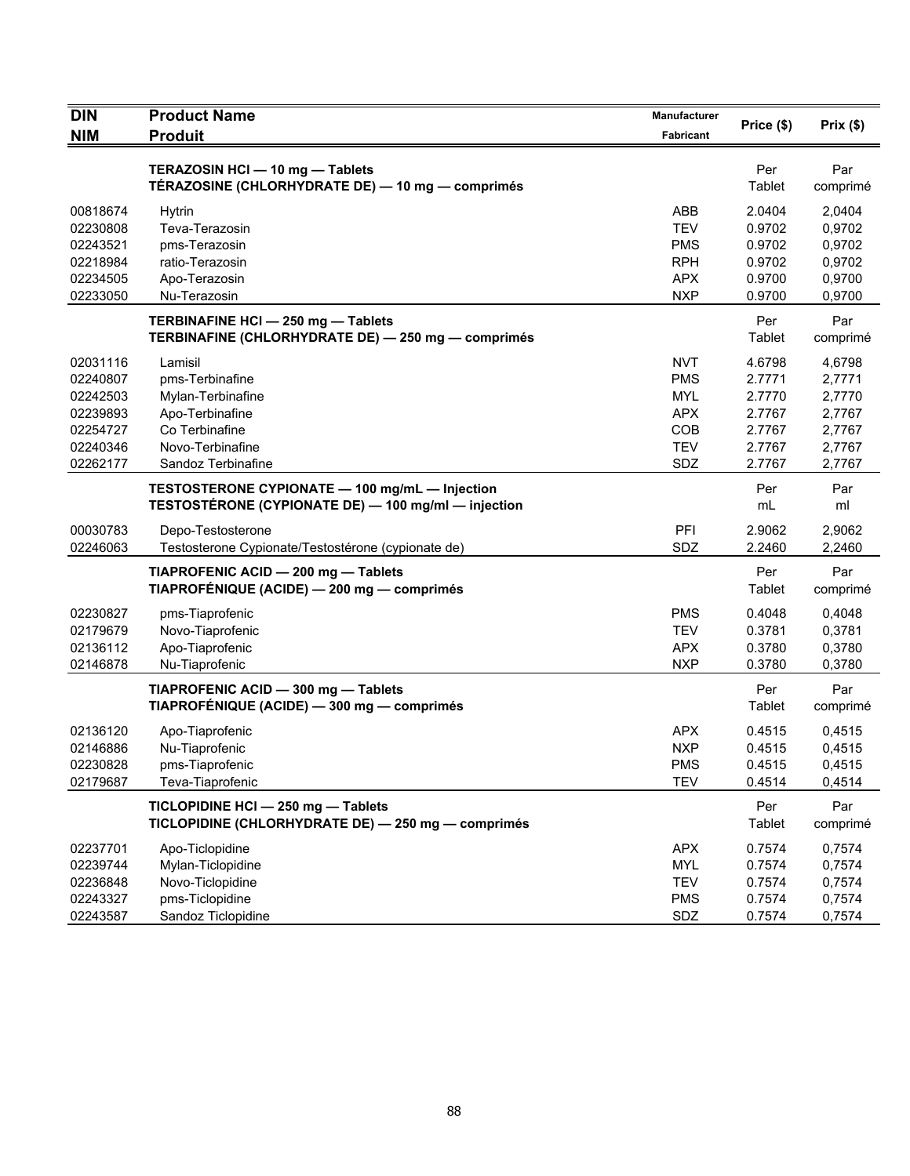| <b>DIN</b>           | <b>Product Name</b>                                                                                   | Manufacturer             | Price (\$)       | Prix(\$)         |
|----------------------|-------------------------------------------------------------------------------------------------------|--------------------------|------------------|------------------|
| <b>NIM</b>           | <b>Produit</b>                                                                                        | Fabricant                |                  |                  |
|                      | TERAZOSIN HCI - 10 mg - Tablets<br>TÉRAZOSINE (CHLORHYDRATE DE) — 10 mg — comprimés                   |                          | Per<br>Tablet    | Par<br>comprimé  |
| 00818674             | <b>Hytrin</b>                                                                                         | ABB                      | 2.0404           | 2,0404           |
| 02230808             | Teva-Terazosin                                                                                        | <b>TEV</b>               | 0.9702           | 0,9702           |
| 02243521             | pms-Terazosin                                                                                         | <b>PMS</b>               | 0.9702           | 0,9702           |
| 02218984             | ratio-Terazosin                                                                                       | <b>RPH</b>               | 0.9702           | 0,9702           |
| 02234505<br>02233050 | Apo-Terazosin<br>Nu-Terazosin                                                                         | <b>APX</b><br><b>NXP</b> | 0.9700<br>0.9700 | 0,9700<br>0,9700 |
|                      | TERBINAFINE HCI - 250 mg - Tablets<br>TERBINAFINE (CHLORHYDRATE DE) - 250 mg - comprimés              |                          | Per<br>Tablet    | Par<br>comprimé  |
| 02031116             | Lamisil                                                                                               | <b>NVT</b>               | 4.6798           | 4,6798           |
| 02240807             | pms-Terbinafine                                                                                       | <b>PMS</b>               | 2.7771           | 2,7771           |
| 02242503             | Mylan-Terbinafine                                                                                     | <b>MYL</b>               | 2.7770           | 2,7770           |
| 02239893             | Apo-Terbinafine                                                                                       | <b>APX</b>               | 2.7767           | 2,7767           |
| 02254727             | Co Terbinafine                                                                                        | COB                      | 2.7767           | 2,7767           |
| 02240346             | Novo-Terbinafine                                                                                      | <b>TEV</b>               | 2.7767           | 2,7767           |
| 02262177             | Sandoz Terbinafine                                                                                    | SDZ                      | 2.7767           | 2,7767           |
|                      | TESTOSTERONE CYPIONATE - 100 mg/mL - Injection<br>TESTOSTÉRONE (CYPIONATE DE) - 100 mg/ml - injection |                          | Per<br>mL        | Par<br>ml        |
| 00030783             | Depo-Testosterone                                                                                     | PFI                      | 2.9062           | 2,9062           |
| 02246063             | Testosterone Cypionate/Testostérone (cypionate de)                                                    | SDZ                      | 2.2460           | 2,2460           |
|                      | TIAPROFENIC ACID - 200 mg - Tablets<br>TIAPROFÉNIQUE (ACIDE) - 200 mg - comprimés                     |                          | Per<br>Tablet    | Par<br>comprimé  |
| 02230827             | pms-Tiaprofenic                                                                                       | <b>PMS</b>               | 0.4048           | 0,4048           |
| 02179679             | Novo-Tiaprofenic                                                                                      | <b>TEV</b>               | 0.3781           | 0,3781           |
| 02136112             | Apo-Tiaprofenic                                                                                       | <b>APX</b>               | 0.3780           | 0,3780           |
| 02146878             | Nu-Tiaprofenic                                                                                        | <b>NXP</b>               | 0.3780           | 0,3780           |
|                      | TIAPROFENIC ACID - 300 mg - Tablets<br>TIAPROFÉNIQUE (ACIDE) - 300 mg - comprimés                     |                          | Per<br>Tablet    | Par<br>comprimé  |
| 02136120             | Apo-Tiaprofenic                                                                                       | <b>APX</b>               | 0.4515           | 0,4515           |
| 02146886             | Nu-Tiaprofenic                                                                                        | <b>NXP</b>               | 0.4515           | 0,4515           |
| 02230828             | pms-Tiaprofenic                                                                                       | <b>PMS</b>               | 0.4515           | 0,4515           |
| 02179687             | Teva-Tiaprofenic                                                                                      | <b>TEV</b>               | 0.4514           | 0,4514           |
|                      | TICLOPIDINE HCI - 250 mg - Tablets<br>TICLOPIDINE (CHLORHYDRATE DE) - 250 mg - comprimés              |                          | Per<br>Tablet    | Par<br>comprimé  |
| 02237701             | Apo-Ticlopidine                                                                                       | <b>APX</b>               | 0.7574           | 0,7574           |
| 02239744             | Mylan-Ticlopidine                                                                                     | <b>MYL</b>               | 0.7574           | 0,7574           |
| 02236848             | Novo-Ticlopidine                                                                                      | <b>TEV</b>               | 0.7574           | 0,7574           |
| 02243327             | pms-Ticlopidine                                                                                       | <b>PMS</b>               | 0.7574           | 0,7574           |
| 02243587             | Sandoz Ticlopidine                                                                                    | SDZ                      | 0.7574           | 0,7574           |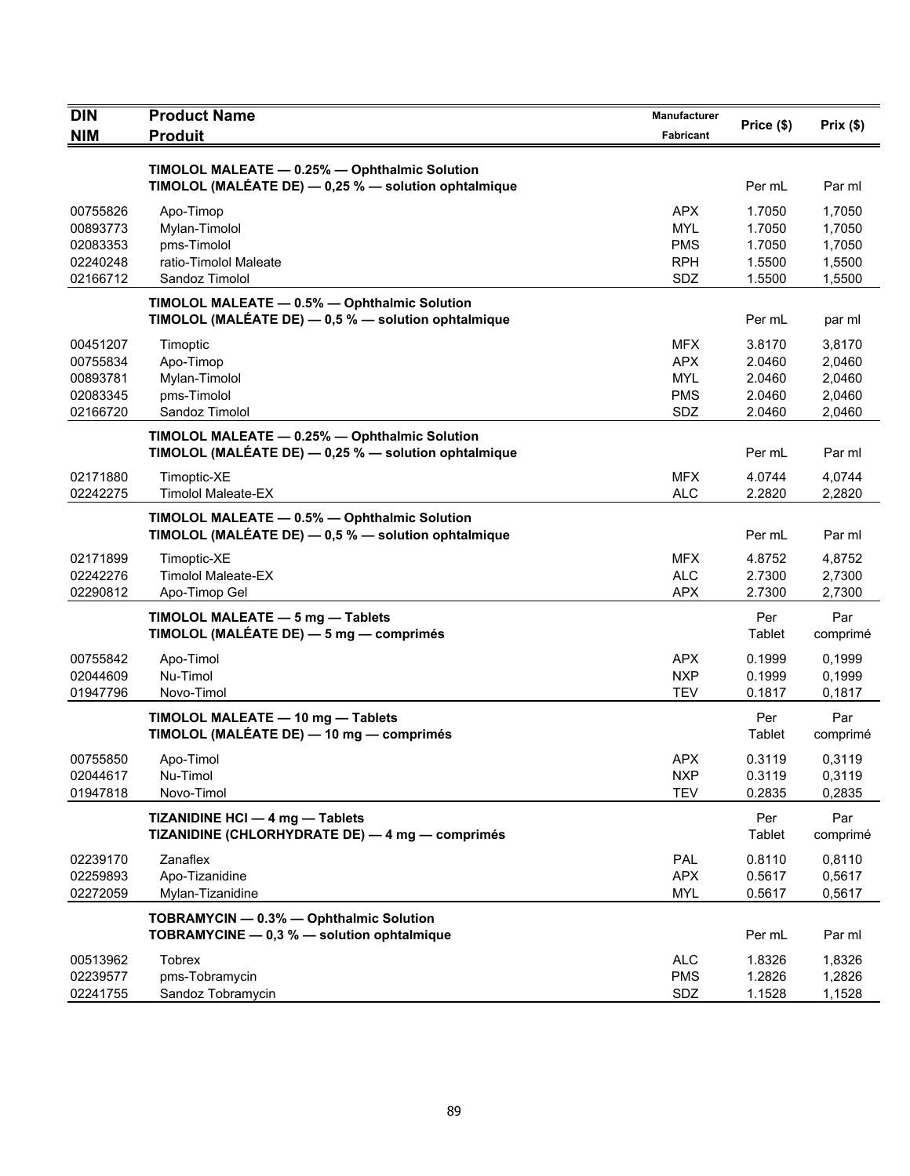| <b>DIN</b><br><b>NIM</b>                                 | <b>Product Name</b><br><b>Produit</b>                                                                 | <b>Manufacturer</b><br>Fabricant                            | Price (\$)                                     | Prix $(\$)$                                    |
|----------------------------------------------------------|-------------------------------------------------------------------------------------------------------|-------------------------------------------------------------|------------------------------------------------|------------------------------------------------|
|                                                          | TIMOLOL MALEATE - 0.25% - Ophthalmic Solution<br>TIMOLOL (MALÉATE DE) - 0,25 % - solution ophtalmique |                                                             | Per mL                                         | Par ml                                         |
| 00755826<br>00893773<br>02083353<br>02240248<br>02166712 | Apo-Timop<br>Mylan-Timolol<br>pms-Timolol<br>ratio-Timolol Maleate<br>Sandoz Timolol                  | <b>APX</b><br><b>MYL</b><br><b>PMS</b><br><b>RPH</b><br>SDZ | 1.7050<br>1.7050<br>1.7050<br>1.5500<br>1.5500 | 1.7050<br>1,7050<br>1,7050<br>1,5500<br>1,5500 |
|                                                          | TIMOLOL MALEATE - 0.5% - Ophthalmic Solution<br>TIMOLOL (MALÉATE DE) - 0,5 % - solution ophtalmique   |                                                             | Per mL                                         | par ml                                         |
| 00451207<br>00755834<br>00893781<br>02083345<br>02166720 | Timoptic<br>Apo-Timop<br>Mylan-Timolol<br>pms-Timolol<br>Sandoz Timolol                               | <b>MFX</b><br><b>APX</b><br><b>MYL</b><br><b>PMS</b><br>SDZ | 3.8170<br>2.0460<br>2.0460<br>2.0460<br>2.0460 | 3,8170<br>2,0460<br>2,0460<br>2,0460<br>2,0460 |
|                                                          | TIMOLOL MALEATE - 0.25% - Ophthalmic Solution<br>TIMOLOL (MALÉATE DE) - 0,25 % - solution ophtalmique |                                                             | Per mL                                         | Par ml                                         |
| 02171880<br>02242275                                     | Timoptic-XE<br><b>Timolol Maleate-EX</b><br>TIMOLOL MALEATE - 0.5% - Ophthalmic Solution              | <b>MFX</b><br><b>ALC</b>                                    | 4.0744<br>2.2820                               | 4,0744<br>2,2820                               |
|                                                          | TIMOLOL (MALÉATE DE) - 0,5 % - solution ophtalmique                                                   |                                                             | Per mL                                         | Par ml                                         |
| 02171899<br>02242276<br>02290812                         | Timoptic-XE<br><b>Timolol Maleate-EX</b><br>Apo-Timop Gel                                             | <b>MFX</b><br><b>ALC</b><br><b>APX</b>                      | 4.8752<br>2.7300<br>2.7300                     | 4,8752<br>2,7300<br>2,7300                     |
|                                                          | TIMOLOL MALEATE - 5 mg - Tablets<br>TIMOLOL (MALÉATE DE) - 5 mg - comprimés                           |                                                             | Per<br>Tablet                                  | Par<br>comprimé                                |
| 00755842<br>02044609<br>01947796                         | Apo-Timol<br>Nu-Timol<br>Novo-Timol                                                                   | <b>APX</b><br><b>NXP</b><br><b>TEV</b>                      | 0.1999<br>0.1999<br>0.1817                     | 0.1999<br>0,1999<br>0,1817                     |
|                                                          | TIMOLOL MALEATE - 10 mg - Tablets<br>TIMOLOL (MALÉATE DE) — 10 mg — comprimés                         |                                                             | Per<br>Tablet                                  | Par<br>comprimé                                |
| 00755850<br>02044617<br>01947818                         | Apo-Timol<br>Nu-Timol<br>Novo-Timol                                                                   | <b>APX</b><br><b>NXP</b><br><b>TEV</b>                      | 0.3119<br>0.3119<br>0.2835                     | 0,3119<br>0,3119<br>0,2835                     |
|                                                          | TIZANIDINE HCI - 4 mg - Tablets<br>TIZANIDINE (CHLORHYDRATE DE) - 4 mg - comprimés                    |                                                             | Per<br>Tablet                                  | Par<br>comprimé                                |
| 02239170<br>02259893<br>02272059                         | Zanaflex<br>Apo-Tizanidine<br>Mylan-Tizanidine                                                        | PAL<br><b>APX</b><br><b>MYL</b>                             | 0.8110<br>0.5617<br>0.5617                     | 0,8110<br>0,5617<br>0,5617                     |
|                                                          | TOBRAMYCIN - 0.3% - Ophthalmic Solution<br>TOBRAMYCINE - 0,3 % - solution ophtalmique                 |                                                             | Per mL                                         | Par ml                                         |
| 00513962<br>02239577<br>02241755                         | <b>Tobrex</b><br>pms-Tobramycin<br>Sandoz Tobramycin                                                  | <b>ALC</b><br><b>PMS</b><br>SDZ                             | 1.8326<br>1.2826<br>1.1528                     | 1,8326<br>1,2826<br>1,1528                     |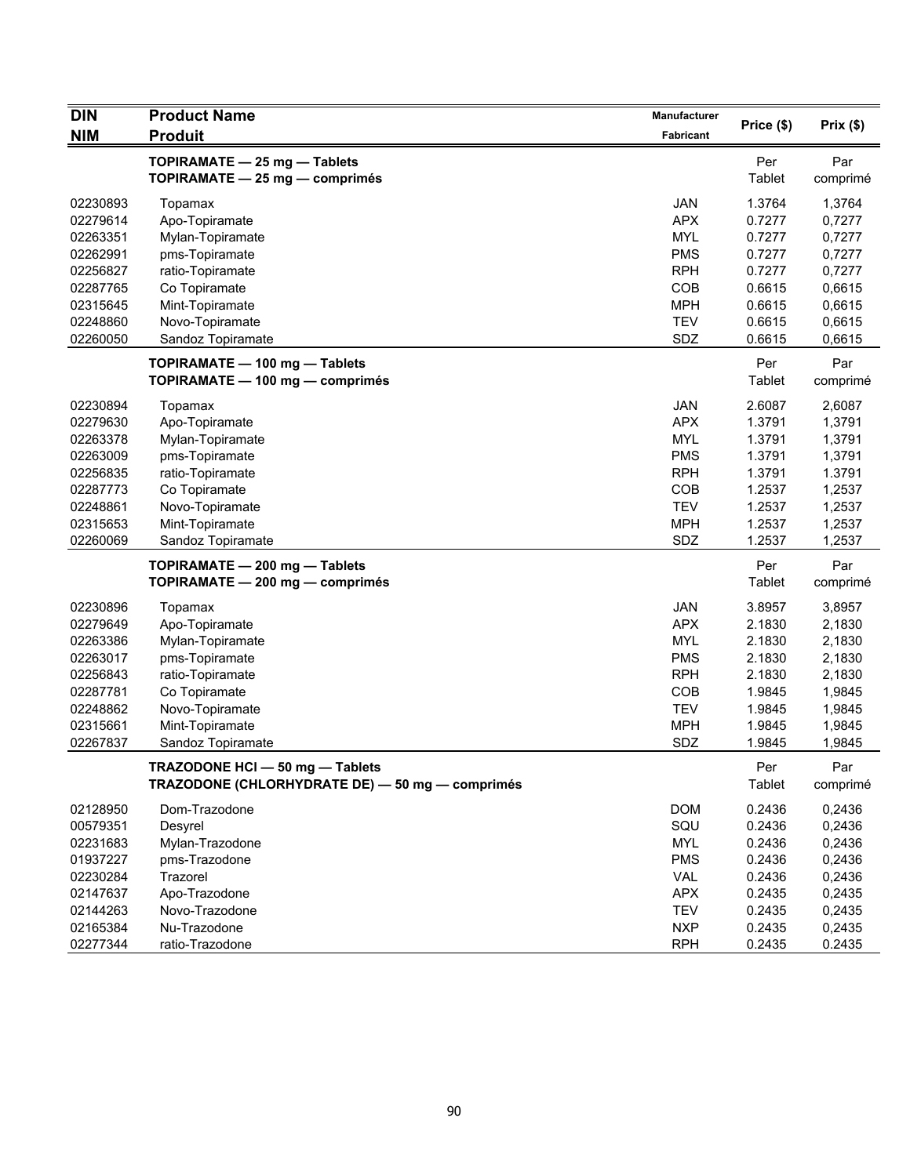| <b>DIN</b>           | <b>Product Name</b>                             | Manufacturer             |                  |                  |
|----------------------|-------------------------------------------------|--------------------------|------------------|------------------|
| <b>NIM</b>           | <b>Produit</b>                                  | Fabricant                | Price (\$)       | Prix (\$)        |
|                      | TOPIRAMATE - 25 mg - Tablets                    |                          | Per              | Par              |
|                      | TOPIRAMATE - 25 mg - comprimés                  |                          | Tablet           | comprimé         |
| 02230893             | Topamax                                         | <b>JAN</b>               | 1.3764           | 1,3764           |
| 02279614             | Apo-Topiramate                                  | <b>APX</b>               | 0.7277           | 0,7277           |
| 02263351             | Mylan-Topiramate                                | <b>MYL</b>               | 0.7277           | 0,7277           |
| 02262991             | pms-Topiramate                                  | <b>PMS</b>               | 0.7277           | 0,7277           |
| 02256827             | ratio-Topiramate                                | <b>RPH</b>               | 0.7277           | 0,7277           |
| 02287765             | Co Topiramate                                   | COB                      | 0.6615           | 0,6615           |
| 02315645             | Mint-Topiramate                                 | <b>MPH</b>               | 0.6615           | 0,6615           |
| 02248860             | Novo-Topiramate                                 | <b>TEV</b>               | 0.6615           | 0,6615           |
| 02260050             | Sandoz Topiramate                               | SDZ                      | 0.6615           | 0,6615           |
|                      | TOPIRAMATE - 100 mg - Tablets                   |                          | Per              | Par              |
|                      | TOPIRAMATE - 100 mg - comprimés                 |                          | Tablet           | comprimé         |
| 02230894             | Topamax                                         | <b>JAN</b>               | 2.6087           | 2,6087           |
| 02279630             | Apo-Topiramate                                  | <b>APX</b>               | 1.3791           | 1,3791           |
| 02263378             | Mylan-Topiramate                                | <b>MYL</b>               | 1.3791           | 1,3791           |
| 02263009             | pms-Topiramate                                  | <b>PMS</b>               | 1.3791           | 1,3791           |
| 02256835             | ratio-Topiramate                                | <b>RPH</b>               | 1.3791           | 1.3791           |
| 02287773             | Co Topiramate                                   | COB                      | 1.2537           | 1,2537           |
| 02248861             | Novo-Topiramate                                 | <b>TEV</b>               | 1.2537           | 1,2537           |
| 02315653             | Mint-Topiramate                                 | <b>MPH</b>               | 1.2537           | 1,2537           |
| 02260069             | Sandoz Topiramate                               | SDZ                      | 1.2537           | 1,2537           |
|                      | TOPIRAMATE - 200 mg - Tablets                   |                          | Per              | Par              |
|                      | TOPIRAMATE - 200 mg - comprimés                 |                          | Tablet           | comprimé         |
| 02230896             |                                                 | <b>JAN</b>               | 3.8957           |                  |
| 02279649             | Topamax<br>Apo-Topiramate                       | <b>APX</b>               | 2.1830           | 3,8957<br>2,1830 |
| 02263386             |                                                 | <b>MYL</b>               | 2.1830           |                  |
| 02263017             | Mylan-Topiramate<br>pms-Topiramate              | <b>PMS</b>               | 2.1830           | 2,1830<br>2,1830 |
|                      |                                                 | <b>RPH</b>               |                  |                  |
| 02256843<br>02287781 | ratio-Topiramate<br>Co Topiramate               | COB                      | 2.1830<br>1.9845 | 2,1830<br>1,9845 |
| 02248862             | Novo-Topiramate                                 | <b>TEV</b>               | 1.9845           | 1,9845           |
| 02315661             | Mint-Topiramate                                 | <b>MPH</b>               | 1.9845           | 1,9845           |
| 02267837             | Sandoz Topiramate                               | SDZ                      | 1.9845           | 1,9845           |
|                      | TRAZODONE HCI - 50 mg - Tablets                 |                          | Per              | Par              |
|                      | TRAZODONE (CHLORHYDRATE DE) - 50 mg - comprimés |                          | Tablet           | comprimé         |
|                      |                                                 |                          |                  |                  |
| 02128950             | Dom-Trazodone                                   | <b>DOM</b>               | 0.2436           | 0,2436           |
| 00579351             | Desyrel                                         | SQU                      | 0.2436           | 0,2436           |
| 02231683             | Mylan-Trazodone                                 | <b>MYL</b>               | 0.2436           | 0,2436           |
| 01937227             | pms-Trazodone                                   | <b>PMS</b>               | 0.2436           | 0,2436           |
| 02230284             | Trazorel                                        | <b>VAL</b>               | 0.2436           | 0,2436           |
| 02147637             | Apo-Trazodone                                   | <b>APX</b>               | 0.2435           | 0,2435           |
| 02144263             | Novo-Trazodone                                  | <b>TEV</b>               | 0.2435           | 0,2435           |
| 02165384<br>02277344 | Nu-Trazodone<br>ratio-Trazodone                 | <b>NXP</b><br><b>RPH</b> | 0.2435           | 0,2435           |
|                      |                                                 |                          | 0.2435           | 0.2435           |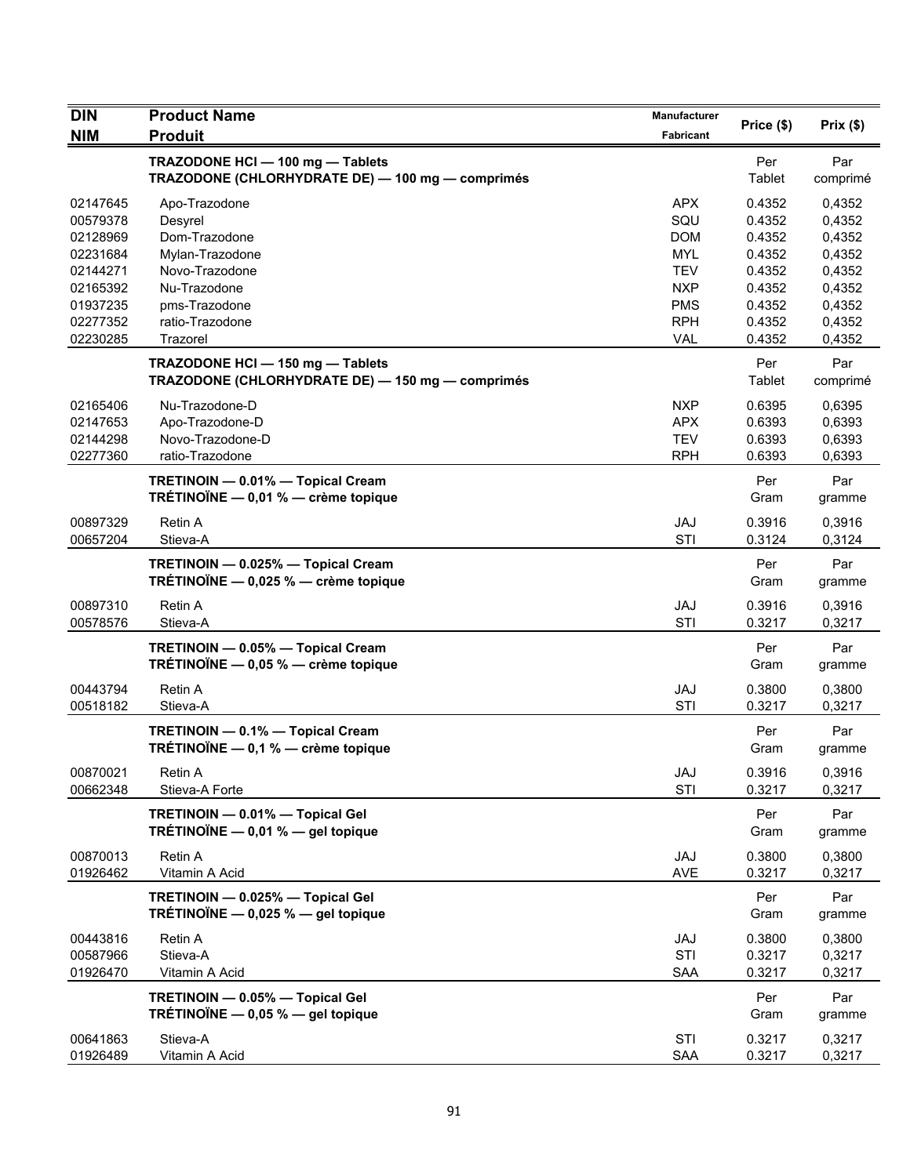| <b>DIN</b>           | <b>Product Name</b>                                                                  | Manufacturer      |                  |                  |
|----------------------|--------------------------------------------------------------------------------------|-------------------|------------------|------------------|
| <b>NIM</b>           | <b>Produit</b>                                                                       | Fabricant         | Price (\$)       | Prix(\$)         |
|                      | TRAZODONE HCI - 100 mg - Tablets                                                     |                   | Per              | Par              |
|                      | TRAZODONE (CHLORHYDRATE DE) - 100 mg - comprimés                                     |                   | Tablet           | comprimé         |
| 02147645             | Apo-Trazodone                                                                        | <b>APX</b>        | 0.4352           | 0,4352           |
| 00579378             | Desyrel                                                                              | SQU               | 0.4352           | 0,4352           |
| 02128969             | Dom-Trazodone                                                                        | <b>DOM</b>        | 0.4352           | 0,4352           |
| 02231684             | Mylan-Trazodone                                                                      | <b>MYL</b>        | 0.4352           | 0,4352           |
| 02144271             | Novo-Trazodone                                                                       | <b>TEV</b>        | 0.4352           | 0,4352           |
| 02165392             | Nu-Trazodone                                                                         | <b>NXP</b>        | 0.4352           | 0,4352           |
| 01937235             | pms-Trazodone                                                                        | <b>PMS</b>        | 0.4352           | 0,4352           |
| 02277352             | ratio-Trazodone                                                                      | <b>RPH</b>        | 0.4352           | 0,4352           |
| 02230285             | Trazorel                                                                             | <b>VAL</b>        | 0.4352           | 0,4352           |
|                      | TRAZODONE HCI - 150 mg - Tablets<br>TRAZODONE (CHLORHYDRATE DE) - 150 mg - comprimés |                   | Per<br>Tablet    | Par<br>comprimé  |
| 02165406             | Nu-Trazodone-D                                                                       | <b>NXP</b>        | 0.6395           | 0,6395           |
| 02147653             | Apo-Trazodone-D                                                                      | <b>APX</b>        | 0.6393           | 0.6393           |
| 02144298             | Novo-Trazodone-D                                                                     | <b>TEV</b>        | 0.6393           | 0,6393           |
| 02277360             | ratio-Trazodone                                                                      | <b>RPH</b>        | 0.6393           | 0,6393           |
|                      | TRETINOIN - 0.01% - Topical Cream                                                    |                   | Per              | Par              |
|                      | TRÉTINOÏNE $-$ 0,01 % $-$ crème topique                                              |                   | Gram             | gramme           |
| 00897329             | Retin A                                                                              | <b>JAJ</b>        | 0.3916           | 0,3916           |
| 00657204             | Stieva-A                                                                             | STI               | 0.3124           | 0,3124           |
|                      | TRETINOIN - 0.025% - Topical Cream<br>TRÉTINOÏNE - 0,025 % - crème topique           |                   | Per<br>Gram      | Par<br>gramme    |
| 00897310<br>00578576 | <b>Retin A</b><br>Stieva-A                                                           | <b>JAJ</b><br>STI | 0.3916<br>0.3217 | 0,3916<br>0,3217 |
|                      | TRETINOIN - 0.05% - Topical Cream<br>TRÉTINOÏNE $-$ 0,05 % $-$ crème topique         |                   | Per<br>Gram      | Par<br>gramme    |
| 00443794             | <b>Retin A</b>                                                                       | <b>JAJ</b>        | 0.3800           | 0,3800           |
| 00518182             | Stieva-A                                                                             | STI               | 0.3217           | 0,3217           |
|                      | TRETINOIN - 0.1% - Topical Cream                                                     |                   | Per              | Par              |
|                      | TRÉTINOÏNE - 0,1 % - crème topique                                                   |                   | Gram             | gramme           |
| 00870021             | Retin A                                                                              | JAJ               | 0.3916           | 0,3916           |
| 00662348             | Stieva-A Forte                                                                       | STI               | 0.3217           | 0,3217           |
|                      | TRETINOIN - 0.01% - Topical Gel<br>TRÉTINOÏNE $-$ 0,01 % $-$ gel topique             |                   | Per<br>Gram      | Par<br>gramme    |
| 00870013             | Retin A                                                                              | JAJ               | 0.3800           | 0,3800           |
| 01926462             | Vitamin A Acid                                                                       | <b>AVE</b>        | 0.3217           | 0,3217           |
|                      | TRETINOIN - 0.025% - Topical Gel                                                     |                   | Per              | Par              |
|                      | TRÉTINOÏNE $-$ 0,025 % $-$ gel topique                                               |                   | Gram             | gramme           |
| 00443816             | Retin A                                                                              | JAJ               | 0.3800           | 0,3800           |
| 00587966             | Stieva-A                                                                             | STI               | 0.3217           | 0,3217           |
| 01926470             | Vitamin A Acid                                                                       | <b>SAA</b>        | 0.3217           | 0,3217           |
|                      | TRETINOIN - 0.05% - Topical Gel                                                      |                   | Per              | Par              |
|                      | TRÉTINOÏNE $-$ 0,05 % $-$ gel topique                                                |                   | Gram             | gramme           |
| 00641863             | Stieva-A                                                                             | STI               | 0.3217           | 0,3217           |
| 01926489             | Vitamin A Acid                                                                       | SAA               | 0.3217           | 0,3217           |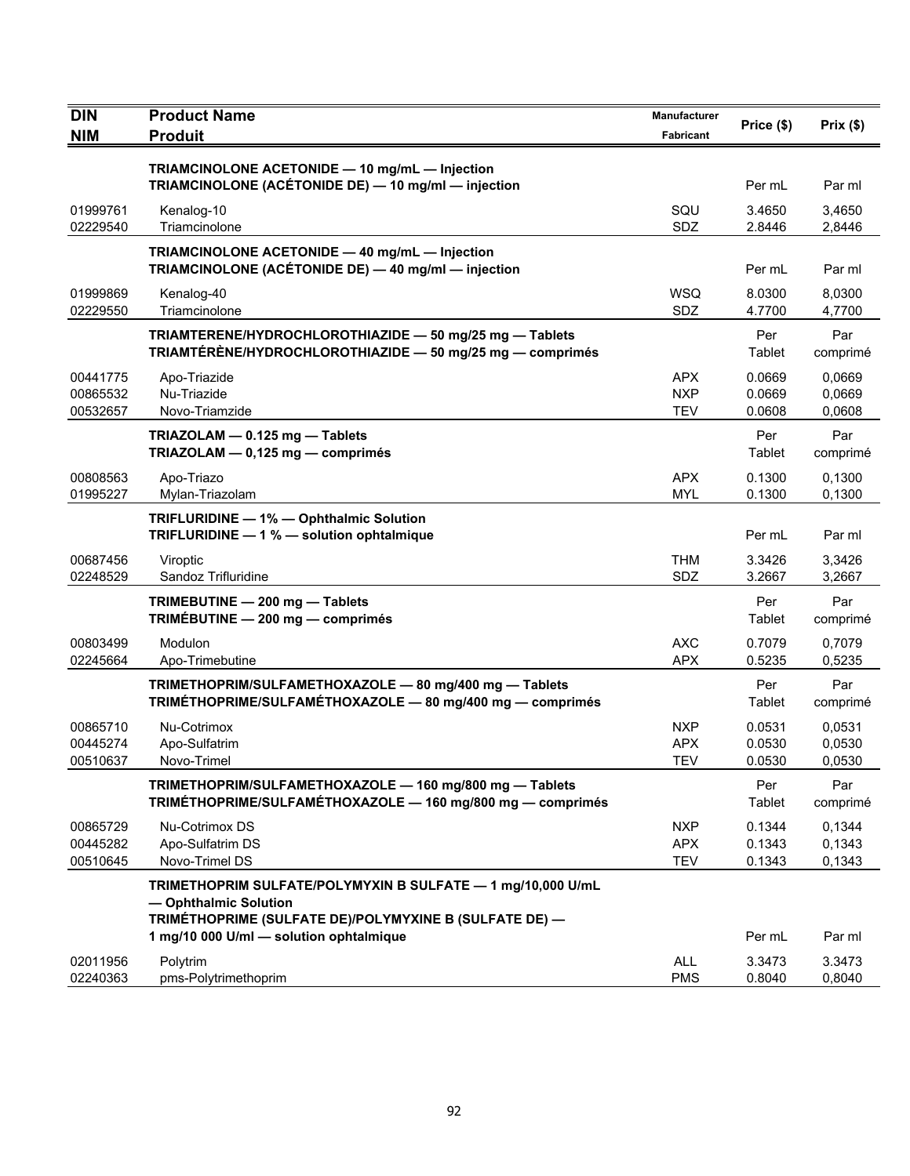| <b>DIN</b><br><b>NIM</b> | <b>Product Name</b><br><b>Produit</b>                                                                                                          | Manufacturer<br>Fabricant | Price (\$)       | Prix(\$)         |
|--------------------------|------------------------------------------------------------------------------------------------------------------------------------------------|---------------------------|------------------|------------------|
|                          |                                                                                                                                                |                           |                  |                  |
|                          | TRIAMCINOLONE ACETONIDE - 10 mg/mL - Injection<br>TRIAMCINOLONE (ACÉTONIDE DE) - 10 mg/ml - injection                                          |                           | Per mL           | Par ml           |
| 01999761                 | Kenalog-10                                                                                                                                     | SQU                       | 3.4650           | 3,4650           |
| 02229540                 | Triamcinolone                                                                                                                                  | SDZ                       | 2.8446           | 2,8446           |
|                          | TRIAMCINOLONE ACETONIDE - 40 mg/mL - Injection<br>TRIAMCINOLONE (ACÉTONIDE DE) - 40 mg/ml - injection                                          |                           | Per mL           | Par ml           |
| 01999869<br>02229550     | Kenalog-40<br>Triamcinolone                                                                                                                    | <b>WSQ</b><br>SDZ         | 8.0300<br>4.7700 | 8,0300<br>4,7700 |
|                          | TRIAMTERENE/HYDROCHLOROTHIAZIDE - 50 mg/25 mg - Tablets<br>TRIAMTÉRÈNE/HYDROCHLOROTHIAZIDE - 50 mg/25 mg - comprimés                           |                           | Per<br>Tablet    | Par<br>comprimé  |
| 00441775                 | Apo-Triazide                                                                                                                                   | <b>APX</b>                | 0.0669           | 0,0669           |
| 00865532                 | Nu-Triazide<br>Novo-Triamzide                                                                                                                  | <b>NXP</b>                | 0.0669           | 0,0669           |
| 00532657                 |                                                                                                                                                | <b>TEV</b>                | 0.0608           | 0,0608           |
|                          | TRIAZOLAM - 0.125 mg - Tablets<br>TRIAZOLAM - 0,125 mg - comprimés                                                                             |                           | Per<br>Tablet    | Par<br>comprimé  |
| 00808563                 | Apo-Triazo                                                                                                                                     | <b>APX</b>                | 0.1300           | 0,1300           |
| 01995227                 | Mylan-Triazolam                                                                                                                                | <b>MYL</b>                | 0.1300           | 0,1300           |
|                          | TRIFLURIDINE - 1% - Ophthalmic Solution<br>TRIFLURIDINE - 1 % - solution ophtalmique                                                           |                           | Per mL           | Par ml           |
| 00687456                 | Viroptic                                                                                                                                       | <b>THM</b><br>SDZ         | 3.3426           | 3,3426           |
| 02248529                 | Sandoz Trifluridine                                                                                                                            |                           | 3.2667<br>Per    | 3,2667<br>Par    |
|                          | TRIMEBUTINE - 200 mg - Tablets<br>TRIMEBUTINE - 200 mg - comprimés                                                                             |                           | Tablet           | comprimé         |
| 00803499                 | Modulon                                                                                                                                        | <b>AXC</b>                | 0.7079           | 0,7079           |
| 02245664                 | Apo-Trimebutine                                                                                                                                | <b>APX</b>                | 0.5235           | 0,5235           |
|                          | TRIMETHOPRIM/SULFAMETHOXAZOLE - 80 mg/400 mg - Tablets<br>TRIMÉTHOPRIME/SULFAMÉTHOXAZOLE - 80 mg/400 mg - comprimés                            |                           | Per<br>Tablet    | Par<br>comprimé  |
| 00865710                 | Nu-Cotrimox                                                                                                                                    | <b>NXP</b>                | 0.0531           | 0,0531           |
| 00445274<br>00510637     | Apo-Sulfatrim<br>Novo-Trimel                                                                                                                   | <b>APX</b><br><b>TEV</b>  | 0.0530<br>0.0530 | 0,0530<br>0,0530 |
|                          | TRIMETHOPRIM/SULFAMETHOXAZOLE - 160 mg/800 mg - Tablets<br>TRIMÉTHOPRIME/SULFAMÉTHOXAZOLE - 160 mg/800 mg - comprimés                          |                           | Per<br>Tablet    | Par<br>comprimé  |
| 00865729                 | Nu-Cotrimox DS                                                                                                                                 | <b>NXP</b>                | 0.1344           | 0,1344           |
| 00445282                 | Apo-Sulfatrim DS                                                                                                                               | <b>APX</b>                | 0.1343           | 0,1343           |
| 00510645                 | Novo-Trimel DS                                                                                                                                 | <b>TEV</b>                | 0.1343           | 0,1343           |
|                          | TRIMETHOPRIM SULFATE/POLYMYXIN B SULFATE - 1 mg/10,000 U/mL<br>- Ophthalmic Solution<br>TRIMÉTHOPRIME (SULFATE DE)/POLYMYXINE B (SULFATE DE) - |                           |                  |                  |
|                          | 1 mg/10 000 U/ml - solution ophtalmique                                                                                                        |                           | Per mL           | Par ml           |
| 02011956<br>02240363     | Polytrim<br>pms-Polytrimethoprim                                                                                                               | <b>ALL</b><br><b>PMS</b>  | 3.3473<br>0.8040 | 3.3473<br>0,8040 |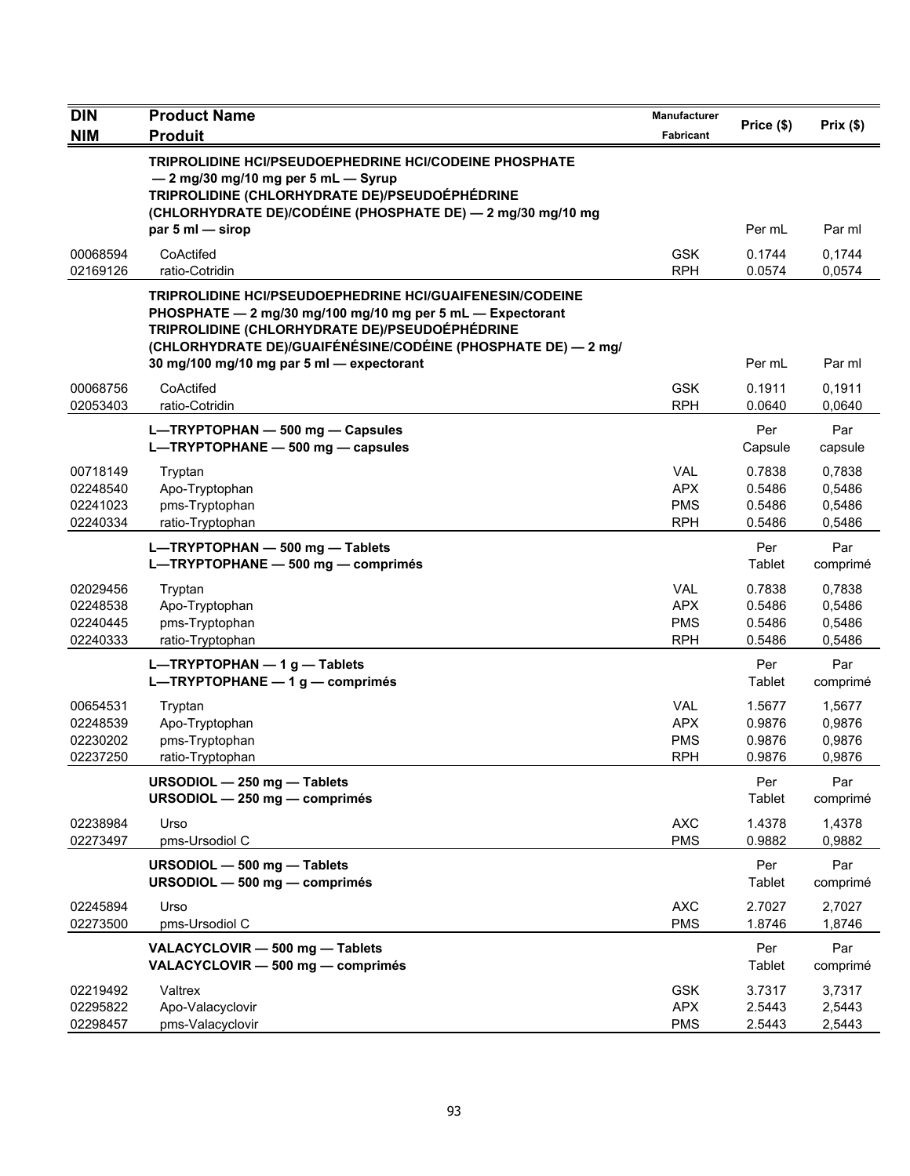| <b>DIN</b>                                   | <b>Product Name</b>                                                                                                                                                                                                                                                                           | <b>Manufacturer</b>                                  | Price (\$)                           | Prix(\$)                             |
|----------------------------------------------|-----------------------------------------------------------------------------------------------------------------------------------------------------------------------------------------------------------------------------------------------------------------------------------------------|------------------------------------------------------|--------------------------------------|--------------------------------------|
| <b>NIM</b>                                   | <b>Produit</b>                                                                                                                                                                                                                                                                                | Fabricant                                            |                                      |                                      |
|                                              | TRIPROLIDINE HCI/PSEUDOEPHEDRINE HCI/CODEINE PHOSPHATE<br>- 2 mg/30 mg/10 mg per 5 mL - Syrup<br>TRIPROLIDINE (CHLORHYDRATE DE)/PSEUDOÉPHÉDRINE<br>(CHLORHYDRATE DE)/CODÉINE (PHOSPHATE DE) - 2 mg/30 mg/10 mg<br>par 5 ml - sirop                                                            |                                                      | Per mL                               | Par ml                               |
| 00068594<br>02169126                         | CoActifed<br>ratio-Cotridin                                                                                                                                                                                                                                                                   | <b>GSK</b><br><b>RPH</b>                             | 0.1744<br>0.0574                     | 0,1744<br>0,0574                     |
|                                              | <b>TRIPROLIDINE HCI/PSEUDOEPHEDRINE HCI/GUAIFENESIN/CODEINE</b><br>PHOSPHATE - 2 mg/30 mg/100 mg/10 mg per 5 mL - Expectorant<br>TRIPROLIDINE (CHLORHYDRATE DE)/PSEUDOÉPHÉDRINE<br>(CHLORHYDRATE DE)/GUAIFÉNÉSINE/CODÉINE (PHOSPHATE DE) — 2 mg/<br>30 mg/100 mg/10 mg par 5 ml - expectorant |                                                      | Per mL                               | Par ml                               |
| 00068756<br>02053403                         | CoActifed<br>ratio-Cotridin                                                                                                                                                                                                                                                                   | <b>GSK</b><br><b>RPH</b>                             | 0.1911<br>0.0640                     | 0,1911<br>0,0640                     |
|                                              | L-TRYPTOPHAN - 500 mg - Capsules<br>L-TRYPTOPHANE - 500 mg - capsules                                                                                                                                                                                                                         |                                                      | Per<br>Capsule                       | Par<br>capsule                       |
| 00718149<br>02248540<br>02241023<br>02240334 | Tryptan<br>Apo-Tryptophan<br>pms-Tryptophan<br>ratio-Tryptophan                                                                                                                                                                                                                               | <b>VAL</b><br><b>APX</b><br><b>PMS</b><br><b>RPH</b> | 0.7838<br>0.5486<br>0.5486<br>0.5486 | 0,7838<br>0,5486<br>0,5486<br>0,5486 |
|                                              | L-TRYPTOPHAN - 500 mg - Tablets<br>L-TRYPTOPHANE - 500 mg - comprimés                                                                                                                                                                                                                         |                                                      | Per<br>Tablet                        | Par<br>comprimé                      |
| 02029456<br>02248538<br>02240445<br>02240333 | Tryptan<br>Apo-Tryptophan<br>pms-Tryptophan<br>ratio-Tryptophan                                                                                                                                                                                                                               | <b>VAL</b><br><b>APX</b><br><b>PMS</b><br><b>RPH</b> | 0.7838<br>0.5486<br>0.5486<br>0.5486 | 0,7838<br>0,5486<br>0,5486<br>0,5486 |
|                                              | L-TRYPTOPHAN $-1$ g - Tablets<br>L-TRYPTOPHANE $-1$ g $-$ comprimés                                                                                                                                                                                                                           |                                                      | Per<br>Tablet                        | Par<br>comprimé                      |
| 00654531<br>02248539<br>02230202<br>02237250 | Tryptan<br>Apo-Tryptophan<br>pms-Tryptophan<br>ratio-Tryptophan                                                                                                                                                                                                                               | <b>VAL</b><br><b>APX</b><br><b>PMS</b><br><b>RPH</b> | 1.5677<br>0.9876<br>0.9876<br>0.9876 | 1,5677<br>0,9876<br>0,9876<br>0,9876 |
|                                              | URSODIOL - 250 mg - Tablets<br>URSODIOL - 250 mg - comprimés                                                                                                                                                                                                                                  |                                                      | Per<br>Tablet                        | Par<br>comprimé                      |
| 02238984<br>02273497                         | Urso<br>pms-Ursodiol C                                                                                                                                                                                                                                                                        | <b>AXC</b><br><b>PMS</b>                             | 1.4378<br>0.9882                     | 1,4378<br>0,9882                     |
|                                              | URSODIOL - 500 mg - Tablets<br>URSODIOL - 500 mg - comprimés                                                                                                                                                                                                                                  |                                                      | Per<br>Tablet                        | Par<br>comprimé                      |
| 02245894<br>02273500                         | Urso<br>pms-Ursodiol C                                                                                                                                                                                                                                                                        | <b>AXC</b><br><b>PMS</b>                             | 2.7027<br>1.8746                     | 2,7027<br>1,8746                     |
|                                              | VALACYCLOVIR - 500 mg - Tablets<br>VALACYCLOVIR - 500 mg - comprimés                                                                                                                                                                                                                          |                                                      | Per<br>Tablet                        | Par<br>comprimé                      |
| 02219492<br>02295822<br>02298457             | Valtrex<br>Apo-Valacyclovir<br>pms-Valacyclovir                                                                                                                                                                                                                                               | <b>GSK</b><br><b>APX</b><br><b>PMS</b>               | 3.7317<br>2.5443<br>2.5443           | 3,7317<br>2,5443<br>2,5443           |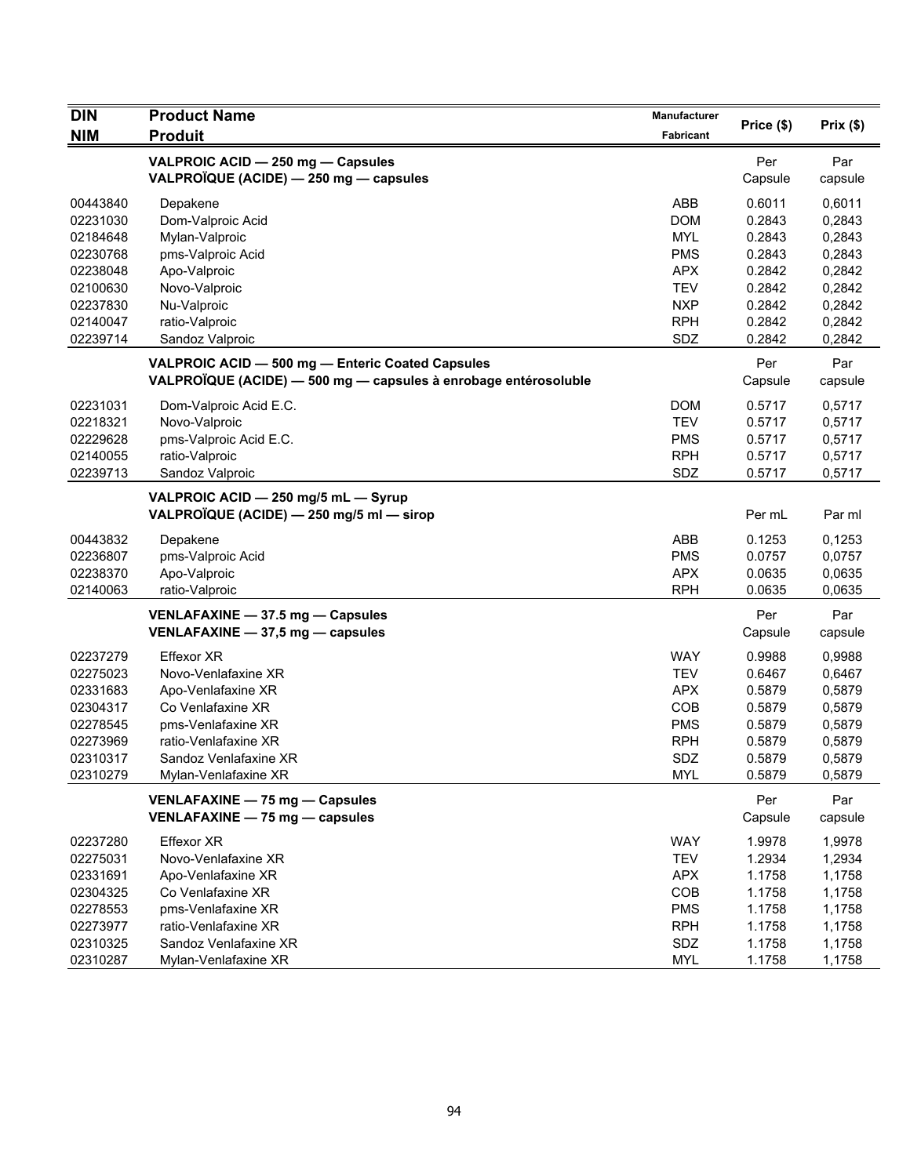| <b>DIN</b> | <b>Product Name</b>                                             | <b>Manufacturer</b> |            |          |
|------------|-----------------------------------------------------------------|---------------------|------------|----------|
| <b>NIM</b> | <b>Produit</b>                                                  | Fabricant           | Price (\$) | Prix(\$) |
|            | VALPROIC ACID - 250 mg - Capsules                               |                     | Per        | Par      |
|            | VALPROÏQUE (ACIDE) - 250 mg - capsules                          |                     | Capsule    | capsule  |
| 00443840   | Depakene                                                        | ABB                 | 0.6011     | 0,6011   |
| 02231030   | Dom-Valproic Acid                                               | <b>DOM</b>          | 0.2843     | 0,2843   |
| 02184648   | Mylan-Valproic                                                  | <b>MYL</b>          | 0.2843     | 0,2843   |
| 02230768   | pms-Valproic Acid                                               | <b>PMS</b>          | 0.2843     | 0,2843   |
| 02238048   | Apo-Valproic                                                    | <b>APX</b>          | 0.2842     | 0,2842   |
| 02100630   | Novo-Valproic                                                   | <b>TEV</b>          | 0.2842     | 0,2842   |
| 02237830   | Nu-Valproic                                                     | <b>NXP</b>          | 0.2842     | 0,2842   |
| 02140047   | ratio-Valproic                                                  | <b>RPH</b>          | 0.2842     | 0,2842   |
| 02239714   | Sandoz Valproic                                                 | SDZ                 | 0.2842     | 0,2842   |
|            | VALPROIC ACID - 500 mg - Enteric Coated Capsules                |                     | Per        | Par      |
|            | VALPROÏQUE (ACIDE) - 500 mg - capsules à enrobage entérosoluble |                     | Capsule    | capsule  |
| 02231031   | Dom-Valproic Acid E.C.                                          | <b>DOM</b>          | 0.5717     | 0,5717   |
| 02218321   | Novo-Valproic                                                   | <b>TEV</b>          | 0.5717     | 0,5717   |
| 02229628   | pms-Valproic Acid E.C.                                          | <b>PMS</b>          | 0.5717     | 0,5717   |
| 02140055   | ratio-Valproic                                                  | <b>RPH</b>          | 0.5717     | 0,5717   |
| 02239713   | Sandoz Valproic                                                 | SDZ                 | 0.5717     | 0,5717   |
|            | VALPROIC ACID - 250 mg/5 mL - Syrup                             |                     |            |          |
|            | VALPROÏQUE (ACIDE) - 250 mg/5 ml - sirop                        |                     | Per mL     | Par ml   |
| 00443832   | Depakene                                                        | ABB                 | 0.1253     | 0,1253   |
| 02236807   | pms-Valproic Acid                                               | <b>PMS</b>          | 0.0757     | 0,0757   |
| 02238370   | Apo-Valproic                                                    | <b>APX</b>          | 0.0635     | 0,0635   |
| 02140063   | ratio-Valproic                                                  | <b>RPH</b>          | 0.0635     | 0,0635   |
|            | VENLAFAXINE - 37.5 mg - Capsules                                |                     | Per        | Par      |
|            | VENLAFAXINE $-$ 37,5 mg $-$ capsules                            |                     | Capsule    | capsule  |
| 02237279   | <b>Effexor XR</b>                                               | <b>WAY</b>          | 0.9988     | 0,9988   |
| 02275023   | Novo-Venlafaxine XR                                             | <b>TEV</b>          | 0.6467     | 0,6467   |
| 02331683   | Apo-Venlafaxine XR                                              | <b>APX</b>          | 0.5879     | 0,5879   |
| 02304317   | Co Venlafaxine XR                                               | COB                 | 0.5879     | 0,5879   |
| 02278545   | pms-Venlafaxine XR                                              | <b>PMS</b>          | 0.5879     | 0,5879   |
| 02273969   | ratio-Venlafaxine XR                                            | <b>RPH</b>          | 0.5879     | 0,5879   |
| 02310317   | Sandoz Venlafaxine XR                                           | SDZ                 | 0.5879     | 0,5879   |
| 02310279   | Mylan-Venlafaxine XR                                            | <b>MYL</b>          | 0.5879     | 0,5879   |
|            | VENLAFAXINE - 75 mg - Capsules                                  |                     | Per        | Par      |
|            | VENLAFAXINE - 75 mg - capsules                                  |                     | Capsule    | capsule  |
| 02237280   | <b>Effexor XR</b>                                               | <b>WAY</b>          | 1.9978     | 1,9978   |
| 02275031   | Novo-Venlafaxine XR                                             | <b>TEV</b>          | 1.2934     | 1,2934   |
| 02331691   | Apo-Venlafaxine XR                                              | <b>APX</b>          | 1.1758     | 1,1758   |
| 02304325   | Co Venlafaxine XR                                               | COB                 | 1.1758     | 1,1758   |
| 02278553   | pms-Venlafaxine XR                                              | <b>PMS</b>          | 1.1758     | 1,1758   |
| 02273977   | ratio-Venlafaxine XR                                            | <b>RPH</b>          | 1.1758     | 1,1758   |
| 02310325   | Sandoz Venlafaxine XR                                           | SDZ                 | 1.1758     | 1,1758   |
| 02310287   | Mylan-Venlafaxine XR                                            | <b>MYL</b>          | 1.1758     | 1,1758   |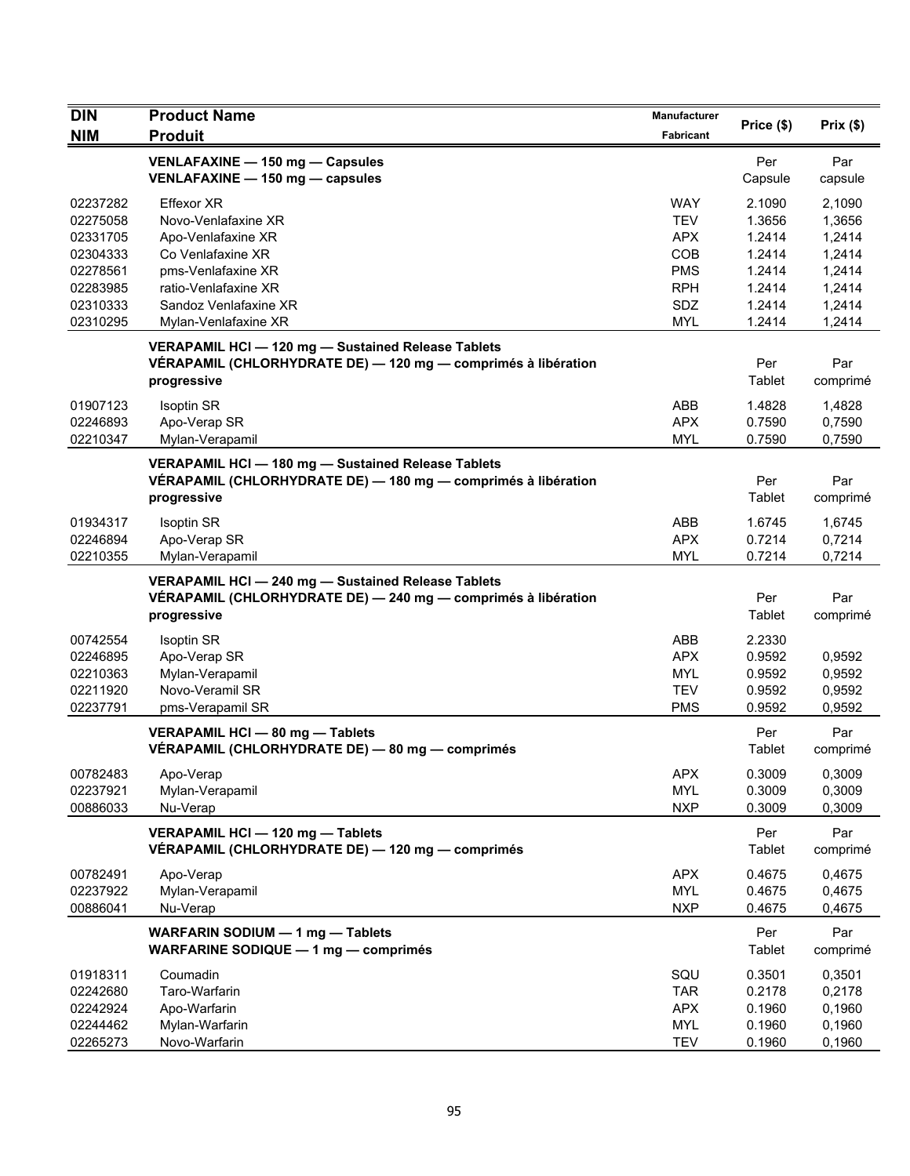| <b>DIN</b>                                                                       | <b>Product Name</b>                                                                                                                                        | Manufacturer                                                                     |                                                                    |                                                                    |
|----------------------------------------------------------------------------------|------------------------------------------------------------------------------------------------------------------------------------------------------------|----------------------------------------------------------------------------------|--------------------------------------------------------------------|--------------------------------------------------------------------|
| <b>NIM</b>                                                                       | <b>Produit</b>                                                                                                                                             | <b>Fabricant</b>                                                                 | Price (\$)                                                         | Prix(\$)                                                           |
|                                                                                  | VENLAFAXINE - 150 mg - Capsules<br>VENLAFAXINE - 150 mg - capsules                                                                                         |                                                                                  | Per<br>Capsule                                                     | Par<br>capsule                                                     |
| 02237282<br>02275058<br>02331705<br>02304333<br>02278561<br>02283985<br>02310333 | <b>Effexor XR</b><br>Novo-Venlafaxine XR<br>Apo-Venlafaxine XR<br>Co Venlafaxine XR<br>pms-Venlafaxine XR<br>ratio-Venlafaxine XR<br>Sandoz Venlafaxine XR | <b>WAY</b><br><b>TEV</b><br><b>APX</b><br>COB<br><b>PMS</b><br><b>RPH</b><br>SDZ | 2.1090<br>1.3656<br>1.2414<br>1.2414<br>1.2414<br>1.2414<br>1.2414 | 2,1090<br>1,3656<br>1,2414<br>1,2414<br>1,2414<br>1,2414<br>1,2414 |
| 02310295                                                                         | Mylan-Venlafaxine XR                                                                                                                                       | <b>MYL</b>                                                                       | 1.2414                                                             | 1,2414                                                             |
|                                                                                  | VERAPAMIL HCI - 120 mg - Sustained Release Tablets<br>VÉRAPAMIL (CHLORHYDRATE DE) — 120 mg — comprimés à libération<br>progressive                         |                                                                                  | Per<br>Tablet                                                      | Par<br>comprimé                                                    |
| 01907123<br>02246893<br>02210347                                                 | <b>Isoptin SR</b><br>Apo-Verap SR<br>Mylan-Verapamil                                                                                                       | ABB<br><b>APX</b><br><b>MYL</b>                                                  | 1.4828<br>0.7590<br>0.7590                                         | 1,4828<br>0,7590<br>0,7590                                         |
|                                                                                  | VERAPAMIL HCI - 180 mg - Sustained Release Tablets<br>VÉRAPAMIL (CHLORHYDRATE DE) - 180 mg - comprimés à libération<br>progressive                         |                                                                                  | Per<br>Tablet                                                      | Par<br>comprimé                                                    |
| 01934317<br>02246894<br>02210355                                                 | <b>Isoptin SR</b><br>Apo-Verap SR<br>Mylan-Verapamil                                                                                                       | ABB<br><b>APX</b><br><b>MYL</b>                                                  | 1.6745<br>0.7214<br>0.7214                                         | 1,6745<br>0,7214<br>0,7214                                         |
|                                                                                  | VERAPAMIL HCI - 240 mg - Sustained Release Tablets<br>VÉRAPAMIL (CHLORHYDRATE DE) - 240 mg - comprimés à libération<br>progressive                         |                                                                                  | Per<br>Tablet                                                      | Par<br>comprimé                                                    |
| 00742554<br>02246895<br>02210363<br>02211920<br>02237791                         | Isoptin SR<br>Apo-Verap SR<br>Mylan-Verapamil<br>Novo-Veramil SR<br>pms-Verapamil SR                                                                       | ABB<br><b>APX</b><br><b>MYL</b><br><b>TEV</b><br><b>PMS</b>                      | 2.2330<br>0.9592<br>0.9592<br>0.9592<br>0.9592                     | 0,9592<br>0,9592<br>0,9592<br>0,9592                               |
|                                                                                  | VERAPAMIL HCI - 80 mg - Tablets<br>VÉRAPAMIL (CHLORHYDRATE DE) - 80 mg - comprimés                                                                         |                                                                                  | Per<br>Tablet                                                      | Par<br>comprimé                                                    |
| 00782483<br>02237921<br>00886033                                                 | Apo-Verap<br>Mylan-Verapamil<br>Nu-Verap                                                                                                                   | <b>APX</b><br><b>MYL</b><br><b>NXP</b>                                           | 0.3009<br>0.3009<br>0.3009                                         | 0,3009<br>0,3009<br>0,3009                                         |
|                                                                                  | VERAPAMIL HCI - 120 mg - Tablets<br>VÉRAPAMIL (CHLORHYDRATE DE) — 120 mg — comprimés                                                                       |                                                                                  | Per<br><b>Tablet</b>                                               | Par<br>comprimé                                                    |
| 00782491<br>02237922<br>00886041                                                 | Apo-Verap<br>Mylan-Verapamil<br>Nu-Verap                                                                                                                   | <b>APX</b><br><b>MYL</b><br><b>NXP</b>                                           | 0.4675<br>0.4675<br>0.4675                                         | 0,4675<br>0,4675<br>0,4675                                         |
|                                                                                  | WARFARIN SODIUM - 1 mg - Tablets<br>WARFARINE SODIQUE - 1 mg - comprimés                                                                                   |                                                                                  | Per<br><b>Tablet</b>                                               | Par<br>comprimé                                                    |
| 01918311<br>02242680<br>02242924<br>02244462<br>02265273                         | Coumadin<br>Taro-Warfarin<br>Apo-Warfarin<br>Mylan-Warfarin<br>Novo-Warfarin                                                                               | SQU<br><b>TAR</b><br><b>APX</b><br><b>MYL</b><br><b>TEV</b>                      | 0.3501<br>0.2178<br>0.1960<br>0.1960<br>0.1960                     | 0,3501<br>0,2178<br>0,1960<br>0,1960<br>0,1960                     |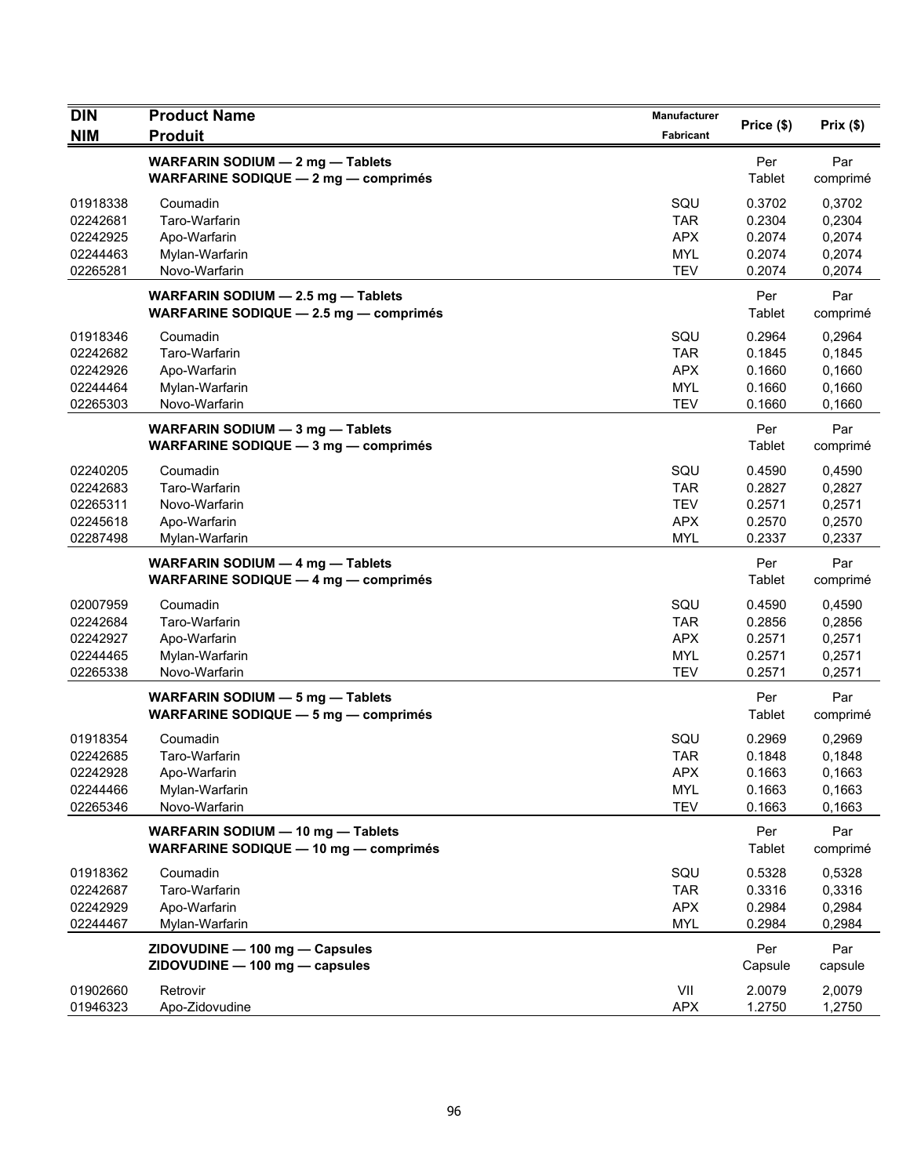| <b>DIN</b>           | <b>Product Name</b>                                                               | <b>Manufacturer</b> | Price (\$)       | Prix(\$)         |
|----------------------|-----------------------------------------------------------------------------------|---------------------|------------------|------------------|
| <b>NIM</b>           | <b>Produit</b>                                                                    | Fabricant           |                  |                  |
|                      | WARFARIN SODIUM - 2 mg - Tablets<br><b>WARFARINE SODIQUE - 2 mg - comprimés</b>   |                     | Per<br>Tablet    | Par<br>comprimé  |
|                      |                                                                                   |                     |                  |                  |
| 01918338             | Coumadin                                                                          | SQU                 | 0.3702           | 0,3702           |
| 02242681<br>02242925 | Taro-Warfarin                                                                     | TAR<br><b>APX</b>   | 0.2304<br>0.2074 | 0,2304<br>0,2074 |
| 02244463             | Apo-Warfarin<br>Mylan-Warfarin                                                    | <b>MYL</b>          | 0.2074           | 0,2074           |
| 02265281             | Novo-Warfarin                                                                     | <b>TEV</b>          | 0.2074           | 0,2074           |
|                      | WARFARIN SODIUM - 2.5 mg - Tablets                                                |                     | Per              | Par              |
|                      | WARFARINE SODIQUE - 2.5 mg - comprimés                                            |                     | Tablet           | comprimé         |
| 01918346             | Coumadin                                                                          | SQU                 | 0.2964           | 0,2964           |
| 02242682             | Taro-Warfarin                                                                     | <b>TAR</b>          | 0.1845           | 0,1845           |
| 02242926             | Apo-Warfarin                                                                      | <b>APX</b>          | 0.1660           | 0,1660           |
| 02244464             | Mylan-Warfarin                                                                    | <b>MYL</b>          | 0.1660           | 0,1660           |
| 02265303             | Novo-Warfarin                                                                     | <b>TEV</b>          | 0.1660           | 0,1660           |
|                      | WARFARIN SODIUM - 3 mg - Tablets                                                  |                     | Per              | Par              |
|                      | <b>WARFARINE SODIQUE - 3 mg - comprimés</b>                                       |                     | Tablet           | comprimé         |
| 02240205             | Coumadin                                                                          | SQU                 | 0.4590           | 0,4590           |
| 02242683             | Taro-Warfarin                                                                     | TAR                 | 0.2827           | 0,2827           |
| 02265311             | Novo-Warfarin                                                                     | <b>TEV</b>          | 0.2571           | 0,2571           |
| 02245618             | Apo-Warfarin                                                                      | <b>APX</b>          | 0.2570           | 0,2570           |
| 02287498             | Mylan-Warfarin                                                                    | <b>MYL</b>          | 0.2337           | 0,2337           |
|                      | WARFARIN SODIUM - 4 mg - Tablets<br><b>WARFARINE SODIQUE - 4 mg - comprimés</b>   |                     | Per<br>Tablet    | Par<br>comprimé  |
| 02007959             | Coumadin                                                                          | SQU                 | 0.4590           | 0,4590           |
| 02242684             | Taro-Warfarin                                                                     | <b>TAR</b>          | 0.2856           | 0,2856           |
| 02242927             | Apo-Warfarin                                                                      | <b>APX</b>          | 0.2571           | 0,2571           |
| 02244465             | Mylan-Warfarin                                                                    | <b>MYL</b>          | 0.2571           | 0,2571           |
| 02265338             | Novo-Warfarin                                                                     | <b>TEV</b>          | 0.2571           | 0,2571           |
|                      | WARFARIN SODIUM - 5 mg - Tablets                                                  |                     | Per              | Par              |
|                      | <b>WARFARINE SODIQUE - 5 mg - comprimés</b>                                       |                     | Tablet           | comprimé         |
| 01918354             | Coumadin                                                                          | SQU                 | 0.2969           | 0,2969           |
| 02242685             | Taro-Warfarin                                                                     | <b>TAR</b>          | 0.1848           | 0,1848           |
| 02242928             | Apo-Warfarin                                                                      | <b>APX</b>          | 0.1663           | 0,1663           |
| 02244466             | Mylan-Warfarin                                                                    | <b>MYL</b>          | 0.1663           | 0,1663           |
| 02265346             | Novo-Warfarin                                                                     | <b>TEV</b>          | 0.1663           | 0,1663           |
|                      | WARFARIN SODIUM - 10 mg - Tablets<br><b>WARFARINE SODIQUE - 10 mg - comprimés</b> |                     | Per<br>Tablet    | Par<br>comprimé  |
|                      |                                                                                   |                     |                  |                  |
| 01918362<br>02242687 | Coumadin<br>Taro-Warfarin                                                         | SQU<br><b>TAR</b>   | 0.5328<br>0.3316 | 0,5328<br>0,3316 |
| 02242929             | Apo-Warfarin                                                                      | <b>APX</b>          | 0.2984           | 0,2984           |
| 02244467             | Mylan-Warfarin                                                                    | <b>MYL</b>          | 0.2984           | 0,2984           |
|                      | ZIDOVUDINE - 100 mg - Capsules                                                    |                     | Per              | Par              |
|                      | ZIDOVUDINE - 100 mg - capsules                                                    |                     | Capsule          | capsule          |
| 01902660             | Retrovir                                                                          | VII                 | 2.0079           | 2,0079           |
| 01946323             | Apo-Zidovudine                                                                    | <b>APX</b>          | 1.2750           | 1,2750           |